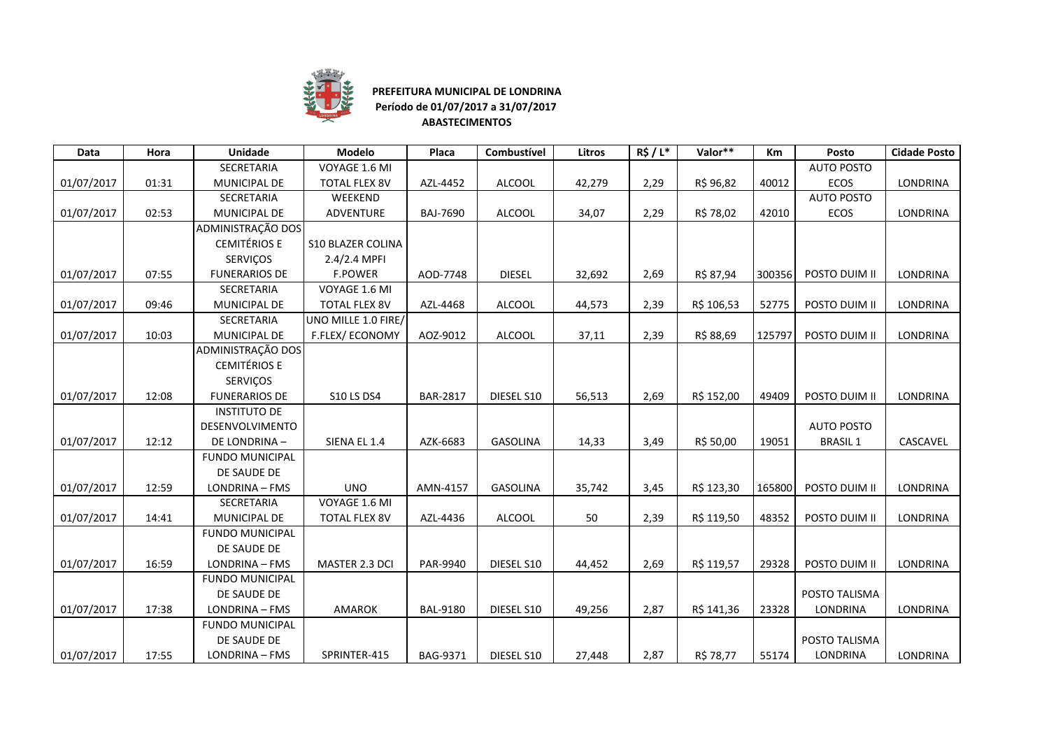

## **PREFEITURA MUNICIPAL DE LONDRINA Período de 01/07/2017 a 31/07/2017ABASTECIMENTOS**

| Data       | Hora  | <b>Unidade</b>         | Modelo                   | Placa           | Combustível     | Litros | R\$/L* | Valor**    | <b>Km</b> | Posto             | <b>Cidade Posto</b> |
|------------|-------|------------------------|--------------------------|-----------------|-----------------|--------|--------|------------|-----------|-------------------|---------------------|
|            |       | SECRETARIA             | VOYAGE 1.6 MI            |                 |                 |        |        |            |           | <b>AUTO POSTO</b> |                     |
| 01/07/2017 | 01:31 | MUNICIPAL DE           | <b>TOTAL FLEX 8V</b>     | AZL-4452        | <b>ALCOOL</b>   | 42,279 | 2,29   | R\$ 96,82  | 40012     | ECOS              | LONDRINA            |
|            |       | SECRETARIA             | WEEKEND                  |                 |                 |        |        |            |           | <b>AUTO POSTO</b> |                     |
| 01/07/2017 | 02:53 | MUNICIPAL DE           | ADVENTURE                | <b>BAJ-7690</b> | <b>ALCOOL</b>   | 34,07  | 2,29   | R\$ 78,02  | 42010     | ECOS              | LONDRINA            |
|            |       | ADMINISTRAÇÃO DOS      |                          |                 |                 |        |        |            |           |                   |                     |
|            |       | <b>CEMITÉRIOS E</b>    | <b>S10 BLAZER COLINA</b> |                 |                 |        |        |            |           |                   |                     |
|            |       | SERVIÇOS               | 2.4/2.4 MPFI             |                 |                 |        |        |            |           |                   |                     |
| 01/07/2017 | 07:55 | <b>FUNERARIOS DE</b>   | <b>F.POWER</b>           | AOD-7748        | <b>DIESEL</b>   | 32,692 | 2,69   | R\$ 87,94  | 300356    | POSTO DUIM II     | LONDRINA            |
|            |       | SECRETARIA             | VOYAGE 1.6 MI            |                 |                 |        |        |            |           |                   |                     |
| 01/07/2017 | 09:46 | MUNICIPAL DE           | <b>TOTAL FLEX 8V</b>     | AZL-4468        | <b>ALCOOL</b>   | 44,573 | 2,39   | R\$ 106,53 | 52775     | POSTO DUIM II     | LONDRINA            |
|            |       | SECRETARIA             | UNO MILLE 1.0 FIRE/      |                 |                 |        |        |            |           |                   |                     |
| 01/07/2017 | 10:03 | MUNICIPAL DE           | F.FLEX/ECONOMY           | AOZ-9012        | <b>ALCOOL</b>   | 37,11  | 2,39   | R\$ 88,69  | 125797    | POSTO DUIM II     | LONDRINA            |
|            |       | ADMINISTRAÇÃO DOS      |                          |                 |                 |        |        |            |           |                   |                     |
|            |       | <b>CEMITÉRIOS E</b>    |                          |                 |                 |        |        |            |           |                   |                     |
|            |       | SERVIÇOS               |                          |                 |                 |        |        |            |           |                   |                     |
| 01/07/2017 | 12:08 | <b>FUNERARIOS DE</b>   | <b>S10 LS DS4</b>        | <b>BAR-2817</b> | DIESEL S10      | 56,513 | 2,69   | R\$ 152,00 | 49409     | POSTO DUIM II     | LONDRINA            |
|            |       | <b>INSTITUTO DE</b>    |                          |                 |                 |        |        |            |           |                   |                     |
|            |       | <b>DESENVOLVIMENTO</b> |                          |                 |                 |        |        |            |           | <b>AUTO POSTO</b> |                     |
| 01/07/2017 | 12:12 | DE LONDRINA-           | SIENA EL 1.4             | AZK-6683        | <b>GASOLINA</b> | 14,33  | 3,49   | R\$ 50,00  | 19051     | <b>BRASIL1</b>    | CASCAVEL            |
|            |       | <b>FUNDO MUNICIPAL</b> |                          |                 |                 |        |        |            |           |                   |                     |
|            |       | DE SAUDE DE            |                          |                 |                 |        |        |            |           |                   |                     |
| 01/07/2017 | 12:59 | LONDRINA - FMS         | <b>UNO</b>               | AMN-4157        | GASOLINA        | 35,742 | 3,45   | R\$ 123,30 | 165800    | POSTO DUIM II     | LONDRINA            |
|            |       | <b>SECRETARIA</b>      | VOYAGE 1.6 MI            |                 |                 |        |        |            |           |                   |                     |
| 01/07/2017 | 14:41 | MUNICIPAL DE           | <b>TOTAL FLEX 8V</b>     | AZL-4436        | <b>ALCOOL</b>   | 50     | 2,39   | R\$ 119,50 | 48352     | POSTO DUIM II     | <b>LONDRINA</b>     |
|            |       | <b>FUNDO MUNICIPAL</b> |                          |                 |                 |        |        |            |           |                   |                     |
|            |       | DE SAUDE DE            |                          |                 |                 |        |        |            |           |                   |                     |
| 01/07/2017 | 16:59 | LONDRINA - FMS         | MASTER 2.3 DCI           | PAR-9940        | DIESEL S10      | 44,452 | 2,69   | R\$ 119,57 | 29328     | POSTO DUIM II     | <b>LONDRINA</b>     |
|            |       | <b>FUNDO MUNICIPAL</b> |                          |                 |                 |        |        |            |           |                   |                     |
|            |       | DE SAUDE DE            |                          |                 |                 |        |        |            |           | POSTO TALISMA     |                     |
| 01/07/2017 | 17:38 | LONDRINA - FMS         | <b>AMAROK</b>            | <b>BAL-9180</b> | DIESEL S10      | 49,256 | 2,87   | R\$ 141,36 | 23328     | LONDRINA          | LONDRINA            |
|            |       | <b>FUNDO MUNICIPAL</b> |                          |                 |                 |        |        |            |           |                   |                     |
|            |       | DE SAUDE DE            |                          |                 |                 |        |        |            |           | POSTO TALISMA     |                     |
| 01/07/2017 | 17:55 | LONDRINA - FMS         | SPRINTER-415             | BAG-9371        | DIESEL S10      | 27,448 | 2,87   | R\$ 78,77  | 55174     | LONDRINA          | LONDRINA            |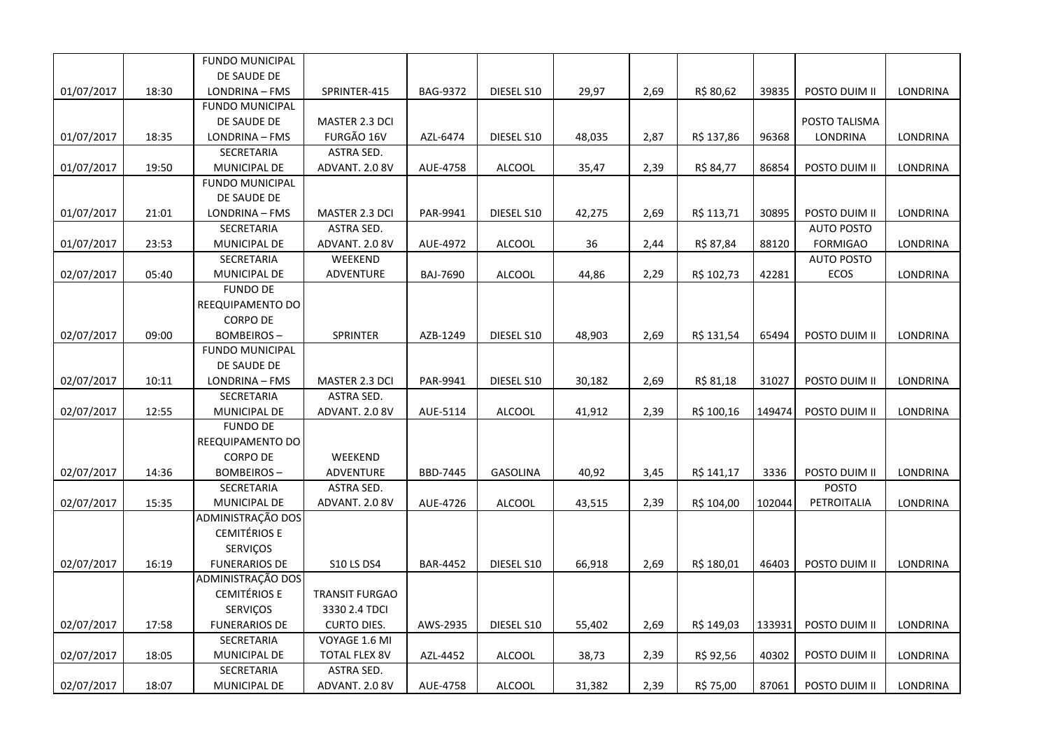|            |       | <b>FUNDO MUNICIPAL</b> |                       |                 |               |        |      |            |        |                   |                 |
|------------|-------|------------------------|-----------------------|-----------------|---------------|--------|------|------------|--------|-------------------|-----------------|
|            |       | DE SAUDE DE            |                       |                 |               |        |      |            |        |                   |                 |
| 01/07/2017 | 18:30 | LONDRINA - FMS         | SPRINTER-415          | BAG-9372        | DIESEL S10    | 29,97  | 2,69 | R\$ 80,62  | 39835  | POSTO DUIM II     | LONDRINA        |
|            |       | <b>FUNDO MUNICIPAL</b> |                       |                 |               |        |      |            |        |                   |                 |
|            |       | DE SAUDE DE            | MASTER 2.3 DCI        |                 |               |        |      |            |        | POSTO TALISMA     |                 |
| 01/07/2017 | 18:35 | LONDRINA - FMS         | FURGÃO 16V            | AZL-6474        | DIESEL S10    | 48,035 | 2,87 | R\$ 137,86 | 96368  | LONDRINA          | LONDRINA        |
|            |       | SECRETARIA             | ASTRA SED.            |                 |               |        |      |            |        |                   |                 |
| 01/07/2017 | 19:50 | MUNICIPAL DE           | ADVANT. 2.0 8V        | AUE-4758        | <b>ALCOOL</b> | 35,47  | 2,39 | R\$ 84,77  | 86854  | POSTO DUIM II     | LONDRINA        |
|            |       | <b>FUNDO MUNICIPAL</b> |                       |                 |               |        |      |            |        |                   |                 |
|            |       | DE SAUDE DE            |                       |                 |               |        |      |            |        |                   |                 |
| 01/07/2017 | 21:01 | LONDRINA - FMS         | MASTER 2.3 DCI        | PAR-9941        | DIESEL S10    | 42,275 | 2,69 | R\$ 113,71 | 30895  | POSTO DUIM II     | <b>LONDRINA</b> |
|            |       | SECRETARIA             | <b>ASTRA SED.</b>     |                 |               |        |      |            |        | <b>AUTO POSTO</b> |                 |
| 01/07/2017 | 23:53 | MUNICIPAL DE           | ADVANT. 2.0 8V        | AUE-4972        | <b>ALCOOL</b> | 36     | 2,44 | R\$ 87,84  | 88120  | <b>FORMIGAO</b>   | LONDRINA        |
|            |       | SECRETARIA             | WEEKEND               |                 |               |        |      |            |        | <b>AUTO POSTO</b> |                 |
| 02/07/2017 | 05:40 | MUNICIPAL DE           | ADVENTURE             | <b>BAJ-7690</b> | <b>ALCOOL</b> | 44,86  | 2,29 | R\$ 102,73 | 42281  | ECOS              | LONDRINA        |
|            |       | <b>FUNDO DE</b>        |                       |                 |               |        |      |            |        |                   |                 |
|            |       | REEQUIPAMENTO DO       |                       |                 |               |        |      |            |        |                   |                 |
|            |       | <b>CORPO DE</b>        |                       |                 |               |        |      |            |        |                   |                 |
| 02/07/2017 | 09:00 | BOMBEIROS -            | <b>SPRINTER</b>       | AZB-1249        | DIESEL S10    | 48,903 | 2,69 | R\$ 131,54 | 65494  | POSTO DUIM II     | LONDRINA        |
|            |       | <b>FUNDO MUNICIPAL</b> |                       |                 |               |        |      |            |        |                   |                 |
|            |       | DE SAUDE DE            |                       |                 |               |        |      |            |        |                   |                 |
| 02/07/2017 | 10:11 | LONDRINA - FMS         | MASTER 2.3 DCI        | PAR-9941        | DIESEL S10    | 30,182 | 2,69 | R\$ 81,18  | 31027  | POSTO DUIM II     | LONDRINA        |
|            |       | SECRETARIA             | ASTRA SED.            |                 |               |        |      |            |        |                   |                 |
| 02/07/2017 | 12:55 | MUNICIPAL DE           | ADVANT. 2.0 8V        | AUE-5114        | <b>ALCOOL</b> | 41,912 | 2,39 | R\$ 100,16 | 149474 | POSTO DUIM II     | LONDRINA        |
|            |       | <b>FUNDO DE</b>        |                       |                 |               |        |      |            |        |                   |                 |
|            |       | REEQUIPAMENTO DO       |                       |                 |               |        |      |            |        |                   |                 |
|            |       | <b>CORPO DE</b>        | WEEKEND               |                 |               |        |      |            |        |                   |                 |
| 02/07/2017 | 14:36 | BOMBEIROS –            | ADVENTURE             | BBD-7445        | GASOLINA      | 40,92  | 3,45 | R\$ 141,17 | 3336   | POSTO DUIM II     | LONDRINA        |
|            |       | SECRETARIA             | ASTRA SED.            |                 |               |        |      |            |        | <b>POSTO</b>      |                 |
| 02/07/2017 | 15:35 | MUNICIPAL DE           | ADVANT. 2.0 8V        | AUE-4726        | ALCOOL        | 43,515 | 2,39 | R\$ 104,00 | 102044 | PETROITALIA       | LONDRINA        |
|            |       | ADMINISTRAÇÃO DOS      |                       |                 |               |        |      |            |        |                   |                 |
|            |       | <b>CEMITÉRIOS E</b>    |                       |                 |               |        |      |            |        |                   |                 |
|            |       | SERVIÇOS               |                       |                 |               |        |      |            |        |                   |                 |
| 02/07/2017 | 16:19 | <b>FUNERARIOS DE</b>   | <b>S10 LS DS4</b>     | <b>BAR-4452</b> | DIESEL S10    | 66,918 | 2,69 | R\$ 180,01 | 46403  | POSTO DUIM II     | LONDRINA        |
|            |       | ADMINISTRAÇÃO DOS      |                       |                 |               |        |      |            |        |                   |                 |
|            |       | <b>CEMITÉRIOS E</b>    | <b>TRANSIT FURGAO</b> |                 |               |        |      |            |        |                   |                 |
|            |       | SERVIÇOS               | 3330 2.4 TDCI         |                 |               |        |      |            |        |                   |                 |
| 02/07/2017 | 17:58 | <b>FUNERARIOS DE</b>   | <b>CURTO DIES.</b>    | AWS-2935        | DIESEL S10    | 55,402 | 2,69 | R\$ 149,03 | 133931 | POSTO DUIM II     | LONDRINA        |
|            |       | SECRETARIA             | VOYAGE 1.6 MI         |                 |               |        |      |            |        |                   |                 |
| 02/07/2017 | 18:05 | MUNICIPAL DE           | <b>TOTAL FLEX 8V</b>  | AZL-4452        | <b>ALCOOL</b> | 38,73  | 2,39 | R\$ 92,56  | 40302  | POSTO DUIM II     | LONDRINA        |
|            |       | SECRETARIA             | ASTRA SED.            |                 |               |        |      |            |        |                   |                 |
| 02/07/2017 | 18:07 | MUNICIPAL DE           | ADVANT. 2.0 8V        | AUE-4758        | <b>ALCOOL</b> | 31,382 | 2,39 | R\$ 75,00  | 87061  | POSTO DUIM II     | <b>LONDRINA</b> |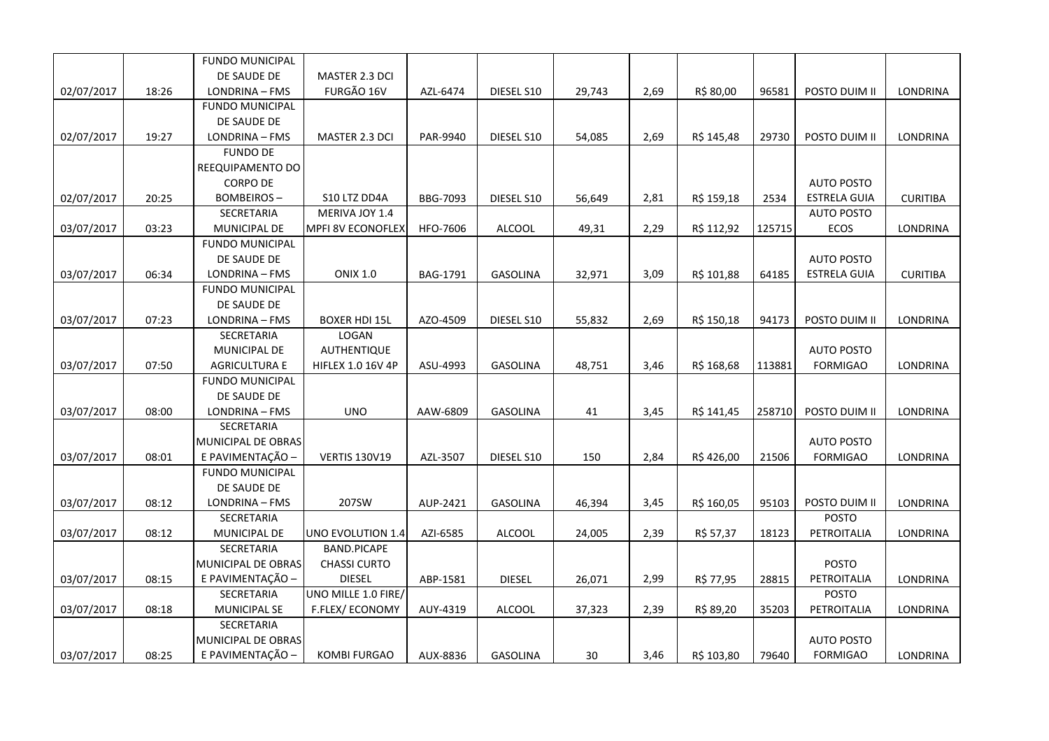|            |       | <b>FUNDO MUNICIPAL</b>        |                          |                 |                 |        |      |            |        |                     |                 |
|------------|-------|-------------------------------|--------------------------|-----------------|-----------------|--------|------|------------|--------|---------------------|-----------------|
|            |       | DE SAUDE DE                   | MASTER 2.3 DCI           |                 |                 |        |      |            |        |                     |                 |
| 02/07/2017 | 18:26 | LONDRINA - FMS                | FURGÃO 16V               | AZL-6474        | DIESEL S10      | 29,743 | 2,69 | R\$ 80,00  | 96581  | POSTO DUIM II       | <b>LONDRINA</b> |
|            |       | <b>FUNDO MUNICIPAL</b>        |                          |                 |                 |        |      |            |        |                     |                 |
|            |       | DE SAUDE DE                   |                          |                 |                 |        |      |            |        |                     |                 |
| 02/07/2017 | 19:27 | LONDRINA - FMS                | MASTER 2.3 DCI           | PAR-9940        | DIESEL S10      | 54,085 | 2,69 | R\$ 145,48 | 29730  | POSTO DUIM II       | LONDRINA        |
|            |       | <b>FUNDO DE</b>               |                          |                 |                 |        |      |            |        |                     |                 |
|            |       | REEQUIPAMENTO DO              |                          |                 |                 |        |      |            |        |                     |                 |
|            |       | <b>CORPO DE</b>               |                          |                 |                 |        |      |            |        | <b>AUTO POSTO</b>   |                 |
| 02/07/2017 | 20:25 | <b>BOMBEIROS-</b>             | S10 LTZ DD4A             | BBG-7093        | DIESEL S10      | 56,649 | 2,81 | R\$ 159,18 | 2534   | ESTRELA GUIA        | <b>CURITIBA</b> |
|            |       | SECRETARIA                    | MERIVA JOY 1.4           |                 |                 |        |      |            |        | <b>AUTO POSTO</b>   |                 |
| 03/07/2017 | 03:23 | <b>MUNICIPAL DE</b>           | <b>MPFI 8V ECONOFLEX</b> | HFO-7606        | <b>ALCOOL</b>   | 49,31  | 2,29 | R\$ 112,92 | 125715 | ECOS                | LONDRINA        |
|            |       | <b>FUNDO MUNICIPAL</b>        |                          |                 |                 |        |      |            |        |                     |                 |
|            |       | DE SAUDE DE                   |                          |                 |                 |        |      |            |        | <b>AUTO POSTO</b>   |                 |
| 03/07/2017 | 06:34 | LONDRINA - FMS                | <b>ONIX 1.0</b>          | <b>BAG-1791</b> | <b>GASOLINA</b> | 32,971 | 3,09 | R\$ 101,88 | 64185  | <b>ESTRELA GUIA</b> | <b>CURITIBA</b> |
|            |       | <b>FUNDO MUNICIPAL</b>        |                          |                 |                 |        |      |            |        |                     |                 |
|            |       | DE SAUDE DE                   |                          |                 |                 |        |      |            |        |                     |                 |
| 03/07/2017 | 07:23 | LONDRINA - FMS                | <b>BOXER HDI 15L</b>     | AZO-4509        | DIESEL S10      | 55,832 | 2,69 | R\$ 150,18 | 94173  | POSTO DUIM II       | <b>LONDRINA</b> |
|            |       | SECRETARIA                    | LOGAN                    |                 |                 |        |      |            |        |                     |                 |
|            |       | MUNICIPAL DE                  | AUTHENTIQUE              |                 |                 |        |      |            |        | <b>AUTO POSTO</b>   |                 |
| 03/07/2017 | 07:50 | <b>AGRICULTURA E</b>          | <b>HIFLEX 1.0 16V 4P</b> | ASU-4993        | <b>GASOLINA</b> | 48,751 | 3,46 | R\$ 168,68 | 113881 | <b>FORMIGAO</b>     | LONDRINA        |
|            |       | <b>FUNDO MUNICIPAL</b>        |                          |                 |                 |        |      |            |        |                     |                 |
|            |       | DE SAUDE DE                   |                          |                 |                 |        |      |            |        |                     |                 |
| 03/07/2017 | 08:00 | LONDRINA - FMS                | <b>UNO</b>               | AAW-6809        | <b>GASOLINA</b> | 41     | 3,45 | R\$ 141,45 | 258710 | POSTO DUIM II       | <b>LONDRINA</b> |
|            |       | SECRETARIA                    |                          |                 |                 |        |      |            |        |                     |                 |
|            |       | MUNICIPAL DE OBRAS            |                          |                 |                 |        |      |            |        | <b>AUTO POSTO</b>   |                 |
| 03/07/2017 | 08:01 | E PAVIMENTAÇÃO -              | <b>VERTIS 130V19</b>     | AZL-3507        | DIESEL S10      | 150    | 2,84 | R\$426,00  | 21506  | <b>FORMIGAO</b>     | LONDRINA        |
|            |       | <b>FUNDO MUNICIPAL</b>        |                          |                 |                 |        |      |            |        |                     |                 |
| 03/07/2017 | 08:12 | DE SAUDE DE<br>LONDRINA - FMS | 207SW                    | AUP-2421        | GASOLINA        | 46,394 | 3,45 | R\$ 160,05 | 95103  | POSTO DUIM II       | LONDRINA        |
|            |       | SECRETARIA                    |                          |                 |                 |        |      |            |        | <b>POSTO</b>        |                 |
| 03/07/2017 | 08:12 | MUNICIPAL DE                  | UNO EVOLUTION 1.4        | AZI-6585        | ALCOOL          | 24,005 | 2,39 | R\$ 57,37  | 18123  | PETROITALIA         | LONDRINA        |
|            |       | SECRETARIA                    | <b>BAND.PICAPE</b>       |                 |                 |        |      |            |        |                     |                 |
|            |       | MUNICIPAL DE OBRAS            | <b>CHASSI CURTO</b>      |                 |                 |        |      |            |        | <b>POSTO</b>        |                 |
| 03/07/2017 | 08:15 | E PAVIMENTAÇÃO -              | <b>DIESEL</b>            | ABP-1581        | <b>DIESEL</b>   | 26,071 | 2,99 | R\$ 77,95  | 28815  | PETROITALIA         | LONDRINA        |
|            |       | SECRETARIA                    | UNO MILLE 1.0 FIRE/      |                 |                 |        |      |            |        | POSTO               |                 |
| 03/07/2017 | 08:18 | MUNICIPAL SE                  | F.FLEX/ECONOMY           | AUY-4319        | <b>ALCOOL</b>   | 37,323 | 2,39 | R\$ 89,20  | 35203  | PETROITALIA         | LONDRINA        |
|            |       | SECRETARIA                    |                          |                 |                 |        |      |            |        |                     |                 |
|            |       | MUNICIPAL DE OBRAS            |                          |                 |                 |        |      |            |        | <b>AUTO POSTO</b>   |                 |
| 03/07/2017 | 08:25 | E PAVIMENTAÇÃO -              | <b>KOMBI FURGAO</b>      | AUX-8836        | <b>GASOLINA</b> | 30     | 3,46 | R\$ 103,80 | 79640  | <b>FORMIGAO</b>     | LONDRINA        |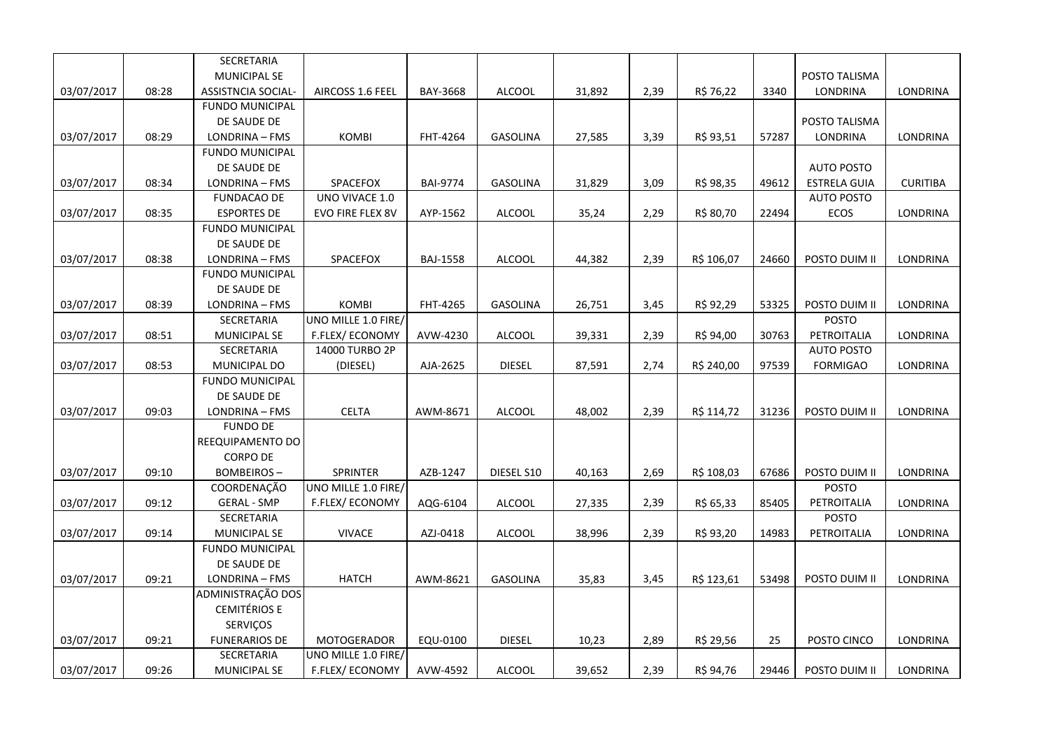|            |       | SECRETARIA                |                        |                 |                 |        |      |            |       |                     |                 |
|------------|-------|---------------------------|------------------------|-----------------|-----------------|--------|------|------------|-------|---------------------|-----------------|
|            |       | <b>MUNICIPAL SE</b>       |                        |                 |                 |        |      |            |       | POSTO TALISMA       |                 |
| 03/07/2017 | 08:28 | <b>ASSISTNCIA SOCIAL-</b> | AIRCOSS 1.6 FEEL       | BAY-3668        | ALCOOL          | 31,892 | 2,39 | R\$ 76,22  | 3340  | LONDRINA            | LONDRINA        |
|            |       | <b>FUNDO MUNICIPAL</b>    |                        |                 |                 |        |      |            |       |                     |                 |
|            |       | DE SAUDE DE               |                        |                 |                 |        |      |            |       | POSTO TALISMA       |                 |
| 03/07/2017 | 08:29 | LONDRINA - FMS            | <b>KOMBI</b>           | FHT-4264        | <b>GASOLINA</b> | 27,585 | 3,39 | R\$ 93,51  | 57287 | LONDRINA            | LONDRINA        |
|            |       | <b>FUNDO MUNICIPAL</b>    |                        |                 |                 |        |      |            |       |                     |                 |
|            |       | DE SAUDE DE               |                        |                 |                 |        |      |            |       | <b>AUTO POSTO</b>   |                 |
| 03/07/2017 | 08:34 | LONDRINA - FMS            | SPACEFOX               | <b>BAI-9774</b> | <b>GASOLINA</b> | 31,829 | 3,09 | R\$ 98,35  | 49612 | <b>ESTRELA GUIA</b> | <b>CURITIBA</b> |
|            |       | <b>FUNDACAO DE</b>        | UNO VIVACE 1.0         |                 |                 |        |      |            |       | <b>AUTO POSTO</b>   |                 |
| 03/07/2017 | 08:35 | <b>ESPORTES DE</b>        | EVO FIRE FLEX 8V       | AYP-1562        | <b>ALCOOL</b>   | 35,24  | 2,29 | R\$ 80,70  | 22494 | ECOS                | LONDRINA        |
|            |       | <b>FUNDO MUNICIPAL</b>    |                        |                 |                 |        |      |            |       |                     |                 |
|            |       | DE SAUDE DE               |                        |                 |                 |        |      |            |       |                     |                 |
| 03/07/2017 | 08:38 | LONDRINA - FMS            | SPACEFOX               | <b>BAJ-1558</b> | <b>ALCOOL</b>   | 44,382 | 2,39 | R\$ 106,07 | 24660 | POSTO DUIM II       | LONDRINA        |
|            |       | <b>FUNDO MUNICIPAL</b>    |                        |                 |                 |        |      |            |       |                     |                 |
|            |       | DE SAUDE DE               |                        |                 |                 |        |      |            |       |                     |                 |
| 03/07/2017 | 08:39 | LONDRINA - FMS            | KOMBI                  | FHT-4265        | <b>GASOLINA</b> | 26,751 | 3,45 | R\$ 92,29  | 53325 | POSTO DUIM II       | <b>LONDRINA</b> |
|            |       | SECRETARIA                | UNO MILLE 1.0 FIRE/    |                 |                 |        |      |            |       | <b>POSTO</b>        |                 |
| 03/07/2017 | 08:51 | <b>MUNICIPAL SE</b>       | <b>F.FLEX/ ECONOMY</b> | AVW-4230        | ALCOOL          | 39,331 | 2,39 | R\$ 94,00  | 30763 | PETROITALIA         | LONDRINA        |
|            |       | SECRETARIA                | 14000 TURBO 2P         |                 |                 |        |      |            |       | <b>AUTO POSTO</b>   |                 |
| 03/07/2017 | 08:53 | MUNICIPAL DO              | (DIESEL)               | AJA-2625        | <b>DIESEL</b>   | 87,591 | 2,74 | R\$ 240,00 | 97539 | <b>FORMIGAO</b>     | LONDRINA        |
|            |       | <b>FUNDO MUNICIPAL</b>    |                        |                 |                 |        |      |            |       |                     |                 |
|            |       | DE SAUDE DE               |                        |                 |                 |        |      |            |       |                     |                 |
| 03/07/2017 | 09:03 | LONDRINA - FMS            | <b>CELTA</b>           | AWM-8671        | <b>ALCOOL</b>   | 48,002 | 2,39 | R\$ 114,72 | 31236 | POSTO DUIM II       | LONDRINA        |
|            |       | <b>FUNDO DE</b>           |                        |                 |                 |        |      |            |       |                     |                 |
|            |       | REEQUIPAMENTO DO          |                        |                 |                 |        |      |            |       |                     |                 |
|            |       | <b>CORPO DE</b>           |                        |                 |                 |        |      |            |       |                     |                 |
| 03/07/2017 | 09:10 | <b>BOMBEIROS-</b>         | <b>SPRINTER</b>        | AZB-1247        | DIESEL S10      | 40,163 | 2,69 | R\$ 108,03 | 67686 | POSTO DUIM II       | <b>LONDRINA</b> |
|            |       | COORDENAÇÃO               | UNO MILLE 1.0 FIRE/    |                 |                 |        |      |            |       | <b>POSTO</b>        |                 |
| 03/07/2017 | 09:12 | <b>GERAL - SMP</b>        | F.FLEX/ECONOMY         | AQG-6104        | ALCOOL          | 27,335 | 2,39 | R\$ 65,33  | 85405 | PETROITALIA         | LONDRINA        |
|            |       | SECRETARIA                |                        |                 |                 |        |      |            |       | POSTO               |                 |
| 03/07/2017 | 09:14 | <b>MUNICIPAL SE</b>       | <b>VIVACE</b>          | AZJ-0418        | ALCOOL          | 38,996 | 2,39 | R\$ 93,20  | 14983 | PETROITALIA         | LONDRINA        |
|            |       | <b>FUNDO MUNICIPAL</b>    |                        |                 |                 |        |      |            |       |                     |                 |
|            |       | DE SAUDE DE               |                        |                 |                 |        |      |            |       |                     |                 |
| 03/07/2017 | 09:21 | LONDRINA - FMS            | <b>HATCH</b>           | AWM-8621        | <b>GASOLINA</b> | 35,83  | 3,45 | R\$ 123,61 | 53498 | POSTO DUIM II       | LONDRINA        |
|            |       | ADMINISTRAÇÃO DOS         |                        |                 |                 |        |      |            |       |                     |                 |
|            |       | <b>CEMITÉRIOS E</b>       |                        |                 |                 |        |      |            |       |                     |                 |
|            |       | SERVIÇOS                  |                        |                 |                 |        |      |            |       |                     |                 |
| 03/07/2017 | 09:21 | <b>FUNERARIOS DE</b>      | <b>MOTOGERADOR</b>     | EQU-0100        | <b>DIESEL</b>   | 10,23  | 2,89 | R\$ 29,56  | 25    | POSTO CINCO         | LONDRINA        |
|            |       | SECRETARIA                | UNO MILLE 1.0 FIRE/    |                 |                 |        |      |            |       |                     |                 |
| 03/07/2017 | 09:26 | <b>MUNICIPAL SE</b>       | <b>F.FLEX/ ECONOMY</b> | AVW-4592        | ALCOOL          | 39,652 | 2,39 | R\$ 94,76  | 29446 | POSTO DUIM II       | LONDRINA        |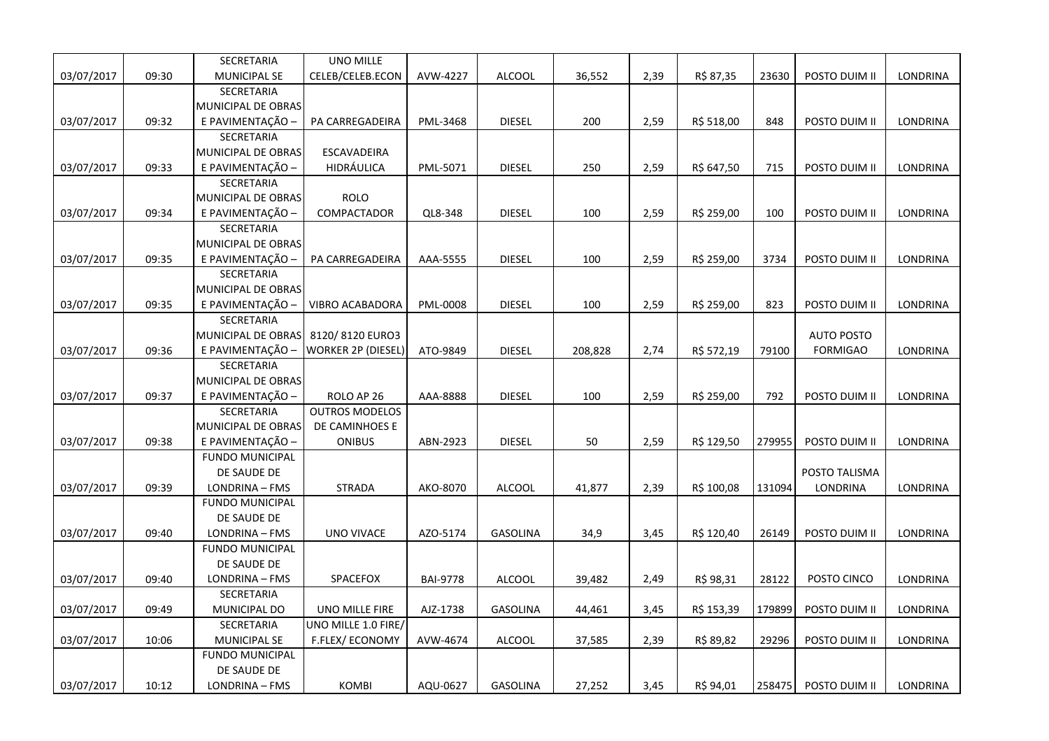|            |       | SECRETARIA             | <b>UNO MILLE</b>          |                 |                 |         |      |            |        |                   |                 |
|------------|-------|------------------------|---------------------------|-----------------|-----------------|---------|------|------------|--------|-------------------|-----------------|
| 03/07/2017 | 09:30 | <b>MUNICIPAL SE</b>    | CELEB/CELEB.ECON          | AVW-4227        | <b>ALCOOL</b>   | 36,552  | 2,39 | R\$ 87,35  | 23630  | POSTO DUIM II     | LONDRINA        |
|            |       | SECRETARIA             |                           |                 |                 |         |      |            |        |                   |                 |
|            |       | MUNICIPAL DE OBRAS     |                           |                 |                 |         |      |            |        |                   |                 |
| 03/07/2017 | 09:32 | E PAVIMENTAÇÃO -       | PA CARREGADEIRA           | PML-3468        | <b>DIESEL</b>   | 200     | 2,59 | R\$ 518,00 | 848    | POSTO DUIM II     | LONDRINA        |
|            |       | <b>SECRETARIA</b>      |                           |                 |                 |         |      |            |        |                   |                 |
|            |       | MUNICIPAL DE OBRAS     | ESCAVADEIRA               |                 |                 |         |      |            |        |                   |                 |
| 03/07/2017 | 09:33 | E PAVIMENTAÇÃO -       | HIDRÁULICA                | PML-5071        | <b>DIESEL</b>   | 250     | 2,59 | R\$ 647,50 | 715    | POSTO DUIM II     | LONDRINA        |
|            |       | <b>SECRETARIA</b>      |                           |                 |                 |         |      |            |        |                   |                 |
|            |       | MUNICIPAL DE OBRAS     | <b>ROLO</b>               |                 |                 |         |      |            |        |                   |                 |
| 03/07/2017 | 09:34 | E PAVIMENTAÇÃO -       | COMPACTADOR               | QL8-348         | <b>DIESEL</b>   | 100     | 2,59 | R\$ 259,00 | 100    | POSTO DUIM II     | LONDRINA        |
|            |       | <b>SECRETARIA</b>      |                           |                 |                 |         |      |            |        |                   |                 |
|            |       | MUNICIPAL DE OBRAS     |                           |                 |                 |         |      |            |        |                   |                 |
| 03/07/2017 | 09:35 | E PAVIMENTAÇÃO         | PA CARREGADEIRA           | AAA-5555        | <b>DIESEL</b>   | 100     | 2,59 | R\$ 259,00 | 3734   | POSTO DUIM II     | LONDRINA        |
|            |       | SECRETARIA             |                           |                 |                 |         |      |            |        |                   |                 |
|            |       | MUNICIPAL DE OBRAS     |                           |                 |                 |         |      |            |        |                   |                 |
| 03/07/2017 | 09:35 | E PAVIMENTAÇÃO -       | VIBRO ACABADORA           | PML-0008        | <b>DIESEL</b>   | 100     | 2,59 | R\$ 259,00 | 823    | POSTO DUIM II     | LONDRINA        |
|            |       | <b>SECRETARIA</b>      |                           |                 |                 |         |      |            |        |                   |                 |
|            |       | MUNICIPAL DE OBRAS     | 8120/8120 EURO3           |                 |                 |         |      |            |        | <b>AUTO POSTO</b> |                 |
| 03/07/2017 | 09:36 | E PAVIMENTAÇÃO         | <b>WORKER 2P (DIESEL)</b> | ATO-9849        | <b>DIESEL</b>   | 208,828 | 2,74 | R\$ 572,19 | 79100  | <b>FORMIGAO</b>   | LONDRINA        |
|            |       | SECRETARIA             |                           |                 |                 |         |      |            |        |                   |                 |
|            |       | MUNICIPAL DE OBRAS     |                           |                 |                 |         |      |            |        |                   |                 |
| 03/07/2017 | 09:37 | E PAVIMENTAÇÃO -       | ROLO AP 26                | AAA-8888        | <b>DIESEL</b>   | 100     | 2,59 | R\$ 259,00 | 792    | POSTO DUIM II     | <b>LONDRINA</b> |
|            |       | SECRETARIA             | <b>OUTROS MODELOS</b>     |                 |                 |         |      |            |        |                   |                 |
|            |       | MUNICIPAL DE OBRAS     | DE CAMINHOES E            |                 |                 |         |      |            |        |                   |                 |
| 03/07/2017 | 09:38 | E PAVIMENTAÇÃO -       | <b>ONIBUS</b>             | ABN-2923        | <b>DIESEL</b>   | 50      | 2,59 | R\$ 129,50 | 279955 | POSTO DUIM II     | LONDRINA        |
|            |       | <b>FUNDO MUNICIPAL</b> |                           |                 |                 |         |      |            |        |                   |                 |
|            |       | DE SAUDE DE            |                           |                 |                 |         |      |            |        | POSTO TALISMA     |                 |
| 03/07/2017 | 09:39 | LONDRINA - FMS         | <b>STRADA</b>             | AKO-8070        | <b>ALCOOL</b>   | 41,877  | 2,39 | R\$ 100,08 | 131094 | LONDRINA          | LONDRINA        |
|            |       | <b>FUNDO MUNICIPAL</b> |                           |                 |                 |         |      |            |        |                   |                 |
|            |       | DE SAUDE DE            |                           |                 |                 |         |      |            |        |                   |                 |
| 03/07/2017 | 09:40 | LONDRINA - FMS         | <b>UNO VIVACE</b>         | AZO-5174        | <b>GASOLINA</b> | 34,9    | 3,45 | R\$ 120,40 | 26149  | POSTO DUIM II     | LONDRINA        |
|            |       | <b>FUNDO MUNICIPAL</b> |                           |                 |                 |         |      |            |        |                   |                 |
|            |       | DE SAUDE DE            |                           |                 |                 |         |      |            |        |                   |                 |
| 03/07/2017 | 09:40 | LONDRINA - FMS         | SPACEFOX                  | <b>BAI-9778</b> | <b>ALCOOL</b>   | 39,482  | 2,49 | R\$ 98,31  | 28122  | POSTO CINCO       | LONDRINA        |
|            |       | SECRETARIA             |                           |                 |                 |         |      |            |        |                   |                 |
| 03/07/2017 | 09:49 | MUNICIPAL DO           | UNO MILLE FIRE            | AJZ-1738        | <b>GASOLINA</b> | 44,461  | 3,45 | R\$ 153,39 | 179899 | POSTO DUIM II     | LONDRINA        |
|            |       | SECRETARIA             | UNO MILLE 1.0 FIRE/       |                 |                 |         |      |            |        |                   |                 |
| 03/07/2017 | 10:06 | <b>MUNICIPAL SE</b>    | <b>F.FLEX/ ECONOMY</b>    | AVW-4674        | <b>ALCOOL</b>   | 37,585  | 2,39 | R\$ 89,82  | 29296  | POSTO DUIM II     | LONDRINA        |
|            |       | <b>FUNDO MUNICIPAL</b> |                           |                 |                 |         |      |            |        |                   |                 |
|            |       | DE SAUDE DE            |                           |                 |                 |         |      |            |        |                   |                 |
| 03/07/2017 | 10:12 | LONDRINA - FMS         | <b>KOMBI</b>              | AQU-0627        | <b>GASOLINA</b> | 27,252  | 3,45 | R\$ 94,01  | 258475 | POSTO DUIM II     | LONDRINA        |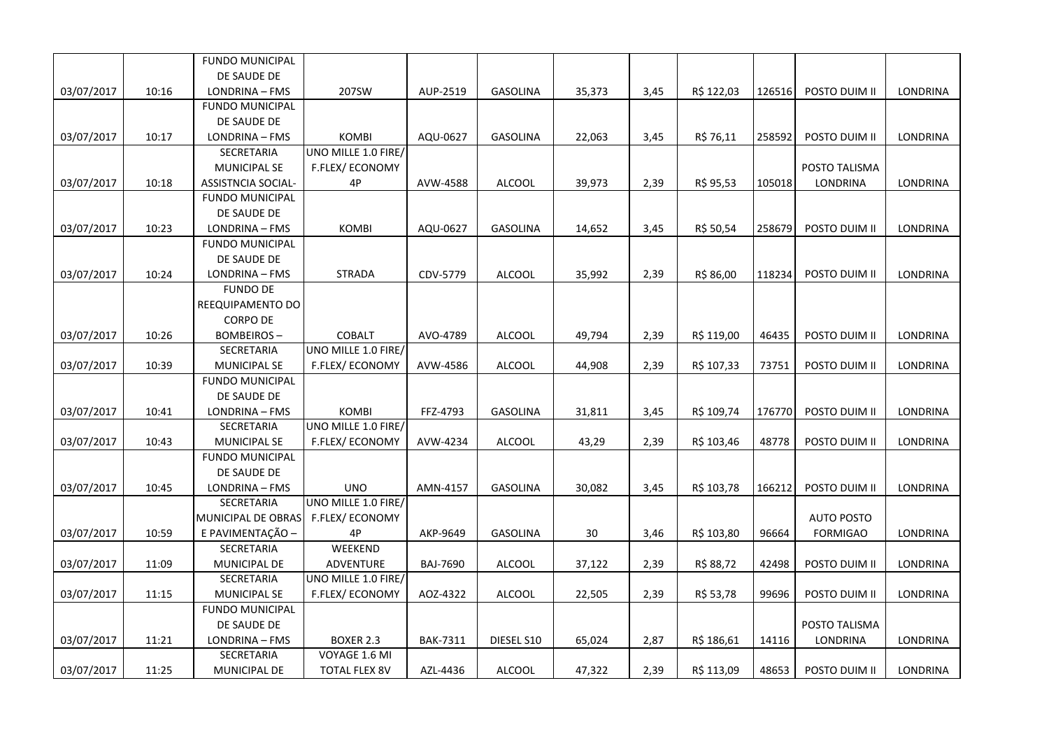|            |       | <b>FUNDO MUNICIPAL</b>    |                        |                 |                 |        |      |            |        |                   |                 |
|------------|-------|---------------------------|------------------------|-----------------|-----------------|--------|------|------------|--------|-------------------|-----------------|
|            |       | DE SAUDE DE               |                        |                 |                 |        |      |            |        |                   |                 |
| 03/07/2017 | 10:16 | LONDRINA - FMS            | 207SW                  | AUP-2519        | <b>GASOLINA</b> | 35,373 | 3,45 | R\$ 122,03 | 126516 | POSTO DUIM II     | LONDRINA        |
|            |       | <b>FUNDO MUNICIPAL</b>    |                        |                 |                 |        |      |            |        |                   |                 |
|            |       | DE SAUDE DE               |                        |                 |                 |        |      |            |        |                   |                 |
| 03/07/2017 | 10:17 | LONDRINA - FMS            | <b>KOMBI</b>           | AQU-0627        | <b>GASOLINA</b> | 22,063 | 3,45 | R\$ 76,11  | 258592 | POSTO DUIM II     | <b>LONDRINA</b> |
|            |       | SECRETARIA                | UNO MILLE 1.0 FIRE/    |                 |                 |        |      |            |        |                   |                 |
|            |       | <b>MUNICIPAL SE</b>       | F.FLEX/ECONOMY         |                 |                 |        |      |            |        | POSTO TALISMA     |                 |
| 03/07/2017 | 10:18 | <b>ASSISTNCIA SOCIAL-</b> | 4P                     | AVW-4588        | <b>ALCOOL</b>   | 39,973 | 2,39 | R\$ 95,53  | 105018 | <b>LONDRINA</b>   | <b>LONDRINA</b> |
|            |       | <b>FUNDO MUNICIPAL</b>    |                        |                 |                 |        |      |            |        |                   |                 |
|            |       | DE SAUDE DE               |                        |                 |                 |        |      |            |        |                   |                 |
| 03/07/2017 | 10:23 | LONDRINA - FMS            | <b>KOMBI</b>           | AQU-0627        | <b>GASOLINA</b> | 14,652 | 3,45 | R\$ 50,54  | 258679 | POSTO DUIM II     | LONDRINA        |
|            |       | <b>FUNDO MUNICIPAL</b>    |                        |                 |                 |        |      |            |        |                   |                 |
|            |       | DE SAUDE DE               |                        |                 |                 |        |      |            |        |                   |                 |
| 03/07/2017 | 10:24 | LONDRINA - FMS            | <b>STRADA</b>          | CDV-5779        | <b>ALCOOL</b>   | 35,992 | 2,39 | R\$ 86,00  | 118234 | POSTO DUIM II     | LONDRINA        |
|            |       | <b>FUNDO DE</b>           |                        |                 |                 |        |      |            |        |                   |                 |
|            |       | REEQUIPAMENTO DO          |                        |                 |                 |        |      |            |        |                   |                 |
|            |       | <b>CORPO DE</b>           |                        |                 |                 |        |      |            |        |                   |                 |
| 03/07/2017 | 10:26 | <b>BOMBEIROS-</b>         | <b>COBALT</b>          | AVO-4789        | ALCOOL          | 49,794 | 2,39 | R\$ 119,00 | 46435  | POSTO DUIM II     | LONDRINA        |
|            |       | SECRETARIA                | UNO MILLE 1.0 FIRE/    |                 |                 |        |      |            |        |                   |                 |
| 03/07/2017 | 10:39 | <b>MUNICIPAL SE</b>       | F.FLEX/ECONOMY         | AVW-4586        | <b>ALCOOL</b>   | 44,908 | 2,39 | R\$ 107,33 | 73751  | POSTO DUIM II     | <b>LONDRINA</b> |
|            |       | <b>FUNDO MUNICIPAL</b>    |                        |                 |                 |        |      |            |        |                   |                 |
|            |       | DE SAUDE DE               |                        |                 |                 |        |      |            |        |                   |                 |
| 03/07/2017 | 10:41 | LONDRINA - FMS            | KOMBI                  | FFZ-4793        | <b>GASOLINA</b> | 31,811 | 3,45 | R\$ 109,74 | 176770 | POSTO DUIM II     | LONDRINA        |
|            |       | SECRETARIA                | UNO MILLE 1.0 FIRE/    |                 |                 |        |      |            |        |                   |                 |
| 03/07/2017 | 10:43 | <b>MUNICIPAL SE</b>       | F.FLEX/ECONOMY         | AVW-4234        | ALCOOL          | 43,29  | 2,39 | R\$ 103,46 | 48778  | POSTO DUIM II     | LONDRINA        |
|            |       | <b>FUNDO MUNICIPAL</b>    |                        |                 |                 |        |      |            |        |                   |                 |
|            |       | DE SAUDE DE               |                        |                 |                 |        |      |            |        |                   |                 |
| 03/07/2017 | 10:45 | LONDRINA - FMS            | <b>UNO</b>             | AMN-4157        | <b>GASOLINA</b> | 30,082 | 3,45 | R\$ 103,78 | 166212 | POSTO DUIM II     | LONDRINA        |
|            |       | SECRETARIA                | UNO MILLE 1.0 FIRE/    |                 |                 |        |      |            |        |                   |                 |
|            |       | MUNICIPAL DE OBRAS        | <b>F.FLEX/ ECONOMY</b> |                 |                 |        |      |            |        | <b>AUTO POSTO</b> |                 |
| 03/07/2017 | 10:59 | E PAVIMENTAÇÃO -          | 4P                     | AKP-9649        | <b>GASOLINA</b> | 30     | 3,46 | R\$ 103,80 | 96664  | <b>FORMIGAO</b>   | LONDRINA        |
|            |       | SECRETARIA                | WEEKEND                |                 |                 |        |      |            |        |                   |                 |
| 03/07/2017 | 11:09 | MUNICIPAL DE              | ADVENTURE              | <b>BAJ-7690</b> | <b>ALCOOL</b>   | 37,122 | 2,39 | R\$ 88,72  | 42498  | POSTO DUIM II     | LONDRINA        |
|            |       | SECRETARIA                | UNO MILLE 1.0 FIRE/    |                 |                 |        |      |            |        |                   |                 |
| 03/07/2017 | 11:15 | <b>MUNICIPAL SE</b>       | F.FLEX/ECONOMY         | AOZ-4322        | <b>ALCOOL</b>   | 22,505 | 2,39 | R\$ 53,78  | 99696  | POSTO DUIM II     | LONDRINA        |
|            |       | <b>FUNDO MUNICIPAL</b>    |                        |                 |                 |        |      |            |        |                   |                 |
|            |       | DE SAUDE DE               |                        |                 |                 |        |      |            |        | POSTO TALISMA     |                 |
| 03/07/2017 | 11:21 | LONDRINA - FMS            | BOXER 2.3              | <b>BAK-7311</b> | DIESEL S10      | 65,024 | 2,87 | R\$ 186,61 | 14116  | LONDRINA          | LONDRINA        |
|            |       | SECRETARIA                | VOYAGE 1.6 MI          |                 |                 |        |      |            |        |                   |                 |
| 03/07/2017 | 11:25 | MUNICIPAL DE              | <b>TOTAL FLEX 8V</b>   | AZL-4436        | <b>ALCOOL</b>   | 47,322 | 2,39 | R\$ 113,09 | 48653  | POSTO DUIM II     | LONDRINA        |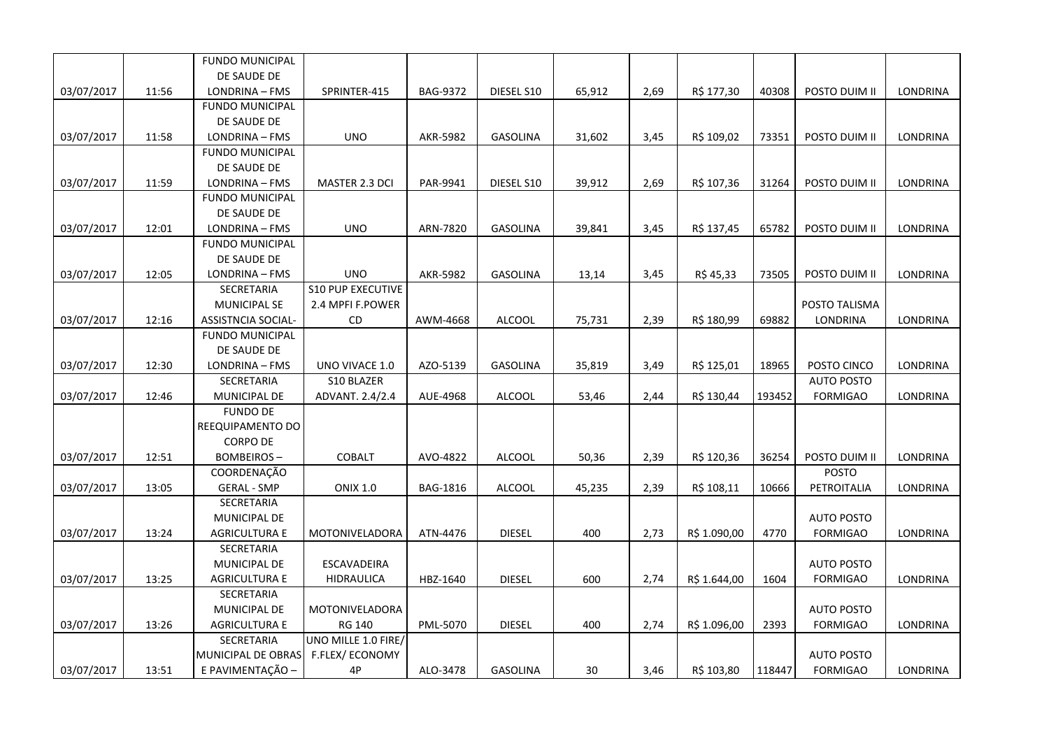|            |       | <b>FUNDO MUNICIPAL</b>    |                          |                 |                 |        |      |              |        |                   |                 |
|------------|-------|---------------------------|--------------------------|-----------------|-----------------|--------|------|--------------|--------|-------------------|-----------------|
|            |       | DE SAUDE DE               |                          |                 |                 |        |      |              |        |                   |                 |
| 03/07/2017 | 11:56 | LONDRINA - FMS            | SPRINTER-415             | <b>BAG-9372</b> | DIESEL S10      | 65,912 | 2,69 | R\$ 177,30   | 40308  | POSTO DUIM II     | <b>LONDRINA</b> |
|            |       | <b>FUNDO MUNICIPAL</b>    |                          |                 |                 |        |      |              |        |                   |                 |
|            |       | DE SAUDE DE               |                          |                 |                 |        |      |              |        |                   |                 |
| 03/07/2017 | 11:58 | LONDRINA - FMS            | <b>UNO</b>               | AKR-5982        | <b>GASOLINA</b> | 31,602 | 3,45 | R\$ 109,02   | 73351  | POSTO DUIM II     | LONDRINA        |
|            |       | <b>FUNDO MUNICIPAL</b>    |                          |                 |                 |        |      |              |        |                   |                 |
|            |       | DE SAUDE DE               |                          |                 |                 |        |      |              |        |                   |                 |
| 03/07/2017 | 11:59 | LONDRINA - FMS            | MASTER 2.3 DCI           | PAR-9941        | DIESEL S10      | 39,912 | 2,69 | R\$ 107,36   | 31264  | POSTO DUIM II     | LONDRINA        |
|            |       | <b>FUNDO MUNICIPAL</b>    |                          |                 |                 |        |      |              |        |                   |                 |
|            |       | DE SAUDE DE               |                          |                 |                 |        |      |              |        |                   |                 |
| 03/07/2017 | 12:01 | LONDRINA - FMS            | <b>UNO</b>               | ARN-7820        | <b>GASOLINA</b> | 39,841 | 3,45 | R\$ 137,45   | 65782  | POSTO DUIM II     | LONDRINA        |
|            |       | <b>FUNDO MUNICIPAL</b>    |                          |                 |                 |        |      |              |        |                   |                 |
|            |       | DE SAUDE DE               |                          |                 |                 |        |      |              |        |                   |                 |
| 03/07/2017 | 12:05 | LONDRINA - FMS            | <b>UNO</b>               | <b>AKR-5982</b> | <b>GASOLINA</b> | 13,14  | 3,45 | R\$ 45,33    | 73505  | POSTO DUIM II     | <b>LONDRINA</b> |
|            |       | SECRETARIA                | <b>S10 PUP EXECUTIVE</b> |                 |                 |        |      |              |        |                   |                 |
|            |       | <b>MUNICIPAL SE</b>       | 2.4 MPFI F.POWER         |                 |                 |        |      |              |        | POSTO TALISMA     |                 |
| 03/07/2017 | 12:16 | <b>ASSISTNCIA SOCIAL-</b> | CD.                      | AWM-4668        | <b>ALCOOL</b>   | 75,731 | 2,39 | R\$ 180,99   | 69882  | LONDRINA          | <b>LONDRINA</b> |
|            |       | <b>FUNDO MUNICIPAL</b>    |                          |                 |                 |        |      |              |        |                   |                 |
|            |       | DE SAUDE DE               |                          |                 |                 |        |      |              |        |                   |                 |
| 03/07/2017 | 12:30 | LONDRINA - FMS            | UNO VIVACE 1.0           | AZO-5139        | <b>GASOLINA</b> | 35,819 | 3,49 | R\$ 125,01   | 18965  | POSTO CINCO       | LONDRINA        |
|            |       | SECRETARIA                | <b>S10 BLAZER</b>        |                 |                 |        |      |              |        | <b>AUTO POSTO</b> |                 |
| 03/07/2017 | 12:46 | MUNICIPAL DE              | ADVANT. 2.4/2.4          | AUE-4968        | ALCOOL          | 53,46  | 2,44 | R\$ 130,44   | 193452 | <b>FORMIGAO</b>   | LONDRINA        |
|            |       | <b>FUNDO DE</b>           |                          |                 |                 |        |      |              |        |                   |                 |
|            |       | REEQUIPAMENTO DO          |                          |                 |                 |        |      |              |        |                   |                 |
|            |       | <b>CORPO DE</b>           |                          |                 |                 |        |      |              |        |                   |                 |
| 03/07/2017 | 12:51 | <b>BOMBEIROS-</b>         | <b>COBALT</b>            | AVO-4822        | <b>ALCOOL</b>   | 50,36  | 2,39 | R\$ 120,36   | 36254  | POSTO DUIM II     | <b>LONDRINA</b> |
|            |       | COORDENAÇÃO               |                          |                 |                 |        |      |              |        | <b>POSTO</b>      |                 |
| 03/07/2017 | 13:05 | <b>GERAL - SMP</b>        | <b>ONIX 1.0</b>          | BAG-1816        | <b>ALCOOL</b>   | 45,235 | 2,39 | R\$ 108,11   | 10666  | PETROITALIA       | LONDRINA        |
|            |       | SECRETARIA                |                          |                 |                 |        |      |              |        |                   |                 |
|            |       | MUNICIPAL DE              |                          |                 |                 |        |      |              |        | <b>AUTO POSTO</b> |                 |
| 03/07/2017 | 13:24 | <b>AGRICULTURA E</b>      | MOTONIVELADORA           | ATN-4476        | <b>DIESEL</b>   | 400    | 2,73 | R\$ 1.090,00 | 4770   | <b>FORMIGAO</b>   | LONDRINA        |
|            |       | SECRETARIA                |                          |                 |                 |        |      |              |        |                   |                 |
|            |       | MUNICIPAL DE              | ESCAVADEIRA              |                 |                 |        |      |              |        | <b>AUTO POSTO</b> |                 |
| 03/07/2017 | 13:25 | <b>AGRICULTURA E</b>      | <b>HIDRAULICA</b>        | HBZ-1640        | <b>DIESEL</b>   | 600    | 2,74 | R\$ 1.644,00 | 1604   | <b>FORMIGAO</b>   | LONDRINA        |
|            |       | SECRETARIA                |                          |                 |                 |        |      |              |        |                   |                 |
|            |       | <b>MUNICIPAL DE</b>       | MOTONIVELADORA           |                 |                 |        |      |              |        | <b>AUTO POSTO</b> |                 |
| 03/07/2017 | 13:26 | <b>AGRICULTURA E</b>      | RG 140                   | PML-5070        | <b>DIESEL</b>   | 400    | 2,74 | R\$ 1.096,00 | 2393   | <b>FORMIGAO</b>   | LONDRINA        |
|            |       | SECRETARIA                | UNO MILLE 1.0 FIRE/      |                 |                 |        |      |              |        |                   |                 |
|            |       | MUNICIPAL DE OBRAS        | <b>F.FLEX/ECONOMY</b>    |                 |                 |        |      |              |        | <b>AUTO POSTO</b> |                 |
| 03/07/2017 | 13:51 | E PAVIMENTAÇÃO -          | 4P                       | ALO-3478        | <b>GASOLINA</b> | 30     | 3,46 | R\$ 103,80   | 118447 | <b>FORMIGAO</b>   | <b>LONDRINA</b> |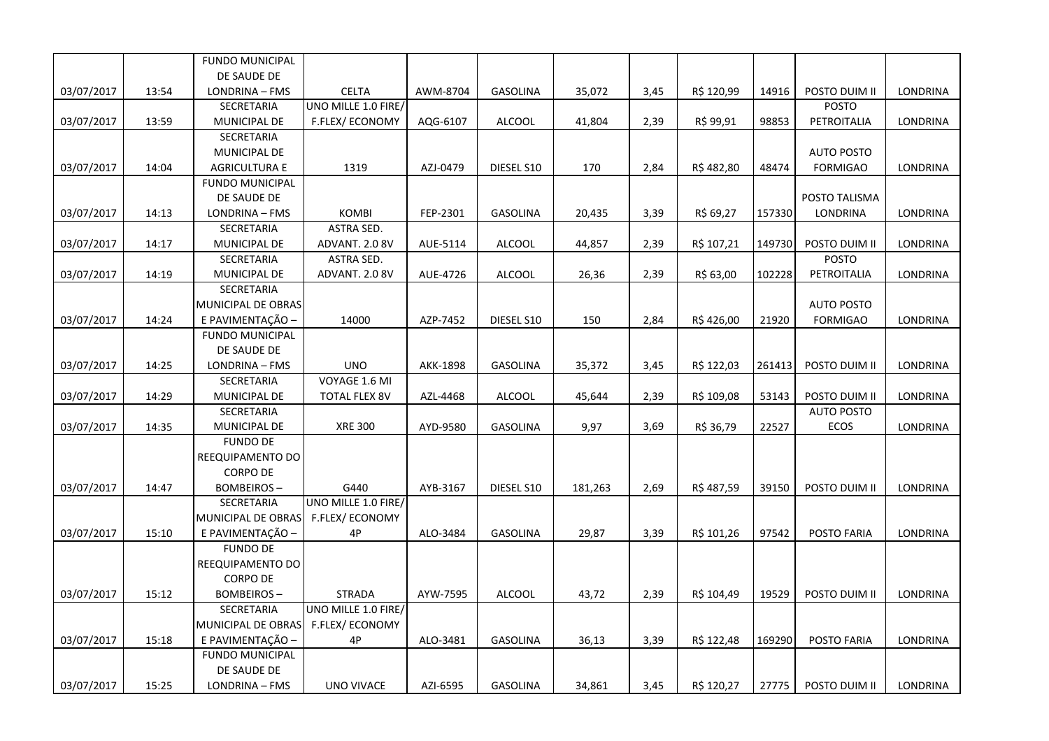|            |       | <b>FUNDO MUNICIPAL</b> |                        |                 |                 |         |      |            |        |                   |                 |
|------------|-------|------------------------|------------------------|-----------------|-----------------|---------|------|------------|--------|-------------------|-----------------|
|            |       | DE SAUDE DE            |                        |                 |                 |         |      |            |        |                   |                 |
| 03/07/2017 | 13:54 | LONDRINA - FMS         | <b>CELTA</b>           | AWM-8704        | GASOLINA        | 35,072  | 3,45 | R\$ 120,99 | 14916  | POSTO DUIM II     | LONDRINA        |
|            |       | SECRETARIA             | UNO MILLE 1.0 FIRE/    |                 |                 |         |      |            |        | <b>POSTO</b>      |                 |
| 03/07/2017 | 13:59 | MUNICIPAL DE           | <b>F.FLEX/ ECONOMY</b> | AQG-6107        | <b>ALCOOL</b>   | 41,804  | 2,39 | R\$ 99,91  | 98853  | PETROITALIA       | LONDRINA        |
|            |       | SECRETARIA             |                        |                 |                 |         |      |            |        |                   |                 |
|            |       | MUNICIPAL DE           |                        |                 |                 |         |      |            |        | <b>AUTO POSTO</b> |                 |
| 03/07/2017 | 14:04 | <b>AGRICULTURA E</b>   | 1319                   | AZJ-0479        | DIESEL S10      | 170     | 2,84 | R\$482,80  | 48474  | <b>FORMIGAO</b>   | LONDRINA        |
|            |       | <b>FUNDO MUNICIPAL</b> |                        |                 |                 |         |      |            |        |                   |                 |
|            |       | DE SAUDE DE            |                        |                 |                 |         |      |            |        | POSTO TALISMA     |                 |
| 03/07/2017 | 14:13 | LONDRINA - FMS         | <b>KOMBI</b>           | FEP-2301        | <b>GASOLINA</b> | 20,435  | 3,39 | R\$ 69,27  | 157330 | LONDRINA          | LONDRINA        |
|            |       | <b>SECRETARIA</b>      | <b>ASTRA SED.</b>      |                 |                 |         |      |            |        |                   |                 |
| 03/07/2017 | 14:17 | MUNICIPAL DE           | ADVANT. 2.0 8V         | AUE-5114        | <b>ALCOOL</b>   | 44,857  | 2,39 | R\$ 107,21 | 149730 | POSTO DUIM II     | LONDRINA        |
|            |       | SECRETARIA             | ASTRA SED.             |                 |                 |         |      |            |        | <b>POSTO</b>      |                 |
| 03/07/2017 | 14:19 | MUNICIPAL DE           | ADVANT. 2.0 8V         | AUE-4726        | <b>ALCOOL</b>   | 26,36   | 2,39 | R\$ 63,00  | 102228 | PETROITALIA       | LONDRINA        |
|            |       | <b>SECRETARIA</b>      |                        |                 |                 |         |      |            |        |                   |                 |
|            |       | MUNICIPAL DE OBRAS     |                        |                 |                 |         |      |            |        | <b>AUTO POSTO</b> |                 |
| 03/07/2017 | 14:24 | E PAVIMENTAÇÃO -       | 14000                  | AZP-7452        | DIESEL S10      | 150     | 2,84 | R\$426,00  | 21920  | <b>FORMIGAO</b>   | LONDRINA        |
|            |       | <b>FUNDO MUNICIPAL</b> |                        |                 |                 |         |      |            |        |                   |                 |
|            |       | DE SAUDE DE            |                        |                 |                 |         |      |            |        |                   |                 |
| 03/07/2017 | 14:25 | LONDRINA - FMS         | <b>UNO</b>             | <b>AKK-1898</b> | <b>GASOLINA</b> | 35,372  | 3,45 | R\$ 122,03 | 261413 | POSTO DUIM II     | LONDRINA        |
|            |       | SECRETARIA             | VOYAGE 1.6 MI          |                 |                 |         |      |            |        |                   |                 |
| 03/07/2017 | 14:29 | MUNICIPAL DE           | <b>TOTAL FLEX 8V</b>   | AZL-4468        | <b>ALCOOL</b>   | 45,644  | 2,39 | R\$ 109,08 | 53143  | POSTO DUIM II     | LONDRINA        |
|            |       | SECRETARIA             |                        |                 |                 |         |      |            |        | <b>AUTO POSTO</b> |                 |
| 03/07/2017 | 14:35 | MUNICIPAL DE           | <b>XRE 300</b>         | AYD-9580        | <b>GASOLINA</b> | 9,97    | 3,69 | R\$ 36,79  | 22527  | <b>ECOS</b>       | LONDRINA        |
|            |       | <b>FUNDO DE</b>        |                        |                 |                 |         |      |            |        |                   |                 |
|            |       | REEQUIPAMENTO DO       |                        |                 |                 |         |      |            |        |                   |                 |
|            |       | <b>CORPO DE</b>        |                        |                 |                 |         |      |            |        |                   |                 |
| 03/07/2017 | 14:47 | <b>BOMBEIROS-</b>      | G440                   | AYB-3167        | DIESEL S10      | 181,263 | 2,69 | R\$487,59  | 39150  | POSTO DUIM II     | LONDRINA        |
|            |       | <b>SECRETARIA</b>      | UNO MILLE 1.0 FIRE/    |                 |                 |         |      |            |        |                   |                 |
|            |       | MUNICIPAL DE OBRAS     | F.FLEX/ECONOMY         |                 |                 |         |      |            |        |                   |                 |
| 03/07/2017 | 15:10 | E PAVIMENTAÇÃO -       | 4P                     | ALO-3484        | <b>GASOLINA</b> | 29,87   | 3,39 | R\$ 101,26 | 97542  | POSTO FARIA       | <b>LONDRINA</b> |
|            |       | <b>FUNDO DE</b>        |                        |                 |                 |         |      |            |        |                   |                 |
|            |       | REEQUIPAMENTO DO       |                        |                 |                 |         |      |            |        |                   |                 |
|            |       | <b>CORPO DE</b>        |                        |                 |                 |         |      |            |        |                   |                 |
| 03/07/2017 | 15:12 | <b>BOMBEIROS-</b>      | <b>STRADA</b>          | AYW-7595        | <b>ALCOOL</b>   | 43,72   | 2,39 | R\$ 104,49 | 19529  | POSTO DUIM II     | <b>LONDRINA</b> |
|            |       | <b>SECRETARIA</b>      | UNO MILLE 1.0 FIRE/    |                 |                 |         |      |            |        |                   |                 |
|            |       | MUNICIPAL DE OBRAS     | <b>F.FLEX/ ECONOMY</b> |                 |                 |         |      |            |        |                   |                 |
| 03/07/2017 | 15:18 | E PAVIMENTAÇÃO -       | 4P                     | ALO-3481        | <b>GASOLINA</b> | 36,13   | 3,39 | R\$ 122,48 | 169290 | POSTO FARIA       | <b>LONDRINA</b> |
|            |       | <b>FUNDO MUNICIPAL</b> |                        |                 |                 |         |      |            |        |                   |                 |
|            |       | DE SAUDE DE            |                        |                 |                 |         |      |            |        |                   |                 |
| 03/07/2017 | 15:25 | LONDRINA - FMS         | <b>UNO VIVACE</b>      | AZI-6595        | GASOLINA        | 34,861  | 3,45 | R\$ 120,27 | 27775  | POSTO DUIM II     | <b>LONDRINA</b> |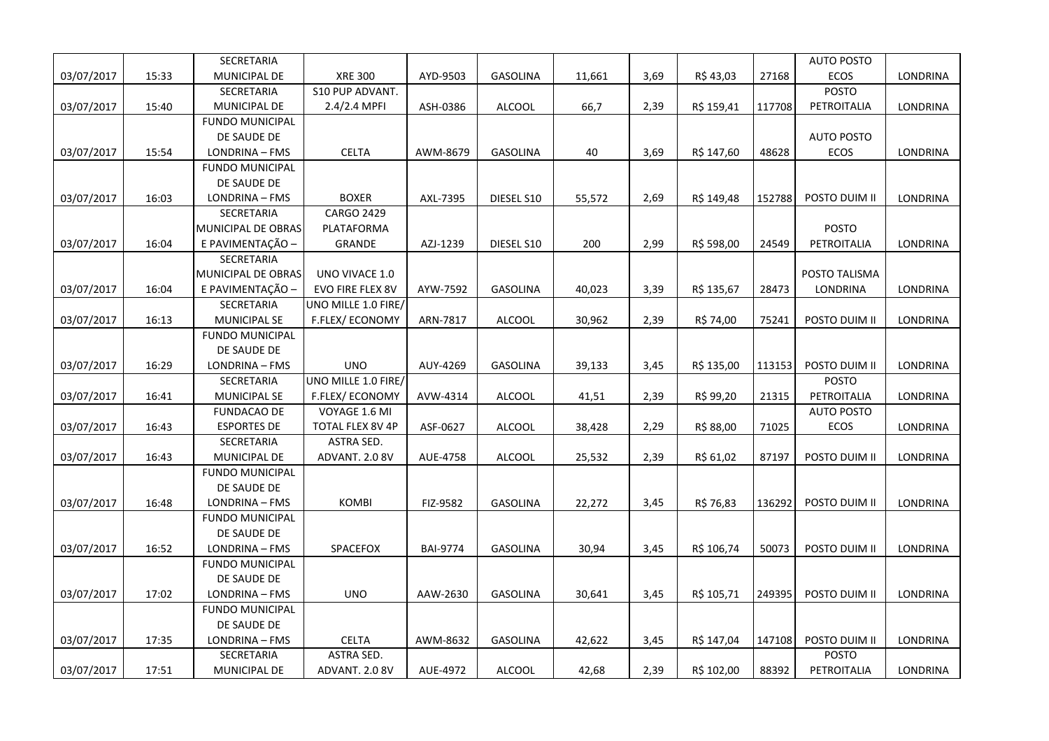|            |       | SECRETARIA             |                         |                 |                 |        |      |            |        | <b>AUTO POSTO</b> |          |
|------------|-------|------------------------|-------------------------|-----------------|-----------------|--------|------|------------|--------|-------------------|----------|
| 03/07/2017 | 15:33 | MUNICIPAL DE           | <b>XRE 300</b>          | AYD-9503        | GASOLINA        | 11,661 | 3,69 | R\$43,03   | 27168  | ECOS              | LONDRINA |
|            |       | SECRETARIA             | S10 PUP ADVANT.         |                 |                 |        |      |            |        | POSTO             |          |
| 03/07/2017 | 15:40 | <b>MUNICIPAL DE</b>    | $2.4/2.4$ MPFI          | ASH-0386        | <b>ALCOOL</b>   | 66,7   | 2,39 | R\$ 159,41 | 117708 | PETROITALIA       | LONDRINA |
|            |       | <b>FUNDO MUNICIPAL</b> |                         |                 |                 |        |      |            |        |                   |          |
|            |       | DE SAUDE DE            |                         |                 |                 |        |      |            |        | <b>AUTO POSTO</b> |          |
| 03/07/2017 | 15:54 | LONDRINA - FMS         | <b>CELTA</b>            | AWM-8679        | GASOLINA        | 40     | 3,69 | R\$ 147,60 | 48628  | <b>ECOS</b>       | LONDRINA |
|            |       | <b>FUNDO MUNICIPAL</b> |                         |                 |                 |        |      |            |        |                   |          |
|            |       | DE SAUDE DE            |                         |                 |                 |        |      |            |        |                   |          |
| 03/07/2017 | 16:03 | LONDRINA - FMS         | <b>BOXER</b>            | AXL-7395        | DIESEL S10      | 55,572 | 2,69 | R\$ 149,48 | 152788 | POSTO DUIM II     | LONDRINA |
|            |       | SECRETARIA             | <b>CARGO 2429</b>       |                 |                 |        |      |            |        |                   |          |
|            |       | MUNICIPAL DE OBRAS     | PLATAFORMA              |                 |                 |        |      |            |        | <b>POSTO</b>      |          |
| 03/07/2017 | 16:04 | E PAVIMENTAÇÃO -       | GRANDE                  | AZJ-1239        | DIESEL S10      | 200    | 2,99 | R\$ 598,00 | 24549  | PETROITALIA       | LONDRINA |
|            |       | SECRETARIA             |                         |                 |                 |        |      |            |        |                   |          |
|            |       | MUNICIPAL DE OBRAS     | UNO VIVACE 1.0          |                 |                 |        |      |            |        | POSTO TALISMA     |          |
| 03/07/2017 | 16:04 | E PAVIMENTAÇÃO -       | EVO FIRE FLEX 8V        | AYW-7592        | <b>GASOLINA</b> | 40,023 | 3,39 | R\$ 135,67 | 28473  | LONDRINA          | LONDRINA |
|            |       | SECRETARIA             | UNO MILLE 1.0 FIRE/     |                 |                 |        |      |            |        |                   |          |
| 03/07/2017 | 16:13 | <b>MUNICIPAL SE</b>    | F.FLEX/ECONOMY          | ARN-7817        | <b>ALCOOL</b>   | 30,962 | 2,39 | R\$ 74,00  | 75241  | POSTO DUIM II     | LONDRINA |
|            |       | <b>FUNDO MUNICIPAL</b> |                         |                 |                 |        |      |            |        |                   |          |
|            |       | DE SAUDE DE            |                         |                 |                 |        |      |            |        |                   |          |
| 03/07/2017 | 16:29 | LONDRINA - FMS         | <b>UNO</b>              | AUY-4269        | <b>GASOLINA</b> | 39,133 | 3,45 | R\$ 135,00 | 113153 | POSTO DUIM II     | LONDRINA |
|            |       | SECRETARIA             | UNO MILLE 1.0 FIRE/     |                 |                 |        |      |            |        | <b>POSTO</b>      |          |
| 03/07/2017 | 16:41 | <b>MUNICIPAL SE</b>    | F.FLEX/ECONOMY          | AVW-4314        | <b>ALCOOL</b>   | 41,51  | 2,39 | R\$ 99,20  | 21315  | PETROITALIA       | LONDRINA |
|            |       | <b>FUNDACAO DE</b>     | VOYAGE 1.6 MI           |                 |                 |        |      |            |        | <b>AUTO POSTO</b> |          |
| 03/07/2017 | 16:43 | <b>ESPORTES DE</b>     | <b>TOTAL FLEX 8V 4P</b> | ASF-0627        | <b>ALCOOL</b>   | 38,428 | 2,29 | R\$ 88,00  | 71025  | ECOS              | LONDRINA |
|            |       | SECRETARIA             | ASTRA SED.              |                 |                 |        |      |            |        |                   |          |
| 03/07/2017 | 16:43 | MUNICIPAL DE           | ADVANT. 2.0 8V          | AUE-4758        | <b>ALCOOL</b>   | 25,532 | 2,39 | R\$ 61,02  | 87197  | POSTO DUIM II     | LONDRINA |
|            |       | <b>FUNDO MUNICIPAL</b> |                         |                 |                 |        |      |            |        |                   |          |
|            |       | DE SAUDE DE            |                         |                 |                 |        |      |            |        |                   |          |
| 03/07/2017 | 16:48 | LONDRINA - FMS         | <b>KOMBI</b>            | FIZ-9582        | <b>GASOLINA</b> | 22,272 | 3,45 | R\$ 76,83  | 136292 | POSTO DUIM II     | LONDRINA |
|            |       | <b>FUNDO MUNICIPAL</b> |                         |                 |                 |        |      |            |        |                   |          |
|            |       | DE SAUDE DE            |                         |                 |                 |        |      |            |        |                   |          |
| 03/07/2017 | 16:52 | LONDRINA - FMS         | <b>SPACEFOX</b>         | <b>BAI-9774</b> | <b>GASOLINA</b> | 30,94  | 3,45 | R\$ 106,74 | 50073  | POSTO DUIM II     | LONDRINA |
|            |       | <b>FUNDO MUNICIPAL</b> |                         |                 |                 |        |      |            |        |                   |          |
|            |       | DE SAUDE DE            |                         |                 |                 |        |      |            |        |                   |          |
| 03/07/2017 | 17:02 | LONDRINA - FMS         | <b>UNO</b>              | AAW-2630        | <b>GASOLINA</b> | 30,641 | 3,45 | R\$ 105,71 | 249395 | POSTO DUIM II     | LONDRINA |
|            |       | <b>FUNDO MUNICIPAL</b> |                         |                 |                 |        |      |            |        |                   |          |
|            |       | DE SAUDE DE            |                         |                 |                 |        |      |            |        |                   |          |
| 03/07/2017 | 17:35 | LONDRINA - FMS         | <b>CELTA</b>            | AWM-8632        | <b>GASOLINA</b> | 42,622 | 3,45 | R\$ 147,04 | 147108 | POSTO DUIM II     | LONDRINA |
|            |       | SECRETARIA             | <b>ASTRA SED.</b>       |                 |                 |        |      |            |        | <b>POSTO</b>      |          |
| 03/07/2017 | 17:51 | MUNICIPAL DE           | ADVANT. 2.0 8V          | AUE-4972        | <b>ALCOOL</b>   | 42,68  | 2,39 | R\$ 102,00 | 88392  | PETROITALIA       | LONDRINA |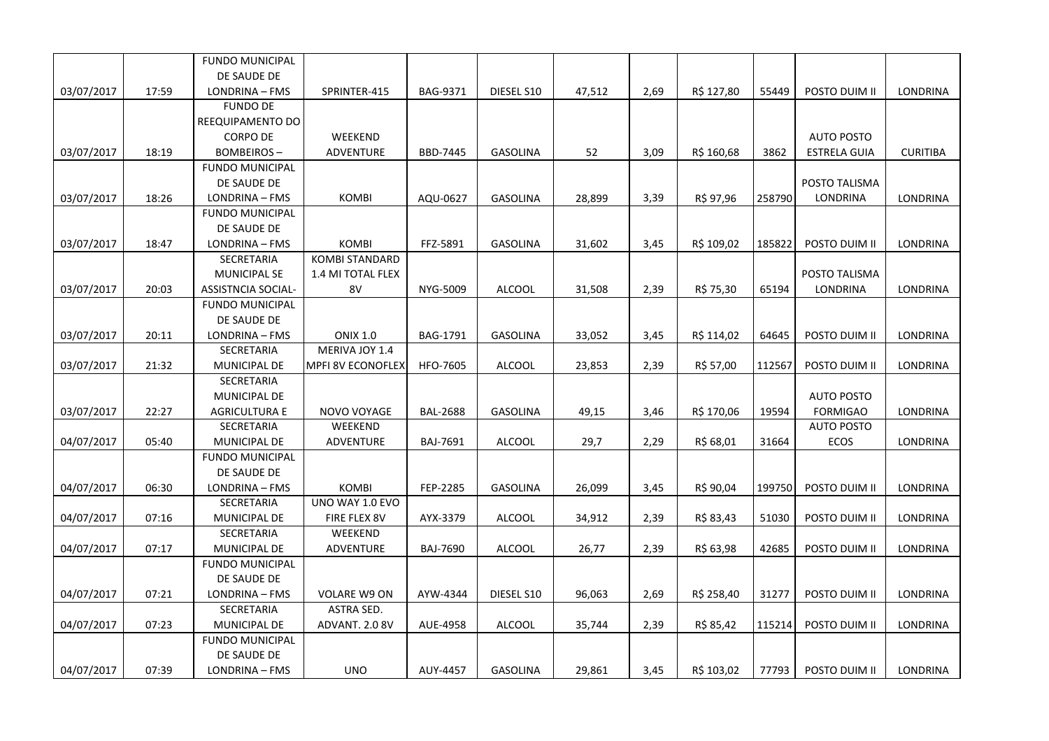|            |       | <b>FUNDO MUNICIPAL</b>    |                          |                 |                 |        |      |            |        |                     |                 |
|------------|-------|---------------------------|--------------------------|-----------------|-----------------|--------|------|------------|--------|---------------------|-----------------|
|            |       | DE SAUDE DE               |                          |                 |                 |        |      |            |        |                     |                 |
| 03/07/2017 | 17:59 | LONDRINA - FMS            | SPRINTER-415             | BAG-9371        | DIESEL S10      | 47,512 | 2,69 | R\$ 127,80 | 55449  | POSTO DUIM II       | LONDRINA        |
|            |       | <b>FUNDO DE</b>           |                          |                 |                 |        |      |            |        |                     |                 |
|            |       | REEQUIPAMENTO DO          |                          |                 |                 |        |      |            |        |                     |                 |
|            |       | <b>CORPO DE</b>           | WEEKEND                  |                 |                 |        |      |            |        | <b>AUTO POSTO</b>   |                 |
| 03/07/2017 | 18:19 | <b>BOMBEIROS-</b>         | ADVENTURE                | BBD-7445        | <b>GASOLINA</b> | 52     | 3,09 | R\$ 160,68 | 3862   | <b>ESTRELA GUIA</b> | <b>CURITIBA</b> |
|            |       | <b>FUNDO MUNICIPAL</b>    |                          |                 |                 |        |      |            |        |                     |                 |
|            |       | DE SAUDE DE               |                          |                 |                 |        |      |            |        | POSTO TALISMA       |                 |
| 03/07/2017 | 18:26 | LONDRINA - FMS            | <b>KOMBI</b>             | AQU-0627        | <b>GASOLINA</b> | 28,899 | 3,39 | R\$ 97,96  | 258790 | LONDRINA            | LONDRINA        |
|            |       | <b>FUNDO MUNICIPAL</b>    |                          |                 |                 |        |      |            |        |                     |                 |
|            |       | DE SAUDE DE               |                          |                 |                 |        |      |            |        |                     |                 |
| 03/07/2017 | 18:47 | LONDRINA - FMS            | <b>KOMBI</b>             | FFZ-5891        | <b>GASOLINA</b> | 31,602 | 3,45 | R\$ 109,02 | 185822 | POSTO DUIM II       | LONDRINA        |
|            |       | SECRETARIA                | <b>KOMBI STANDARD</b>    |                 |                 |        |      |            |        |                     |                 |
|            |       | <b>MUNICIPAL SE</b>       | 1.4 MI TOTAL FLEX        |                 |                 |        |      |            |        | POSTO TALISMA       |                 |
| 03/07/2017 | 20:03 | <b>ASSISTNCIA SOCIAL-</b> | 8V                       | NYG-5009        | <b>ALCOOL</b>   | 31,508 | 2,39 | R\$ 75,30  | 65194  | LONDRINA            | LONDRINA        |
|            |       | <b>FUNDO MUNICIPAL</b>    |                          |                 |                 |        |      |            |        |                     |                 |
|            |       | DE SAUDE DE               |                          |                 |                 |        |      |            |        |                     |                 |
| 03/07/2017 | 20:11 | LONDRINA - FMS            | <b>ONIX 1.0</b>          | BAG-1791        | <b>GASOLINA</b> | 33,052 | 3,45 | R\$ 114,02 | 64645  | POSTO DUIM II       | <b>LONDRINA</b> |
|            |       | SECRETARIA                | MERIVA JOY 1.4           |                 |                 |        |      |            |        |                     |                 |
| 03/07/2017 | 21:32 | MUNICIPAL DE              | <b>MPFI 8V ECONOFLEX</b> | <b>HFO-7605</b> | <b>ALCOOL</b>   | 23,853 | 2,39 | R\$ 57,00  | 112567 | POSTO DUIM II       | LONDRINA        |
|            |       | SECRETARIA                |                          |                 |                 |        |      |            |        |                     |                 |
|            |       | MUNICIPAL DE              |                          |                 |                 |        |      |            |        | <b>AUTO POSTO</b>   |                 |
| 03/07/2017 | 22:27 | <b>AGRICULTURA E</b>      | NOVO VOYAGE              | <b>BAL-2688</b> | <b>GASOLINA</b> | 49,15  | 3,46 | R\$ 170,06 | 19594  | <b>FORMIGAO</b>     | LONDRINA        |
|            |       | SECRETARIA                | WEEKEND                  |                 |                 |        |      |            |        | <b>AUTO POSTO</b>   |                 |
| 04/07/2017 | 05:40 | MUNICIPAL DE              | ADVENTURE                | BAJ-7691        | <b>ALCOOL</b>   | 29,7   | 2,29 | R\$ 68,01  | 31664  | ECOS                | LONDRINA        |
|            |       | <b>FUNDO MUNICIPAL</b>    |                          |                 |                 |        |      |            |        |                     |                 |
|            |       | DE SAUDE DE               |                          |                 |                 |        |      |            |        |                     |                 |
| 04/07/2017 | 06:30 | LONDRINA - FMS            | <b>KOMBI</b>             | FEP-2285        | <b>GASOLINA</b> | 26,099 | 3,45 | R\$ 90,04  | 199750 | POSTO DUIM II       | LONDRINA        |
|            |       | SECRETARIA                | UNO WAY 1.0 EVO          |                 |                 |        |      |            |        |                     |                 |
| 04/07/2017 | 07:16 | MUNICIPAL DE              | FIRE FLEX 8V             | AYX-3379        | <b>ALCOOL</b>   | 34,912 | 2,39 | R\$ 83,43  | 51030  | POSTO DUIM II       | LONDRINA        |
|            |       | SECRETARIA                | WEEKEND                  |                 |                 |        |      |            |        |                     |                 |
| 04/07/2017 | 07:17 | MUNICIPAL DE              | ADVENTURE                | BAJ-7690        | <b>ALCOOL</b>   | 26,77  | 2,39 | R\$ 63,98  | 42685  | POSTO DUIM II       | LONDRINA        |
|            |       | <b>FUNDO MUNICIPAL</b>    |                          |                 |                 |        |      |            |        |                     |                 |
|            |       | DE SAUDE DE               |                          |                 |                 |        |      |            |        |                     |                 |
| 04/07/2017 | 07:21 | LONDRINA - FMS            | <b>VOLARE W9 ON</b>      | AYW-4344        | DIESEL S10      | 96,063 | 2,69 | R\$ 258,40 | 31277  | POSTO DUIM II       | LONDRINA        |
|            |       | SECRETARIA                | <b>ASTRA SED.</b>        |                 |                 |        |      |            |        |                     |                 |
| 04/07/2017 | 07:23 | MUNICIPAL DE              | ADVANT. 2.0 8V           | AUE-4958        | <b>ALCOOL</b>   | 35,744 | 2,39 | R\$ 85,42  | 115214 | POSTO DUIM II       | <b>LONDRINA</b> |
|            |       | <b>FUNDO MUNICIPAL</b>    |                          |                 |                 |        |      |            |        |                     |                 |
|            |       | DE SAUDE DE               |                          |                 |                 |        |      |            |        |                     |                 |
| 04/07/2017 | 07:39 | LONDRINA - FMS            | <b>UNO</b>               | AUY-4457        | <b>GASOLINA</b> | 29,861 | 3,45 | R\$ 103,02 | 77793  | POSTO DUIM II       | <b>LONDRINA</b> |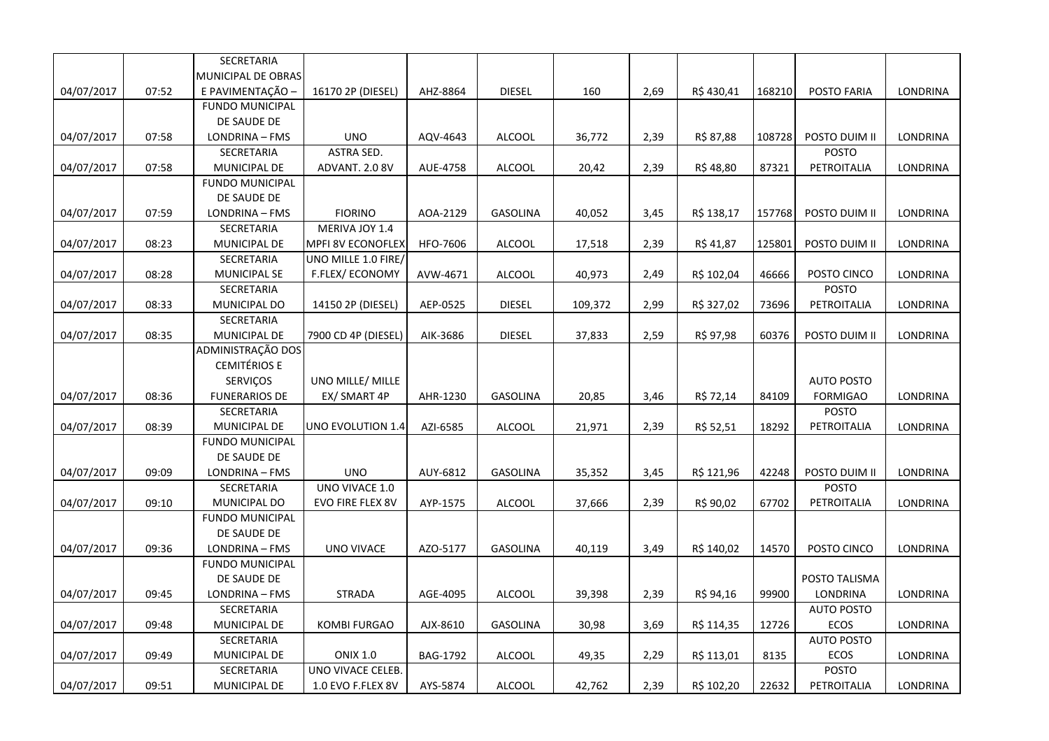|            |       | SECRETARIA             |                         |          |                 |         |      |            |        |                   |                 |
|------------|-------|------------------------|-------------------------|----------|-----------------|---------|------|------------|--------|-------------------|-----------------|
|            |       | MUNICIPAL DE OBRAS     |                         |          |                 |         |      |            |        |                   |                 |
| 04/07/2017 | 07:52 | E PAVIMENTAÇÃO -       | 16170 2P (DIESEL)       | AHZ-8864 | <b>DIESEL</b>   | 160     | 2,69 | R\$430,41  | 168210 | POSTO FARIA       | LONDRINA        |
|            |       | <b>FUNDO MUNICIPAL</b> |                         |          |                 |         |      |            |        |                   |                 |
|            |       | DE SAUDE DE            |                         |          |                 |         |      |            |        |                   |                 |
| 04/07/2017 | 07:58 | LONDRINA - FMS         | <b>UNO</b>              | AQV-4643 | <b>ALCOOL</b>   | 36,772  | 2,39 | R\$ 87,88  | 108728 | POSTO DUIM II     | LONDRINA        |
|            |       | SECRETARIA             | ASTRA SED.              |          |                 |         |      |            |        | <b>POSTO</b>      |                 |
| 04/07/2017 | 07:58 | MUNICIPAL DE           | ADVANT. 2.0 8V          | AUE-4758 | <b>ALCOOL</b>   | 20,42   | 2,39 | R\$48,80   | 87321  | PETROITALIA       | <b>LONDRINA</b> |
|            |       | <b>FUNDO MUNICIPAL</b> |                         |          |                 |         |      |            |        |                   |                 |
|            |       | DE SAUDE DE            |                         |          |                 |         |      |            |        |                   |                 |
| 04/07/2017 | 07:59 | LONDRINA - FMS         | <b>FIORINO</b>          | AOA-2129 | <b>GASOLINA</b> | 40,052  | 3,45 | R\$ 138,17 | 157768 | POSTO DUIM II     | LONDRINA        |
|            |       | SECRETARIA             | MERIVA JOY 1.4          |          |                 |         |      |            |        |                   |                 |
| 04/07/2017 | 08:23 | MUNICIPAL DE           | MPFI 8V ECONOFLEX       | HFO-7606 | ALCOOL          | 17,518  | 2,39 | R\$ 41,87  | 125801 | POSTO DUIM II     | LONDRINA        |
|            |       | SECRETARIA             | UNO MILLE 1.0 FIRE/     |          |                 |         |      |            |        |                   |                 |
| 04/07/2017 | 08:28 | MUNICIPAL SE           | F.FLEX/ECONOMY          | AVW-4671 | ALCOOL          | 40,973  | 2,49 | R\$ 102,04 | 46666  | POSTO CINCO       | LONDRINA        |
|            |       | SECRETARIA             |                         |          |                 |         |      |            |        | <b>POSTO</b>      |                 |
| 04/07/2017 | 08:33 | MUNICIPAL DO           | 14150 2P (DIESEL)       | AEP-0525 | <b>DIESEL</b>   | 109,372 | 2,99 | R\$ 327,02 | 73696  | PETROITALIA       | LONDRINA        |
|            |       | SECRETARIA             |                         |          |                 |         |      |            |        |                   |                 |
| 04/07/2017 | 08:35 | MUNICIPAL DE           | 7900 CD 4P (DIESEL)     | AIK-3686 | <b>DIESEL</b>   | 37,833  | 2,59 | R\$ 97,98  | 60376  | POSTO DUIM II     | LONDRINA        |
|            |       | ADMINISTRAÇÃO DOS      |                         |          |                 |         |      |            |        |                   |                 |
|            |       | <b>CEMITÉRIOS E</b>    |                         |          |                 |         |      |            |        |                   |                 |
|            |       | <b>SERVIÇOS</b>        | UNO MILLE/ MILLE        |          |                 |         |      |            |        | <b>AUTO POSTO</b> |                 |
| 04/07/2017 | 08:36 | <b>FUNERARIOS DE</b>   | EX/ SMART 4P            | AHR-1230 | GASOLINA        | 20,85   | 3,46 | R\$ 72,14  | 84109  | <b>FORMIGAO</b>   | LONDRINA        |
|            |       | SECRETARIA             |                         |          |                 |         |      |            |        | <b>POSTO</b>      |                 |
| 04/07/2017 | 08:39 | <b>MUNICIPAL DE</b>    | UNO EVOLUTION 1.4       | AZI-6585 | <b>ALCOOL</b>   | 21,971  | 2,39 | R\$ 52,51  | 18292  | PETROITALIA       | LONDRINA        |
|            |       | <b>FUNDO MUNICIPAL</b> |                         |          |                 |         |      |            |        |                   |                 |
|            |       | DE SAUDE DE            |                         |          |                 |         |      |            |        |                   |                 |
| 04/07/2017 | 09:09 | LONDRINA - FMS         | <b>UNO</b>              | AUY-6812 | GASOLINA        | 35,352  | 3,45 | R\$ 121,96 | 42248  | POSTO DUIM II     | LONDRINA        |
|            |       | SECRETARIA             | UNO VIVACE 1.0          |          |                 |         |      |            |        | <b>POSTO</b>      |                 |
| 04/07/2017 | 09:10 | MUNICIPAL DO           | <b>EVO FIRE FLEX 8V</b> | AYP-1575 | <b>ALCOOL</b>   | 37,666  | 2,39 | R\$ 90,02  | 67702  | PETROITALIA       | LONDRINA        |
|            |       | <b>FUNDO MUNICIPAL</b> |                         |          |                 |         |      |            |        |                   |                 |
|            |       | DE SAUDE DE            |                         |          |                 |         |      |            |        |                   |                 |
| 04/07/2017 | 09:36 | LONDRINA - FMS         | <b>UNO VIVACE</b>       | AZO-5177 | GASOLINA        | 40,119  | 3,49 | R\$ 140,02 | 14570  | POSTO CINCO       | LONDRINA        |
|            |       | <b>FUNDO MUNICIPAL</b> |                         |          |                 |         |      |            |        |                   |                 |
|            |       | DE SAUDE DE            |                         |          |                 |         |      |            |        | POSTO TALISMA     |                 |
| 04/07/2017 | 09:45 | LONDRINA - FMS         | STRADA                  | AGE-4095 | <b>ALCOOL</b>   | 39,398  | 2,39 | R\$ 94,16  | 99900  | LONDRINA          | LONDRINA        |
|            |       | SECRETARIA             |                         |          |                 |         |      |            |        | <b>AUTO POSTO</b> |                 |
| 04/07/2017 | 09:48 | MUNICIPAL DE           | <b>KOMBI FURGAO</b>     | AJX-8610 | <b>GASOLINA</b> | 30,98   | 3,69 | R\$ 114,35 | 12726  | ECOS              | LONDRINA        |
|            |       | SECRETARIA             |                         |          |                 |         |      |            |        | <b>AUTO POSTO</b> |                 |
| 04/07/2017 | 09:49 | MUNICIPAL DE           | <b>ONIX 1.0</b>         | BAG-1792 | ALCOOL          | 49,35   | 2,29 | R\$ 113,01 | 8135   | ECOS              | LONDRINA        |
|            |       | SECRETARIA             | UNO VIVACE CELEB        |          |                 |         |      |            |        | <b>POSTO</b>      |                 |
| 04/07/2017 | 09:51 | MUNICIPAL DE           | 1.0 EVO F.FLEX 8V       | AYS-5874 | <b>ALCOOL</b>   | 42,762  | 2,39 | R\$ 102,20 | 22632  | PETROITALIA       | LONDRINA        |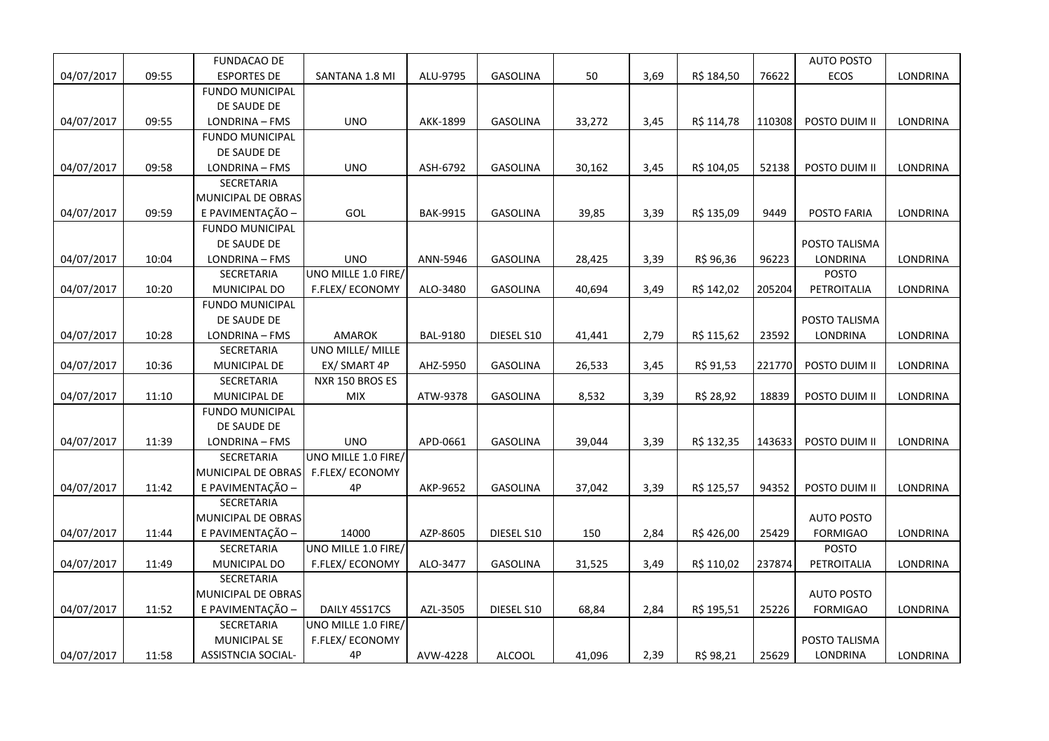|            |       | <b>FUNDACAO DE</b>        |                        |                 |                 |        |      |            |        | <b>AUTO POSTO</b> |                 |
|------------|-------|---------------------------|------------------------|-----------------|-----------------|--------|------|------------|--------|-------------------|-----------------|
| 04/07/2017 | 09:55 | <b>ESPORTES DE</b>        | SANTANA 1.8 MI         | ALU-9795        | GASOLINA        | 50     | 3,69 | R\$ 184,50 | 76622  | ECOS              | <b>LONDRINA</b> |
|            |       | <b>FUNDO MUNICIPAL</b>    |                        |                 |                 |        |      |            |        |                   |                 |
|            |       | DE SAUDE DE               |                        |                 |                 |        |      |            |        |                   |                 |
| 04/07/2017 | 09:55 | LONDRINA - FMS            | <b>UNO</b>             | AKK-1899        | <b>GASOLINA</b> | 33,272 | 3,45 | R\$ 114,78 | 110308 | POSTO DUIM II     | LONDRINA        |
|            |       | <b>FUNDO MUNICIPAL</b>    |                        |                 |                 |        |      |            |        |                   |                 |
|            |       | DE SAUDE DE               |                        |                 |                 |        |      |            |        |                   |                 |
| 04/07/2017 | 09:58 | LONDRINA - FMS            | <b>UNO</b>             | ASH-6792        | <b>GASOLINA</b> | 30,162 | 3,45 | R\$ 104,05 | 52138  | POSTO DUIM II     | LONDRINA        |
|            |       | SECRETARIA                |                        |                 |                 |        |      |            |        |                   |                 |
|            |       | MUNICIPAL DE OBRAS        |                        |                 |                 |        |      |            |        |                   |                 |
| 04/07/2017 | 09:59 | E PAVIMENTAÇÃO -          | GOL                    | <b>BAK-9915</b> | <b>GASOLINA</b> | 39,85  | 3,39 | R\$ 135,09 | 9449   | POSTO FARIA       | <b>LONDRINA</b> |
|            |       | <b>FUNDO MUNICIPAL</b>    |                        |                 |                 |        |      |            |        |                   |                 |
|            |       | DE SAUDE DE               |                        |                 |                 |        |      |            |        | POSTO TALISMA     |                 |
| 04/07/2017 | 10:04 | LONDRINA - FMS            | <b>UNO</b>             | ANN-5946        | GASOLINA        | 28,425 | 3,39 | R\$ 96,36  | 96223  | <b>LONDRINA</b>   | LONDRINA        |
|            |       | SECRETARIA                | UNO MILLE 1.0 FIRE/    |                 |                 |        |      |            |        | <b>POSTO</b>      |                 |
| 04/07/2017 | 10:20 | MUNICIPAL DO              | F.FLEX/ECONOMY         | ALO-3480        | GASOLINA        | 40,694 | 3,49 | R\$ 142,02 | 205204 | PETROITALIA       | LONDRINA        |
|            |       | <b>FUNDO MUNICIPAL</b>    |                        |                 |                 |        |      |            |        |                   |                 |
|            |       | DE SAUDE DE               |                        |                 |                 |        |      |            |        | POSTO TALISMA     |                 |
| 04/07/2017 | 10:28 | LONDRINA - FMS            | <b>AMAROK</b>          | <b>BAL-9180</b> | DIESEL S10      | 41,441 | 2,79 | R\$ 115,62 | 23592  | LONDRINA          | LONDRINA        |
|            |       | SECRETARIA                | UNO MILLE/ MILLE       |                 |                 |        |      |            |        |                   |                 |
| 04/07/2017 | 10:36 | MUNICIPAL DE              | EX/ SMART 4P           | AHZ-5950        | GASOLINA        | 26,533 | 3,45 | R\$ 91,53  | 221770 | POSTO DUIM II     | LONDRINA        |
|            |       | SECRETARIA                | NXR 150 BROS ES        |                 |                 |        |      |            |        |                   |                 |
| 04/07/2017 | 11:10 | MUNICIPAL DE              | MIX                    | ATW-9378        | GASOLINA        | 8,532  | 3,39 | R\$ 28,92  | 18839  | POSTO DUIM II     | LONDRINA        |
|            |       | <b>FUNDO MUNICIPAL</b>    |                        |                 |                 |        |      |            |        |                   |                 |
|            |       | DE SAUDE DE               |                        |                 |                 |        |      |            |        |                   |                 |
| 04/07/2017 | 11:39 | LONDRINA - FMS            | <b>UNO</b>             | APD-0661        | <b>GASOLINA</b> | 39,044 | 3,39 | R\$ 132,35 | 143633 | POSTO DUIM II     | LONDRINA        |
|            |       | SECRETARIA                | UNO MILLE 1.0 FIRE/    |                 |                 |        |      |            |        |                   |                 |
|            |       | MUNICIPAL DE OBRAS        | <b>F.FLEX/ ECONOMY</b> |                 |                 |        |      |            |        |                   |                 |
| 04/07/2017 | 11:42 | E PAVIMENTAÇÃO -          | 4P                     | AKP-9652        | GASOLINA        | 37,042 | 3,39 | R\$ 125,57 | 94352  | POSTO DUIM II     | <b>LONDRINA</b> |
|            |       | SECRETARIA                |                        |                 |                 |        |      |            |        |                   |                 |
|            |       | MUNICIPAL DE OBRAS        |                        |                 |                 |        |      |            |        | <b>AUTO POSTO</b> |                 |
| 04/07/2017 | 11:44 | E PAVIMENTAÇÃO -          | 14000                  | AZP-8605        | DIESEL S10      | 150    | 2,84 | R\$426,00  | 25429  | <b>FORMIGAO</b>   | LONDRINA        |
|            |       | SECRETARIA                | UNO MILLE 1.0 FIRE/    |                 |                 |        |      |            |        | <b>POSTO</b>      |                 |
| 04/07/2017 | 11:49 | MUNICIPAL DO              | F.FLEX/ECONOMY         | ALO-3477        | GASOLINA        | 31,525 | 3,49 | R\$ 110,02 | 237874 | PETROITALIA       | LONDRINA        |
|            |       | SECRETARIA                |                        |                 |                 |        |      |            |        |                   |                 |
|            |       | MUNICIPAL DE OBRAS        |                        |                 |                 |        |      |            |        | <b>AUTO POSTO</b> |                 |
| 04/07/2017 | 11:52 | E PAVIMENTAÇÃO -          | DAILY 45S17CS          | AZL-3505        | DIESEL S10      | 68,84  | 2,84 | R\$ 195,51 | 25226  | <b>FORMIGAO</b>   | LONDRINA        |
|            |       | SECRETARIA                | UNO MILLE 1.0 FIRE/    |                 |                 |        |      |            |        |                   |                 |
|            |       | <b>MUNICIPAL SE</b>       | F.FLEX/ECONOMY         |                 |                 |        |      |            |        | POSTO TALISMA     |                 |
| 04/07/2017 | 11:58 | <b>ASSISTNCIA SOCIAL-</b> | 4P                     | AVW-4228        | <b>ALCOOL</b>   | 41,096 | 2,39 | R\$ 98,21  | 25629  | LONDRINA          | <b>LONDRINA</b> |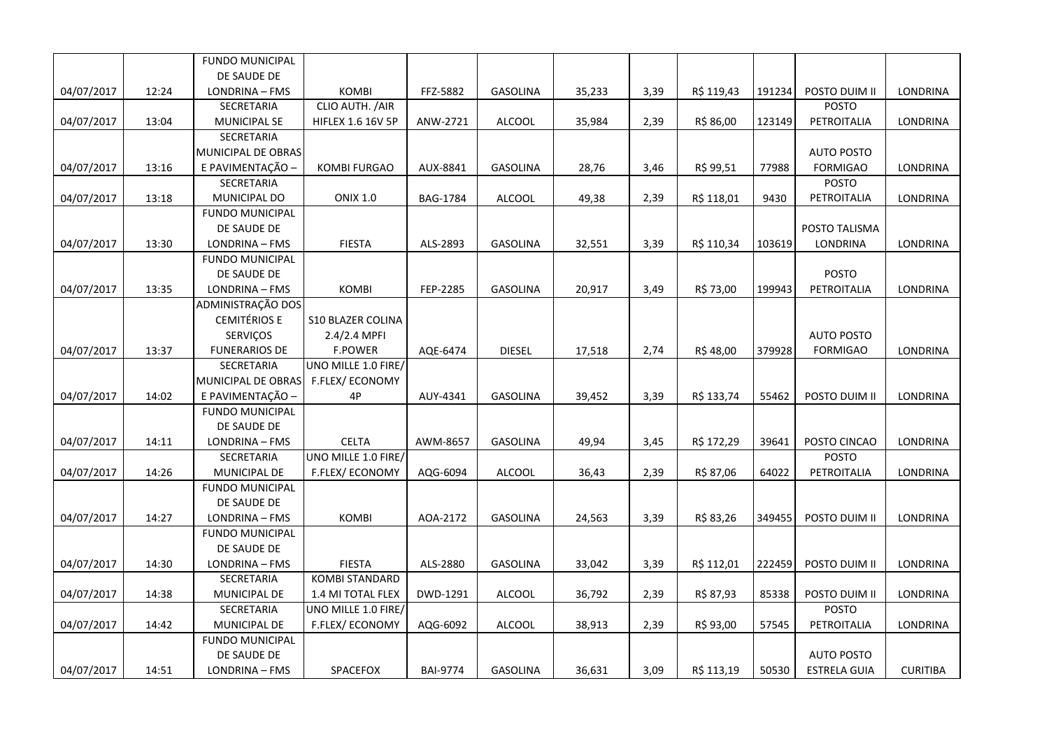|            |       | <b>FUNDO MUNICIPAL</b> |                          |                 |                 |        |      |            |        |                     |                 |
|------------|-------|------------------------|--------------------------|-----------------|-----------------|--------|------|------------|--------|---------------------|-----------------|
|            |       | DE SAUDE DE            |                          |                 |                 |        |      |            |        |                     |                 |
| 04/07/2017 | 12:24 | LONDRINA - FMS         | <b>KOMBI</b>             | FFZ-5882        | <b>GASOLINA</b> | 35,233 | 3,39 | R\$ 119,43 | 191234 | POSTO DUIM II       | LONDRINA        |
|            |       | SECRETARIA             | CLIO AUTH. / AIR         |                 |                 |        |      |            |        | <b>POSTO</b>        |                 |
| 04/07/2017 | 13:04 | <b>MUNICIPAL SE</b>    | <b>HIFLEX 1.6 16V 5P</b> | ANW-2721        | ALCOOL          | 35,984 | 2,39 | R\$ 86,00  | 123149 | PETROITALIA         | LONDRINA        |
|            |       | SECRETARIA             |                          |                 |                 |        |      |            |        |                     |                 |
|            |       | MUNICIPAL DE OBRAS     |                          |                 |                 |        |      |            |        | <b>AUTO POSTO</b>   |                 |
| 04/07/2017 | 13:16 | E PAVIMENTAÇÃO -       | <b>KOMBI FURGAO</b>      | AUX-8841        | <b>GASOLINA</b> | 28,76  | 3,46 | R\$ 99,51  | 77988  | <b>FORMIGAO</b>     | LONDRINA        |
|            |       | <b>SECRETARIA</b>      |                          |                 |                 |        |      |            |        | POSTO               |                 |
| 04/07/2017 | 13:18 | MUNICIPAL DO           | <b>ONIX 1.0</b>          | BAG-1784        | ALCOOL          | 49,38  | 2,39 | R\$ 118,01 | 9430   | PETROITALIA         | LONDRINA        |
|            |       | <b>FUNDO MUNICIPAL</b> |                          |                 |                 |        |      |            |        |                     |                 |
|            |       | DE SAUDE DE            |                          |                 |                 |        |      |            |        | POSTO TALISMA       |                 |
| 04/07/2017 | 13:30 | LONDRINA - FMS         | <b>FIESTA</b>            | ALS-2893        | <b>GASOLINA</b> | 32,551 | 3,39 | R\$ 110,34 | 103619 | LONDRINA            | LONDRINA        |
|            |       | <b>FUNDO MUNICIPAL</b> |                          |                 |                 |        |      |            |        |                     |                 |
|            |       | DE SAUDE DE            |                          |                 |                 |        |      |            |        | <b>POSTO</b>        |                 |
| 04/07/2017 | 13:35 | LONDRINA - FMS         | KOMBI                    | FEP-2285        | <b>GASOLINA</b> | 20,917 | 3,49 | R\$ 73,00  | 199943 | PETROITALIA         | LONDRINA        |
|            |       | ADMINISTRAÇÃO DOS      |                          |                 |                 |        |      |            |        |                     |                 |
|            |       | <b>CEMITÉRIOS E</b>    | <b>S10 BLAZER COLINA</b> |                 |                 |        |      |            |        |                     |                 |
|            |       | SERVIÇOS               | 2.4/2.4 MPFI             |                 |                 |        |      |            |        | <b>AUTO POSTO</b>   |                 |
| 04/07/2017 | 13:37 | <b>FUNERARIOS DE</b>   | <b>F.POWER</b>           | AQE-6474        | <b>DIESEL</b>   | 17,518 | 2,74 | R\$48,00   | 379928 | <b>FORMIGAO</b>     | <b>LONDRINA</b> |
|            |       | <b>SECRETARIA</b>      | UNO MILLE 1.0 FIRE/      |                 |                 |        |      |            |        |                     |                 |
|            |       | MUNICIPAL DE OBRAS     | F.FLEX/ECONOMY           |                 |                 |        |      |            |        |                     |                 |
| 04/07/2017 | 14:02 | E PAVIMENTAÇÃO -       | 4P                       | AUY-4341        | <b>GASOLINA</b> | 39,452 | 3,39 | R\$ 133,74 | 55462  | POSTO DUIM II       | LONDRINA        |
|            |       | <b>FUNDO MUNICIPAL</b> |                          |                 |                 |        |      |            |        |                     |                 |
|            |       | DE SAUDE DE            |                          |                 |                 |        |      |            |        |                     |                 |
| 04/07/2017 | 14:11 | LONDRINA - FMS         | <b>CELTA</b>             | AWM-8657        | <b>GASOLINA</b> | 49,94  | 3,45 | R\$ 172,29 | 39641  | POSTO CINCAO        | LONDRINA        |
|            |       | SECRETARIA             | UNO MILLE 1.0 FIRE/      |                 |                 |        |      |            |        | <b>POSTO</b>        |                 |
| 04/07/2017 | 14:26 | MUNICIPAL DE           | F.FLEX/ECONOMY           | AQG-6094        | <b>ALCOOL</b>   | 36,43  | 2,39 | R\$ 87,06  | 64022  | PETROITALIA         | LONDRINA        |
|            |       | <b>FUNDO MUNICIPAL</b> |                          |                 |                 |        |      |            |        |                     |                 |
|            |       | DE SAUDE DE            |                          |                 |                 |        |      |            |        |                     |                 |
| 04/07/2017 | 14:27 | LONDRINA - FMS         | <b>KOMBI</b>             | AOA-2172        | <b>GASOLINA</b> | 24,563 | 3,39 | R\$ 83,26  | 349455 | POSTO DUIM II       | LONDRINA        |
|            |       | <b>FUNDO MUNICIPAL</b> |                          |                 |                 |        |      |            |        |                     |                 |
|            |       | DE SAUDE DE            |                          |                 |                 |        |      |            |        |                     |                 |
| 04/07/2017 | 14:30 | LONDRINA - FMS         | <b>FIESTA</b>            | ALS-2880        | GASOLINA        | 33,042 | 3,39 | R\$ 112,01 | 222459 | POSTO DUIM II       | LONDRINA        |
|            |       | SECRETARIA             | <b>KOMBI STANDARD</b>    |                 |                 |        |      |            |        |                     |                 |
| 04/07/2017 | 14:38 | MUNICIPAL DE           | 1.4 MI TOTAL FLEX        | DWD-1291        | <b>ALCOOL</b>   | 36,792 | 2,39 | R\$ 87,93  | 85338  | POSTO DUIM II       | LONDRINA        |
|            |       | SECRETARIA             | UNO MILLE 1.0 FIRE/      |                 |                 |        |      |            |        | POSTO               |                 |
| 04/07/2017 | 14:42 | MUNICIPAL DE           | F.FLEX/ECONOMY           | AQG-6092        | <b>ALCOOL</b>   | 38,913 | 2,39 | R\$ 93,00  | 57545  | PETROITALIA         | LONDRINA        |
|            |       | <b>FUNDO MUNICIPAL</b> |                          |                 |                 |        |      |            |        |                     |                 |
|            |       | DE SAUDE DE            |                          |                 |                 |        |      |            |        | <b>AUTO POSTO</b>   |                 |
| 04/07/2017 | 14:51 | LONDRINA - FMS         | SPACEFOX                 | <b>BAI-9774</b> | <b>GASOLINA</b> | 36,631 | 3,09 | R\$ 113,19 | 50530  | <b>ESTRELA GUIA</b> | <b>CURITIBA</b> |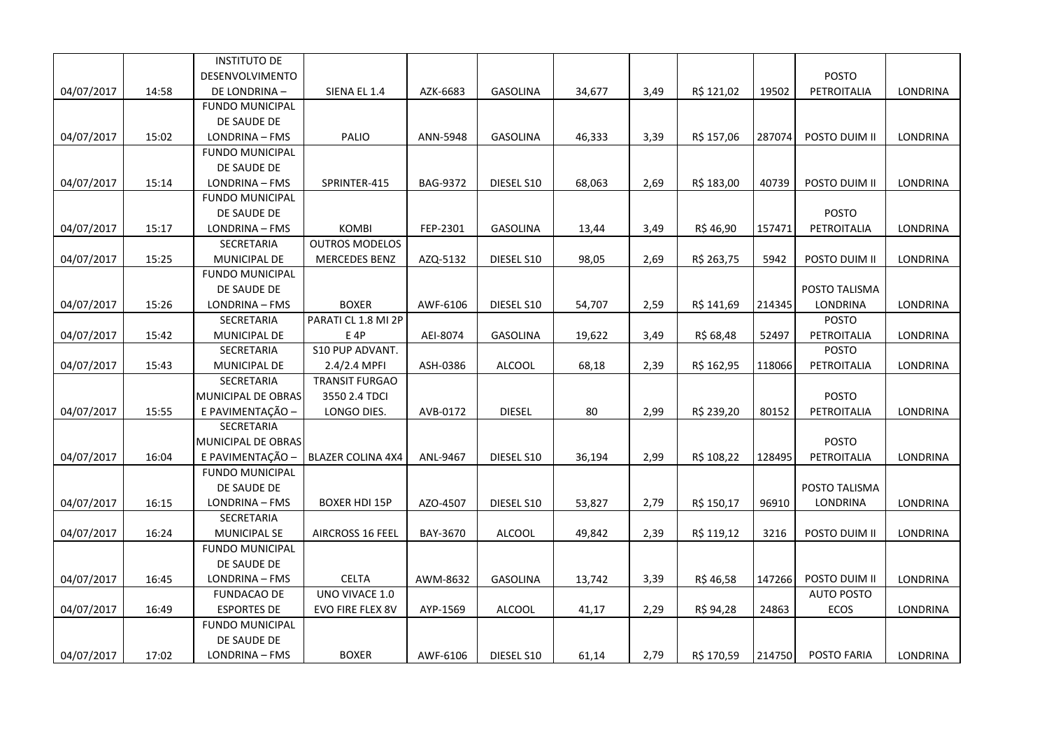|            |       | <b>INSTITUTO DE</b>    |                          |          |                 |        |      |            |        |                   |                 |
|------------|-------|------------------------|--------------------------|----------|-----------------|--------|------|------------|--------|-------------------|-----------------|
|            |       | DESENVOLVIMENTO        |                          |          |                 |        |      |            |        | <b>POSTO</b>      |                 |
| 04/07/2017 | 14:58 | DE LONDRINA-           | SIENA EL 1.4             | AZK-6683 | <b>GASOLINA</b> | 34,677 | 3,49 | R\$ 121,02 | 19502  | PETROITALIA       | LONDRINA        |
|            |       | <b>FUNDO MUNICIPAL</b> |                          |          |                 |        |      |            |        |                   |                 |
|            |       | DE SAUDE DE            |                          |          |                 |        |      |            |        |                   |                 |
| 04/07/2017 | 15:02 | LONDRINA - FMS         | PALIO                    | ANN-5948 | <b>GASOLINA</b> | 46,333 | 3,39 | R\$ 157,06 | 287074 | POSTO DUIM II     | LONDRINA        |
|            |       | <b>FUNDO MUNICIPAL</b> |                          |          |                 |        |      |            |        |                   |                 |
|            |       | DE SAUDE DE            |                          |          |                 |        |      |            |        |                   |                 |
| 04/07/2017 | 15:14 | LONDRINA - FMS         | SPRINTER-415             | BAG-9372 | DIESEL S10      | 68,063 | 2,69 | R\$ 183,00 | 40739  | POSTO DUIM II     | LONDRINA        |
|            |       | <b>FUNDO MUNICIPAL</b> |                          |          |                 |        |      |            |        |                   |                 |
|            |       | DE SAUDE DE            |                          |          |                 |        |      |            |        | <b>POSTO</b>      |                 |
| 04/07/2017 | 15:17 | LONDRINA - FMS         | KOMBI                    | FEP-2301 | <b>GASOLINA</b> | 13,44  | 3,49 | R\$46,90   | 157471 | PETROITALIA       | LONDRINA        |
|            |       | SECRETARIA             | <b>OUTROS MODELOS</b>    |          |                 |        |      |            |        |                   |                 |
| 04/07/2017 | 15:25 | MUNICIPAL DE           | <b>MERCEDES BENZ</b>     | AZQ-5132 | DIESEL S10      | 98,05  | 2,69 | R\$ 263,75 | 5942   | POSTO DUIM II     | LONDRINA        |
|            |       | <b>FUNDO MUNICIPAL</b> |                          |          |                 |        |      |            |        |                   |                 |
|            |       | DE SAUDE DE            |                          |          |                 |        |      |            |        | POSTO TALISMA     |                 |
| 04/07/2017 | 15:26 | LONDRINA - FMS         | <b>BOXER</b>             | AWF-6106 | DIESEL S10      | 54,707 | 2,59 | R\$ 141,69 | 214345 | LONDRINA          | LONDRINA        |
|            |       | SECRETARIA             | PARATI CL 1.8 MI 2P      |          |                 |        |      |            |        | POSTO             |                 |
| 04/07/2017 | 15:42 | MUNICIPAL DE           | E 4P                     | AEI-8074 | <b>GASOLINA</b> | 19,622 | 3,49 | R\$ 68,48  | 52497  | PETROITALIA       | LONDRINA        |
|            |       | SECRETARIA             | S10 PUP ADVANT.          |          |                 |        |      |            |        | <b>POSTO</b>      |                 |
| 04/07/2017 | 15:43 | MUNICIPAL DE           | 2.4/2.4 MPFI             | ASH-0386 | ALCOOL          | 68,18  | 2,39 | R\$ 162,95 | 118066 | PETROITALIA       | LONDRINA        |
|            |       | SECRETARIA             | <b>TRANSIT FURGAO</b>    |          |                 |        |      |            |        |                   |                 |
|            |       | MUNICIPAL DE OBRAS     | 3550 2.4 TDCI            |          |                 |        |      |            |        | POSTO             |                 |
| 04/07/2017 | 15:55 | E PAVIMENTAÇÃO -       | LONGO DIES.              | AVB-0172 | <b>DIESEL</b>   | 80     | 2,99 | R\$ 239,20 | 80152  | PETROITALIA       | LONDRINA        |
|            |       | SECRETARIA             |                          |          |                 |        |      |            |        |                   |                 |
|            |       | MUNICIPAL DE OBRAS     |                          |          |                 |        |      |            |        | <b>POSTO</b>      |                 |
| 04/07/2017 | 16:04 | E PAVIMENTAÇÃO -       | <b>BLAZER COLINA 4X4</b> | ANL-9467 | DIESEL S10      | 36,194 | 2,99 | R\$ 108,22 | 128495 | PETROITALIA       | <b>LONDRINA</b> |
|            |       | <b>FUNDO MUNICIPAL</b> |                          |          |                 |        |      |            |        |                   |                 |
|            |       | DE SAUDE DE            |                          |          |                 |        |      |            |        | POSTO TALISMA     |                 |
| 04/07/2017 | 16:15 | LONDRINA - FMS         | <b>BOXER HDI 15P</b>     | AZO-4507 | DIESEL S10      | 53,827 | 2,79 | R\$ 150,17 | 96910  | LONDRINA          | LONDRINA        |
|            |       | SECRETARIA             |                          |          |                 |        |      |            |        |                   |                 |
| 04/07/2017 | 16:24 | <b>MUNICIPAL SE</b>    | AIRCROSS 16 FEEL         | BAY-3670 | ALCOOL          | 49,842 | 2,39 | R\$ 119,12 | 3216   | POSTO DUIM II     | LONDRINA        |
|            |       | <b>FUNDO MUNICIPAL</b> |                          |          |                 |        |      |            |        |                   |                 |
|            |       | DE SAUDE DE            |                          |          |                 |        |      |            |        |                   |                 |
| 04/07/2017 | 16:45 | LONDRINA - FMS         | <b>CELTA</b>             | AWM-8632 | <b>GASOLINA</b> | 13,742 | 3,39 | R\$ 46,58  | 147266 | POSTO DUIM II     | LONDRINA        |
|            |       | <b>FUNDACAO DE</b>     | UNO VIVACE 1.0           |          |                 |        |      |            |        | <b>AUTO POSTO</b> |                 |
| 04/07/2017 | 16:49 | <b>ESPORTES DE</b>     | EVO FIRE FLEX 8V         | AYP-1569 | <b>ALCOOL</b>   | 41,17  | 2,29 | R\$ 94,28  | 24863  | ECOS              | LONDRINA        |
|            |       | FUNDO MUNICIPAL        |                          |          |                 |        |      |            |        |                   |                 |
|            |       | DE SAUDE DE            |                          |          |                 |        |      |            |        |                   |                 |
| 04/07/2017 | 17:02 | LONDRINA - FMS         | <b>BOXER</b>             | AWF-6106 | DIESEL S10      | 61,14  | 2,79 | R\$ 170,59 | 214750 | POSTO FARIA       | LONDRINA        |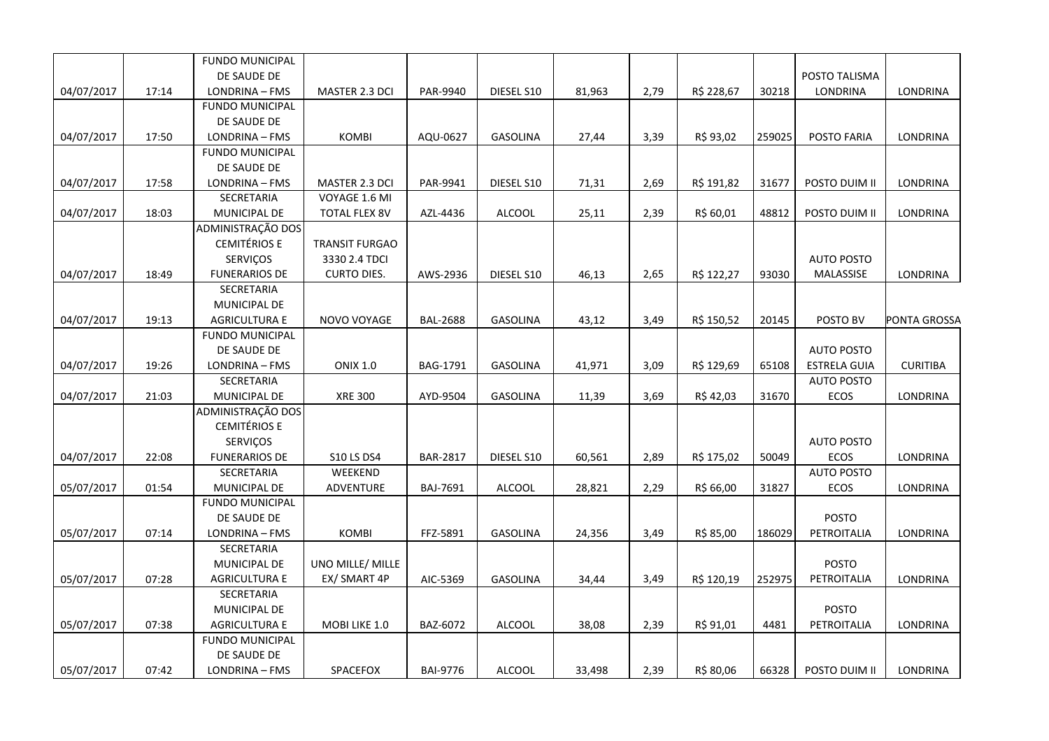|            |       | <b>FUNDO MUNICIPAL</b> |                      |                 |                 |        |      |            |        |                     |                 |
|------------|-------|------------------------|----------------------|-----------------|-----------------|--------|------|------------|--------|---------------------|-----------------|
|            |       | DE SAUDE DE            |                      |                 |                 |        |      |            |        | POSTO TALISMA       |                 |
| 04/07/2017 | 17:14 | LONDRINA - FMS         | MASTER 2.3 DCI       | PAR-9940        | DIESEL S10      | 81,963 | 2,79 | R\$ 228,67 | 30218  | LONDRINA            | LONDRINA        |
|            |       | <b>FUNDO MUNICIPAL</b> |                      |                 |                 |        |      |            |        |                     |                 |
|            |       | DE SAUDE DE            |                      |                 |                 |        |      |            |        |                     |                 |
| 04/07/2017 | 17:50 | LONDRINA - FMS         | <b>KOMBI</b>         | AQU-0627        | <b>GASOLINA</b> | 27,44  | 3,39 | R\$ 93,02  | 259025 | POSTO FARIA         | LONDRINA        |
|            |       | <b>FUNDO MUNICIPAL</b> |                      |                 |                 |        |      |            |        |                     |                 |
|            |       | DE SAUDE DE            |                      |                 |                 |        |      |            |        |                     |                 |
| 04/07/2017 | 17:58 | LONDRINA - FMS         | MASTER 2.3 DCI       | PAR-9941        | DIESEL S10      | 71,31  | 2,69 | R\$ 191,82 | 31677  | POSTO DUIM II       | <b>LONDRINA</b> |
|            |       | SECRETARIA             | VOYAGE 1.6 MI        |                 |                 |        |      |            |        |                     |                 |
| 04/07/2017 | 18:03 | MUNICIPAL DE           | <b>TOTAL FLEX 8V</b> | AZL-4436        | <b>ALCOOL</b>   | 25,11  | 2,39 | R\$ 60,01  | 48812  | POSTO DUIM II       | LONDRINA        |
|            |       | ADMINISTRAÇÃO DOS      |                      |                 |                 |        |      |            |        |                     |                 |
|            |       | <b>CEMITÉRIOS E</b>    | TRANSIT FURGAO       |                 |                 |        |      |            |        |                     |                 |
|            |       | <b>SERVIÇOS</b>        | 3330 2.4 TDCI        |                 |                 |        |      |            |        | <b>AUTO POSTO</b>   |                 |
| 04/07/2017 | 18:49 | <b>FUNERARIOS DE</b>   | <b>CURTO DIES.</b>   | AWS-2936        | DIESEL S10      | 46,13  | 2,65 | R\$ 122,27 | 93030  | MALASSISE           | LONDRINA        |
|            |       | SECRETARIA             |                      |                 |                 |        |      |            |        |                     |                 |
|            |       | MUNICIPAL DE           |                      |                 |                 |        |      |            |        |                     |                 |
| 04/07/2017 | 19:13 | <b>AGRICULTURA E</b>   | NOVO VOYAGE          | <b>BAL-2688</b> | <b>GASOLINA</b> | 43,12  | 3,49 | R\$ 150,52 | 20145  | POSTO BV            | PONTA GROSSA    |
|            |       | <b>FUNDO MUNICIPAL</b> |                      |                 |                 |        |      |            |        |                     |                 |
|            |       | DE SAUDE DE            |                      |                 |                 |        |      |            |        | <b>AUTO POSTO</b>   |                 |
| 04/07/2017 | 19:26 | LONDRINA - FMS         | <b>ONIX 1.0</b>      | BAG-1791        | GASOLINA        | 41,971 | 3,09 | R\$ 129,69 | 65108  | <b>ESTRELA GUIA</b> | <b>CURITIBA</b> |
|            |       | SECRETARIA             |                      |                 |                 |        |      |            |        | <b>AUTO POSTO</b>   |                 |
| 04/07/2017 | 21:03 | MUNICIPAL DE           | <b>XRE 300</b>       | AYD-9504        | GASOLINA        | 11,39  | 3,69 | R\$42,03   | 31670  | ECOS                | LONDRINA        |
|            |       | ADMINISTRAÇÃO DOS      |                      |                 |                 |        |      |            |        |                     |                 |
|            |       | <b>CEMITÉRIOS E</b>    |                      |                 |                 |        |      |            |        |                     |                 |
|            |       | SERVIÇOS               |                      |                 |                 |        |      |            |        | <b>AUTO POSTO</b>   |                 |
| 04/07/2017 | 22:08 | <b>FUNERARIOS DE</b>   | <b>S10 LS DS4</b>    | <b>BAR-2817</b> | DIESEL S10      | 60,561 | 2,89 | R\$ 175,02 | 50049  | ECOS                | LONDRINA        |
|            |       | SECRETARIA             | WEEKEND              |                 |                 |        |      |            |        | <b>AUTO POSTO</b>   |                 |
| 05/07/2017 | 01:54 | MUNICIPAL DE           | ADVENTURE            | BAJ-7691        | <b>ALCOOL</b>   | 28,821 | 2,29 | R\$ 66,00  | 31827  | ECOS                | LONDRINA        |
|            |       | <b>FUNDO MUNICIPAL</b> |                      |                 |                 |        |      |            |        |                     |                 |
|            |       | DE SAUDE DE            |                      |                 |                 |        |      |            |        | <b>POSTO</b>        |                 |
| 05/07/2017 | 07:14 | LONDRINA - FMS         | <b>KOMBI</b>         | FFZ-5891        | <b>GASOLINA</b> | 24,356 | 3,49 | R\$ 85,00  | 186029 | PETROITALIA         | LONDRINA        |
|            |       | SECRETARIA             |                      |                 |                 |        |      |            |        |                     |                 |
|            |       | MUNICIPAL DE           | UNO MILLE/ MILLE     |                 |                 |        |      |            |        | POSTO               |                 |
| 05/07/2017 | 07:28 | <b>AGRICULTURA E</b>   | EX/ SMART 4P         | AIC-5369        | <b>GASOLINA</b> | 34,44  | 3,49 | R\$ 120,19 | 252975 | PETROITALIA         | <b>LONDRINA</b> |
|            |       | SECRETARIA             |                      |                 |                 |        |      |            |        |                     |                 |
|            |       | MUNICIPAL DE           |                      |                 |                 |        |      |            |        | <b>POSTO</b>        |                 |
| 05/07/2017 | 07:38 | <b>AGRICULTURA E</b>   | MOBI LIKE 1.0        | BAZ-6072        | <b>ALCOOL</b>   | 38,08  | 2,39 | R\$ 91,01  | 4481   | PETROITALIA         | LONDRINA        |
|            |       | <b>FUNDO MUNICIPAL</b> |                      |                 |                 |        |      |            |        |                     |                 |
|            |       | DE SAUDE DE            |                      |                 |                 |        |      |            |        |                     |                 |
| 05/07/2017 | 07:42 | LONDRINA - FMS         | SPACEFOX             | <b>BAI-9776</b> | <b>ALCOOL</b>   | 33,498 | 2,39 | R\$ 80,06  | 66328  | POSTO DUIM II       | LONDRINA        |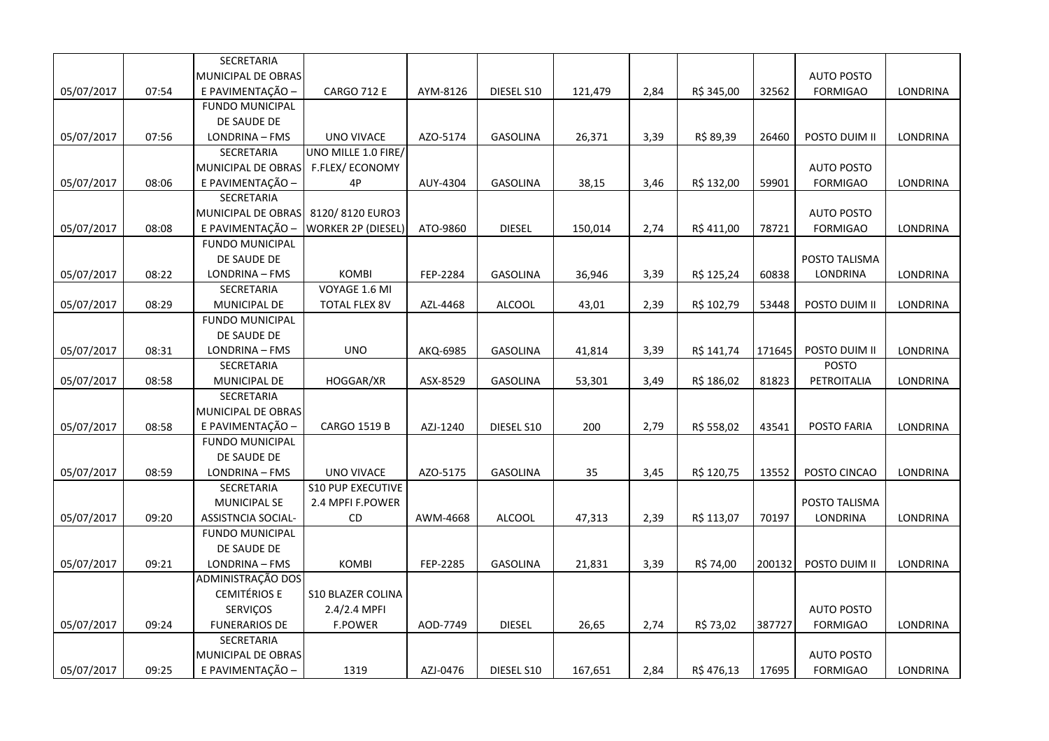|            |       | SECRETARIA                |                           |          |                 |         |      |            |        |                   |                 |
|------------|-------|---------------------------|---------------------------|----------|-----------------|---------|------|------------|--------|-------------------|-----------------|
|            |       | MUNICIPAL DE OBRAS        |                           |          |                 |         |      |            |        | <b>AUTO POSTO</b> |                 |
| 05/07/2017 | 07:54 | E PAVIMENTAÇÃO -          | <b>CARGO 712 E</b>        | AYM-8126 | DIESEL S10      | 121,479 | 2,84 | R\$ 345,00 | 32562  | <b>FORMIGAO</b>   | LONDRINA        |
|            |       | <b>FUNDO MUNICIPAL</b>    |                           |          |                 |         |      |            |        |                   |                 |
|            |       | DE SAUDE DE               |                           |          |                 |         |      |            |        |                   |                 |
| 05/07/2017 | 07:56 | LONDRINA - FMS            | <b>UNO VIVACE</b>         | AZO-5174 | <b>GASOLINA</b> | 26,371  | 3,39 | R\$ 89,39  | 26460  | POSTO DUIM II     | LONDRINA        |
|            |       | <b>SECRETARIA</b>         | UNO MILLE 1.0 FIRE/       |          |                 |         |      |            |        |                   |                 |
|            |       | MUNICIPAL DE OBRAS        | <b>F.FLEX/ECONOMY</b>     |          |                 |         |      |            |        | <b>AUTO POSTO</b> |                 |
| 05/07/2017 | 08:06 | E PAVIMENTAÇÃO -          | 4P                        | AUY-4304 | GASOLINA        | 38,15   | 3,46 | R\$ 132,00 | 59901  | <b>FORMIGAO</b>   | LONDRINA        |
|            |       | <b>SECRETARIA</b>         |                           |          |                 |         |      |            |        |                   |                 |
|            |       | MUNICIPAL DE OBRAS        | 8120/8120 EURO3           |          |                 |         |      |            |        | <b>AUTO POSTO</b> |                 |
| 05/07/2017 | 08:08 | E PAVIMENTAÇÃO -          | <b>WORKER 2P (DIESEL)</b> | ATO-9860 | <b>DIESEL</b>   | 150,014 | 2,74 | R\$ 411,00 | 78721  | <b>FORMIGAO</b>   | LONDRINA        |
|            |       | <b>FUNDO MUNICIPAL</b>    |                           |          |                 |         |      |            |        |                   |                 |
|            |       | DE SAUDE DE               |                           |          |                 |         |      |            |        | POSTO TALISMA     |                 |
| 05/07/2017 | 08:22 | LONDRINA - FMS            | <b>KOMBI</b>              | FEP-2284 | <b>GASOLINA</b> | 36,946  | 3,39 | R\$ 125,24 | 60838  | LONDRINA          | LONDRINA        |
|            |       | SECRETARIA                | VOYAGE 1.6 MI             |          |                 |         |      |            |        |                   |                 |
| 05/07/2017 | 08:29 | MUNICIPAL DE              | <b>TOTAL FLEX 8V</b>      | AZL-4468 | <b>ALCOOL</b>   | 43,01   | 2,39 | R\$ 102,79 | 53448  | POSTO DUIM II     | LONDRINA        |
|            |       | <b>FUNDO MUNICIPAL</b>    |                           |          |                 |         |      |            |        |                   |                 |
|            |       | DE SAUDE DE               |                           |          |                 |         |      |            |        |                   |                 |
| 05/07/2017 | 08:31 | LONDRINA - FMS            | <b>UNO</b>                | AKQ-6985 | <b>GASOLINA</b> | 41,814  | 3,39 | R\$ 141,74 | 171645 | POSTO DUIM II     | LONDRINA        |
|            |       | SECRETARIA                |                           |          |                 |         |      |            |        | <b>POSTO</b>      |                 |
| 05/07/2017 | 08:58 | MUNICIPAL DE              | HOGGAR/XR                 | ASX-8529 | <b>GASOLINA</b> | 53,301  | 3,49 | R\$ 186,02 | 81823  | PETROITALIA       | LONDRINA        |
|            |       | SECRETARIA                |                           |          |                 |         |      |            |        |                   |                 |
|            |       | MUNICIPAL DE OBRAS        |                           |          |                 |         |      |            |        |                   |                 |
| 05/07/2017 | 08:58 | E PAVIMENTAÇÃO -          | <b>CARGO 1519 B</b>       | AZJ-1240 | DIESEL S10      | 200     | 2,79 | R\$ 558,02 | 43541  | POSTO FARIA       | LONDRINA        |
|            |       | <b>FUNDO MUNICIPAL</b>    |                           |          |                 |         |      |            |        |                   |                 |
|            |       | DE SAUDE DE               |                           |          |                 |         |      |            |        |                   |                 |
| 05/07/2017 | 08:59 | LONDRINA - FMS            | UNO VIVACE                | AZO-5175 | GASOLINA        | 35      | 3,45 | R\$ 120,75 | 13552  | POSTO CINCAO      | LONDRINA        |
|            |       | SECRETARIA                | <b>S10 PUP EXECUTIVE</b>  |          |                 |         |      |            |        |                   |                 |
|            |       | <b>MUNICIPAL SE</b>       | 2.4 MPFI F.POWER          |          |                 |         |      |            |        | POSTO TALISMA     |                 |
| 05/07/2017 | 09:20 | <b>ASSISTNCIA SOCIAL-</b> | CD.                       | AWM-4668 | <b>ALCOOL</b>   | 47,313  | 2,39 | R\$ 113,07 | 70197  | LONDRINA          | LONDRINA        |
|            |       | <b>FUNDO MUNICIPAL</b>    |                           |          |                 |         |      |            |        |                   |                 |
|            |       | DE SAUDE DE               |                           |          |                 |         |      |            |        |                   |                 |
| 05/07/2017 | 09:21 | LONDRINA - FMS            | <b>KOMBI</b>              | FEP-2285 | <b>GASOLINA</b> | 21,831  | 3,39 | R\$ 74,00  | 200132 | POSTO DUIM II     | LONDRINA        |
|            |       | ADMINISTRAÇÃO DOS         |                           |          |                 |         |      |            |        |                   |                 |
|            |       | <b>CEMITÉRIOS E</b>       | <b>S10 BLAZER COLINA</b>  |          |                 |         |      |            |        |                   |                 |
|            |       | SERVIÇOS                  | 2.4/2.4 MPFI              |          |                 |         |      |            |        | <b>AUTO POSTO</b> |                 |
| 05/07/2017 | 09:24 | <b>FUNERARIOS DE</b>      | <b>F.POWER</b>            | AOD-7749 | <b>DIESEL</b>   | 26,65   | 2,74 | R\$ 73,02  | 387727 | <b>FORMIGAO</b>   | <b>LONDRINA</b> |
|            |       | SECRETARIA                |                           |          |                 |         |      |            |        |                   |                 |
|            |       | MUNICIPAL DE OBRAS        |                           |          |                 |         |      |            |        | <b>AUTO POSTO</b> |                 |
| 05/07/2017 | 09:25 | E PAVIMENTAÇÃO -          | 1319                      | AZJ-0476 | DIESEL S10      | 167,651 | 2,84 | R\$476,13  | 17695  | <b>FORMIGAO</b>   | <b>LONDRINA</b> |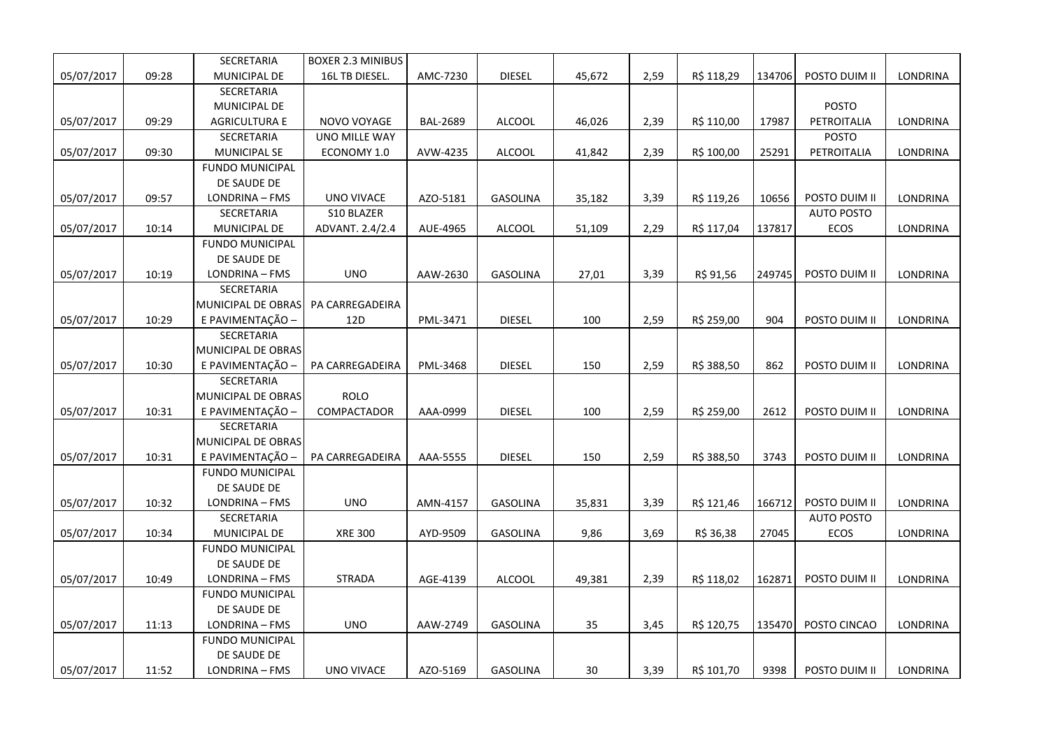|            |       | SECRETARIA                               | <b>BOXER 2.3 MINIBUS</b> |                 |                 |        |      |            |        |                   |                 |
|------------|-------|------------------------------------------|--------------------------|-----------------|-----------------|--------|------|------------|--------|-------------------|-----------------|
| 05/07/2017 | 09:28 | MUNICIPAL DE                             | 16L TB DIESEL.           | AMC-7230        | <b>DIESEL</b>   | 45,672 | 2,59 | R\$ 118,29 | 134706 | POSTO DUIM II     | LONDRINA        |
|            |       | SECRETARIA                               |                          |                 |                 |        |      |            |        |                   |                 |
|            |       | <b>MUNICIPAL DE</b>                      |                          |                 |                 |        |      |            |        | <b>POSTO</b>      |                 |
| 05/07/2017 | 09:29 | <b>AGRICULTURA E</b>                     | NOVO VOYAGE              | <b>BAL-2689</b> | <b>ALCOOL</b>   | 46,026 | 2,39 | R\$ 110,00 | 17987  | PETROITALIA       | <b>LONDRINA</b> |
|            |       | SECRETARIA                               | UNO MILLE WAY            |                 |                 |        |      |            |        | <b>POSTO</b>      |                 |
| 05/07/2017 | 09:30 | <b>MUNICIPAL SE</b>                      | ECONOMY 1.0              | AVW-4235        | ALCOOL          | 41,842 | 2,39 | R\$ 100,00 | 25291  | PETROITALIA       | LONDRINA        |
|            |       | <b>FUNDO MUNICIPAL</b>                   |                          |                 |                 |        |      |            |        |                   |                 |
|            |       | DE SAUDE DE                              |                          |                 |                 |        |      |            |        |                   |                 |
| 05/07/2017 | 09:57 | LONDRINA - FMS                           | <b>UNO VIVACE</b>        | AZO-5181        | <b>GASOLINA</b> | 35,182 | 3,39 | R\$ 119,26 | 10656  | POSTO DUIM II     | LONDRINA        |
|            |       | SECRETARIA                               | S10 BLAZER               |                 |                 |        |      |            |        | <b>AUTO POSTO</b> |                 |
| 05/07/2017 | 10:14 | MUNICIPAL DE                             | ADVANT. 2.4/2.4          | AUE-4965        | <b>ALCOOL</b>   | 51,109 | 2,29 | R\$ 117,04 | 137817 | <b>ECOS</b>       | LONDRINA        |
|            |       | <b>FUNDO MUNICIPAL</b>                   |                          |                 |                 |        |      |            |        |                   |                 |
|            |       | DE SAUDE DE                              |                          |                 |                 |        |      |            |        |                   |                 |
| 05/07/2017 | 10:19 | LONDRINA - FMS                           | <b>UNO</b>               | AAW-2630        | <b>GASOLINA</b> | 27,01  | 3,39 | R\$ 91,56  | 249745 | POSTO DUIM II     | LONDRINA        |
|            |       | SECRETARIA                               |                          |                 |                 |        |      |            |        |                   |                 |
|            |       | MUNICIPAL DE OBRAS                       | PA CARREGADEIRA          |                 |                 |        |      |            |        |                   |                 |
| 05/07/2017 | 10:29 | E PAVIMENTAÇÃO -                         | 12D                      | PML-3471        | <b>DIESEL</b>   | 100    | 2,59 | R\$ 259,00 | 904    | POSTO DUIM II     | <b>LONDRINA</b> |
|            |       | SECRETARIA                               |                          |                 |                 |        |      |            |        |                   |                 |
|            |       | MUNICIPAL DE OBRAS                       |                          |                 |                 |        |      |            |        |                   |                 |
| 05/07/2017 | 10:30 | E PAVIMENTAÇÃO -                         | PA CARREGADEIRA          | PML-3468        | <b>DIESEL</b>   | 150    | 2,59 | R\$ 388,50 | 862    | POSTO DUIM II     | <b>LONDRINA</b> |
|            |       | SECRETARIA                               |                          |                 |                 |        |      |            |        |                   |                 |
|            |       | MUNICIPAL DE OBRAS                       | <b>ROLO</b>              |                 |                 |        |      |            |        |                   |                 |
| 05/07/2017 | 10:31 | E PAVIMENTAÇÃO -                         | COMPACTADOR              | AAA-0999        | <b>DIESEL</b>   | 100    | 2,59 | R\$ 259,00 | 2612   | POSTO DUIM II     | LONDRINA        |
|            |       | SECRETARIA                               |                          |                 |                 |        |      |            |        |                   |                 |
|            |       | MUNICIPAL DE OBRAS                       |                          |                 |                 |        |      |            |        |                   |                 |
| 05/07/2017 | 10:31 | E PAVIMENTAÇÃO -                         | PA CARREGADEIRA          | AAA-5555        | <b>DIESEL</b>   | 150    | 2,59 | R\$ 388,50 | 3743   | POSTO DUIM II     | LONDRINA        |
|            |       | <b>FUNDO MUNICIPAL</b>                   |                          |                 |                 |        |      |            |        |                   |                 |
|            |       | DE SAUDE DE                              |                          |                 |                 |        |      |            |        |                   |                 |
| 05/07/2017 | 10:32 | LONDRINA - FMS                           | <b>UNO</b>               | AMN-4157        | <b>GASOLINA</b> | 35,831 | 3,39 | R\$ 121,46 | 166712 | POSTO DUIM II     | LONDRINA        |
|            |       | SECRETARIA                               |                          |                 |                 |        |      |            |        | <b>AUTO POSTO</b> |                 |
| 05/07/2017 | 10:34 | MUNICIPAL DE                             | <b>XRE 300</b>           | AYD-9509        | <b>GASOLINA</b> | 9,86   | 3,69 | R\$ 36,38  | 27045  | <b>ECOS</b>       | <b>LONDRINA</b> |
|            |       | <b>FUNDO MUNICIPAL</b>                   |                          |                 |                 |        |      |            |        |                   |                 |
|            |       | DE SAUDE DE                              |                          |                 |                 |        |      |            |        |                   | LONDRINA        |
| 05/07/2017 | 10:49 | LONDRINA - FMS                           | <b>STRADA</b>            | AGE-4139        | <b>ALCOOL</b>   | 49,381 | 2,39 | R\$ 118,02 | 162871 | POSTO DUIM II     |                 |
|            |       | <b>FUNDO MUNICIPAL</b><br>DE SAUDE DE    |                          |                 |                 |        |      |            |        |                   |                 |
| 05/07/2017 |       |                                          | <b>UNO</b>               |                 | <b>GASOLINA</b> |        |      | R\$ 120,75 |        | POSTO CINCAO      | <b>LONDRINA</b> |
|            | 11:13 | LONDRINA - FMS<br><b>FUNDO MUNICIPAL</b> |                          | AAW-2749        |                 | 35     | 3,45 |            | 135470 |                   |                 |
|            |       | DE SAUDE DE                              |                          |                 |                 |        |      |            |        |                   |                 |
| 05/07/2017 | 11:52 | LONDRINA - FMS                           | <b>UNO VIVACE</b>        | AZO-5169        | <b>GASOLINA</b> | 30     | 3,39 | R\$ 101,70 | 9398   | POSTO DUIM II     | LONDRINA        |
|            |       |                                          |                          |                 |                 |        |      |            |        |                   |                 |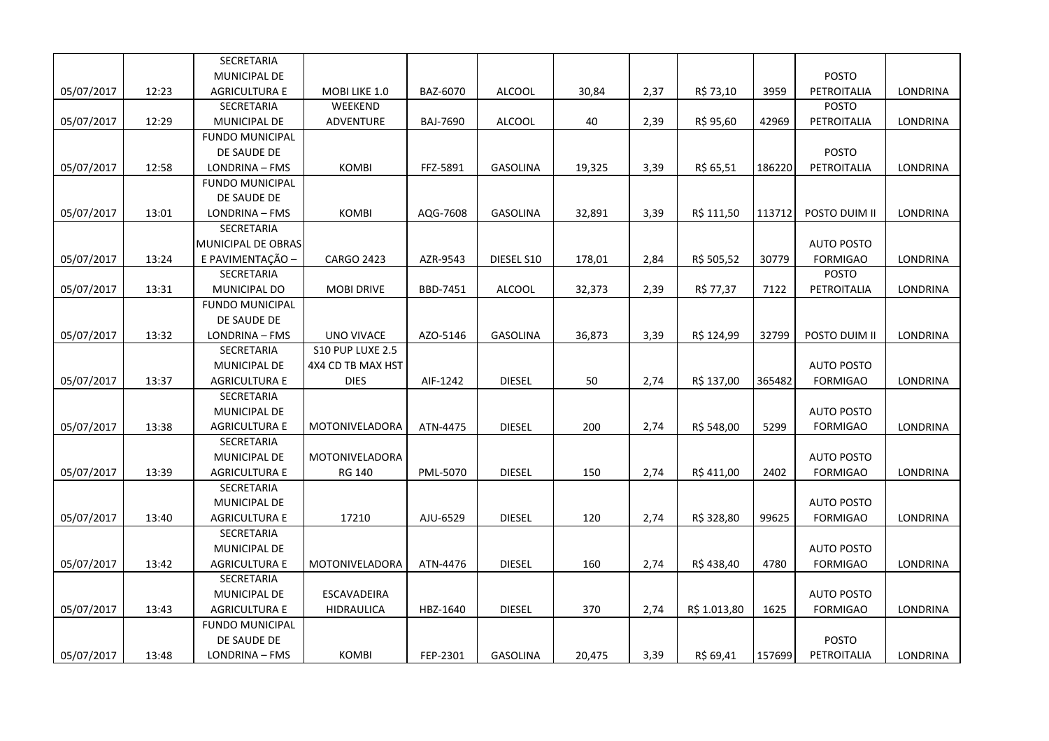|            |       | SECRETARIA             |                    |          |                 |        |      |              |        |                   |                 |
|------------|-------|------------------------|--------------------|----------|-----------------|--------|------|--------------|--------|-------------------|-----------------|
|            |       | MUNICIPAL DE           |                    |          |                 |        |      |              |        | <b>POSTO</b>      |                 |
| 05/07/2017 | 12:23 | <b>AGRICULTURA E</b>   | MOBI LIKE 1.0      | BAZ-6070 | <b>ALCOOL</b>   | 30,84  | 2,37 | R\$ 73,10    | 3959   | PETROITALIA       | LONDRINA        |
|            |       | SECRETARIA             | WEEKEND            |          |                 |        |      |              |        | <b>POSTO</b>      |                 |
| 05/07/2017 | 12:29 | <b>MUNICIPAL DE</b>    | ADVENTURE          | BAJ-7690 | <b>ALCOOL</b>   | 40     | 2,39 | R\$ 95,60    | 42969  | PETROITALIA       | LONDRINA        |
|            |       | <b>FUNDO MUNICIPAL</b> |                    |          |                 |        |      |              |        |                   |                 |
|            |       | DE SAUDE DE            |                    |          |                 |        |      |              |        | <b>POSTO</b>      |                 |
| 05/07/2017 | 12:58 | LONDRINA - FMS         | <b>KOMBI</b>       | FFZ-5891 | <b>GASOLINA</b> | 19,325 | 3,39 | R\$ 65,51    | 186220 | PETROITALIA       | <b>LONDRINA</b> |
|            |       | <b>FUNDO MUNICIPAL</b> |                    |          |                 |        |      |              |        |                   |                 |
|            |       | DE SAUDE DE            |                    |          |                 |        |      |              |        |                   |                 |
| 05/07/2017 | 13:01 | LONDRINA - FMS         | <b>KOMBI</b>       | AQG-7608 | <b>GASOLINA</b> | 32,891 | 3,39 | R\$ 111,50   | 113712 | POSTO DUIM II     | LONDRINA        |
|            |       | <b>SECRETARIA</b>      |                    |          |                 |        |      |              |        |                   |                 |
|            |       | MUNICIPAL DE OBRAS     |                    |          |                 |        |      |              |        | <b>AUTO POSTO</b> |                 |
| 05/07/2017 | 13:24 | E PAVIMENTAÇÃO -       | <b>CARGO 2423</b>  | AZR-9543 | DIESEL S10      | 178,01 | 2,84 | R\$ 505,52   | 30779  | <b>FORMIGAO</b>   | LONDRINA        |
|            |       | SECRETARIA             |                    |          |                 |        |      |              |        | POSTO             |                 |
| 05/07/2017 | 13:31 | MUNICIPAL DO           | <b>MOBI DRIVE</b>  | BBD-7451 | <b>ALCOOL</b>   | 32,373 | 2,39 | R\$ 77,37    | 7122   | PETROITALIA       | LONDRINA        |
|            |       | <b>FUNDO MUNICIPAL</b> |                    |          |                 |        |      |              |        |                   |                 |
|            |       | DE SAUDE DE            |                    |          |                 |        |      |              |        |                   |                 |
| 05/07/2017 | 13:32 | LONDRINA - FMS         | UNO VIVACE         | AZO-5146 | <b>GASOLINA</b> | 36,873 | 3,39 | R\$ 124,99   | 32799  | POSTO DUIM II     | LONDRINA        |
|            |       | SECRETARIA             | S10 PUP LUXE 2.5   |          |                 |        |      |              |        |                   |                 |
|            |       | <b>MUNICIPAL DE</b>    | 4X4 CD TB MAX HST  |          |                 |        |      |              |        | <b>AUTO POSTO</b> |                 |
| 05/07/2017 | 13:37 | <b>AGRICULTURA E</b>   | <b>DIES</b>        | AIF-1242 | <b>DIESEL</b>   | 50     | 2,74 | R\$ 137,00   | 365482 | <b>FORMIGAO</b>   | LONDRINA        |
|            |       | SECRETARIA             |                    |          |                 |        |      |              |        |                   |                 |
|            |       | MUNICIPAL DE           |                    |          |                 |        |      |              |        | <b>AUTO POSTO</b> |                 |
| 05/07/2017 | 13:38 | <b>AGRICULTURA E</b>   | MOTONIVELADORA     | ATN-4475 | <b>DIESEL</b>   | 200    | 2,74 | R\$ 548,00   | 5299   | <b>FORMIGAO</b>   | LONDRINA        |
|            |       | <b>SECRETARIA</b>      |                    |          |                 |        |      |              |        |                   |                 |
|            |       | <b>MUNICIPAL DE</b>    | MOTONIVELADORA     |          |                 |        |      |              |        | <b>AUTO POSTO</b> |                 |
| 05/07/2017 | 13:39 | <b>AGRICULTURA E</b>   | RG 140             | PML-5070 | <b>DIESEL</b>   | 150    | 2,74 | R\$411,00    | 2402   | <b>FORMIGAO</b>   | LONDRINA        |
|            |       | SECRETARIA             |                    |          |                 |        |      |              |        |                   |                 |
|            |       | <b>MUNICIPAL DE</b>    |                    |          |                 |        |      |              |        | <b>AUTO POSTO</b> |                 |
| 05/07/2017 | 13:40 | <b>AGRICULTURA E</b>   | 17210              | AJU-6529 | <b>DIESEL</b>   | 120    | 2,74 | R\$ 328,80   | 99625  | <b>FORMIGAO</b>   | LONDRINA        |
|            |       | SECRETARIA             |                    |          |                 |        |      |              |        |                   |                 |
|            |       | <b>MUNICIPAL DE</b>    |                    |          |                 |        |      |              |        | <b>AUTO POSTO</b> |                 |
| 05/07/2017 | 13:42 | <b>AGRICULTURA E</b>   | MOTONIVELADORA     | ATN-4476 | <b>DIESEL</b>   | 160    | 2,74 | R\$438,40    | 4780   | <b>FORMIGAO</b>   | LONDRINA        |
|            |       | SECRETARIA             |                    |          |                 |        |      |              |        |                   |                 |
|            |       | MUNICIPAL DE           | <b>ESCAVADEIRA</b> |          |                 |        |      |              |        | <b>AUTO POSTO</b> |                 |
| 05/07/2017 | 13:43 | <b>AGRICULTURA E</b>   | <b>HIDRAULICA</b>  | HBZ-1640 | <b>DIESEL</b>   | 370    | 2,74 | R\$ 1.013,80 | 1625   | <b>FORMIGAO</b>   | <b>LONDRINA</b> |
|            |       | FUNDO MUNICIPAL        |                    |          |                 |        |      |              |        |                   |                 |
|            |       | DE SAUDE DE            |                    |          |                 |        |      |              |        | <b>POSTO</b>      |                 |
| 05/07/2017 | 13:48 | LONDRINA - FMS         | <b>KOMBI</b>       | FEP-2301 | <b>GASOLINA</b> | 20,475 | 3,39 | R\$ 69,41    | 157699 | PETROITALIA       | LONDRINA        |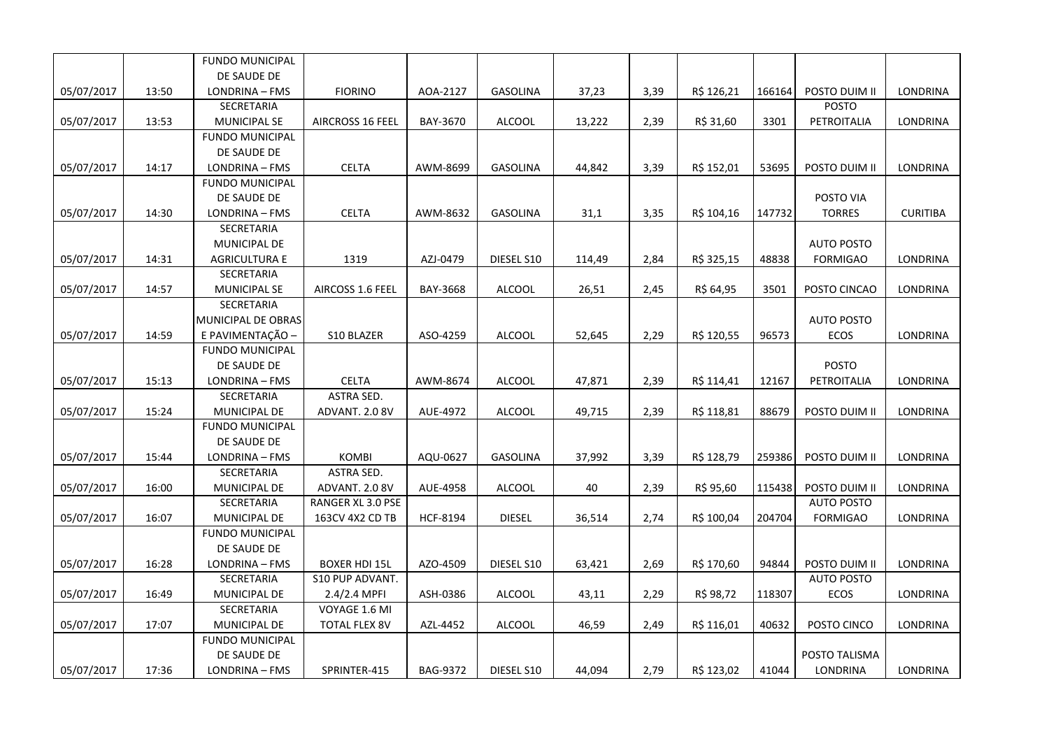|            |       | <b>FUNDO MUNICIPAL</b> |                      |                 |                 |        |      |            |        |                   |                 |
|------------|-------|------------------------|----------------------|-----------------|-----------------|--------|------|------------|--------|-------------------|-----------------|
|            |       | DE SAUDE DE            |                      |                 |                 |        |      |            |        |                   |                 |
| 05/07/2017 | 13:50 | LONDRINA - FMS         | <b>FIORINO</b>       | AOA-2127        | <b>GASOLINA</b> | 37,23  | 3,39 | R\$ 126,21 | 166164 | POSTO DUIM II     | <b>LONDRINA</b> |
|            |       | SECRETARIA             |                      |                 |                 |        |      |            |        | <b>POSTO</b>      |                 |
| 05/07/2017 | 13:53 | <b>MUNICIPAL SE</b>    | AIRCROSS 16 FEEL     | BAY-3670        | <b>ALCOOL</b>   | 13,222 | 2,39 | R\$ 31,60  | 3301   | PETROITALIA       | LONDRINA        |
|            |       | <b>FUNDO MUNICIPAL</b> |                      |                 |                 |        |      |            |        |                   |                 |
|            |       | DE SAUDE DE            |                      |                 |                 |        |      |            |        |                   |                 |
| 05/07/2017 | 14:17 | LONDRINA - FMS         | <b>CELTA</b>         | AWM-8699        | GASOLINA        | 44,842 | 3,39 | R\$ 152,01 | 53695  | POSTO DUIM II     | LONDRINA        |
|            |       | <b>FUNDO MUNICIPAL</b> |                      |                 |                 |        |      |            |        |                   |                 |
|            |       | DE SAUDE DE            |                      |                 |                 |        |      |            |        | POSTO VIA         |                 |
| 05/07/2017 | 14:30 | LONDRINA - FMS         | <b>CELTA</b>         | AWM-8632        | <b>GASOLINA</b> | 31,1   | 3,35 | R\$ 104,16 | 147732 | <b>TORRES</b>     | <b>CURITIBA</b> |
|            |       | SECRETARIA             |                      |                 |                 |        |      |            |        |                   |                 |
|            |       | <b>MUNICIPAL DE</b>    |                      |                 |                 |        |      |            |        | <b>AUTO POSTO</b> |                 |
| 05/07/2017 | 14:31 | <b>AGRICULTURA E</b>   | 1319                 | AZJ-0479        | DIESEL S10      | 114,49 | 2,84 | R\$ 325,15 | 48838  | <b>FORMIGAO</b>   | LONDRINA        |
|            |       | SECRETARIA             |                      |                 |                 |        |      |            |        |                   |                 |
| 05/07/2017 | 14:57 | <b>MUNICIPAL SE</b>    | AIRCOSS 1.6 FEEL     | BAY-3668        | ALCOOL          | 26,51  | 2,45 | R\$ 64,95  | 3501   | POSTO CINCAO      | LONDRINA        |
|            |       | SECRETARIA             |                      |                 |                 |        |      |            |        |                   |                 |
|            |       | MUNICIPAL DE OBRAS     |                      |                 |                 |        |      |            |        | <b>AUTO POSTO</b> |                 |
| 05/07/2017 | 14:59 | E PAVIMENTAÇÃO -       | S10 BLAZER           | ASO-4259        | ALCOOL          | 52,645 | 2,29 | R\$ 120,55 | 96573  | ECOS              | LONDRINA        |
|            |       | <b>FUNDO MUNICIPAL</b> |                      |                 |                 |        |      |            |        |                   |                 |
|            |       | DE SAUDE DE            |                      |                 |                 |        |      |            |        | <b>POSTO</b>      |                 |
| 05/07/2017 | 15:13 | LONDRINA - FMS         | <b>CELTA</b>         | AWM-8674        | <b>ALCOOL</b>   | 47,871 | 2,39 | R\$ 114,41 | 12167  | PETROITALIA       | LONDRINA        |
|            |       | SECRETARIA             | ASTRA SED.           |                 |                 |        |      |            |        |                   |                 |
| 05/07/2017 | 15:24 | MUNICIPAL DE           | ADVANT. 2.0 8V       | AUE-4972        | <b>ALCOOL</b>   | 49,715 | 2,39 | R\$ 118,81 | 88679  | POSTO DUIM II     | LONDRINA        |
|            |       | <b>FUNDO MUNICIPAL</b> |                      |                 |                 |        |      |            |        |                   |                 |
|            |       | DE SAUDE DE            |                      |                 |                 |        |      |            |        |                   |                 |
| 05/07/2017 | 15:44 | LONDRINA - FMS         | <b>KOMBI</b>         | AQU-0627        | <b>GASOLINA</b> | 37,992 | 3,39 | R\$ 128,79 | 259386 | POSTO DUIM II     | LONDRINA        |
|            |       | SECRETARIA             | ASTRA SED.           |                 |                 |        |      |            |        |                   |                 |
| 05/07/2017 | 16:00 | MUNICIPAL DE           | ADVANT. 2.0 8V       | AUE-4958        | <b>ALCOOL</b>   | 40     | 2,39 | R\$ 95,60  | 115438 | POSTO DUIM II     | LONDRINA        |
|            |       | SECRETARIA             | RANGER XL 3.0 PSE    |                 |                 |        |      |            |        | <b>AUTO POSTO</b> |                 |
| 05/07/2017 | 16:07 | MUNICIPAL DE           | 163CV 4X2 CD TB      | <b>HCF-8194</b> | <b>DIESEL</b>   | 36,514 | 2,74 | R\$ 100,04 | 204704 | <b>FORMIGAO</b>   | LONDRINA        |
|            |       | <b>FUNDO MUNICIPAL</b> |                      |                 |                 |        |      |            |        |                   |                 |
|            |       | DE SAUDE DE            |                      |                 |                 |        |      |            |        |                   |                 |
| 05/07/2017 | 16:28 | LONDRINA - FMS         | <b>BOXER HDI 15L</b> | AZO-4509        | DIESEL S10      | 63,421 | 2,69 | R\$ 170,60 | 94844  | POSTO DUIM II     | LONDRINA        |
|            |       | SECRETARIA             | S10 PUP ADVANT.      |                 |                 |        |      |            |        | <b>AUTO POSTO</b> |                 |
| 05/07/2017 | 16:49 | MUNICIPAL DE           | 2.4/2.4 MPFI         | ASH-0386        | <b>ALCOOL</b>   | 43,11  | 2,29 | R\$ 98,72  | 118307 | <b>ECOS</b>       | LONDRINA        |
|            |       | SECRETARIA             | VOYAGE 1.6 MI        |                 |                 |        |      |            |        |                   |                 |
| 05/07/2017 | 17:07 | MUNICIPAL DE           | <b>TOTAL FLEX 8V</b> | AZL-4452        | <b>ALCOOL</b>   | 46,59  | 2,49 | R\$ 116,01 | 40632  | POSTO CINCO       | LONDRINA        |
|            |       | <b>FUNDO MUNICIPAL</b> |                      |                 |                 |        |      |            |        |                   |                 |
|            |       | DE SAUDE DE            |                      |                 |                 |        |      |            |        | POSTO TALISMA     |                 |
| 05/07/2017 | 17:36 | LONDRINA - FMS         | SPRINTER-415         | BAG-9372        | DIESEL S10      | 44,094 | 2,79 | R\$ 123,02 | 41044  | LONDRINA          | LONDRINA        |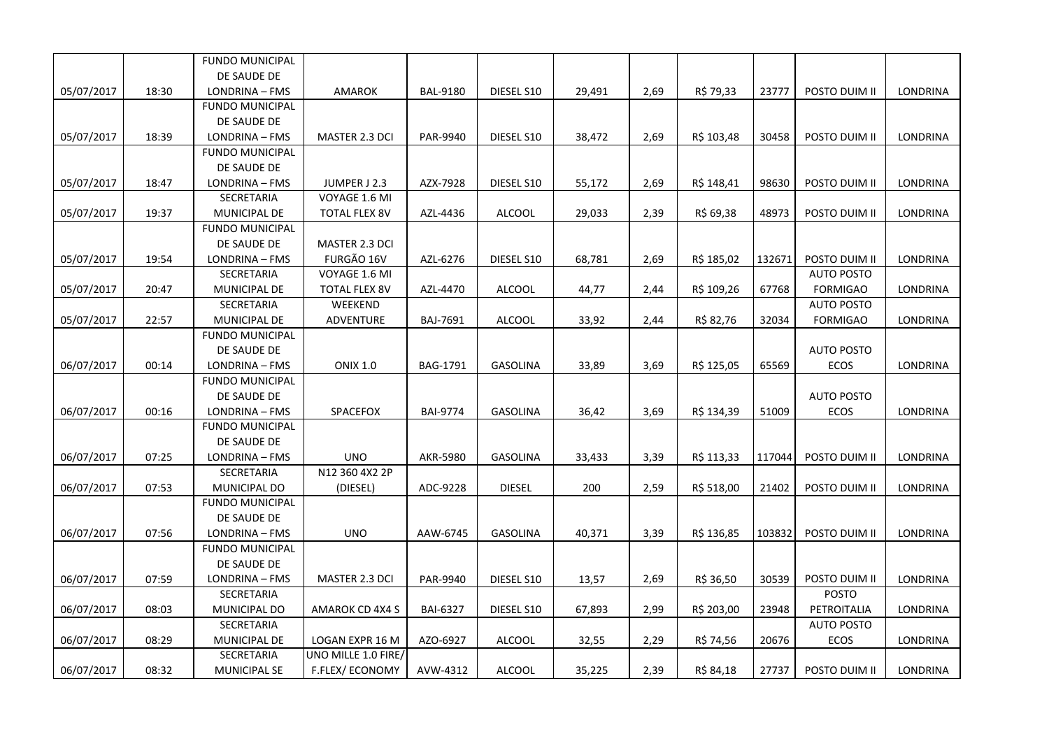|            |       | <b>FUNDO MUNICIPAL</b> |                       |                 |                 |        |      |            |        |                   |                 |
|------------|-------|------------------------|-----------------------|-----------------|-----------------|--------|------|------------|--------|-------------------|-----------------|
|            |       | DE SAUDE DE            |                       |                 |                 |        |      |            |        |                   |                 |
| 05/07/2017 | 18:30 | LONDRINA - FMS         | <b>AMAROK</b>         | <b>BAL-9180</b> | DIESEL S10      | 29,491 | 2,69 | R\$ 79,33  | 23777  | POSTO DUIM II     | LONDRINA        |
|            |       | <b>FUNDO MUNICIPAL</b> |                       |                 |                 |        |      |            |        |                   |                 |
|            |       | DE SAUDE DE            |                       |                 |                 |        |      |            |        |                   |                 |
| 05/07/2017 | 18:39 | LONDRINA - FMS         | MASTER 2.3 DCI        | PAR-9940        | DIESEL S10      | 38,472 | 2,69 | R\$ 103,48 | 30458  | POSTO DUIM II     | <b>LONDRINA</b> |
|            |       | <b>FUNDO MUNICIPAL</b> |                       |                 |                 |        |      |            |        |                   |                 |
|            |       | DE SAUDE DE            |                       |                 |                 |        |      |            |        |                   |                 |
| 05/07/2017 | 18:47 | LONDRINA - FMS         | JUMPER J 2.3          | AZX-7928        | DIESEL S10      | 55,172 | 2,69 | R\$ 148,41 | 98630  | POSTO DUIM II     | LONDRINA        |
|            |       | SECRETARIA             | VOYAGE 1.6 MI         |                 |                 |        |      |            |        |                   |                 |
| 05/07/2017 | 19:37 | MUNICIPAL DE           | <b>TOTAL FLEX 8V</b>  | AZL-4436        | <b>ALCOOL</b>   | 29,033 | 2,39 | R\$ 69,38  | 48973  | POSTO DUIM II     | LONDRINA        |
|            |       | <b>FUNDO MUNICIPAL</b> |                       |                 |                 |        |      |            |        |                   |                 |
|            |       | DE SAUDE DE            | MASTER 2.3 DCI        |                 |                 |        |      |            |        |                   |                 |
| 05/07/2017 | 19:54 | LONDRINA - FMS         | FURGÃO 16V            | AZL-6276        | DIESEL S10      | 68,781 | 2,69 | R\$ 185,02 | 132671 | POSTO DUIM II     | LONDRINA        |
|            |       | SECRETARIA             | VOYAGE 1.6 MI         |                 |                 |        |      |            |        | <b>AUTO POSTO</b> |                 |
| 05/07/2017 | 20:47 | MUNICIPAL DE           | TOTAL FLEX 8V         | AZL-4470        | <b>ALCOOL</b>   | 44,77  | 2,44 | R\$ 109,26 | 67768  | <b>FORMIGAO</b>   | LONDRINA        |
|            |       | SECRETARIA             | WEEKEND               |                 |                 |        |      |            |        | <b>AUTO POSTO</b> |                 |
| 05/07/2017 | 22:57 | MUNICIPAL DE           | ADVENTURE             | BAJ-7691        | <b>ALCOOL</b>   | 33,92  | 2,44 | R\$ 82,76  | 32034  | <b>FORMIGAO</b>   | LONDRINA        |
|            |       | <b>FUNDO MUNICIPAL</b> |                       |                 |                 |        |      |            |        |                   |                 |
|            |       | DE SAUDE DE            |                       |                 |                 |        |      |            |        | <b>AUTO POSTO</b> |                 |
| 06/07/2017 | 00:14 | LONDRINA - FMS         | <b>ONIX 1.0</b>       | <b>BAG-1791</b> | <b>GASOLINA</b> | 33,89  | 3,69 | R\$ 125,05 | 65569  | <b>ECOS</b>       | LONDRINA        |
|            |       | <b>FUNDO MUNICIPAL</b> |                       |                 |                 |        |      |            |        |                   |                 |
|            |       | DE SAUDE DE            |                       |                 |                 |        |      |            |        | <b>AUTO POSTO</b> |                 |
| 06/07/2017 | 00:16 | LONDRINA - FMS         | SPACEFOX              | <b>BAI-9774</b> | <b>GASOLINA</b> | 36,42  | 3,69 | R\$ 134,39 | 51009  | ECOS              | LONDRINA        |
|            |       | <b>FUNDO MUNICIPAL</b> |                       |                 |                 |        |      |            |        |                   |                 |
|            |       | DE SAUDE DE            |                       |                 |                 |        |      |            |        |                   |                 |
| 06/07/2017 | 07:25 | LONDRINA - FMS         | <b>UNO</b>            | AKR-5980        | <b>GASOLINA</b> | 33,433 | 3,39 | R\$ 113,33 | 117044 | POSTO DUIM II     | LONDRINA        |
|            |       | SECRETARIA             | N12 360 4X2 2P        |                 |                 |        |      |            |        |                   |                 |
| 06/07/2017 | 07:53 | MUNICIPAL DO           | (DIESEL)              | ADC-9228        | <b>DIESEL</b>   | 200    | 2,59 | R\$ 518,00 | 21402  | POSTO DUIM II     | LONDRINA        |
|            |       | <b>FUNDO MUNICIPAL</b> |                       |                 |                 |        |      |            |        |                   |                 |
|            |       | DE SAUDE DE            |                       |                 |                 |        |      |            |        |                   |                 |
| 06/07/2017 | 07:56 | LONDRINA - FMS         | <b>UNO</b>            | AAW-6745        | <b>GASOLINA</b> | 40,371 | 3,39 | R\$ 136,85 | 103832 | POSTO DUIM II     | <b>LONDRINA</b> |
|            |       | <b>FUNDO MUNICIPAL</b> |                       |                 |                 |        |      |            |        |                   |                 |
|            |       | DE SAUDE DE            |                       |                 |                 |        |      |            |        |                   |                 |
| 06/07/2017 | 07:59 | LONDRINA - FMS         | MASTER 2.3 DCI        | PAR-9940        | DIESEL S10      | 13,57  | 2,69 | R\$ 36,50  | 30539  | POSTO DUIM II     | LONDRINA        |
|            |       | SECRETARIA             |                       |                 |                 |        |      |            |        | <b>POSTO</b>      |                 |
| 06/07/2017 | 08:03 | MUNICIPAL DO           | AMAROK CD 4X4 S       | <b>BAI-6327</b> | DIESEL S10      | 67,893 | 2,99 | R\$ 203,00 | 23948  | PETROITALIA       | LONDRINA        |
|            |       | SECRETARIA             |                       |                 |                 |        |      |            |        | <b>AUTO POSTO</b> |                 |
| 06/07/2017 | 08:29 | MUNICIPAL DE           | LOGAN EXPR 16 M       | AZO-6927        | <b>ALCOOL</b>   | 32,55  | 2,29 | R\$ 74,56  | 20676  | ECOS              | LONDRINA        |
|            |       | SECRETARIA             | UNO MILLE 1.0 FIRE/   |                 |                 |        |      |            |        |                   |                 |
| 06/07/2017 | 08:32 | MUNICIPAL SE           | <b>F.FLEX/ECONOMY</b> | AVW-4312        | <b>ALCOOL</b>   | 35,225 | 2,39 | R\$ 84,18  | 27737  | POSTO DUIM II     | LONDRINA        |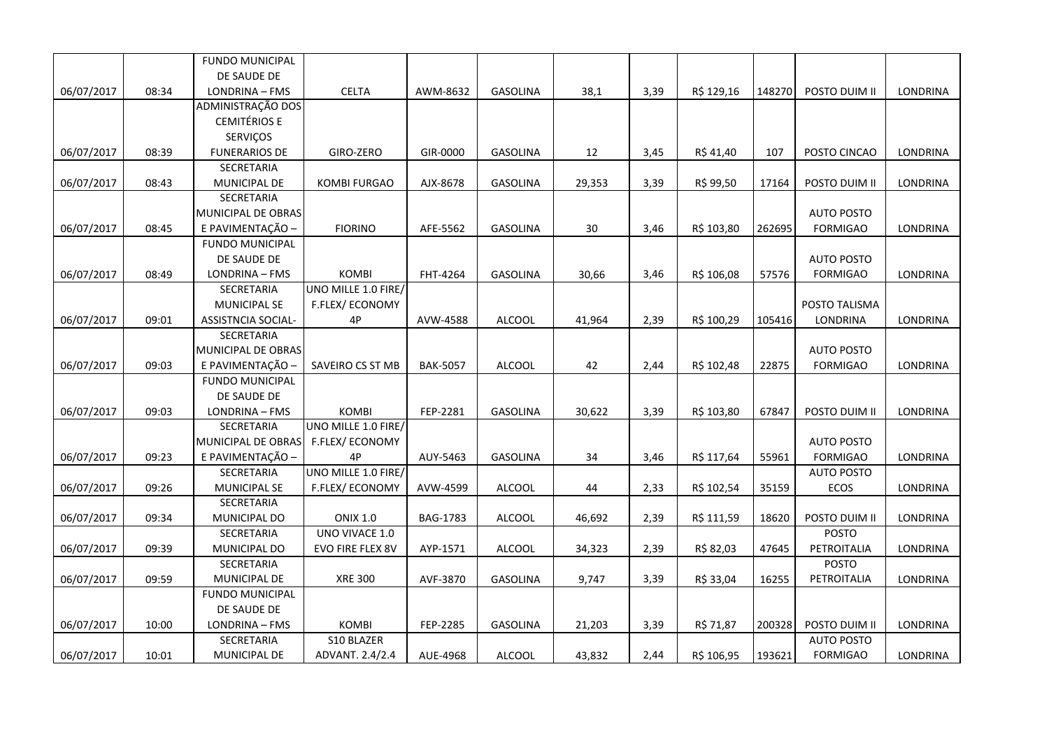|            |       | <b>FUNDO MUNICIPAL</b> |                     |                 |                 |        |      |            |        |                   |                 |
|------------|-------|------------------------|---------------------|-----------------|-----------------|--------|------|------------|--------|-------------------|-----------------|
|            |       | DE SAUDE DE            |                     |                 |                 |        |      |            |        |                   |                 |
| 06/07/2017 | 08:34 | LONDRINA - FMS         | <b>CELTA</b>        | AWM-8632        | GASOLINA        | 38,1   | 3,39 | R\$ 129,16 | 148270 | POSTO DUIM II     | LONDRINA        |
|            |       | ADMINISTRAÇÃO DOS      |                     |                 |                 |        |      |            |        |                   |                 |
|            |       | <b>CEMITÉRIOS E</b>    |                     |                 |                 |        |      |            |        |                   |                 |
|            |       | SERVIÇOS               |                     |                 |                 |        |      |            |        |                   |                 |
| 06/07/2017 | 08:39 | <b>FUNERARIOS DE</b>   | GIRO-ZERO           | GIR-0000        | GASOLINA        | 12     | 3,45 | R\$ 41,40  | 107    | POSTO CINCAO      | LONDRINA        |
|            |       | SECRETARIA             |                     |                 |                 |        |      |            |        |                   |                 |
| 06/07/2017 | 08:43 | MUNICIPAL DE           | <b>KOMBI FURGAO</b> | AJX-8678        | GASOLINA        | 29,353 | 3,39 | R\$ 99,50  | 17164  | POSTO DUIM II     | LONDRINA        |
|            |       | SECRETARIA             |                     |                 |                 |        |      |            |        |                   |                 |
|            |       | MUNICIPAL DE OBRAS     |                     |                 |                 |        |      |            |        | <b>AUTO POSTO</b> |                 |
| 06/07/2017 | 08:45 | E PAVIMENTAÇÃO -       | <b>FIORINO</b>      | AFE-5562        | GASOLINA        | 30     | 3,46 | R\$ 103,80 | 262695 | <b>FORMIGAO</b>   | LONDRINA        |
|            |       | <b>FUNDO MUNICIPAL</b> |                     |                 |                 |        |      |            |        |                   |                 |
|            |       | DE SAUDE DE            |                     |                 |                 |        |      |            |        | <b>AUTO POSTO</b> |                 |
| 06/07/2017 | 08:49 | LONDRINA - FMS         | <b>KOMBI</b>        | FHT-4264        | GASOLINA        | 30,66  | 3,46 | R\$ 106,08 | 57576  | <b>FORMIGAO</b>   | LONDRINA        |
|            |       | SECRETARIA             | UNO MILLE 1.0 FIRE/ |                 |                 |        |      |            |        |                   |                 |
|            |       | <b>MUNICIPAL SE</b>    | F.FLEX/ECONOMY      |                 |                 |        |      |            |        | POSTO TALISMA     |                 |
| 06/07/2017 | 09:01 | ASSISTNCIA SOCIAL-     | 4P                  | AVW-4588        | <b>ALCOOL</b>   | 41,964 | 2,39 | R\$ 100,29 | 105416 | LONDRINA          | LONDRINA        |
|            |       | SECRETARIA             |                     |                 |                 |        |      |            |        |                   |                 |
|            |       | MUNICIPAL DE OBRAS     |                     |                 |                 |        |      |            |        | <b>AUTO POSTO</b> |                 |
| 06/07/2017 | 09:03 | E PAVIMENTAÇÃO         | SAVEIRO CS ST MB    | <b>BAK-5057</b> | ALCOOL          | 42     | 2,44 | R\$ 102,48 | 22875  | <b>FORMIGAO</b>   | LONDRINA        |
|            |       | <b>FUNDO MUNICIPAL</b> |                     |                 |                 |        |      |            |        |                   |                 |
|            |       | DE SAUDE DE            |                     |                 |                 |        |      |            |        |                   |                 |
| 06/07/2017 | 09:03 | LONDRINA - FMS         | <b>KOMBI</b>        | FEP-2281        | <b>GASOLINA</b> | 30,622 | 3,39 | R\$ 103,80 | 67847  | POSTO DUIM II     | LONDRINA        |
|            |       | SECRETARIA             | UNO MILLE 1.0 FIRE/ |                 |                 |        |      |            |        |                   |                 |
|            |       | MUNICIPAL DE OBRAS     | F.FLEX/ECONOMY      |                 |                 |        |      |            |        | <b>AUTO POSTO</b> |                 |
| 06/07/2017 | 09:23 | E PAVIMENTAÇÃO -       | 4P                  | AUY-5463        | GASOLINA        | 34     | 3,46 | R\$ 117,64 | 55961  | <b>FORMIGAO</b>   | LONDRINA        |
|            |       | SECRETARIA             | UNO MILLE 1.0 FIRE/ |                 |                 |        |      |            |        | <b>AUTO POSTO</b> |                 |
| 06/07/2017 | 09:26 | MUNICIPAL SE           | F.FLEX/ECONOMY      | AVW-4599        | <b>ALCOOL</b>   | 44     | 2,33 | R\$ 102,54 | 35159  | <b>ECOS</b>       | LONDRINA        |
|            |       | SECRETARIA             |                     |                 |                 |        |      |            |        |                   |                 |
| 06/07/2017 | 09:34 | MUNICIPAL DO           | <b>ONIX 1.0</b>     | BAG-1783        | <b>ALCOOL</b>   | 46,692 | 2,39 | R\$ 111,59 | 18620  | POSTO DUIM II     | LONDRINA        |
|            |       | SECRETARIA             | UNO VIVACE 1.0      |                 |                 |        |      |            |        | <b>POSTO</b>      |                 |
| 06/07/2017 | 09:39 | MUNICIPAL DO           | EVO FIRE FLEX 8V    | AYP-1571        | <b>ALCOOL</b>   | 34,323 | 2,39 | R\$ 82,03  | 47645  | PETROITALIA       | LONDRINA        |
|            |       | SECRETARIA             |                     |                 |                 |        |      |            |        | <b>POSTO</b>      |                 |
| 06/07/2017 | 09:59 | MUNICIPAL DE           | <b>XRE 300</b>      | AVF-3870        | <b>GASOLINA</b> | 9,747  | 3,39 | R\$ 33,04  | 16255  | PETROITALIA       | LONDRINA        |
|            |       | <b>FUNDO MUNICIPAL</b> |                     |                 |                 |        |      |            |        |                   |                 |
|            |       | DE SAUDE DE            |                     |                 |                 |        |      |            |        |                   |                 |
| 06/07/2017 | 10:00 | LONDRINA - FMS         | KOMBI               | FEP-2285        | GASOLINA        | 21,203 | 3,39 | R\$ 71,87  | 200328 | POSTO DUIM II     | <b>LONDRINA</b> |
|            |       | SECRETARIA             | S10 BLAZER          |                 |                 |        |      |            |        | <b>AUTO POSTO</b> |                 |
| 06/07/2017 | 10:01 | MUNICIPAL DE           | ADVANT. 2.4/2.4     | AUE-4968        | <b>ALCOOL</b>   | 43,832 | 2,44 | R\$ 106,95 | 193621 | <b>FORMIGAO</b>   | LONDRINA        |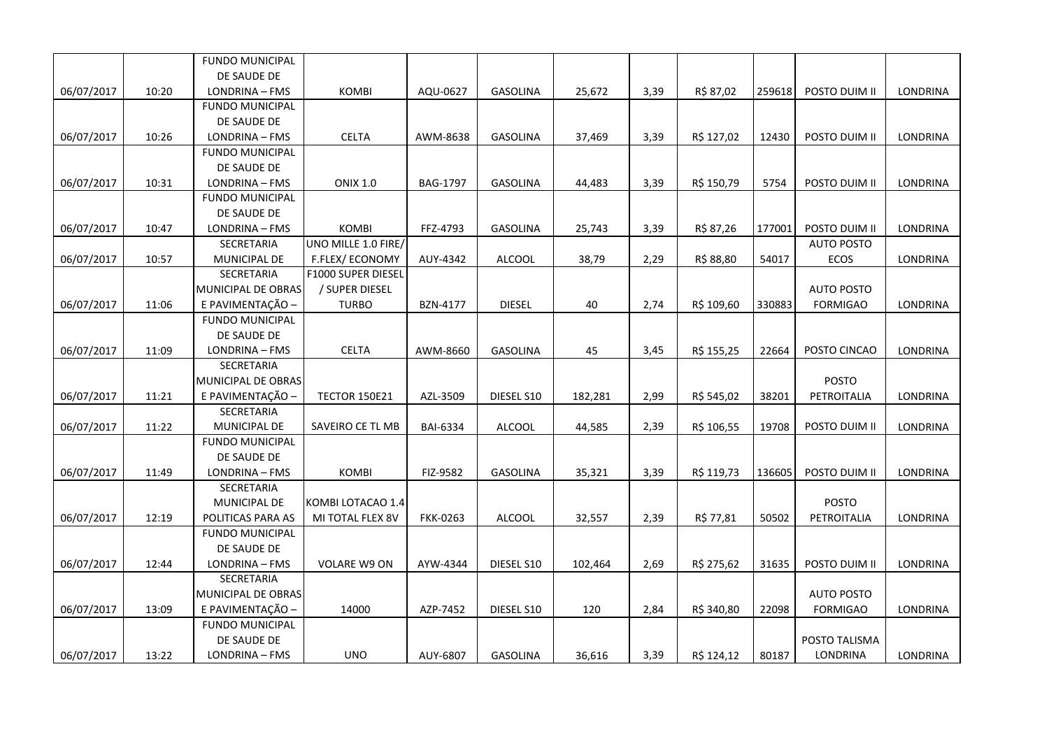|            |       | <b>FUNDO MUNICIPAL</b> |                      |                 |                 |         |      |            |        |                   |                 |
|------------|-------|------------------------|----------------------|-----------------|-----------------|---------|------|------------|--------|-------------------|-----------------|
|            |       | DE SAUDE DE            |                      |                 |                 |         |      |            |        |                   |                 |
| 06/07/2017 | 10:20 | LONDRINA - FMS         | <b>KOMBI</b>         | AQU-0627        | GASOLINA        | 25,672  | 3,39 | R\$ 87,02  | 259618 | POSTO DUIM II     | LONDRINA        |
|            |       | <b>FUNDO MUNICIPAL</b> |                      |                 |                 |         |      |            |        |                   |                 |
|            |       | DE SAUDE DE            |                      |                 |                 |         |      |            |        |                   |                 |
| 06/07/2017 | 10:26 | LONDRINA - FMS         | <b>CELTA</b>         | AWM-8638        | <b>GASOLINA</b> | 37,469  | 3,39 | R\$ 127,02 | 12430  | POSTO DUIM II     | LONDRINA        |
|            |       | <b>FUNDO MUNICIPAL</b> |                      |                 |                 |         |      |            |        |                   |                 |
|            |       | DE SAUDE DE            |                      |                 |                 |         |      |            |        |                   |                 |
| 06/07/2017 | 10:31 | LONDRINA - FMS         | <b>ONIX 1.0</b>      | BAG-1797        | <b>GASOLINA</b> | 44,483  | 3,39 | R\$ 150,79 | 5754   | POSTO DUIM II     | LONDRINA        |
|            |       | <b>FUNDO MUNICIPAL</b> |                      |                 |                 |         |      |            |        |                   |                 |
|            |       | DE SAUDE DE            |                      |                 |                 |         |      |            |        |                   |                 |
| 06/07/2017 | 10:47 | LONDRINA - FMS         | KOMBI                | FFZ-4793        | <b>GASOLINA</b> | 25,743  | 3,39 | R\$ 87,26  | 177001 | POSTO DUIM II     | <b>LONDRINA</b> |
|            |       | SECRETARIA             | UNO MILLE 1.0 FIRE/  |                 |                 |         |      |            |        | <b>AUTO POSTO</b> |                 |
| 06/07/2017 | 10:57 | MUNICIPAL DE           | F.FLEX/ECONOMY       | AUY-4342        | <b>ALCOOL</b>   | 38,79   | 2,29 | R\$ 88,80  | 54017  | ECOS              | LONDRINA        |
|            |       | SECRETARIA             | F1000 SUPER DIESEL   |                 |                 |         |      |            |        |                   |                 |
|            |       | MUNICIPAL DE OBRAS     | / SUPER DIESEL       |                 |                 |         |      |            |        | <b>AUTO POSTO</b> |                 |
| 06/07/2017 | 11:06 | E PAVIMENTAÇÃO -       | <b>TURBO</b>         | BZN-4177        | <b>DIESEL</b>   | 40      | 2,74 | R\$ 109,60 | 330883 | <b>FORMIGAO</b>   | LONDRINA        |
|            |       | FUNDO MUNICIPAL        |                      |                 |                 |         |      |            |        |                   |                 |
|            |       | DE SAUDE DE            |                      |                 |                 |         |      |            |        |                   |                 |
| 06/07/2017 | 11:09 | LONDRINA - FMS         | <b>CELTA</b>         | AWM-8660        | <b>GASOLINA</b> | 45      | 3,45 | R\$ 155,25 | 22664  | POSTO CINCAO      | LONDRINA        |
|            |       | SECRETARIA             |                      |                 |                 |         |      |            |        |                   |                 |
|            |       | MUNICIPAL DE OBRAS     |                      |                 |                 |         |      |            |        | POSTO             |                 |
| 06/07/2017 | 11:21 | E PAVIMENTAÇÃO -       | <b>TECTOR 150E21</b> | AZL-3509        | DIESEL S10      | 182,281 | 2,99 | R\$ 545,02 | 38201  | PETROITALIA       | LONDRINA        |
|            |       | SECRETARIA             |                      |                 |                 |         |      |            |        |                   |                 |
| 06/07/2017 | 11:22 | <b>MUNICIPAL DE</b>    | SAVEIRO CE TL MB     | <b>BAI-6334</b> | <b>ALCOOL</b>   | 44,585  | 2,39 | R\$ 106,55 | 19708  | POSTO DUIM II     | <b>LONDRINA</b> |
|            |       | <b>FUNDO MUNICIPAL</b> |                      |                 |                 |         |      |            |        |                   |                 |
|            |       | DE SAUDE DE            |                      |                 |                 |         |      |            |        |                   |                 |
| 06/07/2017 | 11:49 | LONDRINA - FMS         | KOMBI                | FIZ-9582        | <b>GASOLINA</b> | 35,321  | 3,39 | R\$ 119,73 | 136605 | POSTO DUIM II     | LONDRINA        |
|            |       | SECRETARIA             |                      |                 |                 |         |      |            |        |                   |                 |
|            |       | MUNICIPAL DE           | KOMBI LOTACAO 1.4    |                 |                 |         |      |            |        | POSTO             |                 |
| 06/07/2017 | 12:19 | POLITICAS PARA AS      | MI TOTAL FLEX 8V     | FKK-0263        | <b>ALCOOL</b>   | 32,557  | 2,39 | R\$ 77,81  | 50502  | PETROITALIA       | LONDRINA        |
|            |       | FUNDO MUNICIPAL        |                      |                 |                 |         |      |            |        |                   |                 |
|            |       | DE SAUDE DE            |                      |                 |                 |         |      |            |        |                   |                 |
| 06/07/2017 | 12:44 | LONDRINA - FMS         | VOLARE W9 ON         | AYW-4344        | DIESEL S10      | 102,464 | 2,69 | R\$ 275,62 | 31635  | POSTO DUIM II     | LONDRINA        |
|            |       | SECRETARIA             |                      |                 |                 |         |      |            |        |                   |                 |
|            |       | MUNICIPAL DE OBRAS     |                      |                 |                 |         |      |            |        | <b>AUTO POSTO</b> |                 |
| 06/07/2017 | 13:09 | E PAVIMENTAÇÃO -       | 14000                | AZP-7452        | DIESEL S10      | 120     | 2,84 | R\$ 340,80 | 22098  | <b>FORMIGAO</b>   | LONDRINA        |
|            |       | <b>FUNDO MUNICIPAL</b> |                      |                 |                 |         |      |            |        |                   |                 |
|            |       | DE SAUDE DE            |                      |                 |                 |         |      |            |        | POSTO TALISMA     |                 |
| 06/07/2017 | 13:22 | LONDRINA - FMS         | <b>UNO</b>           | AUY-6807        | <b>GASOLINA</b> | 36,616  | 3,39 | R\$ 124,12 | 80187  | LONDRINA          | LONDRINA        |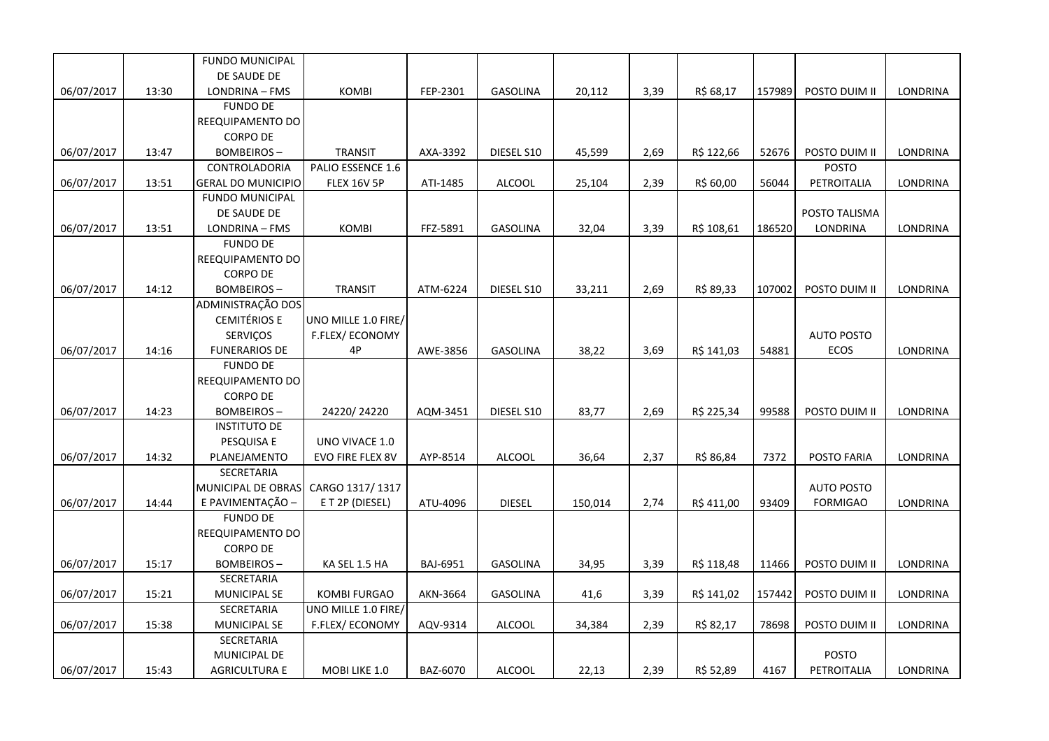|            |       | <b>FUNDO MUNICIPAL</b>    |                       |          |                 |         |      |            |        |                   |          |
|------------|-------|---------------------------|-----------------------|----------|-----------------|---------|------|------------|--------|-------------------|----------|
|            |       | DE SAUDE DE               |                       |          |                 |         |      |            |        |                   |          |
| 06/07/2017 | 13:30 | LONDRINA - FMS            | <b>KOMBI</b>          | FEP-2301 | <b>GASOLINA</b> | 20,112  | 3,39 | R\$ 68,17  | 157989 | POSTO DUIM II     | LONDRINA |
|            |       | <b>FUNDO DE</b>           |                       |          |                 |         |      |            |        |                   |          |
|            |       | REEQUIPAMENTO DO          |                       |          |                 |         |      |            |        |                   |          |
|            |       | <b>CORPO DE</b>           |                       |          |                 |         |      |            |        |                   |          |
| 06/07/2017 | 13:47 | <b>BOMBEIROS-</b>         | <b>TRANSIT</b>        | AXA-3392 | DIESEL S10      | 45,599  | 2,69 | R\$ 122,66 | 52676  | POSTO DUIM II     | LONDRINA |
|            |       | <b>CONTROLADORIA</b>      | PALIO ESSENCE 1.6     |          |                 |         |      |            |        | <b>POSTO</b>      |          |
| 06/07/2017 | 13:51 | <b>GERAL DO MUNICIPIO</b> | <b>FLEX 16V 5P</b>    | ATI-1485 | <b>ALCOOL</b>   | 25,104  | 2,39 | R\$ 60,00  | 56044  | PETROITALIA       | LONDRINA |
|            |       | <b>FUNDO MUNICIPAL</b>    |                       |          |                 |         |      |            |        |                   |          |
|            |       | DE SAUDE DE               |                       |          |                 |         |      |            |        | POSTO TALISMA     |          |
| 06/07/2017 | 13:51 | LONDRINA - FMS            | <b>KOMBI</b>          | FFZ-5891 | GASOLINA        | 32,04   | 3,39 | R\$ 108,61 | 186520 | <b>LONDRINA</b>   | LONDRINA |
|            |       | <b>FUNDO DE</b>           |                       |          |                 |         |      |            |        |                   |          |
|            |       | REEQUIPAMENTO DO          |                       |          |                 |         |      |            |        |                   |          |
|            |       | <b>CORPO DE</b>           |                       |          |                 |         |      |            |        |                   |          |
| 06/07/2017 | 14:12 | <b>BOMBEIROS-</b>         | <b>TRANSIT</b>        | ATM-6224 | DIESEL S10      | 33,211  | 2,69 | R\$ 89,33  | 107002 | POSTO DUIM II     | LONDRINA |
|            |       | ADMINISTRAÇÃO DOS         |                       |          |                 |         |      |            |        |                   |          |
|            |       | <b>CEMITÉRIOS E</b>       | UNO MILLE 1.0 FIRE/   |          |                 |         |      |            |        |                   |          |
|            |       | SERVIÇOS                  | <b>F.FLEX/ECONOMY</b> |          |                 |         |      |            |        | <b>AUTO POSTO</b> |          |
| 06/07/2017 | 14:16 | <b>FUNERARIOS DE</b>      | 4P                    | AWE-3856 | <b>GASOLINA</b> | 38,22   | 3,69 | R\$ 141,03 | 54881  | ECOS              | LONDRINA |
|            |       | <b>FUNDO DE</b>           |                       |          |                 |         |      |            |        |                   |          |
|            |       | REEQUIPAMENTO DO          |                       |          |                 |         |      |            |        |                   |          |
|            |       | <b>CORPO DE</b>           |                       |          |                 |         |      |            |        |                   |          |
| 06/07/2017 | 14:23 | <b>BOMBEIROS-</b>         | 24220/24220           | AQM-3451 | DIESEL S10      | 83,77   | 2,69 | R\$ 225,34 | 99588  | POSTO DUIM II     | LONDRINA |
|            |       | <b>INSTITUTO DE</b>       |                       |          |                 |         |      |            |        |                   |          |
|            |       | PESQUISA E                | UNO VIVACE 1.0        |          |                 |         |      |            |        |                   |          |
| 06/07/2017 | 14:32 | PLANEJAMENTO              | EVO FIRE FLEX 8V      | AYP-8514 | ALCOOL          | 36,64   | 2,37 | R\$ 86,84  | 7372   | POSTO FARIA       | LONDRINA |
|            |       | SECRETARIA                |                       |          |                 |         |      |            |        |                   |          |
|            |       | MUNICIPAL DE OBRAS        | CARGO 1317/1317       |          |                 |         |      |            |        | <b>AUTO POSTO</b> |          |
| 06/07/2017 | 14:44 | E PAVIMENTAÇÃO -          | ET 2P (DIESEL)        | ATU-4096 | <b>DIESEL</b>   | 150,014 | 2,74 | R\$ 411,00 | 93409  | <b>FORMIGAO</b>   | LONDRINA |
|            |       | <b>FUNDO DE</b>           |                       |          |                 |         |      |            |        |                   |          |
|            |       | REEQUIPAMENTO DO          |                       |          |                 |         |      |            |        |                   |          |
|            |       | <b>CORPO DE</b>           |                       |          |                 |         |      |            |        |                   |          |
| 06/07/2017 | 15:17 | <b>BOMBEIROS-</b>         | KA SEL 1.5 HA         | BAJ-6951 | <b>GASOLINA</b> | 34,95   | 3,39 | R\$ 118,48 | 11466  | POSTO DUIM II     | LONDRINA |
|            |       | SECRETARIA                |                       |          |                 |         |      |            |        |                   |          |
| 06/07/2017 | 15:21 | MUNICIPAL SE              | <b>KOMBI FURGAO</b>   | AKN-3664 | <b>GASOLINA</b> | 41,6    | 3,39 | R\$ 141,02 | 157442 | POSTO DUIM II     | LONDRINA |
|            |       | SECRETARIA                | UNO MILLE 1.0 FIRE/   |          |                 |         |      |            |        |                   |          |
| 06/07/2017 | 15:38 | MUNICIPAL SE              | F.FLEX/ECONOMY        | AQV-9314 | <b>ALCOOL</b>   | 34,384  | 2,39 | R\$ 82,17  | 78698  | POSTO DUIM II     | LONDRINA |
|            |       | SECRETARIA                |                       |          |                 |         |      |            |        |                   |          |
|            |       | MUNICIPAL DE              |                       |          |                 |         |      |            |        | <b>POSTO</b>      |          |
| 06/07/2017 | 15:43 | <b>AGRICULTURA E</b>      | MOBI LIKE 1.0         | BAZ-6070 | <b>ALCOOL</b>   | 22,13   | 2,39 | R\$ 52,89  | 4167   | PETROITALIA       | LONDRINA |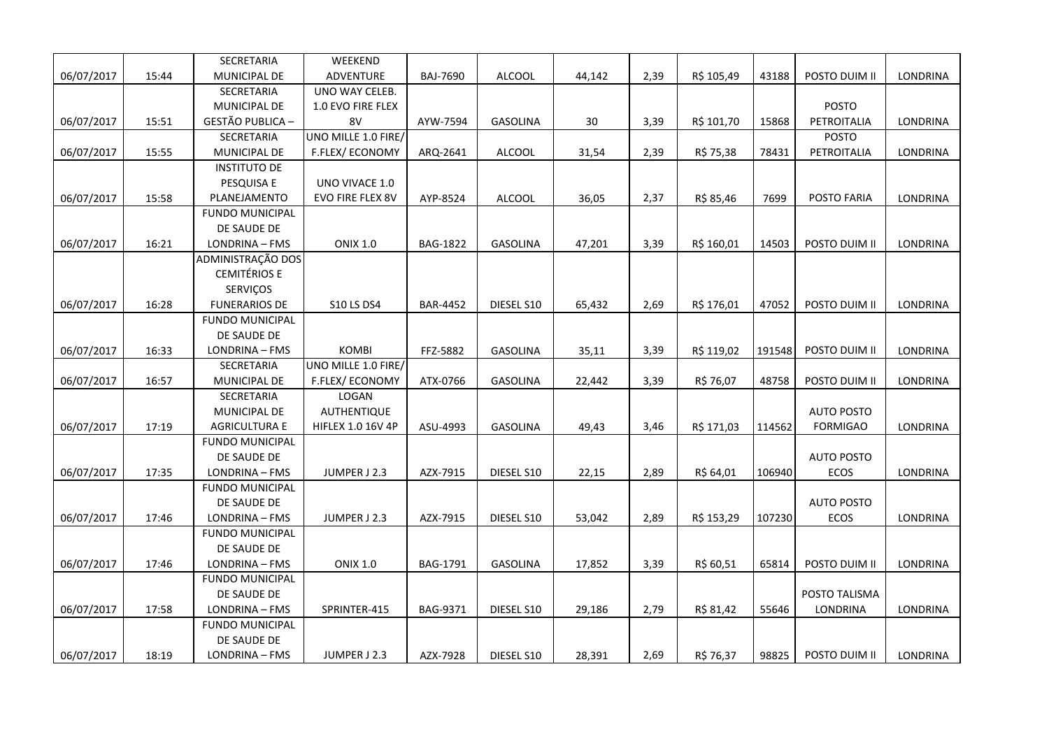|            |       | SECRETARIA              | WEEKEND                  |                 |                 |        |      |            |        |                   |                 |
|------------|-------|-------------------------|--------------------------|-----------------|-----------------|--------|------|------------|--------|-------------------|-----------------|
| 06/07/2017 | 15:44 | MUNICIPAL DE            | <b>ADVENTURE</b>         | BAJ-7690        | ALCOOL          | 44,142 | 2,39 | R\$ 105,49 | 43188  | POSTO DUIM II     | LONDRINA        |
|            |       | SECRETARIA              | UNO WAY CELEB.           |                 |                 |        |      |            |        |                   |                 |
|            |       | MUNICIPAL DE            | 1.0 EVO FIRE FLEX        |                 |                 |        |      |            |        | <b>POSTO</b>      |                 |
| 06/07/2017 | 15:51 | <b>GESTÃO PUBLICA -</b> | 8V                       | AYW-7594        | <b>GASOLINA</b> | 30     | 3,39 | R\$ 101,70 | 15868  | PETROITALIA       | LONDRINA        |
|            |       | SECRETARIA              | UNO MILLE 1.0 FIRE/      |                 |                 |        |      |            |        | POSTO             |                 |
| 06/07/2017 | 15:55 | MUNICIPAL DE            | F.FLEX/ECONOMY           | ARQ-2641        | ALCOOL          | 31,54  | 2,39 | R\$ 75,38  | 78431  | PETROITALIA       | LONDRINA        |
|            |       | <b>INSTITUTO DE</b>     |                          |                 |                 |        |      |            |        |                   |                 |
|            |       | PESQUISA E              | UNO VIVACE 1.0           |                 |                 |        |      |            |        |                   |                 |
| 06/07/2017 | 15:58 | PLANEJAMENTO            | EVO FIRE FLEX 8V         | AYP-8524        | ALCOOL          | 36,05  | 2,37 | R\$ 85,46  | 7699   | POSTO FARIA       | LONDRINA        |
|            |       | <b>FUNDO MUNICIPAL</b>  |                          |                 |                 |        |      |            |        |                   |                 |
|            |       | DE SAUDE DE             |                          |                 |                 |        |      |            |        |                   |                 |
| 06/07/2017 | 16:21 | LONDRINA - FMS          | <b>ONIX 1.0</b>          | BAG-1822        | GASOLINA        | 47,201 | 3,39 | R\$ 160,01 | 14503  | POSTO DUIM II     | LONDRINA        |
|            |       | ADMINISTRAÇÃO DOS       |                          |                 |                 |        |      |            |        |                   |                 |
|            |       | <b>CEMITÉRIOS E</b>     |                          |                 |                 |        |      |            |        |                   |                 |
|            |       | SERVIÇOS                |                          |                 |                 |        |      |            |        |                   |                 |
| 06/07/2017 | 16:28 | <b>FUNERARIOS DE</b>    | <b>S10 LS DS4</b>        | <b>BAR-4452</b> | DIESEL S10      | 65,432 | 2,69 | R\$ 176,01 | 47052  | POSTO DUIM II     | LONDRINA        |
|            |       | <b>FUNDO MUNICIPAL</b>  |                          |                 |                 |        |      |            |        |                   |                 |
|            |       | DE SAUDE DE             |                          |                 |                 |        |      |            |        |                   |                 |
| 06/07/2017 | 16:33 | LONDRINA - FMS          | <b>KOMBI</b>             | FFZ-5882        | <b>GASOLINA</b> | 35,11  | 3,39 | R\$ 119,02 | 191548 | POSTO DUIM II     | LONDRINA        |
|            |       | SECRETARIA              | UNO MILLE 1.0 FIRE/      |                 |                 |        |      |            |        |                   |                 |
| 06/07/2017 | 16:57 | MUNICIPAL DE            | F.FLEX/ECONOMY           | ATX-0766        | GASOLINA        | 22,442 | 3,39 | R\$ 76,07  | 48758  | POSTO DUIM II     | LONDRINA        |
|            |       | SECRETARIA              | LOGAN                    |                 |                 |        |      |            |        |                   |                 |
|            |       | <b>MUNICIPAL DE</b>     | <b>AUTHENTIQUE</b>       |                 |                 |        |      |            |        | <b>AUTO POSTO</b> |                 |
| 06/07/2017 | 17:19 | <b>AGRICULTURA E</b>    | <b>HIFLEX 1.0 16V 4P</b> | ASU-4993        | <b>GASOLINA</b> | 49,43  | 3,46 | R\$ 171,03 | 114562 | <b>FORMIGAO</b>   | LONDRINA        |
|            |       | <b>FUNDO MUNICIPAL</b>  |                          |                 |                 |        |      |            |        |                   |                 |
|            |       | DE SAUDE DE             |                          |                 |                 |        |      |            |        | <b>AUTO POSTO</b> |                 |
| 06/07/2017 | 17:35 | LONDRINA - FMS          | JUMPER J 2.3             | AZX-7915        | DIESEL S10      | 22,15  | 2,89 | R\$ 64,01  | 106940 | ECOS              | <b>LONDRINA</b> |
|            |       | <b>FUNDO MUNICIPAL</b>  |                          |                 |                 |        |      |            |        |                   |                 |
|            |       | DE SAUDE DE             |                          |                 |                 |        |      |            |        | <b>AUTO POSTO</b> |                 |
| 06/07/2017 | 17:46 | LONDRINA - FMS          | JUMPER J 2.3             | AZX-7915        | DIESEL S10      | 53,042 | 2,89 | R\$ 153,29 | 107230 | ECOS              | <b>LONDRINA</b> |
|            |       | <b>FUNDO MUNICIPAL</b>  |                          |                 |                 |        |      |            |        |                   |                 |
|            |       | DE SAUDE DE             |                          |                 |                 |        |      |            |        |                   |                 |
| 06/07/2017 | 17:46 | LONDRINA - FMS          | <b>ONIX 1.0</b>          | BAG-1791        | GASOLINA        | 17,852 | 3,39 | R\$ 60,51  | 65814  | POSTO DUIM II     | LONDRINA        |
|            |       | <b>FUNDO MUNICIPAL</b>  |                          |                 |                 |        |      |            |        |                   |                 |
|            |       | DE SAUDE DE             |                          |                 |                 |        |      |            |        | POSTO TALISMA     |                 |
| 06/07/2017 | 17:58 | LONDRINA - FMS          | SPRINTER-415             | <b>BAG-9371</b> | DIESEL S10      | 29,186 | 2,79 | R\$ 81,42  | 55646  | <b>LONDRINA</b>   | LONDRINA        |
|            |       | <b>FUNDO MUNICIPAL</b>  |                          |                 |                 |        |      |            |        |                   |                 |
|            |       | DE SAUDE DE             |                          |                 |                 |        |      |            |        |                   |                 |
| 06/07/2017 | 18:19 | LONDRINA - FMS          | JUMPER J 2.3             | AZX-7928        | DIESEL S10      | 28,391 | 2,69 | R\$ 76,37  | 98825  | POSTO DUIM II     | LONDRINA        |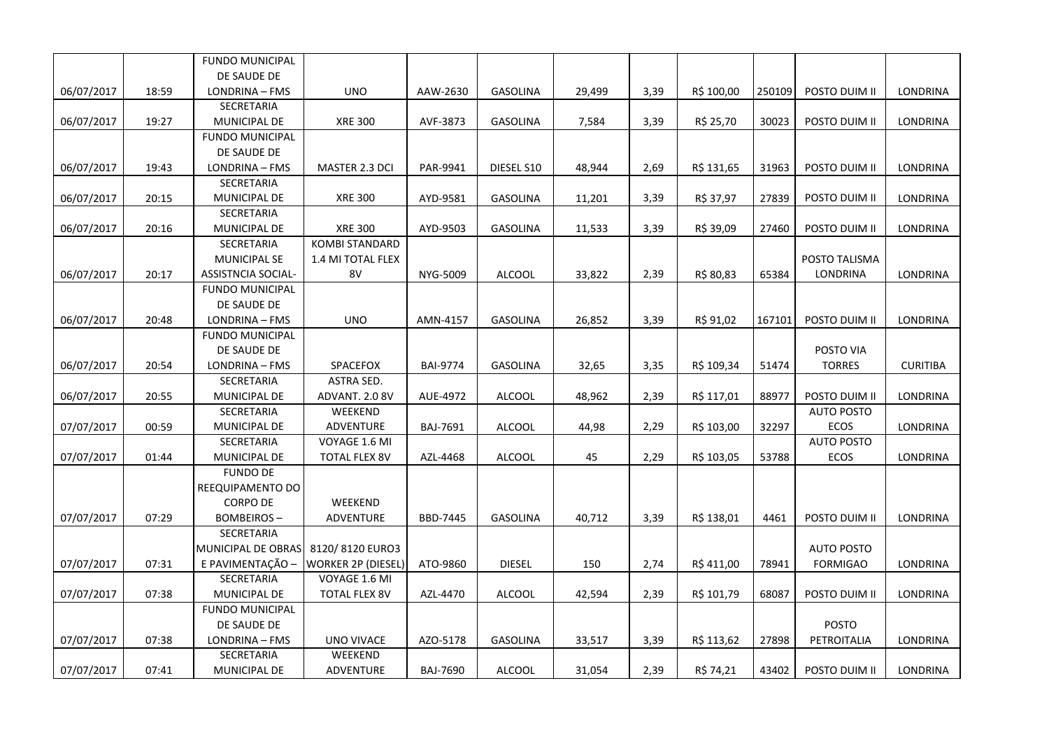|            |       | <b>FUNDO MUNICIPAL</b>    |                           |                 |                 |        |      |            |        |                   |                 |
|------------|-------|---------------------------|---------------------------|-----------------|-----------------|--------|------|------------|--------|-------------------|-----------------|
|            |       | DE SAUDE DE               |                           |                 |                 |        |      |            |        |                   |                 |
| 06/07/2017 | 18:59 | LONDRINA - FMS            | <b>UNO</b>                | AAW-2630        | <b>GASOLINA</b> | 29,499 | 3,39 | R\$ 100,00 | 250109 | POSTO DUIM II     | <b>LONDRINA</b> |
|            |       | SECRETARIA                |                           |                 |                 |        |      |            |        |                   |                 |
| 06/07/2017 | 19:27 | MUNICIPAL DE              | <b>XRE 300</b>            | AVF-3873        | GASOLINA        | 7,584  | 3,39 | R\$ 25,70  | 30023  | POSTO DUIM II     | LONDRINA        |
|            |       | <b>FUNDO MUNICIPAL</b>    |                           |                 |                 |        |      |            |        |                   |                 |
|            |       | DE SAUDE DE               |                           |                 |                 |        |      |            |        |                   |                 |
| 06/07/2017 | 19:43 | LONDRINA - FMS            | MASTER 2.3 DCI            | PAR-9941        | DIESEL S10      | 48,944 | 2,69 | R\$ 131,65 | 31963  | POSTO DUIM II     | <b>LONDRINA</b> |
|            |       | SECRETARIA                |                           |                 |                 |        |      |            |        |                   |                 |
| 06/07/2017 | 20:15 | MUNICIPAL DE              | <b>XRE 300</b>            | AYD-9581        | GASOLINA        | 11,201 | 3,39 | R\$ 37,97  | 27839  | POSTO DUIM II     | LONDRINA        |
|            |       | SECRETARIA                |                           |                 |                 |        |      |            |        |                   |                 |
| 06/07/2017 | 20:16 | MUNICIPAL DE              | <b>XRE 300</b>            | AYD-9503        | GASOLINA        | 11,533 | 3,39 | R\$ 39,09  | 27460  | POSTO DUIM II     | LONDRINA        |
|            |       | SECRETARIA                | <b>KOMBI STANDARD</b>     |                 |                 |        |      |            |        |                   |                 |
|            |       | MUNICIPAL SE              | 1.4 MI TOTAL FLEX         |                 |                 |        |      |            |        | POSTO TALISMA     |                 |
| 06/07/2017 | 20:17 | <b>ASSISTNCIA SOCIAL-</b> | 8V                        | NYG-5009        | ALCOOL          | 33,822 | 2,39 | R\$ 80,83  | 65384  | LONDRINA          | LONDRINA        |
|            |       | <b>FUNDO MUNICIPAL</b>    |                           |                 |                 |        |      |            |        |                   |                 |
|            |       | DE SAUDE DE               |                           |                 |                 |        |      |            |        |                   |                 |
| 06/07/2017 | 20:48 | LONDRINA - FMS            | <b>UNO</b>                | AMN-4157        | <b>GASOLINA</b> | 26,852 | 3,39 | R\$ 91,02  | 167101 | POSTO DUIM II     | <b>LONDRINA</b> |
|            |       | <b>FUNDO MUNICIPAL</b>    |                           |                 |                 |        |      |            |        |                   |                 |
|            |       | DE SAUDE DE               |                           |                 |                 |        |      |            |        | POSTO VIA         |                 |
| 06/07/2017 | 20:54 | LONDRINA - FMS            | SPACEFOX                  | <b>BAI-9774</b> | <b>GASOLINA</b> | 32,65  | 3,35 | R\$ 109,34 | 51474  | <b>TORRES</b>     | <b>CURITIBA</b> |
|            |       | SECRETARIA                | ASTRA SED.                |                 |                 |        |      |            |        |                   |                 |
| 06/07/2017 | 20:55 | MUNICIPAL DE              | ADVANT. 2.0 8V            | AUE-4972        | <b>ALCOOL</b>   | 48,962 | 2,39 | R\$ 117,01 | 88977  | POSTO DUIM II     | LONDRINA        |
|            |       | SECRETARIA                | WEEKEND                   |                 |                 |        |      |            |        | <b>AUTO POSTO</b> |                 |
| 07/07/2017 | 00:59 | MUNICIPAL DE              | ADVENTURE                 | BAJ-7691        | <b>ALCOOL</b>   | 44,98  | 2,29 | R\$ 103,00 | 32297  | ECOS              | LONDRINA        |
|            |       | SECRETARIA                | VOYAGE 1.6 MI             |                 |                 |        |      |            |        | <b>AUTO POSTO</b> |                 |
| 07/07/2017 | 01:44 | MUNICIPAL DE              | TOTAL FLEX 8V             | AZL-4468        | <b>ALCOOL</b>   | 45     | 2,29 | R\$ 103,05 | 53788  | ECOS              | LONDRINA        |
|            |       | <b>FUNDO DE</b>           |                           |                 |                 |        |      |            |        |                   |                 |
|            |       | REEQUIPAMENTO DO          |                           |                 |                 |        |      |            |        |                   |                 |
|            |       | <b>CORPO DE</b>           | WEEKEND                   |                 |                 |        |      |            |        |                   |                 |
| 07/07/2017 | 07:29 | <b>BOMBEIROS-</b>         | <b>ADVENTURE</b>          | <b>BBD-7445</b> | <b>GASOLINA</b> | 40,712 | 3,39 | R\$ 138,01 | 4461   | POSTO DUIM II     | LONDRINA        |
|            |       | <b>SECRETARIA</b>         |                           |                 |                 |        |      |            |        |                   |                 |
|            |       | MUNICIPAL DE OBRAS        | 8120/8120 EURO3           |                 |                 |        |      |            |        | <b>AUTO POSTO</b> |                 |
| 07/07/2017 | 07:31 | E PAVIMENTAÇÃO -          | <b>WORKER 2P (DIESEL)</b> | ATO-9860        | <b>DIESEL</b>   | 150    | 2,74 | R\$ 411,00 | 78941  | <b>FORMIGAO</b>   | LONDRINA        |
|            |       | SECRETARIA                | VOYAGE 1.6 MI             |                 |                 |        |      |            |        |                   |                 |
| 07/07/2017 | 07:38 | MUNICIPAL DE              | <b>TOTAL FLEX 8V</b>      | AZL-4470        | <b>ALCOOL</b>   | 42,594 | 2,39 | R\$ 101,79 | 68087  | POSTO DUIM II     | LONDRINA        |
|            |       | <b>FUNDO MUNICIPAL</b>    |                           |                 |                 |        |      |            |        |                   |                 |
|            |       | DE SAUDE DE               |                           |                 |                 |        |      |            |        | <b>POSTO</b>      |                 |
| 07/07/2017 | 07:38 | LONDRINA - FMS            | UNO VIVACE                | AZO-5178        | <b>GASOLINA</b> | 33,517 | 3,39 | R\$ 113,62 | 27898  | PETROITALIA       | LONDRINA        |
|            |       | SECRETARIA                | WEEKEND                   |                 |                 |        |      |            |        |                   |                 |
| 07/07/2017 | 07:41 | MUNICIPAL DE              | <b>ADVENTURE</b>          | <b>BAJ-7690</b> | ALCOOL          | 31,054 | 2,39 | R\$ 74,21  | 43402  | POSTO DUIM II     | LONDRINA        |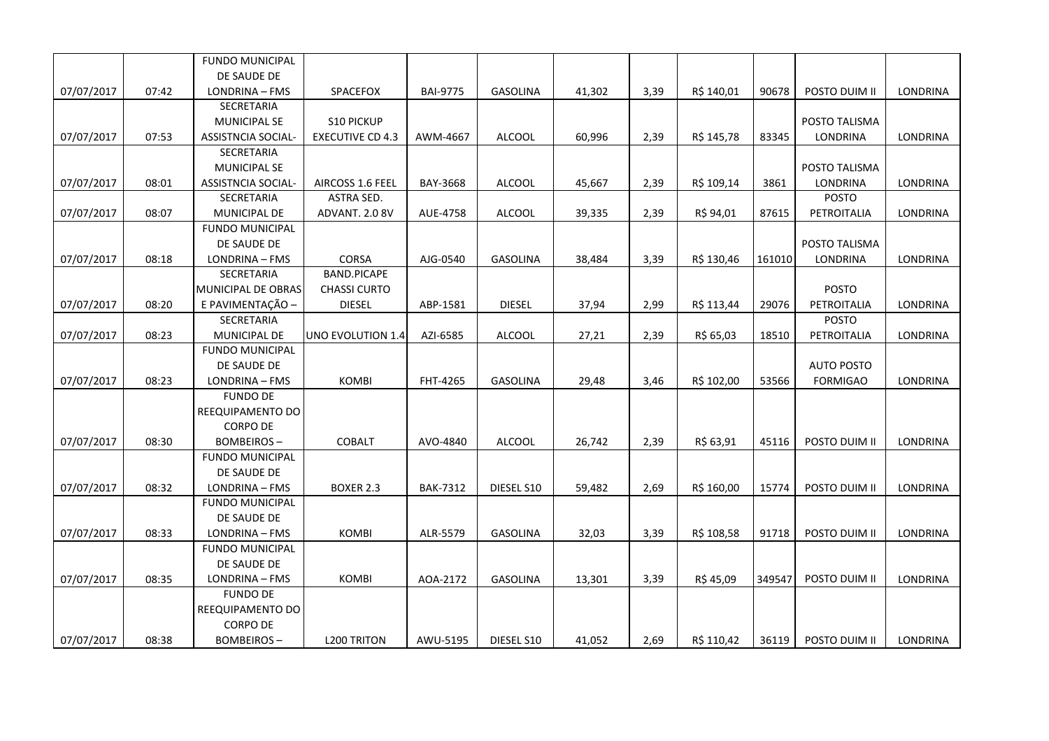|            |       | <b>FUNDO MUNICIPAL</b>    |                         |                 |                 |        |      |            |        |                   |                 |
|------------|-------|---------------------------|-------------------------|-----------------|-----------------|--------|------|------------|--------|-------------------|-----------------|
|            |       | DE SAUDE DE               |                         |                 |                 |        |      |            |        |                   |                 |
| 07/07/2017 | 07:42 | LONDRINA - FMS            | SPACEFOX                | <b>BAI-9775</b> | GASOLINA        | 41,302 | 3,39 | R\$ 140,01 | 90678  | POSTO DUIM II     | <b>LONDRINA</b> |
|            |       | SECRETARIA                |                         |                 |                 |        |      |            |        |                   |                 |
|            |       | <b>MUNICIPAL SE</b>       | <b>S10 PICKUP</b>       |                 |                 |        |      |            |        | POSTO TALISMA     |                 |
| 07/07/2017 | 07:53 | <b>ASSISTNCIA SOCIAL-</b> | <b>EXECUTIVE CD 4.3</b> | AWM-4667        | <b>ALCOOL</b>   | 60,996 | 2,39 | R\$ 145,78 | 83345  | LONDRINA          | LONDRINA        |
|            |       | SECRETARIA                |                         |                 |                 |        |      |            |        |                   |                 |
|            |       | <b>MUNICIPAL SE</b>       |                         |                 |                 |        |      |            |        | POSTO TALISMA     |                 |
| 07/07/2017 | 08:01 | <b>ASSISTNCIA SOCIAL-</b> | AIRCOSS 1.6 FEEL        | BAY-3668        | <b>ALCOOL</b>   | 45,667 | 2,39 | R\$ 109,14 | 3861   | LONDRINA          | LONDRINA        |
|            |       | SECRETARIA                | <b>ASTRA SED.</b>       |                 |                 |        |      |            |        | <b>POSTO</b>      |                 |
| 07/07/2017 | 08:07 | <b>MUNICIPAL DE</b>       | ADVANT. 2.0 8V          | AUE-4758        | <b>ALCOOL</b>   | 39,335 | 2,39 | R\$ 94,01  | 87615  | PETROITALIA       | LONDRINA        |
|            |       | <b>FUNDO MUNICIPAL</b>    |                         |                 |                 |        |      |            |        |                   |                 |
|            |       | DE SAUDE DE               |                         |                 |                 |        |      |            |        | POSTO TALISMA     |                 |
| 07/07/2017 | 08:18 | LONDRINA - FMS            | CORSA                   | AJG-0540        | <b>GASOLINA</b> | 38,484 | 3,39 | R\$ 130,46 | 161010 | LONDRINA          | LONDRINA        |
|            |       | SECRETARIA                | <b>BAND.PICAPE</b>      |                 |                 |        |      |            |        |                   |                 |
|            |       | MUNICIPAL DE OBRAS        | <b>CHASSI CURTO</b>     |                 |                 |        |      |            |        | <b>POSTO</b>      |                 |
| 07/07/2017 | 08:20 | E PAVIMENTAÇÃO -          | <b>DIESEL</b>           | ABP-1581        | <b>DIESEL</b>   | 37,94  | 2,99 | R\$ 113,44 | 29076  | PETROITALIA       | LONDRINA        |
|            |       | <b>SECRETARIA</b>         |                         |                 |                 |        |      |            |        | <b>POSTO</b>      |                 |
| 07/07/2017 | 08:23 | MUNICIPAL DE              | UNO EVOLUTION 1.4       | AZI-6585        | <b>ALCOOL</b>   | 27,21  | 2,39 | R\$ 65,03  | 18510  | PETROITALIA       | LONDRINA        |
|            |       | <b>FUNDO MUNICIPAL</b>    |                         |                 |                 |        |      |            |        |                   |                 |
|            |       | DE SAUDE DE               |                         |                 |                 |        |      |            |        | <b>AUTO POSTO</b> |                 |
| 07/07/2017 | 08:23 | LONDRINA - FMS            | <b>KOMBI</b>            | FHT-4265        | GASOLINA        | 29,48  | 3,46 | R\$ 102,00 | 53566  | <b>FORMIGAO</b>   | LONDRINA        |
|            |       | <b>FUNDO DE</b>           |                         |                 |                 |        |      |            |        |                   |                 |
|            |       | REEQUIPAMENTO DO          |                         |                 |                 |        |      |            |        |                   |                 |
|            |       | <b>CORPO DE</b>           |                         |                 |                 |        |      |            |        |                   |                 |
| 07/07/2017 | 08:30 | <b>BOMBEIROS-</b>         | <b>COBALT</b>           | AVO-4840        | <b>ALCOOL</b>   | 26,742 | 2,39 | R\$ 63,91  | 45116  | POSTO DUIM II     | LONDRINA        |
|            |       | <b>FUNDO MUNICIPAL</b>    |                         |                 |                 |        |      |            |        |                   |                 |
|            |       | DE SAUDE DE               |                         |                 |                 |        |      |            |        |                   |                 |
| 07/07/2017 | 08:32 | LONDRINA - FMS            | BOXER 2.3               | <b>BAK-7312</b> | DIESEL S10      | 59,482 | 2,69 | R\$ 160,00 | 15774  | POSTO DUIM II     | LONDRINA        |
|            |       | <b>FUNDO MUNICIPAL</b>    |                         |                 |                 |        |      |            |        |                   |                 |
|            |       | DE SAUDE DE               |                         |                 |                 |        |      |            |        |                   |                 |
| 07/07/2017 | 08:33 | LONDRINA - FMS            | <b>KOMBI</b>            | ALR-5579        | <b>GASOLINA</b> | 32,03  | 3,39 | R\$ 108,58 | 91718  | POSTO DUIM II     | LONDRINA        |
|            |       | <b>FUNDO MUNICIPAL</b>    |                         |                 |                 |        |      |            |        |                   |                 |
|            |       | DE SAUDE DE               |                         |                 |                 |        |      |            |        |                   |                 |
| 07/07/2017 | 08:35 | LONDRINA - FMS            | <b>KOMBI</b>            | AOA-2172        | <b>GASOLINA</b> | 13,301 | 3,39 | R\$ 45,09  | 349547 | POSTO DUIM II     | LONDRINA        |
|            |       | <b>FUNDO DE</b>           |                         |                 |                 |        |      |            |        |                   |                 |
|            |       | REEQUIPAMENTO DO          |                         |                 |                 |        |      |            |        |                   |                 |
|            |       | <b>CORPO DE</b>           |                         |                 |                 |        |      |            |        |                   |                 |
| 07/07/2017 | 08:38 | <b>BOMBEIROS-</b>         | <b>L200 TRITON</b>      | AWU-5195        | DIESEL S10      | 41,052 | 2,69 | R\$ 110,42 | 36119  | POSTO DUIM II     | <b>LONDRINA</b> |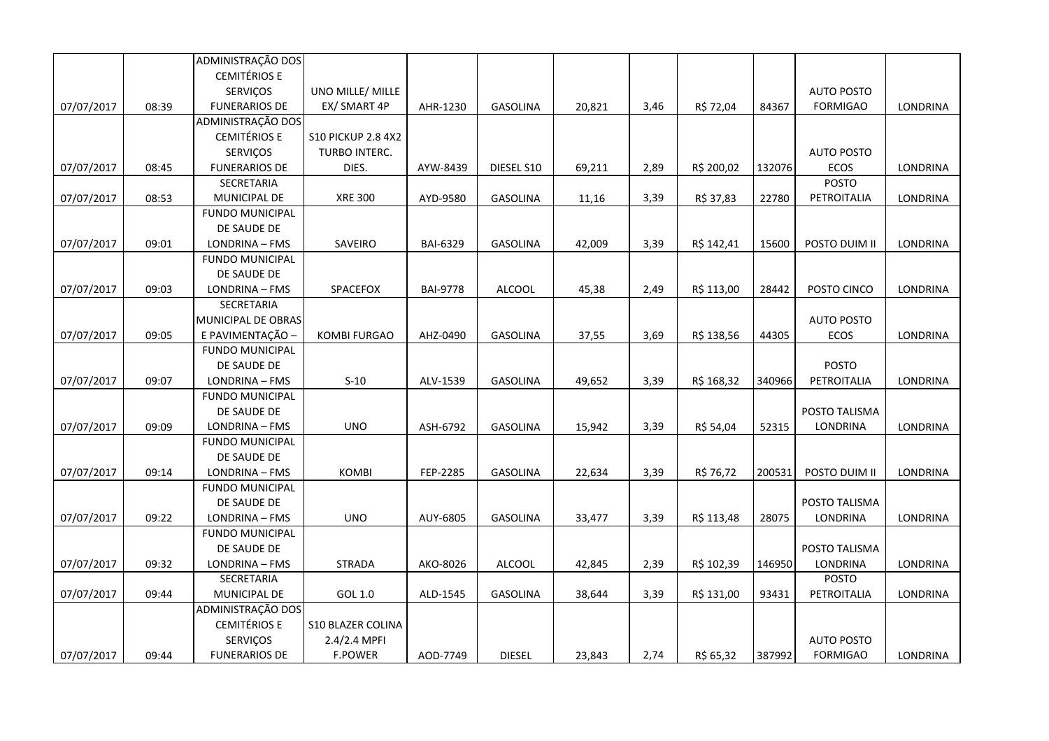|            |       | ADMINISTRAÇÃO DOS      |                           |                 |                 |        |      |            |        |                   |          |
|------------|-------|------------------------|---------------------------|-----------------|-----------------|--------|------|------------|--------|-------------------|----------|
|            |       | <b>CEMITÉRIOS E</b>    |                           |                 |                 |        |      |            |        |                   |          |
|            |       | <b>SERVIÇOS</b>        | UNO MILLE/ MILLE          |                 |                 |        |      |            |        | <b>AUTO POSTO</b> |          |
| 07/07/2017 | 08:39 | <b>FUNERARIOS DE</b>   | EX/ SMART 4P              | AHR-1230        | GASOLINA        | 20,821 | 3,46 | R\$ 72,04  | 84367  | <b>FORMIGAO</b>   | LONDRINA |
|            |       | ADMINISTRAÇÃO DOS      |                           |                 |                 |        |      |            |        |                   |          |
|            |       | <b>CEMITÉRIOS E</b>    | <b>S10 PICKUP 2.8 4X2</b> |                 |                 |        |      |            |        |                   |          |
|            |       | SERVIÇOS               | TURBO INTERC.             |                 |                 |        |      |            |        | <b>AUTO POSTO</b> |          |
| 07/07/2017 | 08:45 | <b>FUNERARIOS DE</b>   | DIES.                     | AYW-8439        | DIESEL S10      | 69,211 | 2,89 | R\$ 200,02 | 132076 | ECOS              | LONDRINA |
|            |       | SECRETARIA             |                           |                 |                 |        |      |            |        | POSTO             |          |
| 07/07/2017 | 08:53 | MUNICIPAL DE           | <b>XRE 300</b>            | AYD-9580        | GASOLINA        | 11,16  | 3,39 | R\$ 37,83  | 22780  | PETROITALIA       | LONDRINA |
|            |       | <b>FUNDO MUNICIPAL</b> |                           |                 |                 |        |      |            |        |                   |          |
|            |       | DE SAUDE DE            |                           |                 |                 |        |      |            |        |                   |          |
| 07/07/2017 | 09:01 | LONDRINA - FMS         | SAVEIRO                   | BAI-6329        | GASOLINA        | 42,009 | 3,39 | R\$ 142,41 | 15600  | POSTO DUIM II     | LONDRINA |
|            |       | <b>FUNDO MUNICIPAL</b> |                           |                 |                 |        |      |            |        |                   |          |
|            |       | DE SAUDE DE            |                           |                 |                 |        |      |            |        |                   |          |
| 07/07/2017 | 09:03 | LONDRINA - FMS         | SPACEFOX                  | <b>BAI-9778</b> | <b>ALCOOL</b>   | 45,38  | 2,49 | R\$ 113,00 | 28442  | POSTO CINCO       | LONDRINA |
|            |       | <b>SECRETARIA</b>      |                           |                 |                 |        |      |            |        |                   |          |
|            |       | MUNICIPAL DE OBRAS     |                           |                 |                 |        |      |            |        | <b>AUTO POSTO</b> |          |
| 07/07/2017 | 09:05 | E PAVIMENTAÇÃO -       | <b>KOMBI FURGAO</b>       | AHZ-0490        | <b>GASOLINA</b> | 37,55  | 3,69 | R\$ 138,56 | 44305  | <b>ECOS</b>       | LONDRINA |
|            |       | <b>FUNDO MUNICIPAL</b> |                           |                 |                 |        |      |            |        |                   |          |
|            |       | DE SAUDE DE            |                           |                 |                 |        |      |            |        | <b>POSTO</b>      |          |
| 07/07/2017 | 09:07 | LONDRINA - FMS         | $S-10$                    | ALV-1539        | <b>GASOLINA</b> | 49,652 | 3,39 | R\$ 168,32 | 340966 | PETROITALIA       | LONDRINA |
|            |       | <b>FUNDO MUNICIPAL</b> |                           |                 |                 |        |      |            |        |                   |          |
|            |       | DE SAUDE DE            |                           |                 |                 |        |      |            |        | POSTO TALISMA     |          |
| 07/07/2017 | 09:09 | LONDRINA - FMS         | <b>UNO</b>                | ASH-6792        | <b>GASOLINA</b> | 15,942 | 3,39 | R\$ 54,04  | 52315  | LONDRINA          | LONDRINA |
|            |       | <b>FUNDO MUNICIPAL</b> |                           |                 |                 |        |      |            |        |                   |          |
|            |       | DE SAUDE DE            |                           |                 |                 |        |      |            |        |                   |          |
| 07/07/2017 | 09:14 | LONDRINA - FMS         | KOMBI                     | FEP-2285        | <b>GASOLINA</b> | 22,634 | 3,39 | R\$ 76,72  | 200531 | POSTO DUIM II     | LONDRINA |
|            |       | <b>FUNDO MUNICIPAL</b> |                           |                 |                 |        |      |            |        |                   |          |
|            |       | DE SAUDE DE            |                           |                 |                 |        |      |            |        | POSTO TALISMA     |          |
| 07/07/2017 | 09:22 | LONDRINA - FMS         | <b>UNO</b>                | AUY-6805        | <b>GASOLINA</b> | 33,477 | 3,39 | R\$ 113,48 | 28075  | LONDRINA          | LONDRINA |
|            |       | <b>FUNDO MUNICIPAL</b> |                           |                 |                 |        |      |            |        |                   |          |
|            |       | DE SAUDE DE            |                           |                 |                 |        |      |            |        | POSTO TALISMA     |          |
| 07/07/2017 | 09:32 | LONDRINA - FMS         | <b>STRADA</b>             | AKO-8026        | <b>ALCOOL</b>   | 42,845 | 2,39 | R\$ 102,39 | 146950 | LONDRINA          | LONDRINA |
|            |       | SECRETARIA             |                           |                 |                 |        |      |            |        | POSTO             |          |
| 07/07/2017 | 09:44 | MUNICIPAL DE           | GOL 1.0                   | ALD-1545        | <b>GASOLINA</b> | 38,644 | 3,39 | R\$ 131,00 | 93431  | PETROITALIA       | LONDRINA |
|            |       | ADMINISTRAÇÃO DOS      |                           |                 |                 |        |      |            |        |                   |          |
|            |       | <b>CEMITÉRIOS E</b>    | <b>S10 BLAZER COLINA</b>  |                 |                 |        |      |            |        |                   |          |
|            |       | SERVIÇOS               | 2.4/2.4 MPFI              |                 |                 |        |      |            |        | <b>AUTO POSTO</b> |          |
| 07/07/2017 | 09:44 | <b>FUNERARIOS DE</b>   | <b>F.POWER</b>            | AOD-7749        | <b>DIESEL</b>   | 23,843 | 2,74 | R\$ 65,32  | 387992 | <b>FORMIGAO</b>   | LONDRINA |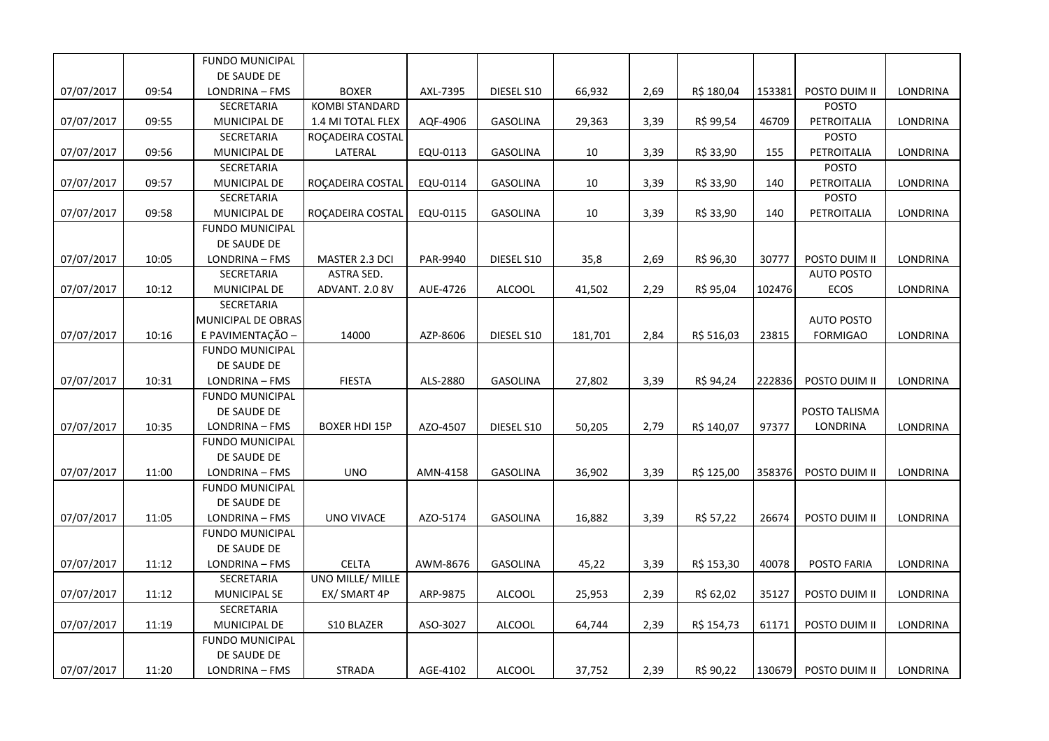|            |       | <b>FUNDO MUNICIPAL</b> |                       |          |                 |         |      |            |        |                   |                 |
|------------|-------|------------------------|-----------------------|----------|-----------------|---------|------|------------|--------|-------------------|-----------------|
|            |       | DE SAUDE DE            |                       |          |                 |         |      |            |        |                   |                 |
| 07/07/2017 | 09:54 | LONDRINA - FMS         | <b>BOXER</b>          | AXL-7395 | DIESEL S10      | 66,932  | 2,69 | R\$ 180,04 | 153381 | POSTO DUIM II     | LONDRINA        |
|            |       | SECRETARIA             | <b>KOMBI STANDARD</b> |          |                 |         |      |            |        | <b>POSTO</b>      |                 |
| 07/07/2017 | 09:55 | MUNICIPAL DE           | 1.4 MI TOTAL FLEX     | AQF-4906 | <b>GASOLINA</b> | 29,363  | 3,39 | R\$ 99,54  | 46709  | PETROITALIA       | LONDRINA        |
|            |       | SECRETARIA             | ROÇADEIRA COSTAL      |          |                 |         |      |            |        | <b>POSTO</b>      |                 |
| 07/07/2017 | 09:56 | MUNICIPAL DE           | LATERAL               | EQU-0113 | <b>GASOLINA</b> | 10      | 3,39 | R\$ 33,90  | 155    | PETROITALIA       | LONDRINA        |
|            |       | SECRETARIA             |                       |          |                 |         |      |            |        | <b>POSTO</b>      |                 |
| 07/07/2017 | 09:57 | MUNICIPAL DE           | ROCADEIRA COSTAL      | EQU-0114 | GASOLINA        | 10      | 3,39 | R\$ 33,90  | 140    | PETROITALIA       | <b>LONDRINA</b> |
|            |       | SECRETARIA             |                       |          |                 |         |      |            |        | <b>POSTO</b>      |                 |
| 07/07/2017 | 09:58 | MUNICIPAL DE           | ROÇADEIRA COSTAL      | EQU-0115 | <b>GASOLINA</b> | 10      | 3,39 | R\$ 33,90  | 140    | PETROITALIA       | LONDRINA        |
|            |       | <b>FUNDO MUNICIPAL</b> |                       |          |                 |         |      |            |        |                   |                 |
|            |       | DE SAUDE DE            |                       |          |                 |         |      |            |        |                   |                 |
| 07/07/2017 | 10:05 | LONDRINA - FMS         | MASTER 2.3 DCI        | PAR-9940 | DIESEL S10      | 35,8    | 2,69 | R\$ 96,30  | 30777  | POSTO DUIM II     | LONDRINA        |
|            |       | SECRETARIA             | ASTRA SED.            |          |                 |         |      |            |        | <b>AUTO POSTO</b> |                 |
| 07/07/2017 | 10:12 | MUNICIPAL DE           | ADVANT. 2.0 8V        | AUE-4726 | <b>ALCOOL</b>   | 41,502  | 2,29 | R\$ 95,04  | 102476 | ECOS              | LONDRINA        |
|            |       | SECRETARIA             |                       |          |                 |         |      |            |        |                   |                 |
|            |       | MUNICIPAL DE OBRAS     |                       |          |                 |         |      |            |        | <b>AUTO POSTO</b> |                 |
| 07/07/2017 | 10:16 | E PAVIMENTAÇÃO -       | 14000                 | AZP-8606 | DIESEL S10      | 181,701 | 2,84 | R\$ 516,03 | 23815  | <b>FORMIGAO</b>   | LONDRINA        |
|            |       | <b>FUNDO MUNICIPAL</b> |                       |          |                 |         |      |            |        |                   |                 |
|            |       | DE SAUDE DE            |                       |          |                 |         |      |            |        |                   |                 |
| 07/07/2017 | 10:31 | LONDRINA - FMS         | <b>FIESTA</b>         | ALS-2880 | <b>GASOLINA</b> | 27,802  | 3,39 | R\$ 94,24  | 222836 | POSTO DUIM II     | LONDRINA        |
|            |       | <b>FUNDO MUNICIPAL</b> |                       |          |                 |         |      |            |        |                   |                 |
|            |       | DE SAUDE DE            |                       |          |                 |         |      |            |        | POSTO TALISMA     |                 |
| 07/07/2017 | 10:35 | LONDRINA - FMS         | <b>BOXER HDI 15P</b>  | AZO-4507 | DIESEL S10      | 50,205  | 2,79 | R\$ 140,07 | 97377  | LONDRINA          | LONDRINA        |
|            |       | <b>FUNDO MUNICIPAL</b> |                       |          |                 |         |      |            |        |                   |                 |
|            |       | DE SAUDE DE            |                       |          |                 |         |      |            |        |                   |                 |
| 07/07/2017 | 11:00 | LONDRINA - FMS         | <b>UNO</b>            | AMN-4158 | <b>GASOLINA</b> | 36,902  | 3,39 | R\$ 125,00 | 358376 | POSTO DUIM II     | LONDRINA        |
|            |       | <b>FUNDO MUNICIPAL</b> |                       |          |                 |         |      |            |        |                   |                 |
|            |       | DE SAUDE DE            |                       |          |                 |         |      |            |        |                   |                 |
| 07/07/2017 | 11:05 | LONDRINA - FMS         | <b>UNO VIVACE</b>     | AZO-5174 | <b>GASOLINA</b> | 16,882  | 3,39 | R\$ 57,22  | 26674  | POSTO DUIM II     | LONDRINA        |
|            |       | <b>FUNDO MUNICIPAL</b> |                       |          |                 |         |      |            |        |                   |                 |
|            |       | DE SAUDE DE            |                       |          |                 |         |      |            |        |                   |                 |
| 07/07/2017 | 11:12 | LONDRINA - FMS         | <b>CELTA</b>          | AWM-8676 | GASOLINA        | 45,22   | 3,39 | R\$ 153,30 | 40078  | POSTO FARIA       | LONDRINA        |
|            |       | SECRETARIA             | UNO MILLE/ MILLE      |          |                 |         |      |            |        |                   |                 |
| 07/07/2017 | 11:12 | <b>MUNICIPAL SE</b>    | EX/ SMART 4P          | ARP-9875 | <b>ALCOOL</b>   | 25,953  | 2,39 | R\$ 62,02  | 35127  | POSTO DUIM II     | LONDRINA        |
|            |       | SECRETARIA             |                       |          |                 |         |      |            |        |                   |                 |
| 07/07/2017 | 11:19 | <b>MUNICIPAL DE</b>    | S10 BLAZER            | ASO-3027 | <b>ALCOOL</b>   | 64,744  | 2,39 | R\$ 154,73 | 61171  | POSTO DUIM II     | LONDRINA        |
|            |       | <b>FUNDO MUNICIPAL</b> |                       |          |                 |         |      |            |        |                   |                 |
|            |       | DE SAUDE DE            |                       |          |                 |         |      |            |        |                   |                 |
| 07/07/2017 | 11:20 | LONDRINA - FMS         | <b>STRADA</b>         | AGE-4102 | <b>ALCOOL</b>   | 37,752  | 2,39 | R\$ 90,22  | 130679 | POSTO DUIM II     | LONDRINA        |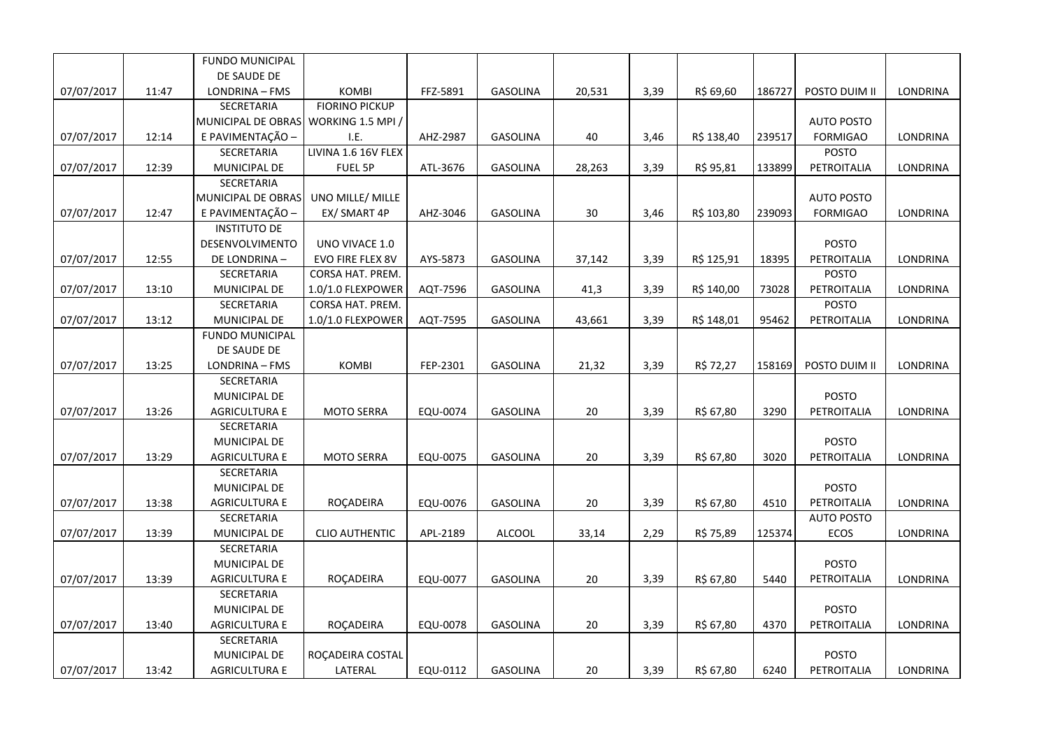|            |       | FUNDO MUNICIPAL                      |                       |          |                 |        |      |            |        |                   |                 |
|------------|-------|--------------------------------------|-----------------------|----------|-----------------|--------|------|------------|--------|-------------------|-----------------|
|            |       | DE SAUDE DE                          |                       |          |                 |        |      |            |        |                   |                 |
| 07/07/2017 | 11:47 | LONDRINA - FMS                       | <b>KOMBI</b>          | FFZ-5891 | <b>GASOLINA</b> | 20,531 | 3,39 | R\$ 69,60  | 186727 | POSTO DUIM II     | LONDRINA        |
|            |       | SECRETARIA                           | <b>FIORINO PICKUP</b> |          |                 |        |      |            |        |                   |                 |
|            |       | MUNICIPAL DE OBRAS WORKING 1.5 MPI / |                       |          |                 |        |      |            |        | <b>AUTO POSTO</b> |                 |
| 07/07/2017 | 12:14 | E PAVIMENTAÇÃO -                     | I.E.                  | AHZ-2987 | <b>GASOLINA</b> | 40     | 3,46 | R\$ 138,40 | 239517 | <b>FORMIGAO</b>   | LONDRINA        |
|            |       | SECRETARIA                           | LIVINA 1.6 16V FLEX   |          |                 |        |      |            |        | POSTO             |                 |
| 07/07/2017 | 12:39 | MUNICIPAL DE                         | FUEL 5P               | ATL-3676 | <b>GASOLINA</b> | 28,263 | 3,39 | R\$ 95,81  | 133899 | PETROITALIA       | <b>LONDRINA</b> |
|            |       | SECRETARIA                           |                       |          |                 |        |      |            |        |                   |                 |
|            |       | MUNICIPAL DE OBRAS                   | UNO MILLE/ MILLE      |          |                 |        |      |            |        | <b>AUTO POSTO</b> |                 |
| 07/07/2017 | 12:47 | E PAVIMENTAÇÃO -                     | EX/ SMART 4P          | AHZ-3046 | <b>GASOLINA</b> | 30     | 3,46 | R\$ 103,80 | 239093 | <b>FORMIGAO</b>   | LONDRINA        |
|            |       | <b>INSTITUTO DE</b>                  |                       |          |                 |        |      |            |        |                   |                 |
|            |       | DESENVOLVIMENTO                      | UNO VIVACE 1.0        |          |                 |        |      |            |        | <b>POSTO</b>      |                 |
| 07/07/2017 | 12:55 | DE LONDRINA-                         | EVO FIRE FLEX 8V      | AYS-5873 | <b>GASOLINA</b> | 37,142 | 3,39 | R\$ 125,91 | 18395  | PETROITALIA       | LONDRINA        |
|            |       | SECRETARIA                           | CORSA HAT. PREM.      |          |                 |        |      |            |        | <b>POSTO</b>      |                 |
| 07/07/2017 | 13:10 | MUNICIPAL DE                         | 1.0/1.0 FLEXPOWER     | AQT-7596 | <b>GASOLINA</b> | 41,3   | 3,39 | R\$ 140,00 | 73028  | PETROITALIA       | LONDRINA        |
|            |       | SECRETARIA                           | CORSA HAT. PREM.      |          |                 |        |      |            |        | POSTO             |                 |
| 07/07/2017 | 13:12 | MUNICIPAL DE                         | 1.0/1.0 FLEXPOWER     | AQT-7595 | <b>GASOLINA</b> | 43,661 | 3,39 | R\$ 148,01 | 95462  | PETROITALIA       | LONDRINA        |
|            |       | <b>FUNDO MUNICIPAL</b>               |                       |          |                 |        |      |            |        |                   |                 |
|            |       | DE SAUDE DE                          |                       |          |                 |        |      |            |        |                   |                 |
| 07/07/2017 | 13:25 | LONDRINA - FMS                       | <b>KOMBI</b>          | FEP-2301 | <b>GASOLINA</b> | 21,32  | 3,39 | R\$ 72,27  | 158169 | POSTO DUIM II     | LONDRINA        |
|            |       | SECRETARIA                           |                       |          |                 |        |      |            |        |                   |                 |
|            |       | MUNICIPAL DE                         |                       |          |                 |        |      |            |        | <b>POSTO</b>      |                 |
| 07/07/2017 | 13:26 | <b>AGRICULTURA E</b>                 | <b>MOTO SERRA</b>     | EQU-0074 | <b>GASOLINA</b> | 20     | 3,39 | R\$ 67,80  | 3290   | PETROITALIA       | LONDRINA        |
|            |       | SECRETARIA                           |                       |          |                 |        |      |            |        |                   |                 |
|            |       | MUNICIPAL DE                         |                       |          |                 |        |      |            |        | POSTO             |                 |
| 07/07/2017 | 13:29 | <b>AGRICULTURA E</b>                 | <b>MOTO SERRA</b>     | EQU-0075 | <b>GASOLINA</b> | 20     | 3,39 | R\$ 67,80  | 3020   | PETROITALIA       | LONDRINA        |
|            |       | SECRETARIA                           |                       |          |                 |        |      |            |        |                   |                 |
|            |       | MUNICIPAL DE                         |                       |          |                 |        |      |            |        | <b>POSTO</b>      |                 |
| 07/07/2017 | 13:38 | <b>AGRICULTURA E</b>                 | ROÇADEIRA             | EQU-0076 | <b>GASOLINA</b> | 20     | 3,39 | R\$ 67,80  | 4510   | PETROITALIA       | LONDRINA        |
|            |       | SECRETARIA                           |                       |          |                 |        |      |            |        | <b>AUTO POSTO</b> |                 |
| 07/07/2017 | 13:39 | MUNICIPAL DE                         | <b>CLIO AUTHENTIC</b> | APL-2189 | <b>ALCOOL</b>   | 33,14  | 2,29 | R\$ 75,89  | 125374 | <b>ECOS</b>       | LONDRINA        |
|            |       | SECRETARIA                           |                       |          |                 |        |      |            |        |                   |                 |
|            |       | MUNICIPAL DE                         |                       |          |                 |        |      |            |        | <b>POSTO</b>      |                 |
| 07/07/2017 | 13:39 | <b>AGRICULTURA E</b>                 | ROÇADEIRA             | EQU-0077 | GASOLINA        | 20     | 3,39 | R\$ 67,80  | 5440   | PETROITALIA       | LONDRINA        |
|            |       | SECRETARIA                           |                       |          |                 |        |      |            |        |                   |                 |
|            |       | MUNICIPAL DE                         |                       |          |                 |        |      |            |        | <b>POSTO</b>      |                 |
| 07/07/2017 | 13:40 | <b>AGRICULTURA E</b>                 | ROÇADEIRA             | EQU-0078 | <b>GASOLINA</b> | 20     | 3,39 | R\$ 67,80  | 4370   | PETROITALIA       | <b>LONDRINA</b> |
|            |       | SECRETARIA                           |                       |          |                 |        |      |            |        |                   |                 |
|            |       | MUNICIPAL DE                         | ROÇADEIRA COSTAL      |          |                 |        |      |            |        | <b>POSTO</b>      |                 |
| 07/07/2017 | 13:42 | <b>AGRICULTURA E</b>                 | LATERAL               | EQU-0112 | <b>GASOLINA</b> | 20     | 3,39 | R\$ 67,80  | 6240   | PETROITALIA       | LONDRINA        |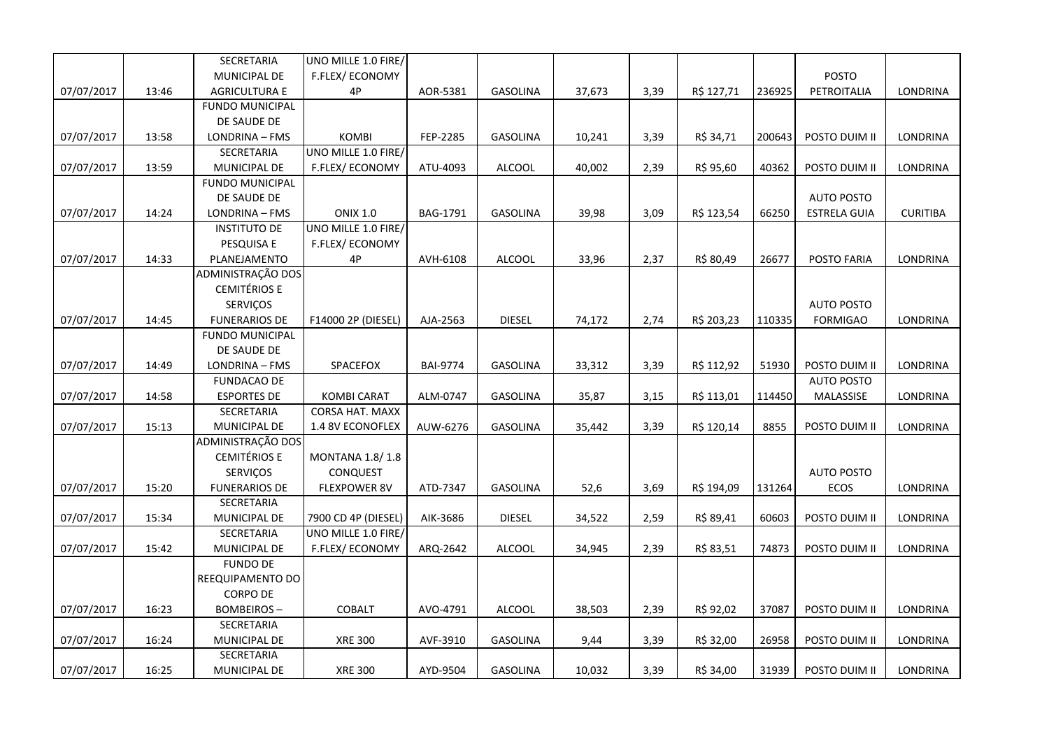|            |       | SECRETARIA             | UNO MILLE 1.0 FIRE/    |                 |                 |        |      |            |        |                     |                 |
|------------|-------|------------------------|------------------------|-----------------|-----------------|--------|------|------------|--------|---------------------|-----------------|
|            |       | MUNICIPAL DE           | F.FLEX/ECONOMY         |                 |                 |        |      |            |        | POSTO               |                 |
| 07/07/2017 | 13:46 | <b>AGRICULTURA E</b>   | 4P                     | AOR-5381        | GASOLINA        | 37,673 | 3,39 | R\$ 127,71 | 236925 | PETROITALIA         | LONDRINA        |
|            |       | <b>FUNDO MUNICIPAL</b> |                        |                 |                 |        |      |            |        |                     |                 |
|            |       | DE SAUDE DE            |                        |                 |                 |        |      |            |        |                     |                 |
| 07/07/2017 | 13:58 | LONDRINA - FMS         | KOMBI                  | FEP-2285        | <b>GASOLINA</b> | 10,241 | 3,39 | R\$ 34,71  | 200643 | POSTO DUIM II       | LONDRINA        |
|            |       | SECRETARIA             | UNO MILLE 1.0 FIRE/    |                 |                 |        |      |            |        |                     |                 |
| 07/07/2017 | 13:59 | MUNICIPAL DE           | <b>F.FLEX/ECONOMY</b>  | ATU-4093        | <b>ALCOOL</b>   | 40,002 | 2,39 | R\$ 95,60  | 40362  | POSTO DUIM II       | LONDRINA        |
|            |       | <b>FUNDO MUNICIPAL</b> |                        |                 |                 |        |      |            |        |                     |                 |
|            |       | DE SAUDE DE            |                        |                 |                 |        |      |            |        | <b>AUTO POSTO</b>   |                 |
| 07/07/2017 | 14:24 | LONDRINA - FMS         | <b>ONIX 1.0</b>        | BAG-1791        | GASOLINA        | 39,98  | 3,09 | R\$ 123,54 | 66250  | <b>ESTRELA GUIA</b> | <b>CURITIBA</b> |
|            |       | <b>INSTITUTO DE</b>    | UNO MILLE 1.0 FIRE/    |                 |                 |        |      |            |        |                     |                 |
|            |       | PESQUISA E             | <b>F.FLEX/ECONOMY</b>  |                 |                 |        |      |            |        |                     |                 |
| 07/07/2017 | 14:33 | PLANEJAMENTO           | 4P                     | AVH-6108        | <b>ALCOOL</b>   | 33,96  | 2,37 | R\$ 80,49  | 26677  | POSTO FARIA         | <b>LONDRINA</b> |
|            |       | ADMINISTRAÇÃO DOS      |                        |                 |                 |        |      |            |        |                     |                 |
|            |       | <b>CEMITÉRIOS E</b>    |                        |                 |                 |        |      |            |        |                     |                 |
|            |       | SERVIÇOS               |                        |                 |                 |        |      |            |        | <b>AUTO POSTO</b>   |                 |
| 07/07/2017 | 14:45 | <b>FUNERARIOS DE</b>   | F14000 2P (DIESEL)     | AJA-2563        | <b>DIESEL</b>   | 74,172 | 2,74 | R\$ 203,23 | 110335 | <b>FORMIGAO</b>     | LONDRINA        |
|            |       | <b>FUNDO MUNICIPAL</b> |                        |                 |                 |        |      |            |        |                     |                 |
|            |       | DE SAUDE DE            |                        |                 |                 |        |      |            |        |                     |                 |
| 07/07/2017 | 14:49 | LONDRINA - FMS         | SPACEFOX               | <b>BAI-9774</b> | GASOLINA        | 33,312 | 3,39 | R\$ 112,92 | 51930  | POSTO DUIM II       | LONDRINA        |
|            |       | FUNDACAO DE            |                        |                 |                 |        |      |            |        | <b>AUTO POSTO</b>   |                 |
| 07/07/2017 | 14:58 | <b>ESPORTES DE</b>     | <b>KOMBI CARAT</b>     | ALM-0747        | GASOLINA        | 35,87  | 3,15 | R\$ 113,01 | 114450 | MALASSISE           | LONDRINA        |
|            |       | SECRETARIA             | <b>CORSA HAT. MAXX</b> |                 |                 |        |      |            |        |                     |                 |
| 07/07/2017 | 15:13 | MUNICIPAL DE           | 1.4 8V ECONOFLEX       | AUW-6276        | <b>GASOLINA</b> | 35,442 | 3,39 | R\$ 120,14 | 8855   | POSTO DUIM II       | <b>LONDRINA</b> |
|            |       | ADMINISTRAÇÃO DOS      |                        |                 |                 |        |      |            |        |                     |                 |
|            |       | <b>CEMITÉRIOS E</b>    | MONTANA 1.8/1.8        |                 |                 |        |      |            |        |                     |                 |
|            |       | SERVIÇOS               | CONQUEST               |                 |                 |        |      |            |        | <b>AUTO POSTO</b>   |                 |
| 07/07/2017 | 15:20 | <b>FUNERARIOS DE</b>   | <b>FLEXPOWER 8V</b>    | ATD-7347        | GASOLINA        | 52,6   | 3,69 | R\$ 194,09 | 131264 | ECOS                | LONDRINA        |
|            |       | SECRETARIA             |                        |                 |                 |        |      |            |        |                     |                 |
| 07/07/2017 | 15:34 | MUNICIPAL DE           | 7900 CD 4P (DIESEL)    | AIK-3686        | <b>DIESEL</b>   | 34,522 | 2,59 | R\$ 89,41  | 60603  | POSTO DUIM II       | LONDRINA        |
|            |       | SECRETARIA             | UNO MILLE 1.0 FIRE/    |                 |                 |        |      |            |        |                     |                 |
| 07/07/2017 | 15:42 | MUNICIPAL DE           | F.FLEX/ECONOMY         | ARQ-2642        | <b>ALCOOL</b>   | 34,945 | 2,39 | R\$ 83,51  | 74873  | POSTO DUIM II       | LONDRINA        |
|            |       | <b>FUNDO DE</b>        |                        |                 |                 |        |      |            |        |                     |                 |
|            |       | REEQUIPAMENTO DO       |                        |                 |                 |        |      |            |        |                     |                 |
|            |       | <b>CORPO DE</b>        |                        |                 |                 |        |      |            |        |                     |                 |
| 07/07/2017 | 16:23 | <b>BOMBEIROS-</b>      | COBALT                 | AVO-4791        | <b>ALCOOL</b>   | 38,503 | 2,39 | R\$ 92,02  | 37087  | POSTO DUIM II       | LONDRINA        |
|            |       | SECRETARIA             |                        |                 |                 |        |      |            |        |                     |                 |
| 07/07/2017 | 16:24 | MUNICIPAL DE           | <b>XRE 300</b>         | AVF-3910        | GASOLINA        | 9,44   | 3,39 | R\$ 32,00  | 26958  | POSTO DUIM II       | LONDRINA        |
|            |       | SECRETARIA             |                        |                 |                 |        |      |            |        |                     |                 |
| 07/07/2017 | 16:25 | MUNICIPAL DE           | <b>XRE 300</b>         | AYD-9504        | GASOLINA        | 10,032 | 3,39 | R\$ 34,00  | 31939  | POSTO DUIM II       | LONDRINA        |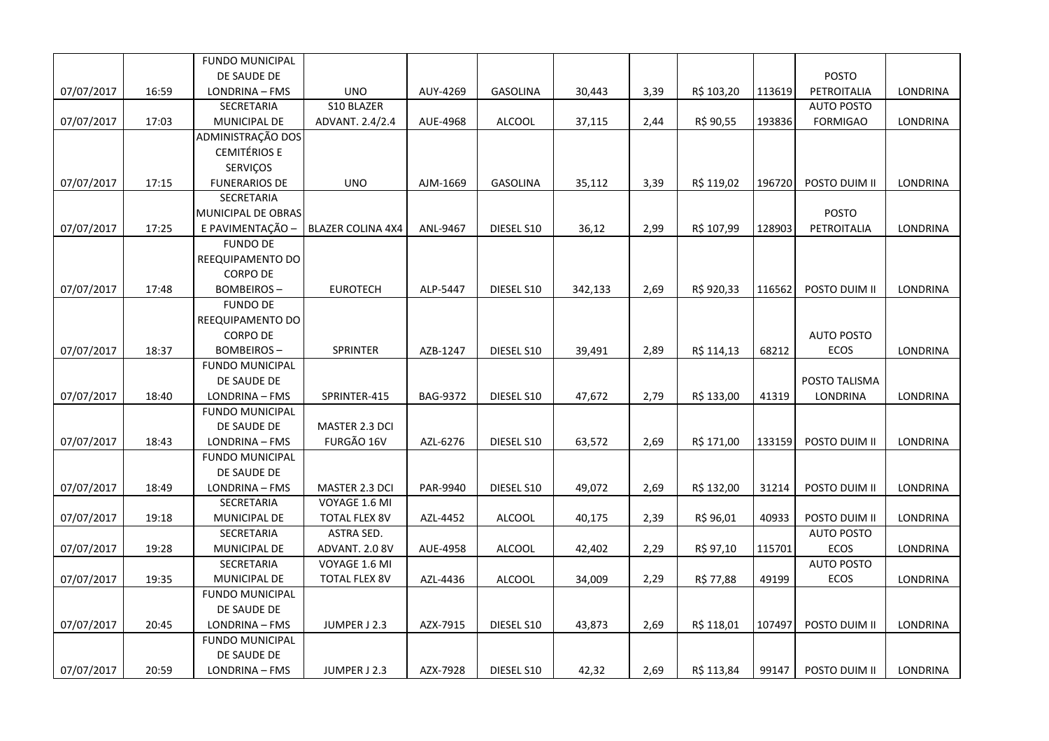|            |       | <b>FUNDO MUNICIPAL</b> |                          |          |                 |         |      |            |        |                   |                 |
|------------|-------|------------------------|--------------------------|----------|-----------------|---------|------|------------|--------|-------------------|-----------------|
|            |       | DE SAUDE DE            |                          |          |                 |         |      |            |        | <b>POSTO</b>      |                 |
| 07/07/2017 | 16:59 | LONDRINA - FMS         | <b>UNO</b>               | AUY-4269 | <b>GASOLINA</b> | 30,443  | 3,39 | R\$ 103,20 | 113619 | PETROITALIA       | LONDRINA        |
|            |       | SECRETARIA             | S10 BLAZER               |          |                 |         |      |            |        | <b>AUTO POSTO</b> |                 |
| 07/07/2017 | 17:03 | MUNICIPAL DE           | ADVANT. 2.4/2.4          | AUE-4968 | ALCOOL          | 37,115  | 2,44 | R\$ 90,55  | 193836 | <b>FORMIGAO</b>   | LONDRINA        |
|            |       | ADMINISTRAÇÃO DOS      |                          |          |                 |         |      |            |        |                   |                 |
|            |       | <b>CEMITÉRIOS E</b>    |                          |          |                 |         |      |            |        |                   |                 |
|            |       | SERVIÇOS               |                          |          |                 |         |      |            |        |                   |                 |
| 07/07/2017 | 17:15 | <b>FUNERARIOS DE</b>   | <b>UNO</b>               | AJM-1669 | <b>GASOLINA</b> | 35,112  | 3,39 | R\$ 119,02 | 196720 | POSTO DUIM II     | <b>LONDRINA</b> |
|            |       | <b>SECRETARIA</b>      |                          |          |                 |         |      |            |        |                   |                 |
|            |       | MUNICIPAL DE OBRAS     |                          |          |                 |         |      |            |        | <b>POSTO</b>      |                 |
| 07/07/2017 | 17:25 | E PAVIMENTAÇÃO -       | <b>BLAZER COLINA 4X4</b> | ANL-9467 | DIESEL S10      | 36,12   | 2,99 | R\$ 107,99 | 128903 | PETROITALIA       | LONDRINA        |
|            |       | <b>FUNDO DE</b>        |                          |          |                 |         |      |            |        |                   |                 |
|            |       | REEQUIPAMENTO DO       |                          |          |                 |         |      |            |        |                   |                 |
|            |       | <b>CORPO DE</b>        |                          |          |                 |         |      |            |        |                   |                 |
| 07/07/2017 | 17:48 | <b>BOMBEIROS-</b>      | <b>EUROTECH</b>          | ALP-5447 | DIESEL S10      | 342,133 | 2,69 | R\$ 920,33 | 116562 | POSTO DUIM II     | <b>LONDRINA</b> |
|            |       | <b>FUNDO DE</b>        |                          |          |                 |         |      |            |        |                   |                 |
|            |       | REEQUIPAMENTO DO       |                          |          |                 |         |      |            |        |                   |                 |
|            |       | <b>CORPO DE</b>        |                          |          |                 |         |      |            |        | <b>AUTO POSTO</b> |                 |
| 07/07/2017 | 18:37 | <b>BOMBEIROS-</b>      | SPRINTER                 | AZB-1247 | DIESEL S10      | 39,491  | 2,89 | R\$ 114,13 | 68212  | ECOS              | <b>LONDRINA</b> |
|            |       | <b>FUNDO MUNICIPAL</b> |                          |          |                 |         |      |            |        |                   |                 |
|            |       | DE SAUDE DE            |                          |          |                 |         |      |            |        | POSTO TALISMA     |                 |
| 07/07/2017 | 18:40 | LONDRINA - FMS         | SPRINTER-415             | BAG-9372 | DIESEL S10      | 47,672  | 2,79 | R\$ 133,00 | 41319  | LONDRINA          | LONDRINA        |
|            |       | <b>FUNDO MUNICIPAL</b> |                          |          |                 |         |      |            |        |                   |                 |
|            |       | DE SAUDE DE            | MASTER 2.3 DCI           |          |                 |         |      |            |        |                   |                 |
| 07/07/2017 | 18:43 | LONDRINA - FMS         | FURGÃO 16V               | AZL-6276 | DIESEL S10      | 63,572  | 2,69 | R\$ 171,00 | 133159 | POSTO DUIM II     | LONDRINA        |
|            |       | <b>FUNDO MUNICIPAL</b> |                          |          |                 |         |      |            |        |                   |                 |
|            |       | DE SAUDE DE            |                          |          |                 |         |      |            |        |                   |                 |
| 07/07/2017 | 18:49 | LONDRINA - FMS         | MASTER 2.3 DCI           | PAR-9940 | DIESEL S10      | 49,072  | 2,69 | R\$ 132,00 | 31214  | POSTO DUIM II     | LONDRINA        |
|            |       | SECRETARIA             | VOYAGE 1.6 MI            |          |                 |         |      |            |        |                   |                 |
| 07/07/2017 | 19:18 | MUNICIPAL DE           | <b>TOTAL FLEX 8V</b>     | AZL-4452 | <b>ALCOOL</b>   | 40,175  | 2,39 | R\$ 96,01  | 40933  | POSTO DUIM II     | <b>LONDRINA</b> |
|            |       | SECRETARIA             | ASTRA SED.               |          |                 |         |      |            |        | <b>AUTO POSTO</b> |                 |
| 07/07/2017 | 19:28 | MUNICIPAL DE           | ADVANT. 2.0 8V           | AUE-4958 | ALCOOL          | 42,402  | 2,29 | R\$ 97,10  | 115701 | ECOS              | LONDRINA        |
|            |       | SECRETARIA             | VOYAGE 1.6 MI            |          |                 |         |      |            |        | <b>AUTO POSTO</b> |                 |
| 07/07/2017 | 19:35 | MUNICIPAL DE           | <b>TOTAL FLEX 8V</b>     | AZL-4436 | <b>ALCOOL</b>   | 34,009  | 2,29 | R\$ 77,88  | 49199  | <b>ECOS</b>       | LONDRINA        |
|            |       | <b>FUNDO MUNICIPAL</b> |                          |          |                 |         |      |            |        |                   |                 |
|            |       | DE SAUDE DE            |                          |          |                 |         |      |            |        |                   |                 |
| 07/07/2017 | 20:45 | LONDRINA - FMS         | JUMPER J 2.3             | AZX-7915 | DIESEL S10      | 43,873  | 2,69 | R\$ 118,01 | 107497 | POSTO DUIM II     | <b>LONDRINA</b> |
|            |       | FUNDO MUNICIPAL        |                          |          |                 |         |      |            |        |                   |                 |
|            |       | DE SAUDE DE            |                          |          |                 |         |      |            |        |                   |                 |
| 07/07/2017 | 20:59 | LONDRINA - FMS         | JUMPER J 2.3             | AZX-7928 | DIESEL S10      | 42,32   | 2,69 | R\$ 113,84 | 99147  | POSTO DUIM II     | LONDRINA        |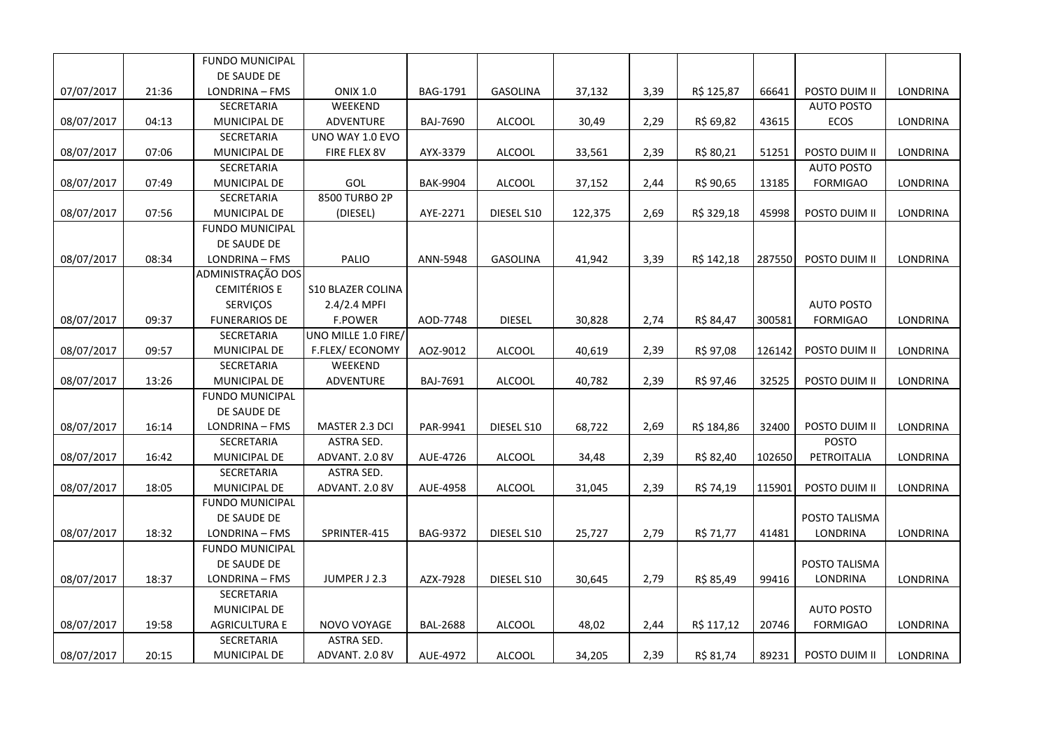|            |       | <b>FUNDO MUNICIPAL</b> |                          |                 |                 |         |      |            |        |                   |                 |
|------------|-------|------------------------|--------------------------|-----------------|-----------------|---------|------|------------|--------|-------------------|-----------------|
|            |       | DE SAUDE DE            |                          |                 |                 |         |      |            |        |                   |                 |
| 07/07/2017 | 21:36 | LONDRINA - FMS         | <b>ONIX 1.0</b>          | BAG-1791        | GASOLINA        | 37,132  | 3,39 | R\$ 125,87 | 66641  | POSTO DUIM II     | LONDRINA        |
|            |       | SECRETARIA             | WEEKEND                  |                 |                 |         |      |            |        | <b>AUTO POSTO</b> |                 |
| 08/07/2017 | 04:13 | MUNICIPAL DE           | ADVENTURE                | BAJ-7690        | <b>ALCOOL</b>   | 30,49   | 2,29 | R\$ 69,82  | 43615  | ECOS              | LONDRINA        |
|            |       | SECRETARIA             | UNO WAY 1.0 EVO          |                 |                 |         |      |            |        |                   |                 |
| 08/07/2017 | 07:06 | MUNICIPAL DE           | FIRE FLEX 8V             | AYX-3379        | <b>ALCOOL</b>   | 33,561  | 2,39 | R\$ 80,21  | 51251  | POSTO DUIM II     | LONDRINA        |
|            |       | SECRETARIA             |                          |                 |                 |         |      |            |        | <b>AUTO POSTO</b> |                 |
| 08/07/2017 | 07:49 | MUNICIPAL DE           | GOL                      | <b>BAK-9904</b> | <b>ALCOOL</b>   | 37,152  | 2,44 | R\$ 90,65  | 13185  | <b>FORMIGAO</b>   | LONDRINA        |
|            |       | SECRETARIA             | 8500 TURBO 2P            |                 |                 |         |      |            |        |                   |                 |
| 08/07/2017 | 07:56 | MUNICIPAL DE           | (DIESEL)                 | AYE-2271        | DIESEL S10      | 122,375 | 2,69 | R\$ 329,18 | 45998  | POSTO DUIM II     | LONDRINA        |
|            |       | <b>FUNDO MUNICIPAL</b> |                          |                 |                 |         |      |            |        |                   |                 |
|            |       | DE SAUDE DE            |                          |                 |                 |         |      |            |        |                   |                 |
| 08/07/2017 | 08:34 | LONDRINA - FMS         | PALIO                    | ANN-5948        | <b>GASOLINA</b> | 41,942  | 3,39 | R\$ 142,18 | 287550 | POSTO DUIM II     | LONDRINA        |
|            |       | ADMINISTRAÇÃO DOS      |                          |                 |                 |         |      |            |        |                   |                 |
|            |       | <b>CEMITÉRIOS E</b>    | <b>S10 BLAZER COLINA</b> |                 |                 |         |      |            |        |                   |                 |
|            |       | SERVIÇOS               | 2.4/2.4 MPFI             |                 |                 |         |      |            |        | <b>AUTO POSTO</b> |                 |
| 08/07/2017 | 09:37 | <b>FUNERARIOS DE</b>   | <b>F.POWER</b>           | AOD-7748        | <b>DIESEL</b>   | 30,828  | 2,74 | R\$ 84,47  | 300581 | <b>FORMIGAO</b>   | LONDRINA        |
|            |       | <b>SECRETARIA</b>      | UNO MILLE 1.0 FIRE/      |                 |                 |         |      |            |        |                   |                 |
| 08/07/2017 | 09:57 | MUNICIPAL DE           | F.FLEX/ECONOMY           | AOZ-9012        | <b>ALCOOL</b>   | 40,619  | 2,39 | R\$ 97,08  | 126142 | POSTO DUIM II     | <b>LONDRINA</b> |
|            |       | SECRETARIA             | WEEKEND                  |                 |                 |         |      |            |        |                   |                 |
| 08/07/2017 | 13:26 | MUNICIPAL DE           | ADVENTURE                | BAJ-7691        | ALCOOL          | 40,782  | 2,39 | R\$ 97,46  | 32525  | POSTO DUIM II     | LONDRINA        |
|            |       | <b>FUNDO MUNICIPAL</b> |                          |                 |                 |         |      |            |        |                   |                 |
|            |       | DE SAUDE DE            |                          |                 |                 |         |      |            |        |                   |                 |
| 08/07/2017 | 16:14 | LONDRINA - FMS         | MASTER 2.3 DCI           | PAR-9941        | DIESEL S10      | 68,722  | 2,69 | R\$ 184,86 | 32400  | POSTO DUIM II     | LONDRINA        |
|            |       | SECRETARIA             | <b>ASTRA SED.</b>        |                 |                 |         |      |            |        | <b>POSTO</b>      |                 |
| 08/07/2017 | 16:42 | MUNICIPAL DE           | ADVANT. 2.0 8V           | AUE-4726        | <b>ALCOOL</b>   | 34,48   | 2,39 | R\$ 82,40  | 102650 | PETROITALIA       | LONDRINA        |
|            |       | SECRETARIA             | ASTRA SED.               |                 |                 |         |      |            |        |                   |                 |
| 08/07/2017 | 18:05 | MUNICIPAL DE           | ADVANT. 2.0 8V           | AUE-4958        | ALCOOL          | 31,045  | 2,39 | R\$ 74,19  | 115901 | POSTO DUIM II     | LONDRINA        |
|            |       | <b>FUNDO MUNICIPAL</b> |                          |                 |                 |         |      |            |        |                   |                 |
|            |       | DE SAUDE DE            |                          |                 |                 |         |      |            |        | POSTO TALISMA     |                 |
| 08/07/2017 | 18:32 | LONDRINA - FMS         | SPRINTER-415             | BAG-9372        | DIESEL S10      | 25,727  | 2,79 | R\$ 71,77  | 41481  | LONDRINA          | LONDRINA        |
|            |       | <b>FUNDO MUNICIPAL</b> |                          |                 |                 |         |      |            |        |                   |                 |
|            |       | DE SAUDE DE            |                          |                 |                 |         |      |            |        | POSTO TALISMA     |                 |
| 08/07/2017 | 18:37 | LONDRINA - FMS         | JUMPER J 2.3             | AZX-7928        | DIESEL S10      | 30,645  | 2,79 | R\$ 85,49  | 99416  | LONDRINA          | <b>LONDRINA</b> |
|            |       | SECRETARIA             |                          |                 |                 |         |      |            |        |                   |                 |
|            |       | MUNICIPAL DE           |                          |                 |                 |         |      |            |        | <b>AUTO POSTO</b> |                 |
| 08/07/2017 | 19:58 | <b>AGRICULTURA E</b>   | NOVO VOYAGE              | <b>BAL-2688</b> | ALCOOL          | 48,02   | 2,44 | R\$ 117,12 | 20746  | <b>FORMIGAO</b>   | LONDRINA        |
|            |       | SECRETARIA             | ASTRA SED.               |                 |                 |         |      |            |        |                   |                 |
| 08/07/2017 | 20:15 | MUNICIPAL DE           | ADVANT. 2.0 8V           | AUE-4972        | <b>ALCOOL</b>   | 34,205  | 2,39 | R\$ 81,74  | 89231  | POSTO DUIM II     | LONDRINA        |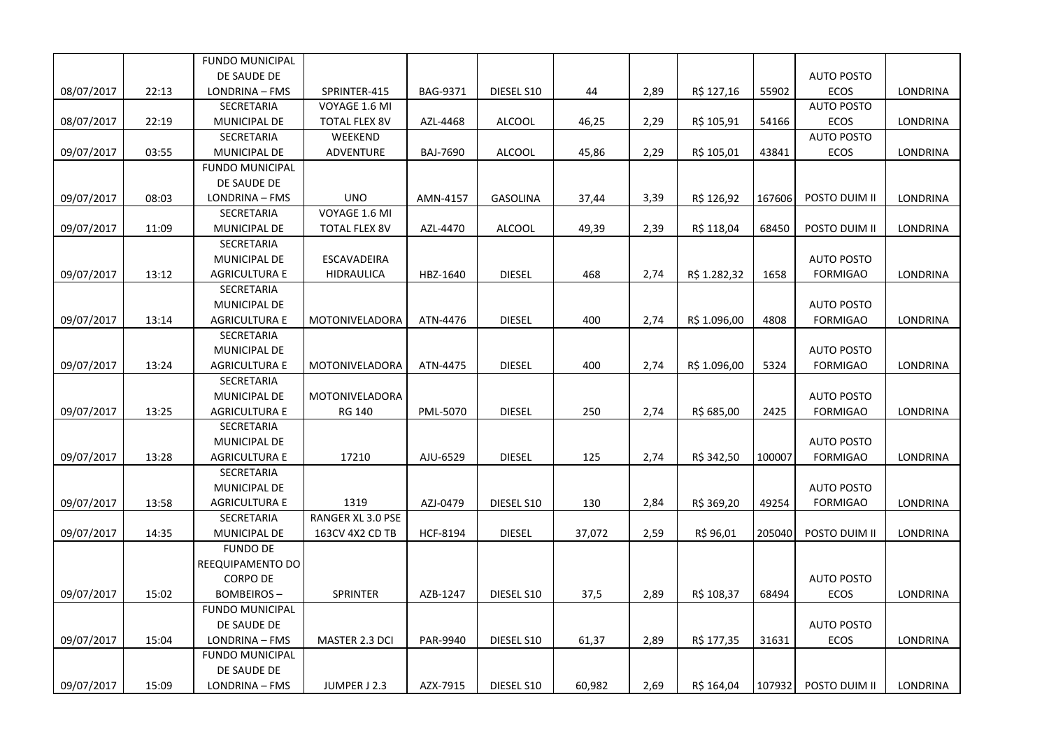|            |       | <b>FUNDO MUNICIPAL</b> |                       |                 |               |        |      |              |        |                   |                 |
|------------|-------|------------------------|-----------------------|-----------------|---------------|--------|------|--------------|--------|-------------------|-----------------|
|            |       | DE SAUDE DE            |                       |                 |               |        |      |              |        | <b>AUTO POSTO</b> |                 |
| 08/07/2017 | 22:13 | LONDRINA - FMS         | SPRINTER-415          | BAG-9371        | DIESEL S10    | 44     | 2,89 | R\$ 127,16   | 55902  | <b>ECOS</b>       | LONDRINA        |
|            |       | SECRETARIA             | VOYAGE 1.6 MI         |                 |               |        |      |              |        | <b>AUTO POSTO</b> |                 |
| 08/07/2017 | 22:19 | MUNICIPAL DE           | <b>TOTAL FLEX 8V</b>  | AZL-4468        | <b>ALCOOL</b> | 46,25  | 2,29 | R\$ 105,91   | 54166  | ECOS              | LONDRINA        |
|            |       | SECRETARIA             | WEEKEND               |                 |               |        |      |              |        | <b>AUTO POSTO</b> |                 |
| 09/07/2017 | 03:55 | MUNICIPAL DE           | <b>ADVENTURE</b>      | <b>BAJ-7690</b> | <b>ALCOOL</b> | 45,86  | 2,29 | R\$ 105,01   | 43841  | ECOS              | LONDRINA        |
|            |       | <b>FUNDO MUNICIPAL</b> |                       |                 |               |        |      |              |        |                   |                 |
|            |       | DE SAUDE DE            |                       |                 |               |        |      |              |        |                   |                 |
| 09/07/2017 | 08:03 | LONDRINA - FMS         | <b>UNO</b>            | AMN-4157        | GASOLINA      | 37,44  | 3,39 | R\$ 126,92   | 167606 | POSTO DUIM II     | LONDRINA        |
|            |       | SECRETARIA             | VOYAGE 1.6 MI         |                 |               |        |      |              |        |                   |                 |
| 09/07/2017 | 11:09 | <b>MUNICIPAL DE</b>    | <b>TOTAL FLEX 8V</b>  | AZL-4470        | <b>ALCOOL</b> | 49,39  | 2,39 | R\$ 118,04   | 68450  | POSTO DUIM II     | <b>LONDRINA</b> |
|            |       | SECRETARIA             |                       |                 |               |        |      |              |        |                   |                 |
|            |       | MUNICIPAL DE           | ESCAVADEIRA           |                 |               |        |      |              |        | <b>AUTO POSTO</b> |                 |
| 09/07/2017 | 13:12 | <b>AGRICULTURA E</b>   | <b>HIDRAULICA</b>     | HBZ-1640        | <b>DIESEL</b> | 468    | 2,74 | R\$ 1.282,32 | 1658   | <b>FORMIGAO</b>   | <b>LONDRINA</b> |
|            |       | SECRETARIA             |                       |                 |               |        |      |              |        |                   |                 |
|            |       | MUNICIPAL DE           |                       |                 |               |        |      |              |        | <b>AUTO POSTO</b> |                 |
| 09/07/2017 | 13:14 | <b>AGRICULTURA E</b>   | MOTONIVELADORA        | ATN-4476        | <b>DIESEL</b> | 400    | 2,74 | R\$ 1.096,00 | 4808   | <b>FORMIGAO</b>   | LONDRINA        |
|            |       | SECRETARIA             |                       |                 |               |        |      |              |        |                   |                 |
|            |       | MUNICIPAL DE           |                       |                 |               |        |      |              |        | <b>AUTO POSTO</b> |                 |
| 09/07/2017 | 13:24 | <b>AGRICULTURA E</b>   | MOTONIVELADORA        | ATN-4475        | <b>DIESEL</b> | 400    | 2,74 | R\$ 1.096,00 | 5324   | <b>FORMIGAO</b>   | LONDRINA        |
|            |       | SECRETARIA             |                       |                 |               |        |      |              |        |                   |                 |
|            |       | MUNICIPAL DE           | MOTONIVELADORA        |                 |               |        |      |              |        | <b>AUTO POSTO</b> |                 |
| 09/07/2017 | 13:25 | <b>AGRICULTURA E</b>   | RG 140                | PML-5070        | <b>DIESEL</b> | 250    | 2,74 | R\$ 685,00   | 2425   | <b>FORMIGAO</b>   | <b>LONDRINA</b> |
|            |       | SECRETARIA             |                       |                 |               |        |      |              |        |                   |                 |
|            |       | MUNICIPAL DE           |                       |                 |               |        |      |              |        | <b>AUTO POSTO</b> |                 |
| 09/07/2017 | 13:28 | <b>AGRICULTURA E</b>   | 17210                 | AJU-6529        | <b>DIESEL</b> | 125    | 2,74 | R\$ 342,50   | 100007 | <b>FORMIGAO</b>   | LONDRINA        |
|            |       | SECRETARIA             |                       |                 |               |        |      |              |        |                   |                 |
|            |       | MUNICIPAL DE           |                       |                 |               |        |      |              |        | <b>AUTO POSTO</b> |                 |
| 09/07/2017 | 13:58 | <b>AGRICULTURA E</b>   | 1319                  | AZJ-0479        | DIESEL S10    | 130    | 2,84 | R\$ 369,20   | 49254  | <b>FORMIGAO</b>   | LONDRINA        |
|            |       | SECRETARIA             | RANGER XL 3.0 PSE     |                 |               |        |      |              |        |                   |                 |
| 09/07/2017 | 14:35 | MUNICIPAL DE           | 163CV 4X2 CD TB       | HCF-8194        | <b>DIESEL</b> | 37,072 | 2,59 | R\$ 96,01    | 205040 | POSTO DUIM II     | LONDRINA        |
|            |       | <b>FUNDO DE</b>        |                       |                 |               |        |      |              |        |                   |                 |
|            |       | REEQUIPAMENTO DO       |                       |                 |               |        |      |              |        |                   |                 |
|            |       | <b>CORPO DE</b>        |                       |                 |               |        |      |              |        | <b>AUTO POSTO</b> |                 |
| 09/07/2017 | 15:02 | <b>BOMBEIROS-</b>      | SPRINTER              | AZB-1247        | DIESEL S10    | 37,5   | 2,89 | R\$ 108,37   | 68494  | ECOS              | LONDRINA        |
|            |       | FUNDO MUNICIPAL        |                       |                 |               |        |      |              |        |                   |                 |
|            |       | DE SAUDE DE            |                       |                 |               |        |      |              |        | <b>AUTO POSTO</b> |                 |
| 09/07/2017 | 15:04 | LONDRINA - FMS         | <b>MASTER 2.3 DCI</b> | PAR-9940        | DIESEL S10    | 61,37  | 2,89 | R\$ 177,35   | 31631  | <b>ECOS</b>       | LONDRINA        |
|            |       | <b>FUNDO MUNICIPAL</b> |                       |                 |               |        |      |              |        |                   |                 |
|            |       | DE SAUDE DE            |                       |                 |               |        |      |              |        |                   |                 |
| 09/07/2017 | 15:09 | LONDRINA - FMS         | JUMPER J 2.3          | AZX-7915        | DIESEL S10    | 60,982 | 2,69 | R\$ 164,04   | 107932 | POSTO DUIM II     | <b>LONDRINA</b> |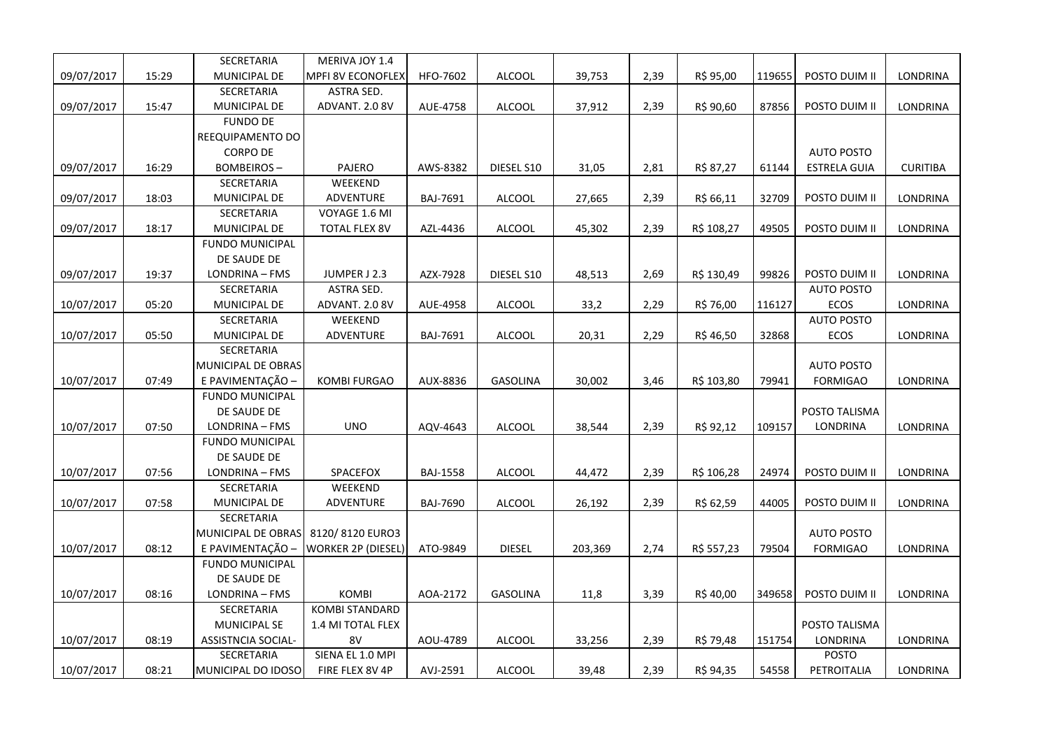|            |       | SECRETARIA                | MERIVA JOY 1.4            |                 |                 |         |      |            |        |                     |                 |
|------------|-------|---------------------------|---------------------------|-----------------|-----------------|---------|------|------------|--------|---------------------|-----------------|
| 09/07/2017 | 15:29 | MUNICIPAL DE              | <b>MPFI 8V ECONOFLEX</b>  | HFO-7602        | <b>ALCOOL</b>   | 39,753  | 2,39 | R\$ 95,00  | 119655 | POSTO DUIM II       | LONDRINA        |
|            |       | SECRETARIA                | ASTRA SED.                |                 |                 |         |      |            |        |                     |                 |
| 09/07/2017 | 15:47 | MUNICIPAL DE              | ADVANT. 2.0 8V            | AUE-4758        | <b>ALCOOL</b>   | 37,912  | 2,39 | R\$ 90,60  | 87856  | POSTO DUIM II       | LONDRINA        |
|            |       | <b>FUNDO DE</b>           |                           |                 |                 |         |      |            |        |                     |                 |
|            |       | REEQUIPAMENTO DO          |                           |                 |                 |         |      |            |        |                     |                 |
|            |       | <b>CORPO DE</b>           |                           |                 |                 |         |      |            |        | <b>AUTO POSTO</b>   |                 |
| 09/07/2017 | 16:29 | <b>BOMBEIROS-</b>         | PAJERO                    | AWS-8382        | DIESEL S10      | 31,05   | 2,81 | R\$ 87,27  | 61144  | <b>ESTRELA GUIA</b> | <b>CURITIBA</b> |
|            |       | SECRETARIA                | WEEKEND                   |                 |                 |         |      |            |        |                     |                 |
| 09/07/2017 | 18:03 | MUNICIPAL DE              | <b>ADVENTURE</b>          | BAJ-7691        | <b>ALCOOL</b>   | 27,665  | 2,39 | R\$ 66,11  | 32709  | POSTO DUIM II       | LONDRINA        |
|            |       | SECRETARIA                | VOYAGE 1.6 MI             |                 |                 |         |      |            |        |                     |                 |
| 09/07/2017 | 18:17 | MUNICIPAL DE              | <b>TOTAL FLEX 8V</b>      | AZL-4436        | <b>ALCOOL</b>   | 45,302  | 2,39 | R\$ 108,27 | 49505  | POSTO DUIM II       | LONDRINA        |
|            |       | <b>FUNDO MUNICIPAL</b>    |                           |                 |                 |         |      |            |        |                     |                 |
|            |       | DE SAUDE DE               |                           |                 |                 |         |      |            |        |                     |                 |
| 09/07/2017 | 19:37 | LONDRINA - FMS            | JUMPER J 2.3              | AZX-7928        | DIESEL S10      | 48,513  | 2,69 | R\$ 130,49 | 99826  | POSTO DUIM II       | LONDRINA        |
|            |       | SECRETARIA                | ASTRA SED.                |                 |                 |         |      |            |        | <b>AUTO POSTO</b>   |                 |
| 10/07/2017 | 05:20 | MUNICIPAL DE              | ADVANT. 2.0 8V            | AUE-4958        | <b>ALCOOL</b>   | 33,2    | 2,29 | R\$ 76,00  | 116127 | ECOS                | LONDRINA        |
|            |       | SECRETARIA                | WEEKEND                   |                 |                 |         |      |            |        | <b>AUTO POSTO</b>   |                 |
| 10/07/2017 | 05:50 | MUNICIPAL DE              | <b>ADVENTURE</b>          | BAJ-7691        | <b>ALCOOL</b>   | 20,31   | 2,29 | R\$ 46,50  | 32868  | ECOS                | LONDRINA        |
|            |       | <b>SECRETARIA</b>         |                           |                 |                 |         |      |            |        |                     |                 |
|            |       | MUNICIPAL DE OBRAS        |                           |                 |                 |         |      |            |        | <b>AUTO POSTO</b>   |                 |
| 10/07/2017 | 07:49 | E PAVIMENTAÇÃO -          | KOMBI FURGAO              | AUX-8836        | GASOLINA        | 30,002  | 3,46 | R\$ 103,80 | 79941  | <b>FORMIGAO</b>     | LONDRINA        |
|            |       | <b>FUNDO MUNICIPAL</b>    |                           |                 |                 |         |      |            |        |                     |                 |
|            |       | DE SAUDE DE               |                           |                 |                 |         |      |            |        | POSTO TALISMA       |                 |
| 10/07/2017 | 07:50 | LONDRINA - FMS            | <b>UNO</b>                | AQV-4643        | <b>ALCOOL</b>   | 38,544  | 2,39 | R\$ 92,12  | 109157 | <b>LONDRINA</b>     | LONDRINA        |
|            |       | <b>FUNDO MUNICIPAL</b>    |                           |                 |                 |         |      |            |        |                     |                 |
|            |       | DE SAUDE DE               |                           |                 |                 |         |      |            |        |                     |                 |
| 10/07/2017 | 07:56 | LONDRINA - FMS            | SPACEFOX                  | <b>BAJ-1558</b> | <b>ALCOOL</b>   | 44,472  | 2,39 | R\$ 106,28 | 24974  | POSTO DUIM II       | LONDRINA        |
|            |       | SECRETARIA                | WEEKEND                   |                 |                 |         |      |            |        |                     |                 |
| 10/07/2017 | 07:58 | MUNICIPAL DE              | ADVENTURE                 | <b>BAJ-7690</b> | <b>ALCOOL</b>   | 26,192  | 2,39 | R\$ 62,59  | 44005  | POSTO DUIM II       | LONDRINA        |
|            |       | <b>SECRETARIA</b>         |                           |                 |                 |         |      |            |        |                     |                 |
|            |       | MUNICIPAL DE OBRAS        | 8120/8120 EURO3           |                 |                 |         |      |            |        | <b>AUTO POSTO</b>   |                 |
| 10/07/2017 | 08:12 | E PAVIMENTAÇÃO            | <b>WORKER 2P (DIESEL)</b> | ATO-9849        | <b>DIESEL</b>   | 203,369 | 2,74 | R\$ 557,23 | 79504  | <b>FORMIGAO</b>     | LONDRINA        |
|            |       | <b>FUNDO MUNICIPAL</b>    |                           |                 |                 |         |      |            |        |                     |                 |
|            |       | DE SAUDE DE               |                           |                 |                 |         |      |            |        |                     |                 |
| 10/07/2017 | 08:16 | LONDRINA - FMS            | <b>KOMBI</b>              | AOA-2172        | <b>GASOLINA</b> | 11,8    | 3,39 | R\$40,00   | 349658 | POSTO DUIM II       | LONDRINA        |
|            |       | SECRETARIA                | <b>KOMBI STANDARD</b>     |                 |                 |         |      |            |        |                     |                 |
|            |       | <b>MUNICIPAL SE</b>       | 1.4 MI TOTAL FLEX         |                 |                 |         |      |            |        | POSTO TALISMA       |                 |
| 10/07/2017 | 08:19 | <b>ASSISTNCIA SOCIAL-</b> | 8V                        | AOU-4789        | <b>ALCOOL</b>   | 33,256  | 2,39 | R\$ 79,48  | 151754 | LONDRINA            | LONDRINA        |
|            |       | SECRETARIA                | SIENA EL 1.0 MPI          |                 |                 |         |      |            |        | <b>POSTO</b>        |                 |
| 10/07/2017 | 08:21 | MUNICIPAL DO IDOSO        | FIRE FLEX 8V 4P           | AVJ-2591        | <b>ALCOOL</b>   | 39,48   | 2,39 | R\$ 94,35  | 54558  | PETROITALIA         | LONDRINA        |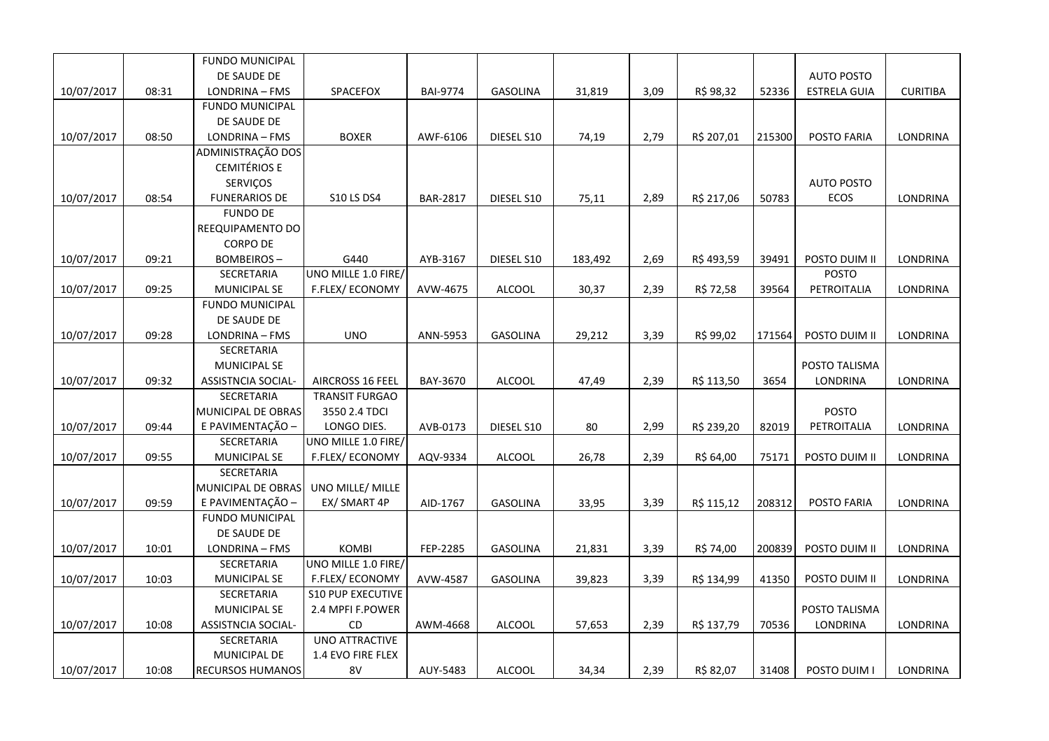|            |       | <b>FUNDO MUNICIPAL</b>  |                          |                 |                 |         |      |            |        |                     |                 |
|------------|-------|-------------------------|--------------------------|-----------------|-----------------|---------|------|------------|--------|---------------------|-----------------|
|            |       | DE SAUDE DE             |                          |                 |                 |         |      |            |        | <b>AUTO POSTO</b>   |                 |
| 10/07/2017 | 08:31 | LONDRINA - FMS          | SPACEFOX                 | <b>BAI-9774</b> | <b>GASOLINA</b> | 31,819  | 3,09 | R\$ 98,32  | 52336  | <b>ESTRELA GUIA</b> | <b>CURITIBA</b> |
|            |       | <b>FUNDO MUNICIPAL</b>  |                          |                 |                 |         |      |            |        |                     |                 |
|            |       | DE SAUDE DE             |                          |                 |                 |         |      |            |        |                     |                 |
| 10/07/2017 | 08:50 | LONDRINA - FMS          | <b>BOXER</b>             | AWF-6106        | DIESEL S10      | 74,19   | 2,79 | R\$ 207,01 | 215300 | POSTO FARIA         | LONDRINA        |
|            |       | ADMINISTRAÇÃO DOS       |                          |                 |                 |         |      |            |        |                     |                 |
|            |       | <b>CEMITÉRIOS E</b>     |                          |                 |                 |         |      |            |        |                     |                 |
|            |       | <b>SERVICOS</b>         |                          |                 |                 |         |      |            |        | <b>AUTO POSTO</b>   |                 |
| 10/07/2017 | 08:54 | <b>FUNERARIOS DE</b>    | <b>S10 LS DS4</b>        | <b>BAR-2817</b> | DIESEL S10      | 75,11   | 2,89 | R\$ 217,06 | 50783  | ECOS                | LONDRINA        |
|            |       | <b>FUNDO DE</b>         |                          |                 |                 |         |      |            |        |                     |                 |
|            |       | REEQUIPAMENTO DO        |                          |                 |                 |         |      |            |        |                     |                 |
|            |       | <b>CORPO DE</b>         |                          |                 |                 |         |      |            |        |                     |                 |
| 10/07/2017 | 09:21 | <b>BOMBEIROS-</b>       | G440                     | AYB-3167        | DIESEL S10      | 183,492 | 2,69 | R\$493,59  | 39491  | POSTO DUIM II       | LONDRINA        |
|            |       | SECRETARIA              | UNO MILLE 1.0 FIRE/      |                 |                 |         |      |            |        | <b>POSTO</b>        |                 |
| 10/07/2017 | 09:25 | MUNICIPAL SE            | <b>F.FLEX/ECONOMY</b>    | AVW-4675        | <b>ALCOOL</b>   | 30,37   | 2,39 | R\$ 72,58  | 39564  | PETROITALIA         | LONDRINA        |
|            |       | <b>FUNDO MUNICIPAL</b>  |                          |                 |                 |         |      |            |        |                     |                 |
|            |       | DE SAUDE DE             |                          |                 |                 |         |      |            |        |                     |                 |
| 10/07/2017 | 09:28 | LONDRINA - FMS          | <b>UNO</b>               | ANN-5953        | <b>GASOLINA</b> | 29,212  | 3,39 | R\$ 99,02  | 171564 | POSTO DUIM II       | LONDRINA        |
|            |       | SECRETARIA              |                          |                 |                 |         |      |            |        |                     |                 |
|            |       | <b>MUNICIPAL SE</b>     |                          |                 |                 |         |      |            |        | POSTO TALISMA       |                 |
| 10/07/2017 | 09:32 | ASSISTNCIA SOCIAL-      | AIRCROSS 16 FEEL         | BAY-3670        | <b>ALCOOL</b>   | 47,49   | 2,39 | R\$ 113,50 | 3654   | LONDRINA            | LONDRINA        |
|            |       | SECRETARIA              | <b>TRANSIT FURGAO</b>    |                 |                 |         |      |            |        |                     |                 |
|            |       | MUNICIPAL DE OBRAS      | 3550 2.4 TDCI            |                 |                 |         |      |            |        | <b>POSTO</b>        |                 |
| 10/07/2017 | 09:44 | E PAVIMENTAÇÃO -        | LONGO DIES.              | AVB-0173        | DIESEL S10      | 80      | 2,99 | R\$ 239,20 | 82019  | PETROITALIA         | LONDRINA        |
|            |       | SECRETARIA              | UNO MILLE 1.0 FIRE/      |                 |                 |         |      |            |        |                     |                 |
| 10/07/2017 | 09:55 | MUNICIPAL SE            | F.FLEX/ECONOMY           | AQV-9334        | ALCOOL          | 26,78   | 2,39 | R\$ 64,00  | 75171  | POSTO DUIM II       | LONDRINA        |
|            |       | SECRETARIA              |                          |                 |                 |         |      |            |        |                     |                 |
|            |       | MUNICIPAL DE OBRAS      | UNO MILLE/ MILLE         |                 |                 |         |      |            |        |                     |                 |
| 10/07/2017 | 09:59 | E PAVIMENTAÇÃO -        | EX/ SMART 4P             | AID-1767        | <b>GASOLINA</b> | 33,95   | 3,39 | R\$ 115,12 | 208312 | POSTO FARIA         | LONDRINA        |
|            |       | <b>FUNDO MUNICIPAL</b>  |                          |                 |                 |         |      |            |        |                     |                 |
|            |       | DE SAUDE DE             |                          |                 |                 |         |      |            |        |                     |                 |
| 10/07/2017 | 10:01 | LONDRINA - FMS          | <b>KOMBI</b>             | FEP-2285        | GASOLINA        | 21,831  | 3,39 | R\$ 74,00  | 200839 | POSTO DUIM II       | LONDRINA        |
|            |       | SECRETARIA              | UNO MILLE 1.0 FIRE/      |                 |                 |         |      |            |        |                     |                 |
| 10/07/2017 | 10:03 | MUNICIPAL SE            | F.FLEX/ECONOMY           | AVW-4587        | <b>GASOLINA</b> | 39,823  | 3,39 | R\$ 134,99 | 41350  | POSTO DUIM II       | LONDRINA        |
|            |       | SECRETARIA              | <b>S10 PUP EXECUTIVE</b> |                 |                 |         |      |            |        |                     |                 |
|            |       | MUNICIPAL SE            | 2.4 MPFI F.POWER         |                 |                 |         |      |            |        | POSTO TALISMA       |                 |
| 10/07/2017 | 10:08 | ASSISTNCIA SOCIAL-      | CD.                      | AWM-4668        | <b>ALCOOL</b>   | 57,653  | 2,39 | R\$ 137,79 | 70536  | LONDRINA            | LONDRINA        |
|            |       | SECRETARIA              | UNO ATTRACTIVE           |                 |                 |         |      |            |        |                     |                 |
|            |       | MUNICIPAL DE            | 1.4 EVO FIRE FLEX        |                 |                 |         |      |            |        |                     |                 |
| 10/07/2017 | 10:08 | <b>RECURSOS HUMANOS</b> | 8V                       | AUY-5483        | <b>ALCOOL</b>   | 34,34   | 2,39 | R\$ 82,07  | 31408  | POSTO DUIM I        | LONDRINA        |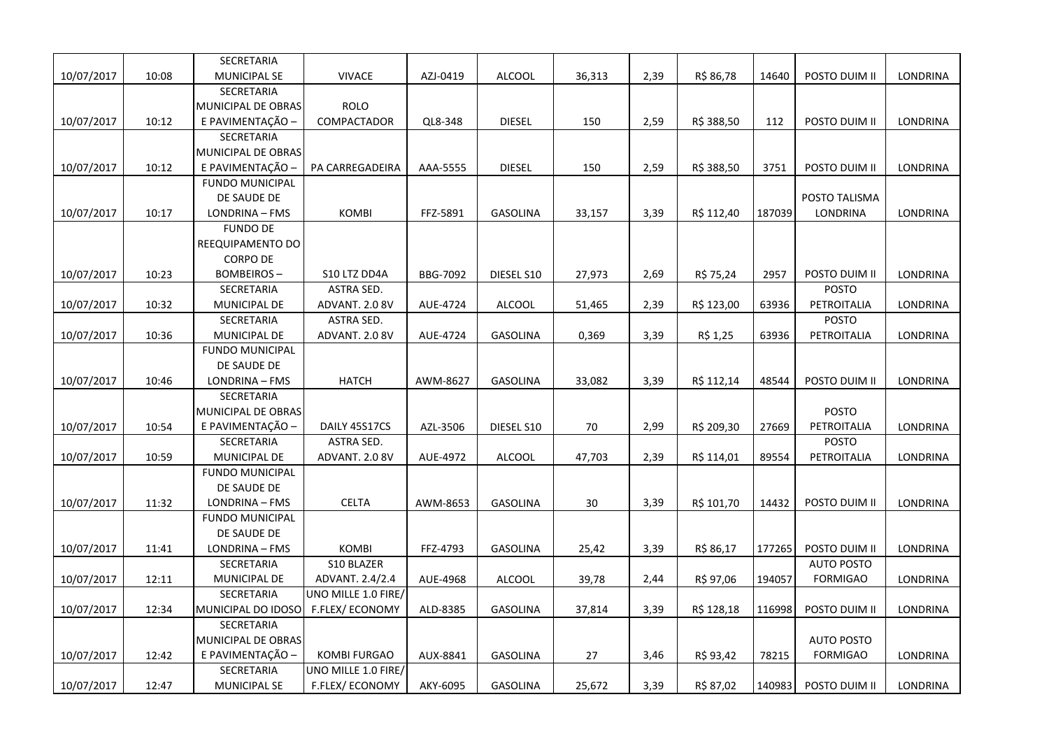|            |       | SECRETARIA             |                        |          |                 |        |      |            |        |                   |          |
|------------|-------|------------------------|------------------------|----------|-----------------|--------|------|------------|--------|-------------------|----------|
| 10/07/2017 | 10:08 | MUNICIPAL SE           | <b>VIVACE</b>          | AZJ-0419 | <b>ALCOOL</b>   | 36,313 | 2,39 | R\$ 86,78  | 14640  | POSTO DUIM II     | LONDRINA |
|            |       | SECRETARIA             |                        |          |                 |        |      |            |        |                   |          |
|            |       | MUNICIPAL DE OBRAS     | <b>ROLO</b>            |          |                 |        |      |            |        |                   |          |
| 10/07/2017 | 10:12 | E PAVIMENTAÇÃO -       | COMPACTADOR            | QL8-348  | <b>DIESEL</b>   | 150    | 2,59 | R\$ 388,50 | 112    | POSTO DUIM II     | LONDRINA |
|            |       | <b>SECRETARIA</b>      |                        |          |                 |        |      |            |        |                   |          |
|            |       | MUNICIPAL DE OBRAS     |                        |          |                 |        |      |            |        |                   |          |
| 10/07/2017 | 10:12 | E PAVIMENTAÇÃO -       | PA CARREGADEIRA        | AAA-5555 | <b>DIESEL</b>   | 150    | 2,59 | R\$ 388,50 | 3751   | POSTO DUIM II     | LONDRINA |
|            |       | <b>FUNDO MUNICIPAL</b> |                        |          |                 |        |      |            |        |                   |          |
|            |       | DE SAUDE DE            |                        |          |                 |        |      |            |        | POSTO TALISMA     |          |
| 10/07/2017 | 10:17 | LONDRINA - FMS         | KOMBI                  | FFZ-5891 | GASOLINA        | 33,157 | 3,39 | R\$ 112,40 | 187039 | LONDRINA          | LONDRINA |
|            |       | <b>FUNDO DE</b>        |                        |          |                 |        |      |            |        |                   |          |
|            |       | REEQUIPAMENTO DO       |                        |          |                 |        |      |            |        |                   |          |
|            |       | <b>CORPO DE</b>        |                        |          |                 |        |      |            |        |                   |          |
| 10/07/2017 | 10:23 | <b>BOMBEIROS-</b>      | S10 LTZ DD4A           | BBG-7092 | DIESEL S10      | 27,973 | 2,69 | R\$ 75,24  | 2957   | POSTO DUIM II     | LONDRINA |
|            |       | SECRETARIA             | ASTRA SED.             |          |                 |        |      |            |        | <b>POSTO</b>      |          |
| 10/07/2017 | 10:32 | MUNICIPAL DE           | ADVANT. 2.0 8V         | AUE-4724 | <b>ALCOOL</b>   | 51,465 | 2,39 | R\$ 123,00 | 63936  | PETROITALIA       | LONDRINA |
|            |       | SECRETARIA             | ASTRA SED.             |          |                 |        |      |            |        | <b>POSTO</b>      |          |
| 10/07/2017 | 10:36 | MUNICIPAL DE           | ADVANT. 2.0 8V         | AUE-4724 | <b>GASOLINA</b> | 0,369  | 3,39 | R\$ 1,25   | 63936  | PETROITALIA       | LONDRINA |
|            |       | <b>FUNDO MUNICIPAL</b> |                        |          |                 |        |      |            |        |                   |          |
|            |       | DE SAUDE DE            |                        |          |                 |        |      |            |        |                   |          |
| 10/07/2017 | 10:46 | LONDRINA - FMS         | <b>HATCH</b>           | AWM-8627 | <b>GASOLINA</b> | 33,082 | 3,39 | R\$ 112,14 | 48544  | POSTO DUIM II     | LONDRINA |
|            |       | SECRETARIA             |                        |          |                 |        |      |            |        |                   |          |
|            |       | MUNICIPAL DE OBRAS     |                        |          |                 |        |      |            |        | <b>POSTO</b>      |          |
| 10/07/2017 | 10:54 | E PAVIMENTAÇÃO -       | DAILY 45S17CS          | AZL-3506 | DIESEL S10      | 70     | 2,99 | R\$ 209,30 | 27669  | PETROITALIA       | LONDRINA |
|            |       | SECRETARIA             | ASTRA SED.             |          |                 |        |      |            |        | <b>POSTO</b>      |          |
| 10/07/2017 | 10:59 | MUNICIPAL DE           | ADVANT. 2.0 8V         | AUE-4972 | <b>ALCOOL</b>   | 47,703 | 2,39 | R\$ 114,01 | 89554  | PETROITALIA       | LONDRINA |
|            |       | <b>FUNDO MUNICIPAL</b> |                        |          |                 |        |      |            |        |                   |          |
|            |       | DE SAUDE DE            |                        |          |                 |        |      |            |        |                   |          |
| 10/07/2017 | 11:32 | LONDRINA - FMS         | <b>CELTA</b>           | AWM-8653 | <b>GASOLINA</b> | 30     | 3,39 | R\$ 101,70 | 14432  | POSTO DUIM II     | LONDRINA |
|            |       | <b>FUNDO MUNICIPAL</b> |                        |          |                 |        |      |            |        |                   |          |
|            |       | DE SAUDE DE            |                        |          |                 |        |      |            |        |                   |          |
| 10/07/2017 | 11:41 | LONDRINA - FMS         | <b>KOMBI</b>           | FFZ-4793 | <b>GASOLINA</b> | 25,42  | 3,39 | R\$ 86,17  | 177265 | POSTO DUIM II     | LONDRINA |
|            |       | SECRETARIA             | S10 BLAZER             |          |                 |        |      |            |        | <b>AUTO POSTO</b> |          |
| 10/07/2017 | 12:11 | MUNICIPAL DE           | ADVANT. 2.4/2.4        | AUE-4968 | <b>ALCOOL</b>   | 39,78  | 2,44 | R\$ 97,06  | 194057 | <b>FORMIGAO</b>   | LONDRINA |
|            |       | SECRETARIA             | UNO MILLE 1.0 FIRE/    |          |                 |        |      |            |        |                   |          |
| 10/07/2017 | 12:34 | MUNICIPAL DO IDOSO     | F.FLEX/ECONOMY         | ALD-8385 | <b>GASOLINA</b> | 37,814 | 3,39 | R\$ 128,18 | 116998 | POSTO DUIM II     | LONDRINA |
|            |       | SECRETARIA             |                        |          |                 |        |      |            |        |                   |          |
|            |       | MUNICIPAL DE OBRAS     |                        |          |                 |        |      |            |        | <b>AUTO POSTO</b> |          |
| 10/07/2017 | 12:42 | E PAVIMENTAÇÃO -       | <b>KOMBI FURGAO</b>    | AUX-8841 | GASOLINA        | 27     | 3,46 | R\$ 93,42  | 78215  | <b>FORMIGAO</b>   | LONDRINA |
|            |       | SECRETARIA             | UNO MILLE 1.0 FIRE/    |          |                 |        |      |            |        |                   |          |
| 10/07/2017 | 12:47 | <b>MUNICIPAL SE</b>    | <b>F.FLEX/ ECONOMY</b> | AKY-6095 | <b>GASOLINA</b> | 25,672 | 3,39 | R\$ 87,02  | 140983 | POSTO DUIM II     | LONDRINA |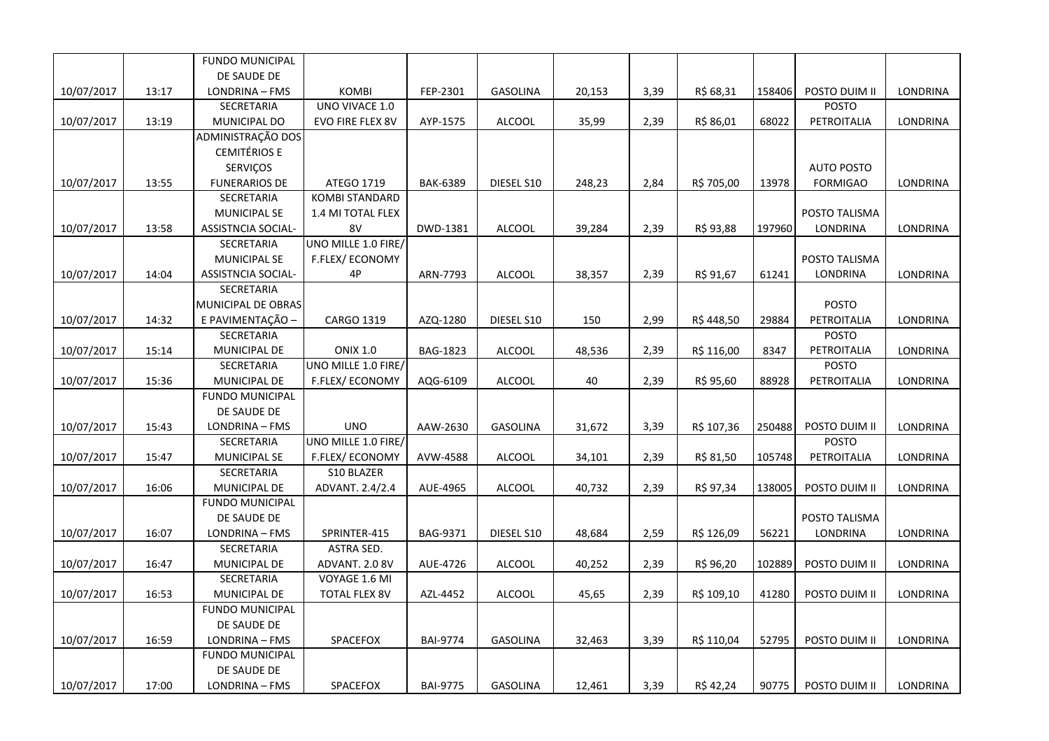|            |       | <b>FUNDO MUNICIPAL</b>    |                       |                 |                 |        |      |            |        |                   |                 |
|------------|-------|---------------------------|-----------------------|-----------------|-----------------|--------|------|------------|--------|-------------------|-----------------|
|            |       | DE SAUDE DE               |                       |                 |                 |        |      |            |        |                   |                 |
| 10/07/2017 | 13:17 | LONDRINA - FMS            | <b>KOMBI</b>          | FEP-2301        | <b>GASOLINA</b> | 20,153 | 3,39 | R\$ 68,31  | 158406 | POSTO DUIM II     | <b>LONDRINA</b> |
|            |       | SECRETARIA                | UNO VIVACE 1.0        |                 |                 |        |      |            |        | POSTO             |                 |
| 10/07/2017 | 13:19 | MUNICIPAL DO              | EVO FIRE FLEX 8V      | AYP-1575        | <b>ALCOOL</b>   | 35,99  | 2,39 | R\$ 86,01  | 68022  | PETROITALIA       | LONDRINA        |
|            |       | ADMINISTRAÇÃO DOS         |                       |                 |                 |        |      |            |        |                   |                 |
|            |       | <b>CEMITÉRIOS E</b>       |                       |                 |                 |        |      |            |        |                   |                 |
|            |       | SERVIÇOS                  |                       |                 |                 |        |      |            |        | <b>AUTO POSTO</b> |                 |
| 10/07/2017 | 13:55 | <b>FUNERARIOS DE</b>      | ATEGO 1719            | <b>BAK-6389</b> | DIESEL S10      | 248,23 | 2,84 | R\$ 705,00 | 13978  | <b>FORMIGAO</b>   | LONDRINA        |
|            |       | SECRETARIA                | <b>KOMBI STANDARD</b> |                 |                 |        |      |            |        |                   |                 |
|            |       | <b>MUNICIPAL SE</b>       | 1.4 MI TOTAL FLEX     |                 |                 |        |      |            |        | POSTO TALISMA     |                 |
| 10/07/2017 | 13:58 | <b>ASSISTNCIA SOCIAL-</b> | 8V                    | DWD-1381        | <b>ALCOOL</b>   | 39,284 | 2,39 | R\$ 93,88  | 197960 | <b>LONDRINA</b>   | LONDRINA        |
|            |       | SECRETARIA                | UNO MILLE 1.0 FIRE/   |                 |                 |        |      |            |        |                   |                 |
|            |       | MUNICIPAL SE              | F.FLEX/ECONOMY        |                 |                 |        |      |            |        | POSTO TALISMA     |                 |
| 10/07/2017 | 14:04 | ASSISTNCIA SOCIAL-        | 4P                    | ARN-7793        | <b>ALCOOL</b>   | 38,357 | 2,39 | R\$ 91,67  | 61241  | <b>LONDRINA</b>   | LONDRINA        |
|            |       | <b>SECRETARIA</b>         |                       |                 |                 |        |      |            |        |                   |                 |
|            |       | MUNICIPAL DE OBRAS        |                       |                 |                 |        |      |            |        | POSTO             |                 |
| 10/07/2017 | 14:32 | E PAVIMENTAÇÃO -          | CARGO 1319            | AZQ-1280        | DIESEL S10      | 150    | 2,99 | R\$448,50  | 29884  | PETROITALIA       | LONDRINA        |
|            |       | SECRETARIA                |                       |                 |                 |        |      |            |        | <b>POSTO</b>      |                 |
| 10/07/2017 | 15:14 | MUNICIPAL DE              | <b>ONIX 1.0</b>       | <b>BAG-1823</b> | <b>ALCOOL</b>   | 48,536 | 2,39 | R\$ 116,00 | 8347   | PETROITALIA       | LONDRINA        |
|            |       | SECRETARIA                | UNO MILLE 1.0 FIRE/   |                 |                 |        |      |            |        | POSTO             |                 |
| 10/07/2017 | 15:36 | MUNICIPAL DE              | F.FLEX/ECONOMY        | AQG-6109        | <b>ALCOOL</b>   | 40     | 2,39 | R\$ 95,60  | 88928  | PETROITALIA       | LONDRINA        |
|            |       | <b>FUNDO MUNICIPAL</b>    |                       |                 |                 |        |      |            |        |                   |                 |
|            |       | DE SAUDE DE               |                       |                 |                 |        |      |            |        |                   |                 |
| 10/07/2017 | 15:43 | LONDRINA - FMS            | <b>UNO</b>            | AAW-2630        | <b>GASOLINA</b> | 31,672 | 3,39 | R\$ 107,36 | 250488 | POSTO DUIM II     | <b>LONDRINA</b> |
|            |       | SECRETARIA                | UNO MILLE 1.0 FIRE/   |                 |                 |        |      |            |        | POSTO             |                 |
| 10/07/2017 | 15:47 | MUNICIPAL SE              | F.FLEX/ECONOMY        | AVW-4588        | <b>ALCOOL</b>   | 34,101 | 2,39 | R\$ 81,50  | 105748 | PETROITALIA       | LONDRINA        |
|            |       | SECRETARIA                | S10 BLAZER            |                 |                 |        |      |            |        |                   |                 |
| 10/07/2017 | 16:06 | MUNICIPAL DE              | ADVANT. 2.4/2.4       | AUE-4965        | <b>ALCOOL</b>   | 40,732 | 2,39 | R\$ 97,34  | 138005 | POSTO DUIM II     | LONDRINA        |
|            |       | <b>FUNDO MUNICIPAL</b>    |                       |                 |                 |        |      |            |        |                   |                 |
|            |       | DE SAUDE DE               |                       |                 |                 |        |      |            |        | POSTO TALISMA     |                 |
| 10/07/2017 | 16:07 | LONDRINA - FMS            | SPRINTER-415          | BAG-9371        | DIESEL S10      | 48,684 | 2,59 | R\$ 126,09 | 56221  | LONDRINA          | LONDRINA        |
|            |       | SECRETARIA                | ASTRA SED.            |                 |                 |        |      |            |        |                   |                 |
| 10/07/2017 | 16:47 | MUNICIPAL DE              | ADVANT. 2.0 8V        | AUE-4726        | <b>ALCOOL</b>   | 40,252 | 2,39 | R\$ 96,20  | 102889 | POSTO DUIM II     | <b>LONDRINA</b> |
|            |       | SECRETARIA                | VOYAGE 1.6 MI         |                 |                 |        |      |            |        |                   |                 |
| 10/07/2017 | 16:53 | MUNICIPAL DE              | <b>TOTAL FLEX 8V</b>  | AZL-4452        | <b>ALCOOL</b>   | 45,65  | 2,39 | R\$ 109,10 | 41280  | POSTO DUIM II     | LONDRINA        |
|            |       | <b>FUNDO MUNICIPAL</b>    |                       |                 |                 |        |      |            |        |                   |                 |
|            |       | DE SAUDE DE               |                       |                 |                 |        |      |            |        |                   |                 |
| 10/07/2017 | 16:59 | LONDRINA - FMS            | SPACEFOX              | <b>BAI-9774</b> | <b>GASOLINA</b> | 32,463 | 3,39 | R\$ 110,04 | 52795  | POSTO DUIM II     | LONDRINA        |
|            |       | <b>FUNDO MUNICIPAL</b>    |                       |                 |                 |        |      |            |        |                   |                 |
|            |       | DE SAUDE DE               |                       |                 |                 |        |      |            |        |                   |                 |
| 10/07/2017 | 17:00 | LONDRINA - FMS            | SPACEFOX              | <b>BAI-9775</b> | GASOLINA        | 12,461 | 3,39 | R\$42,24   | 90775  | POSTO DUIM II     | <b>LONDRINA</b> |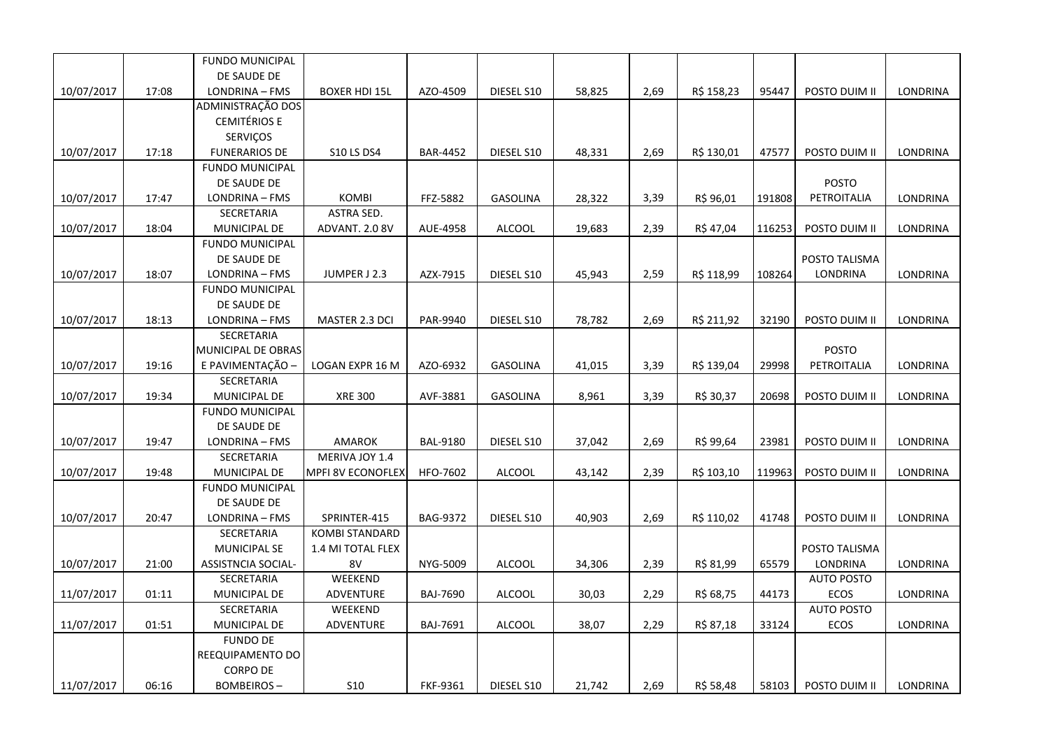|            |       | <b>FUNDO MUNICIPAL</b> |                       |                 |                 |        |      |            |        |                   |                 |
|------------|-------|------------------------|-----------------------|-----------------|-----------------|--------|------|------------|--------|-------------------|-----------------|
|            |       | DE SAUDE DE            |                       |                 |                 |        |      |            |        |                   |                 |
| 10/07/2017 | 17:08 | LONDRINA - FMS         | <b>BOXER HDI 15L</b>  | AZO-4509        | DIESEL S10      | 58,825 | 2,69 | R\$ 158,23 | 95447  | POSTO DUIM II     | LONDRINA        |
|            |       | ADMINISTRAÇÃO DOS      |                       |                 |                 |        |      |            |        |                   |                 |
|            |       | <b>CEMITÉRIOS E</b>    |                       |                 |                 |        |      |            |        |                   |                 |
|            |       | SERVIÇOS               |                       |                 |                 |        |      |            |        |                   |                 |
| 10/07/2017 | 17:18 | <b>FUNERARIOS DE</b>   | <b>S10 LS DS4</b>     | <b>BAR-4452</b> | DIESEL S10      | 48,331 | 2,69 | R\$ 130,01 | 47577  | POSTO DUIM II     | LONDRINA        |
|            |       | <b>FUNDO MUNICIPAL</b> |                       |                 |                 |        |      |            |        |                   |                 |
|            |       | DE SAUDE DE            |                       |                 |                 |        |      |            |        | <b>POSTO</b>      |                 |
| 10/07/2017 | 17:47 | LONDRINA - FMS         | <b>KOMBI</b>          | FFZ-5882        | GASOLINA        | 28,322 | 3,39 | R\$ 96,01  | 191808 | PETROITALIA       | LONDRINA        |
|            |       | SECRETARIA             | ASTRA SED.            |                 |                 |        |      |            |        |                   |                 |
| 10/07/2017 | 18:04 | MUNICIPAL DE           | ADVANT. 2.0 8V        | AUE-4958        | <b>ALCOOL</b>   | 19,683 | 2,39 | R\$ 47,04  | 116253 | POSTO DUIM II     | LONDRINA        |
|            |       | <b>FUNDO MUNICIPAL</b> |                       |                 |                 |        |      |            |        |                   |                 |
|            |       | DE SAUDE DE            |                       |                 |                 |        |      |            |        | POSTO TALISMA     |                 |
| 10/07/2017 | 18:07 | LONDRINA - FMS         | JUMPER J 2.3          | AZX-7915        | DIESEL S10      | 45,943 | 2,59 | R\$ 118,99 | 108264 | LONDRINA          | LONDRINA        |
|            |       | <b>FUNDO MUNICIPAL</b> |                       |                 |                 |        |      |            |        |                   |                 |
|            |       | DE SAUDE DE            |                       |                 |                 |        |      |            |        |                   |                 |
| 10/07/2017 | 18:13 | LONDRINA - FMS         | MASTER 2.3 DCI        | PAR-9940        | DIESEL S10      | 78,782 | 2,69 | R\$ 211,92 | 32190  | POSTO DUIM II     | LONDRINA        |
|            |       | <b>SECRETARIA</b>      |                       |                 |                 |        |      |            |        |                   |                 |
|            |       | MUNICIPAL DE OBRAS     |                       |                 |                 |        |      |            |        | <b>POSTO</b>      |                 |
| 10/07/2017 | 19:16 | E PAVIMENTAÇÃO -       | LOGAN EXPR 16 M       | AZO-6932        | <b>GASOLINA</b> | 41,015 | 3,39 | R\$ 139,04 | 29998  | PETROITALIA       | LONDRINA        |
|            |       | SECRETARIA             |                       |                 |                 |        |      |            |        |                   |                 |
| 10/07/2017 | 19:34 | MUNICIPAL DE           | <b>XRE 300</b>        | AVF-3881        | GASOLINA        | 8,961  | 3,39 | R\$ 30,37  | 20698  | POSTO DUIM II     | LONDRINA        |
|            |       | <b>FUNDO MUNICIPAL</b> |                       |                 |                 |        |      |            |        |                   |                 |
|            |       | DE SAUDE DE            |                       |                 |                 |        |      |            |        |                   |                 |
| 10/07/2017 | 19:47 | LONDRINA - FMS         | <b>AMAROK</b>         | <b>BAL-9180</b> | DIESEL S10      | 37,042 | 2,69 | R\$ 99,64  | 23981  | POSTO DUIM II     | LONDRINA        |
|            |       | SECRETARIA             | MERIVA JOY 1.4        |                 |                 |        |      |            |        |                   |                 |
| 10/07/2017 | 19:48 | MUNICIPAL DE           | MPFI 8V ECONOFLEX     | HFO-7602        | <b>ALCOOL</b>   | 43,142 | 2,39 | R\$ 103,10 | 119963 | POSTO DUIM II     | LONDRINA        |
|            |       | <b>FUNDO MUNICIPAL</b> |                       |                 |                 |        |      |            |        |                   |                 |
|            |       | DE SAUDE DE            |                       |                 |                 |        |      |            |        |                   |                 |
| 10/07/2017 | 20:47 | LONDRINA - FMS         | SPRINTER-415          | <b>BAG-9372</b> | DIESEL S10      | 40,903 | 2,69 | R\$ 110,02 | 41748  | POSTO DUIM II     | LONDRINA        |
|            |       | SECRETARIA             | <b>KOMBI STANDARD</b> |                 |                 |        |      |            |        |                   |                 |
|            |       | <b>MUNICIPAL SE</b>    | 1.4 MI TOTAL FLEX     |                 |                 |        |      |            |        | POSTO TALISMA     |                 |
| 10/07/2017 | 21:00 | ASSISTNCIA SOCIAL-     | 8V                    | NYG-5009        | <b>ALCOOL</b>   | 34,306 | 2,39 | R\$ 81,99  | 65579  | LONDRINA          | <b>LONDRINA</b> |
|            |       | SECRETARIA             | WEEKEND               |                 |                 |        |      |            |        | <b>AUTO POSTO</b> |                 |
| 11/07/2017 | 01:11 | MUNICIPAL DE           | ADVENTURE             | <b>BAJ-7690</b> | <b>ALCOOL</b>   | 30,03  | 2,29 | R\$ 68,75  | 44173  | ECOS              | LONDRINA        |
|            |       | SECRETARIA             | WEEKEND               |                 |                 |        |      |            |        | <b>AUTO POSTO</b> |                 |
| 11/07/2017 | 01:51 | MUNICIPAL DE           | ADVENTURE             | BAJ-7691        | ALCOOL          | 38,07  | 2,29 | R\$ 87,18  | 33124  | <b>ECOS</b>       | LONDRINA        |
|            |       | <b>FUNDO DE</b>        |                       |                 |                 |        |      |            |        |                   |                 |
|            |       | REEQUIPAMENTO DO       |                       |                 |                 |        |      |            |        |                   |                 |
|            |       | <b>CORPO DE</b>        |                       |                 |                 |        |      |            |        |                   |                 |
| 11/07/2017 | 06:16 | <b>BOMBEIROS-</b>      | <b>S10</b>            | <b>FKF-9361</b> | DIESEL S10      | 21,742 | 2,69 | R\$ 58,48  | 58103  | POSTO DUIM II     | LONDRINA        |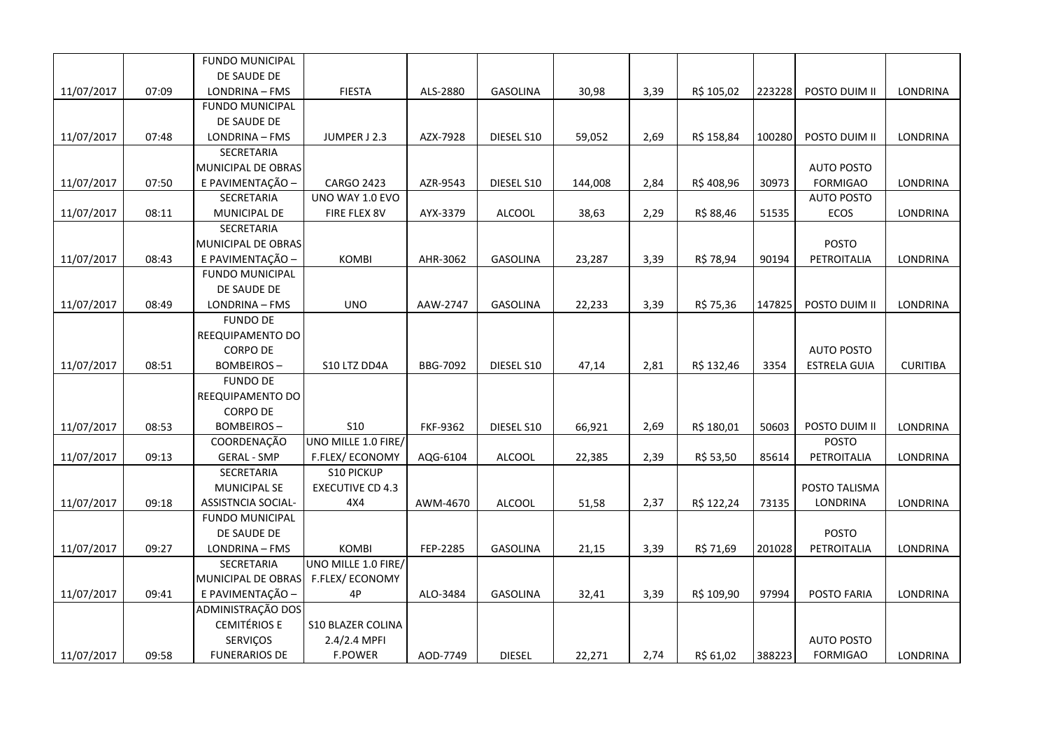|            |       | <b>FUNDO MUNICIPAL</b>    |                          |                 |                 |         |      |            |        |                     |                 |
|------------|-------|---------------------------|--------------------------|-----------------|-----------------|---------|------|------------|--------|---------------------|-----------------|
|            |       | DE SAUDE DE               |                          |                 |                 |         |      |            |        |                     |                 |
| 11/07/2017 | 07:09 | LONDRINA - FMS            | <b>FIESTA</b>            | ALS-2880        | GASOLINA        | 30,98   | 3,39 | R\$ 105,02 | 223228 | POSTO DUIM II       | LONDRINA        |
|            |       | <b>FUNDO MUNICIPAL</b>    |                          |                 |                 |         |      |            |        |                     |                 |
|            |       | DE SAUDE DE               |                          |                 |                 |         |      |            |        |                     |                 |
| 11/07/2017 | 07:48 | LONDRINA - FMS            | JUMPER J 2.3             | AZX-7928        | DIESEL S10      | 59,052  | 2,69 | R\$ 158,84 | 100280 | POSTO DUIM II       | LONDRINA        |
|            |       | SECRETARIA                |                          |                 |                 |         |      |            |        |                     |                 |
|            |       | MUNICIPAL DE OBRAS        |                          |                 |                 |         |      |            |        | <b>AUTO POSTO</b>   |                 |
| 11/07/2017 | 07:50 | E PAVIMENTAÇÃO -          | <b>CARGO 2423</b>        | AZR-9543        | DIESEL S10      | 144,008 | 2,84 | R\$408,96  | 30973  | <b>FORMIGAO</b>     | LONDRINA        |
|            |       | <b>SECRETARIA</b>         | UNO WAY 1.0 EVO          |                 |                 |         |      |            |        | <b>AUTO POSTO</b>   |                 |
| 11/07/2017 | 08:11 | MUNICIPAL DE              | FIRE FLEX 8V             | AYX-3379        | <b>ALCOOL</b>   | 38,63   | 2,29 | R\$ 88,46  | 51535  | ECOS                | LONDRINA        |
|            |       | <b>SECRETARIA</b>         |                          |                 |                 |         |      |            |        |                     |                 |
|            |       | MUNICIPAL DE OBRAS        |                          |                 |                 |         |      |            |        | <b>POSTO</b>        |                 |
| 11/07/2017 | 08:43 | E PAVIMENTAÇÃO -          | KOMBI                    | AHR-3062        | <b>GASOLINA</b> | 23,287  | 3,39 | R\$ 78,94  | 90194  | PETROITALIA         | LONDRINA        |
|            |       | <b>FUNDO MUNICIPAL</b>    |                          |                 |                 |         |      |            |        |                     |                 |
|            |       | DE SAUDE DE               |                          |                 |                 |         |      |            |        |                     |                 |
| 11/07/2017 | 08:49 | LONDRINA - FMS            | <b>UNO</b>               | AAW-2747        | <b>GASOLINA</b> | 22,233  | 3,39 | R\$ 75,36  | 147825 | POSTO DUIM II       | LONDRINA        |
|            |       | <b>FUNDO DE</b>           |                          |                 |                 |         |      |            |        |                     |                 |
|            |       | REEQUIPAMENTO DO          |                          |                 |                 |         |      |            |        |                     |                 |
|            |       | <b>CORPO DE</b>           |                          |                 |                 |         |      |            |        | <b>AUTO POSTO</b>   |                 |
| 11/07/2017 | 08:51 | <b>BOMBEIROS-</b>         | S10 LTZ DD4A             | <b>BBG-7092</b> | DIESEL S10      | 47,14   | 2,81 | R\$ 132,46 | 3354   | <b>ESTRELA GUIA</b> | <b>CURITIBA</b> |
|            |       | <b>FUNDO DE</b>           |                          |                 |                 |         |      |            |        |                     |                 |
|            |       | REEQUIPAMENTO DO          |                          |                 |                 |         |      |            |        |                     |                 |
|            |       | <b>CORPO DE</b>           |                          |                 |                 |         |      |            |        |                     |                 |
| 11/07/2017 | 08:53 | <b>BOMBEIROS-</b>         | <b>S10</b>               | FKF-9362        | DIESEL S10      | 66,921  | 2,69 | R\$ 180,01 | 50603  | POSTO DUIM II       | LONDRINA        |
|            |       | <b>COORDENAÇÃO</b>        | UNO MILLE 1.0 FIRE/      |                 |                 |         |      |            |        | <b>POSTO</b>        |                 |
| 11/07/2017 | 09:13 | <b>GERAL - SMP</b>        | F.FLEX/ECONOMY           | AQG-6104        | <b>ALCOOL</b>   | 22,385  | 2,39 | R\$ 53,50  | 85614  | PETROITALIA         | <b>LONDRINA</b> |
|            |       | SECRETARIA                | <b>S10 PICKUP</b>        |                 |                 |         |      |            |        |                     |                 |
|            |       | MUNICIPAL SE              | <b>EXECUTIVE CD 4.3</b>  |                 |                 |         |      |            |        | POSTO TALISMA       |                 |
| 11/07/2017 | 09:18 | <b>ASSISTNCIA SOCIAL-</b> | 4X4                      | AWM-4670        | <b>ALCOOL</b>   | 51,58   | 2,37 | R\$ 122,24 | 73135  | LONDRINA            | LONDRINA        |
|            |       | <b>FUNDO MUNICIPAL</b>    |                          |                 |                 |         |      |            |        |                     |                 |
|            |       | DE SAUDE DE               |                          |                 |                 |         |      |            |        | <b>POSTO</b>        |                 |
| 11/07/2017 | 09:27 | LONDRINA - FMS            | KOMBI                    | FEP-2285        | <b>GASOLINA</b> | 21,15   | 3,39 | R\$ 71,69  | 201028 | PETROITALIA         | LONDRINA        |
|            |       | SECRETARIA                | UNO MILLE 1.0 FIRE/      |                 |                 |         |      |            |        |                     |                 |
|            |       | MUNICIPAL DE OBRAS        | <b>F.FLEX/ECONOMY</b>    |                 |                 |         |      |            |        |                     |                 |
| 11/07/2017 | 09:41 | E PAVIMENTAÇÃO -          | 4P                       | ALO-3484        | <b>GASOLINA</b> | 32,41   | 3,39 | R\$ 109,90 | 97994  | POSTO FARIA         | LONDRINA        |
|            |       | ADMINISTRAÇÃO DOS         |                          |                 |                 |         |      |            |        |                     |                 |
|            |       | <b>CEMITÉRIOS E</b>       | <b>S10 BLAZER COLINA</b> |                 |                 |         |      |            |        |                     |                 |
|            |       | SERVIÇOS                  | 2.4/2.4 MPFI             |                 |                 |         |      |            |        | <b>AUTO POSTO</b>   |                 |
| 11/07/2017 | 09:58 | <b>FUNERARIOS DE</b>      | <b>F.POWER</b>           | AOD-7749        | <b>DIESEL</b>   | 22,271  | 2,74 | R\$ 61,02  | 388223 | <b>FORMIGAO</b>     | LONDRINA        |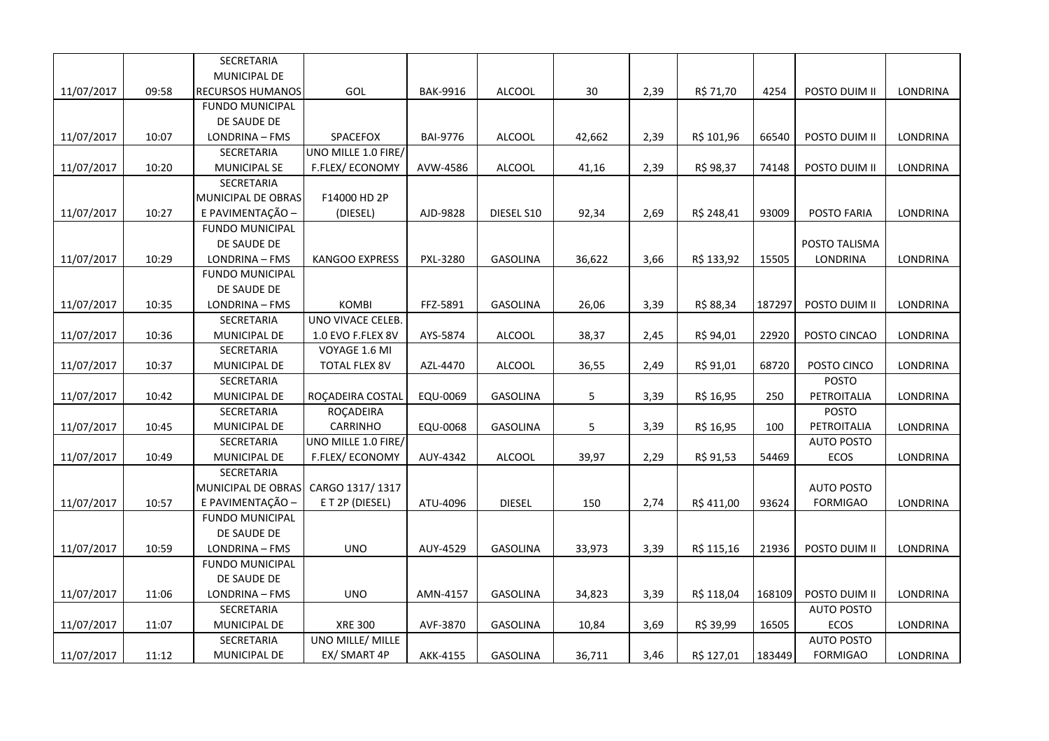|            |       | SECRETARIA             |                      |                 |                 |        |      |            |        |                   |                 |
|------------|-------|------------------------|----------------------|-----------------|-----------------|--------|------|------------|--------|-------------------|-----------------|
|            |       | MUNICIPAL DE           |                      |                 |                 |        |      |            |        |                   |                 |
| 11/07/2017 | 09:58 | RECURSOS HUMANOS       | GOL                  | <b>BAK-9916</b> | <b>ALCOOL</b>   | 30     | 2,39 | R\$ 71,70  | 4254   | POSTO DUIM II     | LONDRINA        |
|            |       | <b>FUNDO MUNICIPAL</b> |                      |                 |                 |        |      |            |        |                   |                 |
|            |       | DE SAUDE DE            |                      |                 |                 |        |      |            |        |                   |                 |
| 11/07/2017 | 10:07 | LONDRINA - FMS         | SPACEFOX             | <b>BAI-9776</b> | <b>ALCOOL</b>   | 42,662 | 2,39 | R\$ 101,96 | 66540  | POSTO DUIM II     | <b>LONDRINA</b> |
|            |       | SECRETARIA             | UNO MILLE 1.0 FIRE/  |                 |                 |        |      |            |        |                   |                 |
| 11/07/2017 | 10:20 | MUNICIPAL SE           | F.FLEX/ECONOMY       | AVW-4586        | <b>ALCOOL</b>   | 41,16  | 2,39 | R\$ 98,37  | 74148  | POSTO DUIM II     | LONDRINA        |
|            |       | SECRETARIA             |                      |                 |                 |        |      |            |        |                   |                 |
|            |       | MUNICIPAL DE OBRAS     | F14000 HD 2P         |                 |                 |        |      |            |        |                   |                 |
| 11/07/2017 | 10:27 | E PAVIMENTAÇÃO -       | (DIESEL)             | AJD-9828        | DIESEL S10      | 92,34  | 2,69 | R\$ 248,41 | 93009  | POSTO FARIA       | LONDRINA        |
|            |       | <b>FUNDO MUNICIPAL</b> |                      |                 |                 |        |      |            |        |                   |                 |
|            |       | DE SAUDE DE            |                      |                 |                 |        |      |            |        | POSTO TALISMA     |                 |
| 11/07/2017 | 10:29 | LONDRINA - FMS         | KANGOO EXPRESS       | PXL-3280        | <b>GASOLINA</b> | 36,622 | 3,66 | R\$ 133,92 | 15505  | LONDRINA          | LONDRINA        |
|            |       | <b>FUNDO MUNICIPAL</b> |                      |                 |                 |        |      |            |        |                   |                 |
|            |       | DE SAUDE DE            |                      |                 |                 |        |      |            |        |                   |                 |
| 11/07/2017 | 10:35 | LONDRINA - FMS         | <b>KOMBI</b>         | FFZ-5891        | <b>GASOLINA</b> | 26,06  | 3,39 | R\$ 88,34  | 187297 | POSTO DUIM II     | LONDRINA        |
|            |       | SECRETARIA             | UNO VIVACE CELEB.    |                 |                 |        |      |            |        |                   |                 |
| 11/07/2017 | 10:36 | MUNICIPAL DE           | 1.0 EVO F.FLEX 8V    | AYS-5874        | ALCOOL          | 38,37  | 2,45 | R\$ 94,01  | 22920  | POSTO CINCAO      | LONDRINA        |
|            |       | SECRETARIA             | VOYAGE 1.6 MI        |                 |                 |        |      |            |        |                   |                 |
| 11/07/2017 | 10:37 | MUNICIPAL DE           | <b>TOTAL FLEX 8V</b> | AZL-4470        | <b>ALCOOL</b>   | 36,55  | 2,49 | R\$ 91,01  | 68720  | POSTO CINCO       | LONDRINA        |
|            |       | SECRETARIA             |                      |                 |                 |        |      |            |        | POSTO             |                 |
| 11/07/2017 | 10:42 | MUNICIPAL DE           | ROÇADEIRA COSTAL     | EQU-0069        | GASOLINA        | 5      | 3,39 | R\$ 16,95  | 250    | PETROITALIA       | LONDRINA        |
|            |       | SECRETARIA             | ROÇADEIRA            |                 |                 |        |      |            |        | <b>POSTO</b>      |                 |
| 11/07/2017 | 10:45 | MUNICIPAL DE           | CARRINHO             | EQU-0068        | <b>GASOLINA</b> | 5      | 3,39 | R\$ 16,95  | 100    | PETROITALIA       | LONDRINA        |
|            |       | SECRETARIA             | UNO MILLE 1.0 FIRE/  |                 |                 |        |      |            |        | <b>AUTO POSTO</b> |                 |
| 11/07/2017 | 10:49 | MUNICIPAL DE           | F.FLEX/ECONOMY       | AUY-4342        | <b>ALCOOL</b>   | 39,97  | 2,29 | R\$ 91,53  | 54469  | ECOS              | <b>LONDRINA</b> |
|            |       | SECRETARIA             |                      |                 |                 |        |      |            |        |                   |                 |
|            |       | MUNICIPAL DE OBRAS     | CARGO 1317/1317      |                 |                 |        |      |            |        | <b>AUTO POSTO</b> |                 |
| 11/07/2017 | 10:57 | E PAVIMENTAÇÃO -       | E T 2P (DIESEL)      | ATU-4096        | <b>DIESEL</b>   | 150    | 2,74 | R\$ 411,00 | 93624  | <b>FORMIGAO</b>   | LONDRINA        |
|            |       | <b>FUNDO MUNICIPAL</b> |                      |                 |                 |        |      |            |        |                   |                 |
|            |       | DE SAUDE DE            |                      |                 |                 |        |      |            |        |                   |                 |
| 11/07/2017 | 10:59 | LONDRINA - FMS         | <b>UNO</b>           | AUY-4529        | <b>GASOLINA</b> | 33,973 | 3,39 | R\$ 115,16 | 21936  | POSTO DUIM II     | LONDRINA        |
|            |       | <b>FUNDO MUNICIPAL</b> |                      |                 |                 |        |      |            |        |                   |                 |
|            |       | DE SAUDE DE            |                      |                 |                 |        |      |            |        |                   |                 |
| 11/07/2017 | 11:06 | LONDRINA - FMS         | <b>UNO</b>           | AMN-4157        | <b>GASOLINA</b> | 34,823 | 3,39 | R\$ 118,04 | 168109 | POSTO DUIM II     | LONDRINA        |
|            |       | SECRETARIA             |                      |                 |                 |        |      |            |        | <b>AUTO POSTO</b> |                 |
| 11/07/2017 | 11:07 | MUNICIPAL DE           | <b>XRE 300</b>       | AVF-3870        | GASOLINA        | 10,84  | 3,69 | R\$ 39,99  | 16505  | ECOS              | LONDRINA        |
|            |       | SECRETARIA             | UNO MILLE/ MILLE     |                 |                 |        |      |            |        | <b>AUTO POSTO</b> |                 |
| 11/07/2017 | 11:12 | MUNICIPAL DE           | EX/ SMART 4P         | AKK-4155        | <b>GASOLINA</b> | 36,711 | 3,46 | R\$ 127,01 | 183449 | <b>FORMIGAO</b>   | <b>LONDRINA</b> |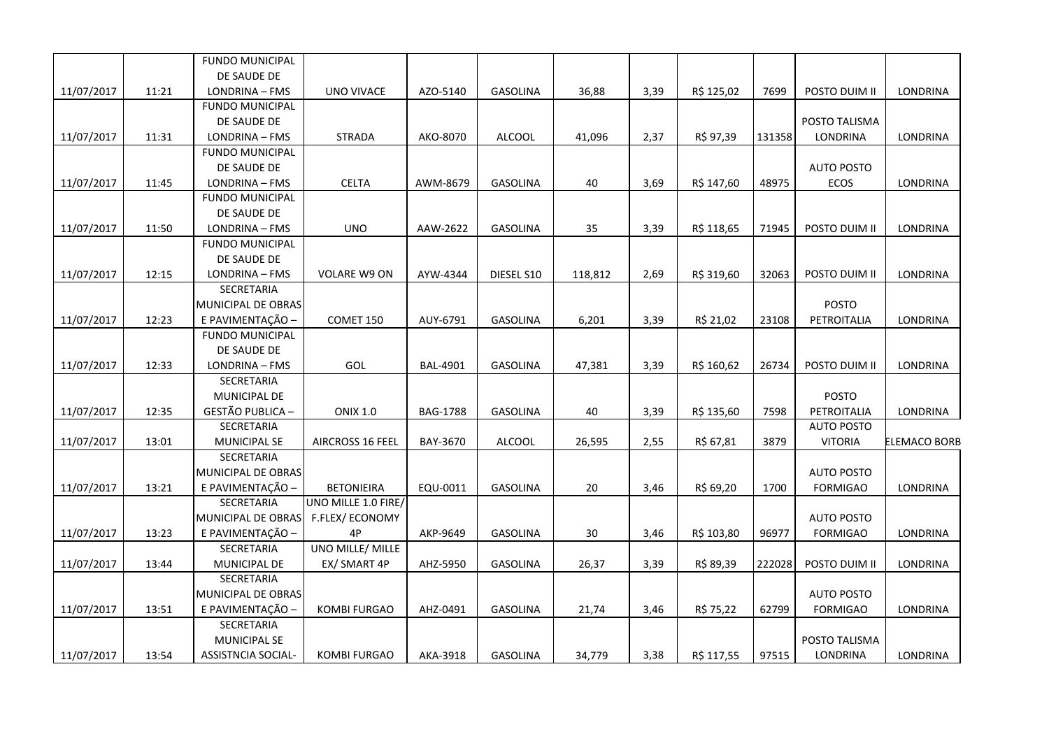|            |       | <b>FUNDO MUNICIPAL</b>    |                         |                 |                 |         |      |            |        |                   |              |
|------------|-------|---------------------------|-------------------------|-----------------|-----------------|---------|------|------------|--------|-------------------|--------------|
|            |       | DE SAUDE DE               |                         |                 |                 |         |      |            |        |                   |              |
| 11/07/2017 | 11:21 | LONDRINA - FMS            | <b>UNO VIVACE</b>       | AZO-5140        | GASOLINA        | 36,88   | 3,39 | R\$ 125,02 | 7699   | POSTO DUIM II     | LONDRINA     |
|            |       | <b>FUNDO MUNICIPAL</b>    |                         |                 |                 |         |      |            |        |                   |              |
|            |       | DE SAUDE DE               |                         |                 |                 |         |      |            |        | POSTO TALISMA     |              |
| 11/07/2017 | 11:31 | LONDRINA - FMS            | <b>STRADA</b>           | AKO-8070        | <b>ALCOOL</b>   | 41,096  | 2,37 | R\$ 97,39  | 131358 | <b>LONDRINA</b>   | LONDRINA     |
|            |       | <b>FUNDO MUNICIPAL</b>    |                         |                 |                 |         |      |            |        |                   |              |
|            |       | DE SAUDE DE               |                         |                 |                 |         |      |            |        | <b>AUTO POSTO</b> |              |
| 11/07/2017 | 11:45 | LONDRINA - FMS            | <b>CELTA</b>            | AWM-8679        | GASOLINA        | 40      | 3,69 | R\$ 147,60 | 48975  | <b>ECOS</b>       | LONDRINA     |
|            |       | <b>FUNDO MUNICIPAL</b>    |                         |                 |                 |         |      |            |        |                   |              |
|            |       | DE SAUDE DE               |                         |                 |                 |         |      |            |        |                   |              |
| 11/07/2017 | 11:50 | LONDRINA - FMS            | <b>UNO</b>              | AAW-2622        | <b>GASOLINA</b> | 35      | 3,39 | R\$ 118,65 | 71945  | POSTO DUIM II     | LONDRINA     |
|            |       | <b>FUNDO MUNICIPAL</b>    |                         |                 |                 |         |      |            |        |                   |              |
|            |       | DE SAUDE DE               |                         |                 |                 |         |      |            |        |                   |              |
| 11/07/2017 | 12:15 | LONDRINA - FMS            | VOLARE W9 ON            | AYW-4344        | DIESEL S10      | 118,812 | 2,69 | R\$ 319,60 | 32063  | POSTO DUIM II     | LONDRINA     |
|            |       | SECRETARIA                |                         |                 |                 |         |      |            |        |                   |              |
|            |       | MUNICIPAL DE OBRAS        |                         |                 |                 |         |      |            |        | <b>POSTO</b>      |              |
| 11/07/2017 | 12:23 | E PAVIMENTAÇÃO -          | COMET 150               | AUY-6791        | GASOLINA        | 6,201   | 3,39 | R\$ 21,02  | 23108  | PETROITALIA       | LONDRINA     |
|            |       | <b>FUNDO MUNICIPAL</b>    |                         |                 |                 |         |      |            |        |                   |              |
|            |       | DE SAUDE DE               |                         |                 |                 |         |      |            |        |                   |              |
| 11/07/2017 | 12:33 | LONDRINA - FMS            | GOL                     | <b>BAL-4901</b> | GASOLINA        | 47,381  | 3,39 | R\$ 160,62 | 26734  | POSTO DUIM II     | LONDRINA     |
|            |       | SECRETARIA                |                         |                 |                 |         |      |            |        |                   |              |
|            |       | MUNICIPAL DE              |                         |                 |                 |         |      |            |        | <b>POSTO</b>      |              |
| 11/07/2017 | 12:35 | <b>GESTÃO PUBLICA -</b>   | <b>ONIX 1.0</b>         | <b>BAG-1788</b> | GASOLINA        | 40      | 3,39 | R\$ 135,60 | 7598   | PETROITALIA       | LONDRINA     |
|            |       | SECRETARIA                |                         |                 |                 |         |      |            |        | <b>AUTO POSTO</b> |              |
| 11/07/2017 | 13:01 | <b>MUNICIPAL SE</b>       | <b>AIRCROSS 16 FEEL</b> | BAY-3670        | <b>ALCOOL</b>   | 26,595  | 2,55 | R\$ 67,81  | 3879   | <b>VITORIA</b>    | ELEMACO BORB |
|            |       | <b>SECRETARIA</b>         |                         |                 |                 |         |      |            |        |                   |              |
|            |       | MUNICIPAL DE OBRAS        |                         |                 |                 |         |      |            |        | <b>AUTO POSTO</b> |              |
| 11/07/2017 | 13:21 | E PAVIMENTAÇÃO -          | <b>BETONIEIRA</b>       | EQU-0011        | <b>GASOLINA</b> | 20      | 3,46 | R\$ 69,20  | 1700   | <b>FORMIGAO</b>   | LONDRINA     |
|            |       | <b>SECRETARIA</b>         | UNO MILLE 1.0 FIRE/     |                 |                 |         |      |            |        |                   |              |
|            |       | MUNICIPAL DE OBRAS        | F.FLEX/ECONOMY          |                 |                 |         |      |            |        | <b>AUTO POSTO</b> |              |
| 11/07/2017 | 13:23 | E PAVIMENTAÇÃO -          | 4P                      | AKP-9649        | GASOLINA        | 30      | 3,46 | R\$ 103,80 | 96977  | <b>FORMIGAO</b>   | LONDRINA     |
|            |       | <b>SECRETARIA</b>         | UNO MILLE/ MILLE        |                 |                 |         |      |            |        |                   |              |
| 11/07/2017 | 13:44 | MUNICIPAL DE              | EX/ SMART 4P            | AHZ-5950        | <b>GASOLINA</b> | 26,37   | 3,39 | R\$ 89,39  | 222028 | POSTO DUIM II     | LONDRINA     |
|            |       | SECRETARIA                |                         |                 |                 |         |      |            |        |                   |              |
|            |       | MUNICIPAL DE OBRAS        |                         |                 |                 |         |      |            |        | <b>AUTO POSTO</b> |              |
| 11/07/2017 | 13:51 | E PAVIMENTAÇÃO -          | <b>KOMBI FURGAO</b>     | AHZ-0491        | <b>GASOLINA</b> | 21,74   | 3,46 | R\$ 75,22  | 62799  | <b>FORMIGAO</b>   | LONDRINA     |
|            |       | SECRETARIA                |                         |                 |                 |         |      |            |        |                   |              |
|            |       | <b>MUNICIPAL SE</b>       |                         |                 |                 |         |      |            |        | POSTO TALISMA     |              |
| 11/07/2017 | 13:54 | <b>ASSISTNCIA SOCIAL-</b> | <b>KOMBI FURGAO</b>     | AKA-3918        | <b>GASOLINA</b> | 34,779  | 3,38 | R\$ 117,55 | 97515  | LONDRINA          | LONDRINA     |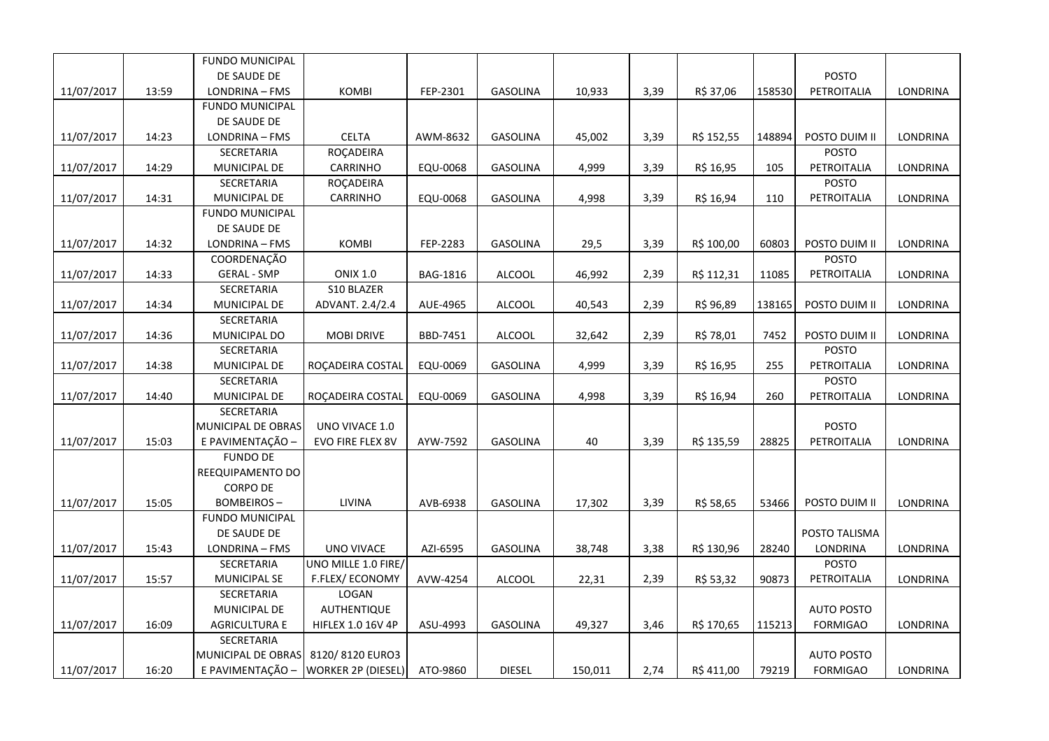|            |       | <b>FUNDO MUNICIPAL</b> |                           |          |                 |         |      |            |        |                   |                 |
|------------|-------|------------------------|---------------------------|----------|-----------------|---------|------|------------|--------|-------------------|-----------------|
|            |       | DE SAUDE DE            |                           |          |                 |         |      |            |        | <b>POSTO</b>      |                 |
| 11/07/2017 | 13:59 | LONDRINA - FMS         | <b>KOMBI</b>              | FEP-2301 | <b>GASOLINA</b> | 10,933  | 3,39 | R\$ 37,06  | 158530 | PETROITALIA       | LONDRINA        |
|            |       | <b>FUNDO MUNICIPAL</b> |                           |          |                 |         |      |            |        |                   |                 |
|            |       | DE SAUDE DE            |                           |          |                 |         |      |            |        |                   |                 |
| 11/07/2017 | 14:23 | LONDRINA - FMS         | <b>CELTA</b>              | AWM-8632 | <b>GASOLINA</b> | 45,002  | 3,39 | R\$ 152,55 | 148894 | POSTO DUIM II     | LONDRINA        |
|            |       | SECRETARIA             | ROÇADEIRA                 |          |                 |         |      |            |        | <b>POSTO</b>      |                 |
| 11/07/2017 | 14:29 | MUNICIPAL DE           | CARRINHO                  | EQU-0068 | <b>GASOLINA</b> | 4,999   | 3,39 | R\$ 16,95  | 105    | PETROITALIA       | LONDRINA        |
|            |       | SECRETARIA             | ROÇADEIRA                 |          |                 |         |      |            |        | <b>POSTO</b>      |                 |
| 11/07/2017 | 14:31 | MUNICIPAL DE           | <b>CARRINHO</b>           | EQU-0068 | <b>GASOLINA</b> | 4,998   | 3,39 | R\$ 16,94  | 110    | PETROITALIA       | LONDRINA        |
|            |       | <b>FUNDO MUNICIPAL</b> |                           |          |                 |         |      |            |        |                   |                 |
|            |       | DE SAUDE DE            |                           |          |                 |         |      |            |        |                   |                 |
| 11/07/2017 | 14:32 | LONDRINA - FMS         | <b>KOMBI</b>              | FEP-2283 | GASOLINA        | 29,5    | 3,39 | R\$ 100,00 | 60803  | POSTO DUIM II     | LONDRINA        |
|            |       | COORDENAÇÃO            |                           |          |                 |         |      |            |        | <b>POSTO</b>      |                 |
| 11/07/2017 | 14:33 | <b>GERAL - SMP</b>     | <b>ONIX 1.0</b>           | BAG-1816 | <b>ALCOOL</b>   | 46,992  | 2,39 | R\$ 112,31 | 11085  | PETROITALIA       | LONDRINA        |
|            |       | SECRETARIA             | S10 BLAZER                |          |                 |         |      |            |        |                   |                 |
| 11/07/2017 | 14:34 | MUNICIPAL DE           | ADVANT. 2.4/2.4           | AUE-4965 | <b>ALCOOL</b>   | 40,543  | 2,39 | R\$ 96,89  | 138165 | POSTO DUIM II     | LONDRINA        |
|            |       | SECRETARIA             |                           |          |                 |         |      |            |        |                   |                 |
| 11/07/2017 | 14:36 | MUNICIPAL DO           | <b>MOBI DRIVE</b>         | BBD-7451 | ALCOOL          | 32,642  | 2,39 | R\$ 78,01  | 7452   | POSTO DUIM II     | LONDRINA        |
|            |       | SECRETARIA             |                           |          |                 |         |      |            |        | <b>POSTO</b>      |                 |
| 11/07/2017 | 14:38 | MUNICIPAL DE           | ROÇADEIRA COSTAL          | EQU-0069 | GASOLINA        | 4,999   | 3,39 | R\$ 16,95  | 255    | PETROITALIA       | LONDRINA        |
|            |       | SECRETARIA             |                           |          |                 |         |      |            |        | <b>POSTO</b>      |                 |
| 11/07/2017 | 14:40 | MUNICIPAL DE           | ROÇADEIRA COSTAL          | EQU-0069 | GASOLINA        | 4,998   | 3,39 | R\$ 16,94  | 260    | PETROITALIA       | LONDRINA        |
|            |       | SECRETARIA             |                           |          |                 |         |      |            |        |                   |                 |
|            |       | MUNICIPAL DE OBRAS     | UNO VIVACE 1.0            |          |                 |         |      |            |        | <b>POSTO</b>      |                 |
| 11/07/2017 | 15:03 | E PAVIMENTAÇÃO -       | EVO FIRE FLEX 8V          | AYW-7592 | <b>GASOLINA</b> | 40      | 3,39 | R\$ 135,59 | 28825  | PETROITALIA       | LONDRINA        |
|            |       | <b>FUNDO DE</b>        |                           |          |                 |         |      |            |        |                   |                 |
|            |       | REEQUIPAMENTO DO       |                           |          |                 |         |      |            |        |                   |                 |
|            |       | <b>CORPO DE</b>        |                           |          |                 |         |      |            |        |                   |                 |
| 11/07/2017 | 15:05 | <b>BOMBEIROS-</b>      | LIVINA                    | AVB-6938 | <b>GASOLINA</b> | 17,302  | 3,39 | R\$ 58,65  | 53466  | POSTO DUIM II     | LONDRINA        |
|            |       | <b>FUNDO MUNICIPAL</b> |                           |          |                 |         |      |            |        |                   |                 |
|            |       | DE SAUDE DE            |                           |          |                 |         |      |            |        | POSTO TALISMA     |                 |
| 11/07/2017 | 15:43 | LONDRINA - FMS         | UNO VIVACE                | AZI-6595 | GASOLINA        | 38,748  | 3,38 | R\$ 130,96 | 28240  | LONDRINA          | LONDRINA        |
|            |       | SECRETARIA             | UNO MILLE 1.0 FIRE/       |          |                 |         |      |            |        | <b>POSTO</b>      |                 |
| 11/07/2017 | 15:57 | <b>MUNICIPAL SE</b>    | F.FLEX/ECONOMY            | AVW-4254 | ALCOOL          | 22,31   | 2,39 | R\$ 53,32  | 90873  | PETROITALIA       | LONDRINA        |
|            |       | SECRETARIA             | LOGAN                     |          |                 |         |      |            |        |                   |                 |
|            |       | MUNICIPAL DE           | <b>AUTHENTIQUE</b>        |          |                 |         |      |            |        | <b>AUTO POSTO</b> |                 |
| 11/07/2017 | 16:09 | AGRICULTURA E          | HIFLEX 1.0 16V 4P         | ASU-4993 | <b>GASOLINA</b> | 49,327  | 3,46 | R\$ 170,65 | 115213 | <b>FORMIGAO</b>   | <b>LONDRINA</b> |
|            |       | SECRETARIA             |                           |          |                 |         |      |            |        |                   |                 |
|            |       | MUNICIPAL DE OBRAS     | 8120/8120 EURO3           |          |                 |         |      |            |        | <b>AUTO POSTO</b> |                 |
| 11/07/2017 | 16:20 | E PAVIMENTAÇÃO -       | <b>WORKER 2P (DIESEL)</b> | ATO-9860 | <b>DIESEL</b>   | 150,011 | 2,74 | R\$411,00  | 79219  | <b>FORMIGAO</b>   | <b>LONDRINA</b> |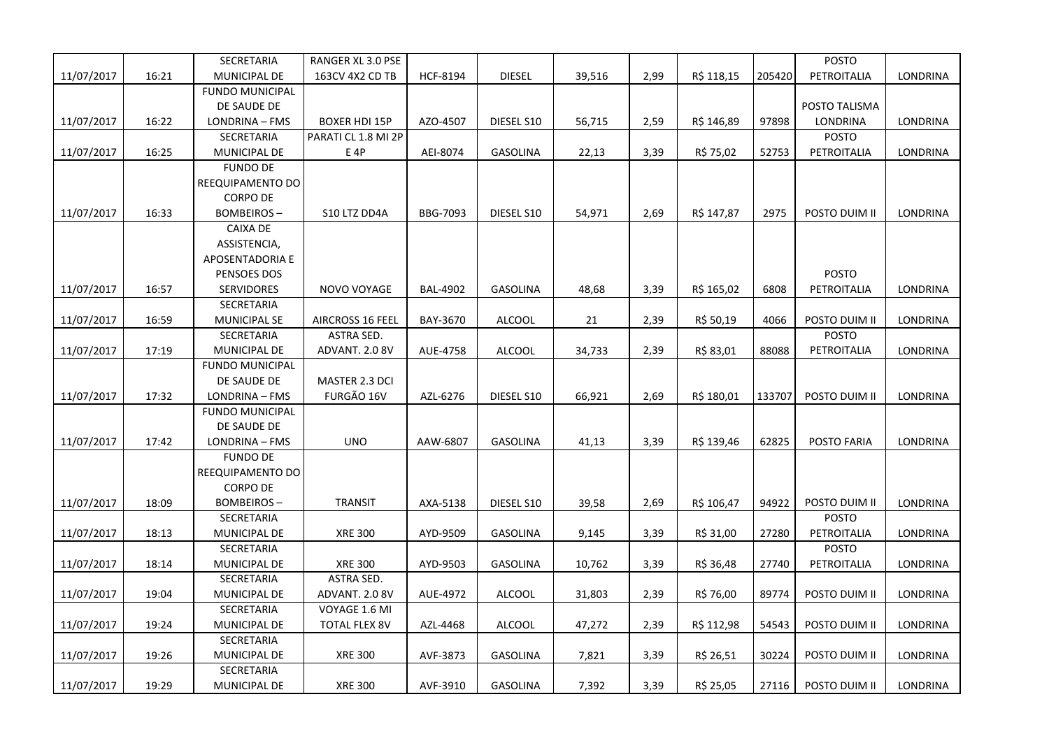|            |       | SECRETARIA             | RANGER XL 3.0 PSE       |                 |                 |        |      |            |        | <b>POSTO</b>  |                 |
|------------|-------|------------------------|-------------------------|-----------------|-----------------|--------|------|------------|--------|---------------|-----------------|
| 11/07/2017 | 16:21 | <b>MUNICIPAL DE</b>    | 163CV 4X2 CD TB         | HCF-8194        | <b>DIESEL</b>   | 39,516 | 2,99 | R\$ 118,15 | 205420 | PETROITALIA   | LONDRINA        |
|            |       | <b>FUNDO MUNICIPAL</b> |                         |                 |                 |        |      |            |        |               |                 |
|            |       | DE SAUDE DE            |                         |                 |                 |        |      |            |        | POSTO TALISMA |                 |
| 11/07/2017 | 16:22 | LONDRINA - FMS         | <b>BOXER HDI 15P</b>    | AZO-4507        | DIESEL S10      | 56,715 | 2,59 | R\$ 146,89 | 97898  | LONDRINA      | LONDRINA        |
|            |       | SECRETARIA             | PARATI CL 1.8 MI 2P     |                 |                 |        |      |            |        | <b>POSTO</b>  |                 |
| 11/07/2017 | 16:25 | MUNICIPAL DE           | E 4P                    | AEI-8074        | <b>GASOLINA</b> | 22,13  | 3,39 | R\$ 75,02  | 52753  | PETROITALIA   | <b>LONDRINA</b> |
|            |       | <b>FUNDO DE</b>        |                         |                 |                 |        |      |            |        |               |                 |
|            |       | REEQUIPAMENTO DO       |                         |                 |                 |        |      |            |        |               |                 |
|            |       | <b>CORPO DE</b>        |                         |                 |                 |        |      |            |        |               |                 |
| 11/07/2017 | 16:33 | <b>BOMBEIROS-</b>      | S10 LTZ DD4A            | BBG-7093        | DIESEL S10      | 54,971 | 2,69 | R\$ 147,87 | 2975   | POSTO DUIM II | LONDRINA        |
|            |       | CAIXA DE               |                         |                 |                 |        |      |            |        |               |                 |
|            |       | ASSISTENCIA,           |                         |                 |                 |        |      |            |        |               |                 |
|            |       | APOSENTADORIA E        |                         |                 |                 |        |      |            |        |               |                 |
|            |       | PENSOES DOS            |                         |                 |                 |        |      |            |        | <b>POSTO</b>  |                 |
| 11/07/2017 | 16:57 | <b>SERVIDORES</b>      | NOVO VOYAGE             | <b>BAL-4902</b> | <b>GASOLINA</b> | 48,68  | 3,39 | R\$ 165,02 | 6808   | PETROITALIA   | LONDRINA        |
|            |       | SECRETARIA             |                         |                 |                 |        |      |            |        |               |                 |
| 11/07/2017 | 16:59 | <b>MUNICIPAL SE</b>    | <b>AIRCROSS 16 FEEL</b> | BAY-3670        | <b>ALCOOL</b>   | 21     | 2,39 | R\$ 50,19  | 4066   | POSTO DUIM II | LONDRINA        |
|            |       | SECRETARIA             | <b>ASTRA SED.</b>       |                 |                 |        |      |            |        | <b>POSTO</b>  |                 |
| 11/07/2017 | 17:19 | MUNICIPAL DE           | ADVANT. 2.0 8V          | AUE-4758        | <b>ALCOOL</b>   | 34,733 | 2,39 | R\$ 83,01  | 88088  | PETROITALIA   | LONDRINA        |
|            |       | <b>FUNDO MUNICIPAL</b> |                         |                 |                 |        |      |            |        |               |                 |
|            |       | DE SAUDE DE            | MASTER 2.3 DCI          |                 |                 |        |      |            |        |               |                 |
| 11/07/2017 | 17:32 | LONDRINA - FMS         | FURGÃO 16V              | AZL-6276        | DIESEL S10      | 66,921 | 2,69 | R\$ 180,01 | 133707 | POSTO DUIM II | <b>LONDRINA</b> |
|            |       | <b>FUNDO MUNICIPAL</b> |                         |                 |                 |        |      |            |        |               |                 |
|            |       | DE SAUDE DE            |                         |                 |                 |        |      |            |        |               |                 |
| 11/07/2017 | 17:42 | LONDRINA - FMS         | <b>UNO</b>              | AAW-6807        | <b>GASOLINA</b> | 41,13  | 3,39 | R\$ 139,46 | 62825  | POSTO FARIA   | <b>LONDRINA</b> |
|            |       | <b>FUNDO DE</b>        |                         |                 |                 |        |      |            |        |               |                 |
|            |       | REEQUIPAMENTO DO       |                         |                 |                 |        |      |            |        |               |                 |
|            |       | <b>CORPO DE</b>        |                         |                 |                 |        |      |            |        |               |                 |
| 11/07/2017 | 18:09 | <b>BOMBEIROS-</b>      | <b>TRANSIT</b>          | AXA-5138        | DIESEL S10      | 39,58  | 2,69 | R\$ 106,47 | 94922  | POSTO DUIM II | LONDRINA        |
|            |       | SECRETARIA             |                         |                 |                 |        |      |            |        | <b>POSTO</b>  |                 |
| 11/07/2017 | 18:13 | MUNICIPAL DE           | <b>XRE 300</b>          | AYD-9509        | GASOLINA        | 9,145  | 3,39 | R\$ 31,00  | 27280  | PETROITALIA   | LONDRINA        |
|            |       | SECRETARIA             |                         |                 |                 |        |      |            |        | <b>POSTO</b>  |                 |
| 11/07/2017 | 18:14 | MUNICIPAL DE           | <b>XRE 300</b>          | AYD-9503        | GASOLINA        | 10,762 | 3,39 | R\$ 36,48  | 27740  | PETROITALIA   | LONDRINA        |
|            |       | SECRETARIA             | ASTRA SED.              |                 |                 |        |      |            |        |               |                 |
| 11/07/2017 | 19:04 | MUNICIPAL DE           | ADVANT. 2.0 8V          | AUE-4972        | <b>ALCOOL</b>   | 31,803 | 2,39 | R\$ 76,00  | 89774  | POSTO DUIM II | LONDRINA        |
|            |       | SECRETARIA             | VOYAGE 1.6 MI           |                 |                 |        |      |            |        |               |                 |
| 11/07/2017 | 19:24 | MUNICIPAL DE           | <b>TOTAL FLEX 8V</b>    | AZL-4468        | <b>ALCOOL</b>   | 47,272 | 2,39 | R\$ 112,98 | 54543  | POSTO DUIM II | LONDRINA        |
|            |       | SECRETARIA             |                         |                 |                 |        |      |            |        |               |                 |
| 11/07/2017 | 19:26 | MUNICIPAL DE           | <b>XRE 300</b>          | AVF-3873        | GASOLINA        | 7,821  | 3,39 | R\$ 26,51  | 30224  | POSTO DUIM II | LONDRINA        |
|            |       | SECRETARIA             |                         |                 |                 |        |      |            |        |               |                 |
| 11/07/2017 | 19:29 | MUNICIPAL DE           | <b>XRE 300</b>          | AVF-3910        | <b>GASOLINA</b> | 7,392  | 3,39 | R\$ 25,05  | 27116  | POSTO DUIM II | LONDRINA        |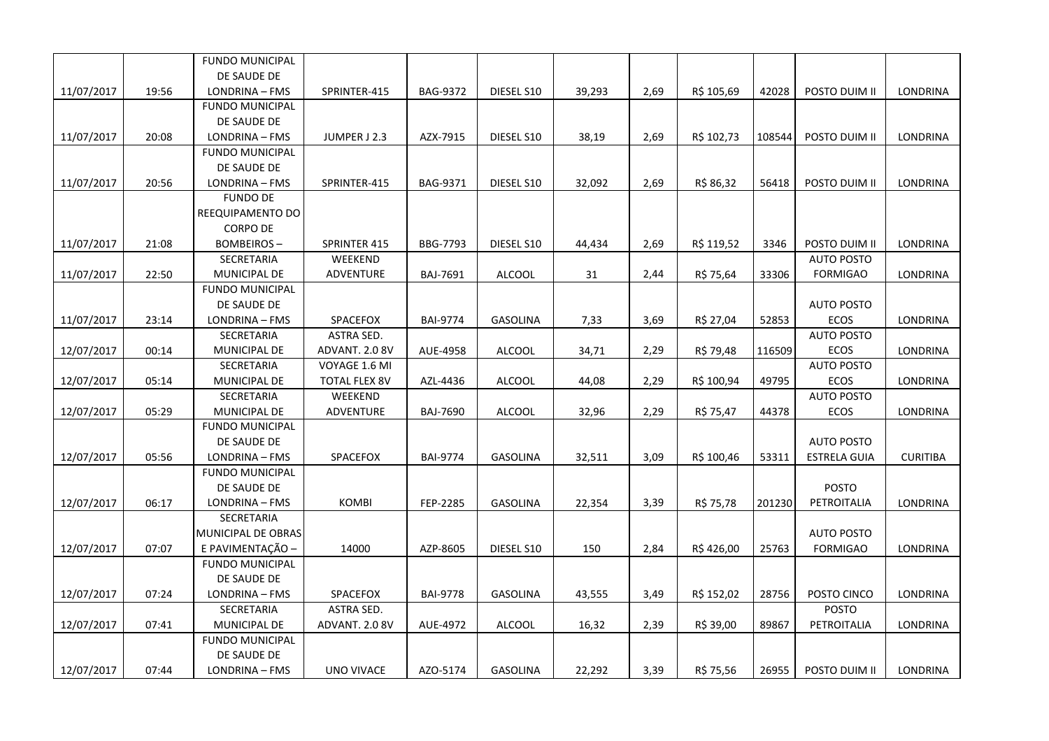|            |       | <b>FUNDO MUNICIPAL</b> |                      |                 |                 |        |      |            |        |                     |                 |
|------------|-------|------------------------|----------------------|-----------------|-----------------|--------|------|------------|--------|---------------------|-----------------|
|            |       | DE SAUDE DE            |                      |                 |                 |        |      |            |        |                     |                 |
| 11/07/2017 | 19:56 | LONDRINA - FMS         | SPRINTER-415         | BAG-9372        | DIESEL S10      | 39,293 | 2,69 | R\$ 105,69 | 42028  | POSTO DUIM II       | LONDRINA        |
|            |       | <b>FUNDO MUNICIPAL</b> |                      |                 |                 |        |      |            |        |                     |                 |
|            |       | DE SAUDE DE            |                      |                 |                 |        |      |            |        |                     |                 |
| 11/07/2017 | 20:08 | LONDRINA - FMS         | JUMPER J 2.3         | AZX-7915        | DIESEL S10      | 38,19  | 2,69 | R\$ 102,73 | 108544 | POSTO DUIM II       | <b>LONDRINA</b> |
|            |       | <b>FUNDO MUNICIPAL</b> |                      |                 |                 |        |      |            |        |                     |                 |
|            |       | DE SAUDE DE            |                      |                 |                 |        |      |            |        |                     |                 |
| 11/07/2017 | 20:56 | LONDRINA - FMS         | SPRINTER-415         | BAG-9371        | DIESEL S10      | 32,092 | 2,69 | R\$ 86,32  | 56418  | POSTO DUIM II       | LONDRINA        |
|            |       | <b>FUNDO DE</b>        |                      |                 |                 |        |      |            |        |                     |                 |
|            |       | REEQUIPAMENTO DO       |                      |                 |                 |        |      |            |        |                     |                 |
|            |       | <b>CORPO DE</b>        |                      |                 |                 |        |      |            |        |                     |                 |
| 11/07/2017 | 21:08 | <b>BOMBEIROS-</b>      | SPRINTER 415         | BBG-7793        | DIESEL S10      | 44,434 | 2,69 | R\$ 119,52 | 3346   | POSTO DUIM II       | LONDRINA        |
|            |       | SECRETARIA             | WEEKEND              |                 |                 |        |      |            |        | <b>AUTO POSTO</b>   |                 |
| 11/07/2017 | 22:50 | MUNICIPAL DE           | ADVENTURE            | BAJ-7691        | <b>ALCOOL</b>   | 31     | 2,44 | R\$ 75,64  | 33306  | <b>FORMIGAO</b>     | LONDRINA        |
|            |       | <b>FUNDO MUNICIPAL</b> |                      |                 |                 |        |      |            |        |                     |                 |
|            |       | DE SAUDE DE            |                      |                 |                 |        |      |            |        | <b>AUTO POSTO</b>   |                 |
| 11/07/2017 | 23:14 | LONDRINA - FMS         | SPACEFOX             | <b>BAI-9774</b> | <b>GASOLINA</b> | 7,33   | 3,69 | R\$ 27,04  | 52853  | <b>ECOS</b>         | <b>LONDRINA</b> |
|            |       | SECRETARIA             | ASTRA SED.           |                 |                 |        |      |            |        | <b>AUTO POSTO</b>   |                 |
| 12/07/2017 | 00:14 | MUNICIPAL DE           | ADVANT. 2.0 8V       | AUE-4958        | <b>ALCOOL</b>   | 34,71  | 2,29 | R\$ 79,48  | 116509 | <b>ECOS</b>         | <b>LONDRINA</b> |
|            |       | SECRETARIA             | VOYAGE 1.6 MI        |                 |                 |        |      |            |        | <b>AUTO POSTO</b>   |                 |
| 12/07/2017 | 05:14 | MUNICIPAL DE           | <b>TOTAL FLEX 8V</b> | AZL-4436        | <b>ALCOOL</b>   | 44,08  | 2,29 | R\$ 100,94 | 49795  | <b>ECOS</b>         | LONDRINA        |
|            |       | SECRETARIA             | WEEKEND              |                 |                 |        |      |            |        | <b>AUTO POSTO</b>   |                 |
| 12/07/2017 | 05:29 | MUNICIPAL DE           | <b>ADVENTURE</b>     | <b>BAJ-7690</b> | <b>ALCOOL</b>   | 32,96  | 2,29 | R\$ 75,47  | 44378  | <b>ECOS</b>         | LONDRINA        |
|            |       | <b>FUNDO MUNICIPAL</b> |                      |                 |                 |        |      |            |        |                     |                 |
|            |       | DE SAUDE DE            |                      |                 |                 |        |      |            |        | <b>AUTO POSTO</b>   |                 |
| 12/07/2017 | 05:56 | LONDRINA - FMS         | SPACEFOX             | <b>BAI-9774</b> | <b>GASOLINA</b> | 32,511 | 3,09 | R\$ 100,46 | 53311  | <b>ESTRELA GUIA</b> | <b>CURITIBA</b> |
|            |       | <b>FUNDO MUNICIPAL</b> |                      |                 |                 |        |      |            |        |                     |                 |
|            |       | DE SAUDE DE            |                      |                 |                 |        |      |            |        | <b>POSTO</b>        |                 |
| 12/07/2017 | 06:17 | LONDRINA - FMS         | <b>KOMBI</b>         | FEP-2285        | <b>GASOLINA</b> | 22,354 | 3,39 | R\$ 75,78  | 201230 | PETROITALIA         | LONDRINA        |
|            |       | <b>SECRETARIA</b>      |                      |                 |                 |        |      |            |        |                     |                 |
|            |       | MUNICIPAL DE OBRAS     |                      |                 |                 |        |      |            |        | <b>AUTO POSTO</b>   |                 |
| 12/07/2017 | 07:07 | E PAVIMENTAÇÃO -       | 14000                | AZP-8605        | DIESEL S10      | 150    | 2,84 | R\$426,00  | 25763  | <b>FORMIGAO</b>     | LONDRINA        |
|            |       | <b>FUNDO MUNICIPAL</b> |                      |                 |                 |        |      |            |        |                     |                 |
|            |       | DE SAUDE DE            |                      |                 |                 |        |      |            |        |                     |                 |
| 12/07/2017 | 07:24 | LONDRINA - FMS         | SPACEFOX             | <b>BAI-9778</b> | <b>GASOLINA</b> | 43,555 | 3,49 | R\$ 152,02 | 28756  | POSTO CINCO         | LONDRINA        |
|            |       | SECRETARIA             | <b>ASTRA SED.</b>    |                 |                 |        |      |            |        | <b>POSTO</b>        |                 |
| 12/07/2017 | 07:41 | MUNICIPAL DE           | ADVANT. 2.0 8V       | AUE-4972        | <b>ALCOOL</b>   | 16,32  | 2,39 | R\$ 39,00  | 89867  | PETROITALIA         | LONDRINA        |
|            |       | <b>FUNDO MUNICIPAL</b> |                      |                 |                 |        |      |            |        |                     |                 |
|            |       | DE SAUDE DE            |                      |                 |                 |        |      |            |        |                     |                 |
| 12/07/2017 | 07:44 | LONDRINA - FMS         | <b>UNO VIVACE</b>    | AZO-5174        | <b>GASOLINA</b> | 22,292 | 3,39 | R\$ 75,56  | 26955  | POSTO DUIM II       | LONDRINA        |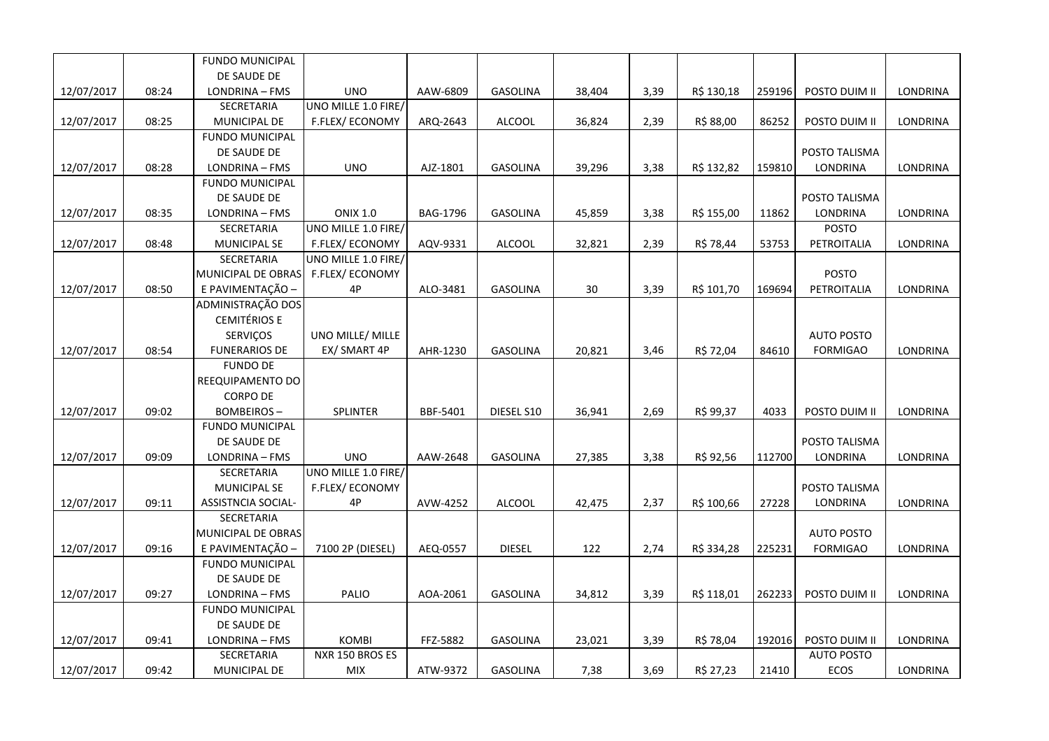|            |       | FUNDO MUNICIPAL        |                        |          |                 |        |      |            |        |                   |                 |
|------------|-------|------------------------|------------------------|----------|-----------------|--------|------|------------|--------|-------------------|-----------------|
|            |       | DE SAUDE DE            |                        |          |                 |        |      |            |        |                   |                 |
| 12/07/2017 | 08:24 | LONDRINA - FMS         | <b>UNO</b>             | AAW-6809 | <b>GASOLINA</b> | 38,404 | 3,39 | R\$ 130,18 | 259196 | POSTO DUIM II     | LONDRINA        |
|            |       | SECRETARIA             | UNO MILLE 1.0 FIRE/    |          |                 |        |      |            |        |                   |                 |
| 12/07/2017 | 08:25 | MUNICIPAL DE           | <b>F.FLEX/ ECONOMY</b> | ARQ-2643 | ALCOOL          | 36,824 | 2,39 | R\$ 88,00  | 86252  | POSTO DUIM II     | LONDRINA        |
|            |       | <b>FUNDO MUNICIPAL</b> |                        |          |                 |        |      |            |        |                   |                 |
|            |       | DE SAUDE DE            |                        |          |                 |        |      |            |        | POSTO TALISMA     |                 |
| 12/07/2017 | 08:28 | LONDRINA - FMS         | <b>UNO</b>             | AJZ-1801 | <b>GASOLINA</b> | 39,296 | 3,38 | R\$ 132,82 | 159810 | <b>LONDRINA</b>   | LONDRINA        |
|            |       | <b>FUNDO MUNICIPAL</b> |                        |          |                 |        |      |            |        |                   |                 |
|            |       | DE SAUDE DE            |                        |          |                 |        |      |            |        | POSTO TALISMA     |                 |
| 12/07/2017 | 08:35 | LONDRINA - FMS         | <b>ONIX 1.0</b>        | BAG-1796 | <b>GASOLINA</b> | 45,859 | 3,38 | R\$ 155,00 | 11862  | <b>LONDRINA</b>   | LONDRINA        |
|            |       | SECRETARIA             | UNO MILLE 1.0 FIRE/    |          |                 |        |      |            |        | <b>POSTO</b>      |                 |
| 12/07/2017 | 08:48 | MUNICIPAL SE           | F.FLEX/ECONOMY         | AQV-9331 | ALCOOL          | 32,821 | 2,39 | R\$ 78,44  | 53753  | PETROITALIA       | LONDRINA        |
|            |       | SECRETARIA             | UNO MILLE 1.0 FIRE/    |          |                 |        |      |            |        |                   |                 |
|            |       | MUNICIPAL DE OBRAS     | F.FLEX/ECONOMY         |          |                 |        |      |            |        | POSTO             |                 |
| 12/07/2017 | 08:50 | E PAVIMENTAÇÃO -       | 4P                     | ALO-3481 | <b>GASOLINA</b> | 30     | 3,39 | R\$ 101,70 | 169694 | PETROITALIA       | LONDRINA        |
|            |       | ADMINISTRAÇÃO DOS      |                        |          |                 |        |      |            |        |                   |                 |
|            |       | <b>CEMITÉRIOS E</b>    |                        |          |                 |        |      |            |        |                   |                 |
|            |       | SERVIÇOS               | UNO MILLE/ MILLE       |          |                 |        |      |            |        | <b>AUTO POSTO</b> |                 |
| 12/07/2017 | 08:54 | <b>FUNERARIOS DE</b>   | EX/ SMART 4P           | AHR-1230 | <b>GASOLINA</b> | 20,821 | 3,46 | R\$ 72,04  | 84610  | <b>FORMIGAO</b>   | <b>LONDRINA</b> |
|            |       | <b>FUNDO DE</b>        |                        |          |                 |        |      |            |        |                   |                 |
|            |       | REEQUIPAMENTO DO       |                        |          |                 |        |      |            |        |                   |                 |
|            |       | <b>CORPO DE</b>        |                        |          |                 |        |      |            |        |                   |                 |
| 12/07/2017 | 09:02 | <b>BOMBEIROS-</b>      | <b>SPLINTER</b>        | BBF-5401 | DIESEL S10      | 36,941 | 2,69 | R\$ 99,37  | 4033   | POSTO DUIM II     | LONDRINA        |
|            |       | <b>FUNDO MUNICIPAL</b> |                        |          |                 |        |      |            |        |                   |                 |
|            |       | DE SAUDE DE            |                        |          |                 |        |      |            |        | POSTO TALISMA     |                 |
| 12/07/2017 | 09:09 | LONDRINA - FMS         | <b>UNO</b>             | AAW-2648 | <b>GASOLINA</b> | 27,385 | 3,38 | R\$ 92,56  | 112700 | LONDRINA          | LONDRINA        |
|            |       | SECRETARIA             | UNO MILLE 1.0 FIRE/    |          |                 |        |      |            |        |                   |                 |
|            |       | <b>MUNICIPAL SE</b>    | F.FLEX/ECONOMY         |          |                 |        |      |            |        | POSTO TALISMA     |                 |
| 12/07/2017 | 09:11 | ASSISTNCIA SOCIAL-     | 4P                     | AVW-4252 | <b>ALCOOL</b>   | 42,475 | 2,37 | R\$ 100,66 | 27228  | LONDRINA          | LONDRINA        |
|            |       | SECRETARIA             |                        |          |                 |        |      |            |        |                   |                 |
|            |       | MUNICIPAL DE OBRAS     |                        |          |                 |        |      |            |        | <b>AUTO POSTO</b> |                 |
| 12/07/2017 | 09:16 | E PAVIMENTAÇÃO -       | 7100 2P (DIESEL)       | AEQ-0557 | <b>DIESEL</b>   | 122    | 2,74 | R\$ 334,28 | 225231 | <b>FORMIGAO</b>   | LONDRINA        |
|            |       | <b>FUNDO MUNICIPAL</b> |                        |          |                 |        |      |            |        |                   |                 |
|            |       | DE SAUDE DE            |                        |          |                 |        |      |            |        |                   |                 |
| 12/07/2017 | 09:27 | LONDRINA - FMS         | PALIO                  | AOA-2061 | <b>GASOLINA</b> | 34,812 | 3,39 | R\$ 118,01 | 262233 | POSTO DUIM II     | LONDRINA        |
|            |       | <b>FUNDO MUNICIPAL</b> |                        |          |                 |        |      |            |        |                   |                 |
|            |       | DE SAUDE DE            |                        |          |                 |        |      |            |        |                   |                 |
| 12/07/2017 | 09:41 | LONDRINA - FMS         | <b>KOMBI</b>           | FFZ-5882 | <b>GASOLINA</b> | 23,021 | 3,39 | R\$ 78,04  | 192016 | POSTO DUIM II     | LONDRINA        |
|            |       | SECRETARIA             | NXR 150 BROS ES        |          |                 |        |      |            |        | <b>AUTO POSTO</b> |                 |
| 12/07/2017 | 09:42 | <b>MUNICIPAL DE</b>    | <b>MIX</b>             | ATW-9372 | <b>GASOLINA</b> | 7,38   | 3,69 | R\$ 27,23  | 21410  | ECOS              | LONDRINA        |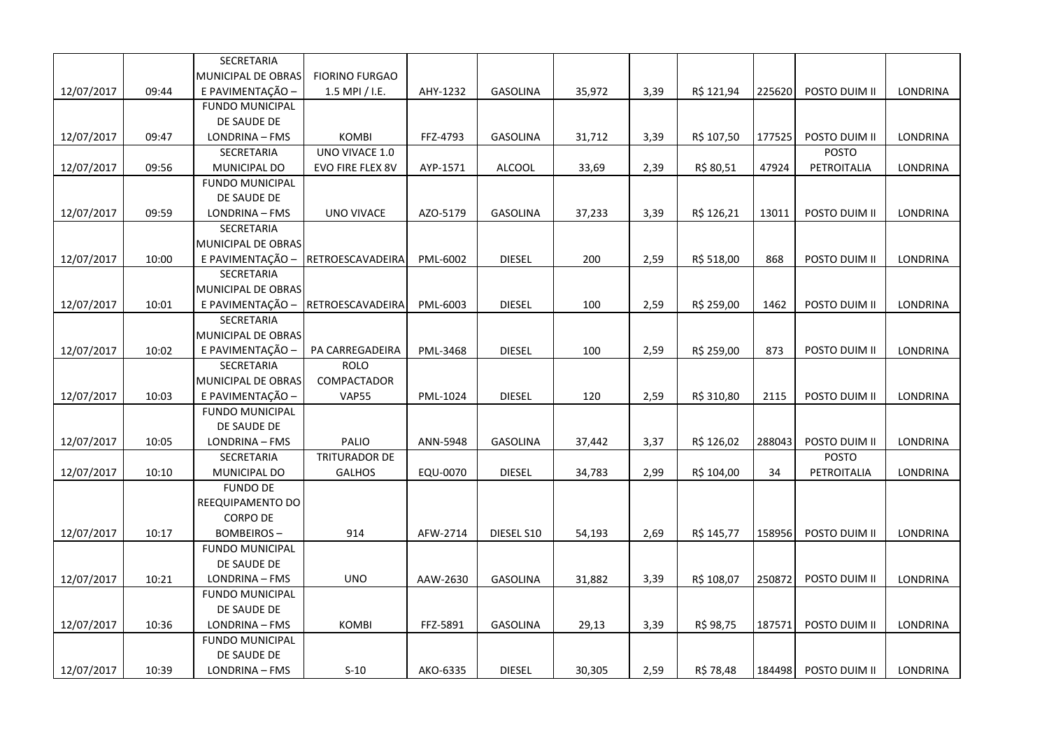|            |       | SECRETARIA             |                       |          |                 |        |      |            |        |               |                 |
|------------|-------|------------------------|-----------------------|----------|-----------------|--------|------|------------|--------|---------------|-----------------|
|            |       | MUNICIPAL DE OBRAS     | <b>FIORINO FURGAO</b> |          |                 |        |      |            |        |               |                 |
| 12/07/2017 | 09:44 | E PAVIMENTAÇÃO -       | 1.5 MPI / I.E.        | AHY-1232 | <b>GASOLINA</b> | 35,972 | 3,39 | R\$ 121,94 | 225620 | POSTO DUIM II | LONDRINA        |
|            |       | <b>FUNDO MUNICIPAL</b> |                       |          |                 |        |      |            |        |               |                 |
|            |       | DE SAUDE DE            |                       |          |                 |        |      |            |        |               |                 |
| 12/07/2017 | 09:47 | LONDRINA - FMS         | <b>KOMBI</b>          | FFZ-4793 | <b>GASOLINA</b> | 31,712 | 3,39 | R\$ 107,50 | 177525 | POSTO DUIM II | LONDRINA        |
|            |       | SECRETARIA             | UNO VIVACE 1.0        |          |                 |        |      |            |        | <b>POSTO</b>  |                 |
| 12/07/2017 | 09:56 | MUNICIPAL DO           | EVO FIRE FLEX 8V      | AYP-1571 | <b>ALCOOL</b>   | 33,69  | 2,39 | R\$ 80,51  | 47924  | PETROITALIA   | LONDRINA        |
|            |       | <b>FUNDO MUNICIPAL</b> |                       |          |                 |        |      |            |        |               |                 |
|            |       | DE SAUDE DE            |                       |          |                 |        |      |            |        |               |                 |
| 12/07/2017 | 09:59 | LONDRINA - FMS         | UNO VIVACE            | AZO-5179 | <b>GASOLINA</b> | 37,233 | 3,39 | R\$ 126,21 | 13011  | POSTO DUIM II | LONDRINA        |
|            |       | SECRETARIA             |                       |          |                 |        |      |            |        |               |                 |
|            |       | MUNICIPAL DE OBRAS     |                       |          |                 |        |      |            |        |               |                 |
| 12/07/2017 | 10:00 | E PAVIMENTAÇÃO -       | RETROESCAVADEIRA      | PML-6002 | <b>DIESEL</b>   | 200    | 2,59 | R\$ 518,00 | 868    | POSTO DUIM II | LONDRINA        |
|            |       | SECRETARIA             |                       |          |                 |        |      |            |        |               |                 |
|            |       | MUNICIPAL DE OBRAS     |                       |          |                 |        |      |            |        |               |                 |
| 12/07/2017 | 10:01 | E PAVIMENTAÇÃO         | RETROESCAVADEIRA      | PML-6003 | <b>DIESEL</b>   | 100    | 2,59 | R\$ 259,00 | 1462   | POSTO DUIM II | LONDRINA        |
|            |       | SECRETARIA             |                       |          |                 |        |      |            |        |               |                 |
|            |       | MUNICIPAL DE OBRAS     |                       |          |                 |        |      |            |        |               |                 |
| 12/07/2017 | 10:02 | E PAVIMENTAÇÃO         | PA CARREGADEIRA       | PML-3468 | <b>DIESEL</b>   | 100    | 2,59 | R\$ 259,00 | 873    | POSTO DUIM II | <b>LONDRINA</b> |
|            |       | <b>SECRETARIA</b>      | <b>ROLO</b>           |          |                 |        |      |            |        |               |                 |
|            |       | MUNICIPAL DE OBRAS     | COMPACTADOR           |          |                 |        |      |            |        |               |                 |
| 12/07/2017 | 10:03 | E PAVIMENTAÇÃO -       | <b>VAP55</b>          | PML-1024 | <b>DIESEL</b>   | 120    | 2,59 | R\$ 310,80 | 2115   | POSTO DUIM II | <b>LONDRINA</b> |
|            |       | <b>FUNDO MUNICIPAL</b> |                       |          |                 |        |      |            |        |               |                 |
|            |       | DE SAUDE DE            |                       |          |                 |        |      |            |        |               |                 |
| 12/07/2017 | 10:05 | LONDRINA - FMS         | PALIO                 | ANN-5948 | <b>GASOLINA</b> | 37,442 | 3,37 | R\$ 126,02 | 288043 | POSTO DUIM II | LONDRINA        |
|            |       | SECRETARIA             | <b>TRITURADOR DE</b>  |          |                 |        |      |            |        | <b>POSTO</b>  |                 |
| 12/07/2017 | 10:10 | MUNICIPAL DO           | <b>GALHOS</b>         | EQU-0070 | <b>DIESEL</b>   | 34,783 | 2,99 | R\$ 104,00 | 34     | PETROITALIA   | LONDRINA        |
|            |       | <b>FUNDO DE</b>        |                       |          |                 |        |      |            |        |               |                 |
|            |       | REEQUIPAMENTO DO       |                       |          |                 |        |      |            |        |               |                 |
|            |       | <b>CORPO DE</b>        |                       |          |                 |        |      |            |        |               |                 |
| 12/07/2017 | 10:17 | <b>BOMBEIROS-</b>      | 914                   | AFW-2714 | DIESEL S10      | 54,193 | 2,69 | R\$ 145,77 | 158956 | POSTO DUIM II | <b>LONDRINA</b> |
|            |       | <b>FUNDO MUNICIPAL</b> |                       |          |                 |        |      |            |        |               |                 |
|            |       | DE SAUDE DE            |                       |          |                 |        |      |            |        |               |                 |
| 12/07/2017 | 10:21 | LONDRINA - FMS         | <b>UNO</b>            | AAW-2630 | <b>GASOLINA</b> | 31,882 | 3,39 | R\$ 108,07 | 250872 | POSTO DUIM II | LONDRINA        |
|            |       | <b>FUNDO MUNICIPAL</b> |                       |          |                 |        |      |            |        |               |                 |
|            |       | DE SAUDE DE            |                       |          |                 |        |      |            |        |               |                 |
| 12/07/2017 | 10:36 | LONDRINA - FMS         | <b>KOMBI</b>          | FFZ-5891 | <b>GASOLINA</b> | 29,13  | 3,39 | R\$ 98,75  | 187571 | POSTO DUIM II | <b>LONDRINA</b> |
|            |       | <b>FUNDO MUNICIPAL</b> |                       |          |                 |        |      |            |        |               |                 |
|            |       | DE SAUDE DE            |                       |          |                 |        |      |            |        |               |                 |
| 12/07/2017 | 10:39 | LONDRINA - FMS         | $S-10$                | AKO-6335 | <b>DIESEL</b>   | 30,305 | 2,59 | R\$ 78,48  | 184498 | POSTO DUIM II | LONDRINA        |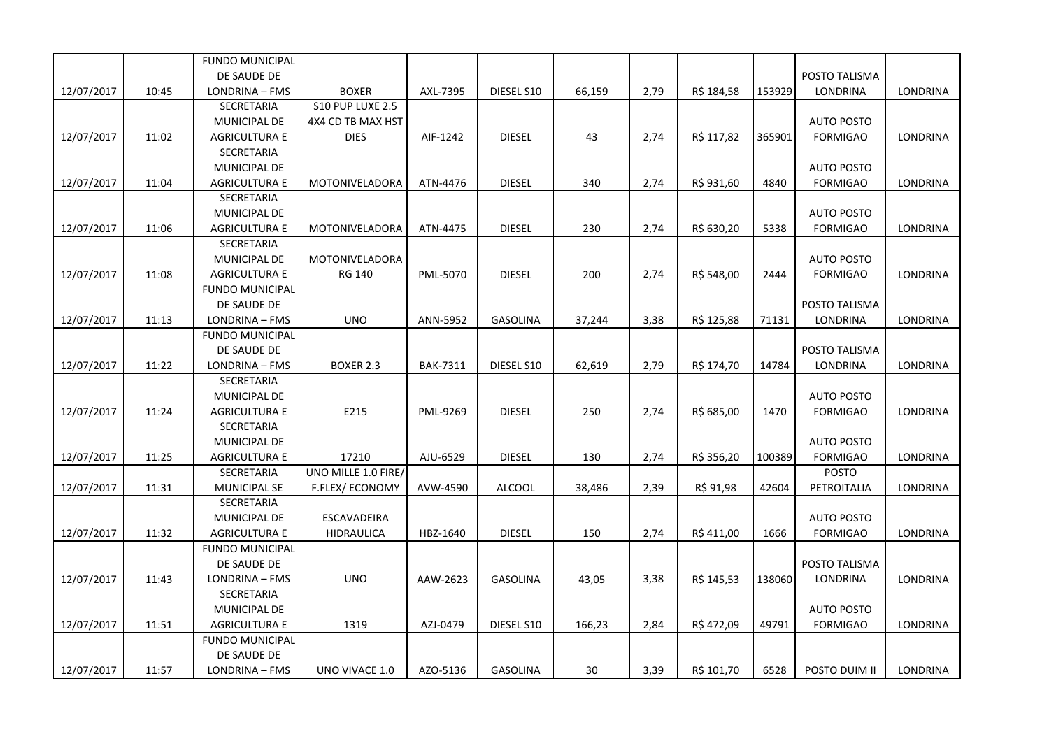|            |       | <b>FUNDO MUNICIPAL</b> |                     |                 |                 |        |      |            |        |                   |                 |
|------------|-------|------------------------|---------------------|-----------------|-----------------|--------|------|------------|--------|-------------------|-----------------|
|            |       | DE SAUDE DE            |                     |                 |                 |        |      |            |        | POSTO TALISMA     |                 |
| 12/07/2017 | 10:45 | LONDRINA - FMS         | <b>BOXER</b>        | AXL-7395        | DIESEL S10      | 66,159 | 2,79 | R\$ 184,58 | 153929 | LONDRINA          | LONDRINA        |
|            |       | SECRETARIA             | S10 PUP LUXE 2.5    |                 |                 |        |      |            |        |                   |                 |
|            |       | MUNICIPAL DE           | 4X4 CD TB MAX HST   |                 |                 |        |      |            |        | <b>AUTO POSTO</b> |                 |
| 12/07/2017 | 11:02 | <b>AGRICULTURA E</b>   | <b>DIES</b>         | AIF-1242        | <b>DIESEL</b>   | 43     | 2,74 | R\$ 117,82 | 365901 | <b>FORMIGAO</b>   | LONDRINA        |
|            |       | SECRETARIA             |                     |                 |                 |        |      |            |        |                   |                 |
|            |       | <b>MUNICIPAL DE</b>    |                     |                 |                 |        |      |            |        | <b>AUTO POSTO</b> |                 |
| 12/07/2017 | 11:04 | <b>AGRICULTURA E</b>   | MOTONIVELADORA      | ATN-4476        | <b>DIESEL</b>   | 340    | 2,74 | R\$ 931,60 | 4840   | <b>FORMIGAO</b>   | LONDRINA        |
|            |       | SECRETARIA             |                     |                 |                 |        |      |            |        |                   |                 |
|            |       | MUNICIPAL DE           |                     |                 |                 |        |      |            |        | <b>AUTO POSTO</b> |                 |
| 12/07/2017 | 11:06 | <b>AGRICULTURA E</b>   | MOTONIVELADORA      | ATN-4475        | <b>DIESEL</b>   | 230    | 2,74 | R\$ 630,20 | 5338   | <b>FORMIGAO</b>   | LONDRINA        |
|            |       | SECRETARIA             |                     |                 |                 |        |      |            |        |                   |                 |
|            |       | MUNICIPAL DE           | MOTONIVELADORA      |                 |                 |        |      |            |        | <b>AUTO POSTO</b> |                 |
| 12/07/2017 | 11:08 | <b>AGRICULTURA E</b>   | RG 140              | PML-5070        | <b>DIESEL</b>   | 200    | 2,74 | R\$ 548,00 | 2444   | <b>FORMIGAO</b>   | LONDRINA        |
|            |       | <b>FUNDO MUNICIPAL</b> |                     |                 |                 |        |      |            |        |                   |                 |
|            |       | DE SAUDE DE            |                     |                 |                 |        |      |            |        | POSTO TALISMA     |                 |
| 12/07/2017 | 11:13 | LONDRINA - FMS         | <b>UNO</b>          | ANN-5952        | <b>GASOLINA</b> | 37,244 | 3,38 | R\$ 125,88 | 71131  | LONDRINA          | LONDRINA        |
|            |       | <b>FUNDO MUNICIPAL</b> |                     |                 |                 |        |      |            |        |                   |                 |
|            |       | DE SAUDE DE            |                     |                 |                 |        |      |            |        | POSTO TALISMA     |                 |
| 12/07/2017 | 11:22 | LONDRINA - FMS         | <b>BOXER 2.3</b>    | <b>BAK-7311</b> | DIESEL S10      | 62,619 | 2,79 | R\$ 174,70 | 14784  | LONDRINA          | LONDRINA        |
|            |       | SECRETARIA             |                     |                 |                 |        |      |            |        |                   |                 |
|            |       | <b>MUNICIPAL DE</b>    |                     |                 |                 |        |      |            |        | <b>AUTO POSTO</b> |                 |
| 12/07/2017 | 11:24 | <b>AGRICULTURA E</b>   | E215                | PML-9269        | <b>DIESEL</b>   | 250    | 2,74 | R\$ 685,00 | 1470   | <b>FORMIGAO</b>   | <b>LONDRINA</b> |
|            |       | SECRETARIA             |                     |                 |                 |        |      |            |        |                   |                 |
|            |       | MUNICIPAL DE           |                     |                 |                 |        |      |            |        | <b>AUTO POSTO</b> |                 |
| 12/07/2017 | 11:25 | <b>AGRICULTURA E</b>   | 17210               | AJU-6529        | <b>DIESEL</b>   | 130    | 2,74 | R\$ 356,20 | 100389 | <b>FORMIGAO</b>   | LONDRINA        |
|            |       | SECRETARIA             | UNO MILLE 1.0 FIRE/ |                 |                 |        |      |            |        | <b>POSTO</b>      |                 |
| 12/07/2017 | 11:31 | <b>MUNICIPAL SE</b>    | F.FLEX/ECONOMY      | AVW-4590        | <b>ALCOOL</b>   | 38,486 | 2,39 | R\$ 91,98  | 42604  | PETROITALIA       | LONDRINA        |
|            |       | SECRETARIA             |                     |                 |                 |        |      |            |        |                   |                 |
|            |       | MUNICIPAL DE           | ESCAVADEIRA         |                 |                 |        |      |            |        | <b>AUTO POSTO</b> |                 |
| 12/07/2017 | 11:32 | <b>AGRICULTURA E</b>   | <b>HIDRAULICA</b>   | HBZ-1640        | <b>DIESEL</b>   | 150    | 2,74 | R\$ 411,00 | 1666   | <b>FORMIGAO</b>   | LONDRINA        |
|            |       | <b>FUNDO MUNICIPAL</b> |                     |                 |                 |        |      |            |        |                   |                 |
|            |       | DE SAUDE DE            |                     |                 |                 |        |      |            |        | POSTO TALISMA     |                 |
| 12/07/2017 | 11:43 | LONDRINA - FMS         | <b>UNO</b>          | AAW-2623        | <b>GASOLINA</b> | 43,05  | 3,38 | R\$ 145,53 | 138060 | LONDRINA          | LONDRINA        |
|            |       | SECRETARIA             |                     |                 |                 |        |      |            |        |                   |                 |
|            |       | <b>MUNICIPAL DE</b>    |                     |                 |                 |        |      |            |        | <b>AUTO POSTO</b> |                 |
| 12/07/2017 | 11:51 | <b>AGRICULTURA E</b>   | 1319                | AZJ-0479        | DIESEL S10      | 166,23 | 2,84 | R\$ 472,09 | 49791  | <b>FORMIGAO</b>   | LONDRINA        |
|            |       | <b>FUNDO MUNICIPAL</b> |                     |                 |                 |        |      |            |        |                   |                 |
|            |       | DE SAUDE DE            |                     |                 |                 |        |      |            |        |                   |                 |
| 12/07/2017 | 11:57 | LONDRINA - FMS         | UNO VIVACE 1.0      | AZO-5136        | <b>GASOLINA</b> | 30     | 3,39 | R\$ 101,70 | 6528   | POSTO DUIM II     | LONDRINA        |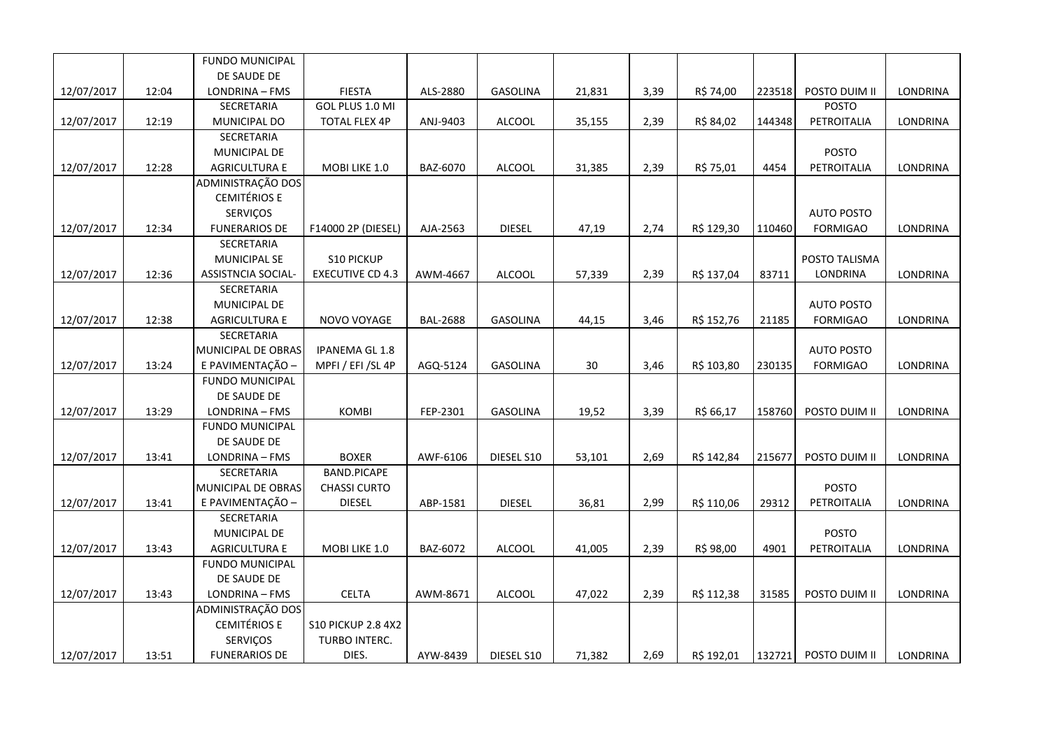|            |       | FUNDO MUNICIPAL        |                           |                 |                 |        |      |            |        |                   |          |
|------------|-------|------------------------|---------------------------|-----------------|-----------------|--------|------|------------|--------|-------------------|----------|
|            |       | DE SAUDE DE            |                           |                 |                 |        |      |            |        |                   |          |
| 12/07/2017 | 12:04 | LONDRINA - FMS         | <b>FIESTA</b>             | ALS-2880        | GASOLINA        | 21,831 | 3,39 | R\$ 74,00  | 223518 | POSTO DUIM II     | LONDRINA |
|            |       | SECRETARIA             | GOL PLUS 1.0 MI           |                 |                 |        |      |            |        | <b>POSTO</b>      |          |
| 12/07/2017 | 12:19 | MUNICIPAL DO           | <b>TOTAL FLEX 4P</b>      | ANJ-9403        | <b>ALCOOL</b>   | 35,155 | 2,39 | R\$ 84,02  | 144348 | PETROITALIA       | LONDRINA |
|            |       | SECRETARIA             |                           |                 |                 |        |      |            |        |                   |          |
|            |       | <b>MUNICIPAL DE</b>    |                           |                 |                 |        |      |            |        | <b>POSTO</b>      |          |
| 12/07/2017 | 12:28 | <b>AGRICULTURA E</b>   | MOBI LIKE 1.0             | BAZ-6070        | <b>ALCOOL</b>   | 31,385 | 2,39 | R\$ 75,01  | 4454   | PETROITALIA       | LONDRINA |
|            |       | ADMINISTRAÇÃO DOS      |                           |                 |                 |        |      |            |        |                   |          |
|            |       | <b>CEMITÉRIOS E</b>    |                           |                 |                 |        |      |            |        |                   |          |
|            |       | SERVIÇOS               |                           |                 |                 |        |      |            |        | <b>AUTO POSTO</b> |          |
| 12/07/2017 | 12:34 | <b>FUNERARIOS DE</b>   | F14000 2P (DIESEL)        | AJA-2563        | <b>DIESEL</b>   | 47,19  | 2,74 | R\$ 129,30 | 110460 | <b>FORMIGAO</b>   | LONDRINA |
|            |       | SECRETARIA             |                           |                 |                 |        |      |            |        |                   |          |
|            |       | <b>MUNICIPAL SE</b>    | <b>S10 PICKUP</b>         |                 |                 |        |      |            |        | POSTO TALISMA     |          |
| 12/07/2017 | 12:36 | ASSISTNCIA SOCIAL-     | <b>EXECUTIVE CD 4.3</b>   | AWM-4667        | <b>ALCOOL</b>   | 57,339 | 2,39 | R\$ 137,04 | 83711  | LONDRINA          | LONDRINA |
|            |       | SECRETARIA             |                           |                 |                 |        |      |            |        |                   |          |
|            |       | MUNICIPAL DE           |                           |                 |                 |        |      |            |        | <b>AUTO POSTO</b> |          |
| 12/07/2017 | 12:38 | <b>AGRICULTURA E</b>   | NOVO VOYAGE               | <b>BAL-2688</b> | GASOLINA        | 44,15  | 3,46 | R\$ 152,76 | 21185  | <b>FORMIGAO</b>   | LONDRINA |
|            |       | <b>SECRETARIA</b>      |                           |                 |                 |        |      |            |        |                   |          |
|            |       | MUNICIPAL DE OBRAS     | <b>IPANEMA GL 1.8</b>     |                 |                 |        |      |            |        | <b>AUTO POSTO</b> |          |
| 12/07/2017 | 13:24 | E PAVIMENTAÇÃO -       | MPFI / EFI / SL 4P        | AGQ-5124        | <b>GASOLINA</b> | 30     | 3,46 | R\$ 103,80 | 230135 | <b>FORMIGAO</b>   | LONDRINA |
|            |       | FUNDO MUNICIPAL        |                           |                 |                 |        |      |            |        |                   |          |
|            |       | DE SAUDE DE            |                           |                 |                 |        |      |            |        |                   |          |
| 12/07/2017 | 13:29 | LONDRINA - FMS         | <b>KOMBI</b>              | FEP-2301        | <b>GASOLINA</b> | 19,52  | 3,39 | R\$ 66,17  | 158760 | POSTO DUIM II     | LONDRINA |
|            |       | <b>FUNDO MUNICIPAL</b> |                           |                 |                 |        |      |            |        |                   |          |
|            |       | DE SAUDE DE            |                           |                 |                 |        |      |            |        |                   |          |
| 12/07/2017 | 13:41 | LONDRINA - FMS         | <b>BOXER</b>              | AWF-6106        | DIESEL S10      | 53,101 | 2,69 | R\$ 142,84 | 215677 | POSTO DUIM II     | LONDRINA |
|            |       | SECRETARIA             | <b>BAND.PICAPE</b>        |                 |                 |        |      |            |        |                   |          |
|            |       | MUNICIPAL DE OBRAS     | <b>CHASSI CURTO</b>       |                 |                 |        |      |            |        | <b>POSTO</b>      |          |
| 12/07/2017 | 13:41 | E PAVIMENTAÇÃO -       | <b>DIESEL</b>             | ABP-1581        | <b>DIESEL</b>   | 36,81  | 2,99 | R\$ 110,06 | 29312  | PETROITALIA       | LONDRINA |
|            |       | SECRETARIA             |                           |                 |                 |        |      |            |        |                   |          |
|            |       | MUNICIPAL DE           |                           |                 |                 |        |      |            |        | <b>POSTO</b>      |          |
| 12/07/2017 | 13:43 | <b>AGRICULTURA E</b>   | MOBI LIKE 1.0             | BAZ-6072        | <b>ALCOOL</b>   | 41,005 | 2,39 | R\$ 98,00  | 4901   | PETROITALIA       | LONDRINA |
|            |       | <b>FUNDO MUNICIPAL</b> |                           |                 |                 |        |      |            |        |                   |          |
|            |       | DE SAUDE DE            |                           |                 |                 |        |      |            |        |                   |          |
| 12/07/2017 | 13:43 | LONDRINA - FMS         | <b>CELTA</b>              | AWM-8671        | <b>ALCOOL</b>   | 47,022 | 2,39 | R\$ 112,38 | 31585  | POSTO DUIM II     | LONDRINA |
|            |       | ADMINISTRAÇÃO DOS      |                           |                 |                 |        |      |            |        |                   |          |
|            |       | <b>CEMITÉRIOS E</b>    | <b>S10 PICKUP 2.8 4X2</b> |                 |                 |        |      |            |        |                   |          |
|            |       | SERVIÇOS               | TURBO INTERC.             |                 |                 |        |      |            |        |                   |          |
| 12/07/2017 | 13:51 | <b>FUNERARIOS DE</b>   | DIES.                     | AYW-8439        | DIESEL S10      | 71,382 | 2,69 | R\$ 192,01 | 132721 | POSTO DUIM II     | LONDRINA |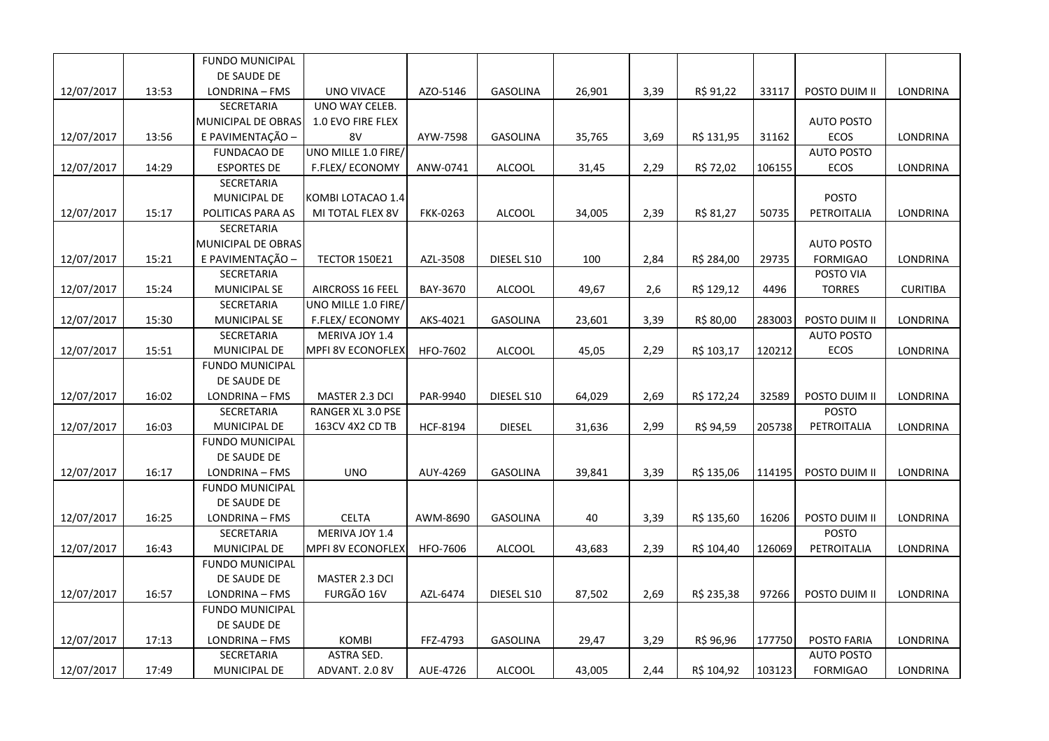|            |       | FUNDO MUNICIPAL        |                          |                 |                 |        |      |            |        |                   |                 |
|------------|-------|------------------------|--------------------------|-----------------|-----------------|--------|------|------------|--------|-------------------|-----------------|
|            |       | DE SAUDE DE            |                          |                 |                 |        |      |            |        |                   |                 |
| 12/07/2017 | 13:53 | LONDRINA - FMS         | UNO VIVACE               | AZO-5146        | <b>GASOLINA</b> | 26,901 | 3,39 | R\$ 91,22  | 33117  | POSTO DUIM II     | LONDRINA        |
|            |       | SECRETARIA             | UNO WAY CELEB.           |                 |                 |        |      |            |        |                   |                 |
|            |       | MUNICIPAL DE OBRAS     | 1.0 EVO FIRE FLEX        |                 |                 |        |      |            |        | <b>AUTO POSTO</b> |                 |
| 12/07/2017 | 13:56 | E PAVIMENTAÇÃO -       | 8V                       | AYW-7598        | <b>GASOLINA</b> | 35,765 | 3,69 | R\$ 131,95 | 31162  | <b>ECOS</b>       | <b>LONDRINA</b> |
|            |       | <b>FUNDACAO DE</b>     | UNO MILLE 1.0 FIRE/      |                 |                 |        |      |            |        | <b>AUTO POSTO</b> |                 |
| 12/07/2017 | 14:29 | <b>ESPORTES DE</b>     | F.FLEX/ECONOMY           | ANW-0741        | ALCOOL          | 31,45  | 2,29 | R\$ 72,02  | 106155 | ECOS              | LONDRINA        |
|            |       | SECRETARIA             |                          |                 |                 |        |      |            |        |                   |                 |
|            |       | MUNICIPAL DE           | KOMBI LOTACAO 1.4        |                 |                 |        |      |            |        | <b>POSTO</b>      |                 |
| 12/07/2017 | 15:17 | POLITICAS PARA AS      | MI TOTAL FLEX 8V         | <b>FKK-0263</b> | <b>ALCOOL</b>   | 34,005 | 2,39 | R\$ 81,27  | 50735  | PETROITALIA       | LONDRINA        |
|            |       | SECRETARIA             |                          |                 |                 |        |      |            |        |                   |                 |
|            |       | MUNICIPAL DE OBRAS     |                          |                 |                 |        |      |            |        | <b>AUTO POSTO</b> |                 |
| 12/07/2017 | 15:21 | E PAVIMENTAÇÃO -       | <b>TECTOR 150E21</b>     | AZL-3508        | DIESEL S10      | 100    | 2,84 | R\$ 284,00 | 29735  | <b>FORMIGAO</b>   | LONDRINA        |
|            |       | SECRETARIA             |                          |                 |                 |        |      |            |        | POSTO VIA         |                 |
| 12/07/2017 | 15:24 | MUNICIPAL SE           | AIRCROSS 16 FEEL         | BAY-3670        | <b>ALCOOL</b>   | 49,67  | 2,6  | R\$ 129,12 | 4496   | <b>TORRES</b>     | <b>CURITIBA</b> |
|            |       | SECRETARIA             | UNO MILLE 1.0 FIRE/      |                 |                 |        |      |            |        |                   |                 |
| 12/07/2017 | 15:30 | MUNICIPAL SE           | F.FLEX/ECONOMY           | AKS-4021        | <b>GASOLINA</b> | 23,601 | 3,39 | R\$ 80,00  | 283003 | POSTO DUIM II     | LONDRINA        |
|            |       | SECRETARIA             | MERIVA JOY 1.4           |                 |                 |        |      |            |        | <b>AUTO POSTO</b> |                 |
| 12/07/2017 | 15:51 | MUNICIPAL DE           | <b>MPFI 8V ECONOFLEX</b> | HFO-7602        | <b>ALCOOL</b>   | 45,05  | 2,29 | R\$ 103,17 | 120212 | ECOS              | LONDRINA        |
|            |       | <b>FUNDO MUNICIPAL</b> |                          |                 |                 |        |      |            |        |                   |                 |
|            |       | DE SAUDE DE            |                          |                 |                 |        |      |            |        |                   |                 |
| 12/07/2017 | 16:02 | LONDRINA - FMS         | MASTER 2.3 DCI           | PAR-9940        | DIESEL S10      | 64,029 | 2,69 | R\$ 172,24 | 32589  | POSTO DUIM II     | LONDRINA        |
|            |       | SECRETARIA             | RANGER XL 3.0 PSE        |                 |                 |        |      |            |        | <b>POSTO</b>      |                 |
| 12/07/2017 | 16:03 | MUNICIPAL DE           | 163CV 4X2 CD TB          | <b>HCF-8194</b> | <b>DIESEL</b>   | 31,636 | 2,99 | R\$ 94,59  | 205738 | PETROITALIA       | LONDRINA        |
|            |       | <b>FUNDO MUNICIPAL</b> |                          |                 |                 |        |      |            |        |                   |                 |
|            |       | DE SAUDE DE            |                          |                 |                 |        |      |            |        |                   |                 |
| 12/07/2017 | 16:17 | LONDRINA - FMS         | <b>UNO</b>               | AUY-4269        | GASOLINA        | 39,841 | 3,39 | R\$ 135,06 | 114195 | POSTO DUIM II     | LONDRINA        |
|            |       | <b>FUNDO MUNICIPAL</b> |                          |                 |                 |        |      |            |        |                   |                 |
|            |       | DE SAUDE DE            |                          |                 |                 |        |      |            |        |                   |                 |
| 12/07/2017 | 16:25 | LONDRINA - FMS         | <b>CELTA</b>             | AWM-8690        | <b>GASOLINA</b> | 40     | 3,39 | R\$ 135,60 | 16206  | POSTO DUIM II     | <b>LONDRINA</b> |
|            |       | SECRETARIA             | MERIVA JOY 1.4           |                 |                 |        |      |            |        | <b>POSTO</b>      |                 |
| 12/07/2017 | 16:43 | MUNICIPAL DE           | MPFI 8V ECONOFLEX        | HFO-7606        | <b>ALCOOL</b>   | 43,683 | 2,39 | R\$ 104,40 | 126069 | PETROITALIA       | LONDRINA        |
|            |       | <b>FUNDO MUNICIPAL</b> |                          |                 |                 |        |      |            |        |                   |                 |
|            |       | DE SAUDE DE            | MASTER 2.3 DCI           |                 |                 |        |      |            |        |                   |                 |
| 12/07/2017 | 16:57 | LONDRINA - FMS         | FURGÃO 16V               | AZL-6474        | DIESEL S10      | 87,502 | 2,69 | R\$ 235,38 | 97266  | POSTO DUIM II     | LONDRINA        |
|            |       | FUNDO MUNICIPAL        |                          |                 |                 |        |      |            |        |                   |                 |
|            |       | DE SAUDE DE            |                          |                 |                 |        |      |            |        |                   |                 |
| 12/07/2017 | 17:13 | LONDRINA - FMS         | <b>KOMBI</b>             | FFZ-4793        | <b>GASOLINA</b> | 29,47  | 3,29 | R\$ 96,96  | 177750 | POSTO FARIA       | LONDRINA        |
|            |       | SECRETARIA             | ASTRA SED.               |                 |                 |        |      |            |        | <b>AUTO POSTO</b> |                 |
| 12/07/2017 | 17:49 | MUNICIPAL DE           | ADVANT. 2.0 8V           | AUE-4726        | <b>ALCOOL</b>   | 43,005 | 2,44 | R\$ 104,92 | 103123 | <b>FORMIGAO</b>   | LONDRINA        |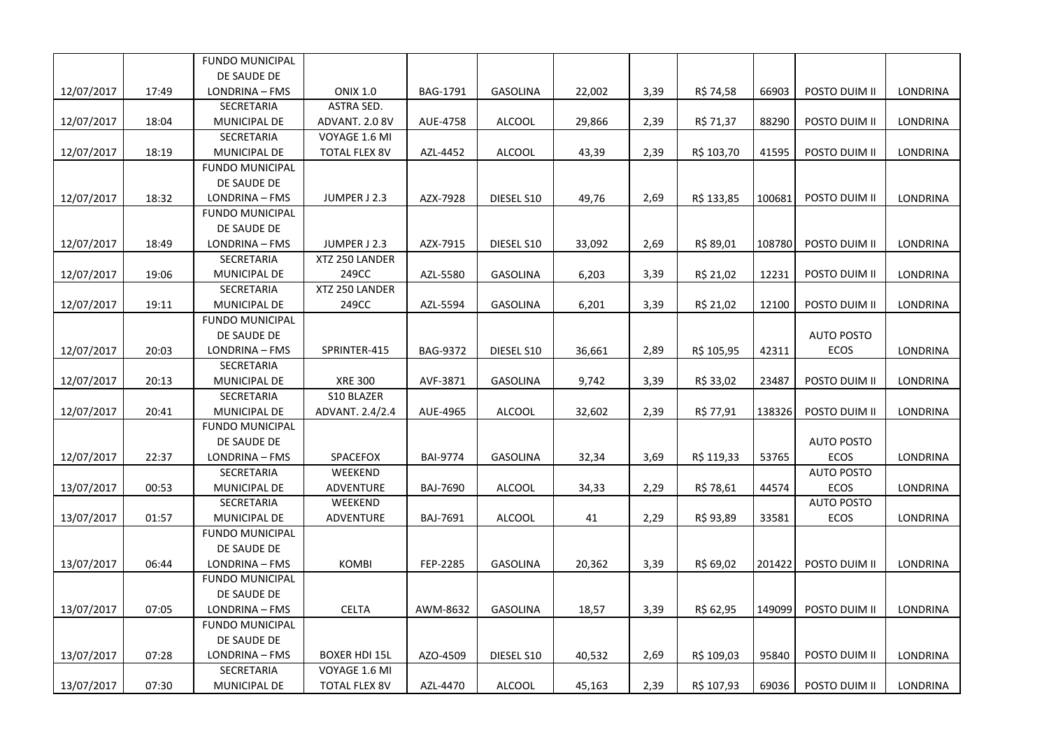|            |       | <b>FUNDO MUNICIPAL</b> |                      |                 |                 |        |      |            |        |                   |                 |
|------------|-------|------------------------|----------------------|-----------------|-----------------|--------|------|------------|--------|-------------------|-----------------|
|            |       | DE SAUDE DE            |                      |                 |                 |        |      |            |        |                   |                 |
| 12/07/2017 | 17:49 | LONDRINA - FMS         | <b>ONIX 1.0</b>      | BAG-1791        | GASOLINA        | 22,002 | 3,39 | R\$ 74,58  | 66903  | POSTO DUIM II     | LONDRINA        |
|            |       | SECRETARIA             | ASTRA SED.           |                 |                 |        |      |            |        |                   |                 |
| 12/07/2017 | 18:04 | MUNICIPAL DE           | ADVANT. 2.0 8V       | AUE-4758        | <b>ALCOOL</b>   | 29,866 | 2,39 | R\$ 71,37  | 88290  | POSTO DUIM II     | LONDRINA        |
|            |       | SECRETARIA             | VOYAGE 1.6 MI        |                 |                 |        |      |            |        |                   |                 |
| 12/07/2017 | 18:19 | MUNICIPAL DE           | <b>TOTAL FLEX 8V</b> | AZL-4452        | <b>ALCOOL</b>   | 43,39  | 2,39 | R\$ 103,70 | 41595  | POSTO DUIM II     | LONDRINA        |
|            |       | <b>FUNDO MUNICIPAL</b> |                      |                 |                 |        |      |            |        |                   |                 |
|            |       | DE SAUDE DE            |                      |                 |                 |        |      |            |        |                   |                 |
| 12/07/2017 | 18:32 | LONDRINA - FMS         | JUMPER J 2.3         | AZX-7928        | DIESEL S10      | 49,76  | 2,69 | R\$ 133,85 | 100681 | POSTO DUIM II     | LONDRINA        |
|            |       | <b>FUNDO MUNICIPAL</b> |                      |                 |                 |        |      |            |        |                   |                 |
|            |       | DE SAUDE DE            |                      |                 |                 |        |      |            |        |                   |                 |
| 12/07/2017 | 18:49 | LONDRINA - FMS         | JUMPER J 2.3         | AZX-7915        | DIESEL S10      | 33,092 | 2,69 | R\$ 89,01  | 108780 | POSTO DUIM II     | LONDRINA        |
|            |       | SECRETARIA             | XTZ 250 LANDER       |                 |                 |        |      |            |        |                   |                 |
| 12/07/2017 | 19:06 | MUNICIPAL DE           | 249CC                | AZL-5580        | GASOLINA        | 6,203  | 3,39 | R\$ 21,02  | 12231  | POSTO DUIM II     | LONDRINA        |
|            |       | SECRETARIA             | XTZ 250 LANDER       |                 |                 |        |      |            |        |                   |                 |
| 12/07/2017 | 19:11 | MUNICIPAL DE           | 249CC                | AZL-5594        | <b>GASOLINA</b> | 6,201  | 3,39 | R\$ 21,02  | 12100  | POSTO DUIM II     | LONDRINA        |
|            |       | <b>FUNDO MUNICIPAL</b> |                      |                 |                 |        |      |            |        |                   |                 |
|            |       | DE SAUDE DE            |                      |                 |                 |        |      |            |        | <b>AUTO POSTO</b> |                 |
| 12/07/2017 | 20:03 | LONDRINA - FMS         | SPRINTER-415         | <b>BAG-9372</b> | DIESEL S10      | 36,661 | 2,89 | R\$ 105,95 | 42311  | ECOS              | LONDRINA        |
|            |       | <b>SECRETARIA</b>      |                      |                 |                 |        |      |            |        |                   |                 |
| 12/07/2017 | 20:13 | MUNICIPAL DE           | <b>XRE 300</b>       | AVF-3871        | GASOLINA        | 9,742  | 3,39 | R\$ 33,02  | 23487  | POSTO DUIM II     | LONDRINA        |
|            |       | SECRETARIA             | <b>S10 BLAZER</b>    |                 |                 |        |      |            |        |                   |                 |
| 12/07/2017 | 20:41 | <b>MUNICIPAL DE</b>    | ADVANT. 2.4/2.4      | AUE-4965        | ALCOOL          | 32,602 | 2,39 | R\$ 77,91  | 138326 | POSTO DUIM II     | LONDRINA        |
|            |       | <b>FUNDO MUNICIPAL</b> |                      |                 |                 |        |      |            |        |                   |                 |
|            |       | DE SAUDE DE            |                      |                 |                 |        |      |            |        | <b>AUTO POSTO</b> |                 |
| 12/07/2017 | 22:37 | LONDRINA - FMS         | SPACEFOX             | <b>BAI-9774</b> | <b>GASOLINA</b> | 32,34  | 3,69 | R\$ 119,33 | 53765  | <b>ECOS</b>       | LONDRINA        |
|            |       | <b>SECRETARIA</b>      | WEEKEND              |                 |                 |        |      |            |        | <b>AUTO POSTO</b> |                 |
| 13/07/2017 | 00:53 | MUNICIPAL DE           | ADVENTURE            | <b>BAJ-7690</b> | <b>ALCOOL</b>   | 34,33  | 2,29 | R\$ 78,61  | 44574  | ECOS              | LONDRINA        |
|            |       | SECRETARIA             | WEEKEND              |                 |                 |        |      |            |        | <b>AUTO POSTO</b> |                 |
| 13/07/2017 | 01:57 | MUNICIPAL DE           | ADVENTURE            | <b>BAJ-7691</b> | <b>ALCOOL</b>   | 41     | 2,29 | R\$ 93,89  | 33581  | <b>ECOS</b>       | LONDRINA        |
|            |       | <b>FUNDO MUNICIPAL</b> |                      |                 |                 |        |      |            |        |                   |                 |
|            |       | DE SAUDE DE            |                      |                 |                 |        |      |            |        |                   |                 |
| 13/07/2017 | 06:44 | LONDRINA - FMS         | <b>KOMBI</b>         | FEP-2285        | <b>GASOLINA</b> | 20,362 | 3,39 | R\$ 69,02  | 201422 | POSTO DUIM II     | <b>LONDRINA</b> |
|            |       | <b>FUNDO MUNICIPAL</b> |                      |                 |                 |        |      |            |        |                   |                 |
|            |       | DE SAUDE DE            |                      |                 |                 |        |      |            |        |                   |                 |
| 13/07/2017 | 07:05 | LONDRINA - FMS         | <b>CELTA</b>         | AWM-8632        | <b>GASOLINA</b> | 18,57  | 3,39 | R\$ 62,95  | 149099 | POSTO DUIM II     | LONDRINA        |
|            |       | <b>FUNDO MUNICIPAL</b> |                      |                 |                 |        |      |            |        |                   |                 |
|            |       | DE SAUDE DE            |                      |                 |                 |        |      |            |        |                   |                 |
| 13/07/2017 | 07:28 | LONDRINA - FMS         | <b>BOXER HDI 15L</b> | AZO-4509        | DIESEL S10      | 40,532 | 2,69 | R\$ 109,03 | 95840  | POSTO DUIM II     | <b>LONDRINA</b> |
|            |       | SECRETARIA             | VOYAGE 1.6 MI        |                 |                 |        |      |            |        |                   |                 |
| 13/07/2017 | 07:30 | MUNICIPAL DE           | <b>TOTAL FLEX 8V</b> | AZL-4470        | <b>ALCOOL</b>   | 45,163 | 2,39 | R\$ 107,93 | 69036  | POSTO DUIM II     | LONDRINA        |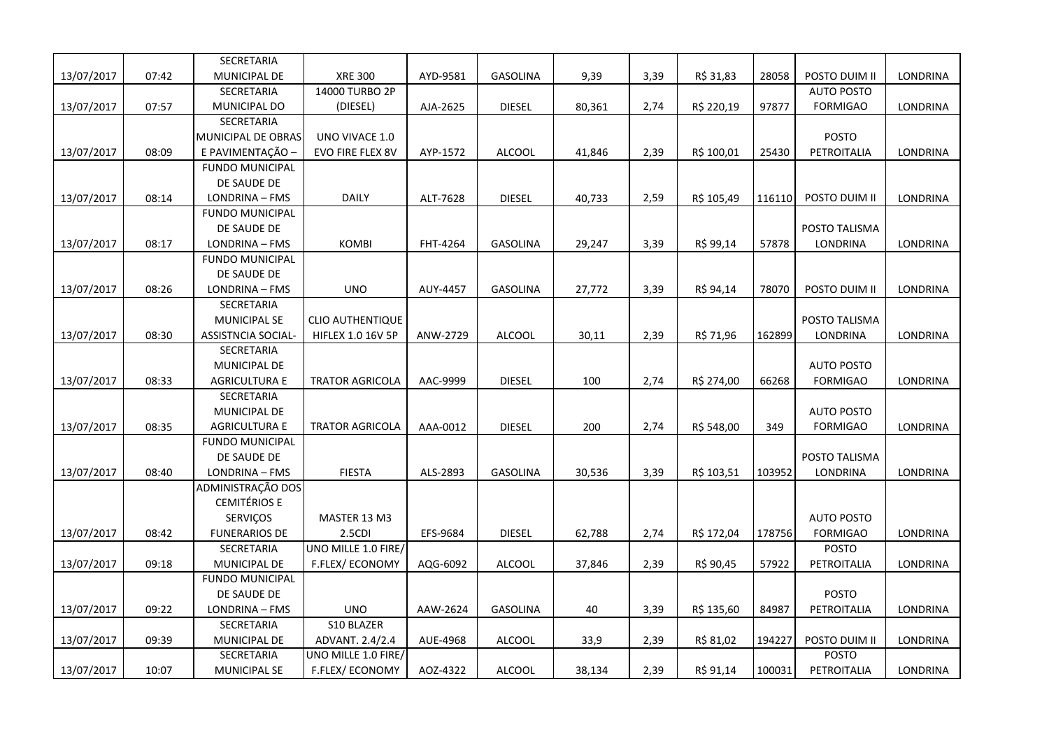|            |       | SECRETARIA                |                          |          |                 |        |      |            |        |                   |          |
|------------|-------|---------------------------|--------------------------|----------|-----------------|--------|------|------------|--------|-------------------|----------|
| 13/07/2017 | 07:42 | MUNICIPAL DE              | <b>XRE 300</b>           | AYD-9581 | GASOLINA        | 9,39   | 3,39 | R\$ 31,83  | 28058  | POSTO DUIM II     | LONDRINA |
|            |       | SECRETARIA                | 14000 TURBO 2P           |          |                 |        |      |            |        | <b>AUTO POSTO</b> |          |
| 13/07/2017 | 07:57 | MUNICIPAL DO              | (DIESEL)                 | AJA-2625 | <b>DIESEL</b>   | 80,361 | 2,74 | R\$ 220,19 | 97877  | <b>FORMIGAO</b>   | LONDRINA |
|            |       | SECRETARIA                |                          |          |                 |        |      |            |        |                   |          |
|            |       | MUNICIPAL DE OBRAS        | UNO VIVACE 1.0           |          |                 |        |      |            |        | <b>POSTO</b>      |          |
| 13/07/2017 | 08:09 | E PAVIMENTAÇÃO -          | EVO FIRE FLEX 8V         | AYP-1572 | <b>ALCOOL</b>   | 41,846 | 2,39 | R\$ 100,01 | 25430  | PETROITALIA       | LONDRINA |
|            |       | <b>FUNDO MUNICIPAL</b>    |                          |          |                 |        |      |            |        |                   |          |
|            |       | DE SAUDE DE               |                          |          |                 |        |      |            |        |                   |          |
| 13/07/2017 | 08:14 | LONDRINA - FMS            | <b>DAILY</b>             | ALT-7628 | <b>DIESEL</b>   | 40,733 | 2,59 | R\$ 105,49 | 116110 | POSTO DUIM II     | LONDRINA |
|            |       | <b>FUNDO MUNICIPAL</b>    |                          |          |                 |        |      |            |        |                   |          |
|            |       | DE SAUDE DE               |                          |          |                 |        |      |            |        | POSTO TALISMA     |          |
| 13/07/2017 | 08:17 | LONDRINA - FMS            | <b>KOMBI</b>             | FHT-4264 | <b>GASOLINA</b> | 29,247 | 3,39 | R\$ 99,14  | 57878  | LONDRINA          | LONDRINA |
|            |       | <b>FUNDO MUNICIPAL</b>    |                          |          |                 |        |      |            |        |                   |          |
|            |       | DE SAUDE DE               |                          |          |                 |        |      |            |        |                   |          |
| 13/07/2017 | 08:26 | LONDRINA - FMS            | <b>UNO</b>               | AUY-4457 | <b>GASOLINA</b> | 27,772 | 3,39 | R\$ 94,14  | 78070  | POSTO DUIM II     | LONDRINA |
|            |       | SECRETARIA                |                          |          |                 |        |      |            |        |                   |          |
|            |       | <b>MUNICIPAL SE</b>       | <b>CLIO AUTHENTIQUE</b>  |          |                 |        |      |            |        | POSTO TALISMA     |          |
| 13/07/2017 | 08:30 | <b>ASSISTNCIA SOCIAL-</b> | <b>HIFLEX 1.0 16V 5P</b> | ANW-2729 | <b>ALCOOL</b>   | 30,11  | 2,39 | R\$ 71,96  | 162899 | LONDRINA          | LONDRINA |
|            |       | <b>SECRETARIA</b>         |                          |          |                 |        |      |            |        |                   |          |
|            |       | MUNICIPAL DE              |                          |          |                 |        |      |            |        | <b>AUTO POSTO</b> |          |
| 13/07/2017 | 08:33 | <b>AGRICULTURA E</b>      | <b>TRATOR AGRICOLA</b>   | AAC-9999 | <b>DIESEL</b>   | 100    | 2,74 | R\$ 274,00 | 66268  | <b>FORMIGAO</b>   | LONDRINA |
|            |       | SECRETARIA                |                          |          |                 |        |      |            |        |                   |          |
|            |       | MUNICIPAL DE              |                          |          |                 |        |      |            |        | <b>AUTO POSTO</b> |          |
| 13/07/2017 | 08:35 | <b>AGRICULTURA E</b>      | <b>TRATOR AGRICOLA</b>   | AAA-0012 | <b>DIESEL</b>   | 200    | 2,74 | R\$ 548,00 | 349    | <b>FORMIGAO</b>   | LONDRINA |
|            |       | <b>FUNDO MUNICIPAL</b>    |                          |          |                 |        |      |            |        |                   |          |
|            |       | DE SAUDE DE               |                          |          |                 |        |      |            |        | POSTO TALISMA     |          |
| 13/07/2017 | 08:40 | LONDRINA - FMS            | <b>FIESTA</b>            | ALS-2893 | <b>GASOLINA</b> | 30,536 | 3,39 | R\$ 103,51 | 103952 | LONDRINA          | LONDRINA |
|            |       | ADMINISTRAÇÃO DOS         |                          |          |                 |        |      |            |        |                   |          |
|            |       | <b>CEMITÉRIOS E</b>       |                          |          |                 |        |      |            |        |                   |          |
|            |       | SERVIÇOS                  | MASTER 13 M3             |          |                 |        |      |            |        | <b>AUTO POSTO</b> |          |
| 13/07/2017 | 08:42 | <b>FUNERARIOS DE</b>      | 2.5CDI                   | EFS-9684 | <b>DIESEL</b>   | 62,788 | 2,74 | R\$ 172,04 | 178756 | <b>FORMIGAO</b>   | LONDRINA |
|            |       | <b>SECRETARIA</b>         | UNO MILLE 1.0 FIRE/      |          |                 |        |      |            |        | <b>POSTO</b>      |          |
| 13/07/2017 | 09:18 | MUNICIPAL DE              | F.FLEX/ECONOMY           | AQG-6092 | <b>ALCOOL</b>   | 37,846 | 2,39 | R\$ 90,45  | 57922  | PETROITALIA       | LONDRINA |
|            |       | <b>FUNDO MUNICIPAL</b>    |                          |          |                 |        |      |            |        |                   |          |
|            |       | DE SAUDE DE               |                          |          |                 |        |      |            |        | <b>POSTO</b>      |          |
| 13/07/2017 | 09:22 | LONDRINA - FMS            | <b>UNO</b>               | AAW-2624 | <b>GASOLINA</b> | 40     | 3,39 | R\$ 135,60 | 84987  | PETROITALIA       | LONDRINA |
|            |       | SECRETARIA                | S10 BLAZER               |          |                 |        |      |            |        |                   |          |
| 13/07/2017 | 09:39 | MUNICIPAL DE              | ADVANT. 2.4/2.4          | AUE-4968 | <b>ALCOOL</b>   | 33,9   | 2,39 | R\$ 81,02  | 194227 | POSTO DUIM II     | LONDRINA |
|            |       | SECRETARIA                | UNO MILLE 1.0 FIRE/      |          |                 |        |      |            |        | <b>POSTO</b>      |          |
| 13/07/2017 | 10:07 | <b>MUNICIPAL SE</b>       | F.FLEX/ECONOMY           | AOZ-4322 | <b>ALCOOL</b>   | 38,134 | 2,39 | R\$ 91,14  | 100031 | PETROITALIA       | LONDRINA |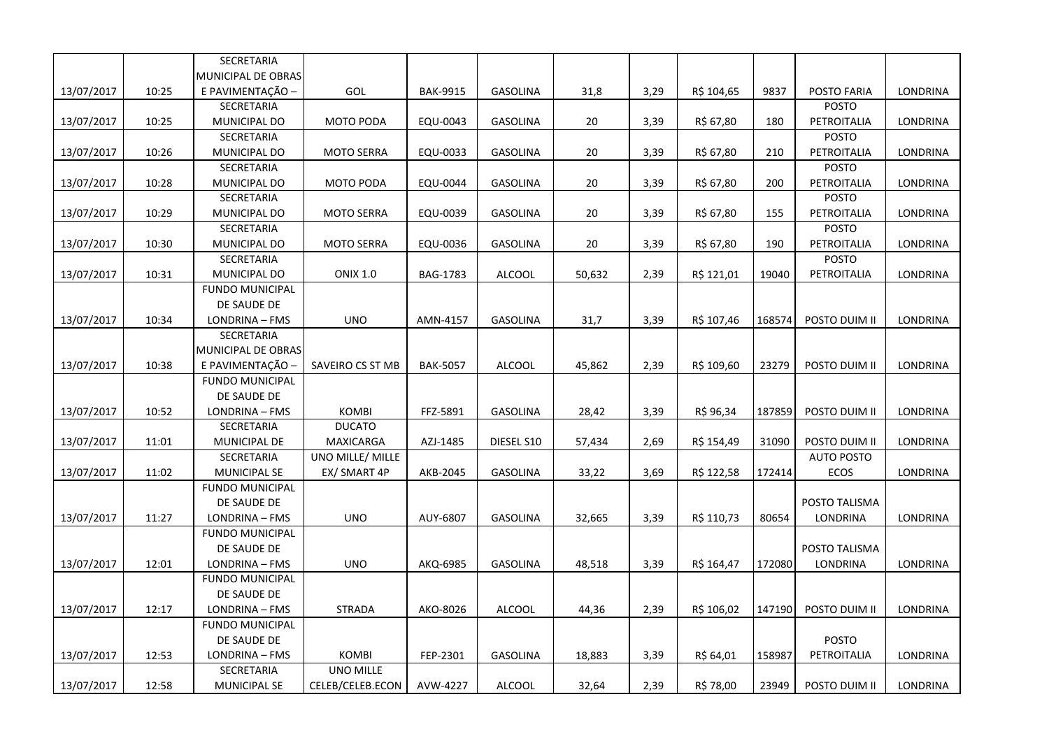|            |       | SECRETARIA             |                   |                 |                 |        |      |            |        |                   |                 |
|------------|-------|------------------------|-------------------|-----------------|-----------------|--------|------|------------|--------|-------------------|-----------------|
|            |       | MUNICIPAL DE OBRAS     |                   |                 |                 |        |      |            |        |                   |                 |
| 13/07/2017 | 10:25 | E PAVIMENTAÇÃO -       | GOL               | <b>BAK-9915</b> | <b>GASOLINA</b> | 31,8   | 3,29 | R\$ 104,65 | 9837   | POSTO FARIA       | LONDRINA        |
|            |       | SECRETARIA             |                   |                 |                 |        |      |            |        | <b>POSTO</b>      |                 |
| 13/07/2017 | 10:25 | MUNICIPAL DO           | <b>MOTO PODA</b>  | EQU-0043        | <b>GASOLINA</b> | 20     | 3,39 | R\$ 67,80  | 180    | PETROITALIA       | LONDRINA        |
|            |       | SECRETARIA             |                   |                 |                 |        |      |            |        | <b>POSTO</b>      |                 |
| 13/07/2017 | 10:26 | MUNICIPAL DO           | <b>MOTO SERRA</b> | EQU-0033        | <b>GASOLINA</b> | 20     | 3,39 | R\$ 67,80  | 210    | PETROITALIA       | LONDRINA        |
|            |       | SECRETARIA             |                   |                 |                 |        |      |            |        | <b>POSTO</b>      |                 |
| 13/07/2017 | 10:28 | MUNICIPAL DO           | MOTO PODA         | EQU-0044        | <b>GASOLINA</b> | 20     | 3,39 | R\$ 67,80  | 200    | PETROITALIA       | LONDRINA        |
|            |       | SECRETARIA             |                   |                 |                 |        |      |            |        | <b>POSTO</b>      |                 |
| 13/07/2017 | 10:29 | MUNICIPAL DO           | <b>MOTO SERRA</b> | EQU-0039        | <b>GASOLINA</b> | 20     | 3,39 | R\$ 67,80  | 155    | PETROITALIA       | LONDRINA        |
|            |       | SECRETARIA             |                   |                 |                 |        |      |            |        | <b>POSTO</b>      |                 |
| 13/07/2017 | 10:30 | MUNICIPAL DO           | <b>MOTO SERRA</b> | EQU-0036        | <b>GASOLINA</b> | 20     | 3,39 | R\$ 67,80  | 190    | PETROITALIA       | LONDRINA        |
|            |       | SECRETARIA             |                   |                 |                 |        |      |            |        | <b>POSTO</b>      |                 |
| 13/07/2017 | 10:31 | MUNICIPAL DO           | <b>ONIX 1.0</b>   | BAG-1783        | <b>ALCOOL</b>   | 50,632 | 2,39 | R\$ 121,01 | 19040  | PETROITALIA       | LONDRINA        |
|            |       | <b>FUNDO MUNICIPAL</b> |                   |                 |                 |        |      |            |        |                   |                 |
|            |       | DE SAUDE DE            |                   |                 |                 |        |      |            |        |                   |                 |
| 13/07/2017 | 10:34 | LONDRINA - FMS         | <b>UNO</b>        | AMN-4157        | <b>GASOLINA</b> | 31,7   | 3,39 | R\$ 107,46 | 168574 | POSTO DUIM II     | LONDRINA        |
|            |       | <b>SECRETARIA</b>      |                   |                 |                 |        |      |            |        |                   |                 |
|            |       | MUNICIPAL DE OBRAS     |                   |                 |                 |        |      |            |        |                   |                 |
| 13/07/2017 | 10:38 | E PAVIMENTAÇÃO         | SAVEIRO CS ST MB  | <b>BAK-5057</b> | <b>ALCOOL</b>   | 45,862 | 2,39 | R\$ 109,60 | 23279  | POSTO DUIM II     | LONDRINA        |
|            |       | <b>FUNDO MUNICIPAL</b> |                   |                 |                 |        |      |            |        |                   |                 |
|            |       | DE SAUDE DE            |                   |                 |                 |        |      |            |        |                   |                 |
| 13/07/2017 | 10:52 | LONDRINA - FMS         | <b>KOMBI</b>      | FFZ-5891        | <b>GASOLINA</b> | 28,42  | 3,39 | R\$ 96,34  | 187859 | POSTO DUIM II     | LONDRINA        |
|            |       | SECRETARIA             | <b>DUCATO</b>     |                 |                 |        |      |            |        |                   |                 |
| 13/07/2017 | 11:01 | MUNICIPAL DE           | <b>MAXICARGA</b>  | AZJ-1485        | DIESEL S10      | 57,434 | 2,69 | R\$ 154,49 | 31090  | POSTO DUIM II     | LONDRINA        |
|            |       | SECRETARIA             | UNO MILLE/ MILLE  |                 |                 |        |      |            |        | <b>AUTO POSTO</b> |                 |
| 13/07/2017 | 11:02 | <b>MUNICIPAL SE</b>    | EX/ SMART 4P      | AKB-2045        | <b>GASOLINA</b> | 33,22  | 3,69 | R\$ 122,58 | 172414 | ECOS              | LONDRINA        |
|            |       | <b>FUNDO MUNICIPAL</b> |                   |                 |                 |        |      |            |        |                   |                 |
|            |       | DE SAUDE DE            |                   |                 |                 |        |      |            |        | POSTO TALISMA     |                 |
| 13/07/2017 | 11:27 | LONDRINA - FMS         | <b>UNO</b>        | AUY-6807        | <b>GASOLINA</b> | 32,665 | 3,39 | R\$ 110,73 | 80654  | LONDRINA          | LONDRINA        |
|            |       | <b>FUNDO MUNICIPAL</b> |                   |                 |                 |        |      |            |        |                   |                 |
|            |       | DE SAUDE DE            |                   |                 |                 |        |      |            |        | POSTO TALISMA     |                 |
| 13/07/2017 | 12:01 | LONDRINA - FMS         | <b>UNO</b>        | AKQ-6985        | <b>GASOLINA</b> | 48,518 | 3,39 | R\$ 164,47 | 172080 | <b>LONDRINA</b>   | LONDRINA        |
|            |       | <b>FUNDO MUNICIPAL</b> |                   |                 |                 |        |      |            |        |                   |                 |
|            |       | DE SAUDE DE            |                   |                 |                 |        |      |            |        |                   |                 |
| 13/07/2017 | 12:17 | LONDRINA - FMS         | <b>STRADA</b>     | AKO-8026        | <b>ALCOOL</b>   | 44,36  | 2,39 | R\$ 106,02 | 147190 | POSTO DUIM II     | <b>LONDRINA</b> |
|            |       | <b>FUNDO MUNICIPAL</b> |                   |                 |                 |        |      |            |        |                   |                 |
|            |       | DE SAUDE DE            |                   |                 |                 |        |      |            |        | <b>POSTO</b>      |                 |
| 13/07/2017 | 12:53 | LONDRINA - FMS         | <b>KOMBI</b>      | FEP-2301        | <b>GASOLINA</b> | 18,883 | 3,39 | R\$ 64,01  | 158987 | PETROITALIA       | LONDRINA        |
|            |       | SECRETARIA             | <b>UNO MILLE</b>  |                 |                 |        |      |            |        |                   |                 |
| 13/07/2017 | 12:58 | <b>MUNICIPAL SE</b>    | CELEB/CELEB.ECON  | AVW-4227        | <b>ALCOOL</b>   | 32,64  | 2,39 | R\$ 78,00  | 23949  | POSTO DUIM II     | LONDRINA        |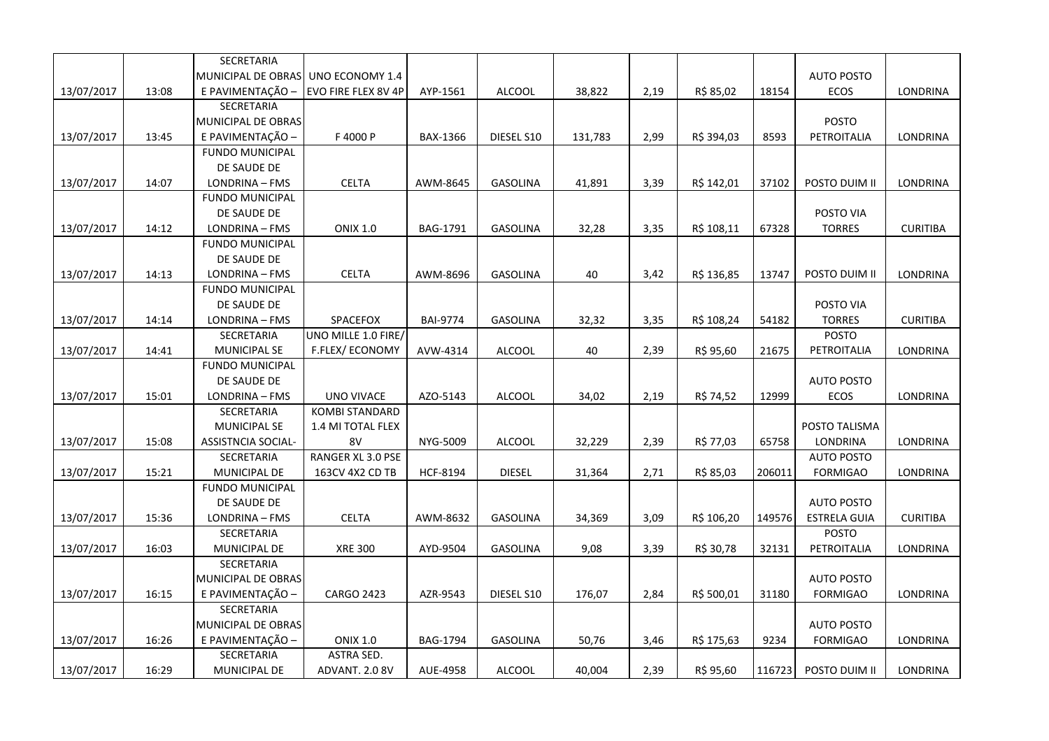|            |       | SECRETARIA                |                       |                 |                 |         |      |            |        |                     |                 |
|------------|-------|---------------------------|-----------------------|-----------------|-----------------|---------|------|------------|--------|---------------------|-----------------|
|            |       | MUNICIPAL DE OBRAS        | UNO ECONOMY 1.4       |                 |                 |         |      |            |        | <b>AUTO POSTO</b>   |                 |
| 13/07/2017 | 13:08 | E PAVIMENTAÇÃO -          | EVO FIRE FLEX 8V 4P   | AYP-1561        | <b>ALCOOL</b>   | 38,822  | 2,19 | R\$ 85,02  | 18154  | <b>ECOS</b>         | LONDRINA        |
|            |       | SECRETARIA                |                       |                 |                 |         |      |            |        |                     |                 |
|            |       | MUNICIPAL DE OBRAS        |                       |                 |                 |         |      |            |        | <b>POSTO</b>        |                 |
| 13/07/2017 | 13:45 | E PAVIMENTAÇÃO -          | F 4000 P              | BAX-1366        | DIESEL S10      | 131,783 | 2,99 | R\$ 394,03 | 8593   | PETROITALIA         | <b>LONDRINA</b> |
|            |       | <b>FUNDO MUNICIPAL</b>    |                       |                 |                 |         |      |            |        |                     |                 |
|            |       | DE SAUDE DE               |                       |                 |                 |         |      |            |        |                     |                 |
| 13/07/2017 | 14:07 | LONDRINA - FMS            | <b>CELTA</b>          | AWM-8645        | <b>GASOLINA</b> | 41,891  | 3,39 | R\$ 142,01 | 37102  | POSTO DUIM II       | <b>LONDRINA</b> |
|            |       | <b>FUNDO MUNICIPAL</b>    |                       |                 |                 |         |      |            |        |                     |                 |
|            |       | DE SAUDE DE               |                       |                 |                 |         |      |            |        | POSTO VIA           |                 |
| 13/07/2017 | 14:12 | LONDRINA - FMS            | <b>ONIX 1.0</b>       | BAG-1791        | <b>GASOLINA</b> | 32,28   | 3,35 | R\$ 108,11 | 67328  | <b>TORRES</b>       | <b>CURITIBA</b> |
|            |       | <b>FUNDO MUNICIPAL</b>    |                       |                 |                 |         |      |            |        |                     |                 |
|            |       | DE SAUDE DE               |                       |                 |                 |         |      |            |        |                     |                 |
| 13/07/2017 | 14:13 | LONDRINA - FMS            | <b>CELTA</b>          | AWM-8696        | <b>GASOLINA</b> | 40      | 3,42 | R\$ 136,85 | 13747  | POSTO DUIM II       | LONDRINA        |
|            |       | <b>FUNDO MUNICIPAL</b>    |                       |                 |                 |         |      |            |        |                     |                 |
|            |       | DE SAUDE DE               |                       |                 |                 |         |      |            |        | POSTO VIA           |                 |
| 13/07/2017 | 14:14 | LONDRINA - FMS            | SPACEFOX              | <b>BAI-9774</b> | GASOLINA        | 32,32   | 3,35 | R\$ 108,24 | 54182  | <b>TORRES</b>       | <b>CURITIBA</b> |
|            |       | SECRETARIA                | UNO MILLE 1.0 FIRE/   |                 |                 |         |      |            |        | <b>POSTO</b>        |                 |
| 13/07/2017 | 14:41 | MUNICIPAL SE              | F.FLEX/ECONOMY        | AVW-4314        | <b>ALCOOL</b>   | 40      | 2,39 | R\$ 95,60  | 21675  | PETROITALIA         | LONDRINA        |
|            |       | <b>FUNDO MUNICIPAL</b>    |                       |                 |                 |         |      |            |        |                     |                 |
|            |       | DE SAUDE DE               |                       |                 |                 |         |      |            |        | <b>AUTO POSTO</b>   |                 |
| 13/07/2017 | 15:01 | LONDRINA - FMS            | UNO VIVACE            | AZO-5143        | <b>ALCOOL</b>   | 34,02   | 2,19 | R\$ 74,52  | 12999  | ECOS                | LONDRINA        |
|            |       | SECRETARIA                | <b>KOMBI STANDARD</b> |                 |                 |         |      |            |        |                     |                 |
|            |       | <b>MUNICIPAL SE</b>       | 1.4 MI TOTAL FLEX     |                 |                 |         |      |            |        | POSTO TALISMA       |                 |
| 13/07/2017 | 15:08 | <b>ASSISTNCIA SOCIAL-</b> | 8V                    | NYG-5009        | ALCOOL          | 32,229  | 2,39 | R\$ 77,03  | 65758  | <b>LONDRINA</b>     | LONDRINA        |
|            |       | SECRETARIA                | RANGER XL 3.0 PSE     |                 |                 |         |      |            |        | <b>AUTO POSTO</b>   |                 |
| 13/07/2017 | 15:21 | MUNICIPAL DE              | 163CV 4X2 CD TB       | <b>HCF-8194</b> | <b>DIESEL</b>   | 31,364  | 2,71 | R\$ 85,03  | 206011 | <b>FORMIGAO</b>     | <b>LONDRINA</b> |
|            |       | <b>FUNDO MUNICIPAL</b>    |                       |                 |                 |         |      |            |        |                     |                 |
|            |       | DE SAUDE DE               |                       |                 |                 |         |      |            |        | <b>AUTO POSTO</b>   |                 |
| 13/07/2017 | 15:36 | LONDRINA - FMS            | <b>CELTA</b>          | AWM-8632        | <b>GASOLINA</b> | 34,369  | 3,09 | R\$ 106,20 | 149576 | <b>ESTRELA GUIA</b> | <b>CURITIBA</b> |
|            |       | SECRETARIA                |                       |                 |                 |         |      |            |        | POSTO               |                 |
| 13/07/2017 | 16:03 | MUNICIPAL DE              | <b>XRE 300</b>        | AYD-9504        | <b>GASOLINA</b> | 9,08    | 3,39 | R\$ 30,78  | 32131  | PETROITALIA         | LONDRINA        |
|            |       | <b>SECRETARIA</b>         |                       |                 |                 |         |      |            |        |                     |                 |
|            |       | MUNICIPAL DE OBRAS        |                       |                 |                 |         |      |            |        | <b>AUTO POSTO</b>   |                 |
| 13/07/2017 | 16:15 | E PAVIMENTAÇÃO -          | <b>CARGO 2423</b>     | AZR-9543        | DIESEL S10      | 176,07  | 2,84 | R\$ 500,01 | 31180  | <b>FORMIGAO</b>     | LONDRINA        |
|            |       | SECRETARIA                |                       |                 |                 |         |      |            |        |                     |                 |
|            |       | MUNICIPAL DE OBRAS        |                       |                 |                 |         |      |            |        | <b>AUTO POSTO</b>   |                 |
| 13/07/2017 | 16:26 | E PAVIMENTAÇÃO -          | <b>ONIX 1.0</b>       | <b>BAG-1794</b> | <b>GASOLINA</b> | 50,76   | 3,46 | R\$ 175,63 | 9234   | <b>FORMIGAO</b>     | <b>LONDRINA</b> |
|            |       | SECRETARIA                | ASTRA SED.            |                 |                 |         |      |            |        |                     |                 |
| 13/07/2017 | 16:29 | <b>MUNICIPAL DE</b>       | ADVANT. 2.0 8V        | AUE-4958        | <b>ALCOOL</b>   | 40,004  | 2,39 | R\$ 95,60  | 116723 | POSTO DUIM II       | LONDRINA        |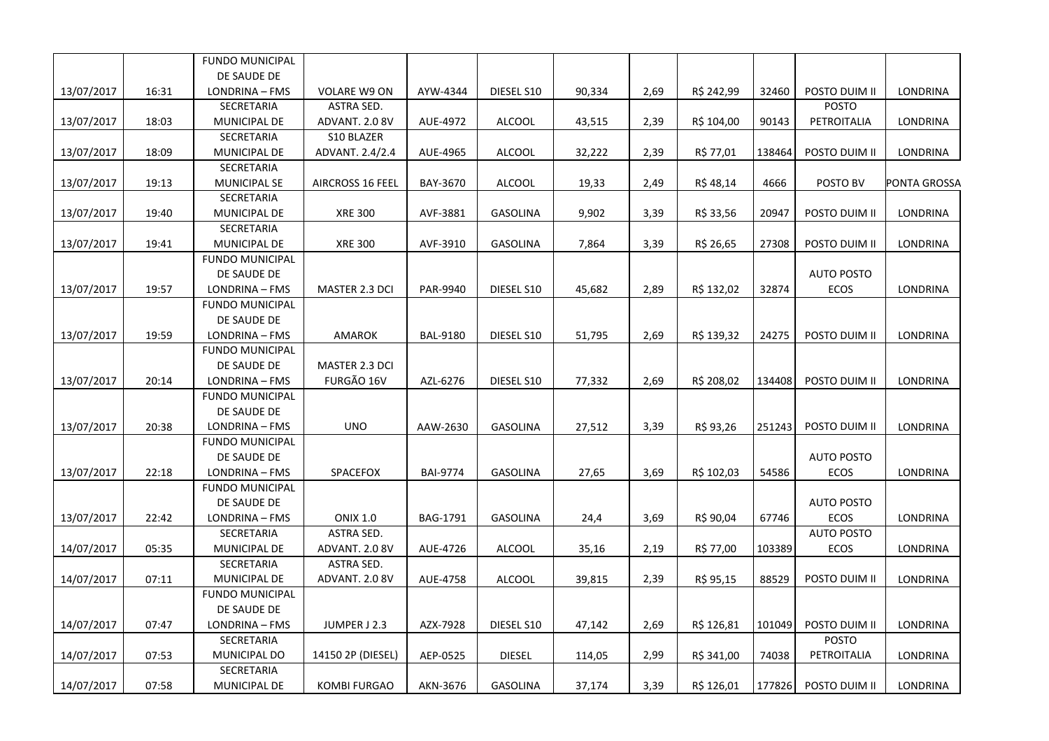|            |       | <b>FUNDO MUNICIPAL</b>                |                       |                 |                 |        |      |            |        |                   |              |
|------------|-------|---------------------------------------|-----------------------|-----------------|-----------------|--------|------|------------|--------|-------------------|--------------|
|            |       | DE SAUDE DE                           |                       |                 |                 |        |      |            |        |                   |              |
| 13/07/2017 | 16:31 | LONDRINA - FMS                        | <b>VOLARE W9 ON</b>   | AYW-4344        | DIESEL S10      | 90,334 | 2,69 | R\$ 242,99 | 32460  | POSTO DUIM II     | LONDRINA     |
|            |       | SECRETARIA                            | ASTRA SED.            |                 |                 |        |      |            |        | <b>POSTO</b>      |              |
| 13/07/2017 | 18:03 | MUNICIPAL DE                          | ADVANT. 2.0 8V        | AUE-4972        | <b>ALCOOL</b>   | 43,515 | 2,39 | R\$ 104,00 | 90143  | PETROITALIA       | LONDRINA     |
|            |       | SECRETARIA                            | S10 BLAZER            |                 |                 |        |      |            |        |                   |              |
| 13/07/2017 | 18:09 | MUNICIPAL DE                          | ADVANT. 2.4/2.4       | AUE-4965        | <b>ALCOOL</b>   | 32,222 | 2,39 | R\$ 77,01  | 138464 | POSTO DUIM II     | LONDRINA     |
|            |       | SECRETARIA                            |                       |                 |                 |        |      |            |        |                   |              |
| 13/07/2017 | 19:13 | <b>MUNICIPAL SE</b>                   | AIRCROSS 16 FEEL      | BAY-3670        | <b>ALCOOL</b>   | 19,33  | 2,49 | R\$ 48,14  | 4666   | POSTO BV          | PONTA GROSSA |
|            |       | SECRETARIA                            |                       |                 |                 |        |      |            |        |                   |              |
| 13/07/2017 | 19:40 | MUNICIPAL DE                          | <b>XRE 300</b>        | AVF-3881        | <b>GASOLINA</b> | 9,902  | 3,39 | R\$ 33,56  | 20947  | POSTO DUIM II     | LONDRINA     |
|            |       | SECRETARIA                            |                       |                 |                 |        |      |            |        |                   |              |
| 13/07/2017 | 19:41 | MUNICIPAL DE                          | <b>XRE 300</b>        | AVF-3910        | <b>GASOLINA</b> | 7,864  | 3,39 | R\$ 26,65  | 27308  | POSTO DUIM II     | LONDRINA     |
|            |       | <b>FUNDO MUNICIPAL</b>                |                       |                 |                 |        |      |            |        |                   |              |
|            |       | DE SAUDE DE                           |                       |                 |                 |        |      |            |        | <b>AUTO POSTO</b> |              |
| 13/07/2017 | 19:57 | LONDRINA - FMS                        | MASTER 2.3 DCI        | PAR-9940        | DIESEL S10      | 45,682 | 2,89 | R\$ 132,02 | 32874  | ECOS              | LONDRINA     |
|            |       | <b>FUNDO MUNICIPAL</b>                |                       |                 |                 |        |      |            |        |                   |              |
|            |       | DE SAUDE DE                           |                       |                 |                 |        |      |            |        |                   |              |
| 13/07/2017 | 19:59 | LONDRINA - FMS                        | AMAROK                | BAL-9180        | DIESEL S10      | 51,795 | 2,69 | R\$ 139,32 | 24275  | POSTO DUIM II     | LONDRINA     |
|            |       | <b>FUNDO MUNICIPAL</b>                |                       |                 |                 |        |      |            |        |                   |              |
|            |       | DE SAUDE DE                           | <b>MASTER 2.3 DCI</b> |                 |                 |        |      |            |        |                   |              |
| 13/07/2017 | 20:14 | LONDRINA - FMS                        | FURGÃO 16V            | AZL-6276        | DIESEL S10      | 77,332 | 2,69 | R\$ 208,02 | 134408 | POSTO DUIM II     | LONDRINA     |
|            |       | <b>FUNDO MUNICIPAL</b>                |                       |                 |                 |        |      |            |        |                   |              |
|            |       | DE SAUDE DE                           |                       |                 |                 |        |      |            |        |                   |              |
| 13/07/2017 | 20:38 | LONDRINA - FMS                        | <b>UNO</b>            | AAW-2630        | <b>GASOLINA</b> | 27,512 | 3,39 | R\$ 93,26  | 251243 | POSTO DUIM II     | LONDRINA     |
|            |       | <b>FUNDO MUNICIPAL</b>                |                       |                 |                 |        |      |            |        |                   |              |
|            |       | DE SAUDE DE                           |                       |                 |                 |        |      |            |        | <b>AUTO POSTO</b> |              |
| 13/07/2017 | 22:18 | LONDRINA - FMS                        | SPACEFOX              | <b>BAI-9774</b> | GASOLINA        | 27,65  | 3,69 | R\$ 102,03 | 54586  | ECOS              | LONDRINA     |
|            |       | <b>FUNDO MUNICIPAL</b><br>DE SAUDE DE |                       |                 |                 |        |      |            |        | <b>AUTO POSTO</b> |              |
|            | 22:42 | LONDRINA - FMS                        | <b>ONIX 1.0</b>       | BAG-1791        | GASOLINA        | 24,4   | 3,69 | R\$ 90,04  | 67746  | ECOS              | LONDRINA     |
| 13/07/2017 |       | SECRETARIA                            | <b>ASTRA SED.</b>     |                 |                 |        |      |            |        | <b>AUTO POSTO</b> |              |
| 14/07/2017 | 05:35 | MUNICIPAL DE                          | ADVANT. 2.0 8V        | AUE-4726        | <b>ALCOOL</b>   | 35,16  | 2,19 | R\$ 77,00  | 103389 | <b>ECOS</b>       | LONDRINA     |
|            |       | SECRETARIA                            | ASTRA SED.            |                 |                 |        |      |            |        |                   |              |
| 14/07/2017 | 07:11 | MUNICIPAL DE                          | ADVANT. 2.0 8V        | AUE-4758        | <b>ALCOOL</b>   | 39,815 | 2,39 | R\$ 95,15  | 88529  | POSTO DUIM II     | LONDRINA     |
|            |       | <b>FUNDO MUNICIPAL</b>                |                       |                 |                 |        |      |            |        |                   |              |
|            |       | DE SAUDE DE                           |                       |                 |                 |        |      |            |        |                   |              |
| 14/07/2017 | 07:47 | LONDRINA - FMS                        | JUMPER J 2.3          | AZX-7928        | DIESEL S10      | 47,142 | 2,69 | R\$ 126,81 | 101049 | POSTO DUIM II     | LONDRINA     |
|            |       | SECRETARIA                            |                       |                 |                 |        |      |            |        | <b>POSTO</b>      |              |
| 14/07/2017 | 07:53 | MUNICIPAL DO                          | 14150 2P (DIESEL)     | AEP-0525        | <b>DIESEL</b>   | 114,05 | 2,99 | R\$ 341,00 | 74038  | PETROITALIA       | LONDRINA     |
|            |       | SECRETARIA                            |                       |                 |                 |        |      |            |        |                   |              |
| 14/07/2017 | 07:58 | MUNICIPAL DE                          | <b>KOMBI FURGAO</b>   | AKN-3676        | <b>GASOLINA</b> | 37,174 | 3,39 | R\$ 126,01 | 177826 | POSTO DUIM II     | LONDRINA     |
|            |       |                                       |                       |                 |                 |        |      |            |        |                   |              |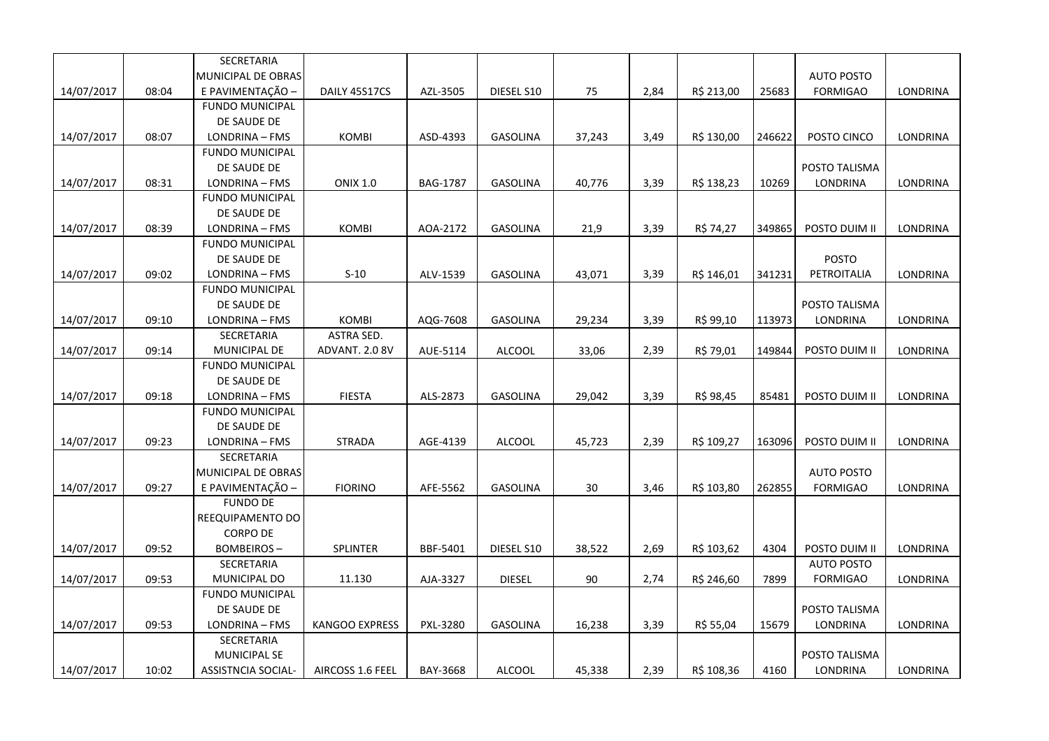|            |       | SECRETARIA                |                       |                 |                 |        |      |            |        |                   |                 |
|------------|-------|---------------------------|-----------------------|-----------------|-----------------|--------|------|------------|--------|-------------------|-----------------|
|            |       | MUNICIPAL DE OBRAS        |                       |                 |                 |        |      |            |        | <b>AUTO POSTO</b> |                 |
| 14/07/2017 | 08:04 | E PAVIMENTAÇÃO -          | DAILY 45S17CS         | AZL-3505        | DIESEL S10      | 75     | 2,84 | R\$ 213,00 | 25683  | <b>FORMIGAO</b>   | LONDRINA        |
|            |       | <b>FUNDO MUNICIPAL</b>    |                       |                 |                 |        |      |            |        |                   |                 |
|            |       | DE SAUDE DE               |                       |                 |                 |        |      |            |        |                   |                 |
| 14/07/2017 | 08:07 | LONDRINA - FMS            | <b>KOMBI</b>          | ASD-4393        | <b>GASOLINA</b> | 37,243 | 3,49 | R\$ 130,00 | 246622 | POSTO CINCO       | LONDRINA        |
|            |       | <b>FUNDO MUNICIPAL</b>    |                       |                 |                 |        |      |            |        |                   |                 |
|            |       | DE SAUDE DE               |                       |                 |                 |        |      |            |        | POSTO TALISMA     |                 |
| 14/07/2017 | 08:31 | LONDRINA - FMS            | <b>ONIX 1.0</b>       | <b>BAG-1787</b> | <b>GASOLINA</b> | 40,776 | 3,39 | R\$ 138,23 | 10269  | LONDRINA          | LONDRINA        |
|            |       | <b>FUNDO MUNICIPAL</b>    |                       |                 |                 |        |      |            |        |                   |                 |
|            |       | DE SAUDE DE               |                       |                 |                 |        |      |            |        |                   |                 |
| 14/07/2017 | 08:39 | LONDRINA - FMS            | <b>KOMBI</b>          | AOA-2172        | <b>GASOLINA</b> | 21,9   | 3,39 | R\$ 74,27  | 349865 | POSTO DUIM II     | <b>LONDRINA</b> |
|            |       | <b>FUNDO MUNICIPAL</b>    |                       |                 |                 |        |      |            |        |                   |                 |
|            |       | DE SAUDE DE               |                       |                 |                 |        |      |            |        | <b>POSTO</b>      |                 |
| 14/07/2017 | 09:02 | LONDRINA - FMS            | $S-10$                | ALV-1539        | <b>GASOLINA</b> | 43,071 | 3,39 | R\$ 146,01 | 341231 | PETROITALIA       | LONDRINA        |
|            |       | <b>FUNDO MUNICIPAL</b>    |                       |                 |                 |        |      |            |        |                   |                 |
|            |       | DE SAUDE DE               |                       |                 |                 |        |      |            |        | POSTO TALISMA     |                 |
| 14/07/2017 | 09:10 | LONDRINA - FMS            | <b>KOMBI</b>          | AQG-7608        | <b>GASOLINA</b> | 29,234 | 3,39 | R\$ 99,10  | 113973 | LONDRINA          | LONDRINA        |
|            |       | SECRETARIA                | ASTRA SED.            |                 |                 |        |      |            |        |                   |                 |
| 14/07/2017 | 09:14 | MUNICIPAL DE              | ADVANT. 2.0 8V        | AUE-5114        | <b>ALCOOL</b>   | 33,06  | 2,39 | R\$ 79,01  | 149844 | POSTO DUIM II     | <b>LONDRINA</b> |
|            |       | <b>FUNDO MUNICIPAL</b>    |                       |                 |                 |        |      |            |        |                   |                 |
|            |       | DE SAUDE DE               |                       |                 |                 |        |      |            |        |                   |                 |
| 14/07/2017 | 09:18 | LONDRINA - FMS            | <b>FIESTA</b>         | ALS-2873        | <b>GASOLINA</b> | 29,042 | 3,39 | R\$ 98,45  | 85481  | POSTO DUIM II     | LONDRINA        |
|            |       | <b>FUNDO MUNICIPAL</b>    |                       |                 |                 |        |      |            |        |                   |                 |
|            |       | DE SAUDE DE               |                       |                 |                 |        |      |            |        |                   |                 |
| 14/07/2017 | 09:23 | LONDRINA - FMS            | <b>STRADA</b>         | AGE-4139        | <b>ALCOOL</b>   | 45,723 | 2,39 | R\$ 109,27 | 163096 | POSTO DUIM II     | LONDRINA        |
|            |       | SECRETARIA                |                       |                 |                 |        |      |            |        |                   |                 |
|            |       | MUNICIPAL DE OBRAS        |                       |                 |                 |        |      |            |        | <b>AUTO POSTO</b> |                 |
| 14/07/2017 | 09:27 | E PAVIMENTAÇÃO -          | <b>FIORINO</b>        | AFE-5562        | <b>GASOLINA</b> | 30     | 3,46 | R\$ 103,80 | 262855 | <b>FORMIGAO</b>   | LONDRINA        |
|            |       | <b>FUNDO DE</b>           |                       |                 |                 |        |      |            |        |                   |                 |
|            |       | REEQUIPAMENTO DO          |                       |                 |                 |        |      |            |        |                   |                 |
|            |       | <b>CORPO DE</b>           |                       |                 |                 |        |      |            |        |                   |                 |
| 14/07/2017 | 09:52 | <b>BOMBEIROS-</b>         | SPLINTER              | BBF-5401        | DIESEL S10      | 38,522 | 2,69 | R\$ 103,62 | 4304   | POSTO DUIM II     | LONDRINA        |
|            |       | SECRETARIA                |                       |                 |                 |        |      |            |        | <b>AUTO POSTO</b> |                 |
| 14/07/2017 | 09:53 | MUNICIPAL DO              | 11.130                | AJA-3327        | <b>DIESEL</b>   | 90     | 2,74 | R\$ 246,60 | 7899   | <b>FORMIGAO</b>   | LONDRINA        |
|            |       | <b>FUNDO MUNICIPAL</b>    |                       |                 |                 |        |      |            |        |                   |                 |
|            |       | DE SAUDE DE               |                       |                 |                 |        |      |            |        | POSTO TALISMA     |                 |
| 14/07/2017 | 09:53 | LONDRINA - FMS            | <b>KANGOO EXPRESS</b> | PXL-3280        | <b>GASOLINA</b> | 16,238 | 3,39 | R\$ 55,04  | 15679  | LONDRINA          | LONDRINA        |
|            |       | SECRETARIA                |                       |                 |                 |        |      |            |        |                   |                 |
|            |       | MUNICIPAL SE              |                       |                 |                 |        |      |            |        | POSTO TALISMA     |                 |
| 14/07/2017 | 10:02 | <b>ASSISTNCIA SOCIAL-</b> | AIRCOSS 1.6 FEEL      | BAY-3668        | <b>ALCOOL</b>   | 45,338 | 2,39 | R\$ 108,36 | 4160   | LONDRINA          | LONDRINA        |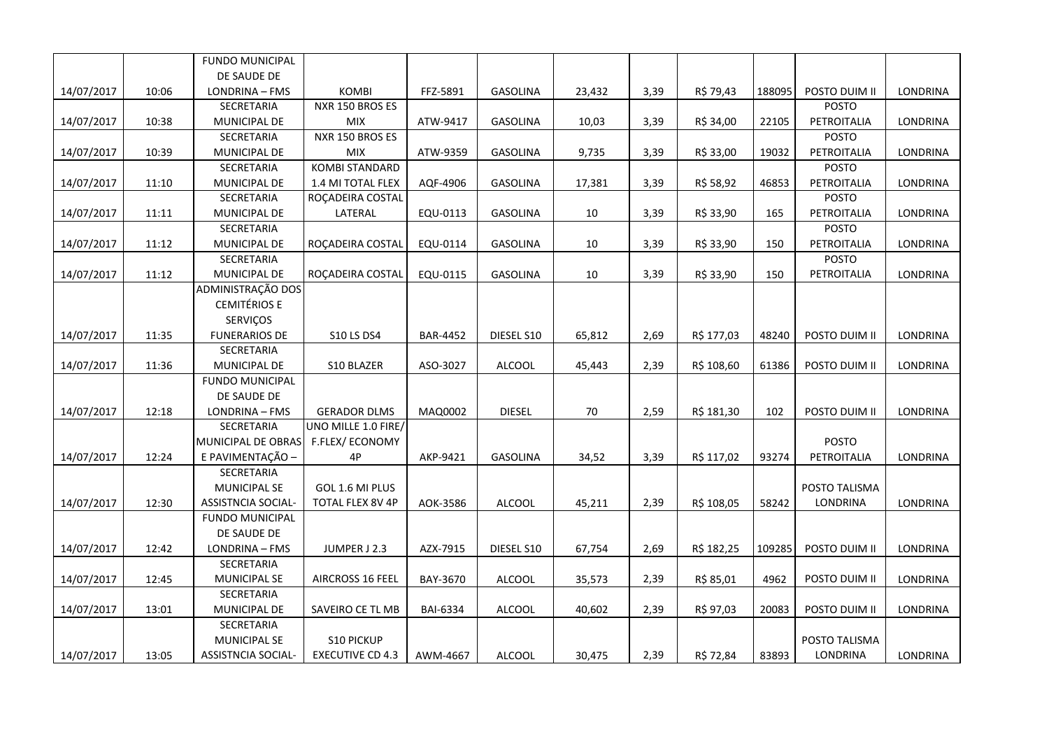|            |       | <b>FUNDO MUNICIPAL</b>    |                         |                 |                 |        |      |            |        |               |                 |
|------------|-------|---------------------------|-------------------------|-----------------|-----------------|--------|------|------------|--------|---------------|-----------------|
|            |       | DE SAUDE DE               |                         |                 |                 |        |      |            |        |               |                 |
| 14/07/2017 | 10:06 | LONDRINA - FMS            | <b>KOMBI</b>            | FFZ-5891        | <b>GASOLINA</b> | 23,432 | 3,39 | R\$ 79,43  | 188095 | POSTO DUIM II | LONDRINA        |
|            |       | SECRETARIA                | NXR 150 BROS ES         |                 |                 |        |      |            |        | <b>POSTO</b>  |                 |
| 14/07/2017 | 10:38 | MUNICIPAL DE              | <b>MIX</b>              | ATW-9417        | <b>GASOLINA</b> | 10,03  | 3,39 | R\$ 34,00  | 22105  | PETROITALIA   | LONDRINA        |
|            |       | SECRETARIA                | NXR 150 BROS ES         |                 |                 |        |      |            |        | <b>POSTO</b>  |                 |
| 14/07/2017 | 10:39 | MUNICIPAL DE              | <b>MIX</b>              | ATW-9359        | <b>GASOLINA</b> | 9,735  | 3,39 | R\$ 33,00  | 19032  | PETROITALIA   | LONDRINA        |
|            |       | SECRETARIA                | <b>KOMBI STANDARD</b>   |                 |                 |        |      |            |        | <b>POSTO</b>  |                 |
| 14/07/2017 | 11:10 | MUNICIPAL DE              | 1.4 MI TOTAL FLEX       | AQF-4906        | <b>GASOLINA</b> | 17,381 | 3,39 | R\$ 58,92  | 46853  | PETROITALIA   | LONDRINA        |
|            |       | SECRETARIA                | ROÇADEIRA COSTAL        |                 |                 |        |      |            |        | <b>POSTO</b>  |                 |
| 14/07/2017 | 11:11 | MUNICIPAL DE              | LATERAL                 | EQU-0113        | <b>GASOLINA</b> | 10     | 3,39 | R\$ 33,90  | 165    | PETROITALIA   | LONDRINA        |
|            |       | SECRETARIA                |                         |                 |                 |        |      |            |        | <b>POSTO</b>  |                 |
| 14/07/2017 | 11:12 | MUNICIPAL DE              | ROÇADEIRA COSTAL        | EQU-0114        | <b>GASOLINA</b> | 10     | 3,39 | R\$ 33,90  | 150    | PETROITALIA   | LONDRINA        |
|            |       | SECRETARIA                |                         |                 |                 |        |      |            |        | POSTO         |                 |
| 14/07/2017 | 11:12 | MUNICIPAL DE              | ROÇADEIRA COSTAL        | EQU-0115        | <b>GASOLINA</b> | 10     | 3,39 | R\$ 33,90  | 150    | PETROITALIA   | LONDRINA        |
|            |       | ADMINISTRAÇÃO DOS         |                         |                 |                 |        |      |            |        |               |                 |
|            |       | <b>CEMITÉRIOS E</b>       |                         |                 |                 |        |      |            |        |               |                 |
|            |       | SERVIÇOS                  |                         |                 |                 |        |      |            |        |               |                 |
| 14/07/2017 | 11:35 | <b>FUNERARIOS DE</b>      | <b>S10 LS DS4</b>       | <b>BAR-4452</b> | DIESEL S10      | 65,812 | 2,69 | R\$ 177,03 | 48240  | POSTO DUIM II | LONDRINA        |
|            |       | SECRETARIA                |                         |                 |                 |        |      |            |        |               |                 |
| 14/07/2017 | 11:36 | MUNICIPAL DE              | S10 BLAZER              | ASO-3027        | ALCOOL          | 45,443 | 2,39 | R\$ 108,60 | 61386  | POSTO DUIM II | LONDRINA        |
|            |       | <b>FUNDO MUNICIPAL</b>    |                         |                 |                 |        |      |            |        |               |                 |
|            |       | DE SAUDE DE               |                         |                 |                 |        |      |            |        |               |                 |
| 14/07/2017 | 12:18 | LONDRINA - FMS            | <b>GERADOR DLMS</b>     | MAQ0002         | <b>DIESEL</b>   | 70     | 2,59 | R\$ 181,30 | 102    | POSTO DUIM II | LONDRINA        |
|            |       | SECRETARIA                | UNO MILLE 1.0 FIRE/     |                 |                 |        |      |            |        |               |                 |
|            |       | MUNICIPAL DE OBRAS        | F.FLEX/ECONOMY          |                 |                 |        |      |            |        | POSTO         |                 |
| 14/07/2017 | 12:24 | E PAVIMENTAÇÃO -          | 4P                      | AKP-9421        | <b>GASOLINA</b> | 34,52  | 3,39 | R\$ 117,02 | 93274  | PETROITALIA   | LONDRINA        |
|            |       | SECRETARIA                |                         |                 |                 |        |      |            |        |               |                 |
|            |       | <b>MUNICIPAL SE</b>       | GOL 1.6 MI PLUS         |                 |                 |        |      |            |        | POSTO TALISMA |                 |
| 14/07/2017 | 12:30 | ASSISTNCIA SOCIAL-        | TOTAL FLEX 8V 4P        | AOK-3586        | <b>ALCOOL</b>   | 45,211 | 2,39 | R\$ 108,05 | 58242  | LONDRINA      | LONDRINA        |
|            |       | <b>FUNDO MUNICIPAL</b>    |                         |                 |                 |        |      |            |        |               |                 |
|            |       | DE SAUDE DE               |                         |                 |                 |        |      |            |        |               |                 |
| 14/07/2017 | 12:42 | LONDRINA - FMS            | JUMPER J 2.3            | AZX-7915        | DIESEL S10      | 67,754 | 2,69 | R\$ 182,25 | 109285 | POSTO DUIM II | LONDRINA        |
|            |       | SECRETARIA                |                         |                 |                 |        |      |            |        |               |                 |
| 14/07/2017 | 12:45 | <b>MUNICIPAL SE</b>       | <b>AIRCROSS 16 FEEL</b> | BAY-3670        | <b>ALCOOL</b>   | 35,573 | 2,39 | R\$ 85,01  | 4962   | POSTO DUIM II | <b>LONDRINA</b> |
|            |       | SECRETARIA                |                         |                 |                 |        |      |            |        |               |                 |
| 14/07/2017 | 13:01 | MUNICIPAL DE              | SAVEIRO CE TL MB        | BAI-6334        | <b>ALCOOL</b>   | 40,602 | 2,39 | R\$ 97,03  | 20083  | POSTO DUIM II | LONDRINA        |
|            |       | SECRETARIA                |                         |                 |                 |        |      |            |        |               |                 |
|            |       | <b>MUNICIPAL SE</b>       | <b>S10 PICKUP</b>       |                 |                 |        |      |            |        | POSTO TALISMA |                 |
| 14/07/2017 | 13:05 | <b>ASSISTNCIA SOCIAL-</b> | <b>EXECUTIVE CD 4.3</b> | AWM-4667        | <b>ALCOOL</b>   | 30,475 | 2,39 | R\$ 72,84  | 83893  | LONDRINA      | LONDRINA        |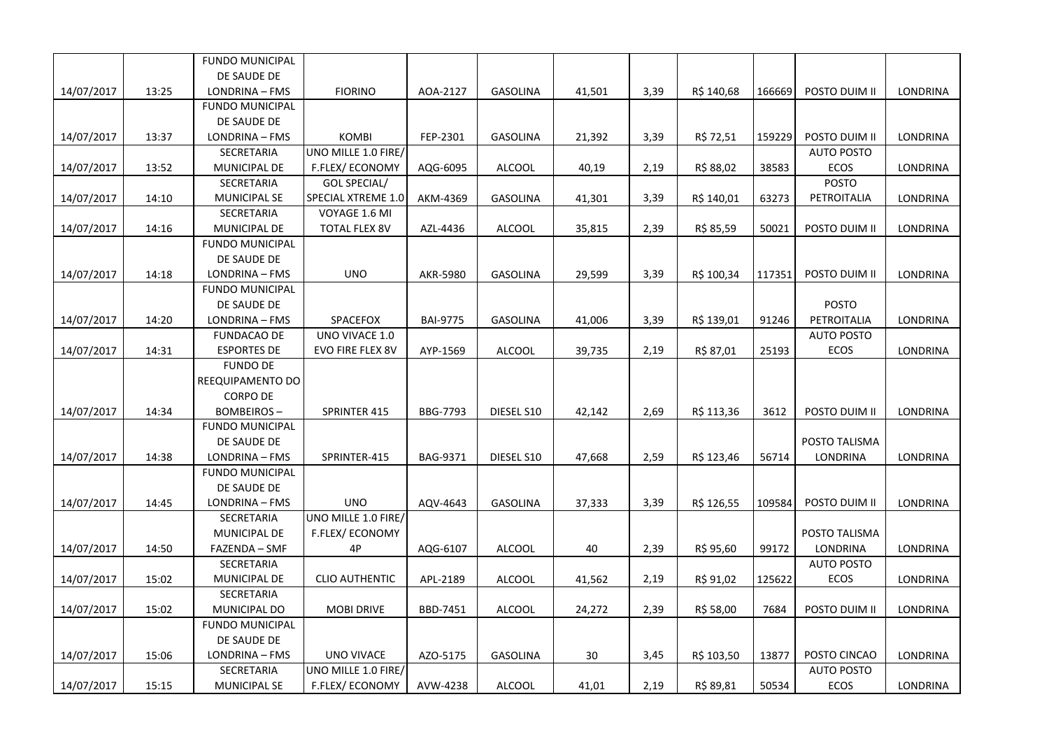|            |       | <b>FUNDO MUNICIPAL</b> |                        |                 |                 |        |      |            |        |                   |                 |
|------------|-------|------------------------|------------------------|-----------------|-----------------|--------|------|------------|--------|-------------------|-----------------|
|            |       | DE SAUDE DE            |                        |                 |                 |        |      |            |        |                   |                 |
| 14/07/2017 | 13:25 | LONDRINA - FMS         | <b>FIORINO</b>         | AOA-2127        | <b>GASOLINA</b> | 41,501 | 3,39 | R\$ 140,68 | 166669 | POSTO DUIM II     | LONDRINA        |
|            |       | <b>FUNDO MUNICIPAL</b> |                        |                 |                 |        |      |            |        |                   |                 |
|            |       | DE SAUDE DE            |                        |                 |                 |        |      |            |        |                   |                 |
| 14/07/2017 | 13:37 | LONDRINA - FMS         | <b>KOMBI</b>           | FEP-2301        | <b>GASOLINA</b> | 21,392 | 3,39 | R\$ 72,51  | 159229 | POSTO DUIM II     | LONDRINA        |
|            |       | SECRETARIA             | UNO MILLE 1.0 FIRE/    |                 |                 |        |      |            |        | <b>AUTO POSTO</b> |                 |
| 14/07/2017 | 13:52 | MUNICIPAL DE           | <b>F.FLEX/ ECONOMY</b> | AQG-6095        | <b>ALCOOL</b>   | 40,19  | 2,19 | R\$ 88,02  | 38583  | <b>ECOS</b>       | LONDRINA        |
|            |       | SECRETARIA             | GOL SPECIAL/           |                 |                 |        |      |            |        | <b>POSTO</b>      |                 |
| 14/07/2017 | 14:10 | <b>MUNICIPAL SE</b>    | SPECIAL XTREME 1.0     | AKM-4369        | GASOLINA        | 41,301 | 3,39 | R\$ 140,01 | 63273  | PETROITALIA       | LONDRINA        |
|            |       | SECRETARIA             | VOYAGE 1.6 MI          |                 |                 |        |      |            |        |                   |                 |
| 14/07/2017 | 14:16 | MUNICIPAL DE           | TOTAL FLEX 8V          | AZL-4436        | <b>ALCOOL</b>   | 35,815 | 2,39 | R\$ 85,59  | 50021  | POSTO DUIM II     | <b>LONDRINA</b> |
|            |       | <b>FUNDO MUNICIPAL</b> |                        |                 |                 |        |      |            |        |                   |                 |
|            |       | DE SAUDE DE            |                        |                 |                 |        |      |            |        |                   |                 |
| 14/07/2017 | 14:18 | LONDRINA - FMS         | <b>UNO</b>             | AKR-5980        | <b>GASOLINA</b> | 29,599 | 3,39 | R\$ 100,34 | 117351 | POSTO DUIM II     | <b>LONDRINA</b> |
|            |       | <b>FUNDO MUNICIPAL</b> |                        |                 |                 |        |      |            |        |                   |                 |
|            |       | DE SAUDE DE            |                        |                 |                 |        |      |            |        | <b>POSTO</b>      |                 |
| 14/07/2017 | 14:20 | LONDRINA - FMS         | SPACEFOX               | <b>BAI-9775</b> | GASOLINA        | 41,006 | 3,39 | R\$ 139,01 | 91246  | PETROITALIA       | LONDRINA        |
|            |       | <b>FUNDACAO DE</b>     | UNO VIVACE 1.0         |                 |                 |        |      |            |        | <b>AUTO POSTO</b> |                 |
| 14/07/2017 | 14:31 | <b>ESPORTES DE</b>     | EVO FIRE FLEX 8V       | AYP-1569        | <b>ALCOOL</b>   | 39,735 | 2,19 | R\$ 87,01  | 25193  | <b>ECOS</b>       | LONDRINA        |
|            |       | <b>FUNDO DE</b>        |                        |                 |                 |        |      |            |        |                   |                 |
|            |       | REEQUIPAMENTO DO       |                        |                 |                 |        |      |            |        |                   |                 |
|            |       | <b>CORPO DE</b>        |                        |                 |                 |        |      |            |        |                   |                 |
| 14/07/2017 | 14:34 | <b>BOMBEIROS-</b>      | SPRINTER 415           | BBG-7793        | DIESEL S10      | 42,142 | 2,69 | R\$ 113,36 | 3612   | POSTO DUIM II     | <b>LONDRINA</b> |
|            |       | <b>FUNDO MUNICIPAL</b> |                        |                 |                 |        |      |            |        |                   |                 |
|            |       | DE SAUDE DE            |                        |                 |                 |        |      |            |        | POSTO TALISMA     |                 |
| 14/07/2017 | 14:38 | LONDRINA - FMS         | SPRINTER-415           | BAG-9371        | DIESEL S10      | 47,668 | 2,59 | R\$ 123,46 | 56714  | LONDRINA          | LONDRINA        |
|            |       | <b>FUNDO MUNICIPAL</b> |                        |                 |                 |        |      |            |        |                   |                 |
|            |       | DE SAUDE DE            |                        |                 |                 |        |      |            |        |                   |                 |
| 14/07/2017 | 14:45 | LONDRINA - FMS         | <b>UNO</b>             | AQV-4643        | <b>GASOLINA</b> | 37,333 | 3,39 | R\$ 126,55 | 109584 | POSTO DUIM II     | LONDRINA        |
|            |       | SECRETARIA             | UNO MILLE 1.0 FIRE/    |                 |                 |        |      |            |        |                   |                 |
|            |       | MUNICIPAL DE           | F.FLEX/ECONOMY         |                 |                 |        |      |            |        | POSTO TALISMA     |                 |
| 14/07/2017 | 14:50 | FAZENDA – SMF          | 4P                     | AQG-6107        | <b>ALCOOL</b>   | 40     | 2,39 | R\$ 95,60  | 99172  | LONDRINA          | LONDRINA        |
|            |       | <b>SECRETARIA</b>      |                        |                 |                 |        |      |            |        | <b>AUTO POSTO</b> |                 |
| 14/07/2017 | 15:02 | MUNICIPAL DE           | <b>CLIO AUTHENTIC</b>  | APL-2189        | <b>ALCOOL</b>   | 41,562 | 2,19 | R\$ 91,02  | 125622 | ECOS              | LONDRINA        |
|            |       | SECRETARIA             |                        |                 |                 |        |      |            |        |                   |                 |
| 14/07/2017 | 15:02 | MUNICIPAL DO           | <b>MOBI DRIVE</b>      | BBD-7451        | <b>ALCOOL</b>   | 24,272 | 2,39 | R\$ 58,00  | 7684   | POSTO DUIM II     | LONDRINA        |
|            |       | <b>FUNDO MUNICIPAL</b> |                        |                 |                 |        |      |            |        |                   |                 |
|            |       | DE SAUDE DE            |                        |                 |                 |        |      |            |        |                   |                 |
| 14/07/2017 | 15:06 | LONDRINA - FMS         | UNO VIVACE             | AZO-5175        | GASOLINA        | 30     | 3,45 | R\$ 103,50 | 13877  | POSTO CINCAO      | LONDRINA        |
|            |       | SECRETARIA             | UNO MILLE 1.0 FIRE/    |                 |                 |        |      |            |        | <b>AUTO POSTO</b> |                 |
| 14/07/2017 | 15:15 | <b>MUNICIPAL SE</b>    | <b>F.FLEX/ECONOMY</b>  | AVW-4238        | <b>ALCOOL</b>   | 41,01  | 2,19 | R\$ 89,81  | 50534  | <b>ECOS</b>       | LONDRINA        |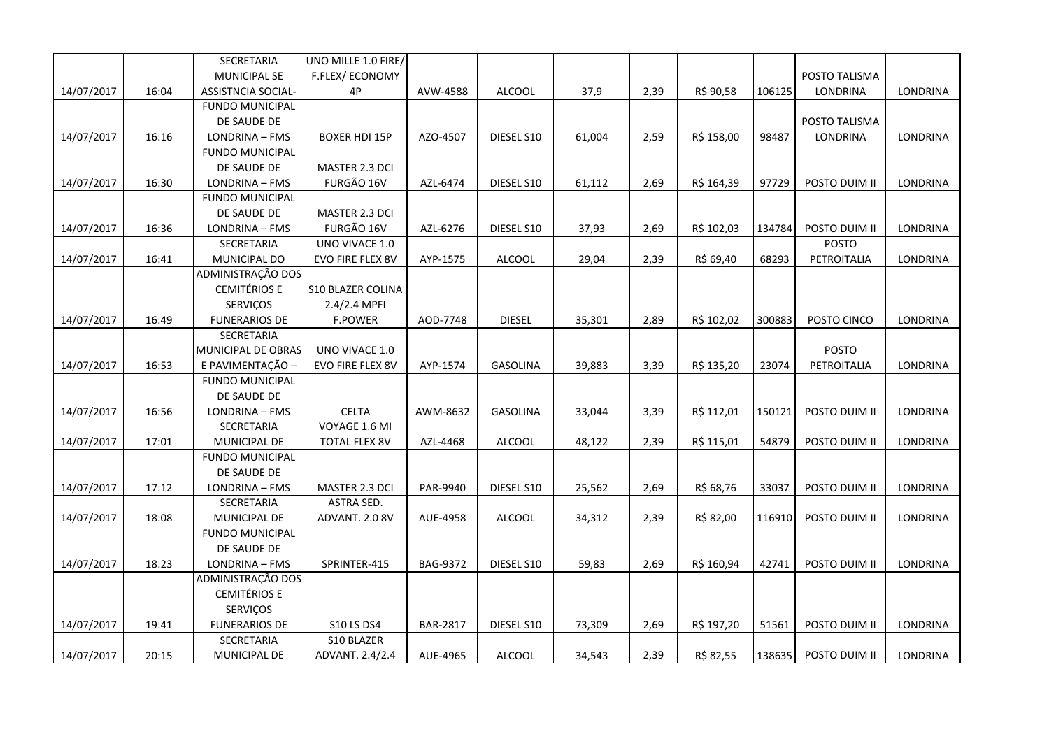|            |       | SECRETARIA                | UNO MILLE 1.0 FIRE/      |                 |                 |        |      |            |        |               |                 |
|------------|-------|---------------------------|--------------------------|-----------------|-----------------|--------|------|------------|--------|---------------|-----------------|
|            |       | <b>MUNICIPAL SE</b>       | F.FLEX/ECONOMY           |                 |                 |        |      |            |        | POSTO TALISMA |                 |
| 14/07/2017 | 16:04 | <b>ASSISTNCIA SOCIAL-</b> | 4P                       | AVW-4588        | <b>ALCOOL</b>   | 37,9   | 2,39 | R\$ 90,58  | 106125 | LONDRINA      | LONDRINA        |
|            |       | <b>FUNDO MUNICIPAL</b>    |                          |                 |                 |        |      |            |        |               |                 |
|            |       | DE SAUDE DE               |                          |                 |                 |        |      |            |        | POSTO TALISMA |                 |
| 14/07/2017 | 16:16 | LONDRINA - FMS            | <b>BOXER HDI 15P</b>     | AZO-4507        | DIESEL S10      | 61,004 | 2,59 | R\$ 158,00 | 98487  | LONDRINA      | <b>LONDRINA</b> |
|            |       | <b>FUNDO MUNICIPAL</b>    |                          |                 |                 |        |      |            |        |               |                 |
|            |       | DE SAUDE DE               | MASTER 2.3 DCI           |                 |                 |        |      |            |        |               |                 |
| 14/07/2017 | 16:30 | LONDRINA - FMS            | FURGÃO 16V               | AZL-6474        | DIESEL S10      | 61,112 | 2,69 | R\$ 164,39 | 97729  | POSTO DUIM II | LONDRINA        |
|            |       | <b>FUNDO MUNICIPAL</b>    |                          |                 |                 |        |      |            |        |               |                 |
|            |       | DE SAUDE DE               | MASTER 2.3 DCI           |                 |                 |        |      |            |        |               |                 |
| 14/07/2017 | 16:36 | LONDRINA - FMS            | FURGÃO 16V               | AZL-6276        | DIESEL S10      | 37,93  | 2,69 | R\$ 102,03 | 134784 | POSTO DUIM II | LONDRINA        |
|            |       | SECRETARIA                | UNO VIVACE 1.0           |                 |                 |        |      |            |        | <b>POSTO</b>  |                 |
| 14/07/2017 | 16:41 | MUNICIPAL DO              | EVO FIRE FLEX 8V         | AYP-1575        | ALCOOL          | 29,04  | 2,39 | R\$ 69,40  | 68293  | PETROITALIA   | LONDRINA        |
|            |       | ADMINISTRAÇÃO DOS         |                          |                 |                 |        |      |            |        |               |                 |
|            |       | <b>CEMITÉRIOS E</b>       | <b>S10 BLAZER COLINA</b> |                 |                 |        |      |            |        |               |                 |
|            |       | SERVIÇOS                  | $2.4/2.4$ MPFI           |                 |                 |        |      |            |        |               |                 |
| 14/07/2017 | 16:49 | <b>FUNERARIOS DE</b>      | <b>F.POWER</b>           | AOD-7748        | <b>DIESEL</b>   | 35,301 | 2,89 | R\$ 102,02 | 300883 | POSTO CINCO   | LONDRINA        |
|            |       | SECRETARIA                |                          |                 |                 |        |      |            |        |               |                 |
|            |       | MUNICIPAL DE OBRAS        | UNO VIVACE 1.0           |                 |                 |        |      |            |        | POSTO         |                 |
| 14/07/2017 | 16:53 | E PAVIMENTAÇÃO -          | EVO FIRE FLEX 8V         | AYP-1574        | <b>GASOLINA</b> | 39,883 | 3,39 | R\$ 135,20 | 23074  | PETROITALIA   | LONDRINA        |
|            |       | <b>FUNDO MUNICIPAL</b>    |                          |                 |                 |        |      |            |        |               |                 |
|            |       | DE SAUDE DE               |                          |                 |                 |        |      |            |        |               |                 |
| 14/07/2017 | 16:56 | LONDRINA - FMS            | <b>CELTA</b>             | AWM-8632        | GASOLINA        | 33,044 | 3,39 | R\$ 112,01 | 150121 | POSTO DUIM II | LONDRINA        |
|            |       | SECRETARIA                | VOYAGE 1.6 MI            |                 |                 |        |      |            |        |               |                 |
| 14/07/2017 | 17:01 | MUNICIPAL DE              | <b>TOTAL FLEX 8V</b>     | AZL-4468        | ALCOOL          | 48,122 | 2,39 | R\$ 115,01 | 54879  | POSTO DUIM II | LONDRINA        |
|            |       | <b>FUNDO MUNICIPAL</b>    |                          |                 |                 |        |      |            |        |               |                 |
|            |       | DE SAUDE DE               |                          |                 |                 |        |      |            |        |               |                 |
| 14/07/2017 | 17:12 | LONDRINA - FMS            | MASTER 2.3 DCI           | PAR-9940        | DIESEL S10      | 25,562 | 2,69 | R\$ 68,76  | 33037  | POSTO DUIM II | LONDRINA        |
|            |       | SECRETARIA                | ASTRA SED.               |                 |                 |        |      |            |        |               |                 |
| 14/07/2017 | 18:08 | MUNICIPAL DE              | ADVANT. 2.0 8V           | AUE-4958        | ALCOOL          | 34,312 | 2,39 | R\$ 82,00  | 116910 | POSTO DUIM II | LONDRINA        |
|            |       | <b>FUNDO MUNICIPAL</b>    |                          |                 |                 |        |      |            |        |               |                 |
|            |       | DE SAUDE DE               |                          |                 |                 |        |      |            |        |               |                 |
| 14/07/2017 | 18:23 | LONDRINA - FMS            | SPRINTER-415             | BAG-9372        | DIESEL S10      | 59,83  | 2,69 | R\$ 160,94 | 42741  | POSTO DUIM II | LONDRINA        |
|            |       | ADMINISTRAÇÃO DOS         |                          |                 |                 |        |      |            |        |               |                 |
|            |       | <b>CEMITÉRIOS E</b>       |                          |                 |                 |        |      |            |        |               |                 |
|            |       | SERVIÇOS                  |                          |                 |                 |        |      |            |        |               |                 |
| 14/07/2017 | 19:41 | <b>FUNERARIOS DE</b>      | <b>S10 LS DS4</b>        | <b>BAR-2817</b> | DIESEL S10      | 73,309 | 2,69 | R\$ 197,20 | 51561  | POSTO DUIM II | LONDRINA        |
|            |       | SECRETARIA                | S10 BLAZER               |                 |                 |        |      |            |        |               |                 |
| 14/07/2017 | 20:15 | MUNICIPAL DE              | ADVANT. 2.4/2.4          | AUE-4965        | <b>ALCOOL</b>   | 34,543 | 2,39 | R\$ 82,55  | 138635 | POSTO DUIM II | LONDRINA        |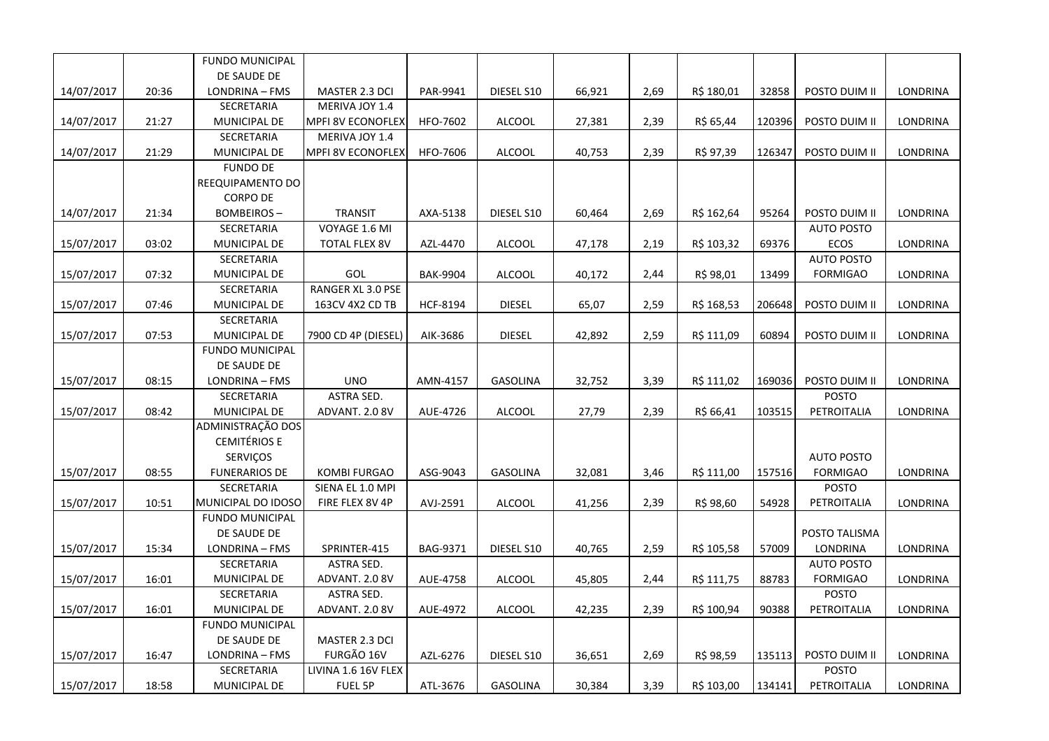|            |       | <b>FUNDO MUNICIPAL</b>       |                              |                 |                 |        |      |            |        |                   |                 |
|------------|-------|------------------------------|------------------------------|-----------------|-----------------|--------|------|------------|--------|-------------------|-----------------|
|            |       | DE SAUDE DE                  |                              |                 |                 |        |      |            |        |                   |                 |
| 14/07/2017 | 20:36 | LONDRINA - FMS               | MASTER 2.3 DCI               | PAR-9941        | DIESEL S10      | 66,921 | 2,69 | R\$ 180,01 | 32858  | POSTO DUIM II     | LONDRINA        |
|            |       | SECRETARIA                   | MERIVA JOY 1.4               |                 |                 |        |      |            |        |                   |                 |
| 14/07/2017 | 21:27 | MUNICIPAL DE                 | MPFI 8V ECONOFLEX            | HFO-7602        | <b>ALCOOL</b>   | 27,381 | 2,39 | R\$ 65,44  | 120396 | POSTO DUIM II     | LONDRINA        |
|            |       | SECRETARIA                   | MERIVA JOY 1.4               |                 |                 |        |      |            |        |                   |                 |
| 14/07/2017 | 21:29 | MUNICIPAL DE                 | <b>MPFI 8V ECONOFLEX</b>     | HFO-7606        | ALCOOL          | 40,753 | 2,39 | R\$ 97,39  | 126347 | POSTO DUIM II     | LONDRINA        |
|            |       | <b>FUNDO DE</b>              |                              |                 |                 |        |      |            |        |                   |                 |
|            |       | REEQUIPAMENTO DO             |                              |                 |                 |        |      |            |        |                   |                 |
|            |       | <b>CORPO DE</b>              |                              |                 |                 |        |      |            |        |                   |                 |
| 14/07/2017 | 21:34 | BOMBEIROS-                   | <b>TRANSIT</b>               | AXA-5138        | DIESEL S10      | 60,464 | 2,69 | R\$ 162,64 | 95264  | POSTO DUIM II     | LONDRINA        |
|            |       | SECRETARIA                   | VOYAGE 1.6 MI                |                 |                 |        |      |            |        | <b>AUTO POSTO</b> |                 |
| 15/07/2017 | 03:02 | MUNICIPAL DE                 | <b>TOTAL FLEX 8V</b>         | AZL-4470        | <b>ALCOOL</b>   | 47,178 | 2,19 | R\$ 103,32 | 69376  | <b>ECOS</b>       | LONDRINA        |
|            |       | SECRETARIA                   |                              |                 |                 |        |      |            |        | <b>AUTO POSTO</b> |                 |
| 15/07/2017 | 07:32 | MUNICIPAL DE                 | GOL                          | <b>BAK-9904</b> | <b>ALCOOL</b>   | 40,172 | 2,44 | R\$ 98,01  | 13499  | <b>FORMIGAO</b>   | LONDRINA        |
|            |       | SECRETARIA                   | RANGER XL 3.0 PSE            |                 |                 |        |      |            |        |                   |                 |
| 15/07/2017 | 07:46 | MUNICIPAL DE                 | 163CV 4X2 CD TB              | HCF-8194        | <b>DIESEL</b>   | 65,07  | 2,59 | R\$ 168,53 | 206648 | POSTO DUIM II     | LONDRINA        |
|            |       | SECRETARIA                   |                              |                 |                 |        |      |            |        |                   |                 |
| 15/07/2017 | 07:53 | MUNICIPAL DE                 | 7900 CD 4P (DIESEL)          | AIK-3686        | <b>DIESEL</b>   | 42,892 | 2,59 | R\$ 111,09 | 60894  | POSTO DUIM II     | LONDRINA        |
|            |       | <b>FUNDO MUNICIPAL</b>       |                              |                 |                 |        |      |            |        |                   |                 |
|            |       | DE SAUDE DE                  |                              |                 |                 |        |      |            |        |                   |                 |
| 15/07/2017 | 08:15 | LONDRINA - FMS               | <b>UNO</b>                   | AMN-4157        | <b>GASOLINA</b> | 32,752 | 3,39 | R\$ 111,02 | 169036 | POSTO DUIM II     | LONDRINA        |
|            |       | SECRETARIA                   | ASTRA SED.                   |                 |                 |        |      |            |        | <b>POSTO</b>      |                 |
| 15/07/2017 | 08:42 | MUNICIPAL DE                 | ADVANT. 2.0 8V               | AUE-4726        | <b>ALCOOL</b>   | 27,79  | 2,39 | R\$ 66,41  | 103515 | PETROITALIA       | LONDRINA        |
|            |       | ADMINISTRAÇÃO DOS            |                              |                 |                 |        |      |            |        |                   |                 |
|            |       | <b>CEMITÉRIOS E</b>          |                              |                 |                 |        |      |            |        |                   |                 |
|            |       | SERVIÇOS                     |                              |                 |                 |        |      |            |        | <b>AUTO POSTO</b> |                 |
| 15/07/2017 | 08:55 | <b>FUNERARIOS DE</b>         | <b>KOMBI FURGAO</b>          | ASG-9043        | GASOLINA        | 32,081 | 3,46 | R\$ 111,00 | 157516 | <b>FORMIGAO</b>   | LONDRINA        |
|            |       | SECRETARIA                   | SIENA EL 1.0 MPI             |                 |                 |        |      |            |        | <b>POSTO</b>      |                 |
| 15/07/2017 | 10:51 | MUNICIPAL DO IDOSO           | FIRE FLEX 8V 4P              | AVJ-2591        | <b>ALCOOL</b>   | 41,256 | 2,39 | R\$ 98,60  | 54928  | PETROITALIA       | LONDRINA        |
|            |       | <b>FUNDO MUNICIPAL</b>       |                              |                 |                 |        |      |            |        |                   |                 |
|            |       | DE SAUDE DE                  |                              |                 |                 |        |      |            |        | POSTO TALISMA     |                 |
| 15/07/2017 | 15:34 | LONDRINA - FMS               | SPRINTER-415                 | BAG-9371        | DIESEL S10      | 40,765 | 2,59 | R\$ 105,58 | 57009  | LONDRINA          | LONDRINA        |
|            |       | SECRETARIA                   | ASTRA SED.                   |                 |                 |        |      |            |        | <b>AUTO POSTO</b> |                 |
| 15/07/2017 | 16:01 | MUNICIPAL DE                 | ADVANT. 2.0 8V               | AUE-4758        | <b>ALCOOL</b>   | 45,805 | 2,44 | R\$ 111,75 | 88783  | <b>FORMIGAO</b>   | LONDRINA        |
|            |       | SECRETARIA                   | ASTRA SED.                   |                 |                 |        |      |            |        | POSTO             |                 |
| 15/07/2017 | 16:01 | MUNICIPAL DE                 | ADVANT. 2.0 8V               | AUE-4972        | <b>ALCOOL</b>   | 42,235 | 2,39 | R\$ 100,94 | 90388  | PETROITALIA       | LONDRINA        |
|            |       | <b>FUNDO MUNICIPAL</b>       |                              |                 |                 |        |      |            |        |                   |                 |
|            |       | DE SAUDE DE                  | MASTER 2.3 DCI<br>FURGÃO 16V | AZL-6276        | DIESEL S10      |        | 2,69 | R\$ 98,59  | 135113 | POSTO DUIM II     |                 |
| 15/07/2017 | 16:47 | LONDRINA - FMS<br>SECRETARIA | LIVINA 1.6 16V FLEX          |                 |                 | 36,651 |      |            |        | <b>POSTO</b>      | LONDRINA        |
|            |       |                              |                              |                 |                 |        |      |            |        |                   | <b>LONDRINA</b> |
| 15/07/2017 | 18:58 | MUNICIPAL DE                 | FUEL 5P                      | ATL-3676        | GASOLINA        | 30,384 | 3,39 | R\$ 103,00 | 134141 | PETROITALIA       |                 |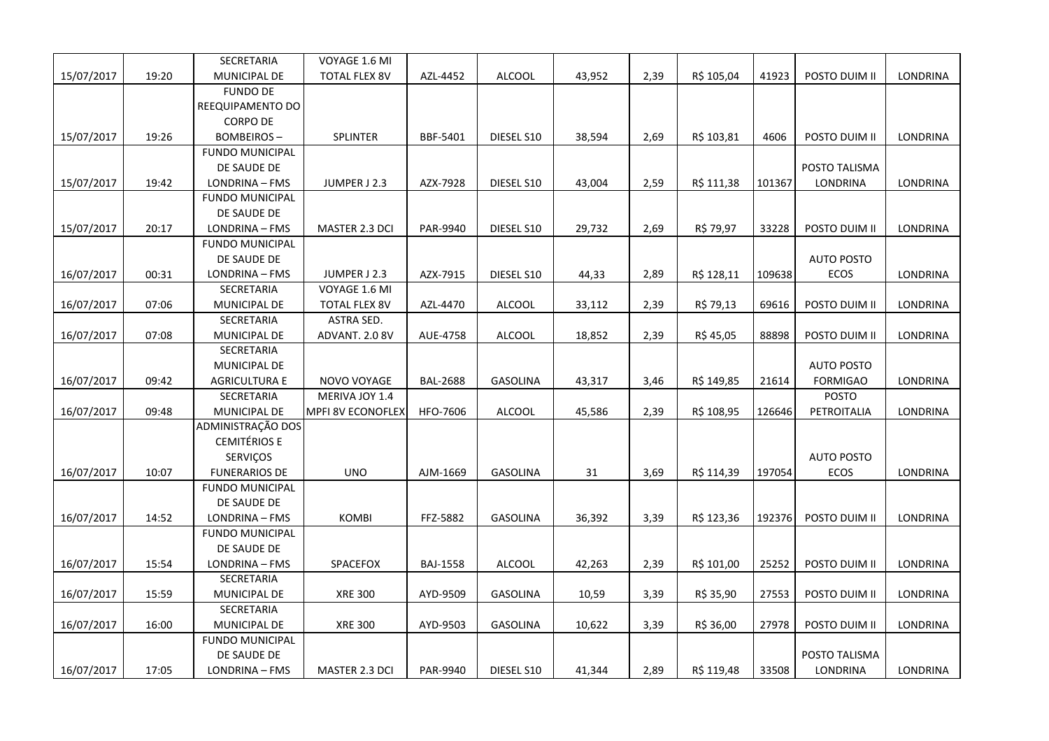|            |       | SECRETARIA             | VOYAGE 1.6 MI        |                 |                 |        |      |            |        |                   |                 |
|------------|-------|------------------------|----------------------|-----------------|-----------------|--------|------|------------|--------|-------------------|-----------------|
| 15/07/2017 | 19:20 | MUNICIPAL DE           | <b>TOTAL FLEX 8V</b> | AZL-4452        | <b>ALCOOL</b>   | 43,952 | 2,39 | R\$ 105,04 | 41923  | POSTO DUIM II     | LONDRINA        |
|            |       | <b>FUNDO DE</b>        |                      |                 |                 |        |      |            |        |                   |                 |
|            |       | REEQUIPAMENTO DO       |                      |                 |                 |        |      |            |        |                   |                 |
|            |       | <b>CORPO DE</b>        |                      |                 |                 |        |      |            |        |                   |                 |
| 15/07/2017 | 19:26 | <b>BOMBEIROS-</b>      | <b>SPLINTER</b>      | BBF-5401        | DIESEL S10      | 38,594 | 2,69 | R\$ 103,81 | 4606   | POSTO DUIM II     | <b>LONDRINA</b> |
|            |       | <b>FUNDO MUNICIPAL</b> |                      |                 |                 |        |      |            |        |                   |                 |
|            |       | DE SAUDE DE            |                      |                 |                 |        |      |            |        | POSTO TALISMA     |                 |
| 15/07/2017 | 19:42 | LONDRINA - FMS         | JUMPER J 2.3         | AZX-7928        | DIESEL S10      | 43,004 | 2,59 | R\$ 111,38 | 101367 | LONDRINA          | LONDRINA        |
|            |       | <b>FUNDO MUNICIPAL</b> |                      |                 |                 |        |      |            |        |                   |                 |
|            |       | DE SAUDE DE            |                      |                 |                 |        |      |            |        |                   |                 |
| 15/07/2017 | 20:17 | LONDRINA - FMS         | MASTER 2.3 DCI       | PAR-9940        | DIESEL S10      | 29,732 | 2,69 | R\$ 79,97  | 33228  | POSTO DUIM II     | LONDRINA        |
|            |       | <b>FUNDO MUNICIPAL</b> |                      |                 |                 |        |      |            |        |                   |                 |
|            |       | DE SAUDE DE            |                      |                 |                 |        |      |            |        | <b>AUTO POSTO</b> |                 |
| 16/07/2017 | 00:31 | LONDRINA - FMS         | JUMPER J 2.3         | AZX-7915        | DIESEL S10      | 44,33  | 2,89 | R\$ 128,11 | 109638 | ECOS              | LONDRINA        |
|            |       | SECRETARIA             | VOYAGE 1.6 MI        |                 |                 |        |      |            |        |                   |                 |
| 16/07/2017 | 07:06 | MUNICIPAL DE           | <b>TOTAL FLEX 8V</b> | AZL-4470        | <b>ALCOOL</b>   | 33,112 | 2,39 | R\$ 79,13  | 69616  | POSTO DUIM II     | LONDRINA        |
|            |       | SECRETARIA             | ASTRA SED.           |                 |                 |        |      |            |        |                   |                 |
| 16/07/2017 | 07:08 | MUNICIPAL DE           | ADVANT. 2.0 8V       | AUE-4758        | <b>ALCOOL</b>   | 18,852 | 2,39 | R\$ 45,05  | 88898  | POSTO DUIM II     | LONDRINA        |
|            |       | SECRETARIA             |                      |                 |                 |        |      |            |        |                   |                 |
|            |       | MUNICIPAL DE           |                      |                 |                 |        |      |            |        | <b>AUTO POSTO</b> |                 |
| 16/07/2017 | 09:42 | <b>AGRICULTURA E</b>   | NOVO VOYAGE          | <b>BAL-2688</b> | GASOLINA        | 43,317 | 3,46 | R\$ 149,85 | 21614  | <b>FORMIGAO</b>   | LONDRINA        |
|            |       | SECRETARIA             | MERIVA JOY 1.4       |                 |                 |        |      |            |        | <b>POSTO</b>      |                 |
| 16/07/2017 | 09:48 | MUNICIPAL DE           | MPFI 8V ECONOFLEX    | HFO-7606        | <b>ALCOOL</b>   | 45,586 | 2,39 | R\$ 108,95 | 126646 | PETROITALIA       | LONDRINA        |
|            |       | ADMINISTRAÇÃO DOS      |                      |                 |                 |        |      |            |        |                   |                 |
|            |       | <b>CEMITÉRIOS E</b>    |                      |                 |                 |        |      |            |        |                   |                 |
|            |       | SERVIÇOS               |                      |                 |                 |        |      |            |        | <b>AUTO POSTO</b> |                 |
| 16/07/2017 | 10:07 | <b>FUNERARIOS DE</b>   | <b>UNO</b>           | AJM-1669        | <b>GASOLINA</b> | 31     | 3,69 | R\$ 114,39 | 197054 | ECOS              | LONDRINA        |
|            |       | <b>FUNDO MUNICIPAL</b> |                      |                 |                 |        |      |            |        |                   |                 |
|            |       | DE SAUDE DE            |                      |                 |                 |        |      |            |        |                   |                 |
| 16/07/2017 | 14:52 | LONDRINA - FMS         | <b>KOMBI</b>         | FFZ-5882        | <b>GASOLINA</b> | 36,392 | 3,39 | R\$ 123,36 | 192376 | POSTO DUIM II     | LONDRINA        |
|            |       | <b>FUNDO MUNICIPAL</b> |                      |                 |                 |        |      |            |        |                   |                 |
|            |       | DE SAUDE DE            |                      |                 |                 |        |      |            |        |                   |                 |
| 16/07/2017 | 15:54 | LONDRINA - FMS         | SPACEFOX             | <b>BAJ-1558</b> | ALCOOL          | 42,263 | 2,39 | R\$ 101,00 | 25252  | POSTO DUIM II     | LONDRINA        |
|            |       | SECRETARIA             |                      |                 |                 |        |      |            |        |                   |                 |
| 16/07/2017 | 15:59 | MUNICIPAL DE           | <b>XRE 300</b>       | AYD-9509        | <b>GASOLINA</b> | 10,59  | 3,39 | R\$ 35,90  | 27553  | POSTO DUIM II     | LONDRINA        |
|            |       | SECRETARIA             |                      |                 |                 |        |      |            |        |                   |                 |
| 16/07/2017 | 16:00 | MUNICIPAL DE           | <b>XRE 300</b>       | AYD-9503        | GASOLINA        | 10,622 | 3,39 | R\$ 36,00  | 27978  | POSTO DUIM II     | LONDRINA        |
|            |       | <b>FUNDO MUNICIPAL</b> |                      |                 |                 |        |      |            |        |                   |                 |
|            |       | DE SAUDE DE            |                      |                 |                 |        |      |            |        | POSTO TALISMA     |                 |
| 16/07/2017 | 17:05 | LONDRINA - FMS         | MASTER 2.3 DCI       | PAR-9940        | DIESEL S10      | 41,344 | 2,89 | R\$ 119,48 | 33508  | LONDRINA          | LONDRINA        |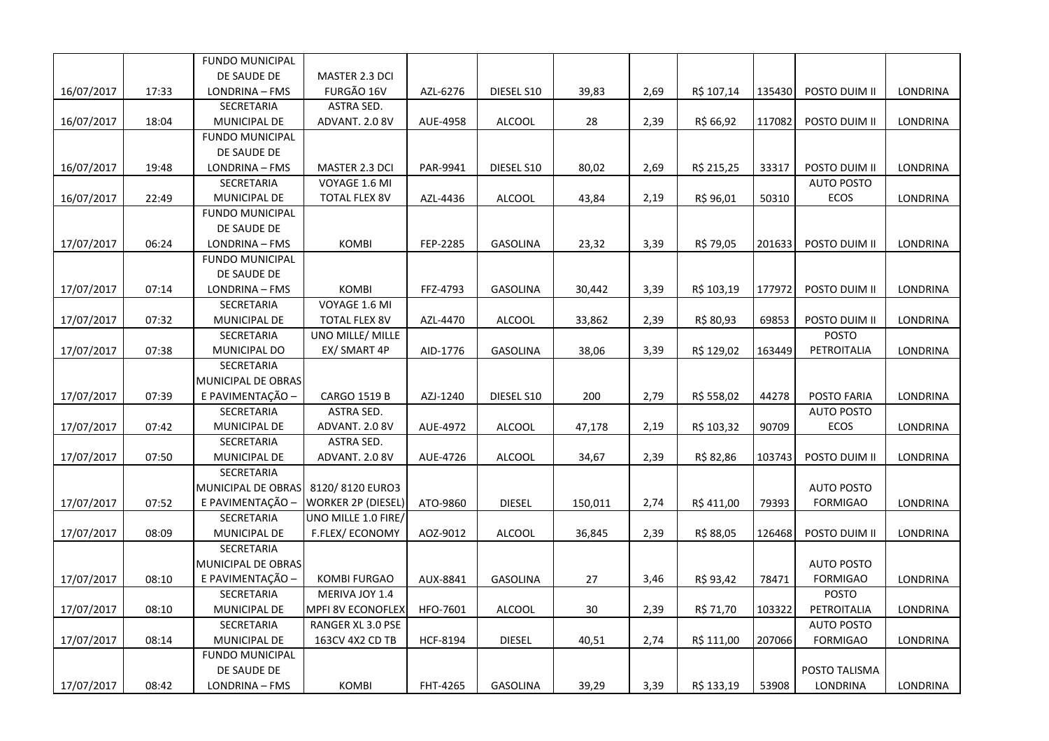|            |       | <b>FUNDO MUNICIPAL</b>            |                           |                 |                 |         |      |            |        |                   |                 |
|------------|-------|-----------------------------------|---------------------------|-----------------|-----------------|---------|------|------------|--------|-------------------|-----------------|
|            |       | DE SAUDE DE                       | MASTER 2.3 DCI            |                 |                 |         |      |            |        |                   |                 |
| 16/07/2017 | 17:33 | LONDRINA - FMS                    | FURGÃO 16V                | AZL-6276        | DIESEL S10      | 39,83   | 2,69 | R\$ 107,14 | 135430 | POSTO DUIM II     | <b>LONDRINA</b> |
|            |       | SECRETARIA                        | ASTRA SED.                |                 |                 |         |      |            |        |                   |                 |
| 16/07/2017 | 18:04 | MUNICIPAL DE                      | ADVANT. 2.0 8V            | AUE-4958        | <b>ALCOOL</b>   | 28      | 2,39 | R\$ 66,92  | 117082 | POSTO DUIM II     | LONDRINA        |
|            |       | <b>FUNDO MUNICIPAL</b>            |                           |                 |                 |         |      |            |        |                   |                 |
|            |       | DE SAUDE DE                       |                           |                 |                 |         |      |            |        |                   |                 |
| 16/07/2017 | 19:48 | LONDRINA - FMS                    | MASTER 2.3 DCI            | PAR-9941        | DIESEL S10      | 80,02   | 2,69 | R\$ 215,25 | 33317  | POSTO DUIM II     | LONDRINA        |
|            |       | SECRETARIA                        | VOYAGE 1.6 MI             |                 |                 |         |      |            |        | <b>AUTO POSTO</b> |                 |
| 16/07/2017 | 22:49 | MUNICIPAL DE                      | <b>TOTAL FLEX 8V</b>      | AZL-4436        | ALCOOL          | 43,84   | 2,19 | R\$ 96,01  | 50310  | <b>ECOS</b>       | LONDRINA        |
|            |       | <b>FUNDO MUNICIPAL</b>            |                           |                 |                 |         |      |            |        |                   |                 |
|            |       | DE SAUDE DE                       |                           |                 |                 |         |      |            |        |                   |                 |
| 17/07/2017 | 06:24 | LONDRINA - FMS                    | <b>KOMBI</b>              | FEP-2285        | <b>GASOLINA</b> | 23,32   | 3,39 | R\$ 79,05  | 201633 | POSTO DUIM II     | <b>LONDRINA</b> |
|            |       | <b>FUNDO MUNICIPAL</b>            |                           |                 |                 |         |      |            |        |                   |                 |
|            |       | DE SAUDE DE                       |                           |                 |                 |         |      |            |        |                   |                 |
| 17/07/2017 | 07:14 | LONDRINA - FMS                    | <b>KOMBI</b>              | FFZ-4793        | <b>GASOLINA</b> | 30,442  | 3,39 | R\$ 103,19 | 177972 | POSTO DUIM II     | LONDRINA        |
|            |       | SECRETARIA                        | VOYAGE 1.6 MI             |                 |                 |         |      |            |        |                   |                 |
| 17/07/2017 | 07:32 | MUNICIPAL DE                      | <b>TOTAL FLEX 8V</b>      | AZL-4470        | <b>ALCOOL</b>   | 33,862  | 2,39 | R\$ 80,93  | 69853  | POSTO DUIM II     | LONDRINA        |
|            |       | SECRETARIA                        | UNO MILLE/ MILLE          |                 |                 |         |      |            |        | <b>POSTO</b>      |                 |
| 17/07/2017 | 07:38 | MUNICIPAL DO                      | EX/ SMART 4P              | AID-1776        | <b>GASOLINA</b> | 38,06   | 3,39 | R\$ 129,02 | 163449 | PETROITALIA       | LONDRINA        |
|            |       | SECRETARIA                        |                           |                 |                 |         |      |            |        |                   |                 |
|            |       | MUNICIPAL DE OBRAS                |                           |                 |                 |         |      |            |        |                   |                 |
| 17/07/2017 | 07:39 | E PAVIMENTAÇÃO -                  | <b>CARGO 1519 B</b>       | AZJ-1240        | DIESEL S10      | 200     | 2,79 | R\$ 558,02 | 44278  | POSTO FARIA       | LONDRINA        |
|            |       | SECRETARIA                        | ASTRA SED.                |                 |                 |         |      |            |        | <b>AUTO POSTO</b> |                 |
| 17/07/2017 | 07:42 | MUNICIPAL DE                      | ADVANT. 2.0 8V            | AUE-4972        | <b>ALCOOL</b>   | 47,178  | 2,19 | R\$ 103,32 | 90709  | ECOS              | LONDRINA        |
|            |       | SECRETARIA                        | ASTRA SED.                |                 |                 |         |      |            |        |                   |                 |
| 17/07/2017 | 07:50 | MUNICIPAL DE<br><b>SECRETARIA</b> | ADVANT. 2.0 8V            | AUE-4726        | <b>ALCOOL</b>   | 34,67   | 2,39 | R\$ 82,86  | 103743 | POSTO DUIM II     | <b>LONDRINA</b> |
|            |       | MUNICIPAL DE OBRAS                | 8120/8120 EURO3           |                 |                 |         |      |            |        | <b>AUTO POSTO</b> |                 |
| 17/07/2017 | 07:52 | E PAVIMENTAÇÃO -                  | <b>WORKER 2P (DIESEL)</b> | ATO-9860        | <b>DIESEL</b>   | 150,011 | 2,74 | R\$ 411,00 | 79393  | <b>FORMIGAO</b>   | LONDRINA        |
|            |       | SECRETARIA                        | UNO MILLE 1.0 FIRE/       |                 |                 |         |      |            |        |                   |                 |
| 17/07/2017 | 08:09 | MUNICIPAL DE                      | F.FLEX/ECONOMY            | AOZ-9012        | <b>ALCOOL</b>   | 36,845  | 2,39 | R\$ 88,05  | 126468 | POSTO DUIM II     | LONDRINA        |
|            |       | SECRETARIA                        |                           |                 |                 |         |      |            |        |                   |                 |
|            |       | MUNICIPAL DE OBRAS                |                           |                 |                 |         |      |            |        | <b>AUTO POSTO</b> |                 |
| 17/07/2017 | 08:10 | E PAVIMENTAÇÃO -                  | <b>KOMBI FURGAO</b>       | AUX-8841        | <b>GASOLINA</b> | 27      | 3,46 | R\$ 93,42  | 78471  | <b>FORMIGAO</b>   | LONDRINA        |
|            |       | SECRETARIA                        | MERIVA JOY 1.4            |                 |                 |         |      |            |        | <b>POSTO</b>      |                 |
| 17/07/2017 | 08:10 | MUNICIPAL DE                      | <b>MPFI 8V ECONOFLEX</b>  | HFO-7601        | <b>ALCOOL</b>   | 30      | 2,39 | R\$ 71,70  | 103322 | PETROITALIA       | LONDRINA        |
|            |       | SECRETARIA                        | RANGER XL 3.0 PSE         |                 |                 |         |      |            |        | <b>AUTO POSTO</b> |                 |
| 17/07/2017 | 08:14 | MUNICIPAL DE                      | 163CV 4X2 CD TB           | <b>HCF-8194</b> | <b>DIESEL</b>   | 40,51   | 2,74 | R\$ 111,00 | 207066 | <b>FORMIGAO</b>   | LONDRINA        |
|            |       | <b>FUNDO MUNICIPAL</b>            |                           |                 |                 |         |      |            |        |                   |                 |
|            |       | DE SAUDE DE                       |                           |                 |                 |         |      |            |        | POSTO TALISMA     |                 |
| 17/07/2017 | 08:42 | LONDRINA - FMS                    | <b>KOMBI</b>              | FHT-4265        | <b>GASOLINA</b> | 39,29   | 3,39 | R\$ 133,19 | 53908  | LONDRINA          | LONDRINA        |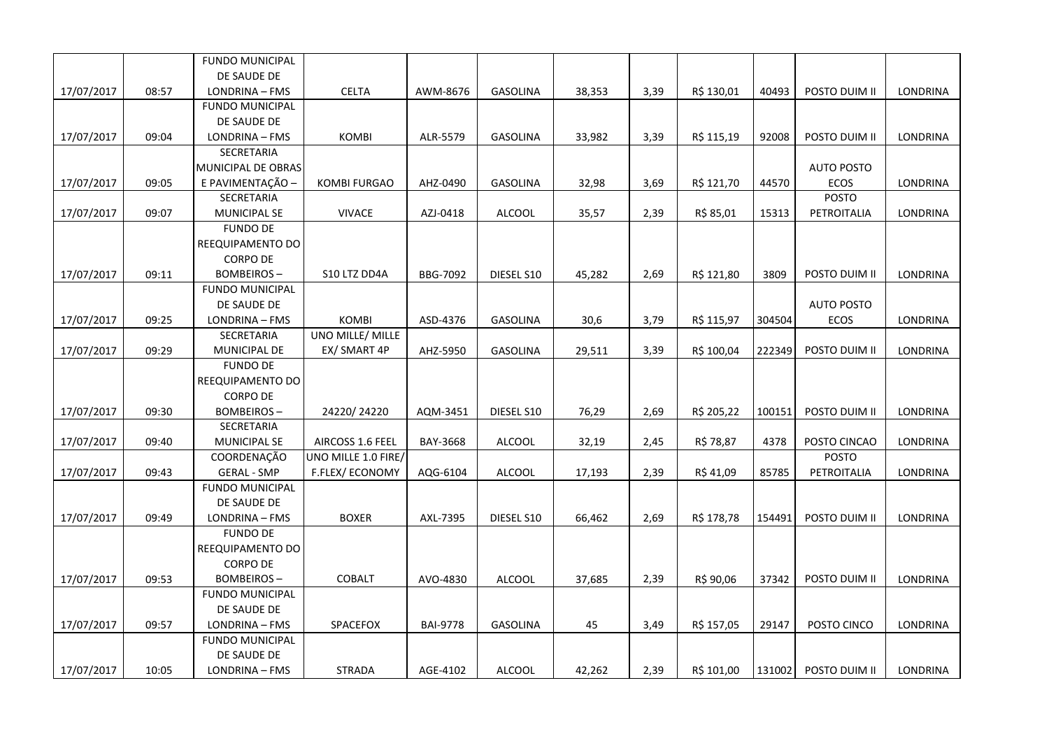|            |       | <b>FUNDO MUNICIPAL</b> |                     |                 |                 |        |      |            |        |                   |                 |
|------------|-------|------------------------|---------------------|-----------------|-----------------|--------|------|------------|--------|-------------------|-----------------|
|            |       | DE SAUDE DE            |                     |                 |                 |        |      |            |        |                   |                 |
| 17/07/2017 | 08:57 | LONDRINA - FMS         | <b>CELTA</b>        | AWM-8676        | <b>GASOLINA</b> | 38,353 | 3,39 | R\$ 130,01 | 40493  | POSTO DUIM II     | LONDRINA        |
|            |       | <b>FUNDO MUNICIPAL</b> |                     |                 |                 |        |      |            |        |                   |                 |
|            |       | DE SAUDE DE            |                     |                 |                 |        |      |            |        |                   |                 |
| 17/07/2017 | 09:04 | LONDRINA - FMS         | KOMBI               | ALR-5579        | <b>GASOLINA</b> | 33,982 | 3,39 | R\$ 115,19 | 92008  | POSTO DUIM II     | <b>LONDRINA</b> |
|            |       | SECRETARIA             |                     |                 |                 |        |      |            |        |                   |                 |
|            |       | MUNICIPAL DE OBRAS     |                     |                 |                 |        |      |            |        | <b>AUTO POSTO</b> |                 |
| 17/07/2017 | 09:05 | E PAVIMENTAÇÃO -       | <b>KOMBI FURGAO</b> | AHZ-0490        | <b>GASOLINA</b> | 32,98  | 3,69 | R\$ 121,70 | 44570  | <b>ECOS</b>       | <b>LONDRINA</b> |
|            |       | SECRETARIA             |                     |                 |                 |        |      |            |        | <b>POSTO</b>      |                 |
| 17/07/2017 | 09:07 | MUNICIPAL SE           | <b>VIVACE</b>       | AZJ-0418        | <b>ALCOOL</b>   | 35,57  | 2,39 | R\$ 85,01  | 15313  | PETROITALIA       | LONDRINA        |
|            |       | <b>FUNDO DE</b>        |                     |                 |                 |        |      |            |        |                   |                 |
|            |       | REEQUIPAMENTO DO       |                     |                 |                 |        |      |            |        |                   |                 |
|            |       | <b>CORPO DE</b>        |                     |                 |                 |        |      |            |        |                   |                 |
| 17/07/2017 | 09:11 | <b>BOMBEIROS-</b>      | S10 LTZ DD4A        | <b>BBG-7092</b> | DIESEL S10      | 45,282 | 2,69 | R\$ 121,80 | 3809   | POSTO DUIM II     | LONDRINA        |
|            |       | <b>FUNDO MUNICIPAL</b> |                     |                 |                 |        |      |            |        |                   |                 |
|            |       | DE SAUDE DE            |                     |                 |                 |        |      |            |        | <b>AUTO POSTO</b> |                 |
| 17/07/2017 | 09:25 | LONDRINA - FMS         | <b>KOMBI</b>        | ASD-4376        | <b>GASOLINA</b> | 30,6   | 3,79 | R\$ 115,97 | 304504 | <b>ECOS</b>       | LONDRINA        |
|            |       | SECRETARIA             | UNO MILLE/ MILLE    |                 |                 |        |      |            |        |                   |                 |
| 17/07/2017 | 09:29 | MUNICIPAL DE           | EX/ SMART 4P        | AHZ-5950        | <b>GASOLINA</b> | 29,511 | 3,39 | R\$ 100,04 | 222349 | POSTO DUIM II     | LONDRINA        |
|            |       | <b>FUNDO DE</b>        |                     |                 |                 |        |      |            |        |                   |                 |
|            |       | REEQUIPAMENTO DO       |                     |                 |                 |        |      |            |        |                   |                 |
|            |       | <b>CORPO DE</b>        |                     |                 |                 |        |      |            |        |                   |                 |
| 17/07/2017 | 09:30 | <b>BOMBEIROS-</b>      | 24220/24220         | AQM-3451        | DIESEL S10      | 76,29  | 2,69 | R\$ 205,22 | 100151 | POSTO DUIM II     | LONDRINA        |
|            |       | SECRETARIA             |                     |                 |                 |        |      |            |        |                   |                 |
| 17/07/2017 | 09:40 | <b>MUNICIPAL SE</b>    | AIRCOSS 1.6 FEEL    | BAY-3668        | <b>ALCOOL</b>   | 32,19  | 2,45 | R\$ 78,87  | 4378   | POSTO CINCAO      | LONDRINA        |
|            |       | COORDENAÇÃO            | UNO MILLE 1.0 FIRE/ |                 |                 |        |      |            |        | <b>POSTO</b>      |                 |
| 17/07/2017 | 09:43 | <b>GERAL - SMP</b>     | F.FLEX/ECONOMY      | AQG-6104        | <b>ALCOOL</b>   | 17,193 | 2,39 | R\$ 41,09  | 85785  | PETROITALIA       | LONDRINA        |
|            |       | <b>FUNDO MUNICIPAL</b> |                     |                 |                 |        |      |            |        |                   |                 |
|            |       | DE SAUDE DE            |                     |                 |                 |        |      |            |        |                   |                 |
| 17/07/2017 | 09:49 | LONDRINA - FMS         | <b>BOXER</b>        | AXL-7395        | DIESEL S10      | 66,462 | 2,69 | R\$ 178,78 | 154491 | POSTO DUIM II     | LONDRINA        |
|            |       | <b>FUNDO DE</b>        |                     |                 |                 |        |      |            |        |                   |                 |
|            |       | REEQUIPAMENTO DO       |                     |                 |                 |        |      |            |        |                   |                 |
|            |       | <b>CORPO DE</b>        |                     |                 |                 |        |      |            |        |                   |                 |
| 17/07/2017 | 09:53 | <b>BOMBEIROS-</b>      | COBALT              | AVO-4830        | <b>ALCOOL</b>   | 37,685 | 2,39 | R\$ 90,06  | 37342  | POSTO DUIM II     | LONDRINA        |
|            |       | <b>FUNDO MUNICIPAL</b> |                     |                 |                 |        |      |            |        |                   |                 |
|            |       | DE SAUDE DE            |                     |                 |                 |        |      |            |        |                   |                 |
| 17/07/2017 | 09:57 | LONDRINA - FMS         | SPACEFOX            | <b>BAI-9778</b> | <b>GASOLINA</b> | 45     | 3,49 | R\$ 157,05 | 29147  | POSTO CINCO       | LONDRINA        |
|            |       | <b>FUNDO MUNICIPAL</b> |                     |                 |                 |        |      |            |        |                   |                 |
|            |       | DE SAUDE DE            |                     |                 |                 |        |      |            |        |                   |                 |
| 17/07/2017 | 10:05 | LONDRINA - FMS         | <b>STRADA</b>       | AGE-4102        | <b>ALCOOL</b>   | 42,262 | 2,39 | R\$ 101,00 | 131002 | POSTO DUIM II     | LONDRINA        |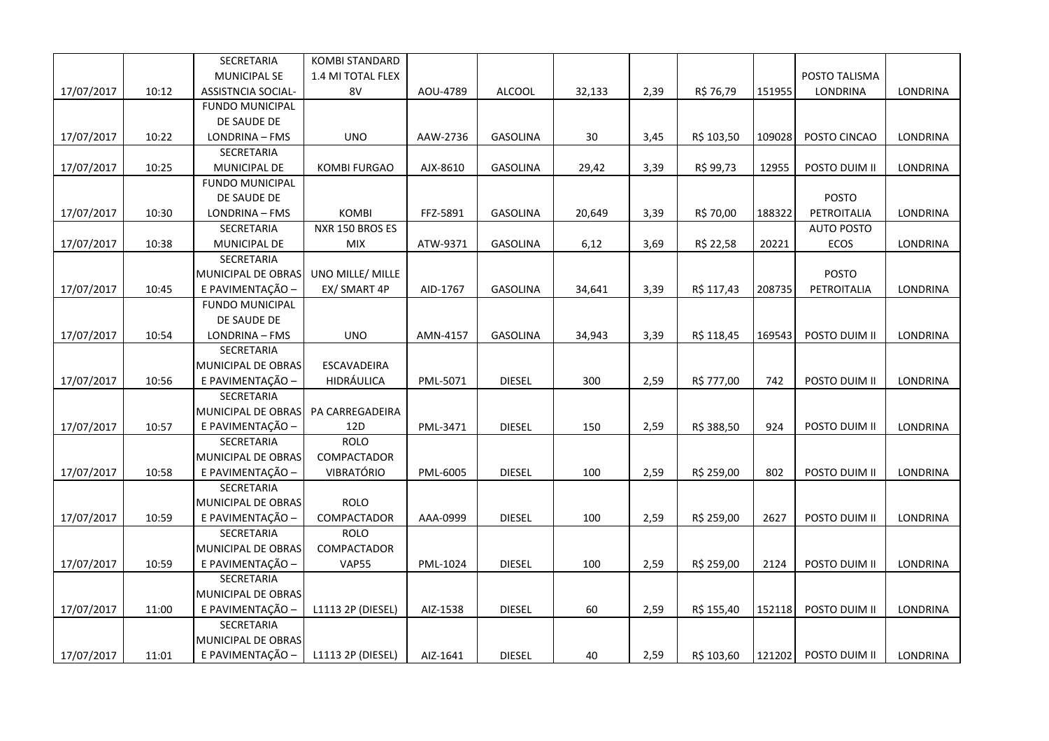|            |       | SECRETARIA                             | <b>KOMBI STANDARD</b>      |          |                 |        |      |            |        |                   |                 |
|------------|-------|----------------------------------------|----------------------------|----------|-----------------|--------|------|------------|--------|-------------------|-----------------|
|            |       | MUNICIPAL SE                           | 1.4 MI TOTAL FLEX          |          |                 |        |      |            |        | POSTO TALISMA     |                 |
| 17/07/2017 | 10:12 | ASSISTNCIA SOCIAL-                     | 8V                         | AOU-4789 | <b>ALCOOL</b>   | 32,133 | 2,39 | R\$ 76,79  | 151955 | <b>LONDRINA</b>   | LONDRINA        |
|            |       | <b>FUNDO MUNICIPAL</b>                 |                            |          |                 |        |      |            |        |                   |                 |
|            |       | DE SAUDE DE                            |                            |          |                 |        |      |            |        |                   |                 |
| 17/07/2017 | 10:22 | LONDRINA - FMS                         | <b>UNO</b>                 | AAW-2736 | <b>GASOLINA</b> | 30     | 3,45 | R\$ 103,50 | 109028 | POSTO CINCAO      | LONDRINA        |
|            |       | SECRETARIA                             |                            |          |                 |        |      |            |        |                   |                 |
| 17/07/2017 | 10:25 | MUNICIPAL DE                           | <b>KOMBI FURGAO</b>        | AJX-8610 | <b>GASOLINA</b> | 29,42  | 3,39 | R\$ 99,73  | 12955  | POSTO DUIM II     | LONDRINA        |
|            |       | <b>FUNDO MUNICIPAL</b>                 |                            |          |                 |        |      |            |        |                   |                 |
|            |       | DE SAUDE DE                            |                            |          |                 |        |      |            |        | <b>POSTO</b>      |                 |
| 17/07/2017 | 10:30 | LONDRINA - FMS                         | KOMBI                      | FFZ-5891 | <b>GASOLINA</b> | 20,649 | 3,39 | R\$ 70,00  | 188322 | PETROITALIA       | LONDRINA        |
|            |       | SECRETARIA                             | NXR 150 BROS ES            |          |                 |        |      |            |        | <b>AUTO POSTO</b> |                 |
| 17/07/2017 | 10:38 | MUNICIPAL DE                           | MIX                        | ATW-9371 | GASOLINA        | 6,12   | 3,69 | R\$ 22,58  | 20221  | ECOS              | LONDRINA        |
|            |       | SECRETARIA                             |                            |          |                 |        |      |            |        |                   |                 |
|            |       | MUNICIPAL DE OBRAS                     | UNO MILLE/ MILLE           |          |                 |        |      |            |        | <b>POSTO</b>      |                 |
| 17/07/2017 | 10:45 | E PAVIMENTAÇÃO -                       | EX/ SMART 4P               | AID-1767 | GASOLINA        | 34,641 | 3,39 | R\$ 117,43 | 208735 | PETROITALIA       | LONDRINA        |
|            |       | <b>FUNDO MUNICIPAL</b>                 |                            |          |                 |        |      |            |        |                   |                 |
|            |       | DE SAUDE DE                            |                            |          |                 |        |      |            |        |                   |                 |
| 17/07/2017 | 10:54 | LONDRINA - FMS                         | <b>UNO</b>                 | AMN-4157 | <b>GASOLINA</b> | 34,943 | 3,39 | R\$ 118,45 | 169543 | POSTO DUIM II     | LONDRINA        |
|            |       | <b>SECRETARIA</b>                      |                            |          |                 |        |      |            |        |                   |                 |
|            |       | MUNICIPAL DE OBRAS                     | ESCAVADEIRA                |          |                 |        |      |            |        |                   |                 |
| 17/07/2017 | 10:56 | E PAVIMENTAÇÃO -                       | HIDRÁULICA                 | PML-5071 | <b>DIESEL</b>   | 300    | 2,59 | R\$ 777,00 | 742    | POSTO DUIM II     | LONDRINA        |
|            |       | SECRETARIA                             |                            |          |                 |        |      |            |        |                   |                 |
|            |       | MUNICIPAL DE OBRAS                     | PA CARREGADEIRA            |          |                 |        |      |            |        |                   |                 |
| 17/07/2017 | 10:57 | E PAVIMENTAÇÃO -                       | 12D                        | PML-3471 | <b>DIESEL</b>   | 150    | 2,59 | R\$ 388,50 | 924    | POSTO DUIM II     | LONDRINA        |
|            |       | SECRETARIA                             | <b>ROLO</b>                |          |                 |        |      |            |        |                   |                 |
|            |       | MUNICIPAL DE OBRAS                     | COMPACTADOR                |          |                 |        |      |            |        |                   |                 |
| 17/07/2017 | 10:58 | E PAVIMENTAÇÃO -                       | VIBRATÓRIO                 | PML-6005 | <b>DIESEL</b>   | 100    | 2,59 | R\$ 259,00 | 802    | POSTO DUIM II     | LONDRINA        |
|            |       | SECRETARIA                             |                            |          |                 |        |      |            |        |                   |                 |
|            |       | MUNICIPAL DE OBRAS                     | <b>ROLO</b>                |          |                 |        |      |            |        |                   |                 |
| 17/07/2017 | 10:59 | E PAVIMENTAÇÃO -                       | COMPACTADOR                | AAA-0999 | <b>DIESEL</b>   | 100    | 2,59 | R\$ 259,00 | 2627   | POSTO DUIM II     | LONDRINA        |
|            |       | SECRETARIA                             | <b>ROLO</b><br>COMPACTADOR |          |                 |        |      |            |        |                   |                 |
|            |       | MUNICIPAL DE OBRAS<br>E PAVIMENTAÇÃO - |                            |          |                 |        |      |            |        |                   |                 |
| 17/07/2017 | 10:59 | <b>SECRETARIA</b>                      | <b>VAP55</b>               | PML-1024 | <b>DIESEL</b>   | 100    | 2,59 | R\$ 259,00 | 2124   | POSTO DUIM II     | LONDRINA        |
|            |       | MUNICIPAL DE OBRAS                     |                            |          |                 |        |      |            |        |                   |                 |
|            |       |                                        |                            |          |                 |        |      |            |        |                   |                 |
| 17/07/2017 | 11:00 | E PAVIMENTAÇÃO<br>SECRETARIA           | L1113 2P (DIESEL)          | AIZ-1538 | <b>DIESEL</b>   | 60     | 2,59 | R\$ 155,40 | 152118 | POSTO DUIM II     | <b>LONDRINA</b> |
|            |       | MUNICIPAL DE OBRAS                     |                            |          |                 |        |      |            |        |                   |                 |
|            | 11:01 | E PAVIMENTAÇÃO -                       |                            |          | <b>DIESEL</b>   |        |      |            |        | POSTO DUIM II     | LONDRINA        |
| 17/07/2017 |       |                                        | L1113 2P (DIESEL)          | AIZ-1641 |                 | 40     | 2,59 | R\$ 103,60 | 121202 |                   |                 |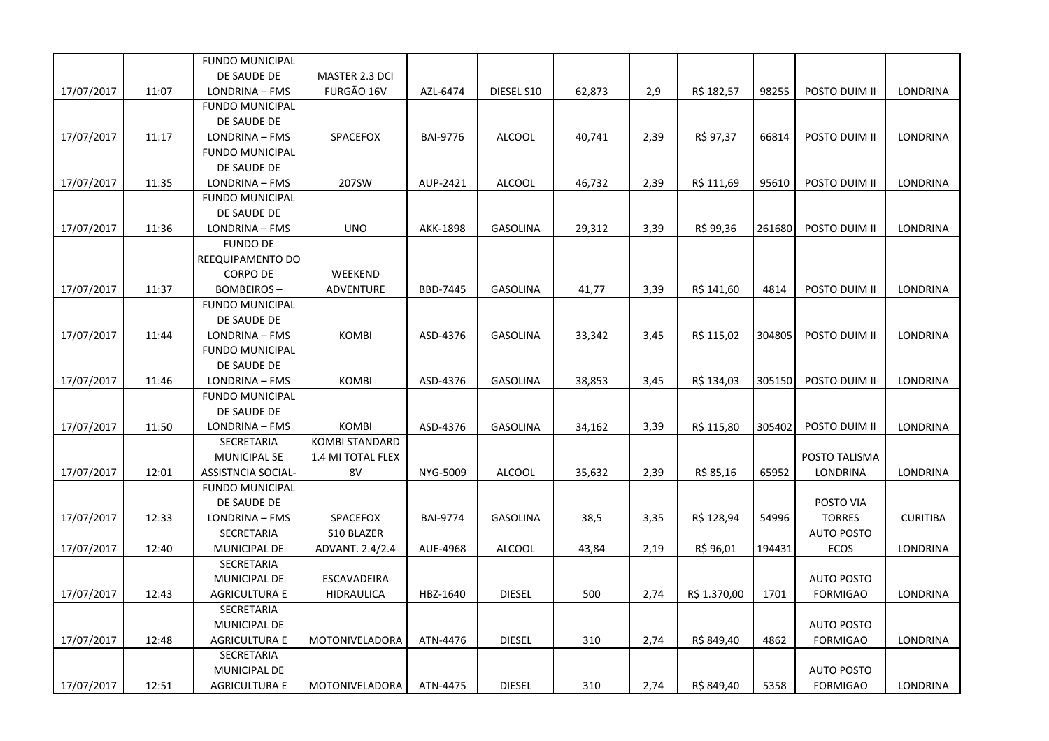|            |       | <b>FUNDO MUNICIPAL</b>    |                       |                 |                 |        |      |              |        |                   |                 |
|------------|-------|---------------------------|-----------------------|-----------------|-----------------|--------|------|--------------|--------|-------------------|-----------------|
|            |       | DE SAUDE DE               | MASTER 2.3 DCI        |                 |                 |        |      |              |        |                   |                 |
| 17/07/2017 | 11:07 | LONDRINA - FMS            | FURGÃO 16V            | AZL-6474        | DIESEL S10      | 62,873 | 2,9  | R\$ 182,57   | 98255  | POSTO DUIM II     | <b>LONDRINA</b> |
|            |       | <b>FUNDO MUNICIPAL</b>    |                       |                 |                 |        |      |              |        |                   |                 |
|            |       | DE SAUDE DE               |                       |                 |                 |        |      |              |        |                   |                 |
| 17/07/2017 | 11:17 | LONDRINA - FMS            | SPACEFOX              | <b>BAI-9776</b> | <b>ALCOOL</b>   | 40,741 | 2,39 | R\$ 97,37    | 66814  | POSTO DUIM II     | <b>LONDRINA</b> |
|            |       | <b>FUNDO MUNICIPAL</b>    |                       |                 |                 |        |      |              |        |                   |                 |
|            |       | DE SAUDE DE               |                       |                 |                 |        |      |              |        |                   |                 |
| 17/07/2017 | 11:35 | LONDRINA - FMS            | 207SW                 | AUP-2421        | <b>ALCOOL</b>   | 46,732 | 2,39 | R\$ 111,69   | 95610  | POSTO DUIM II     | <b>LONDRINA</b> |
|            |       | <b>FUNDO MUNICIPAL</b>    |                       |                 |                 |        |      |              |        |                   |                 |
|            |       | DE SAUDE DE               |                       |                 |                 |        |      |              |        |                   |                 |
| 17/07/2017 | 11:36 | LONDRINA - FMS            | <b>UNO</b>            | AKK-1898        | <b>GASOLINA</b> | 29,312 | 3,39 | R\$ 99,36    | 261680 | POSTO DUIM II     | <b>LONDRINA</b> |
|            |       | <b>FUNDO DE</b>           |                       |                 |                 |        |      |              |        |                   |                 |
|            |       | REEQUIPAMENTO DO          |                       |                 |                 |        |      |              |        |                   |                 |
|            |       | <b>CORPO DE</b>           | WEEKEND               |                 |                 |        |      |              |        |                   |                 |
| 17/07/2017 | 11:37 | <b>BOMBEIROS-</b>         | ADVENTURE             | BBD-7445        | <b>GASOLINA</b> | 41,77  | 3,39 | R\$ 141,60   | 4814   | POSTO DUIM II     | LONDRINA        |
|            |       | <b>FUNDO MUNICIPAL</b>    |                       |                 |                 |        |      |              |        |                   |                 |
|            |       | DE SAUDE DE               |                       |                 |                 |        |      |              |        |                   |                 |
| 17/07/2017 | 11:44 | LONDRINA - FMS            | <b>KOMBI</b>          | ASD-4376        | GASOLINA        | 33,342 | 3,45 | R\$ 115,02   | 304805 | POSTO DUIM II     | LONDRINA        |
|            |       | <b>FUNDO MUNICIPAL</b>    |                       |                 |                 |        |      |              |        |                   |                 |
|            |       | DE SAUDE DE               |                       |                 |                 |        |      |              |        |                   |                 |
| 17/07/2017 | 11:46 | LONDRINA - FMS            | <b>KOMBI</b>          | ASD-4376        | <b>GASOLINA</b> | 38,853 | 3,45 | R\$ 134,03   | 305150 | POSTO DUIM II     | <b>LONDRINA</b> |
|            |       | <b>FUNDO MUNICIPAL</b>    |                       |                 |                 |        |      |              |        |                   |                 |
|            |       | DE SAUDE DE               |                       |                 |                 |        |      |              |        |                   |                 |
| 17/07/2017 | 11:50 | LONDRINA - FMS            | KOMBI                 | ASD-4376        | <b>GASOLINA</b> | 34,162 | 3,39 | R\$ 115,80   | 305402 | POSTO DUIM II     | <b>LONDRINA</b> |
|            |       | SECRETARIA                | <b>KOMBI STANDARD</b> |                 |                 |        |      |              |        |                   |                 |
|            |       | <b>MUNICIPAL SE</b>       | 1.4 MI TOTAL FLEX     |                 |                 |        |      |              |        | POSTO TALISMA     |                 |
| 17/07/2017 | 12:01 | <b>ASSISTNCIA SOCIAL-</b> | 8V                    | NYG-5009        | <b>ALCOOL</b>   | 35,632 | 2,39 | R\$ 85,16    | 65952  | LONDRINA          | LONDRINA        |
|            |       | <b>FUNDO MUNICIPAL</b>    |                       |                 |                 |        |      |              |        |                   |                 |
|            |       | DE SAUDE DE               |                       |                 |                 |        |      |              |        | POSTO VIA         |                 |
| 17/07/2017 | 12:33 | LONDRINA - FMS            | SPACEFOX              | <b>BAI-9774</b> | GASOLINA        | 38,5   | 3,35 | R\$ 128,94   | 54996  | <b>TORRES</b>     | <b>CURITIBA</b> |
|            |       | SECRETARIA                | S10 BLAZER            |                 |                 |        |      |              |        | <b>AUTO POSTO</b> |                 |
| 17/07/2017 | 12:40 | MUNICIPAL DE              | ADVANT. 2.4/2.4       | AUE-4968        | <b>ALCOOL</b>   | 43,84  | 2,19 | R\$ 96,01    | 194431 | <b>ECOS</b>       | LONDRINA        |
|            |       | SECRETARIA                |                       |                 |                 |        |      |              |        |                   |                 |
|            |       | MUNICIPAL DE              | ESCAVADEIRA           |                 |                 |        |      |              |        | <b>AUTO POSTO</b> |                 |
| 17/07/2017 | 12:43 | AGRICULTURA E             | HIDRAULICA            | HBZ-1640        | <b>DIESEL</b>   | 500    | 2,74 | R\$ 1.370,00 | 1701   | <b>FORMIGAO</b>   | LONDRINA        |
|            |       | SECRETARIA                |                       |                 |                 |        |      |              |        |                   |                 |
|            |       | <b>MUNICIPAL DE</b>       |                       |                 |                 |        |      |              |        | <b>AUTO POSTO</b> |                 |
| 17/07/2017 | 12:48 | AGRICULTURA E             | MOTONIVELADORA        | ATN-4476        | <b>DIESEL</b>   | 310    | 2,74 | R\$ 849,40   | 4862   | <b>FORMIGAO</b>   | <b>LONDRINA</b> |
|            |       | SECRETARIA                |                       |                 |                 |        |      |              |        |                   |                 |
|            |       | MUNICIPAL DE              |                       |                 |                 |        |      |              |        | <b>AUTO POSTO</b> |                 |
| 17/07/2017 | 12:51 | <b>AGRICULTURA E</b>      | MOTONIVELADORA        | ATN-4475        | <b>DIESEL</b>   | 310    | 2,74 | R\$ 849,40   | 5358   | <b>FORMIGAO</b>   | LONDRINA        |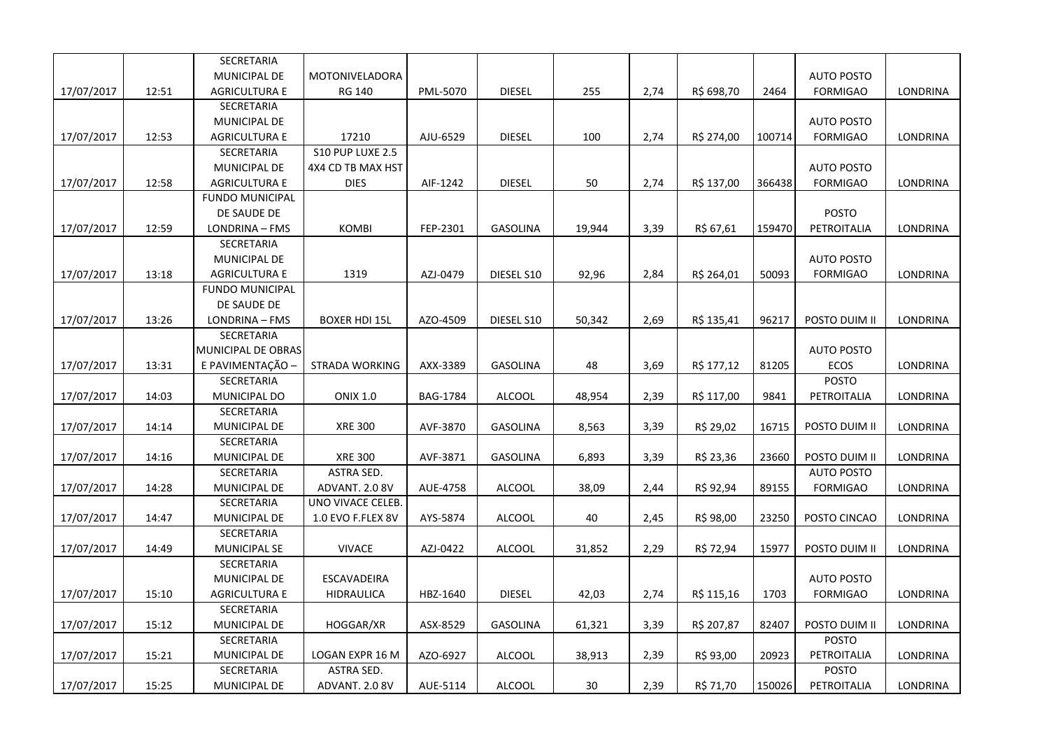|            |       | SECRETARIA             |                       |                 |                 |        |      |            |        |                   |          |
|------------|-------|------------------------|-----------------------|-----------------|-----------------|--------|------|------------|--------|-------------------|----------|
|            |       | MUNICIPAL DE           | MOTONIVELADORA        |                 |                 |        |      |            |        | <b>AUTO POSTO</b> |          |
| 17/07/2017 | 12:51 | <b>AGRICULTURA E</b>   | RG 140                | PML-5070        | <b>DIESEL</b>   | 255    | 2,74 | R\$ 698,70 | 2464   | <b>FORMIGAO</b>   | LONDRINA |
|            |       | SECRETARIA             |                       |                 |                 |        |      |            |        |                   |          |
|            |       | MUNICIPAL DE           |                       |                 |                 |        |      |            |        | <b>AUTO POSTO</b> |          |
| 17/07/2017 | 12:53 | <b>AGRICULTURA E</b>   | 17210                 | AJU-6529        | <b>DIESEL</b>   | 100    | 2,74 | R\$ 274,00 | 100714 | <b>FORMIGAO</b>   | LONDRINA |
|            |       | SECRETARIA             | S10 PUP LUXE 2.5      |                 |                 |        |      |            |        |                   |          |
|            |       | MUNICIPAL DE           | 4X4 CD TB MAX HST     |                 |                 |        |      |            |        | <b>AUTO POSTO</b> |          |
| 17/07/2017 | 12:58 | <b>AGRICULTURA E</b>   | <b>DIES</b>           | AIF-1242        | <b>DIESEL</b>   | 50     | 2,74 | R\$ 137,00 | 366438 | <b>FORMIGAO</b>   | LONDRINA |
|            |       | <b>FUNDO MUNICIPAL</b> |                       |                 |                 |        |      |            |        |                   |          |
|            |       | DE SAUDE DE            |                       |                 |                 |        |      |            |        | <b>POSTO</b>      |          |
| 17/07/2017 | 12:59 | LONDRINA - FMS         | KOMBI                 | FEP-2301        | <b>GASOLINA</b> | 19,944 | 3,39 | R\$ 67,61  | 159470 | PETROITALIA       | LONDRINA |
|            |       | SECRETARIA             |                       |                 |                 |        |      |            |        |                   |          |
|            |       | MUNICIPAL DE           |                       |                 |                 |        |      |            |        | <b>AUTO POSTO</b> |          |
| 17/07/2017 | 13:18 | <b>AGRICULTURA E</b>   | 1319                  | AZJ-0479        | DIESEL S10      | 92,96  | 2,84 | R\$ 264,01 | 50093  | <b>FORMIGAO</b>   | LONDRINA |
|            |       | <b>FUNDO MUNICIPAL</b> |                       |                 |                 |        |      |            |        |                   |          |
|            |       | DE SAUDE DE            |                       |                 |                 |        |      |            |        |                   |          |
| 17/07/2017 | 13:26 | LONDRINA - FMS         | <b>BOXER HDI 15L</b>  | AZO-4509        | DIESEL S10      | 50,342 | 2,69 | R\$ 135,41 | 96217  | POSTO DUIM II     | LONDRINA |
|            |       | SECRETARIA             |                       |                 |                 |        |      |            |        |                   |          |
|            |       | MUNICIPAL DE OBRAS     |                       |                 |                 |        |      |            |        | <b>AUTO POSTO</b> |          |
| 17/07/2017 | 13:31 | E PAVIMENTAÇÃO -       | <b>STRADA WORKING</b> | AXX-3389        | GASOLINA        | 48     | 3,69 | R\$ 177,12 | 81205  | ECOS              | LONDRINA |
|            |       | SECRETARIA             |                       |                 |                 |        |      |            |        | <b>POSTO</b>      |          |
| 17/07/2017 | 14:03 | MUNICIPAL DO           | <b>ONIX 1.0</b>       | <b>BAG-1784</b> | <b>ALCOOL</b>   | 48,954 | 2,39 | R\$ 117,00 | 9841   | PETROITALIA       | LONDRINA |
|            |       | SECRETARIA             |                       |                 |                 |        |      |            |        |                   |          |
| 17/07/2017 | 14:14 | MUNICIPAL DE           | <b>XRE 300</b>        | AVF-3870        | GASOLINA        | 8,563  | 3,39 | R\$ 29,02  | 16715  | POSTO DUIM II     | LONDRINA |
|            |       | SECRETARIA             |                       |                 |                 |        |      |            |        |                   |          |
| 17/07/2017 | 14:16 | MUNICIPAL DE           | <b>XRE 300</b>        | AVF-3871        | GASOLINA        | 6,893  | 3,39 | R\$ 23,36  | 23660  | POSTO DUIM II     | LONDRINA |
|            |       | SECRETARIA             | ASTRA SED.            |                 |                 |        |      |            |        | <b>AUTO POSTO</b> |          |
| 17/07/2017 | 14:28 | MUNICIPAL DE           | ADVANT. 2.0 8V        | AUE-4758        | ALCOOL          | 38,09  | 2,44 | R\$ 92,94  | 89155  | <b>FORMIGAO</b>   | LONDRINA |
|            |       | SECRETARIA             | UNO VIVACE CELEB.     |                 |                 |        |      |            |        |                   |          |
| 17/07/2017 | 14:47 | MUNICIPAL DE           | 1.0 EVO F.FLEX 8V     | AYS-5874        | <b>ALCOOL</b>   | 40     | 2,45 | R\$ 98,00  | 23250  | POSTO CINCAO      | LONDRINA |
|            |       | SECRETARIA             |                       |                 |                 |        |      |            |        |                   |          |
| 17/07/2017 | 14:49 | <b>MUNICIPAL SE</b>    | <b>VIVACE</b>         | AZJ-0422        | <b>ALCOOL</b>   | 31,852 | 2,29 | R\$ 72,94  | 15977  | POSTO DUIM II     | LONDRINA |
|            |       | SECRETARIA             |                       |                 |                 |        |      |            |        |                   |          |
|            |       | MUNICIPAL DE           | ESCAVADEIRA           |                 |                 |        |      |            |        | <b>AUTO POSTO</b> |          |
| 17/07/2017 | 15:10 | <b>AGRICULTURA E</b>   | HIDRAULICA            | HBZ-1640        | <b>DIESEL</b>   | 42,03  | 2,74 | R\$ 115,16 | 1703   | <b>FORMIGAO</b>   | LONDRINA |
|            |       | SECRETARIA             |                       |                 |                 |        |      |            |        |                   |          |
| 17/07/2017 | 15:12 | MUNICIPAL DE           | HOGGAR/XR             | ASX-8529        | <b>GASOLINA</b> | 61,321 | 3,39 | R\$ 207,87 | 82407  | POSTO DUIM II     | LONDRINA |
|            |       | SECRETARIA             |                       |                 |                 |        |      |            |        | <b>POSTO</b>      |          |
| 17/07/2017 | 15:21 | MUNICIPAL DE           | LOGAN EXPR 16 M       | AZO-6927        | <b>ALCOOL</b>   | 38,913 | 2,39 | R\$ 93,00  | 20923  | PETROITALIA       | LONDRINA |
|            |       | SECRETARIA             | ASTRA SED.            |                 |                 |        |      |            |        | <b>POSTO</b>      |          |
| 17/07/2017 | 15:25 | MUNICIPAL DE           | ADVANT. 2.0 8V        | AUE-5114        | <b>ALCOOL</b>   | 30     | 2,39 | R\$ 71,70  | 150026 | PETROITALIA       | LONDRINA |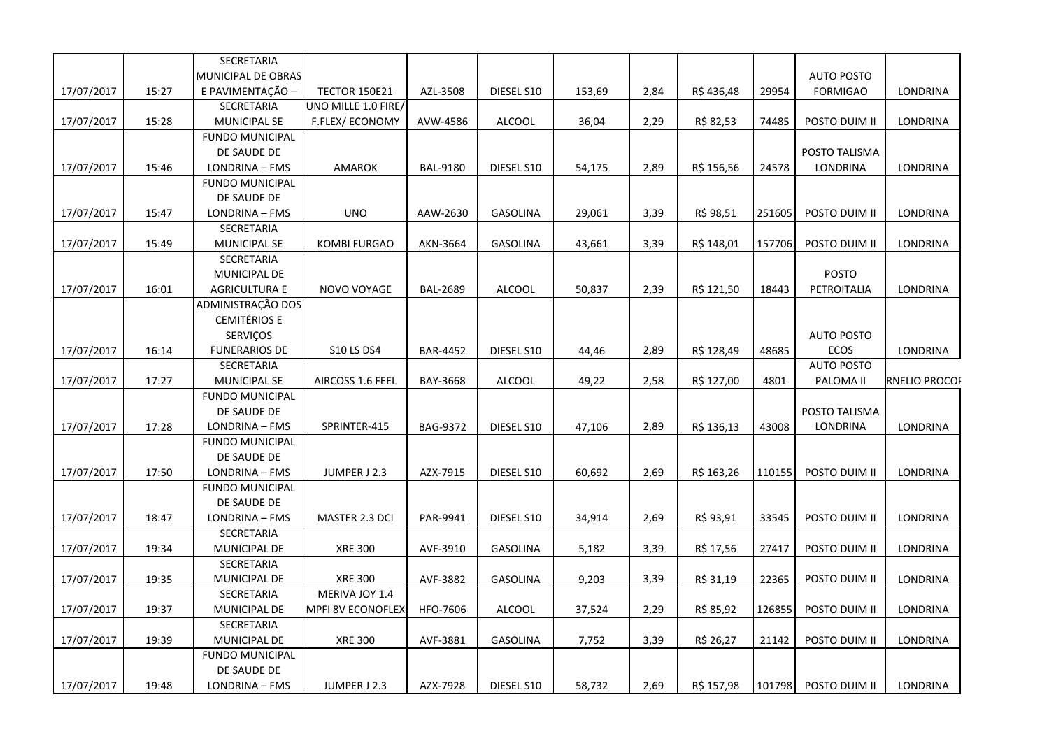|            |       | SECRETARIA                            |                      |                 |                 |        |      |            |        |                   |                 |
|------------|-------|---------------------------------------|----------------------|-----------------|-----------------|--------|------|------------|--------|-------------------|-----------------|
|            |       | MUNICIPAL DE OBRAS                    |                      |                 |                 |        |      |            |        | <b>AUTO POSTO</b> |                 |
| 17/07/2017 | 15:27 | E PAVIMENTAÇÃO -                      | <b>TECTOR 150E21</b> | AZL-3508        | DIESEL S10      | 153,69 | 2,84 | R\$436,48  | 29954  | <b>FORMIGAO</b>   | LONDRINA        |
|            |       | <b>SECRETARIA</b>                     | UNO MILLE 1.0 FIRE/  |                 |                 |        |      |            |        |                   |                 |
| 17/07/2017 | 15:28 | <b>MUNICIPAL SE</b>                   | F.FLEX/ECONOMY       | AVW-4586        | <b>ALCOOL</b>   | 36,04  | 2,29 | R\$ 82,53  | 74485  | POSTO DUIM II     | LONDRINA        |
|            |       | <b>FUNDO MUNICIPAL</b>                |                      |                 |                 |        |      |            |        |                   |                 |
|            |       | DE SAUDE DE                           |                      |                 |                 |        |      |            |        | POSTO TALISMA     |                 |
| 17/07/2017 | 15:46 | LONDRINA - FMS                        | AMAROK               | <b>BAL-9180</b> | DIESEL S10      | 54,175 | 2,89 | R\$ 156,56 | 24578  | <b>LONDRINA</b>   | LONDRINA        |
|            |       | <b>FUNDO MUNICIPAL</b>                |                      |                 |                 |        |      |            |        |                   |                 |
|            |       | DE SAUDE DE                           |                      |                 |                 |        |      |            |        |                   |                 |
| 17/07/2017 | 15:47 | LONDRINA - FMS                        | <b>UNO</b>           | AAW-2630        | <b>GASOLINA</b> | 29,061 | 3,39 | R\$ 98,51  | 251605 | POSTO DUIM II     | LONDRINA        |
|            |       | <b>SECRETARIA</b>                     |                      |                 |                 |        |      |            |        |                   |                 |
| 17/07/2017 | 15:49 | <b>MUNICIPAL SE</b>                   | <b>KOMBI FURGAO</b>  | AKN-3664        | <b>GASOLINA</b> | 43,661 | 3,39 | R\$ 148,01 | 157706 | POSTO DUIM II     | LONDRINA        |
|            |       | SECRETARIA                            |                      |                 |                 |        |      |            |        |                   |                 |
|            |       | MUNICIPAL DE                          |                      |                 |                 |        |      |            |        | <b>POSTO</b>      |                 |
| 17/07/2017 | 16:01 | <b>AGRICULTURA E</b>                  | NOVO VOYAGE          | <b>BAL-2689</b> | <b>ALCOOL</b>   | 50,837 | 2,39 | R\$ 121,50 | 18443  | PETROITALIA       | LONDRINA        |
|            |       | ADMINISTRAÇÃO DOS                     |                      |                 |                 |        |      |            |        |                   |                 |
|            |       | <b>CEMITÉRIOS E</b>                   |                      |                 |                 |        |      |            |        |                   |                 |
|            |       | <b>SERVICOS</b>                       |                      |                 |                 |        |      |            |        | <b>AUTO POSTO</b> |                 |
| 17/07/2017 | 16:14 | <b>FUNERARIOS DE</b>                  | <b>S10 LS DS4</b>    | <b>BAR-4452</b> | DIESEL S10      | 44,46  | 2,89 | R\$ 128,49 | 48685  | ECOS              | LONDRINA        |
|            |       | SECRETARIA                            |                      |                 |                 |        |      |            |        | <b>AUTO POSTO</b> |                 |
| 17/07/2017 | 17:27 | <b>MUNICIPAL SE</b>                   | AIRCOSS 1.6 FEEL     | BAY-3668        | <b>ALCOOL</b>   | 49,22  | 2,58 | R\$ 127,00 | 4801   | PALOMA II         | RNELIO PROCOI   |
|            |       | <b>FUNDO MUNICIPAL</b>                |                      |                 |                 |        |      |            |        |                   |                 |
|            |       | DE SAUDE DE                           |                      |                 |                 |        |      |            |        | POSTO TALISMA     |                 |
| 17/07/2017 | 17:28 | LONDRINA - FMS                        | SPRINTER-415         | <b>BAG-9372</b> | DIESEL S10      | 47,106 | 2,89 | R\$ 136,13 | 43008  | <b>LONDRINA</b>   | LONDRINA        |
|            |       | <b>FUNDO MUNICIPAL</b><br>DE SAUDE DE |                      |                 |                 |        |      |            |        |                   |                 |
| 17/07/2017 | 17:50 | LONDRINA - FMS                        | JUMPER J 2.3         | AZX-7915        | DIESEL S10      | 60,692 | 2,69 | R\$ 163,26 | 110155 | POSTO DUIM II     | <b>LONDRINA</b> |
|            |       | <b>FUNDO MUNICIPAL</b>                |                      |                 |                 |        |      |            |        |                   |                 |
|            |       | DE SAUDE DE                           |                      |                 |                 |        |      |            |        |                   |                 |
| 17/07/2017 | 18:47 | LONDRINA - FMS                        | MASTER 2.3 DCI       | PAR-9941        | DIESEL S10      | 34,914 | 2,69 | R\$ 93,91  | 33545  | POSTO DUIM II     | LONDRINA        |
|            |       | SECRETARIA                            |                      |                 |                 |        |      |            |        |                   |                 |
| 17/07/2017 | 19:34 | MUNICIPAL DE                          | <b>XRE 300</b>       | AVF-3910        | GASOLINA        | 5,182  | 3,39 | R\$ 17,56  | 27417  | POSTO DUIM II     | LONDRINA        |
|            |       | SECRETARIA                            |                      |                 |                 |        |      |            |        |                   |                 |
| 17/07/2017 | 19:35 | MUNICIPAL DE                          | <b>XRE 300</b>       | AVF-3882        | <b>GASOLINA</b> | 9,203  | 3,39 | R\$ 31,19  | 22365  | POSTO DUIM II     | LONDRINA        |
|            |       | SECRETARIA                            | MERIVA JOY 1.4       |                 |                 |        |      |            |        |                   |                 |
| 17/07/2017 | 19:37 | MUNICIPAL DE                          | MPFI 8V ECONOFLEX    | HFO-7606        | <b>ALCOOL</b>   | 37,524 | 2,29 | R\$ 85,92  | 126855 | POSTO DUIM II     | LONDRINA        |
|            |       | SECRETARIA                            |                      |                 |                 |        |      |            |        |                   |                 |
| 17/07/2017 | 19:39 | MUNICIPAL DE                          | <b>XRE 300</b>       | AVF-3881        | <b>GASOLINA</b> | 7,752  | 3,39 | R\$ 26,27  | 21142  | POSTO DUIM II     | LONDRINA        |
|            |       | <b>FUNDO MUNICIPAL</b>                |                      |                 |                 |        |      |            |        |                   |                 |
|            |       | DE SAUDE DE                           |                      |                 |                 |        |      |            |        |                   |                 |
| 17/07/2017 | 19:48 | LONDRINA - FMS                        | JUMPER J 2.3         | AZX-7928        | DIESEL S10      | 58,732 | 2,69 | R\$ 157,98 | 101798 | POSTO DUIM II     | LONDRINA        |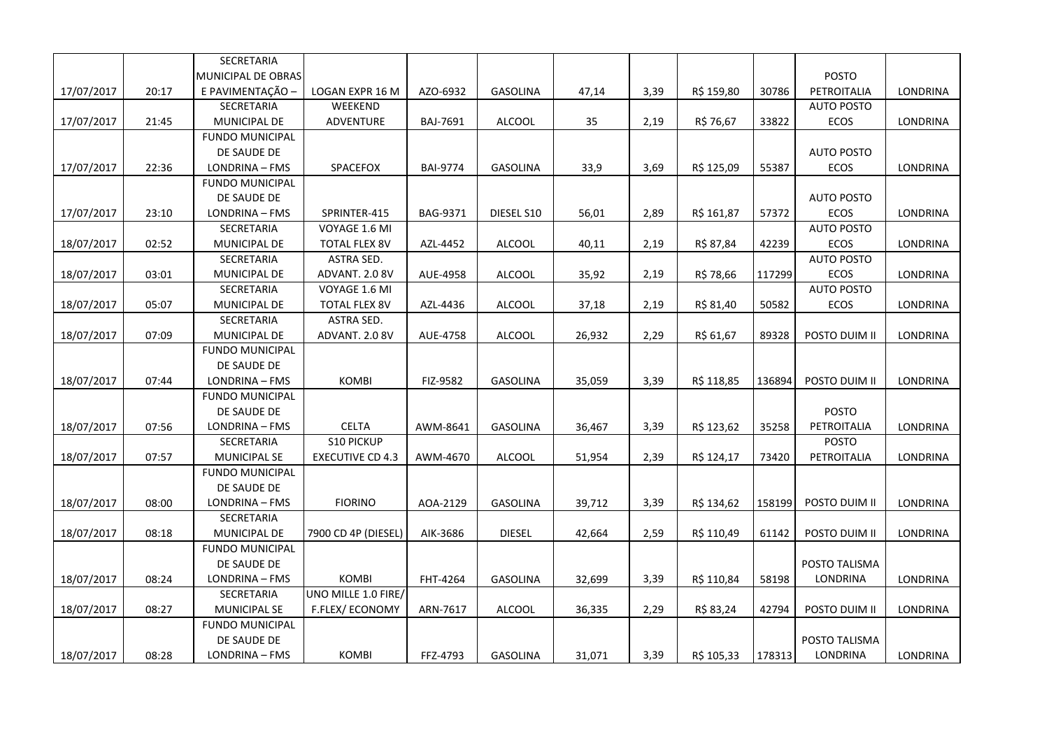|            |       | SECRETARIA             |                         |                 |                 |        |      |            |        |                   |                 |
|------------|-------|------------------------|-------------------------|-----------------|-----------------|--------|------|------------|--------|-------------------|-----------------|
|            |       | MUNICIPAL DE OBRAS     |                         |                 |                 |        |      |            |        | POSTO             |                 |
| 17/07/2017 | 20:17 | E PAVIMENTAÇÃO -       | LOGAN EXPR 16 M         | AZO-6932        | <b>GASOLINA</b> | 47,14  | 3,39 | R\$ 159,80 | 30786  | PETROITALIA       | LONDRINA        |
|            |       | SECRETARIA             | WEEKEND                 |                 |                 |        |      |            |        | <b>AUTO POSTO</b> |                 |
| 17/07/2017 | 21:45 | MUNICIPAL DE           | ADVENTURE               | BAJ-7691        | <b>ALCOOL</b>   | 35     | 2,19 | R\$ 76,67  | 33822  | ECOS              | LONDRINA        |
|            |       | <b>FUNDO MUNICIPAL</b> |                         |                 |                 |        |      |            |        |                   |                 |
|            |       | DE SAUDE DE            |                         |                 |                 |        |      |            |        | <b>AUTO POSTO</b> |                 |
| 17/07/2017 | 22:36 | LONDRINA - FMS         | SPACEFOX                | <b>BAI-9774</b> | <b>GASOLINA</b> | 33,9   | 3,69 | R\$ 125,09 | 55387  | ECOS              | LONDRINA        |
|            |       | <b>FUNDO MUNICIPAL</b> |                         |                 |                 |        |      |            |        |                   |                 |
|            |       | DE SAUDE DE            |                         |                 |                 |        |      |            |        | <b>AUTO POSTO</b> |                 |
| 17/07/2017 | 23:10 | LONDRINA - FMS         | SPRINTER-415            | BAG-9371        | DIESEL S10      | 56,01  | 2,89 | R\$ 161,87 | 57372  | ECOS              | LONDRINA        |
|            |       | SECRETARIA             | VOYAGE 1.6 MI           |                 |                 |        |      |            |        | <b>AUTO POSTO</b> |                 |
| 18/07/2017 | 02:52 | MUNICIPAL DE           | <b>TOTAL FLEX 8V</b>    | AZL-4452        | <b>ALCOOL</b>   | 40,11  | 2,19 | R\$ 87,84  | 42239  | <b>ECOS</b>       | LONDRINA        |
|            |       | SECRETARIA             | ASTRA SED.              |                 |                 |        |      |            |        | <b>AUTO POSTO</b> |                 |
| 18/07/2017 | 03:01 | MUNICIPAL DE           | ADVANT. 2.0 8V          | AUE-4958        | <b>ALCOOL</b>   | 35,92  | 2,19 | R\$ 78,66  | 117299 | ECOS              | LONDRINA        |
|            |       | SECRETARIA             | VOYAGE 1.6 MI           |                 |                 |        |      |            |        | <b>AUTO POSTO</b> |                 |
| 18/07/2017 | 05:07 | MUNICIPAL DE           | <b>TOTAL FLEX 8V</b>    | AZL-4436        | <b>ALCOOL</b>   | 37,18  | 2,19 | R\$ 81,40  | 50582  | ECOS              | LONDRINA        |
|            |       | SECRETARIA             | ASTRA SED.              |                 |                 |        |      |            |        |                   |                 |
| 18/07/2017 | 07:09 | MUNICIPAL DE           | ADVANT. 2.0 8V          | AUE-4758        | <b>ALCOOL</b>   | 26,932 | 2,29 | R\$ 61,67  | 89328  | POSTO DUIM II     | LONDRINA        |
|            |       | <b>FUNDO MUNICIPAL</b> |                         |                 |                 |        |      |            |        |                   |                 |
|            |       | DE SAUDE DE            |                         |                 |                 |        |      |            |        |                   |                 |
| 18/07/2017 | 07:44 | LONDRINA - FMS         | <b>KOMBI</b>            | FIZ-9582        | <b>GASOLINA</b> | 35,059 | 3,39 | R\$ 118,85 | 136894 | POSTO DUIM II     | LONDRINA        |
|            |       | <b>FUNDO MUNICIPAL</b> |                         |                 |                 |        |      |            |        |                   |                 |
|            |       | DE SAUDE DE            |                         |                 |                 |        |      |            |        | <b>POSTO</b>      |                 |
| 18/07/2017 | 07:56 | LONDRINA - FMS         | <b>CELTA</b>            | AWM-8641        | <b>GASOLINA</b> | 36,467 | 3,39 | R\$ 123,62 | 35258  | PETROITALIA       | LONDRINA        |
|            |       | SECRETARIA             | S10 PICKUP              |                 |                 |        |      |            |        | POSTO             |                 |
| 18/07/2017 | 07:57 | <b>MUNICIPAL SE</b>    | <b>EXECUTIVE CD 4.3</b> | AWM-4670        | <b>ALCOOL</b>   | 51,954 | 2,39 | R\$ 124,17 | 73420  | PETROITALIA       | LONDRINA        |
|            |       | <b>FUNDO MUNICIPAL</b> |                         |                 |                 |        |      |            |        |                   |                 |
|            |       | DE SAUDE DE            |                         |                 |                 |        |      |            |        |                   |                 |
| 18/07/2017 | 08:00 | LONDRINA - FMS         | <b>FIORINO</b>          | AOA-2129        | GASOLINA        | 39,712 | 3,39 | R\$ 134,62 | 158199 | POSTO DUIM II     | LONDRINA        |
|            |       | <b>SECRETARIA</b>      |                         |                 |                 |        |      |            |        |                   |                 |
| 18/07/2017 | 08:18 | MUNICIPAL DE           | 7900 CD 4P (DIESEL)     | AIK-3686        | <b>DIESEL</b>   | 42,664 | 2,59 | R\$ 110,49 | 61142  | POSTO DUIM II     | LONDRINA        |
|            |       | <b>FUNDO MUNICIPAL</b> |                         |                 |                 |        |      |            |        |                   |                 |
|            |       | DE SAUDE DE            |                         |                 |                 |        |      |            |        | POSTO TALISMA     |                 |
| 18/07/2017 | 08:24 | LONDRINA - FMS         | <b>KOMBI</b>            | FHT-4264        | <b>GASOLINA</b> | 32,699 | 3,39 | R\$ 110,84 | 58198  | LONDRINA          | LONDRINA        |
|            |       | SECRETARIA             | UNO MILLE 1.0 FIRE/     |                 |                 |        |      |            |        |                   |                 |
| 18/07/2017 | 08:27 | MUNICIPAL SE           | F.FLEX/ECONOMY          | ARN-7617        | <b>ALCOOL</b>   | 36,335 | 2,29 | R\$ 83,24  | 42794  | POSTO DUIM II     | <b>LONDRINA</b> |
|            |       | <b>FUNDO MUNICIPAL</b> |                         |                 |                 |        |      |            |        |                   |                 |
|            |       | DE SAUDE DE            |                         |                 |                 |        |      |            |        | POSTO TALISMA     |                 |
| 18/07/2017 | 08:28 | LONDRINA - FMS         | <b>KOMBI</b>            | FFZ-4793        | <b>GASOLINA</b> | 31,071 | 3,39 | R\$ 105,33 | 178313 | LONDRINA          | LONDRINA        |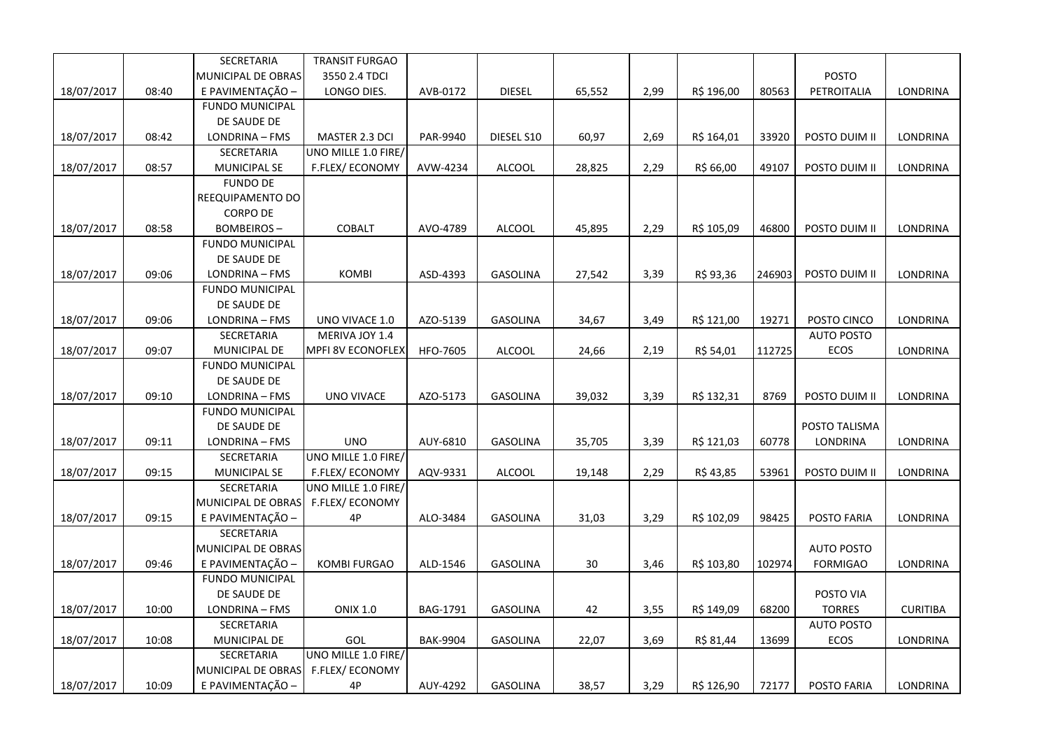|            |       | SECRETARIA             | TRANSIT FURGAO           |                 |                 |        |      |            |        |                   |                 |
|------------|-------|------------------------|--------------------------|-----------------|-----------------|--------|------|------------|--------|-------------------|-----------------|
|            |       | MUNICIPAL DE OBRAS     | 3550 2.4 TDCI            |                 |                 |        |      |            |        | <b>POSTO</b>      |                 |
| 18/07/2017 | 08:40 | E PAVIMENTAÇÃO -       | LONGO DIES.              | AVB-0172        | <b>DIESEL</b>   | 65,552 | 2,99 | R\$ 196,00 | 80563  | PETROITALIA       | LONDRINA        |
|            |       | <b>FUNDO MUNICIPAL</b> |                          |                 |                 |        |      |            |        |                   |                 |
|            |       | DE SAUDE DE            |                          |                 |                 |        |      |            |        |                   |                 |
| 18/07/2017 | 08:42 | LONDRINA - FMS         | MASTER 2.3 DCI           | PAR-9940        | DIESEL S10      | 60,97  | 2,69 | R\$ 164,01 | 33920  | POSTO DUIM II     | LONDRINA        |
|            |       | SECRETARIA             | UNO MILLE 1.0 FIRE/      |                 |                 |        |      |            |        |                   |                 |
| 18/07/2017 | 08:57 | MUNICIPAL SE           | F.FLEX/ECONOMY           | AVW-4234        | <b>ALCOOL</b>   | 28,825 | 2,29 | R\$ 66,00  | 49107  | POSTO DUIM II     | LONDRINA        |
|            |       | <b>FUNDO DE</b>        |                          |                 |                 |        |      |            |        |                   |                 |
|            |       | REEQUIPAMENTO DO       |                          |                 |                 |        |      |            |        |                   |                 |
|            |       | <b>CORPO DE</b>        |                          |                 |                 |        |      |            |        |                   |                 |
| 18/07/2017 | 08:58 | <b>BOMBEIROS-</b>      | COBALT                   | AVO-4789        | <b>ALCOOL</b>   | 45,895 | 2,29 | R\$ 105,09 | 46800  | POSTO DUIM II     | LONDRINA        |
|            |       | <b>FUNDO MUNICIPAL</b> |                          |                 |                 |        |      |            |        |                   |                 |
|            |       | DE SAUDE DE            |                          |                 |                 |        |      |            |        |                   |                 |
| 18/07/2017 | 09:06 | LONDRINA - FMS         | <b>KOMBI</b>             | ASD-4393        | <b>GASOLINA</b> | 27,542 | 3,39 | R\$ 93,36  | 246903 | POSTO DUIM II     | LONDRINA        |
|            |       | <b>FUNDO MUNICIPAL</b> |                          |                 |                 |        |      |            |        |                   |                 |
|            |       | DE SAUDE DE            |                          |                 |                 |        |      |            |        |                   |                 |
| 18/07/2017 | 09:06 | LONDRINA - FMS         | UNO VIVACE 1.0           | AZO-5139        | <b>GASOLINA</b> | 34,67  | 3,49 | R\$ 121,00 | 19271  | POSTO CINCO       | LONDRINA        |
|            |       | SECRETARIA             | MERIVA JOY 1.4           |                 |                 |        |      |            |        | <b>AUTO POSTO</b> |                 |
| 18/07/2017 | 09:07 | MUNICIPAL DE           | <b>MPFI 8V ECONOFLEX</b> | <b>HFO-7605</b> | ALCOOL          | 24,66  | 2,19 | R\$ 54,01  | 112725 | ECOS              | LONDRINA        |
|            |       | <b>FUNDO MUNICIPAL</b> |                          |                 |                 |        |      |            |        |                   |                 |
|            |       | DE SAUDE DE            |                          |                 |                 |        |      |            |        |                   |                 |
| 18/07/2017 | 09:10 | LONDRINA - FMS         | UNO VIVACE               | AZO-5173        | GASOLINA        | 39,032 | 3,39 | R\$ 132,31 | 8769   | POSTO DUIM II     | LONDRINA        |
|            |       | <b>FUNDO MUNICIPAL</b> |                          |                 |                 |        |      |            |        |                   |                 |
|            |       | DE SAUDE DE            |                          |                 |                 |        |      |            |        | POSTO TALISMA     |                 |
| 18/07/2017 | 09:11 | LONDRINA - FMS         | <b>UNO</b>               | AUY-6810        | <b>GASOLINA</b> | 35,705 | 3,39 | R\$ 121,03 | 60778  | LONDRINA          | LONDRINA        |
|            |       | SECRETARIA             | UNO MILLE 1.0 FIRE/      |                 |                 |        |      |            |        |                   |                 |
| 18/07/2017 | 09:15 | MUNICIPAL SE           | F.FLEX/ECONOMY           | AQV-9331        | <b>ALCOOL</b>   | 19,148 | 2,29 | R\$ 43,85  | 53961  | POSTO DUIM II     | LONDRINA        |
|            |       | SECRETARIA             | UNO MILLE 1.0 FIRE/      |                 |                 |        |      |            |        |                   |                 |
|            |       | MUNICIPAL DE OBRAS     | F.FLEX/ECONOMY           |                 |                 |        |      |            |        |                   |                 |
| 18/07/2017 | 09:15 | E PAVIMENTAÇÃO -       | 4P                       | ALO-3484        | GASOLINA        | 31,03  | 3,29 | R\$ 102,09 | 98425  | POSTO FARIA       | LONDRINA        |
|            |       | SECRETARIA             |                          |                 |                 |        |      |            |        |                   |                 |
|            |       | MUNICIPAL DE OBRAS     |                          |                 |                 |        |      |            |        | <b>AUTO POSTO</b> |                 |
| 18/07/2017 | 09:46 | E PAVIMENTAÇÃO -       | <b>KOMBI FURGAO</b>      | ALD-1546        | <b>GASOLINA</b> | $30\,$ | 3,46 | R\$ 103,80 | 102974 | <b>FORMIGAO</b>   | LONDRINA        |
|            |       | <b>FUNDO MUNICIPAL</b> |                          |                 |                 |        |      |            |        |                   |                 |
|            |       | DE SAUDE DE            |                          |                 |                 |        |      |            |        | POSTO VIA         |                 |
| 18/07/2017 | 10:00 | LONDRINA - FMS         | <b>ONIX 1.0</b>          | BAG-1791        | GASOLINA        | 42     | 3,55 | R\$ 149,09 | 68200  | <b>TORRES</b>     | <b>CURITIBA</b> |
|            |       | SECRETARIA             |                          |                 |                 |        |      |            |        | <b>AUTO POSTO</b> |                 |
| 18/07/2017 | 10:08 | MUNICIPAL DE           | GOL                      | <b>BAK-9904</b> | <b>GASOLINA</b> | 22,07  | 3,69 | R\$ 81,44  | 13699  | ECOS              | LONDRINA        |
|            |       | SECRETARIA             | UNO MILLE 1.0 FIRE/      |                 |                 |        |      |            |        |                   |                 |
|            |       | MUNICIPAL DE OBRAS     | F.FLEX/ECONOMY           |                 |                 |        |      |            |        |                   |                 |
| 18/07/2017 | 10:09 | E PAVIMENTAÇÃO -       | 4P                       | AUY-4292        | <b>GASOLINA</b> | 38,57  | 3,29 | R\$ 126,90 | 72177  | POSTO FARIA       | LONDRINA        |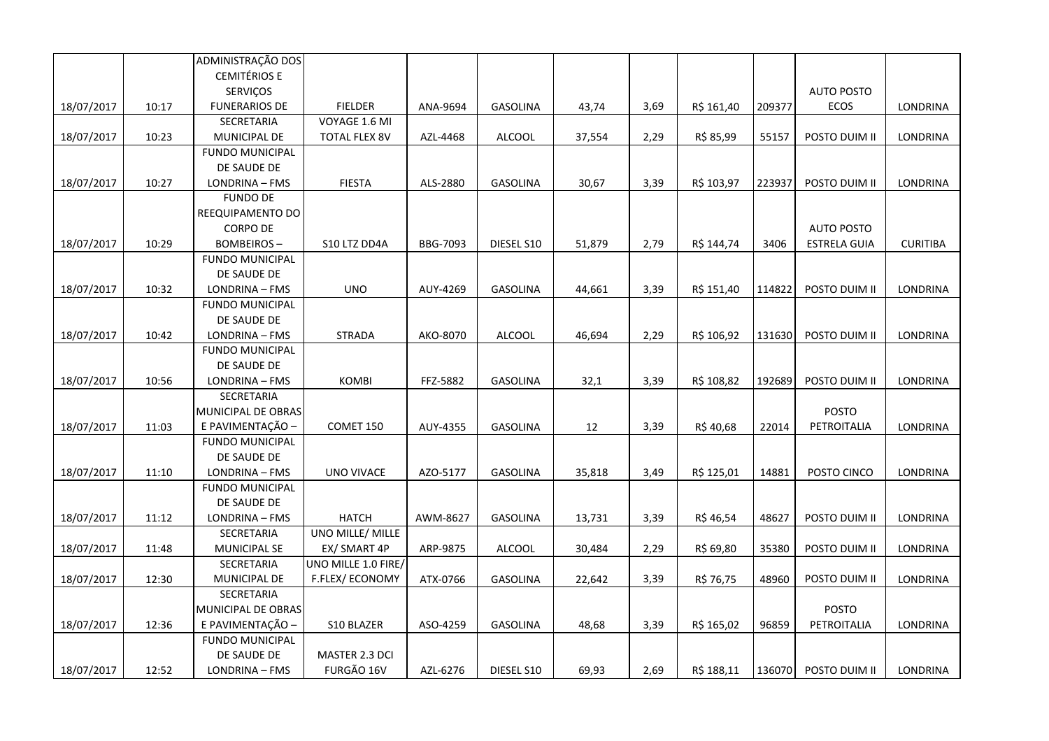|            |       | ADMINISTRAÇÃO DOS      |                      |          |                 |        |      |            |        |                     |                 |
|------------|-------|------------------------|----------------------|----------|-----------------|--------|------|------------|--------|---------------------|-----------------|
|            |       | <b>CEMITÉRIOS E</b>    |                      |          |                 |        |      |            |        |                     |                 |
|            |       | <b>SERVIÇOS</b>        |                      |          |                 |        |      |            |        | <b>AUTO POSTO</b>   |                 |
| 18/07/2017 | 10:17 | <b>FUNERARIOS DE</b>   | <b>FIELDER</b>       | ANA-9694 | <b>GASOLINA</b> | 43,74  | 3,69 | R\$ 161,40 | 209377 | <b>ECOS</b>         | LONDRINA        |
|            |       | SECRETARIA             | VOYAGE 1.6 MI        |          |                 |        |      |            |        |                     |                 |
| 18/07/2017 | 10:23 | MUNICIPAL DE           | <b>TOTAL FLEX 8V</b> | AZL-4468 | ALCOOL          | 37,554 | 2,29 | R\$ 85,99  | 55157  | POSTO DUIM II       | LONDRINA        |
|            |       | <b>FUNDO MUNICIPAL</b> |                      |          |                 |        |      |            |        |                     |                 |
|            |       | DE SAUDE DE            |                      |          |                 |        |      |            |        |                     |                 |
| 18/07/2017 | 10:27 | LONDRINA - FMS         | <b>FIESTA</b>        | ALS-2880 | <b>GASOLINA</b> | 30,67  | 3,39 | R\$ 103,97 | 223937 | POSTO DUIM II       | <b>LONDRINA</b> |
|            |       | <b>FUNDO DE</b>        |                      |          |                 |        |      |            |        |                     |                 |
|            |       | REEQUIPAMENTO DO       |                      |          |                 |        |      |            |        |                     |                 |
|            |       | <b>CORPO DE</b>        |                      |          |                 |        |      |            |        | <b>AUTO POSTO</b>   |                 |
| 18/07/2017 | 10:29 | <b>BOMBEIROS-</b>      | S10 LTZ DD4A         | BBG-7093 | DIESEL S10      | 51,879 | 2,79 | R\$ 144,74 | 3406   | <b>ESTRELA GUIA</b> | <b>CURITIBA</b> |
|            |       | <b>FUNDO MUNICIPAL</b> |                      |          |                 |        |      |            |        |                     |                 |
|            |       | DE SAUDE DE            |                      |          |                 |        |      |            |        |                     |                 |
| 18/07/2017 | 10:32 | LONDRINA - FMS         | <b>UNO</b>           | AUY-4269 | <b>GASOLINA</b> | 44,661 | 3,39 | R\$ 151,40 | 114822 | POSTO DUIM II       | LONDRINA        |
|            |       | <b>FUNDO MUNICIPAL</b> |                      |          |                 |        |      |            |        |                     |                 |
|            |       | DE SAUDE DE            |                      |          |                 |        |      |            |        |                     |                 |
| 18/07/2017 | 10:42 | LONDRINA - FMS         | <b>STRADA</b>        | AKO-8070 | ALCOOL          | 46,694 | 2,29 | R\$ 106,92 | 131630 | POSTO DUIM II       | LONDRINA        |
|            |       | <b>FUNDO MUNICIPAL</b> |                      |          |                 |        |      |            |        |                     |                 |
|            |       | DE SAUDE DE            |                      |          |                 |        |      |            |        |                     |                 |
| 18/07/2017 | 10:56 | LONDRINA - FMS         | <b>KOMBI</b>         | FFZ-5882 | <b>GASOLINA</b> | 32,1   | 3,39 | R\$ 108,82 | 192689 | POSTO DUIM II       | LONDRINA        |
|            |       | SECRETARIA             |                      |          |                 |        |      |            |        |                     |                 |
|            |       | MUNICIPAL DE OBRAS     |                      |          |                 |        |      |            |        | <b>POSTO</b>        |                 |
| 18/07/2017 | 11:03 | E PAVIMENTAÇÃO -       | COMET 150            | AUY-4355 | <b>GASOLINA</b> | 12     | 3,39 | R\$40,68   | 22014  | PETROITALIA         | LONDRINA        |
|            |       | <b>FUNDO MUNICIPAL</b> |                      |          |                 |        |      |            |        |                     |                 |
|            |       | DE SAUDE DE            |                      |          |                 |        |      |            |        |                     |                 |
| 18/07/2017 | 11:10 | LONDRINA - FMS         | UNO VIVACE           | AZO-5177 | <b>GASOLINA</b> | 35,818 | 3,49 | R\$ 125,01 | 14881  | POSTO CINCO         | <b>LONDRINA</b> |
|            |       | <b>FUNDO MUNICIPAL</b> |                      |          |                 |        |      |            |        |                     |                 |
|            |       | DE SAUDE DE            |                      |          |                 |        |      |            |        |                     |                 |
| 18/07/2017 | 11:12 | LONDRINA - FMS         | <b>HATCH</b>         | AWM-8627 | <b>GASOLINA</b> | 13,731 | 3,39 | R\$46,54   | 48627  | POSTO DUIM II       | LONDRINA        |
|            |       | SECRETARIA             | UNO MILLE/ MILLE     |          |                 |        |      |            |        |                     |                 |
| 18/07/2017 | 11:48 | MUNICIPAL SE           | EX/ SMART 4P         | ARP-9875 | <b>ALCOOL</b>   | 30,484 | 2,29 | R\$ 69,80  | 35380  | POSTO DUIM II       | LONDRINA        |
|            |       | SECRETARIA             | UNO MILLE 1.0 FIRE/  |          |                 |        |      |            |        |                     |                 |
| 18/07/2017 | 12:30 | MUNICIPAL DE           | F.FLEX/ECONOMY       | ATX-0766 | <b>GASOLINA</b> | 22,642 | 3,39 | R\$ 76,75  | 48960  | POSTO DUIM II       | LONDRINA        |
|            |       | SECRETARIA             |                      |          |                 |        |      |            |        |                     |                 |
|            |       | MUNICIPAL DE OBRAS     |                      |          |                 |        |      |            |        | <b>POSTO</b>        |                 |
| 18/07/2017 | 12:36 | E PAVIMENTAÇÃO -       | S10 BLAZER           | ASO-4259 | <b>GASOLINA</b> | 48,68  | 3,39 | R\$ 165,02 | 96859  | PETROITALIA         | LONDRINA        |
|            |       | <b>FUNDO MUNICIPAL</b> |                      |          |                 |        |      |            |        |                     |                 |
|            |       | DE SAUDE DE            | MASTER 2.3 DCI       |          |                 |        |      |            |        |                     |                 |
| 18/07/2017 | 12:52 | LONDRINA - FMS         | FURGÃO 16V           | AZL-6276 | DIESEL S10      | 69,93  | 2,69 | R\$ 188,11 | 136070 | POSTO DUIM II       | LONDRINA        |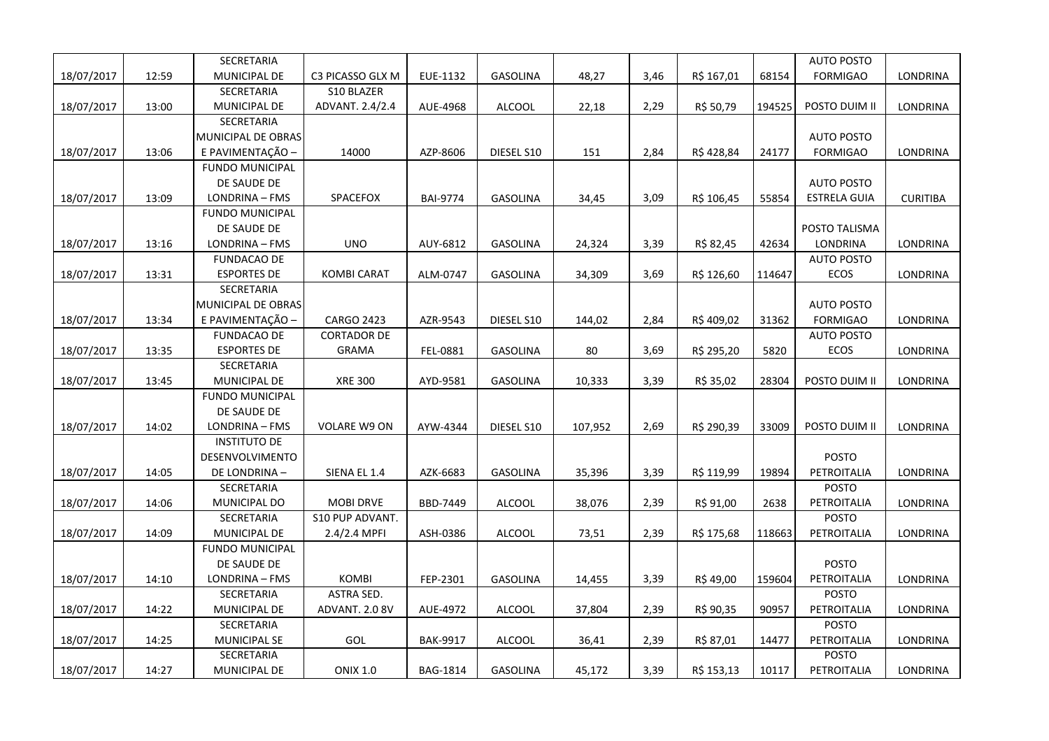|            |       | SECRETARIA             |                    |                 |                 |         |      |            |        | <b>AUTO POSTO</b>   |                 |
|------------|-------|------------------------|--------------------|-----------------|-----------------|---------|------|------------|--------|---------------------|-----------------|
| 18/07/2017 | 12:59 | MUNICIPAL DE           | C3 PICASSO GLX M   | EUE-1132        | GASOLINA        | 48,27   | 3,46 | R\$ 167,01 | 68154  | <b>FORMIGAO</b>     | LONDRINA        |
|            |       | SECRETARIA             | S10 BLAZER         |                 |                 |         |      |            |        |                     |                 |
| 18/07/2017 | 13:00 | MUNICIPAL DE           | ADVANT. 2.4/2.4    | AUE-4968        | <b>ALCOOL</b>   | 22,18   | 2,29 | R\$ 50,79  | 194525 | POSTO DUIM II       | LONDRINA        |
|            |       | SECRETARIA             |                    |                 |                 |         |      |            |        |                     |                 |
|            |       | MUNICIPAL DE OBRAS     |                    |                 |                 |         |      |            |        | <b>AUTO POSTO</b>   |                 |
| 18/07/2017 | 13:06 | E PAVIMENTAÇÃO -       | 14000              | AZP-8606        | DIESEL S10      | 151     | 2,84 | R\$ 428,84 | 24177  | <b>FORMIGAO</b>     | LONDRINA        |
|            |       | <b>FUNDO MUNICIPAL</b> |                    |                 |                 |         |      |            |        |                     |                 |
|            |       | DE SAUDE DE            |                    |                 |                 |         |      |            |        | <b>AUTO POSTO</b>   |                 |
| 18/07/2017 | 13:09 | LONDRINA - FMS         | SPACEFOX           | <b>BAI-9774</b> | GASOLINA        | 34,45   | 3,09 | R\$ 106,45 | 55854  | <b>ESTRELA GUIA</b> | <b>CURITIBA</b> |
|            |       | <b>FUNDO MUNICIPAL</b> |                    |                 |                 |         |      |            |        |                     |                 |
|            |       | DE SAUDE DE            |                    |                 |                 |         |      |            |        | POSTO TALISMA       |                 |
| 18/07/2017 | 13:16 | LONDRINA - FMS         | <b>UNO</b>         | AUY-6812        | GASOLINA        | 24,324  | 3,39 | R\$ 82,45  | 42634  | LONDRINA            | LONDRINA        |
|            |       | <b>FUNDACAO DE</b>     |                    |                 |                 |         |      |            |        | <b>AUTO POSTO</b>   |                 |
| 18/07/2017 | 13:31 | <b>ESPORTES DE</b>     | <b>KOMBI CARAT</b> | ALM-0747        | <b>GASOLINA</b> | 34,309  | 3,69 | R\$ 126,60 | 114647 | ECOS                | LONDRINA        |
|            |       | SECRETARIA             |                    |                 |                 |         |      |            |        |                     |                 |
|            |       | MUNICIPAL DE OBRAS     |                    |                 |                 |         |      |            |        | <b>AUTO POSTO</b>   |                 |
| 18/07/2017 | 13:34 | E PAVIMENTAÇÃO -       | <b>CARGO 2423</b>  | AZR-9543        | DIESEL S10      | 144,02  | 2,84 | R\$409,02  | 31362  | <b>FORMIGAO</b>     | LONDRINA        |
|            |       | <b>FUNDACAO DE</b>     | <b>CORTADOR DE</b> |                 |                 |         |      |            |        | <b>AUTO POSTO</b>   |                 |
| 18/07/2017 | 13:35 | <b>ESPORTES DE</b>     | GRAMA              | FEL-0881        | GASOLINA        | 80      | 3,69 | R\$ 295,20 | 5820   | ECOS                | LONDRINA        |
|            |       | SECRETARIA             |                    |                 |                 |         |      |            |        |                     |                 |
| 18/07/2017 | 13:45 | MUNICIPAL DE           | <b>XRE 300</b>     | AYD-9581        | <b>GASOLINA</b> | 10,333  | 3,39 | R\$ 35,02  | 28304  | POSTO DUIM II       | LONDRINA        |
|            |       | <b>FUNDO MUNICIPAL</b> |                    |                 |                 |         |      |            |        |                     |                 |
|            |       | DE SAUDE DE            |                    |                 |                 |         |      |            |        |                     |                 |
| 18/07/2017 | 14:02 | LONDRINA - FMS         | VOLARE W9 ON       | AYW-4344        | DIESEL S10      | 107,952 | 2,69 | R\$ 290,39 | 33009  | POSTO DUIM II       | LONDRINA        |
|            |       | <b>INSTITUTO DE</b>    |                    |                 |                 |         |      |            |        |                     |                 |
|            |       | DESENVOLVIMENTO        |                    |                 |                 |         |      |            |        | <b>POSTO</b>        |                 |
| 18/07/2017 | 14:05 | DE LONDRINA-           | SIENA EL 1.4       | AZK-6683        | <b>GASOLINA</b> | 35,396  | 3,39 | R\$ 119,99 | 19894  | PETROITALIA         | LONDRINA        |
|            |       | SECRETARIA             |                    |                 |                 |         |      |            |        | <b>POSTO</b>        |                 |
| 18/07/2017 | 14:06 | MUNICIPAL DO           | <b>MOBI DRVE</b>   | BBD-7449        | <b>ALCOOL</b>   | 38,076  | 2,39 | R\$ 91,00  | 2638   | PETROITALIA         | LONDRINA        |
|            |       | SECRETARIA             | S10 PUP ADVANT.    |                 |                 |         |      |            |        | <b>POSTO</b>        |                 |
| 18/07/2017 | 14:09 | MUNICIPAL DE           | 2.4/2.4 MPFI       | ASH-0386        | <b>ALCOOL</b>   | 73,51   | 2,39 | R\$ 175,68 | 118663 | PETROITALIA         | LONDRINA        |
|            |       | <b>FUNDO MUNICIPAL</b> |                    |                 |                 |         |      |            |        |                     |                 |
|            |       | DE SAUDE DE            |                    |                 |                 |         |      |            |        | <b>POSTO</b>        |                 |
| 18/07/2017 | 14:10 | LONDRINA - FMS         | <b>KOMBI</b>       | FEP-2301        | GASOLINA        | 14,455  | 3,39 | R\$49,00   | 159604 | PETROITALIA         | LONDRINA        |
|            |       | SECRETARIA             | ASTRA SED.         |                 |                 |         |      |            |        | <b>POSTO</b>        |                 |
| 18/07/2017 | 14:22 | MUNICIPAL DE           | ADVANT. 2.0 8V     | AUE-4972        | <b>ALCOOL</b>   | 37,804  | 2,39 | R\$ 90,35  | 90957  | PETROITALIA         | LONDRINA        |
|            |       | SECRETARIA             |                    |                 |                 |         |      |            |        | <b>POSTO</b>        |                 |
| 18/07/2017 | 14:25 | MUNICIPAL SE           | GOL                | <b>BAK-9917</b> | <b>ALCOOL</b>   | 36,41   | 2,39 | R\$ 87,01  | 14477  | PETROITALIA         | LONDRINA        |
|            |       | SECRETARIA             |                    |                 |                 |         |      |            |        | <b>POSTO</b>        |                 |
| 18/07/2017 | 14:27 | MUNICIPAL DE           | <b>ONIX 1.0</b>    | <b>BAG-1814</b> | <b>GASOLINA</b> | 45,172  | 3,39 | R\$ 153,13 | 10117  | PETROITALIA         | LONDRINA        |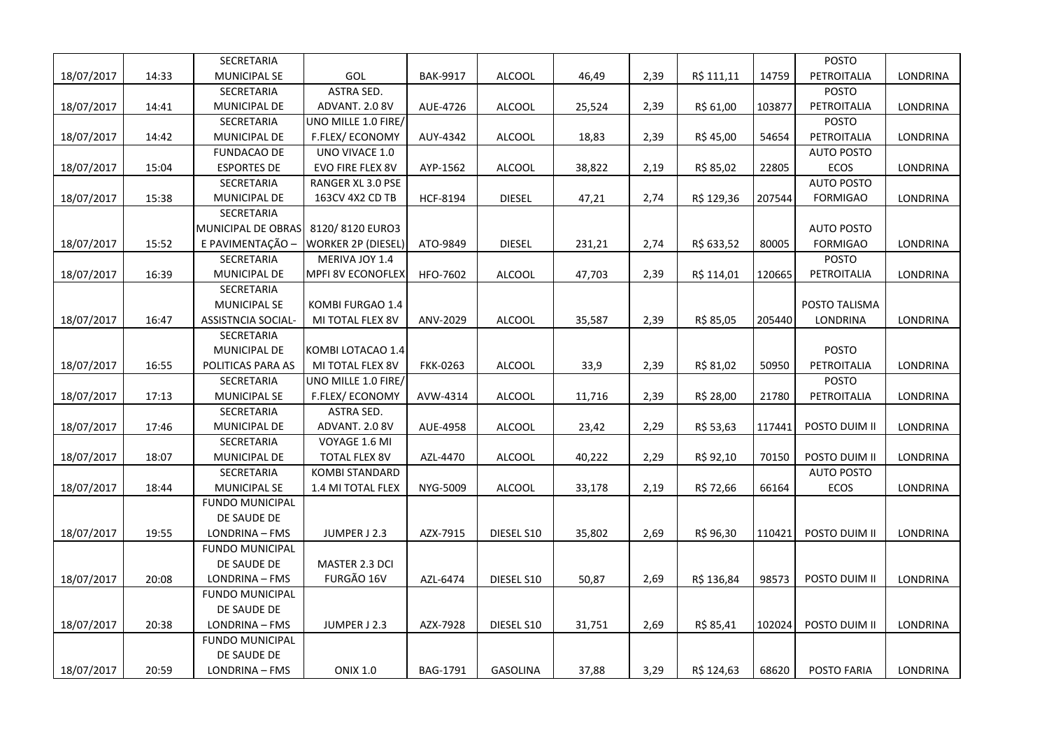|            |       | SECRETARIA             |                           |                 |                 |        |      |            |        | POSTO             |                 |
|------------|-------|------------------------|---------------------------|-----------------|-----------------|--------|------|------------|--------|-------------------|-----------------|
| 18/07/2017 | 14:33 | MUNICIPAL SE           | GOL                       | <b>BAK-9917</b> | <b>ALCOOL</b>   | 46,49  | 2,39 | R\$ 111,11 | 14759  | PETROITALIA       | <b>LONDRINA</b> |
|            |       | SECRETARIA             | ASTRA SED.                |                 |                 |        |      |            |        | <b>POSTO</b>      |                 |
| 18/07/2017 | 14:41 | MUNICIPAL DE           | ADVANT. 2.0 8V            | AUE-4726        | <b>ALCOOL</b>   | 25,524 | 2,39 | R\$ 61,00  | 103877 | PETROITALIA       | LONDRINA        |
|            |       | SECRETARIA             | UNO MILLE 1.0 FIRE/       |                 |                 |        |      |            |        | <b>POSTO</b>      |                 |
| 18/07/2017 | 14:42 | MUNICIPAL DE           | F.FLEX/ECONOMY            | AUY-4342        | <b>ALCOOL</b>   | 18,83  | 2,39 | R\$ 45,00  | 54654  | PETROITALIA       | LONDRINA        |
|            |       | <b>FUNDACAO DE</b>     | UNO VIVACE 1.0            |                 |                 |        |      |            |        | <b>AUTO POSTO</b> |                 |
| 18/07/2017 | 15:04 | <b>ESPORTES DE</b>     | EVO FIRE FLEX 8V          | AYP-1562        | <b>ALCOOL</b>   | 38,822 | 2,19 | R\$ 85,02  | 22805  | ECOS              | LONDRINA        |
|            |       | SECRETARIA             | <b>RANGER XL 3.0 PSE</b>  |                 |                 |        |      |            |        | <b>AUTO POSTO</b> |                 |
| 18/07/2017 | 15:38 | MUNICIPAL DE           | 163CV 4X2 CD TB           | <b>HCF-8194</b> | <b>DIESEL</b>   | 47,21  | 2,74 | R\$ 129,36 | 207544 | <b>FORMIGAO</b>   | LONDRINA        |
|            |       | SECRETARIA             |                           |                 |                 |        |      |            |        |                   |                 |
|            |       | MUNICIPAL DE OBRAS     | 8120/8120 EURO3           |                 |                 |        |      |            |        | <b>AUTO POSTO</b> |                 |
| 18/07/2017 | 15:52 | E PAVIMENTAÇÃO -       | <b>WORKER 2P (DIESEL)</b> | ATO-9849        | <b>DIESEL</b>   | 231,21 | 2,74 | R\$ 633,52 | 80005  | <b>FORMIGAO</b>   | LONDRINA        |
|            |       | SECRETARIA             | MERIVA JOY 1.4            |                 |                 |        |      |            |        | <b>POSTO</b>      |                 |
| 18/07/2017 | 16:39 | MUNICIPAL DE           | <b>MPFI 8V ECONOFLEX</b>  | HFO-7602        | <b>ALCOOL</b>   | 47,703 | 2,39 | R\$ 114,01 | 120665 | PETROITALIA       | LONDRINA        |
|            |       | SECRETARIA             |                           |                 |                 |        |      |            |        |                   |                 |
|            |       | <b>MUNICIPAL SE</b>    | KOMBI FURGAO 1.4          |                 |                 |        |      |            |        | POSTO TALISMA     |                 |
| 18/07/2017 | 16:47 | ASSISTNCIA SOCIAL-     | MI TOTAL FLEX 8V          | ANV-2029        | <b>ALCOOL</b>   | 35,587 | 2,39 | R\$ 85,05  | 205440 | LONDRINA          | LONDRINA        |
|            |       | SECRETARIA             |                           |                 |                 |        |      |            |        |                   |                 |
|            |       | MUNICIPAL DE           | KOMBI LOTACAO 1.4         |                 |                 |        |      |            |        | <b>POSTO</b>      |                 |
| 18/07/2017 | 16:55 | POLITICAS PARA AS      | MI TOTAL FLEX 8V          | <b>FKK-0263</b> | <b>ALCOOL</b>   | 33,9   | 2,39 | R\$ 81,02  | 50950  | PETROITALIA       | LONDRINA        |
|            |       | SECRETARIA             | UNO MILLE 1.0 FIRE/       |                 |                 |        |      |            |        | POSTO             |                 |
| 18/07/2017 | 17:13 | MUNICIPAL SE           | F.FLEX/ECONOMY            | AVW-4314        | <b>ALCOOL</b>   | 11,716 | 2,39 | R\$ 28,00  | 21780  | PETROITALIA       | LONDRINA        |
|            |       | SECRETARIA             | ASTRA SED.                |                 |                 |        |      |            |        |                   |                 |
| 18/07/2017 | 17:46 | MUNICIPAL DE           | ADVANT. 2.0 8V            | AUE-4958        | <b>ALCOOL</b>   | 23,42  | 2,29 | R\$ 53,63  | 117441 | POSTO DUIM II     | LONDRINA        |
|            |       | SECRETARIA             | VOYAGE 1.6 MI             |                 |                 |        |      |            |        |                   |                 |
| 18/07/2017 | 18:07 | MUNICIPAL DE           | <b>TOTAL FLEX 8V</b>      | AZL-4470        | <b>ALCOOL</b>   | 40,222 | 2,29 | R\$ 92,10  | 70150  | POSTO DUIM II     | LONDRINA        |
|            |       | SECRETARIA             | <b>KOMBI STANDARD</b>     |                 |                 |        |      |            |        | <b>AUTO POSTO</b> |                 |
| 18/07/2017 | 18:44 | MUNICIPAL SE           | 1.4 MI TOTAL FLEX         | NYG-5009        | <b>ALCOOL</b>   | 33,178 | 2,19 | R\$ 72,66  | 66164  | ECOS              | LONDRINA        |
|            |       | <b>FUNDO MUNICIPAL</b> |                           |                 |                 |        |      |            |        |                   |                 |
|            |       | DE SAUDE DE            |                           |                 |                 |        |      |            |        |                   |                 |
| 18/07/2017 | 19:55 | LONDRINA - FMS         | JUMPER J 2.3              | AZX-7915        | DIESEL S10      | 35,802 | 2,69 | R\$ 96,30  | 110421 | POSTO DUIM II     | LONDRINA        |
|            |       | <b>FUNDO MUNICIPAL</b> |                           |                 |                 |        |      |            |        |                   |                 |
|            |       | DE SAUDE DE            | MASTER 2.3 DCI            |                 |                 |        |      |            |        |                   |                 |
| 18/07/2017 | 20:08 | LONDRINA - FMS         | FURGÃO 16V                | AZL-6474        | DIESEL S10      | 50,87  | 2,69 | R\$ 136,84 | 98573  | POSTO DUIM II     | LONDRINA        |
|            |       | <b>FUNDO MUNICIPAL</b> |                           |                 |                 |        |      |            |        |                   |                 |
|            |       | DE SAUDE DE            |                           |                 |                 |        |      |            |        |                   |                 |
| 18/07/2017 | 20:38 | LONDRINA - FMS         | JUMPER J 2.3              | AZX-7928        | DIESEL S10      | 31,751 | 2,69 | R\$ 85,41  | 102024 | POSTO DUIM II     | LONDRINA        |
|            |       | <b>FUNDO MUNICIPAL</b> |                           |                 |                 |        |      |            |        |                   |                 |
|            |       | DE SAUDE DE            |                           |                 |                 |        |      |            |        |                   |                 |
| 18/07/2017 | 20:59 | LONDRINA - FMS         | <b>ONIX 1.0</b>           | BAG-1791        | <b>GASOLINA</b> | 37,88  | 3,29 | R\$ 124,63 | 68620  | POSTO FARIA       | LONDRINA        |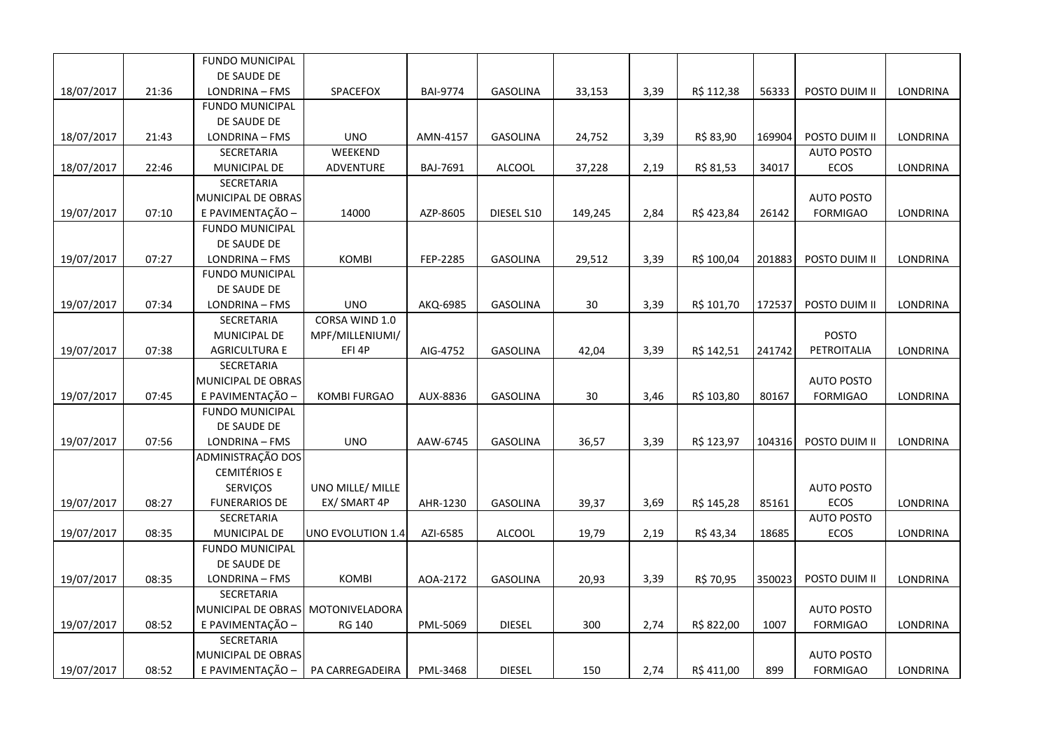| DE SAUDE DE<br>LONDRINA<br>18/07/2017<br>21:36<br>LONDRINA - FMS<br>SPACEFOX<br><b>BAI-9774</b><br><b>GASOLINA</b><br>33,153<br>3,39<br>R\$ 112,38<br>56333<br>POSTO DUIM II<br><b>FUNDO MUNICIPAL</b><br>DE SAUDE DE<br>21:43<br><b>UNO</b><br>3,39<br>18/07/2017<br>LONDRINA - FMS<br>AMN-4157<br><b>GASOLINA</b><br>24,752<br>R\$ 83,90<br>169904<br>POSTO DUIM II<br>LONDRINA<br><b>WEEKEND</b><br><b>SECRETARIA</b><br><b>AUTO POSTO</b><br>18/07/2017<br>22:46<br><b>ADVENTURE</b><br><b>ALCOOL</b><br>2,19<br>R\$ 81,53<br>34017<br>LONDRINA<br>MUNICIPAL DE<br>BAJ-7691<br>37,228<br><b>ECOS</b><br>SECRETARIA<br>MUNICIPAL DE OBRAS<br><b>AUTO POSTO</b><br>E PAVIMENTAÇÃO -<br>07:10<br>14000<br>AZP-8605<br>DIESEL S10<br>2,84<br>R\$ 423,84<br>26142<br><b>FORMIGAO</b><br>LONDRINA<br>19/07/2017<br>149,245<br><b>FUNDO MUNICIPAL</b><br>DE SAUDE DE<br>19/07/2017<br>07:27<br><b>KOMBI</b><br>FEP-2285<br><b>GASOLINA</b><br>29,512<br>3,39<br>R\$ 100,04<br>201883<br>POSTO DUIM II<br><b>LONDRINA</b><br>LONDRINA - FMS<br><b>FUNDO MUNICIPAL</b><br>DE SAUDE DE<br>07:34<br><b>UNO</b><br>3,39<br>R\$ 101,70<br>19/07/2017<br>LONDRINA - FMS<br>AKQ-6985<br>GASOLINA<br>30<br>172537<br>POSTO DUIM II<br>LONDRINA<br>CORSA WIND 1.0<br>SECRETARIA<br>POSTO<br>MUNICIPAL DE<br>MPF/MILLENIUMI/ |
|----------------------------------------------------------------------------------------------------------------------------------------------------------------------------------------------------------------------------------------------------------------------------------------------------------------------------------------------------------------------------------------------------------------------------------------------------------------------------------------------------------------------------------------------------------------------------------------------------------------------------------------------------------------------------------------------------------------------------------------------------------------------------------------------------------------------------------------------------------------------------------------------------------------------------------------------------------------------------------------------------------------------------------------------------------------------------------------------------------------------------------------------------------------------------------------------------------------------------------------------------------------------------------------------------------------|
|                                                                                                                                                                                                                                                                                                                                                                                                                                                                                                                                                                                                                                                                                                                                                                                                                                                                                                                                                                                                                                                                                                                                                                                                                                                                                                                |
|                                                                                                                                                                                                                                                                                                                                                                                                                                                                                                                                                                                                                                                                                                                                                                                                                                                                                                                                                                                                                                                                                                                                                                                                                                                                                                                |
|                                                                                                                                                                                                                                                                                                                                                                                                                                                                                                                                                                                                                                                                                                                                                                                                                                                                                                                                                                                                                                                                                                                                                                                                                                                                                                                |
|                                                                                                                                                                                                                                                                                                                                                                                                                                                                                                                                                                                                                                                                                                                                                                                                                                                                                                                                                                                                                                                                                                                                                                                                                                                                                                                |
|                                                                                                                                                                                                                                                                                                                                                                                                                                                                                                                                                                                                                                                                                                                                                                                                                                                                                                                                                                                                                                                                                                                                                                                                                                                                                                                |
|                                                                                                                                                                                                                                                                                                                                                                                                                                                                                                                                                                                                                                                                                                                                                                                                                                                                                                                                                                                                                                                                                                                                                                                                                                                                                                                |
|                                                                                                                                                                                                                                                                                                                                                                                                                                                                                                                                                                                                                                                                                                                                                                                                                                                                                                                                                                                                                                                                                                                                                                                                                                                                                                                |
|                                                                                                                                                                                                                                                                                                                                                                                                                                                                                                                                                                                                                                                                                                                                                                                                                                                                                                                                                                                                                                                                                                                                                                                                                                                                                                                |
|                                                                                                                                                                                                                                                                                                                                                                                                                                                                                                                                                                                                                                                                                                                                                                                                                                                                                                                                                                                                                                                                                                                                                                                                                                                                                                                |
|                                                                                                                                                                                                                                                                                                                                                                                                                                                                                                                                                                                                                                                                                                                                                                                                                                                                                                                                                                                                                                                                                                                                                                                                                                                                                                                |
|                                                                                                                                                                                                                                                                                                                                                                                                                                                                                                                                                                                                                                                                                                                                                                                                                                                                                                                                                                                                                                                                                                                                                                                                                                                                                                                |
|                                                                                                                                                                                                                                                                                                                                                                                                                                                                                                                                                                                                                                                                                                                                                                                                                                                                                                                                                                                                                                                                                                                                                                                                                                                                                                                |
|                                                                                                                                                                                                                                                                                                                                                                                                                                                                                                                                                                                                                                                                                                                                                                                                                                                                                                                                                                                                                                                                                                                                                                                                                                                                                                                |
|                                                                                                                                                                                                                                                                                                                                                                                                                                                                                                                                                                                                                                                                                                                                                                                                                                                                                                                                                                                                                                                                                                                                                                                                                                                                                                                |
|                                                                                                                                                                                                                                                                                                                                                                                                                                                                                                                                                                                                                                                                                                                                                                                                                                                                                                                                                                                                                                                                                                                                                                                                                                                                                                                |
|                                                                                                                                                                                                                                                                                                                                                                                                                                                                                                                                                                                                                                                                                                                                                                                                                                                                                                                                                                                                                                                                                                                                                                                                                                                                                                                |
|                                                                                                                                                                                                                                                                                                                                                                                                                                                                                                                                                                                                                                                                                                                                                                                                                                                                                                                                                                                                                                                                                                                                                                                                                                                                                                                |
|                                                                                                                                                                                                                                                                                                                                                                                                                                                                                                                                                                                                                                                                                                                                                                                                                                                                                                                                                                                                                                                                                                                                                                                                                                                                                                                |
| 07:38<br>19/07/2017<br><b>AGRICULTURA E</b><br>EFI 4P<br>AIG-4752<br>GASOLINA<br>42,04<br>3,39<br>R\$ 142,51<br>241742<br>PETROITALIA<br>LONDRINA                                                                                                                                                                                                                                                                                                                                                                                                                                                                                                                                                                                                                                                                                                                                                                                                                                                                                                                                                                                                                                                                                                                                                              |
| <b>SECRETARIA</b>                                                                                                                                                                                                                                                                                                                                                                                                                                                                                                                                                                                                                                                                                                                                                                                                                                                                                                                                                                                                                                                                                                                                                                                                                                                                                              |
| <b>AUTO POSTO</b><br>MUNICIPAL DE OBRAS                                                                                                                                                                                                                                                                                                                                                                                                                                                                                                                                                                                                                                                                                                                                                                                                                                                                                                                                                                                                                                                                                                                                                                                                                                                                        |
| 19/07/2017<br>07:45<br>E PAVIMENTAÇÃO -<br>AUX-8836<br>30<br>R\$ 103,80<br>LONDRINA<br><b>KOMBI FURGAO</b><br><b>GASOLINA</b><br>3,46<br>80167<br><b>FORMIGAO</b>                                                                                                                                                                                                                                                                                                                                                                                                                                                                                                                                                                                                                                                                                                                                                                                                                                                                                                                                                                                                                                                                                                                                              |
| <b>FUNDO MUNICIPAL</b>                                                                                                                                                                                                                                                                                                                                                                                                                                                                                                                                                                                                                                                                                                                                                                                                                                                                                                                                                                                                                                                                                                                                                                                                                                                                                         |
| DE SAUDE DE                                                                                                                                                                                                                                                                                                                                                                                                                                                                                                                                                                                                                                                                                                                                                                                                                                                                                                                                                                                                                                                                                                                                                                                                                                                                                                    |
| 19/07/2017<br>07:56<br><b>UNO</b><br>LONDRINA<br>LONDRINA - FMS<br>AAW-6745<br><b>GASOLINA</b><br>36,57<br>3,39<br>R\$ 123,97<br>104316<br>POSTO DUIM II                                                                                                                                                                                                                                                                                                                                                                                                                                                                                                                                                                                                                                                                                                                                                                                                                                                                                                                                                                                                                                                                                                                                                       |
| ADMINISTRAÇÃO DOS<br><b>CEMITÉRIOS E</b>                                                                                                                                                                                                                                                                                                                                                                                                                                                                                                                                                                                                                                                                                                                                                                                                                                                                                                                                                                                                                                                                                                                                                                                                                                                                       |
| <b>AUTO POSTO</b><br>SERVIÇOS<br>UNO MILLE/ MILLE                                                                                                                                                                                                                                                                                                                                                                                                                                                                                                                                                                                                                                                                                                                                                                                                                                                                                                                                                                                                                                                                                                                                                                                                                                                              |
| <b>FUNERARIOS DE</b><br>EX/ SMART 4P<br>3,69<br>ECOS<br>19/07/2017<br>08:27<br>AHR-1230<br><b>GASOLINA</b><br>39,37<br>R\$ 145,28<br>85161<br><b>LONDRINA</b>                                                                                                                                                                                                                                                                                                                                                                                                                                                                                                                                                                                                                                                                                                                                                                                                                                                                                                                                                                                                                                                                                                                                                  |
| <b>AUTO POSTO</b><br>SECRETARIA                                                                                                                                                                                                                                                                                                                                                                                                                                                                                                                                                                                                                                                                                                                                                                                                                                                                                                                                                                                                                                                                                                                                                                                                                                                                                |
| 19/07/2017<br>08:35<br>AZI-6585<br><b>ALCOOL</b><br>2,19<br>R\$ 43,34<br>ECOS<br>LONDRINA<br><b>MUNICIPAL DE</b><br>UNO EVOLUTION 1.4<br>19,79<br>18685                                                                                                                                                                                                                                                                                                                                                                                                                                                                                                                                                                                                                                                                                                                                                                                                                                                                                                                                                                                                                                                                                                                                                        |
| <b>FUNDO MUNICIPAL</b>                                                                                                                                                                                                                                                                                                                                                                                                                                                                                                                                                                                                                                                                                                                                                                                                                                                                                                                                                                                                                                                                                                                                                                                                                                                                                         |
| DE SAUDE DE                                                                                                                                                                                                                                                                                                                                                                                                                                                                                                                                                                                                                                                                                                                                                                                                                                                                                                                                                                                                                                                                                                                                                                                                                                                                                                    |
| LONDRINA<br>19/07/2017<br>08:35<br><b>KOMBI</b><br>AOA-2172<br><b>GASOLINA</b><br>20,93<br>3,39<br>R\$ 70,95<br>350023<br>POSTO DUIM II<br>LONDRINA - FMS                                                                                                                                                                                                                                                                                                                                                                                                                                                                                                                                                                                                                                                                                                                                                                                                                                                                                                                                                                                                                                                                                                                                                      |
| SECRETARIA                                                                                                                                                                                                                                                                                                                                                                                                                                                                                                                                                                                                                                                                                                                                                                                                                                                                                                                                                                                                                                                                                                                                                                                                                                                                                                     |
| MUNICIPAL DE OBRAS<br><b>AUTO POSTO</b><br>MOTONIVELADORA                                                                                                                                                                                                                                                                                                                                                                                                                                                                                                                                                                                                                                                                                                                                                                                                                                                                                                                                                                                                                                                                                                                                                                                                                                                      |
| E PAVIMENTAÇÃO -<br>19/07/2017<br>08:52<br>PML-5069<br><b>DIESEL</b><br>300<br>2,74<br>R\$ 822,00<br>1007<br><b>LONDRINA</b><br><b>RG 140</b><br><b>FORMIGAO</b>                                                                                                                                                                                                                                                                                                                                                                                                                                                                                                                                                                                                                                                                                                                                                                                                                                                                                                                                                                                                                                                                                                                                               |
| SECRETARIA                                                                                                                                                                                                                                                                                                                                                                                                                                                                                                                                                                                                                                                                                                                                                                                                                                                                                                                                                                                                                                                                                                                                                                                                                                                                                                     |
| MUNICIPAL DE OBRAS<br><b>AUTO POSTO</b>                                                                                                                                                                                                                                                                                                                                                                                                                                                                                                                                                                                                                                                                                                                                                                                                                                                                                                                                                                                                                                                                                                                                                                                                                                                                        |
| E PAVIMENTAÇÃO -<br>19/07/2017<br>08:52<br>PA CARREGADEIRA<br><b>DIESEL</b><br>150<br>2,74<br>R\$411,00<br>899<br><b>FORMIGAO</b><br><b>LONDRINA</b><br>PML-3468                                                                                                                                                                                                                                                                                                                                                                                                                                                                                                                                                                                                                                                                                                                                                                                                                                                                                                                                                                                                                                                                                                                                               |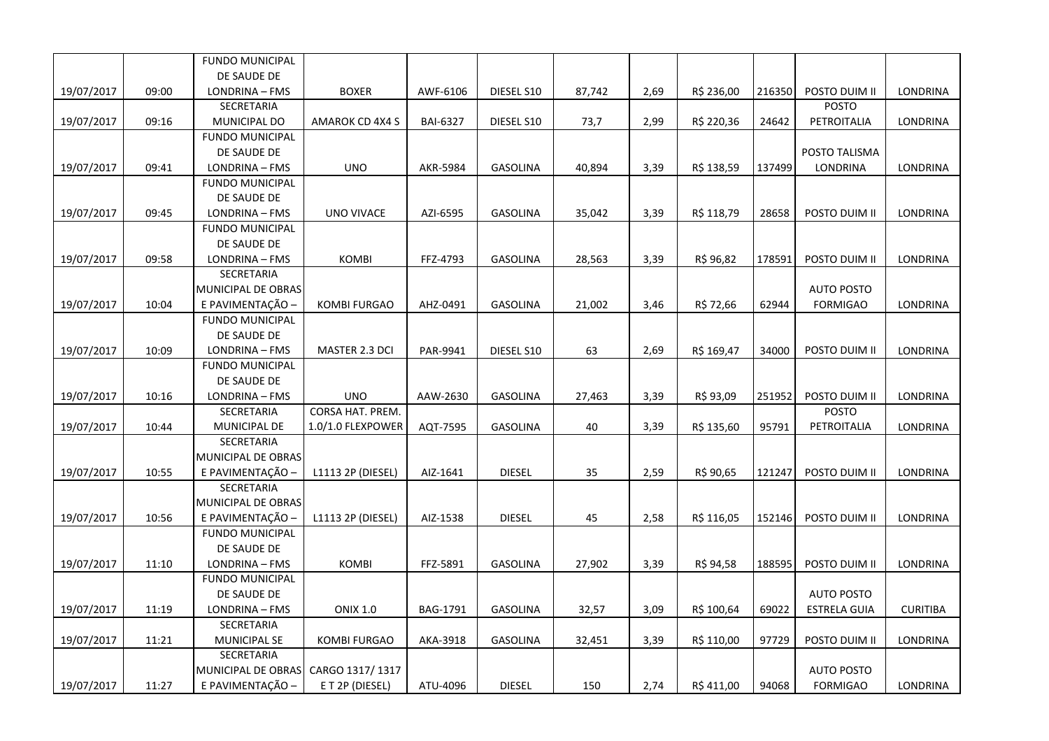|            |       | <b>FUNDO MUNICIPAL</b> |                     |          |                 |        |      |            |        |                     |                 |
|------------|-------|------------------------|---------------------|----------|-----------------|--------|------|------------|--------|---------------------|-----------------|
|            |       | DE SAUDE DE            |                     |          |                 |        |      |            |        |                     |                 |
| 19/07/2017 | 09:00 | LONDRINA - FMS         | <b>BOXER</b>        | AWF-6106 | DIESEL S10      | 87,742 | 2,69 | R\$ 236,00 | 216350 | POSTO DUIM II       | LONDRINA        |
|            |       | SECRETARIA             |                     |          |                 |        |      |            |        | <b>POSTO</b>        |                 |
| 19/07/2017 | 09:16 | MUNICIPAL DO           | AMAROK CD 4X4 S     | BAI-6327 | DIESEL S10      | 73,7   | 2,99 | R\$ 220,36 | 24642  | PETROITALIA         | LONDRINA        |
|            |       | <b>FUNDO MUNICIPAL</b> |                     |          |                 |        |      |            |        |                     |                 |
|            |       | DE SAUDE DE            |                     |          |                 |        |      |            |        | POSTO TALISMA       |                 |
| 19/07/2017 | 09:41 | LONDRINA - FMS         | <b>UNO</b>          | AKR-5984 | <b>GASOLINA</b> | 40,894 | 3,39 | R\$ 138,59 | 137499 | LONDRINA            | LONDRINA        |
|            |       | <b>FUNDO MUNICIPAL</b> |                     |          |                 |        |      |            |        |                     |                 |
|            |       | DE SAUDE DE            |                     |          |                 |        |      |            |        |                     |                 |
| 19/07/2017 | 09:45 | LONDRINA - FMS         | UNO VIVACE          | AZI-6595 | <b>GASOLINA</b> | 35,042 | 3,39 | R\$ 118,79 | 28658  | POSTO DUIM II       | LONDRINA        |
|            |       | <b>FUNDO MUNICIPAL</b> |                     |          |                 |        |      |            |        |                     |                 |
|            |       | DE SAUDE DE            |                     |          |                 |        |      |            |        |                     |                 |
| 19/07/2017 | 09:58 | LONDRINA - FMS         | <b>KOMBI</b>        | FFZ-4793 | <b>GASOLINA</b> | 28,563 | 3,39 | R\$ 96,82  | 178591 | POSTO DUIM II       | LONDRINA        |
|            |       | SECRETARIA             |                     |          |                 |        |      |            |        |                     |                 |
|            |       | MUNICIPAL DE OBRAS     |                     |          |                 |        |      |            |        | <b>AUTO POSTO</b>   |                 |
| 19/07/2017 | 10:04 | E PAVIMENTAÇÃO -       | <b>KOMBI FURGAO</b> | AHZ-0491 | <b>GASOLINA</b> | 21,002 | 3,46 | R\$ 72,66  | 62944  | <b>FORMIGAO</b>     | LONDRINA        |
|            |       | FUNDO MUNICIPAL        |                     |          |                 |        |      |            |        |                     |                 |
|            |       | DE SAUDE DE            |                     |          |                 |        |      |            |        |                     |                 |
| 19/07/2017 | 10:09 | LONDRINA - FMS         | MASTER 2.3 DCI      | PAR-9941 | DIESEL S10      | 63     | 2,69 | R\$ 169,47 | 34000  | POSTO DUIM II       | LONDRINA        |
|            |       | <b>FUNDO MUNICIPAL</b> |                     |          |                 |        |      |            |        |                     |                 |
|            |       | DE SAUDE DE            |                     |          |                 |        |      |            |        |                     |                 |
| 19/07/2017 | 10:16 | LONDRINA - FMS         | <b>UNO</b>          | AAW-2630 | <b>GASOLINA</b> | 27,463 | 3,39 | R\$ 93,09  | 251952 | POSTO DUIM II       | <b>LONDRINA</b> |
|            |       | SECRETARIA             | CORSA HAT. PREM.    |          |                 |        |      |            |        | <b>POSTO</b>        |                 |
| 19/07/2017 | 10:44 | MUNICIPAL DE           | 1.0/1.0 FLEXPOWER   | AQT-7595 | <b>GASOLINA</b> | 40     | 3,39 | R\$ 135,60 | 95791  | PETROITALIA         | LONDRINA        |
|            |       | SECRETARIA             |                     |          |                 |        |      |            |        |                     |                 |
|            |       | MUNICIPAL DE OBRAS     |                     |          |                 |        |      |            |        |                     |                 |
| 19/07/2017 | 10:55 | E PAVIMENTAÇÃO -       | L1113 2P (DIESEL)   | AIZ-1641 | <b>DIESEL</b>   | 35     | 2,59 | R\$ 90,65  | 121247 | POSTO DUIM II       | LONDRINA        |
|            |       | <b>SECRETARIA</b>      |                     |          |                 |        |      |            |        |                     |                 |
|            |       | MUNICIPAL DE OBRAS     |                     |          |                 |        |      |            |        |                     |                 |
| 19/07/2017 | 10:56 | E PAVIMENTAÇÃO -       | L1113 2P (DIESEL)   | AIZ-1538 | <b>DIESEL</b>   | 45     | 2,58 | R\$ 116,05 | 152146 | POSTO DUIM II       | <b>LONDRINA</b> |
|            |       | <b>FUNDO MUNICIPAL</b> |                     |          |                 |        |      |            |        |                     |                 |
|            |       | DE SAUDE DE            |                     |          |                 |        |      |            |        |                     |                 |
| 19/07/2017 | 11:10 | LONDRINA - FMS         | <b>KOMBI</b>        | FFZ-5891 | <b>GASOLINA</b> | 27,902 | 3,39 | R\$ 94,58  | 188595 | POSTO DUIM II       | LONDRINA        |
|            |       | <b>FUNDO MUNICIPAL</b> |                     |          |                 |        |      |            |        |                     |                 |
|            |       | DE SAUDE DE            |                     |          |                 |        |      |            |        | <b>AUTO POSTO</b>   |                 |
| 19/07/2017 | 11:19 | LONDRINA - FMS         | <b>ONIX 1.0</b>     | BAG-1791 | <b>GASOLINA</b> | 32,57  | 3,09 | R\$ 100,64 | 69022  | <b>ESTRELA GUIA</b> | <b>CURITIBA</b> |
|            |       | SECRETARIA             |                     |          |                 |        |      |            |        |                     |                 |
| 19/07/2017 | 11:21 | MUNICIPAL SE           | KOMBI FURGAO        | AKA-3918 | GASOLINA        | 32,451 | 3,39 | R\$ 110,00 | 97729  | POSTO DUIM II       | LONDRINA        |
|            |       | SECRETARIA             |                     |          |                 |        |      |            |        |                     |                 |
|            |       | MUNICIPAL DE OBRAS     | CARGO 1317/1317     |          |                 |        |      |            |        | <b>AUTO POSTO</b>   |                 |
| 19/07/2017 | 11:27 | E PAVIMENTAÇÃO -       | E T 2P (DIESEL)     | ATU-4096 | <b>DIESEL</b>   | 150    | 2,74 | R\$ 411,00 | 94068  | <b>FORMIGAO</b>     | LONDRINA        |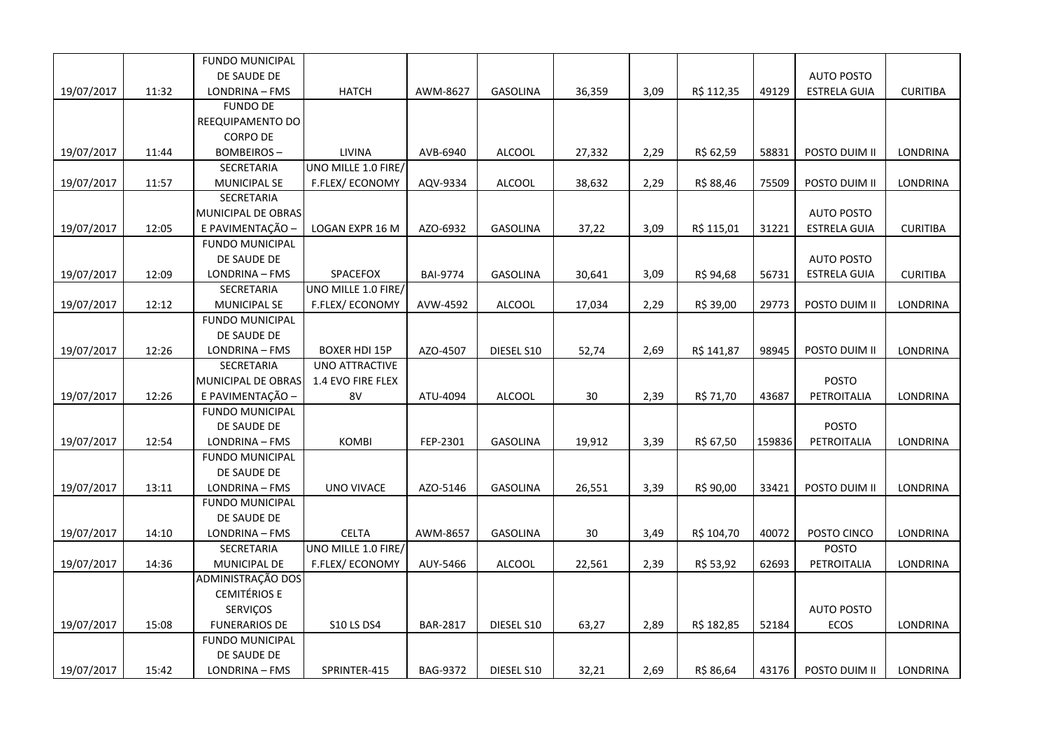|            |       | <b>FUNDO MUNICIPAL</b> |                       |                 |                 |        |      |            |        |                     |                 |
|------------|-------|------------------------|-----------------------|-----------------|-----------------|--------|------|------------|--------|---------------------|-----------------|
|            |       | DE SAUDE DE            |                       |                 |                 |        |      |            |        | <b>AUTO POSTO</b>   |                 |
| 19/07/2017 | 11:32 | LONDRINA - FMS         | <b>HATCH</b>          | AWM-8627        | <b>GASOLINA</b> | 36,359 | 3,09 | R\$ 112,35 | 49129  | <b>ESTRELA GUIA</b> | <b>CURITIBA</b> |
|            |       | <b>FUNDO DE</b>        |                       |                 |                 |        |      |            |        |                     |                 |
|            |       | REEQUIPAMENTO DO       |                       |                 |                 |        |      |            |        |                     |                 |
|            |       | <b>CORPO DE</b>        |                       |                 |                 |        |      |            |        |                     |                 |
| 19/07/2017 | 11:44 | <b>BOMBEIROS-</b>      | LIVINA                | AVB-6940        | ALCOOL          | 27,332 | 2,29 | R\$ 62,59  | 58831  | POSTO DUIM II       | LONDRINA        |
|            |       | SECRETARIA             | UNO MILLE 1.0 FIRE/   |                 |                 |        |      |            |        |                     |                 |
| 19/07/2017 | 11:57 | MUNICIPAL SE           | F.FLEX/ECONOMY        | AQV-9334        | ALCOOL          | 38,632 | 2,29 | R\$ 88,46  | 75509  | POSTO DUIM II       | <b>LONDRINA</b> |
|            |       | <b>SECRETARIA</b>      |                       |                 |                 |        |      |            |        |                     |                 |
|            |       | MUNICIPAL DE OBRAS     |                       |                 |                 |        |      |            |        | <b>AUTO POSTO</b>   |                 |
| 19/07/2017 | 12:05 | E PAVIMENTAÇÃO -       | LOGAN EXPR 16 M       | AZO-6932        | <b>GASOLINA</b> | 37,22  | 3,09 | R\$ 115,01 | 31221  | <b>ESTRELA GUIA</b> | <b>CURITIBA</b> |
|            |       | <b>FUNDO MUNICIPAL</b> |                       |                 |                 |        |      |            |        |                     |                 |
|            |       | DE SAUDE DE            |                       |                 |                 |        |      |            |        | <b>AUTO POSTO</b>   |                 |
| 19/07/2017 | 12:09 | LONDRINA - FMS         | SPACEFOX              | <b>BAI-9774</b> | <b>GASOLINA</b> | 30,641 | 3,09 | R\$ 94,68  | 56731  | <b>ESTRELA GUIA</b> | <b>CURITIBA</b> |
|            |       | SECRETARIA             | UNO MILLE 1.0 FIRE/   |                 |                 |        |      |            |        |                     |                 |
| 19/07/2017 | 12:12 | <b>MUNICIPAL SE</b>    | F.FLEX/ECONOMY        | AVW-4592        | <b>ALCOOL</b>   | 17,034 | 2,29 | R\$ 39,00  | 29773  | POSTO DUIM II       | <b>LONDRINA</b> |
|            |       | <b>FUNDO MUNICIPAL</b> |                       |                 |                 |        |      |            |        |                     |                 |
|            |       | DE SAUDE DE            |                       |                 |                 |        |      |            |        |                     |                 |
| 19/07/2017 | 12:26 | LONDRINA - FMS         | <b>BOXER HDI 15P</b>  | AZO-4507        | DIESEL S10      | 52,74  | 2,69 | R\$ 141,87 | 98945  | POSTO DUIM II       | <b>LONDRINA</b> |
|            |       | <b>SECRETARIA</b>      | <b>UNO ATTRACTIVE</b> |                 |                 |        |      |            |        |                     |                 |
|            |       | MUNICIPAL DE OBRAS     | 1.4 EVO FIRE FLEX     |                 |                 |        |      |            |        | <b>POSTO</b>        |                 |
| 19/07/2017 | 12:26 | E PAVIMENTAÇÃO -       | 8V                    | ATU-4094        | <b>ALCOOL</b>   | 30     | 2,39 | R\$ 71,70  | 43687  | PETROITALIA         | LONDRINA        |
|            |       | <b>FUNDO MUNICIPAL</b> |                       |                 |                 |        |      |            |        |                     |                 |
|            |       | DE SAUDE DE            |                       |                 |                 |        |      |            |        | <b>POSTO</b>        |                 |
| 19/07/2017 | 12:54 | LONDRINA - FMS         | <b>KOMBI</b>          | FEP-2301        | <b>GASOLINA</b> | 19,912 | 3,39 | R\$ 67,50  | 159836 | PETROITALIA         | LONDRINA        |
|            |       | <b>FUNDO MUNICIPAL</b> |                       |                 |                 |        |      |            |        |                     |                 |
|            |       | DE SAUDE DE            |                       |                 |                 |        |      |            |        |                     |                 |
| 19/07/2017 | 13:11 | LONDRINA - FMS         | <b>UNO VIVACE</b>     | AZO-5146        | <b>GASOLINA</b> | 26,551 | 3,39 | R\$ 90,00  | 33421  | POSTO DUIM II       | LONDRINA        |
|            |       | <b>FUNDO MUNICIPAL</b> |                       |                 |                 |        |      |            |        |                     |                 |
|            |       | DE SAUDE DE            |                       |                 |                 |        |      |            |        |                     |                 |
| 19/07/2017 | 14:10 | LONDRINA - FMS         | <b>CELTA</b>          | AWM-8657        | <b>GASOLINA</b> | 30     | 3,49 | R\$ 104,70 | 40072  | POSTO CINCO         | LONDRINA        |
|            |       | SECRETARIA             | UNO MILLE 1.0 FIRE/   |                 |                 |        |      |            |        | <b>POSTO</b>        |                 |
| 19/07/2017 | 14:36 | MUNICIPAL DE           | F.FLEX/ECONOMY        | AUY-5466        | <b>ALCOOL</b>   | 22,561 | 2,39 | R\$ 53,92  | 62693  | PETROITALIA         | LONDRINA        |
|            |       | ADMINISTRAÇÃO DOS      |                       |                 |                 |        |      |            |        |                     |                 |
|            |       | <b>CEMITÉRIOS E</b>    |                       |                 |                 |        |      |            |        |                     |                 |
|            |       | <b>SERVICOS</b>        |                       |                 |                 |        |      |            |        | <b>AUTO POSTO</b>   |                 |
| 19/07/2017 | 15:08 | <b>FUNERARIOS DE</b>   | <b>S10 LS DS4</b>     | <b>BAR-2817</b> | DIESEL S10      | 63,27  | 2,89 | R\$ 182,85 | 52184  | <b>ECOS</b>         | <b>LONDRINA</b> |
|            |       | <b>FUNDO MUNICIPAL</b> |                       |                 |                 |        |      |            |        |                     |                 |
|            |       | DE SAUDE DE            |                       |                 |                 |        |      |            |        |                     |                 |
| 19/07/2017 | 15:42 | LONDRINA - FMS         | SPRINTER-415          | <b>BAG-9372</b> | DIESEL S10      | 32,21  | 2,69 | R\$ 86,64  | 43176  | POSTO DUIM II       | LONDRINA        |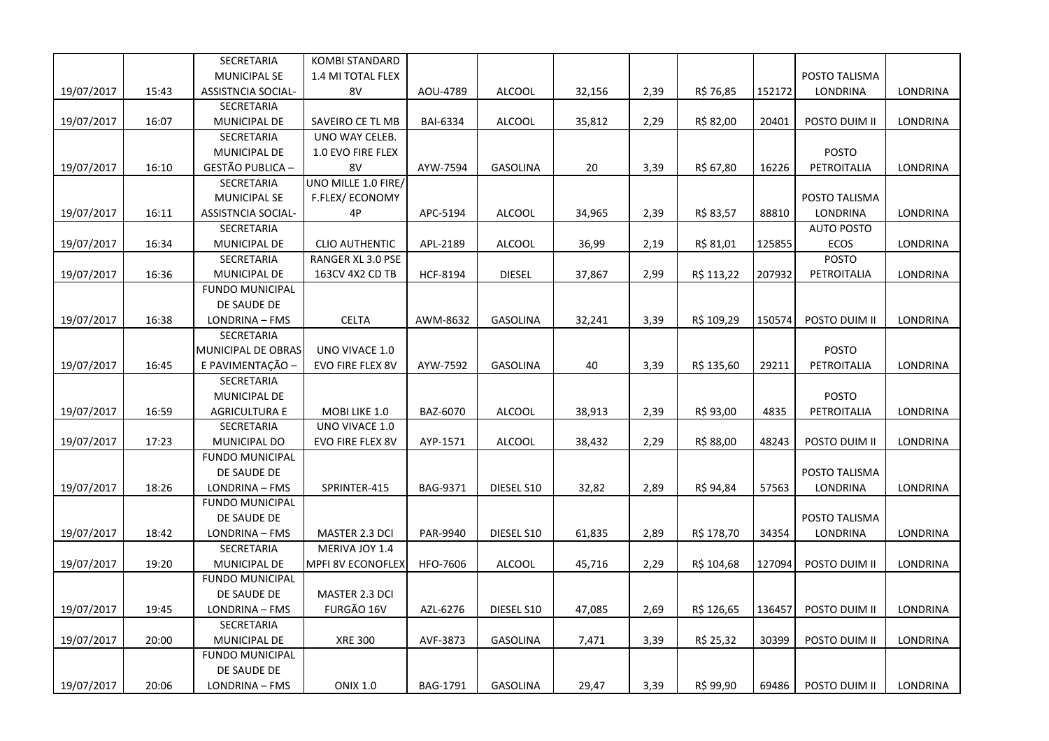|            |       | SECRETARIA                | <b>KOMBI STANDARD</b>    |                 |                 |        |      |            |        |                   |                 |
|------------|-------|---------------------------|--------------------------|-----------------|-----------------|--------|------|------------|--------|-------------------|-----------------|
|            |       | <b>MUNICIPAL SE</b>       | 1.4 MI TOTAL FLEX        |                 |                 |        |      |            |        | POSTO TALISMA     |                 |
| 19/07/2017 | 15:43 | <b>ASSISTNCIA SOCIAL-</b> | 8V                       | AOU-4789        | <b>ALCOOL</b>   | 32,156 | 2,39 | R\$ 76,85  | 152172 | <b>LONDRINA</b>   | LONDRINA        |
|            |       | SECRETARIA                |                          |                 |                 |        |      |            |        |                   |                 |
| 19/07/2017 | 16:07 | MUNICIPAL DE              | SAVEIRO CE TL MB         | <b>BAI-6334</b> | <b>ALCOOL</b>   | 35,812 | 2,29 | R\$ 82,00  | 20401  | POSTO DUIM II     | <b>LONDRINA</b> |
|            |       | SECRETARIA                | UNO WAY CELEB.           |                 |                 |        |      |            |        |                   |                 |
|            |       | MUNICIPAL DE              | 1.0 EVO FIRE FLEX        |                 |                 |        |      |            |        | <b>POSTO</b>      |                 |
| 19/07/2017 | 16:10 | <b>GESTÃO PUBLICA -</b>   | 8V                       | AYW-7594        | <b>GASOLINA</b> | 20     | 3,39 | R\$ 67,80  | 16226  | PETROITALIA       | LONDRINA        |
|            |       | SECRETARIA                | UNO MILLE 1.0 FIRE/      |                 |                 |        |      |            |        |                   |                 |
|            |       | <b>MUNICIPAL SE</b>       | F.FLEX/ECONOMY           |                 |                 |        |      |            |        | POSTO TALISMA     |                 |
| 19/07/2017 | 16:11 | <b>ASSISTNCIA SOCIAL-</b> | 4P                       | APC-5194        | <b>ALCOOL</b>   | 34,965 | 2,39 | R\$ 83,57  | 88810  | LONDRINA          | LONDRINA        |
|            |       | SECRETARIA                |                          |                 |                 |        |      |            |        | <b>AUTO POSTO</b> |                 |
| 19/07/2017 | 16:34 | MUNICIPAL DE              | <b>CLIO AUTHENTIC</b>    | APL-2189        | <b>ALCOOL</b>   | 36,99  | 2,19 | R\$ 81,01  | 125855 | <b>ECOS</b>       | LONDRINA        |
|            |       | SECRETARIA                | <b>RANGER XL 3.0 PSE</b> |                 |                 |        |      |            |        | <b>POSTO</b>      |                 |
| 19/07/2017 | 16:36 | MUNICIPAL DE              | 163CV 4X2 CD TB          | <b>HCF-8194</b> | <b>DIESEL</b>   | 37,867 | 2,99 | R\$ 113,22 | 207932 | PETROITALIA       | LONDRINA        |
|            |       | <b>FUNDO MUNICIPAL</b>    |                          |                 |                 |        |      |            |        |                   |                 |
|            |       | DE SAUDE DE               |                          |                 |                 |        |      |            |        |                   |                 |
| 19/07/2017 | 16:38 | LONDRINA - FMS            | <b>CELTA</b>             | AWM-8632        | <b>GASOLINA</b> | 32,241 | 3,39 | R\$ 109,29 | 150574 | POSTO DUIM II     | <b>LONDRINA</b> |
|            |       | <b>SECRETARIA</b>         |                          |                 |                 |        |      |            |        |                   |                 |
|            |       | MUNICIPAL DE OBRAS        | UNO VIVACE 1.0           |                 |                 |        |      |            |        | <b>POSTO</b>      |                 |
| 19/07/2017 | 16:45 | E PAVIMENTAÇÃO -          | EVO FIRE FLEX 8V         | AYW-7592        | <b>GASOLINA</b> | 40     | 3,39 | R\$ 135,60 | 29211  | PETROITALIA       | LONDRINA        |
|            |       | SECRETARIA                |                          |                 |                 |        |      |            |        |                   |                 |
|            |       | MUNICIPAL DE              |                          |                 |                 |        |      |            |        | <b>POSTO</b>      |                 |
| 19/07/2017 | 16:59 | <b>AGRICULTURA E</b>      | MOBI LIKE 1.0            | BAZ-6070        | <b>ALCOOL</b>   | 38,913 | 2,39 | R\$ 93,00  | 4835   | PETROITALIA       | LONDRINA        |
|            |       | SECRETARIA                | UNO VIVACE 1.0           |                 |                 |        |      |            |        |                   |                 |
| 19/07/2017 | 17:23 | MUNICIPAL DO              | EVO FIRE FLEX 8V         | AYP-1571        | <b>ALCOOL</b>   | 38,432 | 2,29 | R\$ 88,00  | 48243  | POSTO DUIM II     | LONDRINA        |
|            |       | <b>FUNDO MUNICIPAL</b>    |                          |                 |                 |        |      |            |        |                   |                 |
|            |       | DE SAUDE DE               |                          |                 |                 |        |      |            |        | POSTO TALISMA     |                 |
| 19/07/2017 | 18:26 | LONDRINA - FMS            | SPRINTER-415             | BAG-9371        | DIESEL S10      | 32,82  | 2,89 | R\$ 94,84  | 57563  | <b>LONDRINA</b>   | LONDRINA        |
|            |       | <b>FUNDO MUNICIPAL</b>    |                          |                 |                 |        |      |            |        |                   |                 |
|            |       | DE SAUDE DE               |                          |                 |                 |        |      |            |        | POSTO TALISMA     |                 |
| 19/07/2017 | 18:42 | LONDRINA - FMS            | MASTER 2.3 DCI           | PAR-9940        | DIESEL S10      | 61,835 | 2,89 | R\$ 178,70 | 34354  | LONDRINA          | LONDRINA        |
|            |       | SECRETARIA                | MERIVA JOY 1.4           |                 |                 |        |      |            |        |                   |                 |
| 19/07/2017 | 19:20 | <b>MUNICIPAL DE</b>       | <b>MPFI 8V ECONOFLEX</b> | HFO-7606        | <b>ALCOOL</b>   | 45,716 | 2,29 | R\$ 104,68 | 127094 | POSTO DUIM II     | <b>LONDRINA</b> |
|            |       | <b>FUNDO MUNICIPAL</b>    |                          |                 |                 |        |      |            |        |                   |                 |
|            |       | DE SAUDE DE               | MASTER 2.3 DCI           |                 |                 |        |      |            |        |                   |                 |
| 19/07/2017 | 19:45 | LONDRINA - FMS            | FURGÃO 16V               | AZL-6276        | DIESEL S10      | 47,085 | 2,69 | R\$ 126,65 | 136457 | POSTO DUIM II     | LONDRINA        |
|            |       | SECRETARIA                |                          |                 |                 |        |      |            |        |                   |                 |
| 19/07/2017 | 20:00 | <b>MUNICIPAL DE</b>       | <b>XRE 300</b>           | AVF-3873        | <b>GASOLINA</b> | 7,471  | 3,39 | R\$ 25,32  | 30399  | POSTO DUIM II     | LONDRINA        |
|            |       | <b>FUNDO MUNICIPAL</b>    |                          |                 |                 |        |      |            |        |                   |                 |
|            |       | DE SAUDE DE               |                          |                 |                 |        |      |            |        |                   |                 |
| 19/07/2017 | 20:06 | LONDRINA - FMS            | <b>ONIX 1.0</b>          | <b>BAG-1791</b> | <b>GASOLINA</b> | 29,47  | 3,39 | R\$ 99,90  | 69486  | POSTO DUIM II     | <b>LONDRINA</b> |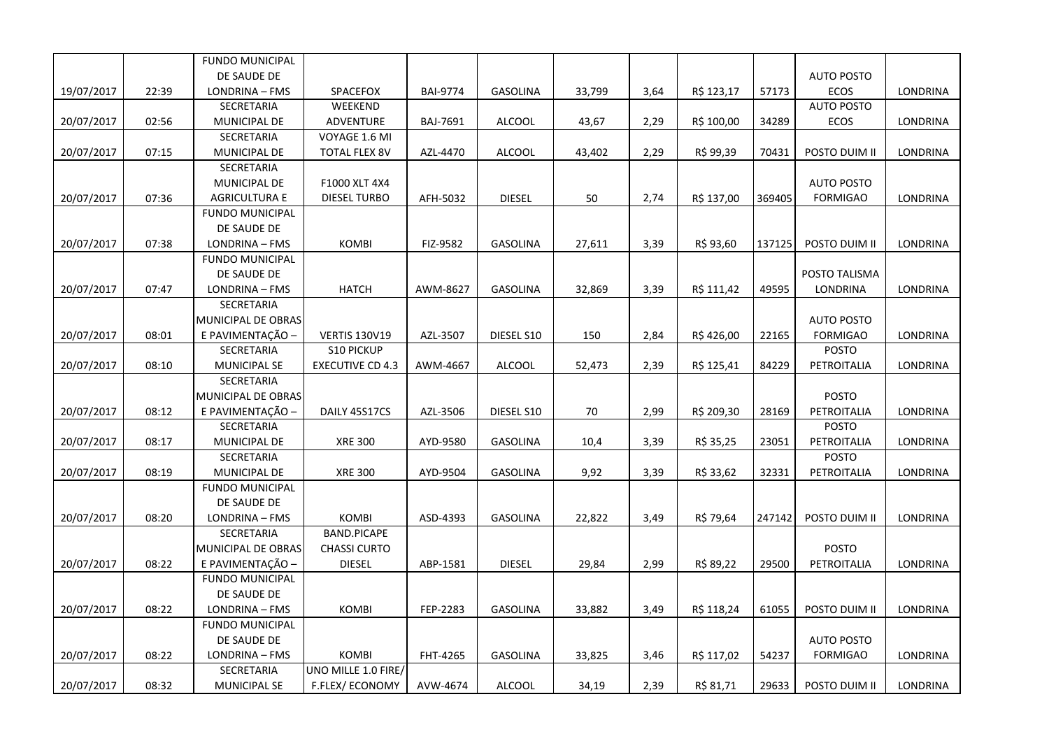|            |       | <b>FUNDO MUNICIPAL</b> |                         |                 |                 |        |      |            |        |                   |                 |
|------------|-------|------------------------|-------------------------|-----------------|-----------------|--------|------|------------|--------|-------------------|-----------------|
|            |       | DE SAUDE DE            |                         |                 |                 |        |      |            |        | <b>AUTO POSTO</b> |                 |
| 19/07/2017 | 22:39 | LONDRINA - FMS         | SPACEFOX                | <b>BAI-9774</b> | <b>GASOLINA</b> | 33,799 | 3,64 | R\$ 123,17 | 57173  | <b>ECOS</b>       | LONDRINA        |
|            |       | SECRETARIA             | WEEKEND                 |                 |                 |        |      |            |        | <b>AUTO POSTO</b> |                 |
| 20/07/2017 | 02:56 | MUNICIPAL DE           | ADVENTURE               | BAJ-7691        | <b>ALCOOL</b>   | 43,67  | 2,29 | R\$ 100,00 | 34289  | ECOS              | LONDRINA        |
|            |       | SECRETARIA             | VOYAGE 1.6 MI           |                 |                 |        |      |            |        |                   |                 |
| 20/07/2017 | 07:15 | MUNICIPAL DE           | <b>TOTAL FLEX 8V</b>    | AZL-4470        | <b>ALCOOL</b>   | 43,402 | 2,29 | R\$ 99,39  | 70431  | POSTO DUIM II     | LONDRINA        |
|            |       | SECRETARIA             |                         |                 |                 |        |      |            |        |                   |                 |
|            |       | MUNICIPAL DE           | F1000 XLT 4X4           |                 |                 |        |      |            |        | <b>AUTO POSTO</b> |                 |
| 20/07/2017 | 07:36 | <b>AGRICULTURA E</b>   | DIESEL TURBO            | AFH-5032        | <b>DIESEL</b>   | 50     | 2,74 | R\$ 137,00 | 369405 | <b>FORMIGAO</b>   | LONDRINA        |
|            |       | <b>FUNDO MUNICIPAL</b> |                         |                 |                 |        |      |            |        |                   |                 |
|            |       | DE SAUDE DE            |                         |                 |                 |        |      |            |        |                   |                 |
| 20/07/2017 | 07:38 | LONDRINA - FMS         | KOMBI                   | FIZ-9582        | <b>GASOLINA</b> | 27,611 | 3,39 | R\$ 93,60  | 137125 | POSTO DUIM II     | <b>LONDRINA</b> |
|            |       | <b>FUNDO MUNICIPAL</b> |                         |                 |                 |        |      |            |        |                   |                 |
|            |       | DE SAUDE DE            |                         |                 |                 |        |      |            |        | POSTO TALISMA     |                 |
| 20/07/2017 | 07:47 | LONDRINA - FMS         | <b>HATCH</b>            | AWM-8627        | <b>GASOLINA</b> | 32,869 | 3,39 | R\$ 111,42 | 49595  | LONDRINA          | <b>LONDRINA</b> |
|            |       | SECRETARIA             |                         |                 |                 |        |      |            |        |                   |                 |
|            |       | MUNICIPAL DE OBRAS     |                         |                 |                 |        |      |            |        | <b>AUTO POSTO</b> |                 |
| 20/07/2017 | 08:01 | E PAVIMENTAÇÃO -       | <b>VERTIS 130V19</b>    | AZL-3507        | DIESEL S10      | 150    | 2,84 | R\$426,00  | 22165  | <b>FORMIGAO</b>   | LONDRINA        |
|            |       | SECRETARIA             | <b>S10 PICKUP</b>       |                 |                 |        |      |            |        | <b>POSTO</b>      |                 |
| 20/07/2017 | 08:10 | <b>MUNICIPAL SE</b>    | <b>EXECUTIVE CD 4.3</b> | AWM-4667        | <b>ALCOOL</b>   | 52,473 | 2,39 | R\$ 125,41 | 84229  | PETROITALIA       | LONDRINA        |
|            |       | SECRETARIA             |                         |                 |                 |        |      |            |        |                   |                 |
|            |       | MUNICIPAL DE OBRAS     |                         |                 |                 |        |      |            |        | <b>POSTO</b>      |                 |
| 20/07/2017 | 08:12 | E PAVIMENTAÇÃO -       | DAILY 45S17CS           | AZL-3506        | DIESEL S10      | 70     | 2,99 | R\$ 209,30 | 28169  | PETROITALIA       | LONDRINA        |
|            |       | SECRETARIA             |                         |                 |                 |        |      |            |        | <b>POSTO</b>      |                 |
| 20/07/2017 | 08:17 | MUNICIPAL DE           | <b>XRE 300</b>          | AYD-9580        | GASOLINA        | 10,4   | 3,39 | R\$ 35,25  | 23051  | PETROITALIA       | LONDRINA        |
|            |       | SECRETARIA             |                         |                 |                 |        |      |            |        | <b>POSTO</b>      |                 |
| 20/07/2017 | 08:19 | MUNICIPAL DE           | <b>XRE 300</b>          | AYD-9504        | <b>GASOLINA</b> | 9,92   | 3,39 | R\$ 33,62  | 32331  | PETROITALIA       | LONDRINA        |
|            |       | <b>FUNDO MUNICIPAL</b> |                         |                 |                 |        |      |            |        |                   |                 |
|            |       | DE SAUDE DE            |                         |                 |                 |        |      |            |        |                   |                 |
| 20/07/2017 | 08:20 | LONDRINA - FMS         | <b>KOMBI</b>            | ASD-4393        | GASOLINA        | 22,822 | 3,49 | R\$ 79,64  | 247142 | POSTO DUIM II     | <b>LONDRINA</b> |
|            |       | SECRETARIA             | <b>BAND.PICAPE</b>      |                 |                 |        |      |            |        |                   |                 |
|            |       | MUNICIPAL DE OBRAS     | <b>CHASSI CURTO</b>     |                 |                 |        |      |            |        | <b>POSTO</b>      |                 |
| 20/07/2017 | 08:22 | E PAVIMENTAÇÃO -       | <b>DIESEL</b>           | ABP-1581        | <b>DIESEL</b>   | 29,84  | 2,99 | R\$ 89,22  | 29500  | PETROITALIA       | <b>LONDRINA</b> |
|            |       | <b>FUNDO MUNICIPAL</b> |                         |                 |                 |        |      |            |        |                   |                 |
|            |       | DE SAUDE DE            |                         |                 |                 |        |      |            |        |                   |                 |
| 20/07/2017 | 08:22 | LONDRINA - FMS         | <b>KOMBI</b>            | FEP-2283        | <b>GASOLINA</b> | 33,882 | 3,49 | R\$ 118,24 | 61055  | POSTO DUIM II     | LONDRINA        |
|            |       | <b>FUNDO MUNICIPAL</b> |                         |                 |                 |        |      |            |        |                   |                 |
|            |       | DE SAUDE DE            |                         |                 |                 |        |      |            |        | <b>AUTO POSTO</b> |                 |
| 20/07/2017 | 08:22 | LONDRINA - FMS         | KOMBI                   | FHT-4265        | <b>GASOLINA</b> | 33,825 | 3,46 | R\$ 117,02 | 54237  | <b>FORMIGAO</b>   | LONDRINA        |
|            |       | SECRETARIA             | UNO MILLE 1.0 FIRE/     |                 |                 |        |      |            |        |                   |                 |
| 20/07/2017 | 08:32 | <b>MUNICIPAL SE</b>    | <b>F.FLEX/ECONOMY</b>   | AVW-4674        | <b>ALCOOL</b>   | 34,19  | 2,39 | R\$ 81,71  | 29633  | POSTO DUIM II     | LONDRINA        |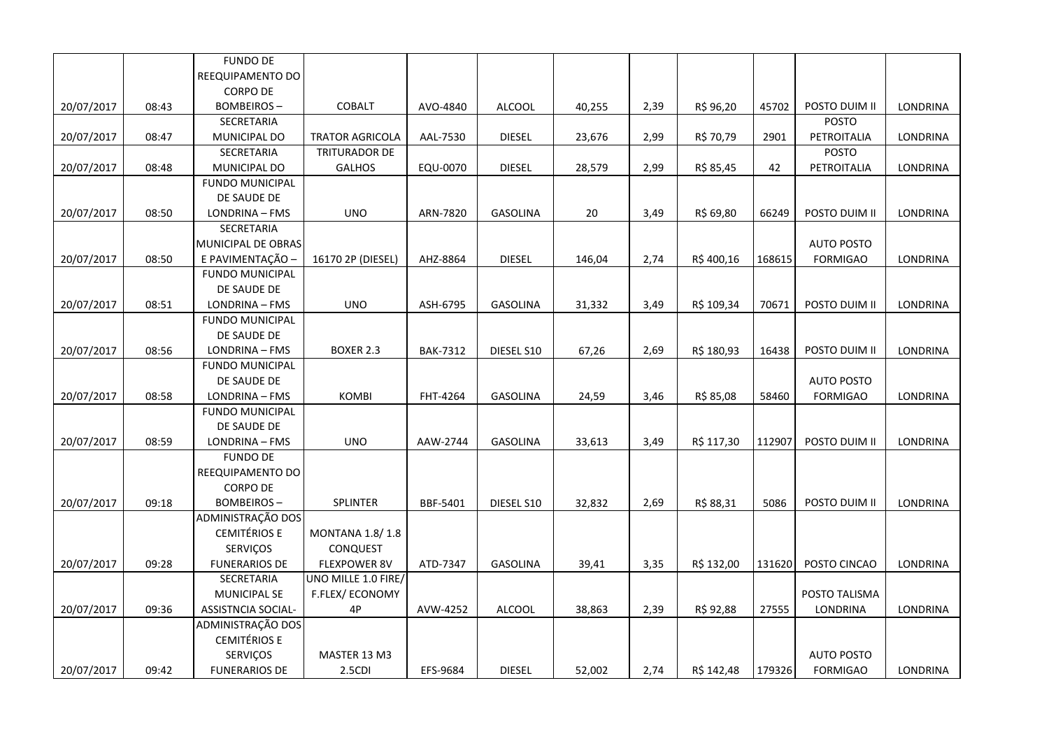|            |       | <b>FUNDO DE</b>           |                        |                 |                 |        |      |            |        |                   |                 |
|------------|-------|---------------------------|------------------------|-----------------|-----------------|--------|------|------------|--------|-------------------|-----------------|
|            |       | REEQUIPAMENTO DO          |                        |                 |                 |        |      |            |        |                   |                 |
|            |       | <b>CORPO DE</b>           |                        |                 |                 |        |      |            |        |                   |                 |
| 20/07/2017 | 08:43 | <b>BOMBEIROS-</b>         | COBALT                 | AVO-4840        | <b>ALCOOL</b>   | 40,255 | 2,39 | R\$ 96,20  | 45702  | POSTO DUIM II     | LONDRINA        |
|            |       | SECRETARIA                |                        |                 |                 |        |      |            |        | <b>POSTO</b>      |                 |
| 20/07/2017 | 08:47 | MUNICIPAL DO              | <b>TRATOR AGRICOLA</b> | AAL-7530        | <b>DIESEL</b>   | 23,676 | 2,99 | R\$ 70,79  | 2901   | PETROITALIA       | LONDRINA        |
|            |       | SECRETARIA                | TRITURADOR DE          |                 |                 |        |      |            |        | <b>POSTO</b>      |                 |
| 20/07/2017 | 08:48 | MUNICIPAL DO              | <b>GALHOS</b>          | EQU-0070        | <b>DIESEL</b>   | 28,579 | 2,99 | R\$ 85,45  | 42     | PETROITALIA       | LONDRINA        |
|            |       | <b>FUNDO MUNICIPAL</b>    |                        |                 |                 |        |      |            |        |                   |                 |
|            |       | DE SAUDE DE               |                        |                 |                 |        |      |            |        |                   |                 |
| 20/07/2017 | 08:50 | LONDRINA - FMS            | <b>UNO</b>             | ARN-7820        | <b>GASOLINA</b> | 20     | 3,49 | R\$ 69,80  | 66249  | POSTO DUIM II     | LONDRINA        |
|            |       | SECRETARIA                |                        |                 |                 |        |      |            |        |                   |                 |
|            |       | MUNICIPAL DE OBRAS        |                        |                 |                 |        |      |            |        | <b>AUTO POSTO</b> |                 |
| 20/07/2017 | 08:50 | E PAVIMENTAÇÃO            | 16170 2P (DIESEL)      | AHZ-8864        | <b>DIESEL</b>   | 146,04 | 2,74 | R\$400,16  | 168615 | <b>FORMIGAO</b>   | LONDRINA        |
|            |       | <b>FUNDO MUNICIPAL</b>    |                        |                 |                 |        |      |            |        |                   |                 |
|            |       | DE SAUDE DE               |                        |                 |                 |        |      |            |        |                   |                 |
| 20/07/2017 | 08:51 | LONDRINA - FMS            | <b>UNO</b>             | ASH-6795        | <b>GASOLINA</b> | 31,332 | 3,49 | R\$ 109,34 | 70671  | POSTO DUIM II     | <b>LONDRINA</b> |
|            |       | <b>FUNDO MUNICIPAL</b>    |                        |                 |                 |        |      |            |        |                   |                 |
|            |       | DE SAUDE DE               |                        |                 |                 |        |      |            |        |                   |                 |
| 20/07/2017 | 08:56 | LONDRINA - FMS            | <b>BOXER 2.3</b>       | <b>BAK-7312</b> | DIESEL S10      | 67,26  | 2,69 | R\$ 180,93 | 16438  | POSTO DUIM II     | LONDRINA        |
|            |       | <b>FUNDO MUNICIPAL</b>    |                        |                 |                 |        |      |            |        |                   |                 |
|            |       | DE SAUDE DE               |                        |                 |                 |        |      |            |        | <b>AUTO POSTO</b> |                 |
| 20/07/2017 | 08:58 | LONDRINA - FMS            | <b>KOMBI</b>           | FHT-4264        | GASOLINA        | 24,59  | 3,46 | R\$ 85,08  | 58460  | <b>FORMIGAO</b>   | LONDRINA        |
|            |       | <b>FUNDO MUNICIPAL</b>    |                        |                 |                 |        |      |            |        |                   |                 |
|            |       | DE SAUDE DE               |                        |                 |                 |        |      |            |        |                   |                 |
| 20/07/2017 | 08:59 | LONDRINA - FMS            | <b>UNO</b>             | AAW-2744        | <b>GASOLINA</b> | 33,613 | 3,49 | R\$ 117,30 | 112907 | POSTO DUIM II     | LONDRINA        |
|            |       | <b>FUNDO DE</b>           |                        |                 |                 |        |      |            |        |                   |                 |
|            |       | REEQUIPAMENTO DO          |                        |                 |                 |        |      |            |        |                   |                 |
|            |       | <b>CORPO DE</b>           |                        |                 |                 |        |      |            |        |                   |                 |
| 20/07/2017 | 09:18 | <b>BOMBEIROS-</b>         | SPLINTER               | BBF-5401        | DIESEL S10      | 32,832 | 2,69 | R\$ 88,31  | 5086   | POSTO DUIM II     | <b>LONDRINA</b> |
|            |       | ADMINISTRAÇÃO DOS         |                        |                 |                 |        |      |            |        |                   |                 |
|            |       | <b>CEMITÉRIOS E</b>       | <b>MONTANA 1.8/1.8</b> |                 |                 |        |      |            |        |                   |                 |
|            |       | SERVIÇOS                  | CONQUEST               |                 |                 |        |      |            |        |                   |                 |
| 20/07/2017 | 09:28 | <b>FUNERARIOS DE</b>      | <b>FLEXPOWER 8V</b>    | ATD-7347        | <b>GASOLINA</b> | 39,41  | 3,35 | R\$ 132,00 | 131620 | POSTO CINCAO      | LONDRINA        |
|            |       | SECRETARIA                | UNO MILLE 1.0 FIRE/    |                 |                 |        |      |            |        |                   |                 |
|            |       | <b>MUNICIPAL SE</b>       | F.FLEX/ECONOMY         |                 |                 |        |      |            |        | POSTO TALISMA     |                 |
| 20/07/2017 | 09:36 | <b>ASSISTNCIA SOCIAL-</b> | 4P                     | AVW-4252        | <b>ALCOOL</b>   | 38,863 | 2,39 | R\$ 92,88  | 27555  | <b>LONDRINA</b>   | <b>LONDRINA</b> |
|            |       | ADMINISTRAÇÃO DOS         |                        |                 |                 |        |      |            |        |                   |                 |
|            |       | <b>CEMITÉRIOS E</b>       |                        |                 |                 |        |      |            |        |                   |                 |
|            |       | <b>SERVIÇOS</b>           | MASTER 13 M3           |                 |                 |        |      |            |        | <b>AUTO POSTO</b> |                 |
| 20/07/2017 | 09:42 | <b>FUNERARIOS DE</b>      | 2.5CDI                 | EFS-9684        | <b>DIESEL</b>   | 52,002 | 2,74 | R\$ 142,48 | 179326 | <b>FORMIGAO</b>   | <b>LONDRINA</b> |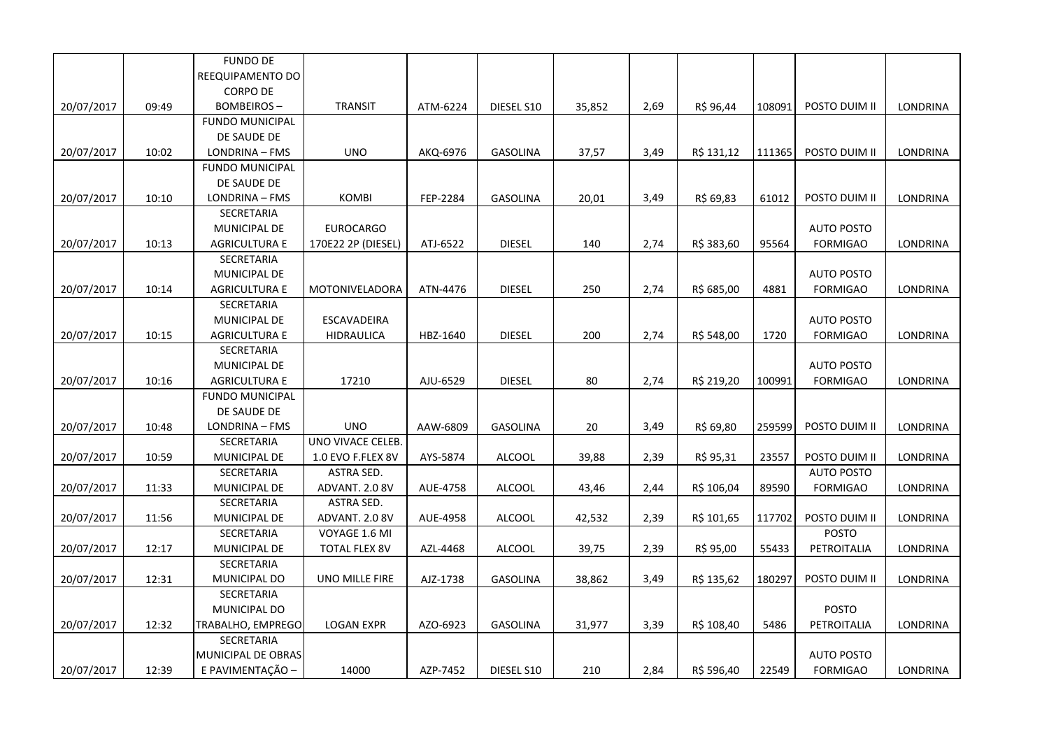|            |       | <b>FUNDO DE</b>        |                      |          |                 |        |      |            |        |                   |                 |
|------------|-------|------------------------|----------------------|----------|-----------------|--------|------|------------|--------|-------------------|-----------------|
|            |       | REEQUIPAMENTO DO       |                      |          |                 |        |      |            |        |                   |                 |
|            |       | <b>CORPO DE</b>        |                      |          |                 |        |      |            |        |                   |                 |
| 20/07/2017 | 09:49 | <b>BOMBEIROS-</b>      | <b>TRANSIT</b>       | ATM-6224 | DIESEL S10      | 35,852 | 2,69 | R\$ 96,44  | 108091 | POSTO DUIM II     | LONDRINA        |
|            |       | <b>FUNDO MUNICIPAL</b> |                      |          |                 |        |      |            |        |                   |                 |
|            |       | DE SAUDE DE            |                      |          |                 |        |      |            |        |                   |                 |
| 20/07/2017 | 10:02 | LONDRINA - FMS         | <b>UNO</b>           | AKQ-6976 | <b>GASOLINA</b> | 37,57  | 3,49 | R\$ 131,12 | 111365 | POSTO DUIM II     | LONDRINA        |
|            |       | <b>FUNDO MUNICIPAL</b> |                      |          |                 |        |      |            |        |                   |                 |
|            |       | DE SAUDE DE            |                      |          |                 |        |      |            |        |                   |                 |
| 20/07/2017 | 10:10 | LONDRINA - FMS         | <b>KOMBI</b>         | FEP-2284 | <b>GASOLINA</b> | 20,01  | 3,49 | R\$ 69,83  | 61012  | POSTO DUIM II     | LONDRINA        |
|            |       | SECRETARIA             |                      |          |                 |        |      |            |        |                   |                 |
|            |       | MUNICIPAL DE           | <b>EUROCARGO</b>     |          |                 |        |      |            |        | <b>AUTO POSTO</b> |                 |
| 20/07/2017 | 10:13 | <b>AGRICULTURA E</b>   | 170E22 2P (DIESEL)   | ATJ-6522 | <b>DIESEL</b>   | 140    | 2,74 | R\$ 383,60 | 95564  | <b>FORMIGAO</b>   | LONDRINA        |
|            |       | SECRETARIA             |                      |          |                 |        |      |            |        |                   |                 |
|            |       | MUNICIPAL DE           |                      |          |                 |        |      |            |        | <b>AUTO POSTO</b> |                 |
| 20/07/2017 | 10:14 | <b>AGRICULTURA E</b>   | MOTONIVELADORA       | ATN-4476 | <b>DIESEL</b>   | 250    | 2,74 | R\$ 685,00 | 4881   | <b>FORMIGAO</b>   | <b>LONDRINA</b> |
|            |       | SECRETARIA             |                      |          |                 |        |      |            |        |                   |                 |
|            |       | MUNICIPAL DE           | <b>ESCAVADEIRA</b>   |          |                 |        |      |            |        | <b>AUTO POSTO</b> |                 |
| 20/07/2017 | 10:15 | <b>AGRICULTURA E</b>   | <b>HIDRAULICA</b>    | HBZ-1640 | <b>DIESEL</b>   | 200    | 2,74 | R\$ 548,00 | 1720   | <b>FORMIGAO</b>   | LONDRINA        |
|            |       | SECRETARIA             |                      |          |                 |        |      |            |        |                   |                 |
|            |       | MUNICIPAL DE           |                      |          |                 |        |      |            |        | <b>AUTO POSTO</b> |                 |
| 20/07/2017 | 10:16 | <b>AGRICULTURA E</b>   | 17210                | AJU-6529 | <b>DIESEL</b>   | 80     | 2,74 | R\$ 219,20 | 100991 | <b>FORMIGAO</b>   | LONDRINA        |
|            |       | <b>FUNDO MUNICIPAL</b> |                      |          |                 |        |      |            |        |                   |                 |
|            |       | DE SAUDE DE            |                      |          |                 |        |      |            |        |                   |                 |
| 20/07/2017 | 10:48 | LONDRINA - FMS         | <b>UNO</b>           | AAW-6809 | <b>GASOLINA</b> | 20     | 3,49 | R\$ 69,80  | 259599 | POSTO DUIM II     | LONDRINA        |
|            |       | SECRETARIA             | UNO VIVACE CELEB.    |          |                 |        |      |            |        |                   |                 |
| 20/07/2017 | 10:59 | MUNICIPAL DE           | 1.0 EVO F.FLEX 8V    | AYS-5874 | ALCOOL          | 39,88  | 2,39 | R\$ 95,31  | 23557  | POSTO DUIM II     | LONDRINA        |
|            |       | SECRETARIA             | ASTRA SED.           |          |                 |        |      |            |        | <b>AUTO POSTO</b> |                 |
| 20/07/2017 | 11:33 | MUNICIPAL DE           | ADVANT. 2.0 8V       | AUE-4758 | <b>ALCOOL</b>   | 43,46  | 2,44 | R\$ 106,04 | 89590  | <b>FORMIGAO</b>   | <b>LONDRINA</b> |
|            |       | SECRETARIA             | ASTRA SED.           |          |                 |        |      |            |        |                   |                 |
| 20/07/2017 | 11:56 | MUNICIPAL DE           | ADVANT. 2.0 8V       | AUE-4958 | <b>ALCOOL</b>   | 42,532 | 2,39 | R\$ 101,65 | 117702 | POSTO DUIM II     | LONDRINA        |
|            |       | SECRETARIA             | VOYAGE 1.6 MI        |          |                 |        |      |            |        | <b>POSTO</b>      |                 |
| 20/07/2017 | 12:17 | MUNICIPAL DE           | <b>TOTAL FLEX 8V</b> | AZL-4468 | <b>ALCOOL</b>   | 39,75  | 2,39 | R\$ 95,00  | 55433  | PETROITALIA       | LONDRINA        |
|            |       | <b>SECRETARIA</b>      |                      |          |                 |        |      |            |        |                   |                 |
| 20/07/2017 | 12:31 | MUNICIPAL DO           | UNO MILLE FIRE       | AJZ-1738 | <b>GASOLINA</b> | 38,862 | 3,49 | R\$ 135,62 | 180297 | POSTO DUIM II     | LONDRINA        |
|            |       | SECRETARIA             |                      |          |                 |        |      |            |        |                   |                 |
|            |       | MUNICIPAL DO           |                      |          |                 |        |      |            |        | <b>POSTO</b>      |                 |
| 20/07/2017 | 12:32 | TRABALHO, EMPREGO      | <b>LOGAN EXPR</b>    | AZO-6923 | <b>GASOLINA</b> | 31,977 | 3,39 | R\$ 108,40 | 5486   | PETROITALIA       | <b>LONDRINA</b> |
|            |       | SECRETARIA             |                      |          |                 |        |      |            |        |                   |                 |
|            |       | MUNICIPAL DE OBRAS     |                      |          |                 |        |      |            |        | <b>AUTO POSTO</b> |                 |
| 20/07/2017 | 12:39 | E PAVIMENTAÇÃO -       | 14000                | AZP-7452 | DIESEL S10      | 210    | 2,84 | R\$ 596,40 | 22549  | <b>FORMIGAO</b>   | <b>LONDRINA</b> |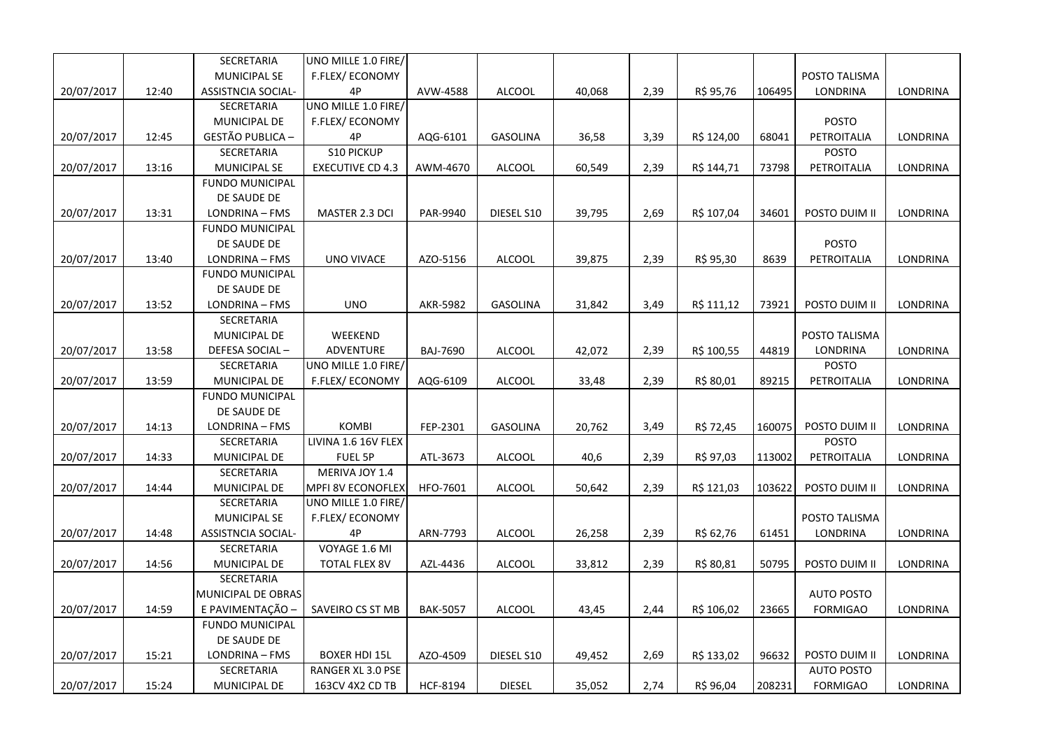|            |       | SECRETARIA                | UNO MILLE 1.0 FIRE/     |                 |                 |        |      |            |        |                   |          |
|------------|-------|---------------------------|-------------------------|-----------------|-----------------|--------|------|------------|--------|-------------------|----------|
|            |       | <b>MUNICIPAL SE</b>       | F.FLEX/ECONOMY          |                 |                 |        |      |            |        | POSTO TALISMA     |          |
| 20/07/2017 | 12:40 | <b>ASSISTNCIA SOCIAL-</b> | 4P                      | AVW-4588        | <b>ALCOOL</b>   | 40,068 | 2,39 | R\$ 95,76  | 106495 | LONDRINA          | LONDRINA |
|            |       | SECRETARIA                | UNO MILLE 1.0 FIRE/     |                 |                 |        |      |            |        |                   |          |
|            |       | MUNICIPAL DE              | F.FLEX/ECONOMY          |                 |                 |        |      |            |        | <b>POSTO</b>      |          |
| 20/07/2017 | 12:45 | GESTÃO PUBLICA -          | 4P                      | AQG-6101        | <b>GASOLINA</b> | 36,58  | 3,39 | R\$ 124,00 | 68041  | PETROITALIA       | LONDRINA |
|            |       | SECRETARIA                | S10 PICKUP              |                 |                 |        |      |            |        | <b>POSTO</b>      |          |
| 20/07/2017 | 13:16 | <b>MUNICIPAL SE</b>       | <b>EXECUTIVE CD 4.3</b> | AWM-4670        | <b>ALCOOL</b>   | 60,549 | 2,39 | R\$ 144,71 | 73798  | PETROITALIA       | LONDRINA |
|            |       | <b>FUNDO MUNICIPAL</b>    |                         |                 |                 |        |      |            |        |                   |          |
|            |       | DE SAUDE DE               |                         |                 |                 |        |      |            |        |                   |          |
| 20/07/2017 | 13:31 | LONDRINA - FMS            | MASTER 2.3 DCI          | PAR-9940        | DIESEL S10      | 39,795 | 2,69 | R\$ 107,04 | 34601  | POSTO DUIM II     | LONDRINA |
|            |       | <b>FUNDO MUNICIPAL</b>    |                         |                 |                 |        |      |            |        |                   |          |
|            |       | DE SAUDE DE               |                         |                 |                 |        |      |            |        | <b>POSTO</b>      |          |
| 20/07/2017 | 13:40 | LONDRINA - FMS            | <b>UNO VIVACE</b>       | AZO-5156        | <b>ALCOOL</b>   | 39,875 | 2,39 | R\$ 95,30  | 8639   | PETROITALIA       | LONDRINA |
|            |       | <b>FUNDO MUNICIPAL</b>    |                         |                 |                 |        |      |            |        |                   |          |
|            |       | DE SAUDE DE               |                         |                 |                 |        |      |            |        |                   |          |
| 20/07/2017 | 13:52 | LONDRINA - FMS            | <b>UNO</b>              | AKR-5982        | <b>GASOLINA</b> | 31,842 | 3,49 | R\$ 111,12 | 73921  | POSTO DUIM II     | LONDRINA |
|            |       | <b>SECRETARIA</b>         |                         |                 |                 |        |      |            |        |                   |          |
|            |       | <b>MUNICIPAL DE</b>       | WEEKEND                 |                 |                 |        |      |            |        | POSTO TALISMA     |          |
| 20/07/2017 | 13:58 | DEFESA SOCIAL-            | ADVENTURE               | <b>BAJ-7690</b> | <b>ALCOOL</b>   | 42,072 | 2,39 | R\$ 100,55 | 44819  | LONDRINA          | LONDRINA |
|            |       | SECRETARIA                | UNO MILLE 1.0 FIRE/     |                 |                 |        |      |            |        | <b>POSTO</b>      |          |
| 20/07/2017 | 13:59 | MUNICIPAL DE              | F.FLEX/ECONOMY          | AQG-6109        | <b>ALCOOL</b>   | 33,48  | 2,39 | R\$ 80,01  | 89215  | PETROITALIA       | LONDRINA |
|            |       | <b>FUNDO MUNICIPAL</b>    |                         |                 |                 |        |      |            |        |                   |          |
|            |       | DE SAUDE DE               |                         |                 |                 |        |      |            |        |                   |          |
| 20/07/2017 | 14:13 | LONDRINA - FMS            | <b>KOMBI</b>            | FEP-2301        | <b>GASOLINA</b> | 20,762 | 3,49 | R\$ 72,45  | 160075 | POSTO DUIM II     | LONDRINA |
|            |       | SECRETARIA                | LIVINA 1.6 16V FLEX     |                 |                 |        |      |            |        | <b>POSTO</b>      |          |
| 20/07/2017 | 14:33 | MUNICIPAL DE              | FUEL 5P                 | ATL-3673        | <b>ALCOOL</b>   | 40,6   | 2,39 | R\$ 97,03  | 113002 | PETROITALIA       | LONDRINA |
|            |       | SECRETARIA                | MERIVA JOY 1.4          |                 |                 |        |      |            |        |                   |          |
| 20/07/2017 | 14:44 | MUNICIPAL DE              | MPFI 8V ECONOFLEX       | HFO-7601        | ALCOOL          | 50,642 | 2,39 | R\$ 121,03 | 103622 | POSTO DUIM II     | LONDRINA |
|            |       | SECRETARIA                | UNO MILLE 1.0 FIRE/     |                 |                 |        |      |            |        |                   |          |
|            |       | <b>MUNICIPAL SE</b>       | F.FLEX/ECONOMY          |                 |                 |        |      |            |        | POSTO TALISMA     |          |
| 20/07/2017 | 14:48 | ASSISTNCIA SOCIAL-        | 4P                      | ARN-7793        | <b>ALCOOL</b>   | 26,258 | 2,39 | R\$ 62,76  | 61451  | LONDRINA          | LONDRINA |
|            |       | <b>SECRETARIA</b>         | VOYAGE 1.6 MI           |                 |                 |        |      |            |        |                   |          |
| 20/07/2017 | 14:56 | MUNICIPAL DE              | <b>TOTAL FLEX 8V</b>    | AZL-4436        | <b>ALCOOL</b>   | 33,812 | 2,39 | R\$ 80,81  | 50795  | POSTO DUIM II     | LONDRINA |
|            |       | SECRETARIA                |                         |                 |                 |        |      |            |        |                   |          |
|            |       | MUNICIPAL DE OBRAS        |                         |                 |                 |        |      |            |        | <b>AUTO POSTO</b> |          |
| 20/07/2017 | 14:59 | E PAVIMENTAÇÃO -          | SAVEIRO CS ST MB        | <b>BAK-5057</b> | <b>ALCOOL</b>   | 43,45  | 2,44 | R\$ 106,02 | 23665  | <b>FORMIGAO</b>   | LONDRINA |
|            |       | <b>FUNDO MUNICIPAL</b>    |                         |                 |                 |        |      |            |        |                   |          |
|            |       | DE SAUDE DE               |                         |                 |                 |        |      |            |        |                   |          |
| 20/07/2017 | 15:21 | LONDRINA - FMS            | <b>BOXER HDI 15L</b>    | AZO-4509        | DIESEL S10      | 49,452 | 2,69 | R\$ 133,02 | 96632  | POSTO DUIM II     | LONDRINA |
|            |       | SECRETARIA                | RANGER XL 3.0 PSE       |                 |                 |        |      |            |        | <b>AUTO POSTO</b> |          |
| 20/07/2017 | 15:24 | MUNICIPAL DE              | 163CV 4X2 CD TB         | HCF-8194        | <b>DIESEL</b>   | 35,052 | 2,74 | R\$ 96,04  | 208231 | <b>FORMIGAO</b>   | LONDRINA |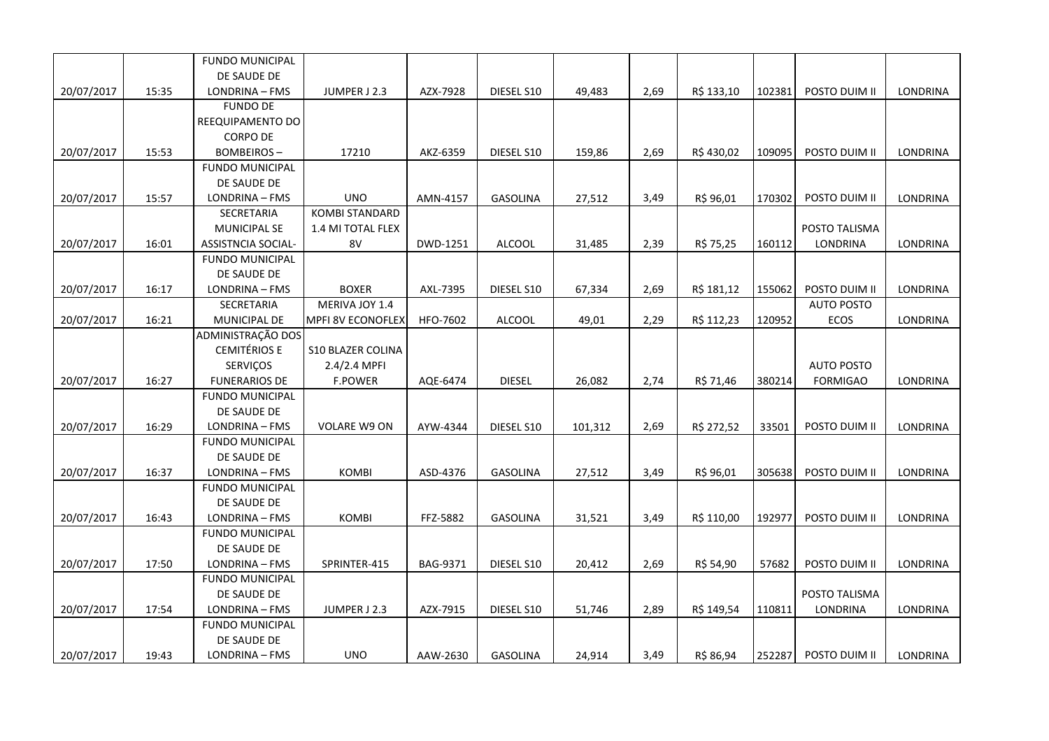|            |       | FUNDO MUNICIPAL           |                          |          |                 |         |      |            |        |                   |                 |
|------------|-------|---------------------------|--------------------------|----------|-----------------|---------|------|------------|--------|-------------------|-----------------|
|            |       | DE SAUDE DE               |                          |          |                 |         |      |            |        |                   |                 |
| 20/07/2017 | 15:35 | LONDRINA - FMS            | JUMPER J 2.3             | AZX-7928 | DIESEL S10      | 49,483  | 2,69 | R\$ 133,10 | 102381 | POSTO DUIM II     | LONDRINA        |
|            |       | <b>FUNDO DE</b>           |                          |          |                 |         |      |            |        |                   |                 |
|            |       | REEQUIPAMENTO DO          |                          |          |                 |         |      |            |        |                   |                 |
|            |       | <b>CORPO DE</b>           |                          |          |                 |         |      |            |        |                   |                 |
| 20/07/2017 | 15:53 | <b>BOMBEIROS-</b>         | 17210                    | AKZ-6359 | DIESEL S10      | 159,86  | 2,69 | R\$430,02  | 109095 | POSTO DUIM II     | LONDRINA        |
|            |       | <b>FUNDO MUNICIPAL</b>    |                          |          |                 |         |      |            |        |                   |                 |
|            |       | DE SAUDE DE               |                          |          |                 |         |      |            |        |                   |                 |
| 20/07/2017 | 15:57 | LONDRINA - FMS            | <b>UNO</b>               | AMN-4157 | GASOLINA        | 27,512  | 3,49 | R\$ 96,01  | 170302 | POSTO DUIM II     | LONDRINA        |
|            |       | SECRETARIA                | <b>KOMBI STANDARD</b>    |          |                 |         |      |            |        |                   |                 |
|            |       | <b>MUNICIPAL SE</b>       | 1.4 MI TOTAL FLEX        |          |                 |         |      |            |        | POSTO TALISMA     |                 |
| 20/07/2017 | 16:01 | <b>ASSISTNCIA SOCIAL-</b> | 8V                       | DWD-1251 | ALCOOL          | 31,485  | 2,39 | R\$ 75,25  | 160112 | LONDRINA          | LONDRINA        |
|            |       | <b>FUNDO MUNICIPAL</b>    |                          |          |                 |         |      |            |        |                   |                 |
|            |       | DE SAUDE DE               |                          |          |                 |         |      |            |        |                   |                 |
| 20/07/2017 | 16:17 | LONDRINA - FMS            | <b>BOXER</b>             | AXL-7395 | DIESEL S10      | 67,334  | 2,69 | R\$ 181,12 | 155062 | POSTO DUIM II     | LONDRINA        |
|            |       | SECRETARIA                | MERIVA JOY 1.4           |          |                 |         |      |            |        | <b>AUTO POSTO</b> |                 |
| 20/07/2017 | 16:21 | MUNICIPAL DE              | <b>MPFI 8V ECONOFLEX</b> | HFO-7602 | <b>ALCOOL</b>   | 49,01   | 2,29 | R\$ 112,23 | 120952 | ECOS              | <b>LONDRINA</b> |
|            |       | ADMINISTRAÇÃO DOS         |                          |          |                 |         |      |            |        |                   |                 |
|            |       | <b>CEMITÉRIOS E</b>       | <b>S10 BLAZER COLINA</b> |          |                 |         |      |            |        |                   |                 |
|            |       | SERVIÇOS                  | $2.4/2.4$ MPFI           |          |                 |         |      |            |        | <b>AUTO POSTO</b> |                 |
| 20/07/2017 | 16:27 | <b>FUNERARIOS DE</b>      | <b>F.POWER</b>           | AQE-6474 | <b>DIESEL</b>   | 26,082  | 2,74 | R\$ 71,46  | 380214 | <b>FORMIGAO</b>   | LONDRINA        |
|            |       | <b>FUNDO MUNICIPAL</b>    |                          |          |                 |         |      |            |        |                   |                 |
|            |       | DE SAUDE DE               |                          |          |                 |         |      |            |        |                   |                 |
| 20/07/2017 | 16:29 | LONDRINA - FMS            | <b>VOLARE W9 ON</b>      | AYW-4344 | DIESEL S10      | 101,312 | 2,69 | R\$ 272,52 | 33501  | POSTO DUIM II     | LONDRINA        |
|            |       | <b>FUNDO MUNICIPAL</b>    |                          |          |                 |         |      |            |        |                   |                 |
|            |       | DE SAUDE DE               |                          |          |                 |         |      |            |        |                   |                 |
| 20/07/2017 | 16:37 | LONDRINA - FMS            | <b>KOMBI</b>             | ASD-4376 | <b>GASOLINA</b> | 27,512  | 3,49 | R\$ 96,01  | 305638 | POSTO DUIM II     | LONDRINA        |
|            |       | <b>FUNDO MUNICIPAL</b>    |                          |          |                 |         |      |            |        |                   |                 |
|            |       | DE SAUDE DE               |                          |          |                 |         |      |            |        |                   |                 |
| 20/07/2017 | 16:43 | LONDRINA - FMS            | <b>KOMBI</b>             | FFZ-5882 | <b>GASOLINA</b> | 31,521  | 3,49 | R\$ 110,00 | 192977 | POSTO DUIM II     | <b>LONDRINA</b> |
|            |       | <b>FUNDO MUNICIPAL</b>    |                          |          |                 |         |      |            |        |                   |                 |
|            |       | DE SAUDE DE               |                          |          |                 |         |      |            |        |                   |                 |
| 20/07/2017 | 17:50 | LONDRINA - FMS            | SPRINTER-415             | BAG-9371 | DIESEL S10      | 20,412  | 2,69 | R\$ 54,90  | 57682  | POSTO DUIM II     | <b>LONDRINA</b> |
|            |       | <b>FUNDO MUNICIPAL</b>    |                          |          |                 |         |      |            |        |                   |                 |
|            |       | DE SAUDE DE               |                          |          |                 |         |      |            |        | POSTO TALISMA     |                 |
| 20/07/2017 | 17:54 | LONDRINA - FMS            | JUMPER J 2.3             | AZX-7915 | DIESEL S10      | 51,746  | 2,89 | R\$ 149,54 | 110811 | LONDRINA          | LONDRINA        |
|            |       | <b>FUNDO MUNICIPAL</b>    |                          |          |                 |         |      |            |        |                   |                 |
|            |       | DE SAUDE DE               |                          |          |                 |         |      |            |        |                   |                 |
| 20/07/2017 | 19:43 | LONDRINA - FMS            | <b>UNO</b>               | AAW-2630 | <b>GASOLINA</b> | 24,914  | 3,49 | R\$ 86,94  | 252287 | POSTO DUIM II     | <b>LONDRINA</b> |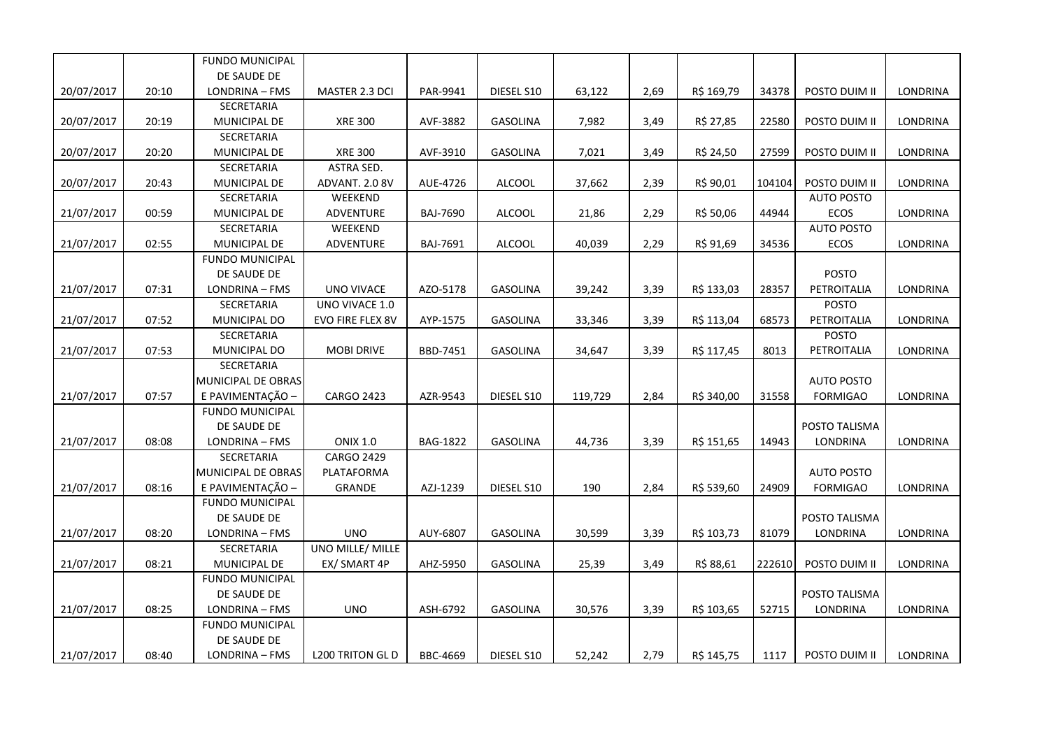|            |       | <b>FUNDO MUNICIPAL</b> |                         |                 |                 |         |      |            |        |                   |                 |
|------------|-------|------------------------|-------------------------|-----------------|-----------------|---------|------|------------|--------|-------------------|-----------------|
|            |       | DE SAUDE DE            |                         |                 |                 |         |      |            |        |                   |                 |
| 20/07/2017 | 20:10 | LONDRINA - FMS         | MASTER 2.3 DCI          | PAR-9941        | DIESEL S10      | 63,122  | 2,69 | R\$ 169,79 | 34378  | POSTO DUIM II     | LONDRINA        |
|            |       | SECRETARIA             |                         |                 |                 |         |      |            |        |                   |                 |
| 20/07/2017 | 20:19 | MUNICIPAL DE           | <b>XRE 300</b>          | AVF-3882        | GASOLINA        | 7,982   | 3,49 | R\$ 27,85  | 22580  | POSTO DUIM II     | LONDRINA        |
|            |       | SECRETARIA             |                         |                 |                 |         |      |            |        |                   |                 |
| 20/07/2017 | 20:20 | MUNICIPAL DE           | <b>XRE 300</b>          | AVF-3910        | GASOLINA        | 7,021   | 3,49 | R\$ 24,50  | 27599  | POSTO DUIM II     | LONDRINA        |
|            |       | SECRETARIA             | ASTRA SED.              |                 |                 |         |      |            |        |                   |                 |
| 20/07/2017 | 20:43 | MUNICIPAL DE           | ADVANT. 2.0 8V          | AUE-4726        | <b>ALCOOL</b>   | 37,662  | 2,39 | R\$ 90,01  | 104104 | POSTO DUIM II     | LONDRINA        |
|            |       | SECRETARIA             | WEEKEND                 |                 |                 |         |      |            |        | <b>AUTO POSTO</b> |                 |
| 21/07/2017 | 00:59 | MUNICIPAL DE           | ADVENTURE               | <b>BAJ-7690</b> | <b>ALCOOL</b>   | 21,86   | 2,29 | R\$ 50,06  | 44944  | ECOS              | LONDRINA        |
|            |       | SECRETARIA             | WEEKEND                 |                 |                 |         |      |            |        | <b>AUTO POSTO</b> |                 |
| 21/07/2017 | 02:55 | MUNICIPAL DE           | ADVENTURE               | BAJ-7691        | <b>ALCOOL</b>   | 40,039  | 2,29 | R\$ 91,69  | 34536  | ECOS              | LONDRINA        |
|            |       | <b>FUNDO MUNICIPAL</b> |                         |                 |                 |         |      |            |        |                   |                 |
|            |       | DE SAUDE DE            |                         |                 |                 |         |      |            |        | POSTO             |                 |
| 21/07/2017 | 07:31 | LONDRINA - FMS         | UNO VIVACE              | AZO-5178        | GASOLINA        | 39,242  | 3,39 | R\$ 133,03 | 28357  | PETROITALIA       | LONDRINA        |
|            |       | SECRETARIA             | UNO VIVACE 1.0          |                 |                 |         |      |            |        | <b>POSTO</b>      |                 |
| 21/07/2017 | 07:52 | MUNICIPAL DO           | EVO FIRE FLEX 8V        | AYP-1575        | GASOLINA        | 33,346  | 3,39 | R\$ 113,04 | 68573  | PETROITALIA       | LONDRINA        |
|            |       | SECRETARIA             |                         |                 |                 |         |      |            |        | <b>POSTO</b>      |                 |
| 21/07/2017 | 07:53 | MUNICIPAL DO           | <b>MOBI DRIVE</b>       | BBD-7451        | <b>GASOLINA</b> | 34,647  | 3,39 | R\$ 117,45 | 8013   | PETROITALIA       | LONDRINA        |
|            |       | SECRETARIA             |                         |                 |                 |         |      |            |        |                   |                 |
|            |       | MUNICIPAL DE OBRAS     |                         |                 |                 |         |      |            |        | <b>AUTO POSTO</b> |                 |
| 21/07/2017 | 07:57 | E PAVIMENTAÇÃO -       | <b>CARGO 2423</b>       | AZR-9543        | DIESEL S10      | 119,729 | 2,84 | R\$ 340,00 | 31558  | <b>FORMIGAO</b>   | LONDRINA        |
|            |       | <b>FUNDO MUNICIPAL</b> |                         |                 |                 |         |      |            |        |                   |                 |
|            |       | DE SAUDE DE            |                         |                 |                 |         |      |            |        | POSTO TALISMA     |                 |
| 21/07/2017 | 08:08 | LONDRINA - FMS         | <b>ONIX 1.0</b>         | <b>BAG-1822</b> | <b>GASOLINA</b> | 44,736  | 3,39 | R\$ 151,65 | 14943  | LONDRINA          | LONDRINA        |
|            |       | <b>SECRETARIA</b>      | <b>CARGO 2429</b>       |                 |                 |         |      |            |        |                   |                 |
|            |       | MUNICIPAL DE OBRAS     | PLATAFORMA              |                 |                 |         |      |            |        | <b>AUTO POSTO</b> |                 |
| 21/07/2017 | 08:16 | E PAVIMENTAÇÃO -       | GRANDE                  | AZJ-1239        | DIESEL S10      | 190     | 2,84 | R\$ 539,60 | 24909  | <b>FORMIGAO</b>   | LONDRINA        |
|            |       | <b>FUNDO MUNICIPAL</b> |                         |                 |                 |         |      |            |        |                   |                 |
|            |       | DE SAUDE DE            |                         |                 |                 |         |      |            |        | POSTO TALISMA     |                 |
| 21/07/2017 | 08:20 | LONDRINA - FMS         | <b>UNO</b>              | AUY-6807        | GASOLINA        | 30,599  | 3,39 | R\$ 103,73 | 81079  | <b>LONDRINA</b>   | <b>LONDRINA</b> |
|            |       | SECRETARIA             | UNO MILLE/ MILLE        |                 |                 |         |      |            |        |                   |                 |
| 21/07/2017 | 08:21 | MUNICIPAL DE           | EX/ SMART 4P            | AHZ-5950        | GASOLINA        | 25,39   | 3,49 | R\$ 88,61  | 222610 | POSTO DUIM II     | LONDRINA        |
|            |       | <b>FUNDO MUNICIPAL</b> |                         |                 |                 |         |      |            |        |                   |                 |
|            |       | DE SAUDE DE            |                         |                 |                 |         |      |            |        | POSTO TALISMA     |                 |
| 21/07/2017 | 08:25 | LONDRINA - FMS         | <b>UNO</b>              | ASH-6792        | GASOLINA        | 30,576  | 3,39 | R\$ 103,65 | 52715  | LONDRINA          | LONDRINA        |
|            |       | <b>FUNDO MUNICIPAL</b> |                         |                 |                 |         |      |            |        |                   |                 |
|            |       | DE SAUDE DE            |                         |                 |                 |         |      |            |        |                   |                 |
| 21/07/2017 | 08:40 | LONDRINA - FMS         | <b>L200 TRITON GL D</b> | BBC-4669        | DIESEL S10      | 52,242  | 2,79 | R\$ 145,75 | 1117   | POSTO DUIM II     | LONDRINA        |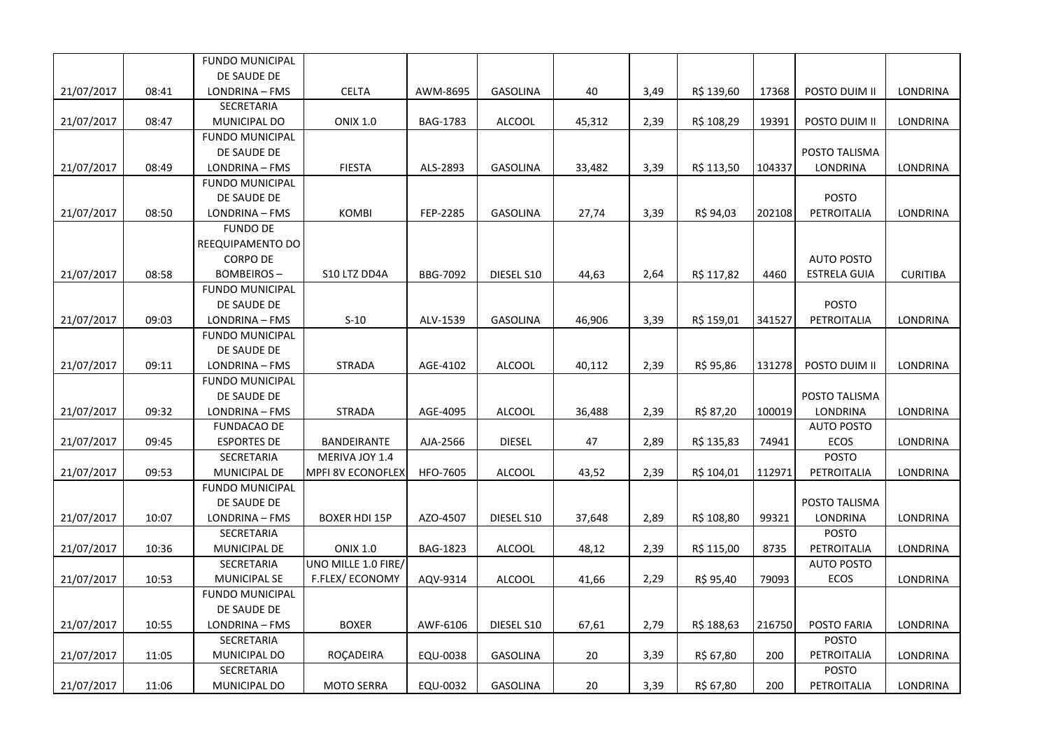|            |       | <b>FUNDO MUNICIPAL</b>                |                          |          |                 |        |      |            |        |                     |                 |
|------------|-------|---------------------------------------|--------------------------|----------|-----------------|--------|------|------------|--------|---------------------|-----------------|
|            |       | DE SAUDE DE                           |                          |          |                 |        |      |            |        |                     |                 |
| 21/07/2017 | 08:41 | LONDRINA - FMS                        | <b>CELTA</b>             | AWM-8695 | GASOLINA        | 40     | 3,49 | R\$ 139,60 | 17368  | POSTO DUIM II       | LONDRINA        |
|            |       | SECRETARIA                            |                          |          |                 |        |      |            |        |                     |                 |
| 21/07/2017 | 08:47 | MUNICIPAL DO                          | <b>ONIX 1.0</b>          | BAG-1783 | <b>ALCOOL</b>   | 45,312 | 2,39 | R\$ 108,29 | 19391  | POSTO DUIM II       | LONDRINA        |
|            |       | <b>FUNDO MUNICIPAL</b>                |                          |          |                 |        |      |            |        |                     |                 |
|            |       | DE SAUDE DE                           |                          |          |                 |        |      |            |        | POSTO TALISMA       |                 |
| 21/07/2017 | 08:49 | LONDRINA - FMS                        | <b>FIESTA</b>            | ALS-2893 | <b>GASOLINA</b> | 33,482 | 3,39 | R\$ 113,50 | 104337 | LONDRINA            | LONDRINA        |
|            |       | <b>FUNDO MUNICIPAL</b>                |                          |          |                 |        |      |            |        |                     |                 |
|            |       | DE SAUDE DE                           |                          |          |                 |        |      |            |        | <b>POSTO</b>        |                 |
| 21/07/2017 | 08:50 | LONDRINA - FMS                        | KOMBI                    | FEP-2285 | <b>GASOLINA</b> | 27,74  | 3,39 | R\$ 94,03  | 202108 | PETROITALIA         | LONDRINA        |
|            |       | <b>FUNDO DE</b>                       |                          |          |                 |        |      |            |        |                     |                 |
|            |       | REEQUIPAMENTO DO                      |                          |          |                 |        |      |            |        |                     |                 |
|            |       | <b>CORPO DE</b>                       |                          |          |                 |        |      |            |        | <b>AUTO POSTO</b>   |                 |
| 21/07/2017 | 08:58 | <b>BOMBEIROS-</b>                     | S10 LTZ DD4A             | BBG-7092 | DIESEL S10      | 44,63  | 2,64 | R\$ 117,82 | 4460   | <b>ESTRELA GUIA</b> | <b>CURITIBA</b> |
|            |       | <b>FUNDO MUNICIPAL</b>                |                          |          |                 |        |      |            |        |                     |                 |
|            |       | DE SAUDE DE                           |                          |          |                 |        |      |            |        | <b>POSTO</b>        |                 |
| 21/07/2017 | 09:03 | LONDRINA - FMS                        | $S-10$                   | ALV-1539 | <b>GASOLINA</b> | 46,906 | 3,39 | R\$ 159,01 | 341527 | PETROITALIA         | LONDRINA        |
|            |       | <b>FUNDO MUNICIPAL</b>                |                          |          |                 |        |      |            |        |                     |                 |
|            |       | DE SAUDE DE                           |                          |          |                 |        |      |            |        |                     |                 |
| 21/07/2017 | 09:11 | LONDRINA - FMS                        | <b>STRADA</b>            | AGE-4102 | <b>ALCOOL</b>   | 40,112 | 2,39 | R\$ 95,86  | 131278 | POSTO DUIM II       | LONDRINA        |
|            |       | <b>FUNDO MUNICIPAL</b>                |                          |          |                 |        |      |            |        |                     |                 |
|            |       | DE SAUDE DE                           |                          |          |                 |        |      |            |        | POSTO TALISMA       |                 |
| 21/07/2017 | 09:32 | LONDRINA - FMS                        | <b>STRADA</b>            | AGE-4095 | <b>ALCOOL</b>   | 36,488 | 2,39 | R\$ 87,20  | 100019 | LONDRINA            | LONDRINA        |
|            |       | <b>FUNDACAO DE</b>                    |                          |          |                 |        |      |            |        | <b>AUTO POSTO</b>   |                 |
| 21/07/2017 | 09:45 | <b>ESPORTES DE</b>                    | BANDEIRANTE              | AJA-2566 | <b>DIESEL</b>   | 47     | 2,89 | R\$ 135,83 | 74941  | ECOS                | LONDRINA        |
|            |       | SECRETARIA                            | MERIVA JOY 1.4           |          |                 |        |      |            |        | <b>POSTO</b>        |                 |
| 21/07/2017 | 09:53 | MUNICIPAL DE                          | <b>MPFI 8V ECONOFLEX</b> | HFO-7605 | <b>ALCOOL</b>   | 43,52  | 2,39 | R\$ 104,01 | 112971 | PETROITALIA         | LONDRINA        |
|            |       | <b>FUNDO MUNICIPAL</b><br>DE SAUDE DE |                          |          |                 |        |      |            |        | POSTO TALISMA       |                 |
|            | 10:07 | LONDRINA - FMS                        | <b>BOXER HDI 15P</b>     | AZO-4507 | DIESEL S10      |        | 2,89 |            | 99321  | LONDRINA            | LONDRINA        |
| 21/07/2017 |       | SECRETARIA                            |                          |          |                 | 37,648 |      | R\$ 108,80 |        | <b>POSTO</b>        |                 |
| 21/07/2017 | 10:36 | MUNICIPAL DE                          | <b>ONIX 1.0</b>          | BAG-1823 | <b>ALCOOL</b>   | 48,12  | 2,39 | R\$ 115,00 | 8735   | PETROITALIA         | LONDRINA        |
|            |       | <b>SECRETARIA</b>                     | UNO MILLE 1.0 FIRE/      |          |                 |        |      |            |        | <b>AUTO POSTO</b>   |                 |
| 21/07/2017 | 10:53 | MUNICIPAL SE                          | F.FLEX/ECONOMY           | AQV-9314 | <b>ALCOOL</b>   | 41,66  | 2,29 | R\$ 95,40  | 79093  | ECOS                | LONDRINA        |
|            |       | <b>FUNDO MUNICIPAL</b>                |                          |          |                 |        |      |            |        |                     |                 |
|            |       | DE SAUDE DE                           |                          |          |                 |        |      |            |        |                     |                 |
| 21/07/2017 | 10:55 | LONDRINA - FMS                        | <b>BOXER</b>             | AWF-6106 | DIESEL S10      | 67,61  | 2,79 | R\$ 188,63 | 216750 | POSTO FARIA         | LONDRINA        |
|            |       | SECRETARIA                            |                          |          |                 |        |      |            |        | <b>POSTO</b>        |                 |
| 21/07/2017 | 11:05 | MUNICIPAL DO                          | ROÇADEIRA                | EQU-0038 | <b>GASOLINA</b> | 20     | 3,39 | R\$ 67,80  | 200    | PETROITALIA         | LONDRINA        |
|            |       | SECRETARIA                            |                          |          |                 |        |      |            |        | <b>POSTO</b>        |                 |
| 21/07/2017 | 11:06 | MUNICIPAL DO                          | <b>MOTO SERRA</b>        | EQU-0032 | <b>GASOLINA</b> | 20     | 3,39 | R\$ 67,80  | 200    | PETROITALIA         | LONDRINA        |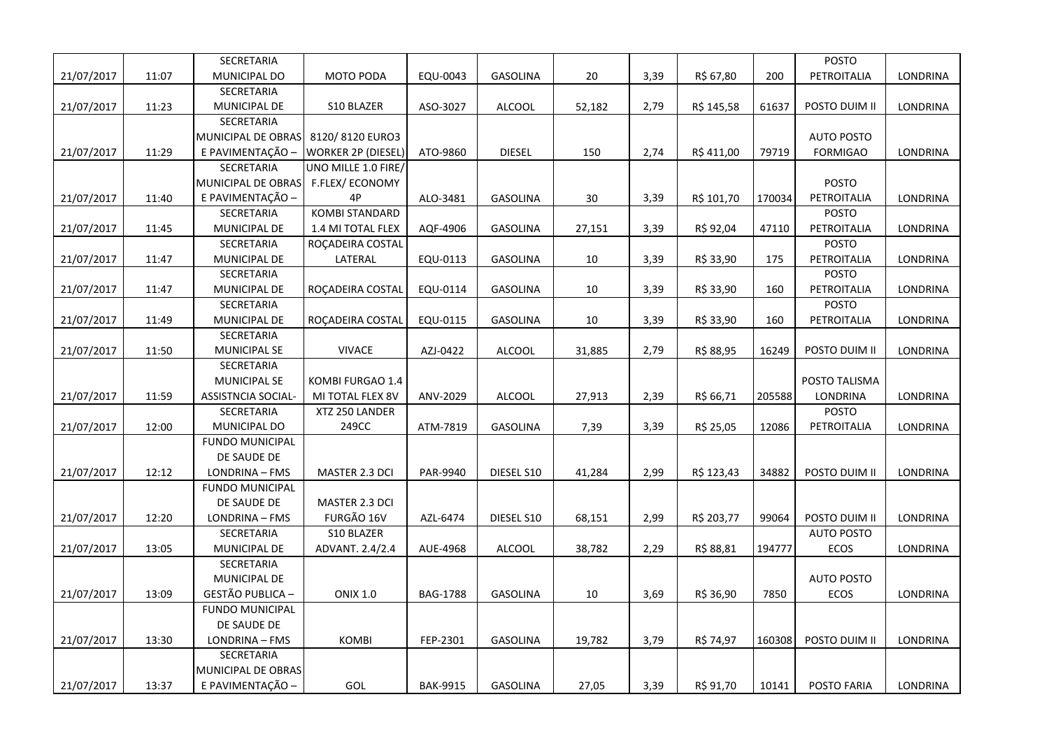|            |       | SECRETARIA             |                           |                 |                 |        |      |            |        | <b>POSTO</b>      |                 |
|------------|-------|------------------------|---------------------------|-----------------|-----------------|--------|------|------------|--------|-------------------|-----------------|
| 21/07/2017 | 11:07 | MUNICIPAL DO           | <b>MOTO PODA</b>          | EQU-0043        | <b>GASOLINA</b> | 20     | 3,39 | R\$ 67,80  | 200    | PETROITALIA       | LONDRINA        |
|            |       | SECRETARIA             |                           |                 |                 |        |      |            |        |                   |                 |
| 21/07/2017 | 11:23 | MUNICIPAL DE           | S10 BLAZER                | ASO-3027        | <b>ALCOOL</b>   | 52,182 | 2,79 | R\$ 145,58 | 61637  | POSTO DUIM II     | LONDRINA        |
|            |       | SECRETARIA             |                           |                 |                 |        |      |            |        |                   |                 |
|            |       | MUNICIPAL DE OBRAS     | 8120/8120 EURO3           |                 |                 |        |      |            |        | <b>AUTO POSTO</b> |                 |
| 21/07/2017 | 11:29 | E PAVIMENTAÇÃO -       | <b>WORKER 2P (DIESEL)</b> | ATO-9860        | <b>DIESEL</b>   | 150    | 2,74 | R\$ 411,00 | 79719  | <b>FORMIGAO</b>   | LONDRINA        |
|            |       | SECRETARIA             | UNO MILLE 1.0 FIRE/       |                 |                 |        |      |            |        |                   |                 |
|            |       | MUNICIPAL DE OBRAS     | F.FLEX/ECONOMY            |                 |                 |        |      |            |        | <b>POSTO</b>      |                 |
| 21/07/2017 | 11:40 | E PAVIMENTAÇÃO -       | 4P                        | ALO-3481        | GASOLINA        | 30     | 3,39 | R\$ 101,70 | 170034 | PETROITALIA       | LONDRINA        |
|            |       | SECRETARIA             | <b>KOMBI STANDARD</b>     |                 |                 |        |      |            |        | <b>POSTO</b>      |                 |
| 21/07/2017 | 11:45 | MUNICIPAL DE           | 1.4 MI TOTAL FLEX         | AQF-4906        | <b>GASOLINA</b> | 27,151 | 3,39 | R\$ 92,04  | 47110  | PETROITALIA       | LONDRINA        |
|            |       | SECRETARIA             | ROCADEIRA COSTAL          |                 |                 |        |      |            |        | <b>POSTO</b>      |                 |
| 21/07/2017 | 11:47 | MUNICIPAL DE           | LATERAL                   | EQU-0113        | GASOLINA        | 10     | 3,39 | R\$ 33,90  | 175    | PETROITALIA       | LONDRINA        |
|            |       | SECRETARIA             |                           |                 |                 |        |      |            |        | <b>POSTO</b>      |                 |
| 21/07/2017 | 11:47 | MUNICIPAL DE           | ROCADEIRA COSTAL          | EQU-0114        | GASOLINA        | 10     | 3,39 | R\$ 33,90  | 160    | PETROITALIA       | LONDRINA        |
|            |       | SECRETARIA             |                           |                 |                 |        |      |            |        | POSTO             |                 |
| 21/07/2017 | 11:49 | MUNICIPAL DE           | ROÇADEIRA COSTAL          | EQU-0115        | GASOLINA        | 10     | 3,39 | R\$ 33,90  | 160    | PETROITALIA       | LONDRINA        |
|            |       | SECRETARIA             |                           |                 |                 |        |      |            |        |                   |                 |
| 21/07/2017 | 11:50 | <b>MUNICIPAL SE</b>    | <b>VIVACE</b>             | AZJ-0422        | <b>ALCOOL</b>   | 31,885 | 2,79 | R\$ 88,95  | 16249  | POSTO DUIM II     | LONDRINA        |
|            |       | SECRETARIA             |                           |                 |                 |        |      |            |        |                   |                 |
|            |       | <b>MUNICIPAL SE</b>    | KOMBI FURGAO 1.4          |                 |                 |        |      |            |        | POSTO TALISMA     |                 |
| 21/07/2017 | 11:59 | ASSISTNCIA SOCIAL-     | MI TOTAL FLEX 8V          | ANV-2029        | <b>ALCOOL</b>   | 27,913 | 2,39 | R\$ 66,71  | 205588 | LONDRINA          | LONDRINA        |
|            |       | SECRETARIA             | XTZ 250 LANDER            |                 |                 |        |      |            |        | <b>POSTO</b>      |                 |
| 21/07/2017 | 12:00 | MUNICIPAL DO           | 249CC                     | ATM-7819        | <b>GASOLINA</b> | 7,39   | 3,39 | R\$ 25,05  | 12086  | PETROITALIA       | LONDRINA        |
|            |       | <b>FUNDO MUNICIPAL</b> |                           |                 |                 |        |      |            |        |                   |                 |
|            |       | DE SAUDE DE            |                           |                 |                 |        |      |            |        |                   |                 |
| 21/07/2017 | 12:12 | LONDRINA - FMS         | MASTER 2.3 DCI            | PAR-9940        | DIESEL S10      | 41,284 | 2,99 | R\$ 123,43 | 34882  | POSTO DUIM II     | <b>LONDRINA</b> |
|            |       | <b>FUNDO MUNICIPAL</b> |                           |                 |                 |        |      |            |        |                   |                 |
|            |       | DE SAUDE DE            | MASTER 2.3 DCI            |                 |                 |        |      |            |        |                   |                 |
| 21/07/2017 | 12:20 | LONDRINA - FMS         | FURGÃO 16V                | AZL-6474        | DIESEL S10      | 68,151 | 2,99 | R\$ 203,77 | 99064  | POSTO DUIM II     | LONDRINA        |
|            |       | SECRETARIA             | S10 BLAZER                |                 |                 |        |      |            |        | <b>AUTO POSTO</b> |                 |
| 21/07/2017 | 13:05 | MUNICIPAL DE           | ADVANT. 2.4/2.4           | AUE-4968        | <b>ALCOOL</b>   | 38,782 | 2,29 | R\$ 88,81  | 194777 | ECOS              | LONDRINA        |
|            |       | SECRETARIA             |                           |                 |                 |        |      |            |        |                   |                 |
|            |       | MUNICIPAL DE           |                           |                 |                 |        |      |            |        | <b>AUTO POSTO</b> |                 |
| 21/07/2017 | 13:09 | GESTÃO PUBLICA -       | <b>ONIX 1.0</b>           | <b>BAG-1788</b> | <b>GASOLINA</b> | 10     | 3,69 | R\$ 36,90  | 7850   | ECOS              | LONDRINA        |
|            |       | <b>FUNDO MUNICIPAL</b> |                           |                 |                 |        |      |            |        |                   |                 |
|            |       | DE SAUDE DE            |                           |                 |                 |        |      |            |        |                   |                 |
| 21/07/2017 | 13:30 | LONDRINA - FMS         | <b>KOMBI</b>              | FEP-2301        | <b>GASOLINA</b> | 19,782 | 3,79 | R\$ 74,97  | 160308 | POSTO DUIM II     | LONDRINA        |
|            |       | SECRETARIA             |                           |                 |                 |        |      |            |        |                   |                 |
|            |       | MUNICIPAL DE OBRAS     |                           |                 |                 |        |      |            |        |                   |                 |
| 21/07/2017 | 13:37 | E PAVIMENTAÇÃO -       | <b>GOL</b>                | <b>BAK-9915</b> | <b>GASOLINA</b> | 27,05  | 3,39 | R\$ 91,70  | 10141  | POSTO FARIA       | LONDRINA        |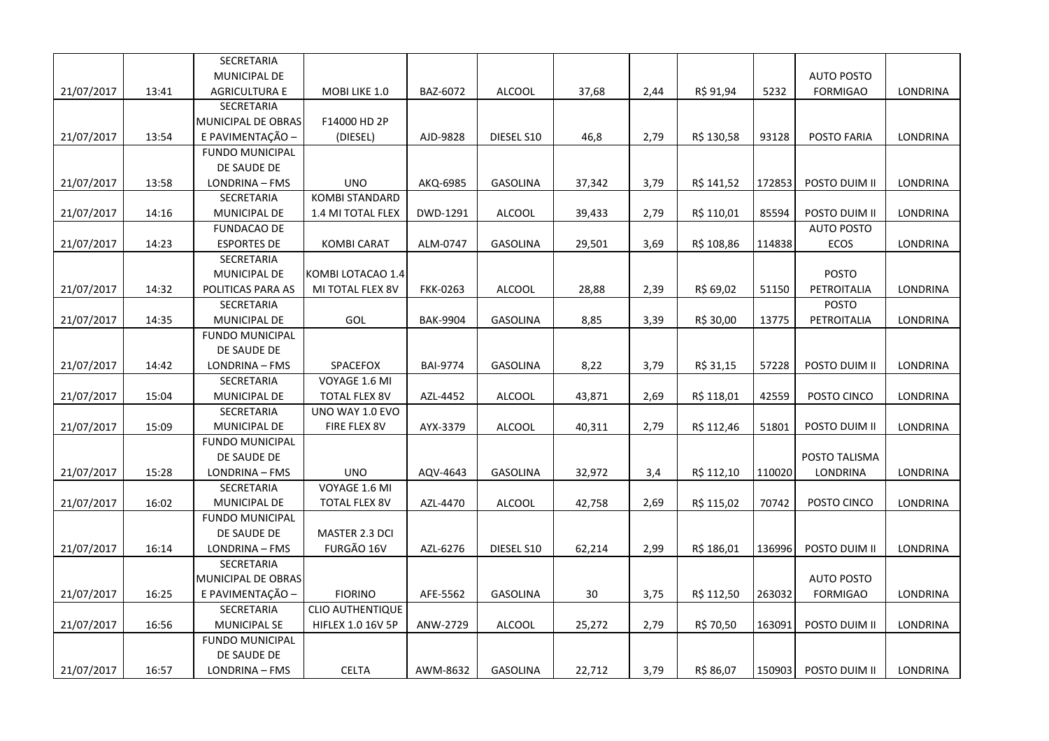|            |       | SECRETARIA             |                         |                 |                 |        |      |            |        |                   |          |
|------------|-------|------------------------|-------------------------|-----------------|-----------------|--------|------|------------|--------|-------------------|----------|
|            |       | MUNICIPAL DE           |                         |                 |                 |        |      |            |        | <b>AUTO POSTO</b> |          |
| 21/07/2017 | 13:41 | <b>AGRICULTURA E</b>   | MOBI LIKE 1.0           | BAZ-6072        | <b>ALCOOL</b>   | 37,68  | 2,44 | R\$ 91,94  | 5232   | <b>FORMIGAO</b>   | LONDRINA |
|            |       | SECRETARIA             |                         |                 |                 |        |      |            |        |                   |          |
|            |       | MUNICIPAL DE OBRAS     | F14000 HD 2P            |                 |                 |        |      |            |        |                   |          |
| 21/07/2017 | 13:54 | E PAVIMENTAÇÃO -       | (DIESEL)                | AJD-9828        | DIESEL S10      | 46,8   | 2,79 | R\$ 130,58 | 93128  | POSTO FARIA       | LONDRINA |
|            |       | <b>FUNDO MUNICIPAL</b> |                         |                 |                 |        |      |            |        |                   |          |
|            |       | DE SAUDE DE            |                         |                 |                 |        |      |            |        |                   |          |
| 21/07/2017 | 13:58 | LONDRINA - FMS         | <b>UNO</b>              | AKQ-6985        | GASOLINA        | 37,342 | 3,79 | R\$ 141,52 | 172853 | POSTO DUIM II     | LONDRINA |
|            |       | SECRETARIA             | <b>KOMBI STANDARD</b>   |                 |                 |        |      |            |        |                   |          |
| 21/07/2017 | 14:16 | MUNICIPAL DE           | 1.4 MI TOTAL FLEX       | DWD-1291        | <b>ALCOOL</b>   | 39,433 | 2,79 | R\$ 110,01 | 85594  | POSTO DUIM II     | LONDRINA |
|            |       | <b>FUNDACAO DE</b>     |                         |                 |                 |        |      |            |        | <b>AUTO POSTO</b> |          |
| 21/07/2017 | 14:23 | <b>ESPORTES DE</b>     | KOMBI CARAT             | ALM-0747        | <b>GASOLINA</b> | 29,501 | 3,69 | R\$ 108,86 | 114838 | <b>ECOS</b>       | LONDRINA |
|            |       | SECRETARIA             |                         |                 |                 |        |      |            |        |                   |          |
|            |       | MUNICIPAL DE           | KOMBI LOTACAO 1.4       |                 |                 |        |      |            |        | <b>POSTO</b>      |          |
| 21/07/2017 | 14:32 | POLITICAS PARA AS      | MI TOTAL FLEX 8V        | <b>FKK-0263</b> | <b>ALCOOL</b>   | 28,88  | 2,39 | R\$ 69,02  | 51150  | PETROITALIA       | LONDRINA |
|            |       | SECRETARIA             |                         |                 |                 |        |      |            |        | POSTO             |          |
| 21/07/2017 | 14:35 | MUNICIPAL DE           | <b>GOL</b>              | <b>BAK-9904</b> | GASOLINA        | 8,85   | 3,39 | R\$ 30,00  | 13775  | PETROITALIA       | LONDRINA |
|            |       | <b>FUNDO MUNICIPAL</b> |                         |                 |                 |        |      |            |        |                   |          |
|            |       | DE SAUDE DE            |                         |                 |                 |        |      |            |        |                   |          |
| 21/07/2017 | 14:42 | LONDRINA - FMS         | SPACEFOX                | <b>BAI-9774</b> | <b>GASOLINA</b> | 8,22   | 3,79 | R\$ 31,15  | 57228  | POSTO DUIM II     | LONDRINA |
|            |       | <b>SECRETARIA</b>      | VOYAGE 1.6 MI           |                 |                 |        |      |            |        |                   |          |
| 21/07/2017 | 15:04 | MUNICIPAL DE           | <b>TOTAL FLEX 8V</b>    | AZL-4452        | <b>ALCOOL</b>   | 43,871 | 2,69 | R\$ 118,01 | 42559  | POSTO CINCO       | LONDRINA |
|            |       | SECRETARIA             | UNO WAY 1.0 EVO         |                 |                 |        |      |            |        |                   |          |
| 21/07/2017 | 15:09 | MUNICIPAL DE           | FIRE FLEX 8V            | AYX-3379        | <b>ALCOOL</b>   | 40,311 | 2,79 | R\$ 112,46 | 51801  | POSTO DUIM II     | LONDRINA |
|            |       | <b>FUNDO MUNICIPAL</b> |                         |                 |                 |        |      |            |        |                   |          |
|            |       | DE SAUDE DE            |                         |                 |                 |        |      |            |        | POSTO TALISMA     |          |
| 21/07/2017 | 15:28 | LONDRINA - FMS         | <b>UNO</b>              | AQV-4643        | <b>GASOLINA</b> | 32,972 | 3,4  | R\$ 112,10 | 110020 | LONDRINA          | LONDRINA |
|            |       | SECRETARIA             | VOYAGE 1.6 MI           |                 |                 |        |      |            |        |                   |          |
| 21/07/2017 | 16:02 | MUNICIPAL DE           | <b>TOTAL FLEX 8V</b>    | AZL-4470        | <b>ALCOOL</b>   | 42,758 | 2,69 | R\$ 115,02 | 70742  | POSTO CINCO       | LONDRINA |
|            |       | <b>FUNDO MUNICIPAL</b> |                         |                 |                 |        |      |            |        |                   |          |
|            |       | DE SAUDE DE            | MASTER 2.3 DCI          |                 |                 |        |      |            |        |                   |          |
| 21/07/2017 | 16:14 | LONDRINA - FMS         | FURGÃO 16V              | AZL-6276        | DIESEL S10      | 62,214 | 2,99 | R\$ 186,01 | 136996 | POSTO DUIM II     | LONDRINA |
|            |       | SECRETARIA             |                         |                 |                 |        |      |            |        |                   |          |
|            |       | MUNICIPAL DE OBRAS     |                         |                 |                 |        |      |            |        | <b>AUTO POSTO</b> |          |
| 21/07/2017 | 16:25 | E PAVIMENTAÇÃO -       | <b>FIORINO</b>          | AFE-5562        | GASOLINA        | 30     | 3,75 | R\$ 112,50 | 263032 | <b>FORMIGAO</b>   | LONDRINA |
|            |       | SECRETARIA             | <b>CLIO AUTHENTIQUE</b> |                 |                 |        |      |            |        |                   |          |
| 21/07/2017 | 16:56 | MUNICIPAL SE           | HIFLEX 1.0 16V 5P       | ANW-2729        | <b>ALCOOL</b>   | 25,272 | 2,79 | R\$ 70,50  | 163091 | POSTO DUIM II     | LONDRINA |
|            |       | <b>FUNDO MUNICIPAL</b> |                         |                 |                 |        |      |            |        |                   |          |
|            |       | DE SAUDE DE            |                         |                 |                 |        |      |            |        |                   |          |
| 21/07/2017 | 16:57 | LONDRINA - FMS         | <b>CELTA</b>            | AWM-8632        | GASOLINA        | 22,712 | 3,79 | R\$ 86,07  | 150903 | POSTO DUIM II     | LONDRINA |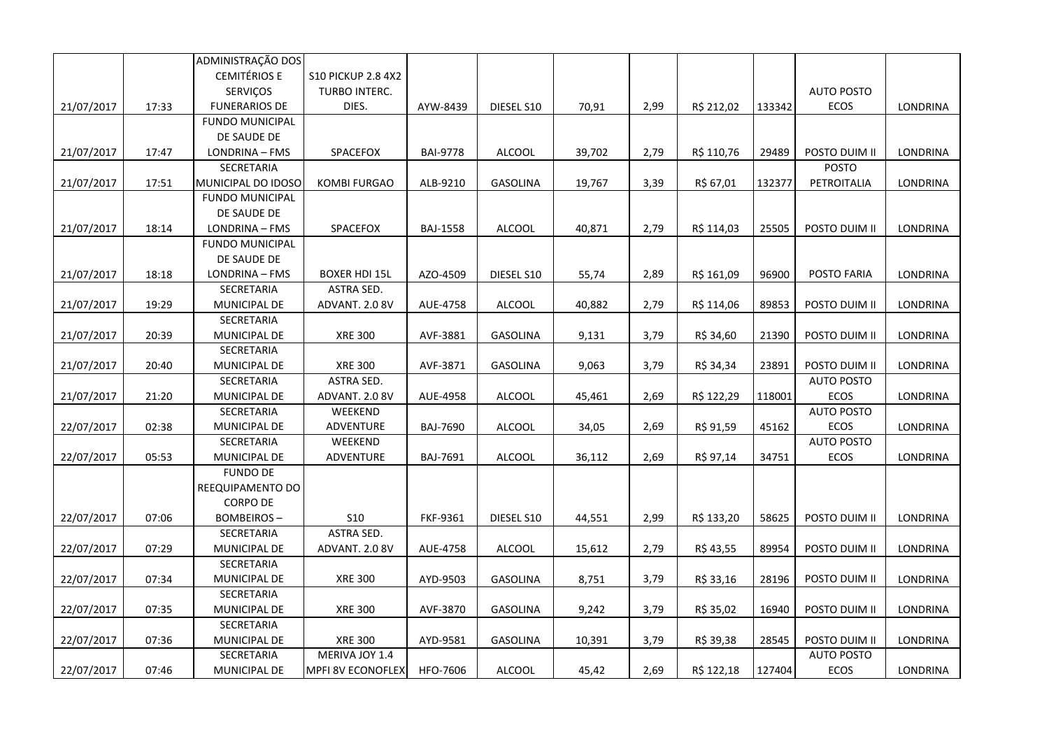|            |       | ADMINISTRAÇÃO DOS      |                           |                 |                 |        |      |            |        |                   |                 |
|------------|-------|------------------------|---------------------------|-----------------|-----------------|--------|------|------------|--------|-------------------|-----------------|
|            |       | <b>CEMITÉRIOS E</b>    | <b>S10 PICKUP 2.8 4X2</b> |                 |                 |        |      |            |        |                   |                 |
|            |       | SERVIÇOS               | TURBO INTERC.             |                 |                 |        |      |            |        | <b>AUTO POSTO</b> |                 |
| 21/07/2017 | 17:33 | <b>FUNERARIOS DE</b>   | DIES.                     | AYW-8439        | DIESEL S10      | 70,91  | 2,99 | R\$ 212,02 | 133342 | ECOS              | LONDRINA        |
|            |       | <b>FUNDO MUNICIPAL</b> |                           |                 |                 |        |      |            |        |                   |                 |
|            |       | DE SAUDE DE            |                           |                 |                 |        |      |            |        |                   |                 |
| 21/07/2017 | 17:47 | LONDRINA - FMS         | SPACEFOX                  | <b>BAI-9778</b> | <b>ALCOOL</b>   | 39,702 | 2,79 | R\$ 110,76 | 29489  | POSTO DUIM II     | LONDRINA        |
|            |       | SECRETARIA             |                           |                 |                 |        |      |            |        | <b>POSTO</b>      |                 |
| 21/07/2017 | 17:51 | MUNICIPAL DO IDOSO     | <b>KOMBI FURGAO</b>       | ALB-9210        | GASOLINA        | 19,767 | 3,39 | R\$ 67,01  | 132377 | PETROITALIA       | <b>LONDRINA</b> |
|            |       | <b>FUNDO MUNICIPAL</b> |                           |                 |                 |        |      |            |        |                   |                 |
|            |       | DE SAUDE DE            |                           |                 |                 |        |      |            |        |                   |                 |
| 21/07/2017 | 18:14 | LONDRINA - FMS         | SPACEFOX                  | <b>BAJ-1558</b> | <b>ALCOOL</b>   | 40,871 | 2,79 | R\$ 114,03 | 25505  | POSTO DUIM II     | LONDRINA        |
|            |       | <b>FUNDO MUNICIPAL</b> |                           |                 |                 |        |      |            |        |                   |                 |
|            |       | DE SAUDE DE            |                           |                 |                 |        |      |            |        |                   |                 |
| 21/07/2017 | 18:18 | LONDRINA - FMS         | <b>BOXER HDI 15L</b>      | AZO-4509        | DIESEL S10      | 55,74  | 2,89 | R\$ 161,09 | 96900  | POSTO FARIA       | LONDRINA        |
|            |       | SECRETARIA             | ASTRA SED.                |                 |                 |        |      |            |        |                   |                 |
| 21/07/2017 | 19:29 | MUNICIPAL DE           | ADVANT. 2.0 8V            | AUE-4758        | <b>ALCOOL</b>   | 40,882 | 2,79 | R\$ 114,06 | 89853  | POSTO DUIM II     | LONDRINA        |
|            |       | SECRETARIA             |                           |                 |                 |        |      |            |        |                   |                 |
| 21/07/2017 | 20:39 | MUNICIPAL DE           | <b>XRE 300</b>            | AVF-3881        | <b>GASOLINA</b> | 9,131  | 3,79 | R\$ 34,60  | 21390  | POSTO DUIM II     | LONDRINA        |
|            |       | SECRETARIA             |                           |                 |                 |        |      |            |        |                   |                 |
| 21/07/2017 | 20:40 | MUNICIPAL DE           | <b>XRE 300</b>            | AVF-3871        | GASOLINA        | 9,063  | 3,79 | R\$ 34,34  | 23891  | POSTO DUIM II     | LONDRINA        |
|            |       | SECRETARIA             | ASTRA SED.                |                 |                 |        |      |            |        | <b>AUTO POSTO</b> |                 |
| 21/07/2017 | 21:20 | MUNICIPAL DE           | ADVANT. 2.0 8V            | AUE-4958        | <b>ALCOOL</b>   | 45,461 | 2,69 | R\$ 122,29 | 118001 | ECOS              | LONDRINA        |
|            |       | SECRETARIA             | WEEKEND                   |                 |                 |        |      |            |        | <b>AUTO POSTO</b> |                 |
| 22/07/2017 | 02:38 | MUNICIPAL DE           | ADVENTURE                 | <b>BAJ-7690</b> | <b>ALCOOL</b>   | 34,05  | 2,69 | R\$ 91,59  | 45162  | ECOS              | LONDRINA        |
|            |       | SECRETARIA             | WEEKEND                   |                 |                 |        |      |            |        | <b>AUTO POSTO</b> |                 |
| 22/07/2017 | 05:53 | MUNICIPAL DE           | ADVENTURE                 | BAJ-7691        | <b>ALCOOL</b>   | 36,112 | 2,69 | R\$ 97,14  | 34751  | ECOS              | LONDRINA        |
|            |       | <b>FUNDO DE</b>        |                           |                 |                 |        |      |            |        |                   |                 |
|            |       | REEQUIPAMENTO DO       |                           |                 |                 |        |      |            |        |                   |                 |
|            |       | CORPO DE               |                           |                 |                 |        |      |            |        |                   |                 |
| 22/07/2017 | 07:06 | <b>BOMBEIROS-</b>      | <b>S10</b>                | FKF-9361        | DIESEL S10      | 44,551 | 2,99 | R\$ 133,20 | 58625  | POSTO DUIM II     | LONDRINA        |
|            |       | SECRETARIA             | ASTRA SED.                |                 |                 |        |      |            |        |                   |                 |
| 22/07/2017 | 07:29 | MUNICIPAL DE           | ADVANT. 2.0 8V            | AUE-4758        | <b>ALCOOL</b>   | 15,612 | 2,79 | R\$ 43,55  | 89954  | POSTO DUIM II     | LONDRINA        |
|            |       | SECRETARIA             |                           |                 |                 |        |      |            |        |                   |                 |
| 22/07/2017 | 07:34 | MUNICIPAL DE           | <b>XRE 300</b>            | AYD-9503        | GASOLINA        | 8,751  | 3,79 | R\$ 33,16  | 28196  | POSTO DUIM II     | LONDRINA        |
|            |       | SECRETARIA             |                           |                 |                 |        |      |            |        |                   |                 |
| 22/07/2017 | 07:35 | MUNICIPAL DE           | <b>XRE 300</b>            | AVF-3870        | <b>GASOLINA</b> | 9,242  | 3,79 | R\$ 35,02  | 16940  | POSTO DUIM II     | LONDRINA        |
|            |       | SECRETARIA             |                           |                 |                 |        |      |            |        |                   |                 |
| 22/07/2017 | 07:36 | MUNICIPAL DE           | <b>XRE 300</b>            | AYD-9581        | GASOLINA        | 10,391 | 3,79 | R\$ 39,38  | 28545  | POSTO DUIM II     | LONDRINA        |
|            |       | SECRETARIA             | MERIVA JOY 1.4            |                 |                 |        |      |            |        | <b>AUTO POSTO</b> |                 |
| 22/07/2017 | 07:46 | MUNICIPAL DE           | <b>MPFI 8V ECONOFLEX</b>  | HFO-7606        | <b>ALCOOL</b>   | 45,42  | 2,69 | R\$ 122,18 | 127404 | ECOS              | LONDRINA        |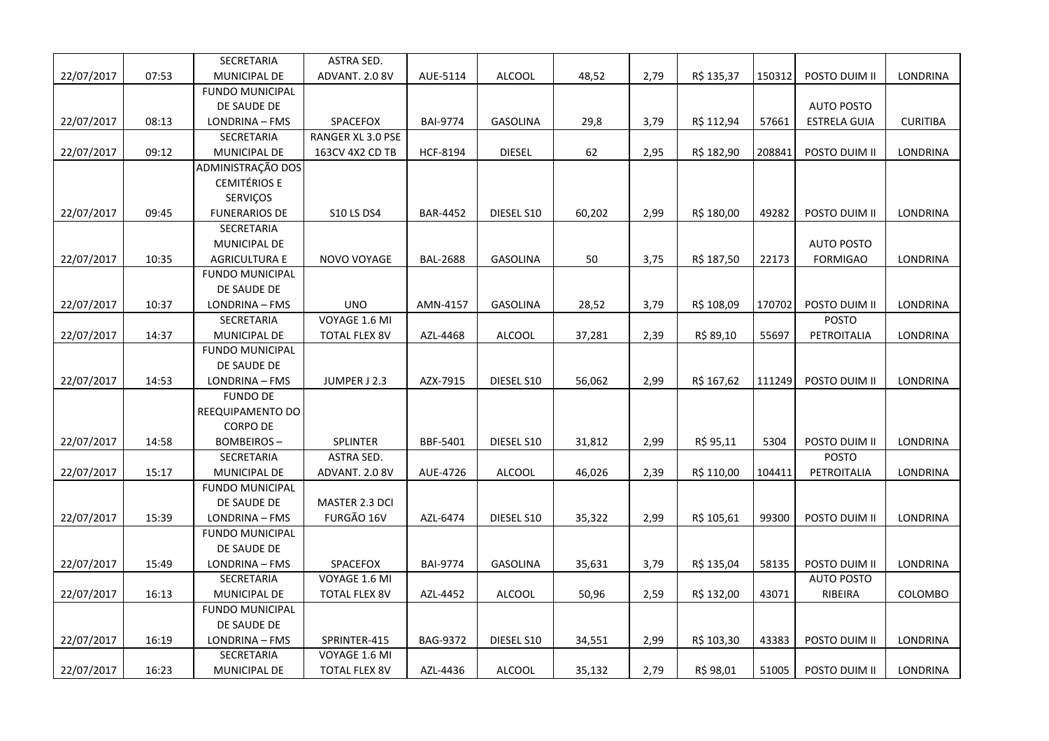|            |       | SECRETARIA             | ASTRA SED.           |                 |                 |        |      |            |        |                     |                 |
|------------|-------|------------------------|----------------------|-----------------|-----------------|--------|------|------------|--------|---------------------|-----------------|
| 22/07/2017 | 07:53 | MUNICIPAL DE           | ADVANT. 2.0 8V       | AUE-5114        | <b>ALCOOL</b>   | 48,52  | 2,79 | R\$ 135,37 | 150312 | POSTO DUIM II       | LONDRINA        |
|            |       | <b>FUNDO MUNICIPAL</b> |                      |                 |                 |        |      |            |        |                     |                 |
|            |       | DE SAUDE DE            |                      |                 |                 |        |      |            |        | <b>AUTO POSTO</b>   |                 |
| 22/07/2017 | 08:13 | LONDRINA - FMS         | SPACEFOX             | <b>BAI-9774</b> | <b>GASOLINA</b> | 29,8   | 3,79 | R\$ 112,94 | 57661  | <b>ESTRELA GUIA</b> | <b>CURITIBA</b> |
|            |       | SECRETARIA             | RANGER XL 3.0 PSE    |                 |                 |        |      |            |        |                     |                 |
| 22/07/2017 | 09:12 | MUNICIPAL DE           | 163CV 4X2 CD TB      | <b>HCF-8194</b> | <b>DIESEL</b>   | 62     | 2,95 | R\$ 182,90 | 208841 | POSTO DUIM II       | LONDRINA        |
|            |       | ADMINISTRAÇÃO DOS      |                      |                 |                 |        |      |            |        |                     |                 |
|            |       | <b>CEMITÉRIOS E</b>    |                      |                 |                 |        |      |            |        |                     |                 |
|            |       | SERVIÇOS               |                      |                 |                 |        |      |            |        |                     |                 |
| 22/07/2017 | 09:45 | <b>FUNERARIOS DE</b>   | <b>S10 LS DS4</b>    | <b>BAR-4452</b> | DIESEL S10      | 60,202 | 2,99 | R\$ 180,00 | 49282  | POSTO DUIM II       | LONDRINA        |
|            |       | SECRETARIA             |                      |                 |                 |        |      |            |        |                     |                 |
|            |       | MUNICIPAL DE           |                      |                 |                 |        |      |            |        | <b>AUTO POSTO</b>   |                 |
| 22/07/2017 | 10:35 | <b>AGRICULTURA E</b>   | NOVO VOYAGE          | <b>BAL-2688</b> | <b>GASOLINA</b> | 50     | 3,75 | R\$ 187,50 | 22173  | <b>FORMIGAO</b>     | LONDRINA        |
|            |       | <b>FUNDO MUNICIPAL</b> |                      |                 |                 |        |      |            |        |                     |                 |
|            |       | DE SAUDE DE            |                      |                 |                 |        |      |            |        |                     |                 |
| 22/07/2017 | 10:37 | LONDRINA - FMS         | <b>UNO</b>           | AMN-4157        | GASOLINA        | 28,52  | 3,79 | R\$ 108,09 | 170702 | POSTO DUIM II       | LONDRINA        |
|            |       | SECRETARIA             | VOYAGE 1.6 MI        |                 |                 |        |      |            |        | <b>POSTO</b>        |                 |
| 22/07/2017 | 14:37 | MUNICIPAL DE           | <b>TOTAL FLEX 8V</b> | AZL-4468        | <b>ALCOOL</b>   | 37,281 | 2,39 | R\$ 89,10  | 55697  | PETROITALIA         | LONDRINA        |
|            |       | <b>FUNDO MUNICIPAL</b> |                      |                 |                 |        |      |            |        |                     |                 |
|            |       | DE SAUDE DE            |                      |                 |                 |        |      |            |        |                     |                 |
| 22/07/2017 | 14:53 | LONDRINA - FMS         | JUMPER J 2.3         | AZX-7915        | DIESEL S10      | 56,062 | 2,99 | R\$ 167,62 | 111249 | POSTO DUIM II       | LONDRINA        |
|            |       | <b>FUNDO DE</b>        |                      |                 |                 |        |      |            |        |                     |                 |
|            |       | REEQUIPAMENTO DO       |                      |                 |                 |        |      |            |        |                     |                 |
|            |       | <b>CORPO DE</b>        |                      |                 |                 |        |      |            |        |                     |                 |
| 22/07/2017 | 14:58 | BOMBEIROS -            | SPLINTER             | BBF-5401        | DIESEL S10      | 31,812 | 2,99 | R\$ 95,11  | 5304   | POSTO DUIM II       | LONDRINA        |
|            |       | SECRETARIA             | ASTRA SED.           |                 |                 |        |      |            |        | <b>POSTO</b>        |                 |
| 22/07/2017 | 15:17 | MUNICIPAL DE           | ADVANT. 2.0 8V       | AUE-4726        | <b>ALCOOL</b>   | 46,026 | 2,39 | R\$ 110,00 | 104411 | PETROITALIA         | LONDRINA        |
|            |       | <b>FUNDO MUNICIPAL</b> |                      |                 |                 |        |      |            |        |                     |                 |
|            |       | DE SAUDE DE            | MASTER 2.3 DCI       |                 |                 |        |      |            |        |                     |                 |
| 22/07/2017 | 15:39 | LONDRINA - FMS         | FURGÃO 16V           | AZL-6474        | DIESEL S10      | 35,322 | 2,99 | R\$ 105,61 | 99300  | POSTO DUIM II       | LONDRINA        |
|            |       | <b>FUNDO MUNICIPAL</b> |                      |                 |                 |        |      |            |        |                     |                 |
|            |       | DE SAUDE DE            |                      |                 |                 |        |      |            |        |                     |                 |
| 22/07/2017 | 15:49 | LONDRINA - FMS         | SPACEFOX             | <b>BAI-9774</b> | GASOLINA        | 35,631 | 3,79 | R\$ 135,04 | 58135  | POSTO DUIM II       | LONDRINA        |
|            |       | SECRETARIA             | VOYAGE 1.6 MI        |                 |                 |        |      |            |        | <b>AUTO POSTO</b>   |                 |
| 22/07/2017 | 16:13 | MUNICIPAL DE           | <b>TOTAL FLEX 8V</b> | AZL-4452        | <b>ALCOOL</b>   | 50,96  | 2,59 | R\$ 132,00 | 43071  | RIBEIRA             | COLOMBO         |
|            |       | <b>FUNDO MUNICIPAL</b> |                      |                 |                 |        |      |            |        |                     |                 |
|            |       | DE SAUDE DE            |                      |                 |                 |        |      |            |        |                     |                 |
| 22/07/2017 | 16:19 | LONDRINA - FMS         | SPRINTER-415         | BAG-9372        | DIESEL S10      | 34,551 | 2,99 | R\$ 103,30 | 43383  | POSTO DUIM II       | LONDRINA        |
|            |       | SECRETARIA             | VOYAGE 1.6 MI        |                 |                 |        |      |            |        |                     |                 |
| 22/07/2017 | 16:23 | MUNICIPAL DE           | <b>TOTAL FLEX 8V</b> | AZL-4436        | <b>ALCOOL</b>   | 35,132 | 2,79 | R\$ 98,01  | 51005  | POSTO DUIM II       | LONDRINA        |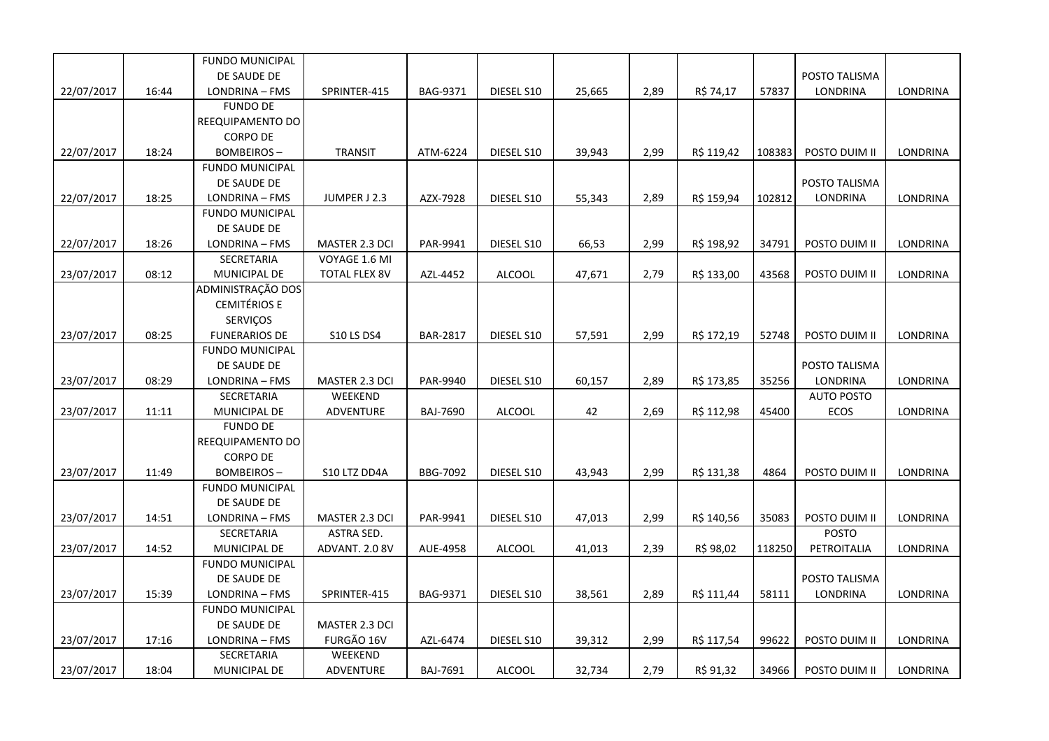|            |       | <b>FUNDO MUNICIPAL</b> |                      |                 |               |        |      |            |        |                   |                 |
|------------|-------|------------------------|----------------------|-----------------|---------------|--------|------|------------|--------|-------------------|-----------------|
|            |       | DE SAUDE DE            |                      |                 |               |        |      |            |        | POSTO TALISMA     |                 |
| 22/07/2017 | 16:44 | LONDRINA - FMS         | SPRINTER-415         | BAG-9371        | DIESEL S10    | 25,665 | 2,89 | R\$ 74,17  | 57837  | LONDRINA          | LONDRINA        |
|            |       | <b>FUNDO DE</b>        |                      |                 |               |        |      |            |        |                   |                 |
|            |       | REEQUIPAMENTO DO       |                      |                 |               |        |      |            |        |                   |                 |
|            |       | <b>CORPO DE</b>        |                      |                 |               |        |      |            |        |                   |                 |
| 22/07/2017 | 18:24 | <b>BOMBEIROS-</b>      | <b>TRANSIT</b>       | ATM-6224        | DIESEL S10    | 39,943 | 2,99 | R\$ 119,42 | 108383 | POSTO DUIM II     | LONDRINA        |
|            |       | <b>FUNDO MUNICIPAL</b> |                      |                 |               |        |      |            |        |                   |                 |
|            |       | DE SAUDE DE            |                      |                 |               |        |      |            |        | POSTO TALISMA     |                 |
| 22/07/2017 | 18:25 | LONDRINA - FMS         | JUMPER J 2.3         | AZX-7928        | DIESEL S10    | 55,343 | 2,89 | R\$ 159,94 | 102812 | <b>LONDRINA</b>   | <b>LONDRINA</b> |
|            |       | <b>FUNDO MUNICIPAL</b> |                      |                 |               |        |      |            |        |                   |                 |
|            |       | DE SAUDE DE            |                      |                 |               |        |      |            |        |                   |                 |
| 22/07/2017 | 18:26 | LONDRINA - FMS         | MASTER 2.3 DCI       | PAR-9941        | DIESEL S10    | 66,53  | 2,99 | R\$ 198,92 | 34791  | POSTO DUIM II     | LONDRINA        |
|            |       | SECRETARIA             | VOYAGE 1.6 MI        |                 |               |        |      |            |        |                   |                 |
| 23/07/2017 | 08:12 | MUNICIPAL DE           | <b>TOTAL FLEX 8V</b> | AZL-4452        | <b>ALCOOL</b> | 47,671 | 2,79 | R\$ 133,00 | 43568  | POSTO DUIM II     | LONDRINA        |
|            |       | ADMINISTRAÇÃO DOS      |                      |                 |               |        |      |            |        |                   |                 |
|            |       | <b>CEMITÉRIOS E</b>    |                      |                 |               |        |      |            |        |                   |                 |
|            |       | SERVIÇOS               |                      |                 |               |        |      |            |        |                   |                 |
| 23/07/2017 | 08:25 | <b>FUNERARIOS DE</b>   | <b>S10 LS DS4</b>    | <b>BAR-2817</b> | DIESEL S10    | 57,591 | 2,99 | R\$ 172,19 | 52748  | POSTO DUIM II     | LONDRINA        |
|            |       | <b>FUNDO MUNICIPAL</b> |                      |                 |               |        |      |            |        |                   |                 |
|            |       | DE SAUDE DE            |                      |                 |               |        |      |            |        | POSTO TALISMA     |                 |
| 23/07/2017 | 08:29 | LONDRINA - FMS         | MASTER 2.3 DCI       | PAR-9940        | DIESEL S10    | 60,157 | 2,89 | R\$ 173,85 | 35256  | LONDRINA          | LONDRINA        |
|            |       | SECRETARIA             | WEEKEND              |                 |               |        |      |            |        | <b>AUTO POSTO</b> |                 |
| 23/07/2017 | 11:11 | MUNICIPAL DE           | <b>ADVENTURE</b>     | <b>BAJ-7690</b> | <b>ALCOOL</b> | 42     | 2,69 | R\$ 112,98 | 45400  | <b>ECOS</b>       | LONDRINA        |
|            |       | <b>FUNDO DE</b>        |                      |                 |               |        |      |            |        |                   |                 |
|            |       | REEQUIPAMENTO DO       |                      |                 |               |        |      |            |        |                   |                 |
|            |       | <b>CORPO DE</b>        |                      |                 |               |        |      |            |        |                   |                 |
| 23/07/2017 | 11:49 | <b>BOMBEIROS-</b>      | S10 LTZ DD4A         | <b>BBG-7092</b> | DIESEL S10    | 43,943 | 2,99 | R\$ 131,38 | 4864   | POSTO DUIM II     | LONDRINA        |
|            |       | <b>FUNDO MUNICIPAL</b> |                      |                 |               |        |      |            |        |                   |                 |
|            |       | DE SAUDE DE            |                      |                 |               |        |      |            |        |                   |                 |
| 23/07/2017 | 14:51 | LONDRINA - FMS         | MASTER 2.3 DCI       | PAR-9941        | DIESEL S10    | 47,013 | 2,99 | R\$ 140,56 | 35083  | POSTO DUIM II     | <b>LONDRINA</b> |
|            |       | SECRETARIA             | ASTRA SED.           |                 |               |        |      |            |        | <b>POSTO</b>      |                 |
| 23/07/2017 | 14:52 | MUNICIPAL DE           | ADVANT. 2.0 8V       | AUE-4958        | <b>ALCOOL</b> | 41,013 | 2,39 | R\$ 98,02  | 118250 | PETROITALIA       | LONDRINA        |
|            |       | <b>FUNDO MUNICIPAL</b> |                      |                 |               |        |      |            |        |                   |                 |
|            |       | DE SAUDE DE            |                      |                 |               |        |      |            |        | POSTO TALISMA     |                 |
| 23/07/2017 | 15:39 | LONDRINA - FMS         | SPRINTER-415         | BAG-9371        | DIESEL S10    | 38,561 | 2,89 | R\$ 111,44 | 58111  | LONDRINA          | LONDRINA        |
|            |       | <b>FUNDO MUNICIPAL</b> |                      |                 |               |        |      |            |        |                   |                 |
|            |       | DE SAUDE DE            | MASTER 2.3 DCI       |                 |               |        |      |            |        |                   |                 |
| 23/07/2017 | 17:16 | LONDRINA - FMS         | FURGÃO 16V           | AZL-6474        | DIESEL S10    | 39,312 | 2,99 | R\$ 117,54 | 99622  | POSTO DUIM II     | <b>LONDRINA</b> |
|            |       | SECRETARIA             | WEEKEND              |                 |               |        |      |            |        |                   |                 |
| 23/07/2017 | 18:04 | <b>MUNICIPAL DE</b>    | ADVENTURE            | BAJ-7691        | <b>ALCOOL</b> | 32,734 | 2,79 | R\$ 91,32  | 34966  | POSTO DUIM II     | LONDRINA        |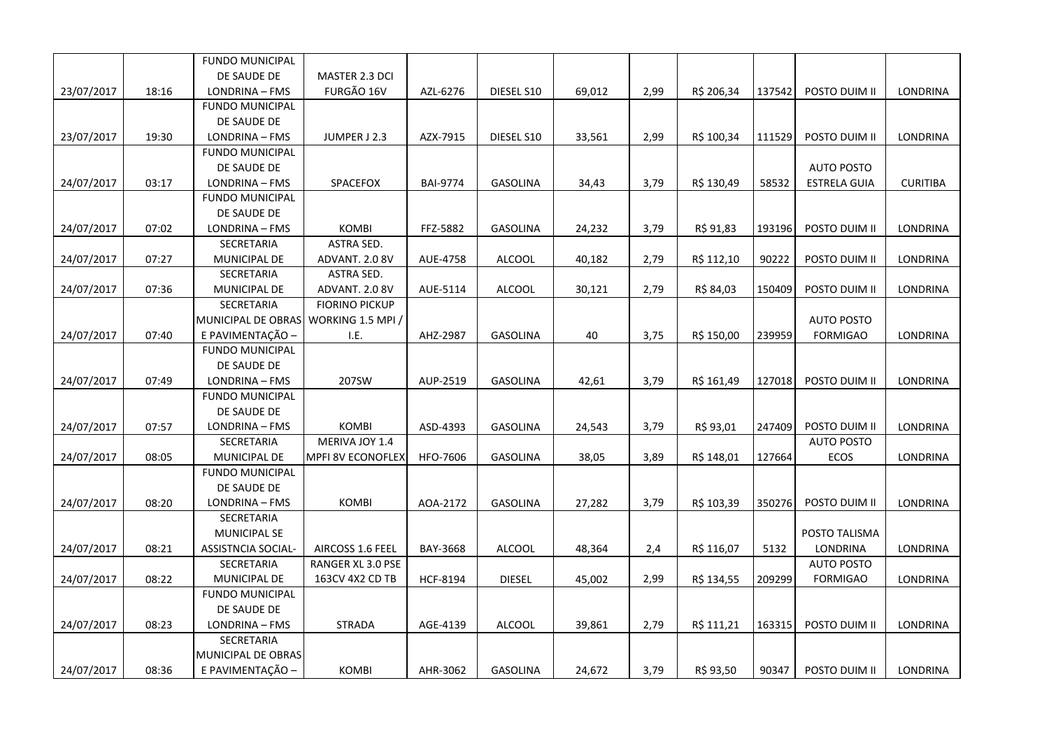|            |       | <b>FUNDO MUNICIPAL</b> |                          |                 |                 |        |      |            |        |                     |                 |
|------------|-------|------------------------|--------------------------|-----------------|-----------------|--------|------|------------|--------|---------------------|-----------------|
|            |       | DE SAUDE DE            | MASTER 2.3 DCI           |                 |                 |        |      |            |        |                     |                 |
| 23/07/2017 | 18:16 | LONDRINA - FMS         | FURGÃO 16V               | AZL-6276        | DIESEL S10      | 69,012 | 2,99 | R\$ 206,34 | 137542 | POSTO DUIM II       | LONDRINA        |
|            |       | <b>FUNDO MUNICIPAL</b> |                          |                 |                 |        |      |            |        |                     |                 |
|            |       | DE SAUDE DE            |                          |                 |                 |        |      |            |        |                     |                 |
| 23/07/2017 | 19:30 | LONDRINA - FMS         | JUMPER J 2.3             | AZX-7915        | DIESEL S10      | 33,561 | 2,99 | R\$ 100,34 | 111529 | POSTO DUIM II       | LONDRINA        |
|            |       | <b>FUNDO MUNICIPAL</b> |                          |                 |                 |        |      |            |        |                     |                 |
|            |       | DE SAUDE DE            |                          |                 |                 |        |      |            |        | <b>AUTO POSTO</b>   |                 |
| 24/07/2017 | 03:17 | LONDRINA - FMS         | SPACEFOX                 | <b>BAI-9774</b> | <b>GASOLINA</b> | 34,43  | 3,79 | R\$ 130,49 | 58532  | <b>ESTRELA GUIA</b> | <b>CURITIBA</b> |
|            |       | <b>FUNDO MUNICIPAL</b> |                          |                 |                 |        |      |            |        |                     |                 |
|            |       | DE SAUDE DE            |                          |                 |                 |        |      |            |        |                     |                 |
| 24/07/2017 | 07:02 | LONDRINA - FMS         | <b>KOMBI</b>             | FFZ-5882        | GASOLINA        | 24,232 | 3,79 | R\$ 91,83  | 193196 | POSTO DUIM II       | LONDRINA        |
|            |       | SECRETARIA             | <b>ASTRA SED.</b>        |                 |                 |        |      |            |        |                     |                 |
| 24/07/2017 | 07:27 | MUNICIPAL DE           | ADVANT. 2.0 8V           | AUE-4758        | <b>ALCOOL</b>   | 40,182 | 2,79 | R\$ 112,10 | 90222  | POSTO DUIM II       | LONDRINA        |
|            |       | SECRETARIA             | ASTRA SED.               |                 |                 |        |      |            |        |                     |                 |
| 24/07/2017 | 07:36 | MUNICIPAL DE           | ADVANT. 2.0 8V           | AUE-5114        | <b>ALCOOL</b>   | 30,121 | 2,79 | R\$ 84,03  | 150409 | POSTO DUIM II       | LONDRINA        |
|            |       | SECRETARIA             | <b>FIORINO PICKUP</b>    |                 |                 |        |      |            |        |                     |                 |
|            |       | MUNICIPAL DE OBRAS     | WORKING 1.5 MPI /        |                 |                 |        |      |            |        | <b>AUTO POSTO</b>   |                 |
| 24/07/2017 | 07:40 | E PAVIMENTAÇÃO -       | I.E.                     | AHZ-2987        | <b>GASOLINA</b> | 40     | 3,75 | R\$ 150,00 | 239959 | <b>FORMIGAO</b>     | LONDRINA        |
|            |       | <b>FUNDO MUNICIPAL</b> |                          |                 |                 |        |      |            |        |                     |                 |
|            |       | DE SAUDE DE            |                          |                 |                 |        |      |            |        |                     |                 |
| 24/07/2017 | 07:49 | LONDRINA - FMS         | 207SW                    | AUP-2519        | <b>GASOLINA</b> | 42,61  | 3,79 | R\$ 161,49 | 127018 | POSTO DUIM II       | LONDRINA        |
|            |       | <b>FUNDO MUNICIPAL</b> |                          |                 |                 |        |      |            |        |                     |                 |
|            |       | DE SAUDE DE            |                          |                 |                 |        |      |            |        |                     |                 |
| 24/07/2017 | 07:57 | LONDRINA - FMS         | <b>KOMBI</b>             | ASD-4393        | <b>GASOLINA</b> | 24,543 | 3,79 | R\$ 93,01  | 247409 | POSTO DUIM II       | LONDRINA        |
|            |       | SECRETARIA             | MERIVA JOY 1.4           |                 |                 |        |      |            |        | <b>AUTO POSTO</b>   |                 |
| 24/07/2017 | 08:05 | MUNICIPAL DE           | <b>MPFI 8V ECONOFLEX</b> | HFO-7606        | <b>GASOLINA</b> | 38,05  | 3,89 | R\$ 148,01 | 127664 | ECOS                | LONDRINA        |
|            |       | <b>FUNDO MUNICIPAL</b> |                          |                 |                 |        |      |            |        |                     |                 |
|            |       | DE SAUDE DE            |                          |                 |                 |        |      |            |        |                     |                 |
| 24/07/2017 | 08:20 | LONDRINA - FMS         | <b>KOMBI</b>             | AOA-2172        | <b>GASOLINA</b> | 27,282 | 3,79 | R\$ 103,39 | 350276 | POSTO DUIM II       | LONDRINA        |
|            |       | SECRETARIA             |                          |                 |                 |        |      |            |        |                     |                 |
|            |       | <b>MUNICIPAL SE</b>    |                          |                 |                 |        |      |            |        | POSTO TALISMA       |                 |
| 24/07/2017 | 08:21 | ASSISTNCIA SOCIAL-     | AIRCOSS 1.6 FEEL         | BAY-3668        | <b>ALCOOL</b>   | 48,364 | 2,4  | R\$ 116,07 | 5132   | LONDRINA            | LONDRINA        |
|            |       | SECRETARIA             | RANGER XL 3.0 PSE        |                 |                 |        |      |            |        | <b>AUTO POSTO</b>   |                 |
| 24/07/2017 | 08:22 | MUNICIPAL DE           | 163CV 4X2 CD TB          | <b>HCF-8194</b> | <b>DIESEL</b>   | 45,002 | 2,99 | R\$ 134,55 | 209299 | <b>FORMIGAO</b>     | LONDRINA        |
|            |       | <b>FUNDO MUNICIPAL</b> |                          |                 |                 |        |      |            |        |                     |                 |
|            |       | DE SAUDE DE            |                          |                 |                 |        |      |            |        |                     |                 |
| 24/07/2017 | 08:23 | LONDRINA - FMS         | <b>STRADA</b>            | AGE-4139        | <b>ALCOOL</b>   | 39,861 | 2,79 | R\$ 111,21 | 163315 | POSTO DUIM II       | <b>LONDRINA</b> |
|            |       | SECRETARIA             |                          |                 |                 |        |      |            |        |                     |                 |
|            |       | MUNICIPAL DE OBRAS     |                          |                 |                 |        |      |            |        |                     |                 |
| 24/07/2017 | 08:36 | E PAVIMENTAÇÃO -       | <b>KOMBI</b>             | AHR-3062        | <b>GASOLINA</b> | 24,672 | 3,79 | R\$ 93,50  | 90347  | POSTO DUIM II       | LONDRINA        |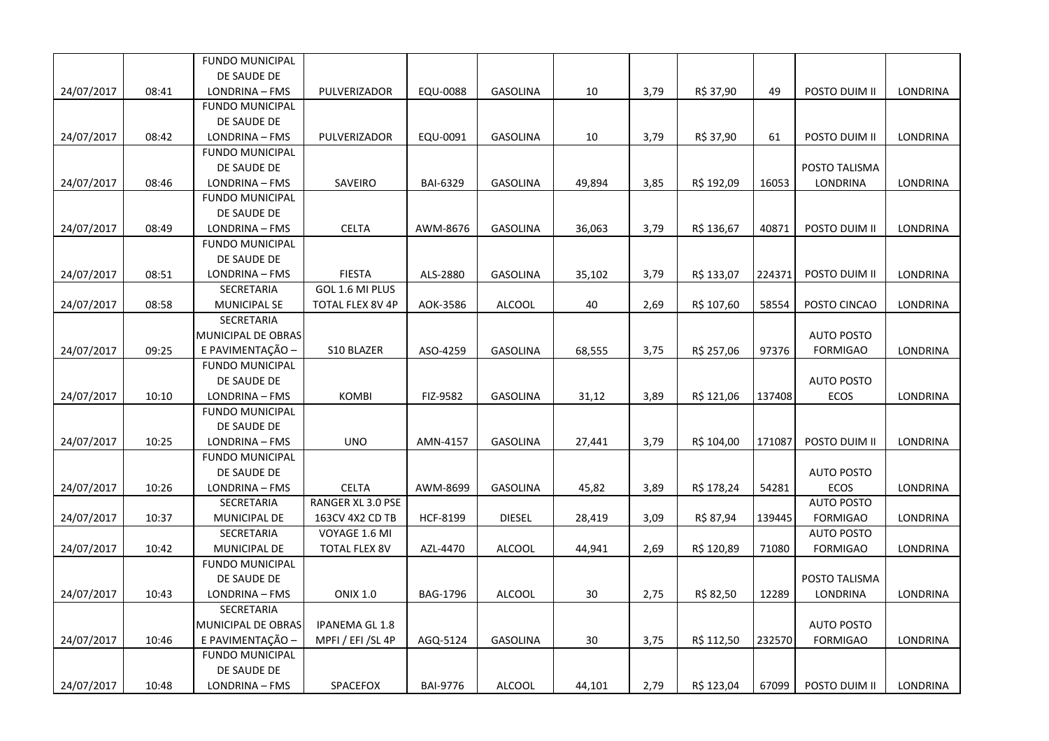|            |       | <b>FUNDO MUNICIPAL</b> |                       |                 |                 |        |      |            |        |                   |                 |
|------------|-------|------------------------|-----------------------|-----------------|-----------------|--------|------|------------|--------|-------------------|-----------------|
|            |       | DE SAUDE DE            |                       |                 |                 |        |      |            |        |                   |                 |
| 24/07/2017 | 08:41 | LONDRINA - FMS         | PULVERIZADOR          | EQU-0088        | <b>GASOLINA</b> | 10     | 3,79 | R\$ 37,90  | 49     | POSTO DUIM II     | LONDRINA        |
|            |       | <b>FUNDO MUNICIPAL</b> |                       |                 |                 |        |      |            |        |                   |                 |
|            |       | DE SAUDE DE            |                       |                 |                 |        |      |            |        |                   |                 |
| 24/07/2017 | 08:42 | LONDRINA - FMS         | PULVERIZADOR          | EQU-0091        | <b>GASOLINA</b> | 10     | 3,79 | R\$ 37,90  | 61     | POSTO DUIM II     | LONDRINA        |
|            |       | <b>FUNDO MUNICIPAL</b> |                       |                 |                 |        |      |            |        |                   |                 |
|            |       | DE SAUDE DE            |                       |                 |                 |        |      |            |        | POSTO TALISMA     |                 |
| 24/07/2017 | 08:46 | LONDRINA - FMS         | SAVEIRO               | <b>BAI-6329</b> | <b>GASOLINA</b> | 49,894 | 3,85 | R\$ 192,09 | 16053  | LONDRINA          | LONDRINA        |
|            |       | <b>FUNDO MUNICIPAL</b> |                       |                 |                 |        |      |            |        |                   |                 |
|            |       | DE SAUDE DE            |                       |                 |                 |        |      |            |        |                   |                 |
| 24/07/2017 | 08:49 | LONDRINA - FMS         | <b>CELTA</b>          | AWM-8676        | <b>GASOLINA</b> | 36,063 | 3,79 | R\$ 136,67 | 40871  | POSTO DUIM II     | <b>LONDRINA</b> |
|            |       | <b>FUNDO MUNICIPAL</b> |                       |                 |                 |        |      |            |        |                   |                 |
|            |       | DE SAUDE DE            |                       |                 |                 |        |      |            |        |                   |                 |
| 24/07/2017 | 08:51 | LONDRINA - FMS         | <b>FIESTA</b>         | ALS-2880        | <b>GASOLINA</b> | 35,102 | 3,79 | R\$ 133,07 | 224371 | POSTO DUIM II     | LONDRINA        |
|            |       | SECRETARIA             | GOL 1.6 MI PLUS       |                 |                 |        |      |            |        |                   |                 |
| 24/07/2017 | 08:58 | <b>MUNICIPAL SE</b>    | TOTAL FLEX 8V 4P      | AOK-3586        | <b>ALCOOL</b>   | 40     | 2,69 | R\$ 107,60 | 58554  | POSTO CINCAO      | LONDRINA        |
|            |       | SECRETARIA             |                       |                 |                 |        |      |            |        |                   |                 |
|            |       | MUNICIPAL DE OBRAS     |                       |                 |                 |        |      |            |        | <b>AUTO POSTO</b> |                 |
| 24/07/2017 | 09:25 | E PAVIMENTAÇÃO -       | S10 BLAZER            | ASO-4259        | <b>GASOLINA</b> | 68,555 | 3,75 | R\$ 257,06 | 97376  | <b>FORMIGAO</b>   | LONDRINA        |
|            |       | <b>FUNDO MUNICIPAL</b> |                       |                 |                 |        |      |            |        |                   |                 |
|            |       | DE SAUDE DE            |                       |                 |                 |        |      |            |        | <b>AUTO POSTO</b> |                 |
| 24/07/2017 | 10:10 | LONDRINA - FMS         | <b>KOMBI</b>          | FIZ-9582        | <b>GASOLINA</b> | 31,12  | 3,89 | R\$ 121,06 | 137408 | <b>ECOS</b>       | <b>LONDRINA</b> |
|            |       | <b>FUNDO MUNICIPAL</b> |                       |                 |                 |        |      |            |        |                   |                 |
|            |       | DE SAUDE DE            |                       |                 |                 |        |      |            |        |                   |                 |
| 24/07/2017 | 10:25 | LONDRINA - FMS         | <b>UNO</b>            | AMN-4157        | <b>GASOLINA</b> | 27,441 | 3,79 | R\$ 104,00 | 171087 | POSTO DUIM II     | LONDRINA        |
|            |       | <b>FUNDO MUNICIPAL</b> |                       |                 |                 |        |      |            |        |                   |                 |
|            |       | DE SAUDE DE            |                       |                 |                 |        |      |            |        | <b>AUTO POSTO</b> |                 |
| 24/07/2017 | 10:26 | LONDRINA - FMS         | <b>CELTA</b>          | AWM-8699        | GASOLINA        | 45,82  | 3,89 | R\$ 178,24 | 54281  | ECOS              | LONDRINA        |
|            |       | SECRETARIA             | RANGER XL 3.0 PSE     |                 |                 |        |      |            |        | <b>AUTO POSTO</b> |                 |
| 24/07/2017 | 10:37 | MUNICIPAL DE           | 163CV 4X2 CD TB       | <b>HCF-8199</b> | <b>DIESEL</b>   | 28,419 | 3,09 | R\$ 87,94  | 139445 | <b>FORMIGAO</b>   | LONDRINA        |
|            |       | SECRETARIA             | VOYAGE 1.6 MI         |                 |                 |        |      |            |        | <b>AUTO POSTO</b> |                 |
| 24/07/2017 | 10:42 | MUNICIPAL DE           | <b>TOTAL FLEX 8V</b>  | AZL-4470        | <b>ALCOOL</b>   | 44,941 | 2,69 | R\$ 120,89 | 71080  | <b>FORMIGAO</b>   | LONDRINA        |
|            |       | <b>FUNDO MUNICIPAL</b> |                       |                 |                 |        |      |            |        |                   |                 |
|            |       | DE SAUDE DE            |                       |                 |                 |        |      |            |        | POSTO TALISMA     |                 |
| 24/07/2017 | 10:43 | LONDRINA - FMS         | <b>ONIX 1.0</b>       | BAG-1796        | ALCOOL          | 30     | 2,75 | R\$ 82,50  | 12289  | LONDRINA          | LONDRINA        |
|            |       | SECRETARIA             |                       |                 |                 |        |      |            |        |                   |                 |
|            |       | MUNICIPAL DE OBRAS     | <b>IPANEMA GL 1.8</b> |                 |                 |        |      |            |        | <b>AUTO POSTO</b> |                 |
| 24/07/2017 | 10:46 | E PAVIMENTAÇÃO -       | MPFI / EFI /SL 4P     | AGQ-5124        | <b>GASOLINA</b> | 30     | 3,75 | R\$ 112,50 | 232570 | <b>FORMIGAO</b>   | LONDRINA        |
|            |       | <b>FUNDO MUNICIPAL</b> |                       |                 |                 |        |      |            |        |                   |                 |
|            |       | DE SAUDE DE            |                       |                 |                 |        |      |            |        |                   |                 |
| 24/07/2017 | 10:48 | LONDRINA - FMS         | SPACEFOX              | <b>BAI-9776</b> | <b>ALCOOL</b>   | 44,101 | 2,79 | R\$ 123,04 | 67099  | POSTO DUIM II     | LONDRINA        |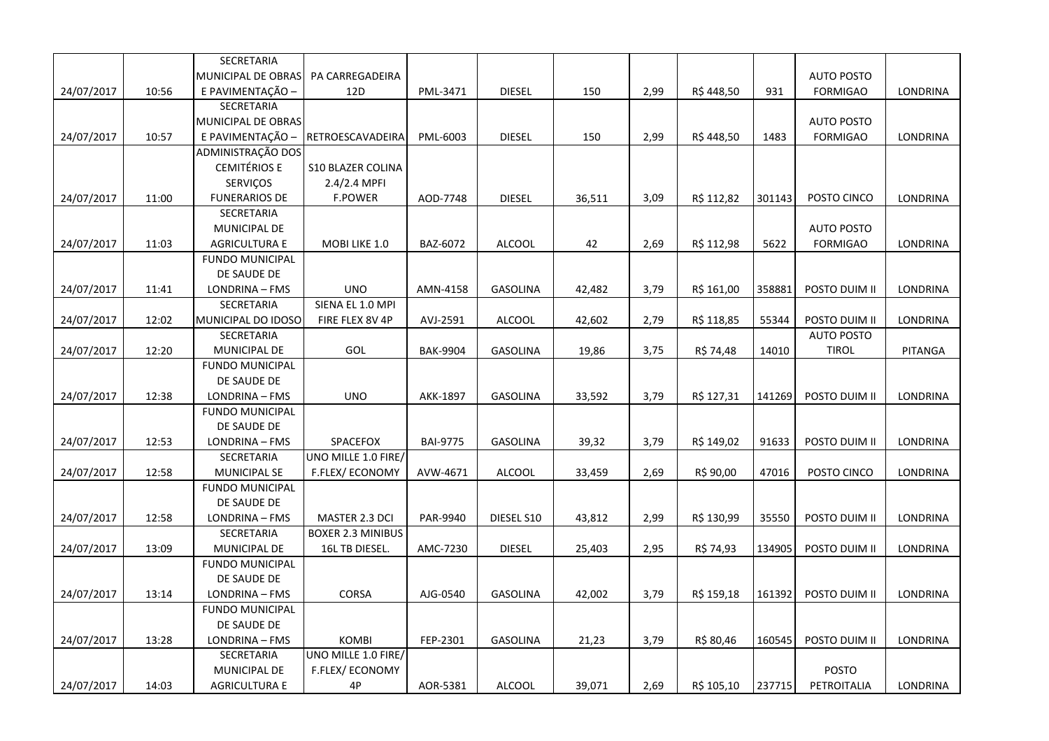|            |       | SECRETARIA             |                          |                 |                 |        |      |            |        |                   |                 |
|------------|-------|------------------------|--------------------------|-----------------|-----------------|--------|------|------------|--------|-------------------|-----------------|
|            |       | MUNICIPAL DE OBRAS     | PA CARREGADEIRA          |                 |                 |        |      |            |        | <b>AUTO POSTO</b> |                 |
| 24/07/2017 | 10:56 | E PAVIMENTAÇÃO -       | 12D                      | PML-3471        | <b>DIESEL</b>   | 150    | 2,99 | R\$448,50  | 931    | <b>FORMIGAO</b>   | <b>LONDRINA</b> |
|            |       | SECRETARIA             |                          |                 |                 |        |      |            |        |                   |                 |
|            |       | MUNICIPAL DE OBRAS     |                          |                 |                 |        |      |            |        | <b>AUTO POSTO</b> |                 |
| 24/07/2017 | 10:57 | E PAVIMENTAÇÃO -       | RETROESCAVADEIRA         | PML-6003        | <b>DIESEL</b>   | 150    | 2,99 | R\$448,50  | 1483   | <b>FORMIGAO</b>   | LONDRINA        |
|            |       | ADMINISTRAÇÃO DOS      |                          |                 |                 |        |      |            |        |                   |                 |
|            |       | <b>CEMITÉRIOS E</b>    | <b>S10 BLAZER COLINA</b> |                 |                 |        |      |            |        |                   |                 |
|            |       | <b>SERVIÇOS</b>        | 2.4/2.4 MPFI             |                 |                 |        |      |            |        |                   |                 |
| 24/07/2017 | 11:00 | <b>FUNERARIOS DE</b>   | <b>F.POWER</b>           | AOD-7748        | <b>DIESEL</b>   | 36,511 | 3,09 | R\$ 112,82 | 301143 | POSTO CINCO       | LONDRINA        |
|            |       | SECRETARIA             |                          |                 |                 |        |      |            |        |                   |                 |
|            |       | MUNICIPAL DE           |                          |                 |                 |        |      |            |        | <b>AUTO POSTO</b> |                 |
| 24/07/2017 | 11:03 | <b>AGRICULTURA E</b>   | MOBI LIKE 1.0            | BAZ-6072        | <b>ALCOOL</b>   | 42     | 2,69 | R\$ 112,98 | 5622   | <b>FORMIGAO</b>   | LONDRINA        |
|            |       | <b>FUNDO MUNICIPAL</b> |                          |                 |                 |        |      |            |        |                   |                 |
|            |       | DE SAUDE DE            |                          |                 |                 |        |      |            |        |                   |                 |
| 24/07/2017 | 11:41 | LONDRINA - FMS         | <b>UNO</b>               | AMN-4158        | <b>GASOLINA</b> | 42,482 | 3,79 | R\$ 161,00 | 358881 | POSTO DUIM II     | LONDRINA        |
|            |       | SECRETARIA             | SIENA EL 1.0 MPI         |                 |                 |        |      |            |        |                   |                 |
| 24/07/2017 | 12:02 | MUNICIPAL DO IDOSO     | FIRE FLEX 8V 4P          | AVJ-2591        | <b>ALCOOL</b>   | 42,602 | 2,79 | R\$ 118,85 | 55344  | POSTO DUIM II     | LONDRINA        |
|            |       | SECRETARIA             |                          |                 |                 |        |      |            |        | <b>AUTO POSTO</b> |                 |
| 24/07/2017 | 12:20 | MUNICIPAL DE           | <b>GOL</b>               | <b>BAK-9904</b> | <b>GASOLINA</b> | 19,86  | 3,75 | R\$ 74,48  | 14010  | <b>TIROL</b>      | PITANGA         |
|            |       | <b>FUNDO MUNICIPAL</b> |                          |                 |                 |        |      |            |        |                   |                 |
|            |       | DE SAUDE DE            |                          |                 |                 |        |      |            |        |                   |                 |
| 24/07/2017 | 12:38 | LONDRINA - FMS         | <b>UNO</b>               | AKK-1897        | <b>GASOLINA</b> | 33,592 | 3,79 | R\$ 127,31 | 141269 | POSTO DUIM II     | <b>LONDRINA</b> |
|            |       | <b>FUNDO MUNICIPAL</b> |                          |                 |                 |        |      |            |        |                   |                 |
|            |       | DE SAUDE DE            |                          |                 |                 |        |      |            |        |                   |                 |
| 24/07/2017 | 12:53 | LONDRINA - FMS         | SPACEFOX                 | <b>BAI-9775</b> | <b>GASOLINA</b> | 39,32  | 3,79 | R\$ 149,02 | 91633  | POSTO DUIM II     | LONDRINA        |
|            |       | SECRETARIA             | UNO MILLE 1.0 FIRE/      |                 |                 |        |      |            |        |                   |                 |
| 24/07/2017 | 12:58 | <b>MUNICIPAL SE</b>    | F.FLEX/ECONOMY           | AVW-4671        | <b>ALCOOL</b>   | 33,459 | 2,69 | R\$ 90,00  | 47016  | POSTO CINCO       | LONDRINA        |
|            |       | <b>FUNDO MUNICIPAL</b> |                          |                 |                 |        |      |            |        |                   |                 |
|            |       | DE SAUDE DE            |                          |                 |                 |        |      |            |        |                   |                 |
| 24/07/2017 | 12:58 | LONDRINA - FMS         | MASTER 2.3 DCI           | PAR-9940        | DIESEL S10      | 43,812 | 2,99 | R\$ 130,99 | 35550  | POSTO DUIM II     | LONDRINA        |
|            |       | SECRETARIA             | <b>BOXER 2.3 MINIBUS</b> |                 |                 |        |      |            |        |                   |                 |
| 24/07/2017 | 13:09 | MUNICIPAL DE           | 16L TB DIESEL.           | AMC-7230        | <b>DIESEL</b>   | 25,403 | 2,95 | R\$ 74,93  | 134905 | POSTO DUIM II     | LONDRINA        |
|            |       | <b>FUNDO MUNICIPAL</b> |                          |                 |                 |        |      |            |        |                   |                 |
|            |       | DE SAUDE DE            |                          |                 |                 |        |      |            |        |                   |                 |
| 24/07/2017 | 13:14 | LONDRINA - FMS         | <b>CORSA</b>             | AJG-0540        | <b>GASOLINA</b> | 42,002 | 3,79 | R\$ 159,18 | 161392 | POSTO DUIM II     | LONDRINA        |
|            |       | <b>FUNDO MUNICIPAL</b> |                          |                 |                 |        |      |            |        |                   |                 |
|            |       | DE SAUDE DE            |                          |                 |                 |        |      |            |        |                   |                 |
| 24/07/2017 | 13:28 | LONDRINA - FMS         | <b>KOMBI</b>             | FEP-2301        | <b>GASOLINA</b> | 21,23  | 3,79 | R\$ 80,46  | 160545 | POSTO DUIM II     | LONDRINA        |
|            |       | SECRETARIA             | UNO MILLE 1.0 FIRE/      |                 |                 |        |      |            |        |                   |                 |
|            |       | <b>MUNICIPAL DE</b>    | <b>F.FLEX/ECONOMY</b>    |                 |                 |        |      |            |        | <b>POSTO</b>      |                 |
| 24/07/2017 | 14:03 | <b>AGRICULTURA E</b>   | 4P                       | AOR-5381        | <b>ALCOOL</b>   | 39,071 | 2,69 | R\$ 105,10 | 237715 | PETROITALIA       | LONDRINA        |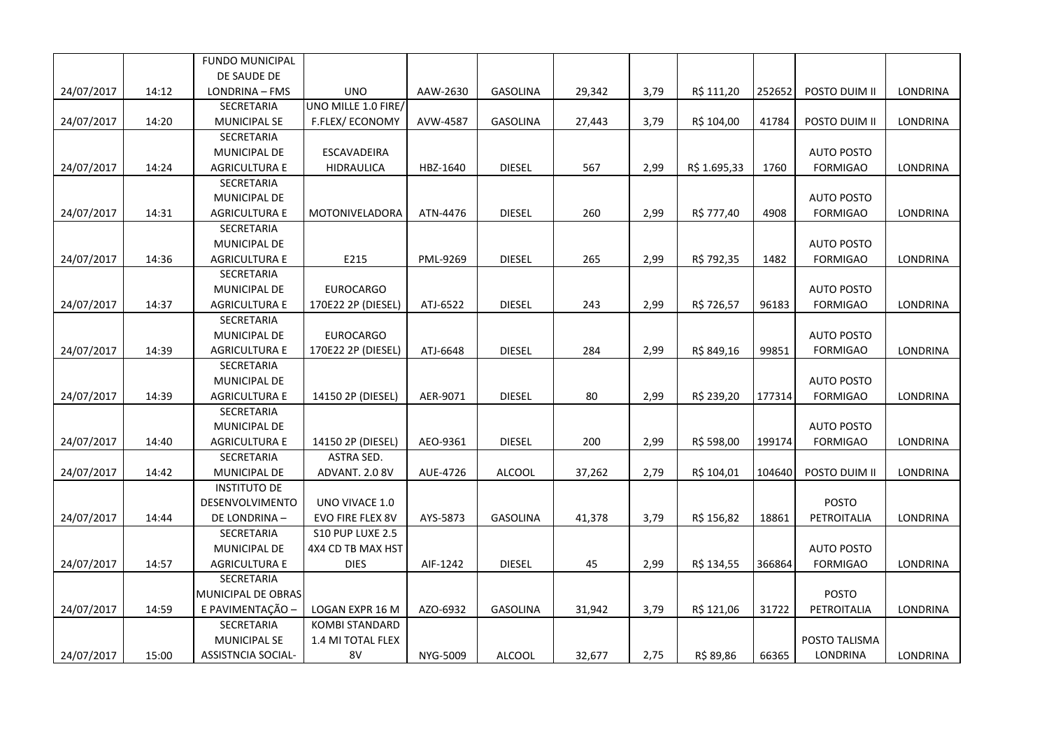|            |       | FUNDO MUNICIPAL           |                       |          |                 |        |      |              |        |                   |                 |
|------------|-------|---------------------------|-----------------------|----------|-----------------|--------|------|--------------|--------|-------------------|-----------------|
|            |       | DE SAUDE DE               |                       |          |                 |        |      |              |        |                   |                 |
| 24/07/2017 | 14:12 | LONDRINA - FMS            | <b>UNO</b>            | AAW-2630 | GASOLINA        | 29,342 | 3,79 | R\$ 111,20   | 252652 | POSTO DUIM II     | LONDRINA        |
|            |       | SECRETARIA                | UNO MILLE 1.0 FIRE/   |          |                 |        |      |              |        |                   |                 |
| 24/07/2017 | 14:20 | <b>MUNICIPAL SE</b>       | F.FLEX/ECONOMY        | AVW-4587 | GASOLINA        | 27,443 | 3,79 | R\$ 104,00   | 41784  | POSTO DUIM II     | <b>LONDRINA</b> |
|            |       | SECRETARIA                |                       |          |                 |        |      |              |        |                   |                 |
|            |       | MUNICIPAL DE              | ESCAVADEIRA           |          |                 |        |      |              |        | <b>AUTO POSTO</b> |                 |
| 24/07/2017 | 14:24 | <b>AGRICULTURA E</b>      | <b>HIDRAULICA</b>     | HBZ-1640 | <b>DIESEL</b>   | 567    | 2,99 | R\$ 1.695,33 | 1760   | <b>FORMIGAO</b>   | LONDRINA        |
|            |       | SECRETARIA                |                       |          |                 |        |      |              |        |                   |                 |
|            |       | MUNICIPAL DE              |                       |          |                 |        |      |              |        | <b>AUTO POSTO</b> |                 |
| 24/07/2017 | 14:31 | <b>AGRICULTURA E</b>      | MOTONIVELADORA        | ATN-4476 | <b>DIESEL</b>   | 260    | 2,99 | R\$ 777,40   | 4908   | <b>FORMIGAO</b>   | LONDRINA        |
|            |       | <b>SECRETARIA</b>         |                       |          |                 |        |      |              |        |                   |                 |
|            |       | MUNICIPAL DE              |                       |          |                 |        |      |              |        | <b>AUTO POSTO</b> |                 |
| 24/07/2017 | 14:36 | AGRICULTURA E             | E215                  | PML-9269 | <b>DIESEL</b>   | 265    | 2,99 | R\$ 792,35   | 1482   | <b>FORMIGAO</b>   | LONDRINA        |
|            |       | SECRETARIA                |                       |          |                 |        |      |              |        |                   |                 |
|            |       | MUNICIPAL DE              | <b>EUROCARGO</b>      |          |                 |        |      |              |        | <b>AUTO POSTO</b> |                 |
| 24/07/2017 | 14:37 | <b>AGRICULTURA E</b>      | 170E22 2P (DIESEL)    | ATJ-6522 | <b>DIESEL</b>   | 243    | 2,99 | R\$ 726,57   | 96183  | <b>FORMIGAO</b>   | LONDRINA        |
|            |       | SECRETARIA                |                       |          |                 |        |      |              |        |                   |                 |
|            |       | MUNICIPAL DE              | <b>EUROCARGO</b>      |          |                 |        |      |              |        | <b>AUTO POSTO</b> |                 |
| 24/07/2017 | 14:39 | <b>AGRICULTURA E</b>      | 170E22 2P (DIESEL)    | ATJ-6648 | <b>DIESEL</b>   | 284    | 2,99 | R\$ 849,16   | 99851  | <b>FORMIGAO</b>   | LONDRINA        |
|            |       | SECRETARIA                |                       |          |                 |        |      |              |        |                   |                 |
|            |       | MUNICIPAL DE              |                       |          |                 |        |      |              |        | <b>AUTO POSTO</b> |                 |
| 24/07/2017 | 14:39 | <b>AGRICULTURA E</b>      | 14150 2P (DIESEL)     | AER-9071 | <b>DIESEL</b>   | 80     | 2,99 | R\$ 239,20   | 177314 | <b>FORMIGAO</b>   | LONDRINA        |
|            |       | SECRETARIA                |                       |          |                 |        |      |              |        |                   |                 |
|            |       | MUNICIPAL DE              |                       |          |                 |        |      |              |        | <b>AUTO POSTO</b> |                 |
| 24/07/2017 | 14:40 | <b>AGRICULTURA E</b>      | 14150 2P (DIESEL)     | AEO-9361 | <b>DIESEL</b>   | 200    | 2,99 | R\$ 598,00   | 199174 | <b>FORMIGAO</b>   | <b>LONDRINA</b> |
|            |       | SECRETARIA                | ASTRA SED.            |          |                 |        |      |              |        |                   |                 |
| 24/07/2017 | 14:42 | MUNICIPAL DE              | ADVANT. 2.0 8V        | AUE-4726 | ALCOOL          | 37,262 | 2,79 | R\$ 104,01   | 104640 | POSTO DUIM II     | LONDRINA        |
|            |       | <b>INSTITUTO DE</b>       |                       |          |                 |        |      |              |        |                   |                 |
|            |       | DESENVOLVIMENTO           | UNO VIVACE 1.0        |          |                 |        |      |              |        | <b>POSTO</b>      |                 |
| 24/07/2017 | 14:44 | DE LONDRINA-              | EVO FIRE FLEX 8V      | AYS-5873 | <b>GASOLINA</b> | 41,378 | 3,79 | R\$ 156,82   | 18861  | PETROITALIA       | LONDRINA        |
|            |       | SECRETARIA                | S10 PUP LUXE 2.5      |          |                 |        |      |              |        |                   |                 |
|            |       | MUNICIPAL DE              | 4X4 CD TB MAX HST     |          |                 |        |      |              |        | <b>AUTO POSTO</b> |                 |
| 24/07/2017 | 14:57 | <b>AGRICULTURA E</b>      | <b>DIES</b>           | AIF-1242 | <b>DIESEL</b>   | 45     | 2,99 | R\$ 134,55   | 366864 | <b>FORMIGAO</b>   | <b>LONDRINA</b> |
|            |       | SECRETARIA                |                       |          |                 |        |      |              |        |                   |                 |
|            |       | MUNICIPAL DE OBRAS        |                       |          |                 |        |      |              |        | <b>POSTO</b>      |                 |
| 24/07/2017 | 14:59 | E PAVIMENTAÇÃO -          | LOGAN EXPR 16 M       | AZO-6932 | <b>GASOLINA</b> | 31,942 | 3,79 | R\$ 121,06   | 31722  | PETROITALIA       | LONDRINA        |
|            |       | SECRETARIA                | <b>KOMBI STANDARD</b> |          |                 |        |      |              |        |                   |                 |
|            |       | <b>MUNICIPAL SE</b>       | 1.4 MI TOTAL FLEX     |          |                 |        |      |              |        | POSTO TALISMA     |                 |
| 24/07/2017 | 15:00 | <b>ASSISTNCIA SOCIAL-</b> | 8V                    | NYG-5009 | <b>ALCOOL</b>   | 32,677 | 2,75 | R\$ 89,86    | 66365  | LONDRINA          | <b>LONDRINA</b> |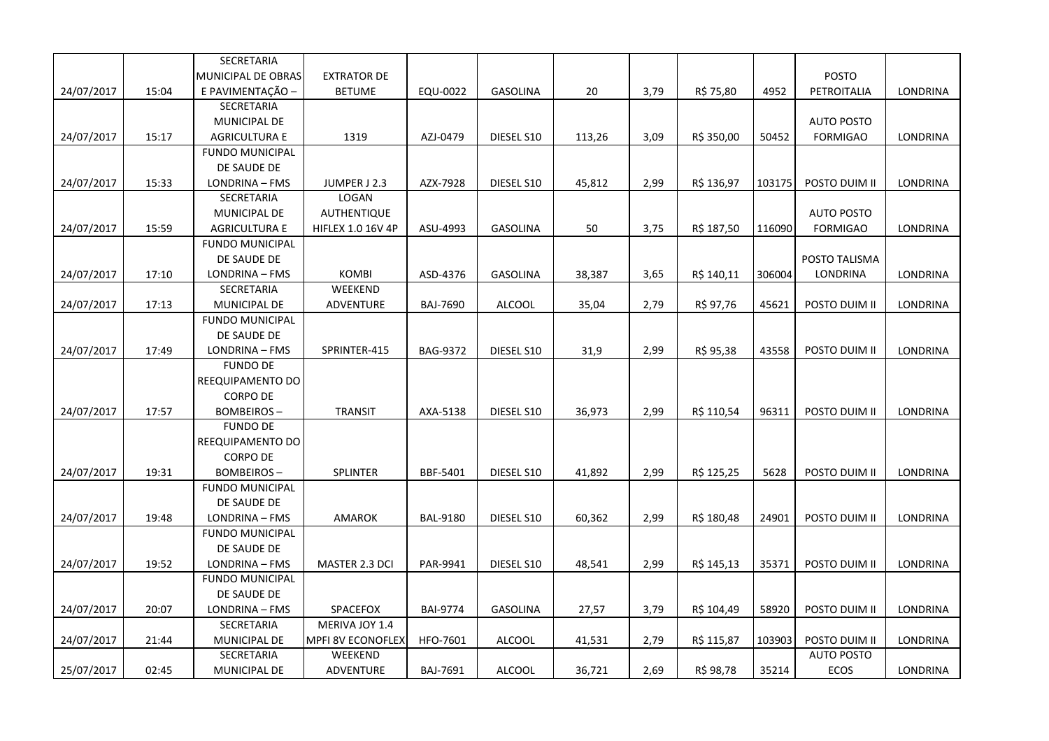|            |       | SECRETARIA             |                          |                 |                 |        |      |            |        |                   |                 |
|------------|-------|------------------------|--------------------------|-----------------|-----------------|--------|------|------------|--------|-------------------|-----------------|
|            |       | MUNICIPAL DE OBRAS     | <b>EXTRATOR DE</b>       |                 |                 |        |      |            |        | <b>POSTO</b>      |                 |
| 24/07/2017 | 15:04 | E PAVIMENTAÇÃO -       | <b>BETUME</b>            | EQU-0022        | <b>GASOLINA</b> | 20     | 3,79 | R\$ 75,80  | 4952   | PETROITALIA       | LONDRINA        |
|            |       | SECRETARIA             |                          |                 |                 |        |      |            |        |                   |                 |
|            |       | MUNICIPAL DE           |                          |                 |                 |        |      |            |        | <b>AUTO POSTO</b> |                 |
| 24/07/2017 | 15:17 | <b>AGRICULTURA E</b>   | 1319                     | AZJ-0479        | DIESEL S10      | 113,26 | 3,09 | R\$ 350,00 | 50452  | <b>FORMIGAO</b>   | LONDRINA        |
|            |       | <b>FUNDO MUNICIPAL</b> |                          |                 |                 |        |      |            |        |                   |                 |
|            |       | DE SAUDE DE            |                          |                 |                 |        |      |            |        |                   |                 |
| 24/07/2017 | 15:33 | LONDRINA - FMS         | JUMPER J 2.3             | AZX-7928        | DIESEL S10      | 45,812 | 2,99 | R\$ 136,97 | 103175 | POSTO DUIM II     | <b>LONDRINA</b> |
|            |       | <b>SECRETARIA</b>      | LOGAN                    |                 |                 |        |      |            |        |                   |                 |
|            |       | MUNICIPAL DE           | AUTHENTIQUE              |                 |                 |        |      |            |        | <b>AUTO POSTO</b> |                 |
| 24/07/2017 | 15:59 | <b>AGRICULTURA E</b>   | <b>HIFLEX 1.0 16V 4P</b> | ASU-4993        | <b>GASOLINA</b> | 50     | 3,75 | R\$ 187,50 | 116090 | <b>FORMIGAO</b>   | LONDRINA        |
|            |       | <b>FUNDO MUNICIPAL</b> |                          |                 |                 |        |      |            |        |                   |                 |
|            |       | DE SAUDE DE            |                          |                 |                 |        |      |            |        | POSTO TALISMA     |                 |
| 24/07/2017 | 17:10 | LONDRINA - FMS         | <b>KOMBI</b>             | ASD-4376        | <b>GASOLINA</b> | 38,387 | 3,65 | R\$ 140,11 | 306004 | LONDRINA          | LONDRINA        |
|            |       | SECRETARIA             | WEEKEND                  |                 |                 |        |      |            |        |                   |                 |
| 24/07/2017 | 17:13 | MUNICIPAL DE           | ADVENTURE                | <b>BAJ-7690</b> | <b>ALCOOL</b>   | 35,04  | 2,79 | R\$ 97,76  | 45621  | POSTO DUIM II     | LONDRINA        |
|            |       | <b>FUNDO MUNICIPAL</b> |                          |                 |                 |        |      |            |        |                   |                 |
|            |       | DE SAUDE DE            |                          |                 |                 |        |      |            |        |                   |                 |
| 24/07/2017 | 17:49 | LONDRINA - FMS         | SPRINTER-415             | <b>BAG-9372</b> | DIESEL S10      | 31,9   | 2,99 | R\$ 95,38  | 43558  | POSTO DUIM II     | LONDRINA        |
|            |       | <b>FUNDO DE</b>        |                          |                 |                 |        |      |            |        |                   |                 |
|            |       | REEQUIPAMENTO DO       |                          |                 |                 |        |      |            |        |                   |                 |
|            |       | <b>CORPO DE</b>        |                          |                 |                 |        |      |            |        |                   |                 |
| 24/07/2017 | 17:57 | <b>BOMBEIROS-</b>      | <b>TRANSIT</b>           | AXA-5138        | DIESEL S10      | 36,973 | 2,99 | R\$ 110,54 | 96311  | POSTO DUIM II     | LONDRINA        |
|            |       | <b>FUNDO DE</b>        |                          |                 |                 |        |      |            |        |                   |                 |
|            |       | REEQUIPAMENTO DO       |                          |                 |                 |        |      |            |        |                   |                 |
|            |       | <b>CORPO DE</b>        |                          |                 |                 |        |      |            |        |                   |                 |
| 24/07/2017 | 19:31 | <b>BOMBEIROS-</b>      | <b>SPLINTER</b>          | BBF-5401        | DIESEL S10      | 41,892 | 2,99 | R\$ 125,25 | 5628   | POSTO DUIM II     | <b>LONDRINA</b> |
|            |       | <b>FUNDO MUNICIPAL</b> |                          |                 |                 |        |      |            |        |                   |                 |
|            |       | DE SAUDE DE            |                          |                 |                 |        |      |            |        |                   |                 |
| 24/07/2017 | 19:48 | LONDRINA - FMS         | <b>AMAROK</b>            | <b>BAL-9180</b> | DIESEL S10      | 60,362 | 2,99 | R\$ 180,48 | 24901  | POSTO DUIM II     | LONDRINA        |
|            |       | <b>FUNDO MUNICIPAL</b> |                          |                 |                 |        |      |            |        |                   |                 |
|            |       | DE SAUDE DE            |                          |                 |                 |        |      |            |        |                   |                 |
| 24/07/2017 | 19:52 | LONDRINA - FMS         | MASTER 2.3 DCI           | PAR-9941        | DIESEL S10      | 48,541 | 2,99 | R\$ 145,13 | 35371  | POSTO DUIM II     | LONDRINA        |
|            |       | <b>FUNDO MUNICIPAL</b> |                          |                 |                 |        |      |            |        |                   |                 |
|            |       | DE SAUDE DE            |                          |                 |                 |        |      |            |        |                   |                 |
| 24/07/2017 | 20:07 | LONDRINA - FMS         | SPACEFOX                 | <b>BAI-9774</b> | <b>GASOLINA</b> | 27,57  | 3,79 | R\$ 104,49 | 58920  | POSTO DUIM II     | LONDRINA        |
|            |       | SECRETARIA             | MERIVA JOY 1.4           |                 |                 |        |      |            |        |                   |                 |
| 24/07/2017 | 21:44 | MUNICIPAL DE           | <b>MPFI 8V ECONOFLEX</b> | HFO-7601        | <b>ALCOOL</b>   | 41,531 | 2,79 | R\$ 115,87 | 103903 | POSTO DUIM II     | LONDRINA        |
|            |       | SECRETARIA             | WEEKEND                  |                 |                 |        |      |            |        | <b>AUTO POSTO</b> |                 |
| 25/07/2017 | 02:45 | MUNICIPAL DE           | ADVENTURE                | BAJ-7691        | <b>ALCOOL</b>   | 36,721 | 2,69 | R\$ 98,78  | 35214  | <b>ECOS</b>       | LONDRINA        |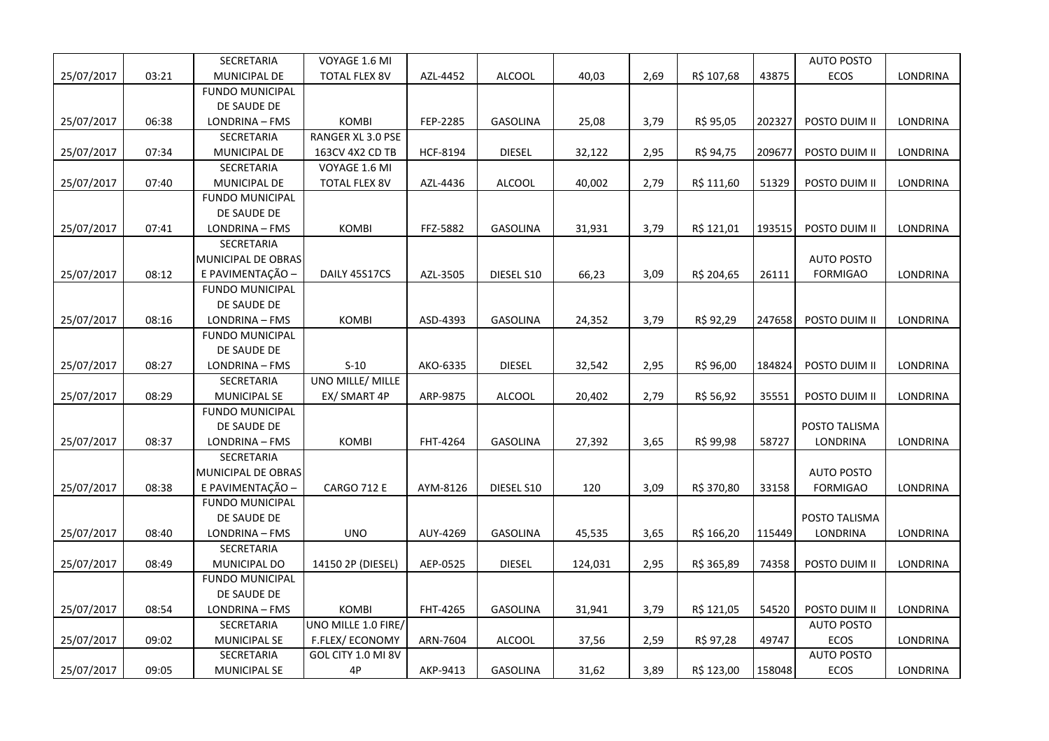|            |       | SECRETARIA             | VOYAGE 1.6 MI           |          |                 |         |      |            |        | <b>AUTO POSTO</b> |          |
|------------|-------|------------------------|-------------------------|----------|-----------------|---------|------|------------|--------|-------------------|----------|
| 25/07/2017 | 03:21 | MUNICIPAL DE           | <b>TOTAL FLEX 8V</b>    | AZL-4452 | <b>ALCOOL</b>   | 40,03   | 2,69 | R\$ 107,68 | 43875  | <b>ECOS</b>       | LONDRINA |
|            |       | <b>FUNDO MUNICIPAL</b> |                         |          |                 |         |      |            |        |                   |          |
|            |       | DE SAUDE DE            |                         |          |                 |         |      |            |        |                   |          |
| 25/07/2017 | 06:38 | LONDRINA - FMS         | <b>KOMBI</b>            | FEP-2285 | <b>GASOLINA</b> | 25,08   | 3,79 | R\$ 95,05  | 202327 | POSTO DUIM II     | LONDRINA |
|            |       | SECRETARIA             | RANGER XL 3.0 PSE       |          |                 |         |      |            |        |                   |          |
| 25/07/2017 | 07:34 | MUNICIPAL DE           | 163CV 4X2 CD TB         | HCF-8194 | <b>DIESEL</b>   | 32,122  | 2,95 | R\$ 94,75  | 209677 | POSTO DUIM II     | LONDRINA |
|            |       | SECRETARIA             | VOYAGE 1.6 MI           |          |                 |         |      |            |        |                   |          |
| 25/07/2017 | 07:40 | MUNICIPAL DE           | <b>TOTAL FLEX 8V</b>    | AZL-4436 | <b>ALCOOL</b>   | 40,002  | 2,79 | R\$ 111,60 | 51329  | POSTO DUIM II     | LONDRINA |
|            |       | <b>FUNDO MUNICIPAL</b> |                         |          |                 |         |      |            |        |                   |          |
|            |       | DE SAUDE DE            |                         |          |                 |         |      |            |        |                   |          |
| 25/07/2017 | 07:41 | LONDRINA - FMS         | <b>KOMBI</b>            | FFZ-5882 | GASOLINA        | 31,931  | 3,79 | R\$ 121,01 | 193515 | POSTO DUIM II     | LONDRINA |
|            |       | SECRETARIA             |                         |          |                 |         |      |            |        |                   |          |
|            |       | MUNICIPAL DE OBRAS     |                         |          |                 |         |      |            |        | <b>AUTO POSTO</b> |          |
| 25/07/2017 | 08:12 | E PAVIMENTAÇÃO -       | DAILY 45S17CS           | AZL-3505 | DIESEL S10      | 66,23   | 3,09 | R\$ 204,65 | 26111  | <b>FORMIGAO</b>   | LONDRINA |
|            |       | <b>FUNDO MUNICIPAL</b> |                         |          |                 |         |      |            |        |                   |          |
|            |       | DE SAUDE DE            |                         |          |                 |         |      |            |        |                   |          |
| 25/07/2017 | 08:16 | LONDRINA - FMS         | <b>KOMBI</b>            | ASD-4393 | <b>GASOLINA</b> | 24,352  | 3,79 | R\$ 92,29  | 247658 | POSTO DUIM II     | LONDRINA |
|            |       | <b>FUNDO MUNICIPAL</b> |                         |          |                 |         |      |            |        |                   |          |
|            |       | DE SAUDE DE            |                         |          |                 |         |      |            |        |                   |          |
| 25/07/2017 | 08:27 | LONDRINA - FMS         | $S-10$                  | AKO-6335 | <b>DIESEL</b>   | 32,542  | 2,95 | R\$ 96,00  | 184824 | POSTO DUIM II     | LONDRINA |
|            |       | <b>SECRETARIA</b>      | <b>UNO MILLE/ MILLE</b> |          |                 |         |      |            |        |                   |          |
| 25/07/2017 | 08:29 | <b>MUNICIPAL SE</b>    | EX/ SMART 4P            | ARP-9875 | <b>ALCOOL</b>   | 20,402  | 2,79 | R\$ 56,92  | 35551  | POSTO DUIM II     | LONDRINA |
|            |       | <b>FUNDO MUNICIPAL</b> |                         |          |                 |         |      |            |        |                   |          |
|            |       | DE SAUDE DE            |                         |          |                 |         |      |            |        | POSTO TALISMA     |          |
| 25/07/2017 | 08:37 | LONDRINA - FMS         | <b>KOMBI</b>            | FHT-4264 | <b>GASOLINA</b> | 27,392  | 3,65 | R\$ 99,98  | 58727  | LONDRINA          | LONDRINA |
|            |       | SECRETARIA             |                         |          |                 |         |      |            |        |                   |          |
|            |       | MUNICIPAL DE OBRAS     |                         |          |                 |         |      |            |        | <b>AUTO POSTO</b> |          |
| 25/07/2017 | 08:38 | E PAVIMENTAÇÃO -       | <b>CARGO 712 E</b>      | AYM-8126 | DIESEL S10      | 120     | 3,09 | R\$ 370,80 | 33158  | <b>FORMIGAO</b>   | LONDRINA |
|            |       | <b>FUNDO MUNICIPAL</b> |                         |          |                 |         |      |            |        |                   |          |
|            |       | DE SAUDE DE            |                         |          |                 |         |      |            |        | POSTO TALISMA     |          |
| 25/07/2017 | 08:40 | LONDRINA - FMS         | <b>UNO</b>              | AUY-4269 | <b>GASOLINA</b> | 45,535  | 3,65 | R\$ 166,20 | 115449 | LONDRINA          | LONDRINA |
|            |       | SECRETARIA             |                         |          |                 |         |      |            |        |                   |          |
| 25/07/2017 | 08:49 | MUNICIPAL DO           | 14150 2P (DIESEL)       | AEP-0525 | <b>DIESEL</b>   | 124,031 | 2,95 | R\$ 365,89 | 74358  | POSTO DUIM II     | LONDRINA |
|            |       | <b>FUNDO MUNICIPAL</b> |                         |          |                 |         |      |            |        |                   |          |
|            |       | DE SAUDE DE            |                         |          |                 |         |      |            |        |                   |          |
| 25/07/2017 | 08:54 | LONDRINA - FMS         | <b>KOMBI</b>            | FHT-4265 | <b>GASOLINA</b> | 31,941  | 3,79 | R\$ 121,05 | 54520  | POSTO DUIM II     | LONDRINA |
|            |       | SECRETARIA             | UNO MILLE 1.0 FIRE/     |          |                 |         |      |            |        | <b>AUTO POSTO</b> |          |
| 25/07/2017 | 09:02 | MUNICIPAL SE           | F.FLEX/ECONOMY          | ARN-7604 | <b>ALCOOL</b>   | 37,56   | 2,59 | R\$ 97,28  | 49747  | ECOS              | LONDRINA |
|            |       | SECRETARIA             | GOL CITY 1.0 MI 8V      |          |                 |         |      |            |        | <b>AUTO POSTO</b> |          |
| 25/07/2017 | 09:05 | <b>MUNICIPAL SE</b>    | 4P                      | AKP-9413 | <b>GASOLINA</b> | 31,62   | 3,89 | R\$ 123,00 | 158048 | <b>ECOS</b>       | LONDRINA |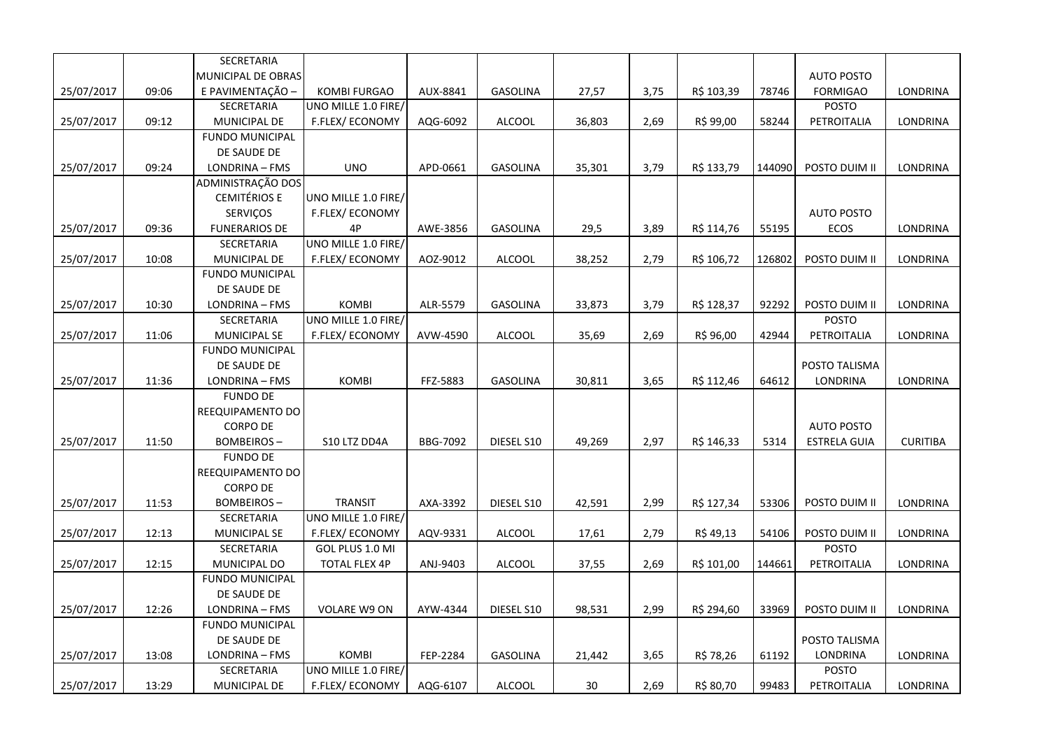|            |       | SECRETARIA             |                      |          |                 |        |      |            |        |                     |                 |
|------------|-------|------------------------|----------------------|----------|-----------------|--------|------|------------|--------|---------------------|-----------------|
|            |       | MUNICIPAL DE OBRAS     |                      |          |                 |        |      |            |        | <b>AUTO POSTO</b>   |                 |
| 25/07/2017 | 09:06 | E PAVIMENTAÇÃO -       | <b>KOMBI FURGAO</b>  | AUX-8841 | <b>GASOLINA</b> | 27,57  | 3,75 | R\$ 103,39 | 78746  | <b>FORMIGAO</b>     | <b>LONDRINA</b> |
|            |       | <b>SECRETARIA</b>      | UNO MILLE 1.0 FIRE/  |          |                 |        |      |            |        | <b>POSTO</b>        |                 |
| 25/07/2017 | 09:12 | MUNICIPAL DE           | F.FLEX/ECONOMY       | AQG-6092 | <b>ALCOOL</b>   | 36,803 | 2,69 | R\$ 99,00  | 58244  | PETROITALIA         | LONDRINA        |
|            |       | <b>FUNDO MUNICIPAL</b> |                      |          |                 |        |      |            |        |                     |                 |
|            |       | DE SAUDE DE            |                      |          |                 |        |      |            |        |                     |                 |
| 25/07/2017 | 09:24 | LONDRINA - FMS         | <b>UNO</b>           | APD-0661 | GASOLINA        | 35,301 | 3,79 | R\$ 133,79 | 144090 | POSTO DUIM II       | LONDRINA        |
|            |       | ADMINISTRAÇÃO DOS      |                      |          |                 |        |      |            |        |                     |                 |
|            |       | <b>CEMITÉRIOS E</b>    | UNO MILLE 1.0 FIRE/  |          |                 |        |      |            |        |                     |                 |
|            |       | SERVIÇOS               | F.FLEX/ECONOMY       |          |                 |        |      |            |        | <b>AUTO POSTO</b>   |                 |
| 25/07/2017 | 09:36 | <b>FUNERARIOS DE</b>   | 4P                   | AWE-3856 | <b>GASOLINA</b> | 29,5   | 3,89 | R\$ 114,76 | 55195  | ECOS                | LONDRINA        |
|            |       | SECRETARIA             | UNO MILLE 1.0 FIRE/  |          |                 |        |      |            |        |                     |                 |
| 25/07/2017 | 10:08 | MUNICIPAL DE           | F.FLEX/ECONOMY       | AOZ-9012 | <b>ALCOOL</b>   | 38,252 | 2,79 | R\$ 106,72 | 126802 | POSTO DUIM II       | <b>LONDRINA</b> |
|            |       | <b>FUNDO MUNICIPAL</b> |                      |          |                 |        |      |            |        |                     |                 |
|            |       | DE SAUDE DE            |                      |          |                 |        |      |            |        |                     |                 |
| 25/07/2017 | 10:30 | LONDRINA - FMS         | <b>KOMBI</b>         | ALR-5579 | <b>GASOLINA</b> | 33,873 | 3,79 | R\$ 128,37 | 92292  | POSTO DUIM II       | LONDRINA        |
|            |       | SECRETARIA             | UNO MILLE 1.0 FIRE/  |          |                 |        |      |            |        | <b>POSTO</b>        |                 |
| 25/07/2017 | 11:06 | <b>MUNICIPAL SE</b>    | F.FLEX/ECONOMY       | AVW-4590 | <b>ALCOOL</b>   | 35,69  | 2,69 | R\$ 96,00  | 42944  | PETROITALIA         | LONDRINA        |
|            |       | <b>FUNDO MUNICIPAL</b> |                      |          |                 |        |      |            |        |                     |                 |
|            |       | DE SAUDE DE            |                      |          |                 |        |      |            |        | POSTO TALISMA       |                 |
| 25/07/2017 | 11:36 | LONDRINA - FMS         | <b>KOMBI</b>         | FFZ-5883 | GASOLINA        | 30,811 | 3,65 | R\$ 112,46 | 64612  | LONDRINA            | LONDRINA        |
|            |       | <b>FUNDO DE</b>        |                      |          |                 |        |      |            |        |                     |                 |
|            |       | REEQUIPAMENTO DO       |                      |          |                 |        |      |            |        |                     |                 |
|            |       | <b>CORPO DE</b>        |                      |          |                 |        |      |            |        | <b>AUTO POSTO</b>   |                 |
| 25/07/2017 | 11:50 | <b>BOMBEIROS-</b>      | S10 LTZ DD4A         | BBG-7092 | DIESEL S10      | 49,269 | 2,97 | R\$ 146,33 | 5314   | <b>ESTRELA GUIA</b> | <b>CURITIBA</b> |
|            |       | <b>FUNDO DE</b>        |                      |          |                 |        |      |            |        |                     |                 |
|            |       | REEQUIPAMENTO DO       |                      |          |                 |        |      |            |        |                     |                 |
|            |       | CORPO DE               |                      |          |                 |        |      |            |        |                     |                 |
| 25/07/2017 | 11:53 | BOMBEIROS -            | <b>TRANSIT</b>       | AXA-3392 | DIESEL S10      | 42,591 | 2,99 | R\$ 127,34 | 53306  | POSTO DUIM II       | LONDRINA        |
|            |       | SECRETARIA             | UNO MILLE 1.0 FIRE/  |          |                 |        |      |            |        |                     |                 |
| 25/07/2017 | 12:13 | <b>MUNICIPAL SE</b>    | F.FLEX/ECONOMY       | AQV-9331 | <b>ALCOOL</b>   | 17,61  | 2,79 | R\$ 49,13  | 54106  | POSTO DUIM II       | LONDRINA        |
|            |       | SECRETARIA             | GOL PLUS 1.0 MI      |          |                 |        |      |            |        | <b>POSTO</b>        |                 |
| 25/07/2017 | 12:15 | MUNICIPAL DO           | <b>TOTAL FLEX 4P</b> | ANJ-9403 | <b>ALCOOL</b>   | 37,55  | 2,69 | R\$ 101,00 | 144661 | PETROITALIA         | <b>LONDRINA</b> |
|            |       | <b>FUNDO MUNICIPAL</b> |                      |          |                 |        |      |            |        |                     |                 |
|            |       | DE SAUDE DE            |                      |          |                 |        |      |            |        |                     |                 |
| 25/07/2017 | 12:26 | LONDRINA - FMS         | <b>VOLARE W9 ON</b>  | AYW-4344 | DIESEL S10      | 98,531 | 2,99 | R\$ 294,60 | 33969  | POSTO DUIM II       | <b>LONDRINA</b> |
|            |       | <b>FUNDO MUNICIPAL</b> |                      |          |                 |        |      |            |        |                     |                 |
|            |       | DE SAUDE DE            |                      |          |                 |        |      |            |        | POSTO TALISMA       |                 |
| 25/07/2017 | 13:08 | LONDRINA - FMS         | <b>KOMBI</b>         | FEP-2284 | <b>GASOLINA</b> | 21,442 | 3,65 | R\$ 78,26  | 61192  | LONDRINA            | LONDRINA        |
|            |       | <b>SECRETARIA</b>      | UNO MILLE 1.0 FIRE/  |          |                 |        |      |            |        | <b>POSTO</b>        |                 |
| 25/07/2017 | 13:29 | MUNICIPAL DE           | F.FLEX/ECONOMY       | AQG-6107 | <b>ALCOOL</b>   | $30\,$ | 2,69 | R\$ 80,70  | 99483  | PETROITALIA         | LONDRINA        |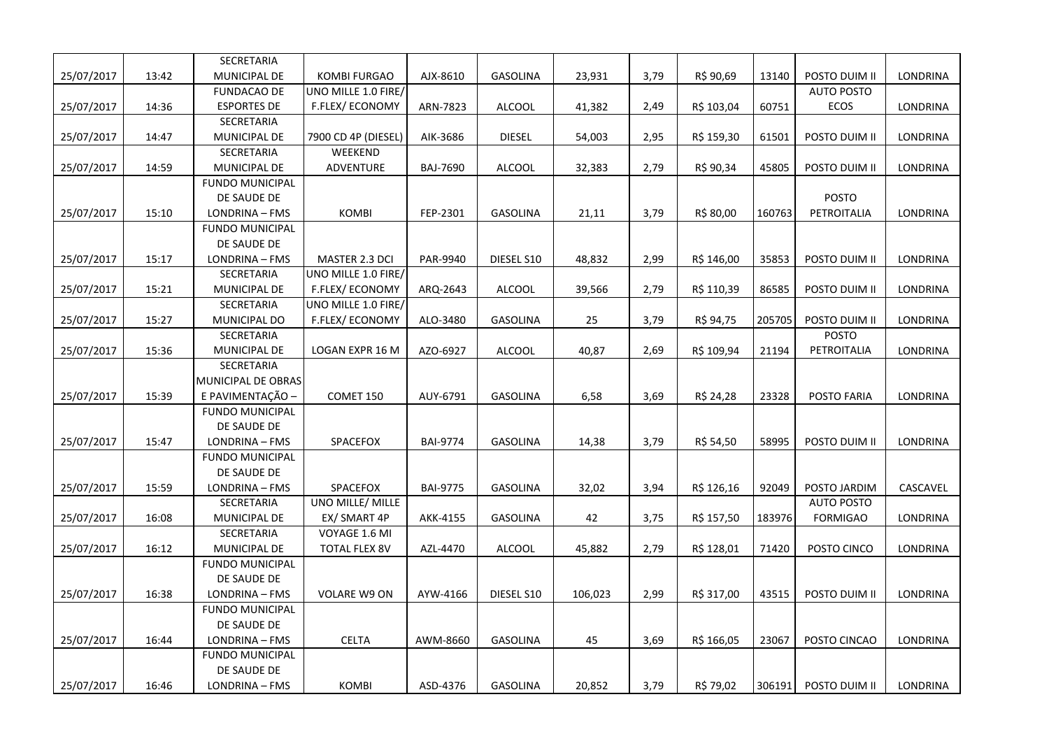|            |       | SECRETARIA             |                     |                 |                 |         |      |            |        |                   |                 |
|------------|-------|------------------------|---------------------|-----------------|-----------------|---------|------|------------|--------|-------------------|-----------------|
| 25/07/2017 | 13:42 | MUNICIPAL DE           | <b>KOMBI FURGAO</b> | AJX-8610        | <b>GASOLINA</b> | 23,931  | 3,79 | R\$ 90,69  | 13140  | POSTO DUIM II     | <b>LONDRINA</b> |
|            |       | <b>FUNDACAO DE</b>     | UNO MILLE 1.0 FIRE/ |                 |                 |         |      |            |        | <b>AUTO POSTO</b> |                 |
| 25/07/2017 | 14:36 | <b>ESPORTES DE</b>     | F.FLEX/ECONOMY      | ARN-7823        | <b>ALCOOL</b>   | 41,382  | 2,49 | R\$ 103,04 | 60751  | ECOS              | LONDRINA        |
|            |       | SECRETARIA             |                     |                 |                 |         |      |            |        |                   |                 |
| 25/07/2017 | 14:47 | MUNICIPAL DE           | 7900 CD 4P (DIESEL) | AIK-3686        | <b>DIESEL</b>   | 54,003  | 2,95 | R\$ 159,30 | 61501  | POSTO DUIM II     | LONDRINA        |
|            |       | SECRETARIA             | WEEKEND             |                 |                 |         |      |            |        |                   |                 |
| 25/07/2017 | 14:59 | MUNICIPAL DE           | ADVENTURE           | BAJ-7690        | ALCOOL          | 32,383  | 2,79 | R\$ 90,34  | 45805  | POSTO DUIM II     | LONDRINA        |
|            |       | <b>FUNDO MUNICIPAL</b> |                     |                 |                 |         |      |            |        |                   |                 |
|            |       | DE SAUDE DE            |                     |                 |                 |         |      |            |        | <b>POSTO</b>      |                 |
| 25/07/2017 | 15:10 | LONDRINA - FMS         | <b>KOMBI</b>        | FEP-2301        | <b>GASOLINA</b> | 21,11   | 3,79 | R\$ 80,00  | 160763 | PETROITALIA       | LONDRINA        |
|            |       | <b>FUNDO MUNICIPAL</b> |                     |                 |                 |         |      |            |        |                   |                 |
|            |       | DE SAUDE DE            |                     |                 |                 |         |      |            |        |                   |                 |
| 25/07/2017 | 15:17 | LONDRINA - FMS         | MASTER 2.3 DCI      | PAR-9940        | DIESEL S10      | 48,832  | 2,99 | R\$ 146,00 | 35853  | POSTO DUIM II     | LONDRINA        |
|            |       | SECRETARIA             | UNO MILLE 1.0 FIRE/ |                 |                 |         |      |            |        |                   |                 |
| 25/07/2017 | 15:21 | MUNICIPAL DE           | F.FLEX/ECONOMY      | ARQ-2643        | <b>ALCOOL</b>   | 39,566  | 2,79 | R\$ 110,39 | 86585  | POSTO DUIM II     | LONDRINA        |
|            |       | SECRETARIA             | UNO MILLE 1.0 FIRE/ |                 |                 |         |      |            |        |                   |                 |
| 25/07/2017 | 15:27 | MUNICIPAL DO           | F.FLEX/ECONOMY      | ALO-3480        | GASOLINA        | 25      | 3,79 | R\$ 94,75  | 205705 | POSTO DUIM II     | LONDRINA        |
|            |       | SECRETARIA             |                     |                 |                 |         |      |            |        | <b>POSTO</b>      |                 |
| 25/07/2017 | 15:36 | MUNICIPAL DE           | LOGAN EXPR 16 M     | AZO-6927        | <b>ALCOOL</b>   | 40,87   | 2,69 | R\$ 109,94 | 21194  | PETROITALIA       | LONDRINA        |
|            |       | SECRETARIA             |                     |                 |                 |         |      |            |        |                   |                 |
|            |       | MUNICIPAL DE OBRAS     |                     |                 |                 |         |      |            |        |                   |                 |
| 25/07/2017 | 15:39 | E PAVIMENTAÇÃO -       | COMET 150           | AUY-6791        | <b>GASOLINA</b> | 6,58    | 3,69 | R\$ 24,28  | 23328  | POSTO FARIA       | LONDRINA        |
|            |       | <b>FUNDO MUNICIPAL</b> |                     |                 |                 |         |      |            |        |                   |                 |
|            |       | DE SAUDE DE            |                     |                 |                 |         |      |            |        |                   |                 |
| 25/07/2017 | 15:47 | LONDRINA - FMS         | SPACEFOX            | <b>BAI-9774</b> | <b>GASOLINA</b> | 14,38   | 3,79 | R\$ 54,50  | 58995  | POSTO DUIM II     | <b>LONDRINA</b> |
|            |       | <b>FUNDO MUNICIPAL</b> |                     |                 |                 |         |      |            |        |                   |                 |
|            |       | DE SAUDE DE            |                     |                 |                 |         |      |            |        |                   |                 |
| 25/07/2017 | 15:59 | LONDRINA - FMS         | SPACEFOX            | <b>BAI-9775</b> | <b>GASOLINA</b> | 32,02   | 3,94 | R\$ 126,16 | 92049  | POSTO JARDIM      | CASCAVEL        |
|            |       | SECRETARIA             | UNO MILLE/ MILLE    |                 |                 |         |      |            |        | <b>AUTO POSTO</b> |                 |
| 25/07/2017 | 16:08 | MUNICIPAL DE           | EX/ SMART 4P        | AKK-4155        | GASOLINA        | 42      | 3,75 | R\$ 157,50 | 183976 | <b>FORMIGAO</b>   | LONDRINA        |
|            |       | SECRETARIA             | VOYAGE 1.6 MI       |                 |                 |         |      |            |        |                   |                 |
| 25/07/2017 | 16:12 | MUNICIPAL DE           | TOTAL FLEX 8V       | AZL-4470        | <b>ALCOOL</b>   | 45,882  | 2,79 | R\$ 128,01 | 71420  | POSTO CINCO       | LONDRINA        |
|            |       | <b>FUNDO MUNICIPAL</b> |                     |                 |                 |         |      |            |        |                   |                 |
|            |       | DE SAUDE DE            |                     |                 |                 |         |      |            |        |                   |                 |
| 25/07/2017 | 16:38 | LONDRINA - FMS         | VOLARE W9 ON        | AYW-4166        | DIESEL S10      | 106,023 | 2,99 | R\$ 317,00 | 43515  | POSTO DUIM II     | LONDRINA        |
|            |       | <b>FUNDO MUNICIPAL</b> |                     |                 |                 |         |      |            |        |                   |                 |
|            |       | DE SAUDE DE            |                     |                 |                 |         |      |            |        |                   |                 |
| 25/07/2017 | 16:44 | LONDRINA - FMS         | <b>CELTA</b>        | AWM-8660        | <b>GASOLINA</b> | 45      | 3,69 | R\$ 166,05 | 23067  | POSTO CINCAO      | LONDRINA        |
|            |       | <b>FUNDO MUNICIPAL</b> |                     |                 |                 |         |      |            |        |                   |                 |
|            |       | DE SAUDE DE            |                     |                 |                 |         |      |            |        |                   |                 |
| 25/07/2017 | 16:46 | LONDRINA - FMS         | <b>KOMBI</b>        | ASD-4376        | <b>GASOLINA</b> | 20,852  | 3,79 | R\$ 79,02  | 306191 | POSTO DUIM II     | <b>LONDRINA</b> |
|            |       |                        |                     |                 |                 |         |      |            |        |                   |                 |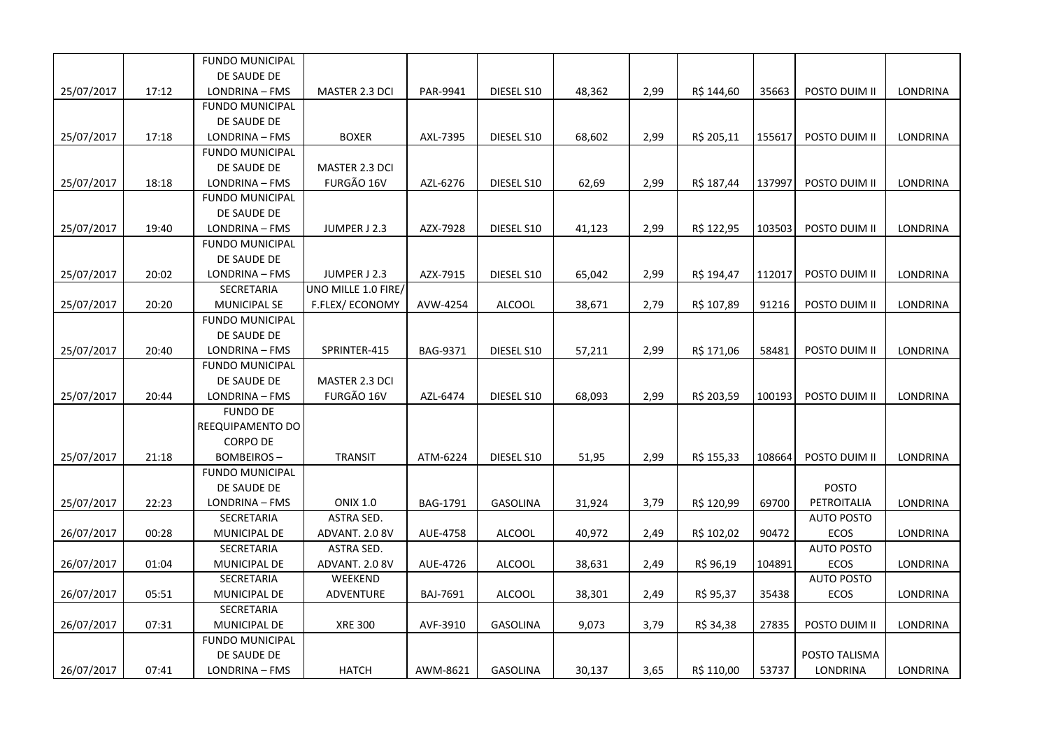|            |       | <b>FUNDO MUNICIPAL</b> |                     |                 |                 |        |      |            |        |                   |                 |
|------------|-------|------------------------|---------------------|-----------------|-----------------|--------|------|------------|--------|-------------------|-----------------|
|            |       | DE SAUDE DE            |                     |                 |                 |        |      |            |        |                   |                 |
| 25/07/2017 | 17:12 | LONDRINA - FMS         | MASTER 2.3 DCI      | PAR-9941        | DIESEL S10      | 48,362 | 2,99 | R\$ 144,60 | 35663  | POSTO DUIM II     | <b>LONDRINA</b> |
|            |       | <b>FUNDO MUNICIPAL</b> |                     |                 |                 |        |      |            |        |                   |                 |
|            |       | DE SAUDE DE            |                     |                 |                 |        |      |            |        |                   |                 |
| 25/07/2017 | 17:18 | LONDRINA - FMS         | <b>BOXER</b>        | AXL-7395        | DIESEL S10      | 68,602 | 2,99 | R\$ 205,11 | 155617 | POSTO DUIM II     | LONDRINA        |
|            |       | <b>FUNDO MUNICIPAL</b> |                     |                 |                 |        |      |            |        |                   |                 |
|            |       | DE SAUDE DE            | MASTER 2.3 DCI      |                 |                 |        |      |            |        |                   |                 |
| 25/07/2017 | 18:18 | LONDRINA - FMS         | FURGÃO 16V          | AZL-6276        | DIESEL S10      | 62,69  | 2,99 | R\$ 187,44 | 137997 | POSTO DUIM II     | LONDRINA        |
|            |       | <b>FUNDO MUNICIPAL</b> |                     |                 |                 |        |      |            |        |                   |                 |
|            |       | DE SAUDE DE            |                     |                 |                 |        |      |            |        |                   |                 |
| 25/07/2017 | 19:40 | LONDRINA - FMS         | JUMPER J 2.3        | AZX-7928        | DIESEL S10      | 41,123 | 2,99 | R\$ 122,95 | 103503 | POSTO DUIM II     | LONDRINA        |
|            |       | <b>FUNDO MUNICIPAL</b> |                     |                 |                 |        |      |            |        |                   |                 |
|            |       | DE SAUDE DE            |                     |                 |                 |        |      |            |        |                   |                 |
| 25/07/2017 | 20:02 | LONDRINA - FMS         | JUMPER J 2.3        | AZX-7915        | DIESEL S10      | 65,042 | 2,99 | R\$ 194,47 | 112017 | POSTO DUIM II     | LONDRINA        |
|            |       | SECRETARIA             | UNO MILLE 1.0 FIRE/ |                 |                 |        |      |            |        |                   |                 |
| 25/07/2017 | 20:20 | <b>MUNICIPAL SE</b>    | F.FLEX/ECONOMY      | AVW-4254        | <b>ALCOOL</b>   | 38,671 | 2,79 | R\$ 107,89 | 91216  | POSTO DUIM II     | LONDRINA        |
|            |       | <b>FUNDO MUNICIPAL</b> |                     |                 |                 |        |      |            |        |                   |                 |
|            |       | DE SAUDE DE            |                     |                 |                 |        |      |            |        |                   |                 |
| 25/07/2017 | 20:40 | LONDRINA - FMS         | SPRINTER-415        | BAG-9371        | DIESEL S10      | 57,211 | 2,99 | R\$ 171,06 | 58481  | POSTO DUIM II     | LONDRINA        |
|            |       | <b>FUNDO MUNICIPAL</b> |                     |                 |                 |        |      |            |        |                   |                 |
|            |       | DE SAUDE DE            | MASTER 2.3 DCI      |                 |                 |        |      |            |        |                   |                 |
| 25/07/2017 | 20:44 | LONDRINA - FMS         | FURGÃO 16V          | AZL-6474        | DIESEL S10      | 68,093 | 2,99 | R\$ 203,59 | 100193 | POSTO DUIM II     | LONDRINA        |
|            |       | <b>FUNDO DE</b>        |                     |                 |                 |        |      |            |        |                   |                 |
|            |       | REEQUIPAMENTO DO       |                     |                 |                 |        |      |            |        |                   |                 |
|            |       | <b>CORPO DE</b>        |                     |                 |                 |        |      |            |        |                   |                 |
| 25/07/2017 | 21:18 | <b>BOMBEIROS-</b>      | <b>TRANSIT</b>      | ATM-6224        | DIESEL S10      | 51,95  | 2,99 | R\$ 155,33 | 108664 | POSTO DUIM II     | LONDRINA        |
|            |       | <b>FUNDO MUNICIPAL</b> |                     |                 |                 |        |      |            |        |                   |                 |
|            |       | DE SAUDE DE            |                     |                 |                 |        |      |            |        | <b>POSTO</b>      |                 |
| 25/07/2017 | 22:23 | LONDRINA - FMS         | <b>ONIX 1.0</b>     | <b>BAG-1791</b> | <b>GASOLINA</b> | 31,924 | 3,79 | R\$ 120,99 | 69700  | PETROITALIA       | LONDRINA        |
|            |       | SECRETARIA             | ASTRA SED.          |                 |                 |        |      |            |        | <b>AUTO POSTO</b> |                 |
| 26/07/2017 | 00:28 | MUNICIPAL DE           | ADVANT. 2.0 8V      | AUE-4758        | <b>ALCOOL</b>   | 40,972 | 2,49 | R\$ 102,02 | 90472  | ECOS              | LONDRINA        |
|            |       | SECRETARIA             | ASTRA SED.          |                 |                 |        |      |            |        | <b>AUTO POSTO</b> |                 |
| 26/07/2017 | 01:04 | MUNICIPAL DE           | ADVANT. 2.0 8V      | AUE-4726        | <b>ALCOOL</b>   | 38,631 | 2,49 | R\$ 96,19  | 104891 | <b>ECOS</b>       | LONDRINA        |
|            |       | SECRETARIA             | WEEKEND             |                 |                 |        |      |            |        | <b>AUTO POSTO</b> |                 |
| 26/07/2017 | 05:51 | MUNICIPAL DE           | ADVENTURE           | BAJ-7691        | <b>ALCOOL</b>   | 38,301 | 2,49 | R\$ 95,37  | 35438  | <b>ECOS</b>       | LONDRINA        |
|            |       | SECRETARIA             |                     |                 |                 |        |      |            |        |                   |                 |
| 26/07/2017 | 07:31 | MUNICIPAL DE           | <b>XRE 300</b>      | AVF-3910        | <b>GASOLINA</b> | 9,073  | 3,79 | R\$ 34,38  | 27835  | POSTO DUIM II     | LONDRINA        |
|            |       | <b>FUNDO MUNICIPAL</b> |                     |                 |                 |        |      |            |        |                   |                 |
|            |       | DE SAUDE DE            |                     |                 |                 |        |      |            |        | POSTO TALISMA     |                 |
| 26/07/2017 | 07:41 | LONDRINA - FMS         | <b>HATCH</b>        | AWM-8621        | <b>GASOLINA</b> | 30,137 | 3,65 | R\$ 110,00 | 53737  | <b>LONDRINA</b>   | LONDRINA        |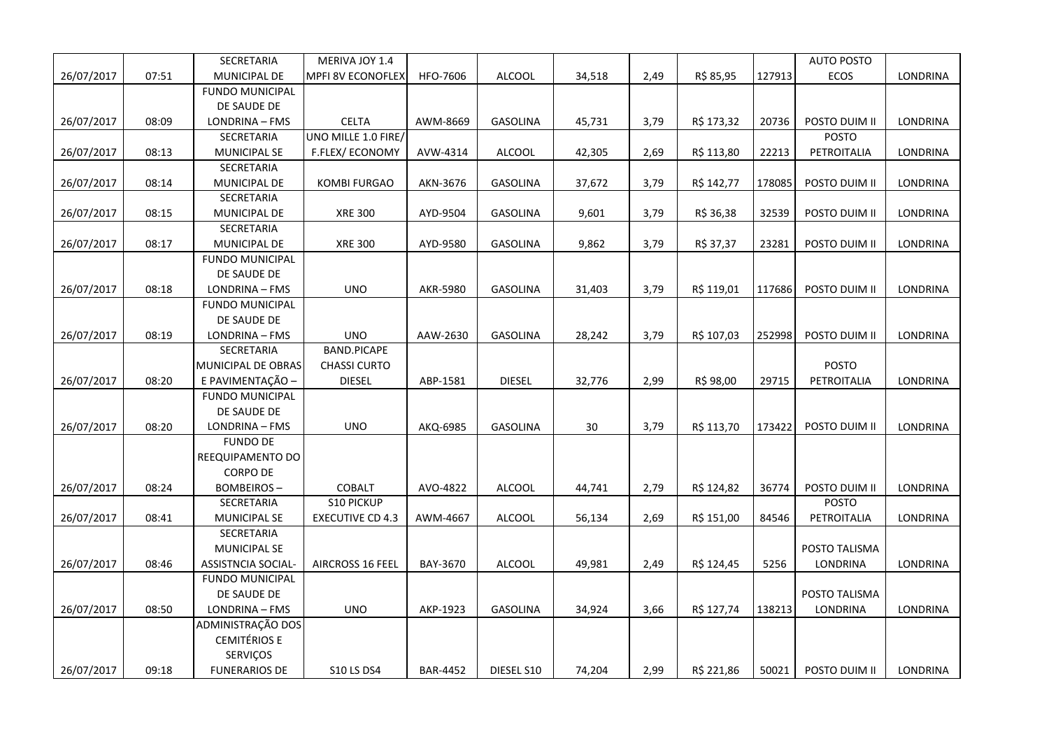|            |       | SECRETARIA             | MERIVA JOY 1.4           |                 |                 |        |      |            |        | <b>AUTO POSTO</b> |          |
|------------|-------|------------------------|--------------------------|-----------------|-----------------|--------|------|------------|--------|-------------------|----------|
| 26/07/2017 | 07:51 | MUNICIPAL DE           | <b>MPFI 8V ECONOFLEX</b> | HFO-7606        | <b>ALCOOL</b>   | 34,518 | 2,49 | R\$ 85,95  | 127913 | <b>ECOS</b>       | LONDRINA |
|            |       | <b>FUNDO MUNICIPAL</b> |                          |                 |                 |        |      |            |        |                   |          |
|            |       | DE SAUDE DE            |                          |                 |                 |        |      |            |        |                   |          |
| 26/07/2017 | 08:09 | LONDRINA - FMS         | <b>CELTA</b>             | AWM-8669        | <b>GASOLINA</b> | 45,731 | 3,79 | R\$ 173,32 | 20736  | POSTO DUIM II     | LONDRINA |
|            |       | SECRETARIA             | UNO MILLE 1.0 FIRE/      |                 |                 |        |      |            |        | <b>POSTO</b>      |          |
| 26/07/2017 | 08:13 | <b>MUNICIPAL SE</b>    | F.FLEX/ECONOMY           | AVW-4314        | <b>ALCOOL</b>   | 42,305 | 2,69 | R\$ 113,80 | 22213  | PETROITALIA       | LONDRINA |
|            |       | SECRETARIA             |                          |                 |                 |        |      |            |        |                   |          |
| 26/07/2017 | 08:14 | MUNICIPAL DE           | <b>KOMBI FURGAO</b>      | AKN-3676        | GASOLINA        | 37,672 | 3,79 | R\$ 142,77 | 178085 | POSTO DUIM II     | LONDRINA |
|            |       | SECRETARIA             |                          |                 |                 |        |      |            |        |                   |          |
| 26/07/2017 | 08:15 | MUNICIPAL DE           | <b>XRE 300</b>           | AYD-9504        | GASOLINA        | 9,601  | 3,79 | R\$ 36,38  | 32539  | POSTO DUIM II     | LONDRINA |
|            |       | SECRETARIA             |                          |                 |                 |        |      |            |        |                   |          |
| 26/07/2017 | 08:17 | MUNICIPAL DE           | <b>XRE 300</b>           | AYD-9580        | GASOLINA        | 9,862  | 3,79 | R\$ 37,37  | 23281  | POSTO DUIM II     | LONDRINA |
|            |       | <b>FUNDO MUNICIPAL</b> |                          |                 |                 |        |      |            |        |                   |          |
|            |       | DE SAUDE DE            |                          |                 |                 |        |      |            |        |                   |          |
| 26/07/2017 | 08:18 | LONDRINA - FMS         | <b>UNO</b>               | AKR-5980        | <b>GASOLINA</b> | 31,403 | 3,79 | R\$ 119,01 | 117686 | POSTO DUIM II     | LONDRINA |
|            |       | <b>FUNDO MUNICIPAL</b> |                          |                 |                 |        |      |            |        |                   |          |
|            |       | DE SAUDE DE            |                          |                 |                 |        |      |            |        |                   |          |
| 26/07/2017 | 08:19 | LONDRINA - FMS         | <b>UNO</b>               | AAW-2630        | <b>GASOLINA</b> | 28,242 | 3,79 | R\$ 107,03 | 252998 | POSTO DUIM II     | LONDRINA |
|            |       | SECRETARIA             | <b>BAND.PICAPE</b>       |                 |                 |        |      |            |        |                   |          |
|            |       | MUNICIPAL DE OBRAS     | <b>CHASSI CURTO</b>      |                 |                 |        |      |            |        | POSTO             |          |
| 26/07/2017 | 08:20 | E PAVIMENTAÇÃO -       | <b>DIESEL</b>            | ABP-1581        | <b>DIESEL</b>   | 32,776 | 2,99 | R\$ 98,00  | 29715  | PETROITALIA       | LONDRINA |
|            |       | <b>FUNDO MUNICIPAL</b> |                          |                 |                 |        |      |            |        |                   |          |
|            |       | DE SAUDE DE            |                          |                 |                 |        |      |            |        |                   |          |
| 26/07/2017 | 08:20 | LONDRINA - FMS         | <b>UNO</b>               | AKQ-6985        | <b>GASOLINA</b> | 30     | 3,79 | R\$ 113,70 | 173422 | POSTO DUIM II     | LONDRINA |
|            |       | <b>FUNDO DE</b>        |                          |                 |                 |        |      |            |        |                   |          |
|            |       | REEQUIPAMENTO DO       |                          |                 |                 |        |      |            |        |                   |          |
|            |       | <b>CORPO DE</b>        |                          |                 |                 |        |      |            |        |                   |          |
| 26/07/2017 | 08:24 | <b>BOMBEIROS-</b>      | COBALT                   | AVO-4822        | <b>ALCOOL</b>   | 44,741 | 2,79 | R\$ 124,82 | 36774  | POSTO DUIM II     | LONDRINA |
|            |       | SECRETARIA             | S10 PICKUP               |                 |                 |        |      |            |        | <b>POSTO</b>      |          |
| 26/07/2017 | 08:41 | MUNICIPAL SE           | <b>EXECUTIVE CD 4.3</b>  | AWM-4667        | <b>ALCOOL</b>   | 56,134 | 2,69 | R\$ 151,00 | 84546  | PETROITALIA       | LONDRINA |
|            |       | SECRETARIA             |                          |                 |                 |        |      |            |        |                   |          |
|            |       | <b>MUNICIPAL SE</b>    |                          |                 |                 |        |      |            |        | POSTO TALISMA     |          |
| 26/07/2017 | 08:46 | ASSISTNCIA SOCIAL-     | <b>AIRCROSS 16 FEEL</b>  | BAY-3670        | <b>ALCOOL</b>   | 49,981 | 2,49 | R\$ 124,45 | 5256   | LONDRINA          | LONDRINA |
|            |       | <b>FUNDO MUNICIPAL</b> |                          |                 |                 |        |      |            |        |                   |          |
|            |       | DE SAUDE DE            |                          |                 |                 |        |      |            |        | POSTO TALISMA     |          |
| 26/07/2017 | 08:50 | LONDRINA - FMS         | <b>UNO</b>               | AKP-1923        | <b>GASOLINA</b> | 34,924 | 3,66 | R\$ 127,74 | 138213 | <b>LONDRINA</b>   | LONDRINA |
|            |       | ADMINISTRAÇÃO DOS      |                          |                 |                 |        |      |            |        |                   |          |
|            |       | <b>CEMITÉRIOS E</b>    |                          |                 |                 |        |      |            |        |                   |          |
|            |       | SERVIÇOS               |                          |                 |                 |        |      |            |        |                   |          |
| 26/07/2017 | 09:18 | <b>FUNERARIOS DE</b>   | <b>S10 LS DS4</b>        | <b>BAR-4452</b> | DIESEL S10      | 74,204 | 2,99 | R\$ 221,86 | 50021  | POSTO DUIM II     | LONDRINA |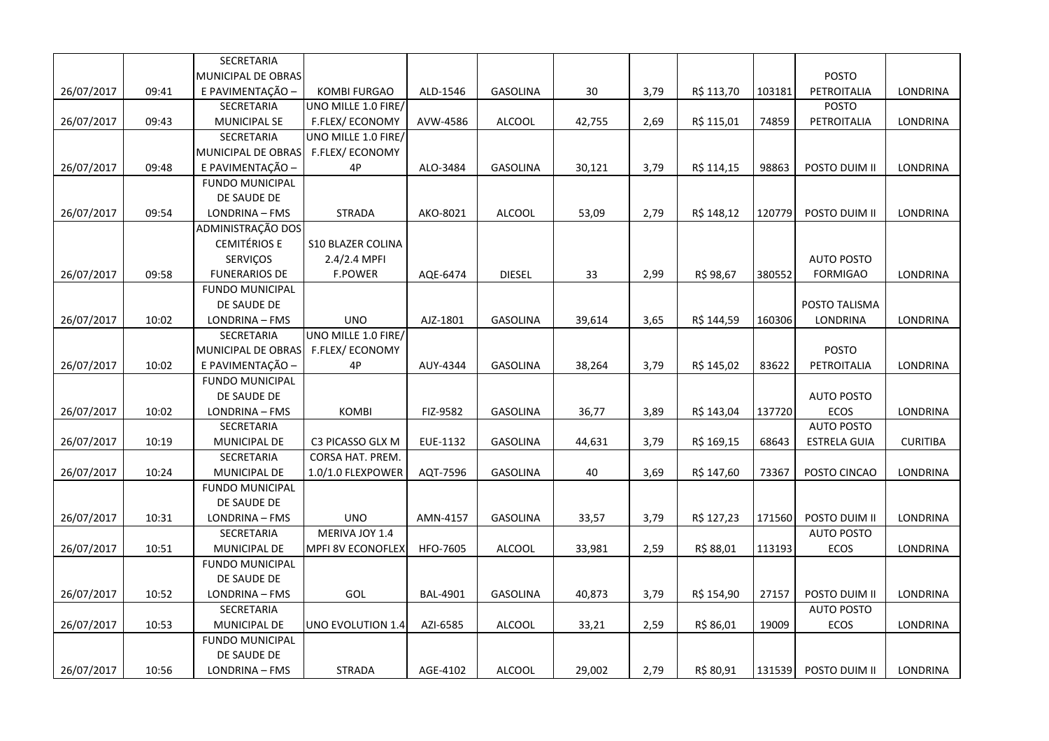|            |       | SECRETARIA             |                          |                 |                 |        |      |            |        |                     |                 |
|------------|-------|------------------------|--------------------------|-----------------|-----------------|--------|------|------------|--------|---------------------|-----------------|
|            |       | MUNICIPAL DE OBRAS     |                          |                 |                 |        |      |            |        | <b>POSTO</b>        |                 |
| 26/07/2017 | 09:41 | E PAVIMENTAÇÃO -       | <b>KOMBI FURGAO</b>      | ALD-1546        | <b>GASOLINA</b> | 30     | 3,79 | R\$ 113,70 | 103181 | PETROITALIA         | LONDRINA        |
|            |       | <b>SECRETARIA</b>      | UNO MILLE 1.0 FIRE/      |                 |                 |        |      |            |        | POSTO               |                 |
| 26/07/2017 | 09:43 | MUNICIPAL SE           | F.FLEX/ECONOMY           | AVW-4586        | ALCOOL          | 42,755 | 2,69 | R\$ 115,01 | 74859  | PETROITALIA         | LONDRINA        |
|            |       | SECRETARIA             | UNO MILLE 1.0 FIRE/      |                 |                 |        |      |            |        |                     |                 |
|            |       | MUNICIPAL DE OBRAS     | F.FLEX/ECONOMY           |                 |                 |        |      |            |        |                     |                 |
| 26/07/2017 | 09:48 | E PAVIMENTAÇÃO -       | 4P                       | ALO-3484        | GASOLINA        | 30,121 | 3,79 | R\$ 114,15 | 98863  | POSTO DUIM II       | LONDRINA        |
|            |       | <b>FUNDO MUNICIPAL</b> |                          |                 |                 |        |      |            |        |                     |                 |
|            |       | DE SAUDE DE            |                          |                 |                 |        |      |            |        |                     |                 |
| 26/07/2017 | 09:54 | LONDRINA - FMS         | <b>STRADA</b>            | AKO-8021        | <b>ALCOOL</b>   | 53,09  | 2,79 | R\$ 148,12 | 120779 | POSTO DUIM II       | LONDRINA        |
|            |       | ADMINISTRAÇÃO DOS      |                          |                 |                 |        |      |            |        |                     |                 |
|            |       | <b>CEMITÉRIOS E</b>    | <b>S10 BLAZER COLINA</b> |                 |                 |        |      |            |        |                     |                 |
|            |       | <b>SERVIÇOS</b>        | 2.4/2.4 MPFI             |                 |                 |        |      |            |        | <b>AUTO POSTO</b>   |                 |
| 26/07/2017 | 09:58 | <b>FUNERARIOS DE</b>   | F.POWER                  | AQE-6474        | <b>DIESEL</b>   | 33     | 2,99 | R\$ 98,67  | 380552 | <b>FORMIGAO</b>     | LONDRINA        |
|            |       | <b>FUNDO MUNICIPAL</b> |                          |                 |                 |        |      |            |        |                     |                 |
|            |       | DE SAUDE DE            |                          |                 |                 |        |      |            |        | POSTO TALISMA       |                 |
| 26/07/2017 | 10:02 | LONDRINA - FMS         | <b>UNO</b>               | AJZ-1801        | <b>GASOLINA</b> | 39,614 | 3,65 | R\$ 144,59 | 160306 | <b>LONDRINA</b>     | LONDRINA        |
|            |       | SECRETARIA             | UNO MILLE 1.0 FIRE/      |                 |                 |        |      |            |        |                     |                 |
|            |       | MUNICIPAL DE OBRAS     | F.FLEX/ECONOMY           |                 |                 |        |      |            |        | <b>POSTO</b>        |                 |
| 26/07/2017 | 10:02 | E PAVIMENTAÇÃO -       | 4P                       | AUY-4344        | <b>GASOLINA</b> | 38,264 | 3,79 | R\$ 145,02 | 83622  | PETROITALIA         | LONDRINA        |
|            |       | <b>FUNDO MUNICIPAL</b> |                          |                 |                 |        |      |            |        |                     |                 |
|            |       | DE SAUDE DE            |                          |                 |                 |        |      |            |        | <b>AUTO POSTO</b>   |                 |
| 26/07/2017 | 10:02 | LONDRINA - FMS         | <b>KOMBI</b>             | FIZ-9582        | GASOLINA        | 36,77  | 3,89 | R\$ 143,04 | 137720 | ECOS                | LONDRINA        |
|            |       | SECRETARIA             |                          |                 |                 |        |      |            |        | <b>AUTO POSTO</b>   |                 |
| 26/07/2017 | 10:19 | MUNICIPAL DE           | C3 PICASSO GLX M         | EUE-1132        | <b>GASOLINA</b> | 44,631 | 3,79 | R\$ 169,15 | 68643  | <b>ESTRELA GUIA</b> | <b>CURITIBA</b> |
|            |       | SECRETARIA             | CORSA HAT. PREM.         |                 |                 |        |      |            |        |                     |                 |
| 26/07/2017 | 10:24 | MUNICIPAL DE           | 1.0/1.0 FLEXPOWER        | AQT-7596        | <b>GASOLINA</b> | 40     | 3,69 | R\$ 147,60 | 73367  | POSTO CINCAO        | LONDRINA        |
|            |       | <b>FUNDO MUNICIPAL</b> |                          |                 |                 |        |      |            |        |                     |                 |
|            |       | DE SAUDE DE            |                          |                 |                 |        |      |            |        |                     |                 |
| 26/07/2017 | 10:31 | LONDRINA - FMS         | <b>UNO</b>               | AMN-4157        | <b>GASOLINA</b> | 33,57  | 3,79 | R\$ 127,23 | 171560 | POSTO DUIM II       | LONDRINA        |
|            |       | SECRETARIA             | MERIVA JOY 1.4           |                 |                 |        |      |            |        | <b>AUTO POSTO</b>   |                 |
| 26/07/2017 | 10:51 | MUNICIPAL DE           | <b>MPFI 8V ECONOFLEX</b> | <b>HFO-7605</b> | ALCOOL          | 33,981 | 2,59 | R\$ 88,01  | 113193 | ECOS                | LONDRINA        |
|            |       | <b>FUNDO MUNICIPAL</b> |                          |                 |                 |        |      |            |        |                     |                 |
|            |       | DE SAUDE DE            |                          |                 |                 |        |      |            |        |                     |                 |
| 26/07/2017 | 10:52 | LONDRINA - FMS         | GOL                      | <b>BAL-4901</b> | <b>GASOLINA</b> | 40,873 | 3,79 | R\$ 154,90 | 27157  | POSTO DUIM II       | LONDRINA        |
|            |       | SECRETARIA             |                          |                 |                 |        |      |            |        | <b>AUTO POSTO</b>   |                 |
| 26/07/2017 | 10:53 | MUNICIPAL DE           | UNO EVOLUTION 1.4        | AZI-6585        | <b>ALCOOL</b>   | 33,21  | 2,59 | R\$ 86,01  | 19009  | ECOS                | LONDRINA        |
|            |       | <b>FUNDO MUNICIPAL</b> |                          |                 |                 |        |      |            |        |                     |                 |
|            |       | DE SAUDE DE            |                          |                 |                 |        |      |            |        |                     |                 |
| 26/07/2017 | 10:56 | LONDRINA - FMS         | <b>STRADA</b>            | AGE-4102        | <b>ALCOOL</b>   | 29,002 | 2,79 | R\$ 80,91  | 131539 | POSTO DUIM II       | LONDRINA        |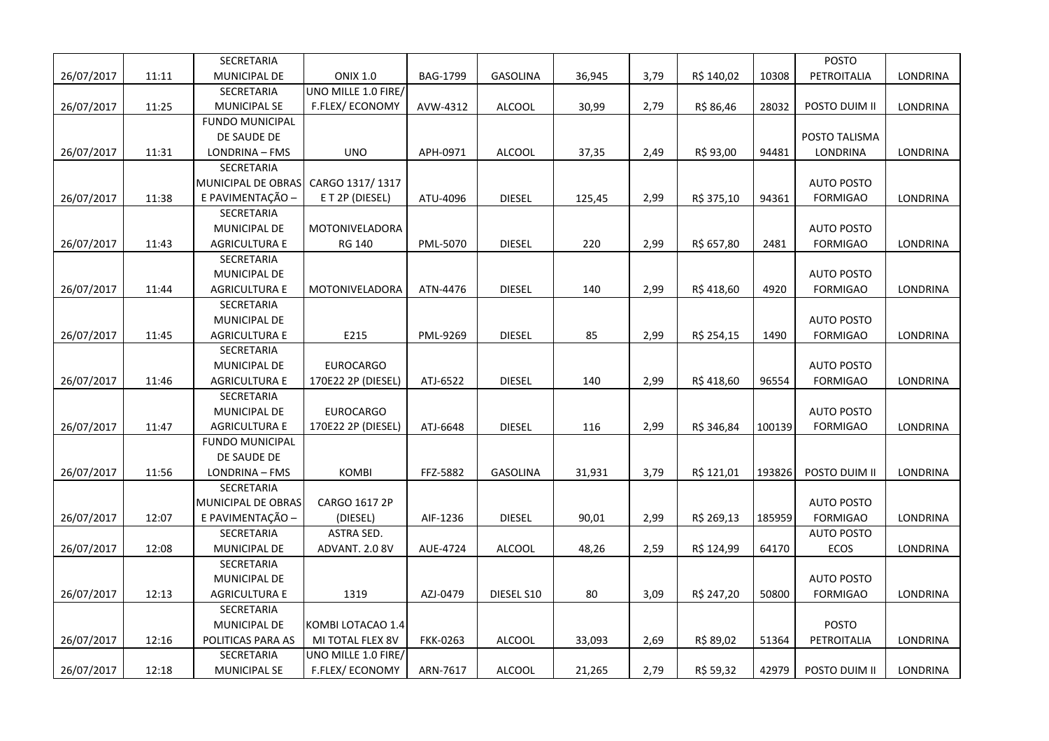| MUNICIPAL DE<br><b>ONIX 1.0</b><br>3,79<br>PETROITALIA<br>26/07/2017<br>11:11<br>BAG-1799<br>GASOLINA<br>36,945<br>R\$ 140,02<br>10308<br>LONDRINA<br>SECRETARIA<br>UNO MILLE 1.0 FIRE/<br>2,79<br>26/07/2017<br>11:25<br><b>MUNICIPAL SE</b><br><b>F.FLEX/ECONOMY</b><br>AVW-4312<br><b>ALCOOL</b><br>30,99<br>R\$ 86,46<br>28032<br>POSTO DUIM II<br>LONDRINA<br><b>FUNDO MUNICIPAL</b><br>DE SAUDE DE<br>POSTO TALISMA<br><b>UNO</b><br>2,49<br>LONDRINA - FMS<br>R\$ 93,00<br>94481<br>LONDRINA<br>26/07/2017<br>11:31<br>APH-0971<br><b>ALCOOL</b><br>37,35<br>LONDRINA<br>SECRETARIA<br>MUNICIPAL DE OBRAS<br>CARGO 1317/1317<br><b>AUTO POSTO</b><br>E PAVIMENTAÇÃO -<br>2,99<br>11:38<br>E T 2P (DIESEL)<br>ATU-4096<br><b>DIESEL</b><br>R\$ 375,10<br>94361<br><b>FORMIGAO</b><br>LONDRINA<br>26/07/2017<br>125,45<br>SECRETARIA<br>MUNICIPAL DE<br>MOTONIVELADORA<br><b>AUTO POSTO</b><br>2,99<br>26/07/2017<br>11:43<br>RG 140<br>PML-5070<br><b>DIESEL</b><br>220<br>R\$ 657,80<br><b>FORMIGAO</b><br><b>LONDRINA</b><br><b>AGRICULTURA E</b><br>2481<br>SECRETARIA<br><b>AUTO POSTO</b><br><b>MUNICIPAL DE</b> |            |       | SECRETARIA           |                |          |               |     |      |            |      | POSTO           |          |
|-----------------------------------------------------------------------------------------------------------------------------------------------------------------------------------------------------------------------------------------------------------------------------------------------------------------------------------------------------------------------------------------------------------------------------------------------------------------------------------------------------------------------------------------------------------------------------------------------------------------------------------------------------------------------------------------------------------------------------------------------------------------------------------------------------------------------------------------------------------------------------------------------------------------------------------------------------------------------------------------------------------------------------------------------------------------------------------------------------------------------------|------------|-------|----------------------|----------------|----------|---------------|-----|------|------------|------|-----------------|----------|
|                                                                                                                                                                                                                                                                                                                                                                                                                                                                                                                                                                                                                                                                                                                                                                                                                                                                                                                                                                                                                                                                                                                             |            |       |                      |                |          |               |     |      |            |      |                 |          |
|                                                                                                                                                                                                                                                                                                                                                                                                                                                                                                                                                                                                                                                                                                                                                                                                                                                                                                                                                                                                                                                                                                                             |            |       |                      |                |          |               |     |      |            |      |                 |          |
|                                                                                                                                                                                                                                                                                                                                                                                                                                                                                                                                                                                                                                                                                                                                                                                                                                                                                                                                                                                                                                                                                                                             |            |       |                      |                |          |               |     |      |            |      |                 |          |
|                                                                                                                                                                                                                                                                                                                                                                                                                                                                                                                                                                                                                                                                                                                                                                                                                                                                                                                                                                                                                                                                                                                             |            |       |                      |                |          |               |     |      |            |      |                 |          |
|                                                                                                                                                                                                                                                                                                                                                                                                                                                                                                                                                                                                                                                                                                                                                                                                                                                                                                                                                                                                                                                                                                                             |            |       |                      |                |          |               |     |      |            |      |                 |          |
|                                                                                                                                                                                                                                                                                                                                                                                                                                                                                                                                                                                                                                                                                                                                                                                                                                                                                                                                                                                                                                                                                                                             |            |       |                      |                |          |               |     |      |            |      |                 |          |
|                                                                                                                                                                                                                                                                                                                                                                                                                                                                                                                                                                                                                                                                                                                                                                                                                                                                                                                                                                                                                                                                                                                             |            |       |                      |                |          |               |     |      |            |      |                 |          |
|                                                                                                                                                                                                                                                                                                                                                                                                                                                                                                                                                                                                                                                                                                                                                                                                                                                                                                                                                                                                                                                                                                                             |            |       |                      |                |          |               |     |      |            |      |                 |          |
|                                                                                                                                                                                                                                                                                                                                                                                                                                                                                                                                                                                                                                                                                                                                                                                                                                                                                                                                                                                                                                                                                                                             |            |       |                      |                |          |               |     |      |            |      |                 |          |
|                                                                                                                                                                                                                                                                                                                                                                                                                                                                                                                                                                                                                                                                                                                                                                                                                                                                                                                                                                                                                                                                                                                             |            |       |                      |                |          |               |     |      |            |      |                 |          |
|                                                                                                                                                                                                                                                                                                                                                                                                                                                                                                                                                                                                                                                                                                                                                                                                                                                                                                                                                                                                                                                                                                                             |            |       |                      |                |          |               |     |      |            |      |                 |          |
|                                                                                                                                                                                                                                                                                                                                                                                                                                                                                                                                                                                                                                                                                                                                                                                                                                                                                                                                                                                                                                                                                                                             |            |       |                      |                |          |               |     |      |            |      |                 |          |
|                                                                                                                                                                                                                                                                                                                                                                                                                                                                                                                                                                                                                                                                                                                                                                                                                                                                                                                                                                                                                                                                                                                             |            |       |                      |                |          |               |     |      |            |      |                 |          |
|                                                                                                                                                                                                                                                                                                                                                                                                                                                                                                                                                                                                                                                                                                                                                                                                                                                                                                                                                                                                                                                                                                                             |            |       |                      |                |          |               |     |      |            |      |                 |          |
|                                                                                                                                                                                                                                                                                                                                                                                                                                                                                                                                                                                                                                                                                                                                                                                                                                                                                                                                                                                                                                                                                                                             | 26/07/2017 | 11:44 | <b>AGRICULTURA E</b> | MOTONIVELADORA | ATN-4476 | <b>DIESEL</b> | 140 | 2,99 | R\$ 418,60 | 4920 | <b>FORMIGAO</b> | LONDRINA |
| SECRETARIA                                                                                                                                                                                                                                                                                                                                                                                                                                                                                                                                                                                                                                                                                                                                                                                                                                                                                                                                                                                                                                                                                                                  |            |       |                      |                |          |               |     |      |            |      |                 |          |
| MUNICIPAL DE<br><b>AUTO POSTO</b>                                                                                                                                                                                                                                                                                                                                                                                                                                                                                                                                                                                                                                                                                                                                                                                                                                                                                                                                                                                                                                                                                           |            |       |                      |                |          |               |     |      |            |      |                 |          |
| E215<br>2,99<br>26/07/2017<br><b>AGRICULTURA E</b><br>PML-9269<br><b>DIESEL</b><br>85<br>R\$ 254,15<br><b>FORMIGAO</b><br>LONDRINA<br>11:45<br>1490                                                                                                                                                                                                                                                                                                                                                                                                                                                                                                                                                                                                                                                                                                                                                                                                                                                                                                                                                                         |            |       |                      |                |          |               |     |      |            |      |                 |          |
| SECRETARIA                                                                                                                                                                                                                                                                                                                                                                                                                                                                                                                                                                                                                                                                                                                                                                                                                                                                                                                                                                                                                                                                                                                  |            |       |                      |                |          |               |     |      |            |      |                 |          |
| <b>AUTO POSTO</b><br><b>MUNICIPAL DE</b><br><b>EUROCARGO</b>                                                                                                                                                                                                                                                                                                                                                                                                                                                                                                                                                                                                                                                                                                                                                                                                                                                                                                                                                                                                                                                                |            |       |                      |                |          |               |     |      |            |      |                 |          |
| 26/07/2017<br>11:46<br><b>AGRICULTURA E</b><br>ATJ-6522<br><b>DIESEL</b><br>140<br>2,99<br>R\$ 418,60<br>96554<br><b>FORMIGAO</b><br>LONDRINA<br>170E22 2P (DIESEL)                                                                                                                                                                                                                                                                                                                                                                                                                                                                                                                                                                                                                                                                                                                                                                                                                                                                                                                                                         |            |       |                      |                |          |               |     |      |            |      |                 |          |
| SECRETARIA                                                                                                                                                                                                                                                                                                                                                                                                                                                                                                                                                                                                                                                                                                                                                                                                                                                                                                                                                                                                                                                                                                                  |            |       |                      |                |          |               |     |      |            |      |                 |          |
| MUNICIPAL DE<br><b>EUROCARGO</b><br><b>AUTO POSTO</b>                                                                                                                                                                                                                                                                                                                                                                                                                                                                                                                                                                                                                                                                                                                                                                                                                                                                                                                                                                                                                                                                       |            |       |                      |                |          |               |     |      |            |      |                 |          |
| 2,99<br><b>LONDRINA</b><br>26/07/2017<br>11:47<br><b>AGRICULTURA E</b><br>170E22 2P (DIESEL)<br>ATJ-6648<br><b>DIESEL</b><br>116<br>R\$ 346,84<br>100139<br><b>FORMIGAO</b>                                                                                                                                                                                                                                                                                                                                                                                                                                                                                                                                                                                                                                                                                                                                                                                                                                                                                                                                                 |            |       |                      |                |          |               |     |      |            |      |                 |          |
| <b>FUNDO MUNICIPAL</b>                                                                                                                                                                                                                                                                                                                                                                                                                                                                                                                                                                                                                                                                                                                                                                                                                                                                                                                                                                                                                                                                                                      |            |       |                      |                |          |               |     |      |            |      |                 |          |
| DE SAUDE DE                                                                                                                                                                                                                                                                                                                                                                                                                                                                                                                                                                                                                                                                                                                                                                                                                                                                                                                                                                                                                                                                                                                 |            |       |                      |                |          |               |     |      |            |      |                 |          |
| 11:56<br><b>KOMBI</b><br>FFZ-5882<br><b>GASOLINA</b><br>3,79<br>R\$ 121,01<br>193826<br>POSTO DUIM II<br>LONDRINA<br>26/07/2017<br>LONDRINA - FMS<br>31,931                                                                                                                                                                                                                                                                                                                                                                                                                                                                                                                                                                                                                                                                                                                                                                                                                                                                                                                                                                 |            |       |                      |                |          |               |     |      |            |      |                 |          |
| SECRETARIA                                                                                                                                                                                                                                                                                                                                                                                                                                                                                                                                                                                                                                                                                                                                                                                                                                                                                                                                                                                                                                                                                                                  |            |       |                      |                |          |               |     |      |            |      |                 |          |
| CARGO 1617 2P<br><b>AUTO POSTO</b><br>MUNICIPAL DE OBRAS                                                                                                                                                                                                                                                                                                                                                                                                                                                                                                                                                                                                                                                                                                                                                                                                                                                                                                                                                                                                                                                                    |            |       |                      |                |          |               |     |      |            |      |                 |          |
| 12:07<br>E PAVIMENTAÇÃO -<br>AIF-1236<br><b>DIESEL</b><br>90,01<br>2,99<br><b>FORMIGAO</b><br>LONDRINA<br>26/07/2017<br>(DIESEL)<br>R\$ 269,13<br>185959                                                                                                                                                                                                                                                                                                                                                                                                                                                                                                                                                                                                                                                                                                                                                                                                                                                                                                                                                                    |            |       |                      |                |          |               |     |      |            |      |                 |          |
| ASTRA SED.<br>SECRETARIA<br><b>AUTO POSTO</b>                                                                                                                                                                                                                                                                                                                                                                                                                                                                                                                                                                                                                                                                                                                                                                                                                                                                                                                                                                                                                                                                               |            |       |                      |                |          |               |     |      |            |      |                 |          |
| MUNICIPAL DE<br>ADVANT. 2.0 8V<br>2,59<br>ECOS<br>26/07/2017<br>12:08<br>AUE-4724<br><b>ALCOOL</b><br>48,26<br>R\$ 124,99<br>64170<br>LONDRINA                                                                                                                                                                                                                                                                                                                                                                                                                                                                                                                                                                                                                                                                                                                                                                                                                                                                                                                                                                              |            |       |                      |                |          |               |     |      |            |      |                 |          |
| SECRETARIA                                                                                                                                                                                                                                                                                                                                                                                                                                                                                                                                                                                                                                                                                                                                                                                                                                                                                                                                                                                                                                                                                                                  |            |       |                      |                |          |               |     |      |            |      |                 |          |
| <b>AUTO POSTO</b><br><b>MUNICIPAL DE</b>                                                                                                                                                                                                                                                                                                                                                                                                                                                                                                                                                                                                                                                                                                                                                                                                                                                                                                                                                                                                                                                                                    |            |       |                      |                |          |               |     |      |            |      |                 |          |
| 1319<br>12:13<br><b>AGRICULTURA E</b><br>80<br>3,09<br><b>FORMIGAO</b><br><b>LONDRINA</b><br>26/07/2017<br>AZJ-0479<br>DIESEL S10<br>R\$ 247,20<br>50800                                                                                                                                                                                                                                                                                                                                                                                                                                                                                                                                                                                                                                                                                                                                                                                                                                                                                                                                                                    |            |       |                      |                |          |               |     |      |            |      |                 |          |
| SECRETARIA                                                                                                                                                                                                                                                                                                                                                                                                                                                                                                                                                                                                                                                                                                                                                                                                                                                                                                                                                                                                                                                                                                                  |            |       |                      |                |          |               |     |      |            |      |                 |          |
| POSTO<br>MUNICIPAL DE<br>KOMBI LOTACAO 1.4                                                                                                                                                                                                                                                                                                                                                                                                                                                                                                                                                                                                                                                                                                                                                                                                                                                                                                                                                                                                                                                                                  |            |       |                      |                |          |               |     |      |            |      |                 |          |
| 26/07/2017<br>12:16<br>POLITICAS PARA AS<br><b>FKK-0263</b><br><b>ALCOOL</b><br>33,093<br>2,69<br>R\$ 89,02<br>51364<br>PETROITALIA<br>LONDRINA<br>MI TOTAL FLEX 8V                                                                                                                                                                                                                                                                                                                                                                                                                                                                                                                                                                                                                                                                                                                                                                                                                                                                                                                                                         |            |       |                      |                |          |               |     |      |            |      |                 |          |
| SECRETARIA<br>UNO MILLE 1.0 FIRE/                                                                                                                                                                                                                                                                                                                                                                                                                                                                                                                                                                                                                                                                                                                                                                                                                                                                                                                                                                                                                                                                                           |            |       |                      |                |          |               |     |      |            |      |                 |          |
| F.FLEX/ECONOMY<br>2,79<br>POSTO DUIM II<br>26/07/2017<br>12:18<br><b>MUNICIPAL SE</b><br>ARN-7617<br><b>ALCOOL</b><br>R\$ 59,32<br>42979<br>LONDRINA<br>21,265                                                                                                                                                                                                                                                                                                                                                                                                                                                                                                                                                                                                                                                                                                                                                                                                                                                                                                                                                              |            |       |                      |                |          |               |     |      |            |      |                 |          |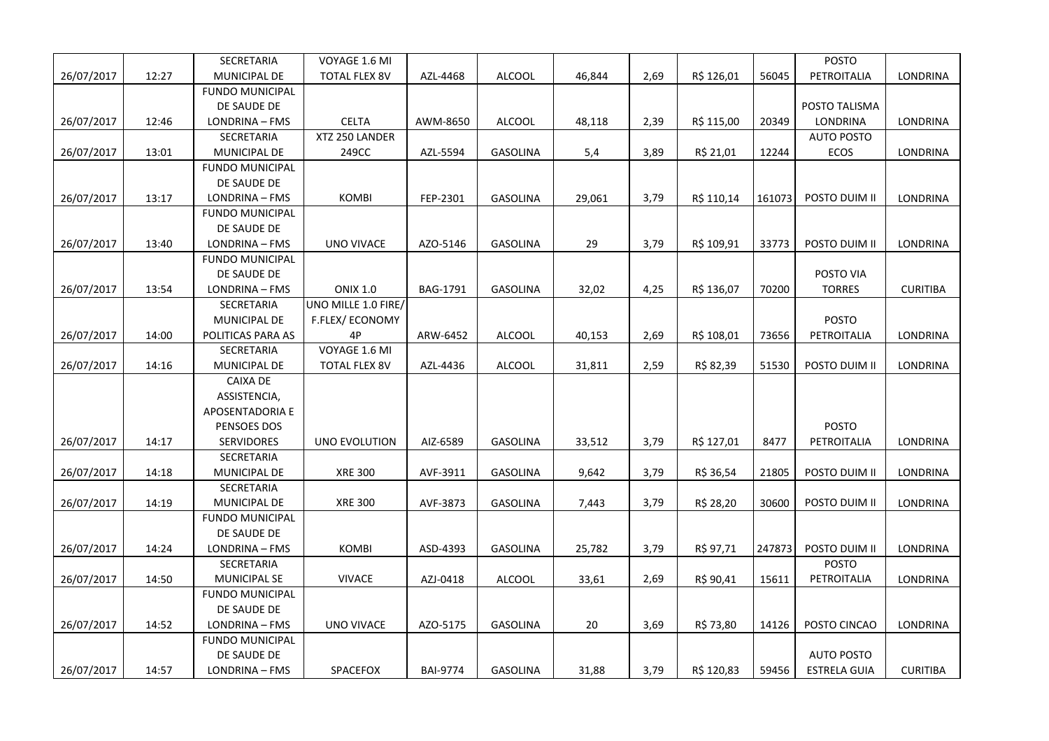|            |       | SECRETARIA             | VOYAGE 1.6 MI         |                 |                 |        |      |            |        | <b>POSTO</b>        |                 |
|------------|-------|------------------------|-----------------------|-----------------|-----------------|--------|------|------------|--------|---------------------|-----------------|
| 26/07/2017 | 12:27 | MUNICIPAL DE           | <b>TOTAL FLEX 8V</b>  | AZL-4468        | <b>ALCOOL</b>   | 46,844 | 2,69 | R\$ 126,01 | 56045  | PETROITALIA         | LONDRINA        |
|            |       | <b>FUNDO MUNICIPAL</b> |                       |                 |                 |        |      |            |        |                     |                 |
|            |       | DE SAUDE DE            |                       |                 |                 |        |      |            |        | POSTO TALISMA       |                 |
| 26/07/2017 | 12:46 | LONDRINA - FMS         | <b>CELTA</b>          | AWM-8650        | <b>ALCOOL</b>   | 48,118 | 2,39 | R\$ 115,00 | 20349  | LONDRINA            | LONDRINA        |
|            |       | <b>SECRETARIA</b>      | XTZ 250 LANDER        |                 |                 |        |      |            |        | <b>AUTO POSTO</b>   |                 |
| 26/07/2017 | 13:01 | MUNICIPAL DE           | 249CC                 | AZL-5594        | GASOLINA        | 5,4    | 3,89 | R\$ 21,01  | 12244  | ECOS                | LONDRINA        |
|            |       | <b>FUNDO MUNICIPAL</b> |                       |                 |                 |        |      |            |        |                     |                 |
|            |       | DE SAUDE DE            |                       |                 |                 |        |      |            |        |                     |                 |
| 26/07/2017 | 13:17 | LONDRINA - FMS         | KOMBI                 | FEP-2301        | <b>GASOLINA</b> | 29,061 | 3,79 | R\$ 110,14 | 161073 | POSTO DUIM II       | LONDRINA        |
|            |       | <b>FUNDO MUNICIPAL</b> |                       |                 |                 |        |      |            |        |                     |                 |
|            |       | DE SAUDE DE            |                       |                 |                 |        |      |            |        |                     |                 |
| 26/07/2017 | 13:40 | LONDRINA - FMS         | <b>UNO VIVACE</b>     | AZO-5146        | <b>GASOLINA</b> | 29     | 3,79 | R\$ 109,91 | 33773  | POSTO DUIM II       | <b>LONDRINA</b> |
|            |       | <b>FUNDO MUNICIPAL</b> |                       |                 |                 |        |      |            |        |                     |                 |
|            |       | DE SAUDE DE            |                       |                 |                 |        |      |            |        | POSTO VIA           |                 |
| 26/07/2017 | 13:54 | LONDRINA - FMS         | <b>ONIX 1.0</b>       | BAG-1791        | <b>GASOLINA</b> | 32,02  | 4,25 | R\$ 136,07 | 70200  | <b>TORRES</b>       | <b>CURITIBA</b> |
|            |       | SECRETARIA             | UNO MILLE 1.0 FIRE/   |                 |                 |        |      |            |        |                     |                 |
|            |       | MUNICIPAL DE           | <b>F.FLEX/ECONOMY</b> |                 |                 |        |      |            |        | <b>POSTO</b>        |                 |
| 26/07/2017 | 14:00 | POLITICAS PARA AS      | 4P                    | ARW-6452        | ALCOOL          | 40,153 | 2,69 | R\$ 108,01 | 73656  | PETROITALIA         | LONDRINA        |
|            |       | <b>SECRETARIA</b>      | VOYAGE 1.6 MI         |                 |                 |        |      |            |        |                     |                 |
| 26/07/2017 | 14:16 | MUNICIPAL DE           | <b>TOTAL FLEX 8V</b>  | AZL-4436        | <b>ALCOOL</b>   | 31,811 | 2,59 | R\$ 82,39  | 51530  | POSTO DUIM II       | LONDRINA        |
|            |       | <b>CAIXA DE</b>        |                       |                 |                 |        |      |            |        |                     |                 |
|            |       | ASSISTENCIA,           |                       |                 |                 |        |      |            |        |                     |                 |
|            |       | APOSENTADORIA E        |                       |                 |                 |        |      |            |        |                     |                 |
|            |       | PENSOES DOS            |                       |                 |                 |        |      |            |        | <b>POSTO</b>        |                 |
| 26/07/2017 | 14:17 | <b>SERVIDORES</b>      | UNO EVOLUTION         | AIZ-6589        | <b>GASOLINA</b> | 33,512 | 3,79 | R\$ 127,01 | 8477   | PETROITALIA         | LONDRINA        |
|            |       | SECRETARIA             |                       |                 |                 |        |      |            |        |                     |                 |
| 26/07/2017 | 14:18 | MUNICIPAL DE           | <b>XRE 300</b>        | AVF-3911        | GASOLINA        | 9,642  | 3,79 | R\$ 36,54  | 21805  | POSTO DUIM II       | LONDRINA        |
|            |       | SECRETARIA             |                       |                 |                 |        |      |            |        |                     |                 |
| 26/07/2017 | 14:19 | MUNICIPAL DE           | <b>XRE 300</b>        | AVF-3873        | GASOLINA        | 7,443  | 3,79 | R\$ 28,20  | 30600  | POSTO DUIM II       | LONDRINA        |
|            |       | <b>FUNDO MUNICIPAL</b> |                       |                 |                 |        |      |            |        |                     |                 |
|            |       | DE SAUDE DE            |                       |                 |                 |        |      |            |        |                     |                 |
| 26/07/2017 | 14:24 | LONDRINA - FMS         | <b>KOMBI</b>          | ASD-4393        | <b>GASOLINA</b> | 25,782 | 3,79 | R\$ 97,71  | 247873 | POSTO DUIM II       | LONDRINA        |
|            |       | SECRETARIA             |                       |                 |                 |        |      |            |        | <b>POSTO</b>        |                 |
| 26/07/2017 | 14:50 | MUNICIPAL SE           | <b>VIVACE</b>         | AZJ-0418        | <b>ALCOOL</b>   | 33,61  | 2,69 | R\$ 90,41  | 15611  | PETROITALIA         | LONDRINA        |
|            |       | <b>FUNDO MUNICIPAL</b> |                       |                 |                 |        |      |            |        |                     |                 |
|            |       | DE SAUDE DE            |                       |                 |                 |        |      |            |        |                     |                 |
| 26/07/2017 | 14:52 | LONDRINA - FMS         | <b>UNO VIVACE</b>     | AZO-5175        | <b>GASOLINA</b> | 20     | 3,69 | R\$ 73,80  | 14126  | POSTO CINCAO        | LONDRINA        |
|            |       | <b>FUNDO MUNICIPAL</b> |                       |                 |                 |        |      |            |        |                     |                 |
|            |       | DE SAUDE DE            |                       |                 |                 |        |      |            |        | <b>AUTO POSTO</b>   |                 |
| 26/07/2017 | 14:57 | LONDRINA - FMS         | <b>SPACEFOX</b>       | <b>BAI-9774</b> | GASOLINA        | 31,88  | 3,79 | R\$ 120,83 | 59456  | <b>ESTRELA GUIA</b> | <b>CURITIBA</b> |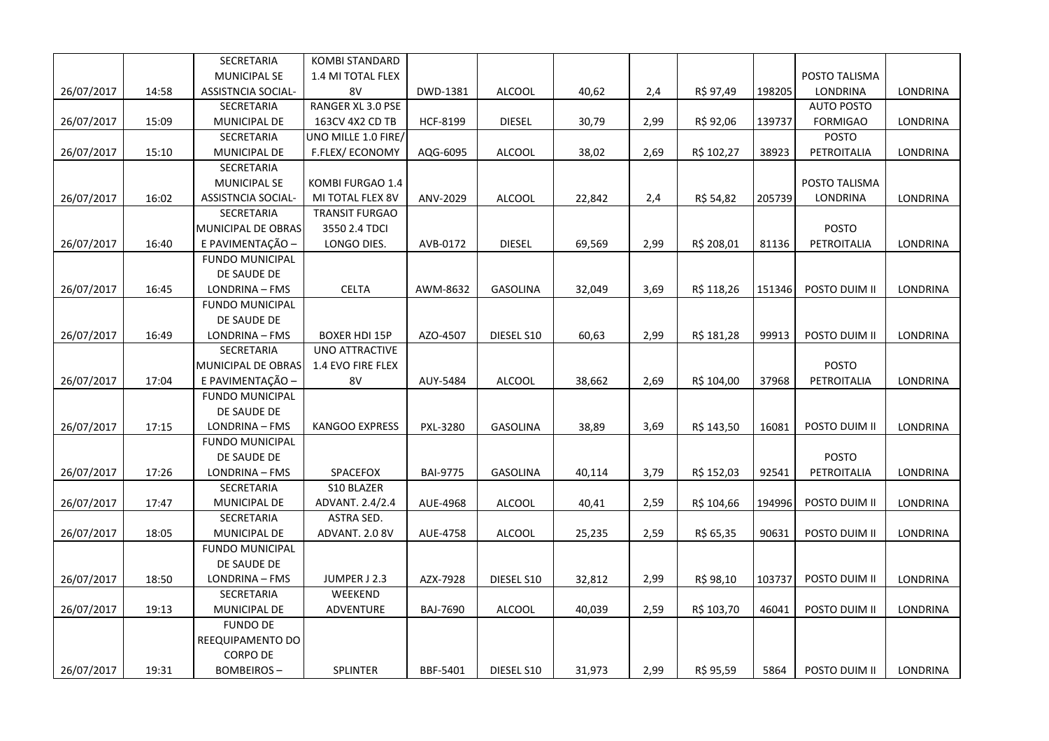|            |       | SECRETARIA             | <b>KOMBI STANDARD</b> |                 |                 |        |      |            |        |                   |                 |
|------------|-------|------------------------|-----------------------|-----------------|-----------------|--------|------|------------|--------|-------------------|-----------------|
|            |       | <b>MUNICIPAL SE</b>    | 1.4 MI TOTAL FLEX     |                 |                 |        |      |            |        | POSTO TALISMA     |                 |
| 26/07/2017 | 14:58 | ASSISTNCIA SOCIAL-     | 8V                    | DWD-1381        | <b>ALCOOL</b>   | 40,62  | 2,4  | R\$ 97,49  | 198205 | LONDRINA          | LONDRINA        |
|            |       | SECRETARIA             | RANGER XL 3.0 PSE     |                 |                 |        |      |            |        | <b>AUTO POSTO</b> |                 |
| 26/07/2017 | 15:09 | MUNICIPAL DE           | 163CV 4X2 CD TB       | <b>HCF-8199</b> | <b>DIESEL</b>   | 30,79  | 2,99 | R\$ 92,06  | 139737 | <b>FORMIGAO</b>   | LONDRINA        |
|            |       | SECRETARIA             | UNO MILLE 1.0 FIRE/   |                 |                 |        |      |            |        | <b>POSTO</b>      |                 |
| 26/07/2017 | 15:10 | MUNICIPAL DE           | F.FLEX/ECONOMY        | AQG-6095        | <b>ALCOOL</b>   | 38,02  | 2,69 | R\$ 102,27 | 38923  | PETROITALIA       | LONDRINA        |
|            |       | SECRETARIA             |                       |                 |                 |        |      |            |        |                   |                 |
|            |       | <b>MUNICIPAL SE</b>    | KOMBI FURGAO 1.4      |                 |                 |        |      |            |        | POSTO TALISMA     |                 |
| 26/07/2017 | 16:02 | ASSISTNCIA SOCIAL-     | MI TOTAL FLEX 8V      | ANV-2029        | <b>ALCOOL</b>   | 22,842 | 2,4  | R\$ 54,82  | 205739 | LONDRINA          | LONDRINA        |
|            |       | SECRETARIA             | <b>TRANSIT FURGAO</b> |                 |                 |        |      |            |        |                   |                 |
|            |       | MUNICIPAL DE OBRAS     | 3550 2.4 TDCI         |                 |                 |        |      |            |        | <b>POSTO</b>      |                 |
| 26/07/2017 | 16:40 | E PAVIMENTAÇÃO -       | LONGO DIES.           | AVB-0172        | <b>DIESEL</b>   | 69,569 | 2,99 | R\$ 208,01 | 81136  | PETROITALIA       | LONDRINA        |
|            |       | <b>FUNDO MUNICIPAL</b> |                       |                 |                 |        |      |            |        |                   |                 |
|            |       | DE SAUDE DE            |                       |                 |                 |        |      |            |        |                   |                 |
| 26/07/2017 | 16:45 | LONDRINA - FMS         | <b>CELTA</b>          | AWM-8632        | <b>GASOLINA</b> | 32,049 | 3,69 | R\$ 118,26 | 151346 | POSTO DUIM II     | LONDRINA        |
|            |       | <b>FUNDO MUNICIPAL</b> |                       |                 |                 |        |      |            |        |                   |                 |
|            |       | DE SAUDE DE            |                       |                 |                 |        |      |            |        |                   |                 |
| 26/07/2017 | 16:49 | LONDRINA - FMS         | <b>BOXER HDI 15P</b>  | AZO-4507        | DIESEL S10      | 60,63  | 2,99 | R\$ 181,28 | 99913  | POSTO DUIM II     | LONDRINA        |
|            |       | <b>SECRETARIA</b>      | <b>UNO ATTRACTIVE</b> |                 |                 |        |      |            |        |                   |                 |
|            |       | MUNICIPAL DE OBRAS     | 1.4 EVO FIRE FLEX     |                 |                 |        |      |            |        | POSTO             |                 |
| 26/07/2017 | 17:04 | E PAVIMENTAÇÃO -       | 8V                    | AUY-5484        | <b>ALCOOL</b>   | 38,662 | 2,69 | R\$ 104,00 | 37968  | PETROITALIA       | LONDRINA        |
|            |       | <b>FUNDO MUNICIPAL</b> |                       |                 |                 |        |      |            |        |                   |                 |
|            |       | DE SAUDE DE            |                       |                 |                 |        |      |            |        |                   |                 |
| 26/07/2017 | 17:15 | LONDRINA - FMS         | <b>KANGOO EXPRESS</b> | PXL-3280        | GASOLINA        | 38,89  | 3,69 | R\$ 143,50 | 16081  | POSTO DUIM II     | LONDRINA        |
|            |       | <b>FUNDO MUNICIPAL</b> |                       |                 |                 |        |      |            |        |                   |                 |
|            |       | DE SAUDE DE            |                       |                 |                 |        |      |            |        | <b>POSTO</b>      |                 |
| 26/07/2017 | 17:26 | LONDRINA - FMS         | SPACEFOX              | <b>BAI-9775</b> | <b>GASOLINA</b> | 40,114 | 3,79 | R\$ 152,03 | 92541  | PETROITALIA       | LONDRINA        |
|            |       | SECRETARIA             | S10 BLAZER            |                 |                 |        |      |            |        |                   |                 |
| 26/07/2017 | 17:47 | MUNICIPAL DE           | ADVANT. 2.4/2.4       | AUE-4968        | <b>ALCOOL</b>   | 40,41  | 2,59 | R\$ 104,66 | 194996 | POSTO DUIM II     | LONDRINA        |
|            |       | SECRETARIA             | ASTRA SED.            |                 |                 |        |      |            |        |                   |                 |
| 26/07/2017 | 18:05 | MUNICIPAL DE           | ADVANT. 2.0 8V        | AUE-4758        | <b>ALCOOL</b>   | 25,235 | 2,59 | R\$ 65,35  | 90631  | POSTO DUIM II     | <b>LONDRINA</b> |
|            |       | <b>FUNDO MUNICIPAL</b> |                       |                 |                 |        |      |            |        |                   |                 |
|            |       | DE SAUDE DE            |                       |                 |                 |        |      |            |        |                   |                 |
| 26/07/2017 | 18:50 | LONDRINA - FMS         | JUMPER J 2.3          | AZX-7928        | DIESEL S10      | 32,812 | 2,99 | R\$ 98,10  | 103737 | POSTO DUIM II     | LONDRINA        |
|            |       | <b>SECRETARIA</b>      | WEEKEND               |                 |                 |        |      |            |        |                   |                 |
| 26/07/2017 | 19:13 | MUNICIPAL DE           | ADVENTURE             | <b>BAJ-7690</b> | <b>ALCOOL</b>   | 40,039 | 2,59 | R\$ 103,70 | 46041  | POSTO DUIM II     | LONDRINA        |
|            |       | <b>FUNDO DE</b>        |                       |                 |                 |        |      |            |        |                   |                 |
|            |       | REEQUIPAMENTO DO       |                       |                 |                 |        |      |            |        |                   |                 |
|            |       | <b>CORPO DE</b>        |                       |                 |                 |        |      |            |        |                   |                 |
| 26/07/2017 | 19:31 | <b>BOMBEIROS-</b>      | SPLINTER              | BBF-5401        | DIESEL S10      | 31,973 | 2,99 | R\$ 95,59  | 5864   | POSTO DUIM II     | LONDRINA        |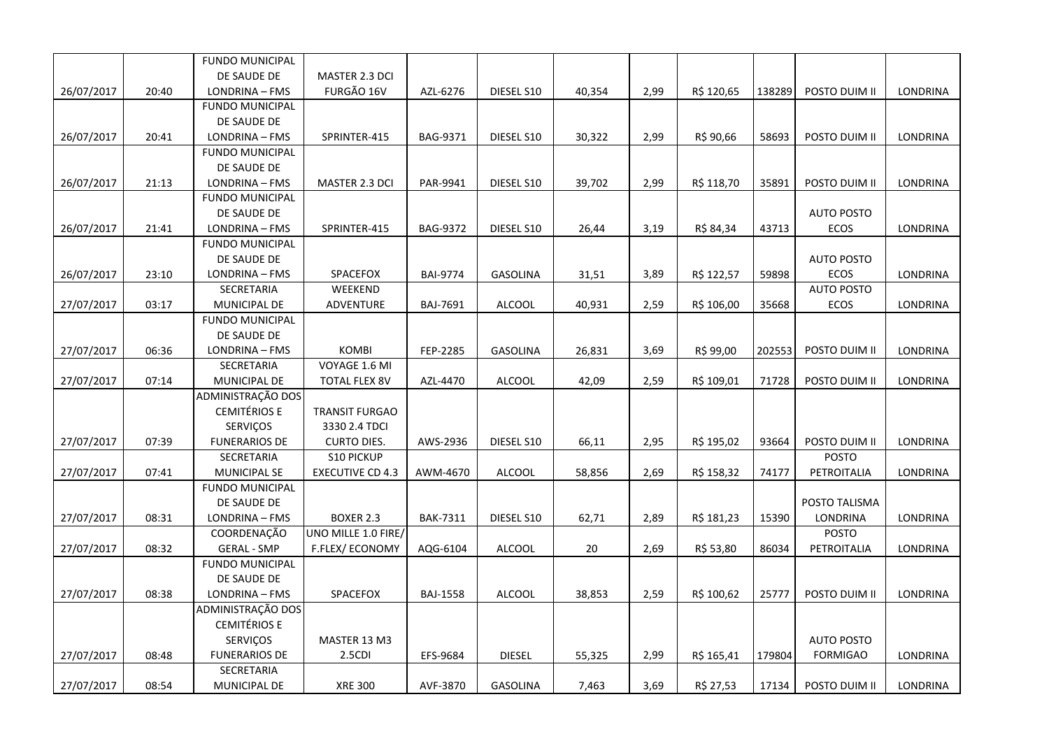|            |       | <b>FUNDO MUNICIPAL</b> |                         |                 |                 |        |      |            |        |                   |                 |
|------------|-------|------------------------|-------------------------|-----------------|-----------------|--------|------|------------|--------|-------------------|-----------------|
|            |       | DE SAUDE DE            | MASTER 2.3 DCI          |                 |                 |        |      |            |        |                   |                 |
| 26/07/2017 | 20:40 | LONDRINA - FMS         | FURGÃO 16V              | AZL-6276        | DIESEL S10      | 40,354 | 2,99 | R\$ 120,65 | 138289 | POSTO DUIM II     | LONDRINA        |
|            |       | <b>FUNDO MUNICIPAL</b> |                         |                 |                 |        |      |            |        |                   |                 |
|            |       | DE SAUDE DE            |                         |                 |                 |        |      |            |        |                   |                 |
| 26/07/2017 | 20:41 | LONDRINA - FMS         | SPRINTER-415            | BAG-9371        | DIESEL S10      | 30,322 | 2,99 | R\$ 90,66  | 58693  | POSTO DUIM II     | LONDRINA        |
|            |       | <b>FUNDO MUNICIPAL</b> |                         |                 |                 |        |      |            |        |                   |                 |
|            |       | DE SAUDE DE            |                         |                 |                 |        |      |            |        |                   |                 |
| 26/07/2017 | 21:13 | LONDRINA - FMS         | MASTER 2.3 DCI          | PAR-9941        | DIESEL S10      | 39,702 | 2,99 | R\$ 118,70 | 35891  | POSTO DUIM II     | LONDRINA        |
|            |       | <b>FUNDO MUNICIPAL</b> |                         |                 |                 |        |      |            |        |                   |                 |
|            |       | DE SAUDE DE            |                         |                 |                 |        |      |            |        | <b>AUTO POSTO</b> |                 |
| 26/07/2017 | 21:41 | LONDRINA - FMS         | SPRINTER-415            | <b>BAG-9372</b> | DIESEL S10      | 26,44  | 3,19 | R\$ 84,34  | 43713  | <b>ECOS</b>       | LONDRINA        |
|            |       | <b>FUNDO MUNICIPAL</b> |                         |                 |                 |        |      |            |        |                   |                 |
|            |       | DE SAUDE DE            |                         |                 |                 |        |      |            |        | <b>AUTO POSTO</b> |                 |
| 26/07/2017 | 23:10 | LONDRINA - FMS         | SPACEFOX                | <b>BAI-9774</b> | GASOLINA        | 31,51  | 3,89 | R\$ 122,57 | 59898  | ECOS              | LONDRINA        |
|            |       | SECRETARIA             | WEEKEND                 |                 |                 |        |      |            |        | <b>AUTO POSTO</b> |                 |
| 27/07/2017 | 03:17 | MUNICIPAL DE           | ADVENTURE               | BAJ-7691        | <b>ALCOOL</b>   | 40,931 | 2,59 | R\$ 106,00 | 35668  | ECOS              | <b>LONDRINA</b> |
|            |       | <b>FUNDO MUNICIPAL</b> |                         |                 |                 |        |      |            |        |                   |                 |
|            |       | DE SAUDE DE            |                         |                 |                 |        |      |            |        |                   |                 |
| 27/07/2017 | 06:36 | LONDRINA - FMS         | <b>KOMBI</b>            | FEP-2285        | GASOLINA        | 26,831 | 3,69 | R\$ 99,00  | 202553 | POSTO DUIM II     | LONDRINA        |
|            |       | SECRETARIA             | VOYAGE 1.6 MI           |                 |                 |        |      |            |        |                   |                 |
| 27/07/2017 | 07:14 | MUNICIPAL DE           | <b>TOTAL FLEX 8V</b>    | AZL-4470        | <b>ALCOOL</b>   | 42,09  | 2,59 | R\$ 109,01 | 71728  | POSTO DUIM II     | LONDRINA        |
|            |       | ADMINISTRAÇÃO DOS      |                         |                 |                 |        |      |            |        |                   |                 |
|            |       | <b>CEMITÉRIOS E</b>    | TRANSIT FURGAO          |                 |                 |        |      |            |        |                   |                 |
|            |       | SERVIÇOS               | 3330 2.4 TDCI           |                 |                 |        |      |            |        |                   |                 |
| 27/07/2017 | 07:39 | <b>FUNERARIOS DE</b>   | <b>CURTO DIES.</b>      | AWS-2936        | DIESEL S10      | 66,11  | 2,95 | R\$ 195,02 | 93664  | POSTO DUIM II     | LONDRINA        |
|            |       | SECRETARIA             | <b>S10 PICKUP</b>       |                 |                 |        |      |            |        | POSTO             |                 |
| 27/07/2017 | 07:41 | MUNICIPAL SE           | <b>EXECUTIVE CD 4.3</b> | AWM-4670        | <b>ALCOOL</b>   | 58,856 | 2,69 | R\$ 158,32 | 74177  | PETROITALIA       | LONDRINA        |
|            |       | <b>FUNDO MUNICIPAL</b> |                         |                 |                 |        |      |            |        |                   |                 |
|            |       | DE SAUDE DE            |                         |                 |                 |        |      |            |        | POSTO TALISMA     |                 |
| 27/07/2017 | 08:31 | LONDRINA - FMS         | <b>BOXER 2.3</b>        | <b>BAK-7311</b> | DIESEL S10      | 62,71  | 2,89 | R\$ 181,23 | 15390  | LONDRINA          | LONDRINA        |
|            |       | COORDENAÇÃO            | UNO MILLE 1.0 FIRE/     |                 |                 |        |      |            |        | POSTO             |                 |
| 27/07/2017 | 08:32 | <b>GERAL - SMP</b>     | F.FLEX/ECONOMY          | AQG-6104        | <b>ALCOOL</b>   | 20     | 2,69 | R\$ 53,80  | 86034  | PETROITALIA       | LONDRINA        |
|            |       | <b>FUNDO MUNICIPAL</b> |                         |                 |                 |        |      |            |        |                   |                 |
|            |       | DE SAUDE DE            |                         |                 |                 |        |      |            |        |                   |                 |
| 27/07/2017 | 08:38 | LONDRINA - FMS         | SPACEFOX                | <b>BAJ-1558</b> | <b>ALCOOL</b>   | 38,853 | 2,59 | R\$ 100,62 | 25777  | POSTO DUIM II     | LONDRINA        |
|            |       | ADMINISTRAÇÃO DOS      |                         |                 |                 |        |      |            |        |                   |                 |
|            |       | <b>CEMITÉRIOS E</b>    |                         |                 |                 |        |      |            |        |                   |                 |
|            |       | <b>SERVIÇOS</b>        | MASTER 13 M3            |                 |                 |        |      |            |        | <b>AUTO POSTO</b> |                 |
| 27/07/2017 | 08:48 | <b>FUNERARIOS DE</b>   | 2.5CDI                  | EFS-9684        | <b>DIESEL</b>   | 55,325 | 2,99 | R\$ 165,41 | 179804 | <b>FORMIGAO</b>   | LONDRINA        |
|            |       | SECRETARIA             |                         |                 |                 |        |      |            |        |                   |                 |
| 27/07/2017 | 08:54 | MUNICIPAL DE           | <b>XRE 300</b>          | AVF-3870        | <b>GASOLINA</b> | 7,463  | 3,69 | R\$ 27,53  | 17134  | POSTO DUIM II     | LONDRINA        |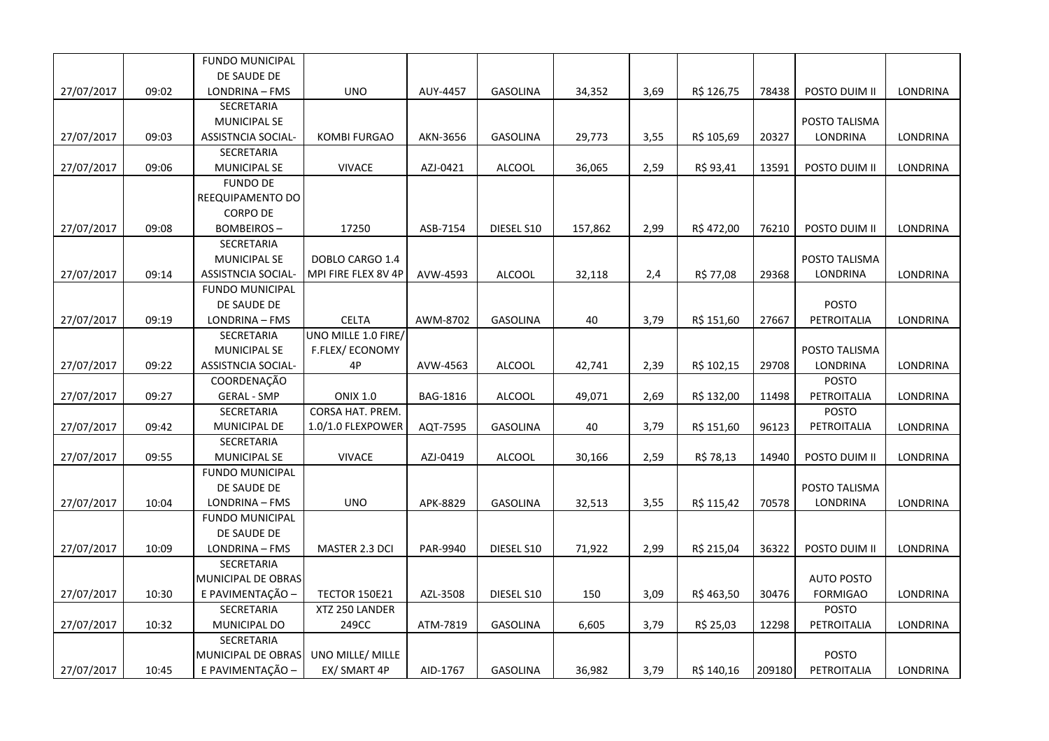|            |       | <b>FUNDO MUNICIPAL</b>    |                      |          |                 |         |      |            |        |                   |          |
|------------|-------|---------------------------|----------------------|----------|-----------------|---------|------|------------|--------|-------------------|----------|
|            |       | DE SAUDE DE               |                      |          |                 |         |      |            |        |                   |          |
| 27/07/2017 | 09:02 | LONDRINA - FMS            | <b>UNO</b>           | AUY-4457 | <b>GASOLINA</b> | 34,352  | 3,69 | R\$ 126,75 | 78438  | POSTO DUIM II     | LONDRINA |
|            |       | SECRETARIA                |                      |          |                 |         |      |            |        |                   |          |
|            |       | <b>MUNICIPAL SE</b>       |                      |          |                 |         |      |            |        | POSTO TALISMA     |          |
| 27/07/2017 | 09:03 | <b>ASSISTNCIA SOCIAL-</b> | <b>KOMBI FURGAO</b>  | AKN-3656 | <b>GASOLINA</b> | 29,773  | 3,55 | R\$ 105,69 | 20327  | LONDRINA          | LONDRINA |
|            |       | SECRETARIA                |                      |          |                 |         |      |            |        |                   |          |
| 27/07/2017 | 09:06 | <b>MUNICIPAL SE</b>       | <b>VIVACE</b>        | AZJ-0421 | ALCOOL          | 36,065  | 2,59 | R\$ 93,41  | 13591  | POSTO DUIM II     | LONDRINA |
|            |       | <b>FUNDO DE</b>           |                      |          |                 |         |      |            |        |                   |          |
|            |       | REEQUIPAMENTO DO          |                      |          |                 |         |      |            |        |                   |          |
|            |       | <b>CORPO DE</b>           |                      |          |                 |         |      |            |        |                   |          |
| 27/07/2017 | 09:08 | <b>BOMBEIROS-</b>         | 17250                | ASB-7154 | DIESEL S10      | 157,862 | 2,99 | R\$472,00  | 76210  | POSTO DUIM II     | LONDRINA |
|            |       | SECRETARIA                |                      |          |                 |         |      |            |        |                   |          |
|            |       | <b>MUNICIPAL SE</b>       | DOBLO CARGO 1.4      |          |                 |         |      |            |        | POSTO TALISMA     |          |
| 27/07/2017 | 09:14 | <b>ASSISTNCIA SOCIAL-</b> | MPI FIRE FLEX 8V 4P  | AVW-4593 | ALCOOL          | 32,118  | 2,4  | R\$ 77,08  | 29368  | <b>LONDRINA</b>   | LONDRINA |
|            |       | <b>FUNDO MUNICIPAL</b>    |                      |          |                 |         |      |            |        |                   |          |
|            |       | DE SAUDE DE               |                      |          |                 |         |      |            |        | <b>POSTO</b>      |          |
| 27/07/2017 | 09:19 | LONDRINA - FMS            | <b>CELTA</b>         | AWM-8702 | <b>GASOLINA</b> | 40      | 3,79 | R\$ 151,60 | 27667  | PETROITALIA       | LONDRINA |
|            |       | SECRETARIA                | UNO MILLE 1.0 FIRE/  |          |                 |         |      |            |        |                   |          |
|            |       | <b>MUNICIPAL SE</b>       | F.FLEX/ECONOMY       |          |                 |         |      |            |        | POSTO TALISMA     |          |
| 27/07/2017 | 09:22 | <b>ASSISTNCIA SOCIAL-</b> | 4P                   | AVW-4563 | <b>ALCOOL</b>   | 42,741  | 2,39 | R\$ 102,15 | 29708  | LONDRINA          | LONDRINA |
|            |       | COORDENAÇÃO               |                      |          |                 |         |      |            |        | POSTO             |          |
| 27/07/2017 | 09:27 | <b>GERAL - SMP</b>        | <b>ONIX 1.0</b>      | BAG-1816 | <b>ALCOOL</b>   | 49,071  | 2,69 | R\$ 132,00 | 11498  | PETROITALIA       | LONDRINA |
|            |       | SECRETARIA                | CORSA HAT. PREM.     |          |                 |         |      |            |        | <b>POSTO</b>      |          |
| 27/07/2017 | 09:42 | MUNICIPAL DE              | 1.0/1.0 FLEXPOWER    | AQT-7595 | <b>GASOLINA</b> | 40      | 3,79 | R\$ 151,60 | 96123  | PETROITALIA       | LONDRINA |
|            |       | SECRETARIA                |                      |          |                 |         |      |            |        |                   |          |
| 27/07/2017 | 09:55 | <b>MUNICIPAL SE</b>       | <b>VIVACE</b>        | AZJ-0419 | ALCOOL          | 30,166  | 2,59 | R\$ 78,13  | 14940  | POSTO DUIM II     | LONDRINA |
|            |       | <b>FUNDO MUNICIPAL</b>    |                      |          |                 |         |      |            |        |                   |          |
|            |       | DE SAUDE DE               |                      |          |                 |         |      |            |        | POSTO TALISMA     |          |
| 27/07/2017 | 10:04 | LONDRINA - FMS            | <b>UNO</b>           | APK-8829 | <b>GASOLINA</b> | 32,513  | 3,55 | R\$ 115,42 | 70578  | <b>LONDRINA</b>   | LONDRINA |
|            |       | <b>FUNDO MUNICIPAL</b>    |                      |          |                 |         |      |            |        |                   |          |
|            |       | DE SAUDE DE               |                      |          |                 |         |      |            |        |                   |          |
| 27/07/2017 | 10:09 | LONDRINA - FMS            | MASTER 2.3 DCI       | PAR-9940 | DIESEL S10      | 71,922  | 2,99 | R\$ 215,04 | 36322  | POSTO DUIM II     | LONDRINA |
|            |       | SECRETARIA                |                      |          |                 |         |      |            |        |                   |          |
|            |       | MUNICIPAL DE OBRAS        |                      |          |                 |         |      |            |        | <b>AUTO POSTO</b> |          |
| 27/07/2017 | 10:30 | E PAVIMENTAÇÃO -          | <b>TECTOR 150E21</b> | AZL-3508 | DIESEL S10      | 150     | 3,09 | R\$463,50  | 30476  | <b>FORMIGAO</b>   | LONDRINA |
|            |       | SECRETARIA                | XTZ 250 LANDER       |          |                 |         |      |            |        | <b>POSTO</b>      |          |
| 27/07/2017 | 10:32 | MUNICIPAL DO              | 249CC                | ATM-7819 | <b>GASOLINA</b> | 6,605   | 3,79 | R\$ 25,03  | 12298  | PETROITALIA       | LONDRINA |
|            |       | SECRETARIA                |                      |          |                 |         |      |            |        |                   |          |
|            |       | MUNICIPAL DE OBRAS        | UNO MILLE/ MILLE     |          |                 |         |      |            |        | <b>POSTO</b>      |          |
| 27/07/2017 | 10:45 | E PAVIMENTAÇÃO -          | EX/ SMART 4P         | AID-1767 | GASOLINA        | 36,982  | 3,79 | R\$ 140,16 | 209180 | PETROITALIA       | LONDRINA |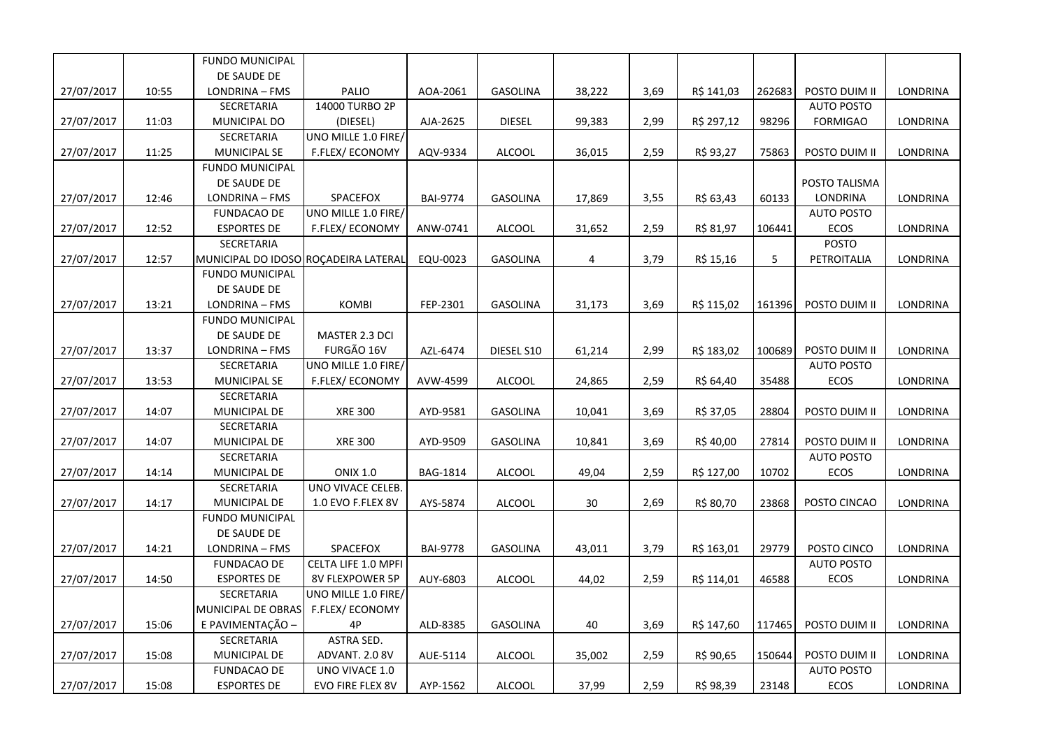|            |       | <b>FUNDO MUNICIPAL</b>               |                        |                 |                 |        |      |            |        |                   |                 |
|------------|-------|--------------------------------------|------------------------|-----------------|-----------------|--------|------|------------|--------|-------------------|-----------------|
|            |       | DE SAUDE DE                          |                        |                 |                 |        |      |            |        |                   |                 |
| 27/07/2017 | 10:55 | LONDRINA - FMS                       | PALIO                  | AOA-2061        | GASOLINA        | 38,222 | 3,69 | R\$ 141,03 | 262683 | POSTO DUIM II     | LONDRINA        |
|            |       | SECRETARIA                           | 14000 TURBO 2P         |                 |                 |        |      |            |        | <b>AUTO POSTO</b> |                 |
| 27/07/2017 | 11:03 | MUNICIPAL DO                         | (DIESEL)               | AJA-2625        | <b>DIESEL</b>   | 99,383 | 2,99 | R\$ 297,12 | 98296  | <b>FORMIGAO</b>   | LONDRINA        |
|            |       | SECRETARIA                           | UNO MILLE 1.0 FIRE/    |                 |                 |        |      |            |        |                   |                 |
| 27/07/2017 | 11:25 | MUNICIPAL SE                         | F.FLEX/ECONOMY         | AQV-9334        | <b>ALCOOL</b>   | 36,015 | 2,59 | R\$ 93,27  | 75863  | POSTO DUIM II     | LONDRINA        |
|            |       | <b>FUNDO MUNICIPAL</b>               |                        |                 |                 |        |      |            |        |                   |                 |
|            |       | DE SAUDE DE                          |                        |                 |                 |        |      |            |        | POSTO TALISMA     |                 |
| 27/07/2017 | 12:46 | LONDRINA - FMS                       | SPACEFOX               | <b>BAI-9774</b> | GASOLINA        | 17,869 | 3,55 | R\$ 63,43  | 60133  | LONDRINA          | LONDRINA        |
|            |       | <b>FUNDACAO DE</b>                   | UNO MILLE 1.0 FIRE/    |                 |                 |        |      |            |        | <b>AUTO POSTO</b> |                 |
| 27/07/2017 | 12:52 | <b>ESPORTES DE</b>                   | F.FLEX/ECONOMY         | ANW-0741        | <b>ALCOOL</b>   | 31,652 | 2,59 | R\$ 81,97  | 106441 | ECOS              | LONDRINA        |
|            |       | SECRETARIA                           |                        |                 |                 |        |      |            |        | <b>POSTO</b>      |                 |
| 27/07/2017 | 12:57 | MUNICIPAL DO IDOSO ROÇADEIRA LATERAL |                        | EQU-0023        | <b>GASOLINA</b> | 4      | 3,79 | R\$ 15,16  | 5      | PETROITALIA       | LONDRINA        |
|            |       | <b>FUNDO MUNICIPAL</b>               |                        |                 |                 |        |      |            |        |                   |                 |
|            |       | DE SAUDE DE                          |                        |                 |                 |        |      |            |        |                   |                 |
| 27/07/2017 | 13:21 | LONDRINA - FMS                       | <b>KOMBI</b>           | FEP-2301        | GASOLINA        | 31,173 | 3,69 | R\$ 115,02 | 161396 | POSTO DUIM II     | <b>LONDRINA</b> |
|            |       | <b>FUNDO MUNICIPAL</b>               |                        |                 |                 |        |      |            |        |                   |                 |
|            |       | DE SAUDE DE                          | MASTER 2.3 DCI         |                 |                 |        |      |            |        |                   |                 |
| 27/07/2017 | 13:37 | LONDRINA - FMS                       | FURGÃO 16V             | AZL-6474        | DIESEL S10      | 61,214 | 2,99 | R\$ 183,02 | 100689 | POSTO DUIM II     | LONDRINA        |
|            |       | SECRETARIA                           | UNO MILLE 1.0 FIRE/    |                 |                 |        |      |            |        | <b>AUTO POSTO</b> |                 |
| 27/07/2017 | 13:53 | <b>MUNICIPAL SE</b>                  | <b>F.FLEX/ ECONOMY</b> | AVW-4599        | ALCOOL          | 24,865 | 2,59 | R\$ 64,40  | 35488  | <b>ECOS</b>       | LONDRINA        |
|            |       | SECRETARIA                           |                        |                 |                 |        |      |            |        |                   |                 |
| 27/07/2017 | 14:07 | MUNICIPAL DE                         | <b>XRE 300</b>         | AYD-9581        | <b>GASOLINA</b> | 10,041 | 3,69 | R\$ 37,05  | 28804  | POSTO DUIM II     | LONDRINA        |
|            |       | SECRETARIA                           |                        |                 |                 |        |      |            |        |                   |                 |
| 27/07/2017 | 14:07 | MUNICIPAL DE                         | <b>XRE 300</b>         | AYD-9509        | GASOLINA        | 10,841 | 3,69 | R\$40,00   | 27814  | POSTO DUIM II     | LONDRINA        |
|            |       | SECRETARIA                           |                        |                 |                 |        |      |            |        | <b>AUTO POSTO</b> |                 |
| 27/07/2017 | 14:14 | MUNICIPAL DE                         | <b>ONIX 1.0</b>        | <b>BAG-1814</b> | <b>ALCOOL</b>   | 49,04  | 2,59 | R\$ 127,00 | 10702  | ECOS              | LONDRINA        |
|            |       | SECRETARIA                           | UNO VIVACE CELEB.      |                 |                 |        |      |            |        |                   |                 |
| 27/07/2017 | 14:17 | MUNICIPAL DE                         | 1.0 EVO F.FLEX 8V      | AYS-5874        | ALCOOL          | 30     | 2,69 | R\$ 80,70  | 23868  | POSTO CINCAO      | LONDRINA        |
|            |       | <b>FUNDO MUNICIPAL</b>               |                        |                 |                 |        |      |            |        |                   |                 |
|            |       | DE SAUDE DE                          |                        |                 |                 |        |      |            |        |                   |                 |
| 27/07/2017 | 14:21 | LONDRINA - FMS                       | SPACEFOX               | <b>BAI-9778</b> | GASOLINA        | 43,011 | 3,79 | R\$ 163,01 | 29779  | POSTO CINCO       | LONDRINA        |
|            |       | <b>FUNDACAO DE</b>                   | CELTA LIFE 1.0 MPFI    |                 |                 |        |      |            |        | <b>AUTO POSTO</b> |                 |
| 27/07/2017 | 14:50 | <b>ESPORTES DE</b>                   | 8V FLEXPOWER 5P        | AUY-6803        | <b>ALCOOL</b>   | 44,02  | 2,59 | R\$ 114,01 | 46588  | <b>ECOS</b>       | LONDRINA        |
|            |       | SECRETARIA                           | UNO MILLE 1.0 FIRE/    |                 |                 |        |      |            |        |                   |                 |
|            |       | MUNICIPAL DE OBRAS                   | F.FLEX/ECONOMY         |                 |                 |        |      |            |        |                   |                 |
| 27/07/2017 | 15:06 | E PAVIMENTAÇÃO -                     | 4P                     | ALD-8385        | <b>GASOLINA</b> | 40     | 3,69 | R\$ 147,60 | 117465 | POSTO DUIM II     | LONDRINA        |
|            |       | SECRETARIA                           | ASTRA SED.             |                 |                 |        |      |            |        |                   |                 |
| 27/07/2017 | 15:08 | MUNICIPAL DE                         | ADVANT. 2.0 8V         | AUE-5114        | <b>ALCOOL</b>   | 35,002 | 2,59 | R\$ 90,65  | 150644 | POSTO DUIM II     | LONDRINA        |
|            |       | <b>FUNDACAO DE</b>                   | UNO VIVACE 1.0         |                 |                 |        |      |            |        | <b>AUTO POSTO</b> |                 |
| 27/07/2017 | 15:08 | <b>ESPORTES DE</b>                   | EVO FIRE FLEX 8V       | AYP-1562        | ALCOOL          | 37,99  | 2,59 | R\$ 98,39  | 23148  | ECOS              | LONDRINA        |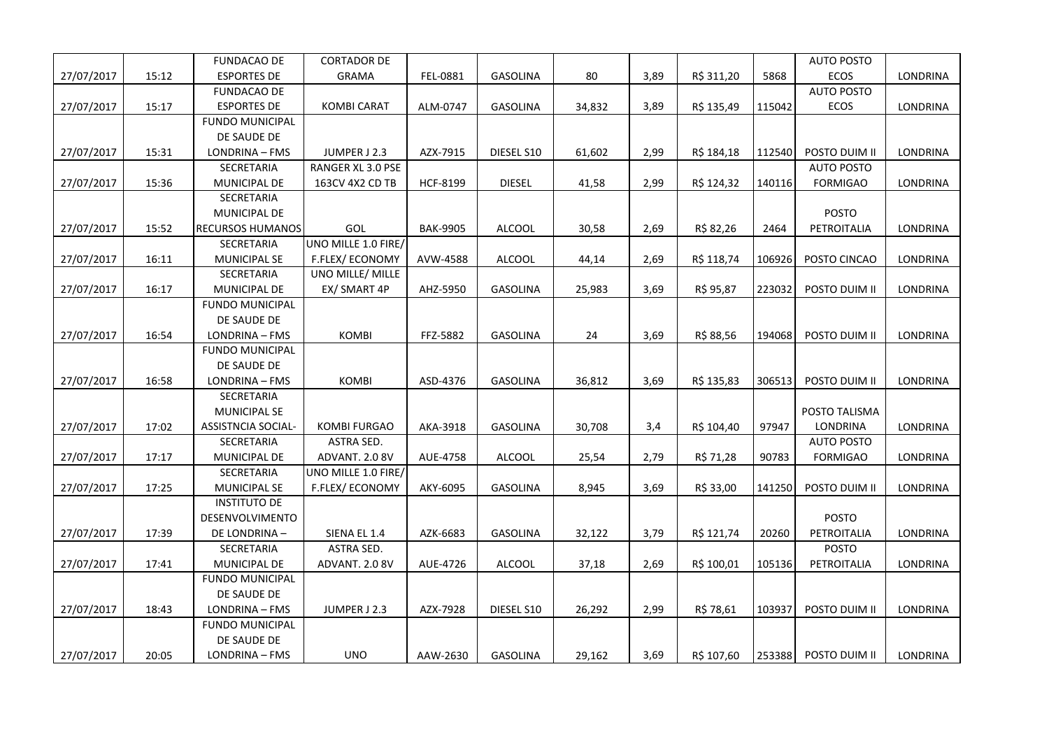|            |       | <b>FUNDACAO DE</b>      | <b>CORTADOR DE</b>       |                 |                 |        |      |            |        | <b>AUTO POSTO</b> |                 |
|------------|-------|-------------------------|--------------------------|-----------------|-----------------|--------|------|------------|--------|-------------------|-----------------|
| 27/07/2017 | 15:12 | <b>ESPORTES DE</b>      | <b>GRAMA</b>             | FEL-0881        | GASOLINA        | 80     | 3,89 | R\$ 311,20 | 5868   | ECOS              | LONDRINA        |
|            |       | <b>FUNDACAO DE</b>      |                          |                 |                 |        |      |            |        | <b>AUTO POSTO</b> |                 |
| 27/07/2017 | 15:17 | <b>ESPORTES DE</b>      | <b>KOMBI CARAT</b>       | ALM-0747        | <b>GASOLINA</b> | 34,832 | 3,89 | R\$ 135,49 | 115042 | ECOS              | <b>LONDRINA</b> |
|            |       | <b>FUNDO MUNICIPAL</b>  |                          |                 |                 |        |      |            |        |                   |                 |
|            |       | DE SAUDE DE             |                          |                 |                 |        |      |            |        |                   |                 |
| 27/07/2017 | 15:31 | LONDRINA - FMS          | JUMPER J 2.3             | AZX-7915        | DIESEL S10      | 61,602 | 2,99 | R\$ 184,18 | 112540 | POSTO DUIM II     | LONDRINA        |
|            |       | SECRETARIA              | <b>RANGER XL 3.0 PSE</b> |                 |                 |        |      |            |        | <b>AUTO POSTO</b> |                 |
| 27/07/2017 | 15:36 | MUNICIPAL DE            | 163CV 4X2 CD TB          | <b>HCF-8199</b> | <b>DIESEL</b>   | 41,58  | 2,99 | R\$ 124,32 | 140116 | <b>FORMIGAO</b>   | LONDRINA        |
|            |       | SECRETARIA              |                          |                 |                 |        |      |            |        |                   |                 |
|            |       | MUNICIPAL DE            |                          |                 |                 |        |      |            |        | <b>POSTO</b>      |                 |
| 27/07/2017 | 15:52 | <b>RECURSOS HUMANOS</b> | GOL                      | <b>BAK-9905</b> | <b>ALCOOL</b>   | 30,58  | 2,69 | R\$ 82,26  | 2464   | PETROITALIA       | LONDRINA        |
|            |       | SECRETARIA              | UNO MILLE 1.0 FIRE/      |                 |                 |        |      |            |        |                   |                 |
| 27/07/2017 | 16:11 | MUNICIPAL SE            | F.FLEX/ECONOMY           | AVW-4588        | <b>ALCOOL</b>   | 44,14  | 2,69 | R\$ 118,74 | 106926 | POSTO CINCAO      | LONDRINA        |
|            |       | SECRETARIA              | UNO MILLE/ MILLE         |                 |                 |        |      |            |        |                   |                 |
| 27/07/2017 | 16:17 | MUNICIPAL DE            | EX/ SMART 4P             | AHZ-5950        | GASOLINA        | 25,983 | 3,69 | R\$ 95,87  | 223032 | POSTO DUIM II     | LONDRINA        |
|            |       | <b>FUNDO MUNICIPAL</b>  |                          |                 |                 |        |      |            |        |                   |                 |
|            |       | DE SAUDE DE             |                          |                 |                 |        |      |            |        |                   |                 |
| 27/07/2017 | 16:54 | LONDRINA - FMS          | <b>KOMBI</b>             | FFZ-5882        | <b>GASOLINA</b> | 24     | 3,69 | R\$ 88,56  | 194068 | POSTO DUIM II     | LONDRINA        |
|            |       | <b>FUNDO MUNICIPAL</b>  |                          |                 |                 |        |      |            |        |                   |                 |
|            |       | DE SAUDE DE             |                          |                 |                 |        |      |            |        |                   |                 |
| 27/07/2017 | 16:58 | LONDRINA - FMS          | <b>KOMBI</b>             | ASD-4376        | <b>GASOLINA</b> | 36,812 | 3,69 | R\$ 135,83 | 306513 | POSTO DUIM II     | LONDRINA        |
|            |       | SECRETARIA              |                          |                 |                 |        |      |            |        |                   |                 |
|            |       | <b>MUNICIPAL SE</b>     |                          |                 |                 |        |      |            |        | POSTO TALISMA     |                 |
| 27/07/2017 | 17:02 | ASSISTNCIA SOCIAL-      | <b>KOMBI FURGAO</b>      | AKA-3918        | <b>GASOLINA</b> | 30,708 | 3,4  | R\$ 104,40 | 97947  | <b>LONDRINA</b>   | LONDRINA        |
|            |       | SECRETARIA              | ASTRA SED.               |                 |                 |        |      |            |        | <b>AUTO POSTO</b> |                 |
| 27/07/2017 | 17:17 | MUNICIPAL DE            | ADVANT. 2.0 8V           | AUE-4758        | <b>ALCOOL</b>   | 25,54  | 2,79 | R\$ 71,28  | 90783  | <b>FORMIGAO</b>   | LONDRINA        |
|            |       | SECRETARIA              | UNO MILLE 1.0 FIRE/      |                 |                 |        |      |            |        |                   |                 |
| 27/07/2017 | 17:25 | MUNICIPAL SE            | F.FLEX/ECONOMY           | AKY-6095        | <b>GASOLINA</b> | 8,945  | 3,69 | R\$ 33,00  | 141250 | POSTO DUIM II     | LONDRINA        |
|            |       | <b>INSTITUTO DE</b>     |                          |                 |                 |        |      |            |        |                   |                 |
|            |       | DESENVOLVIMENTO         |                          |                 |                 |        |      |            |        | <b>POSTO</b>      |                 |
| 27/07/2017 | 17:39 | DE LONDRINA-            | SIENA EL 1.4             | AZK-6683        | <b>GASOLINA</b> | 32,122 | 3,79 | R\$ 121,74 | 20260  | PETROITALIA       | <b>LONDRINA</b> |
|            |       | SECRETARIA              | ASTRA SED.               |                 |                 |        |      |            |        | POSTO             |                 |
| 27/07/2017 | 17:41 | MUNICIPAL DE            | ADVANT. 2.0 8V           | AUE-4726        | <b>ALCOOL</b>   | 37,18  | 2,69 | R\$ 100,01 | 105136 | PETROITALIA       | LONDRINA        |
|            |       | <b>FUNDO MUNICIPAL</b>  |                          |                 |                 |        |      |            |        |                   |                 |
|            |       | DE SAUDE DE             |                          |                 |                 |        |      |            |        |                   |                 |
| 27/07/2017 | 18:43 | LONDRINA - FMS          | JUMPER J 2.3             | AZX-7928        | DIESEL S10      | 26,292 | 2,99 | R\$ 78,61  | 103937 | POSTO DUIM II     | LONDRINA        |
|            |       | <b>FUNDO MUNICIPAL</b>  |                          |                 |                 |        |      |            |        |                   |                 |
|            |       | DE SAUDE DE             |                          |                 |                 |        |      |            |        |                   |                 |
| 27/07/2017 | 20:05 | LONDRINA - FMS          | <b>UNO</b>               | AAW-2630        | <b>GASOLINA</b> | 29,162 | 3,69 | R\$ 107,60 | 253388 | POSTO DUIM II     | <b>LONDRINA</b> |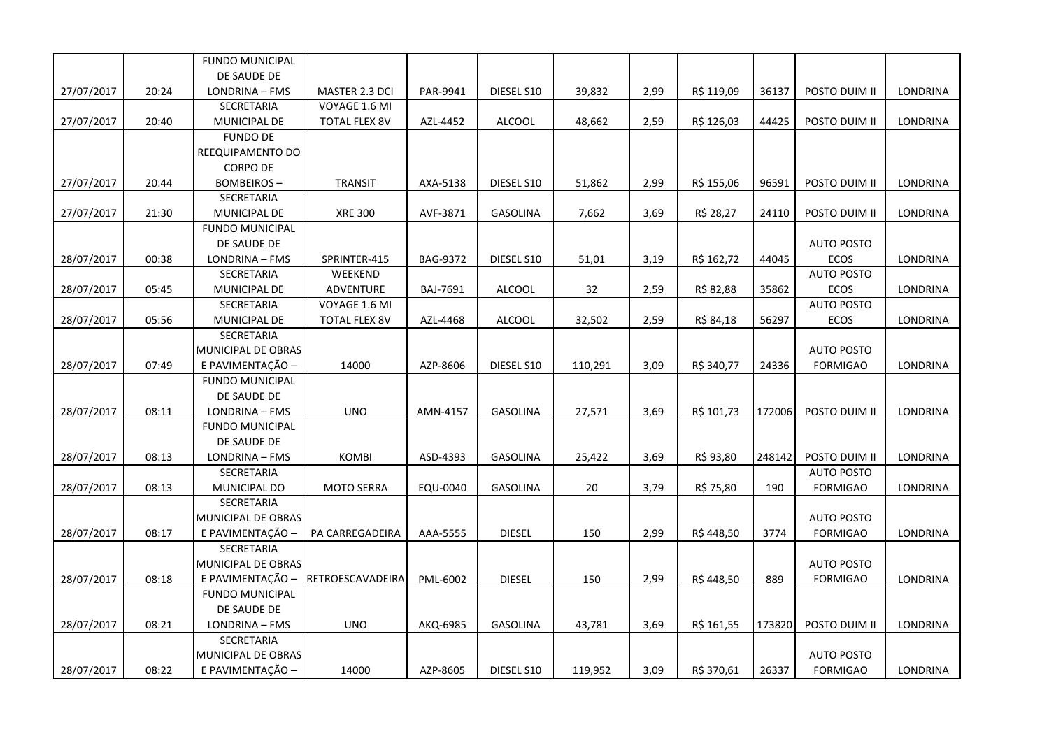|            |       | <b>FUNDO MUNICIPAL</b> |                      |          |                 |         |      |            |        |                   |                 |
|------------|-------|------------------------|----------------------|----------|-----------------|---------|------|------------|--------|-------------------|-----------------|
|            |       | DE SAUDE DE            |                      |          |                 |         |      |            |        |                   |                 |
| 27/07/2017 | 20:24 | LONDRINA - FMS         | MASTER 2.3 DCI       | PAR-9941 | DIESEL S10      | 39,832  | 2,99 | R\$ 119,09 | 36137  | POSTO DUIM II     | LONDRINA        |
|            |       | SECRETARIA             | VOYAGE 1.6 MI        |          |                 |         |      |            |        |                   |                 |
| 27/07/2017 | 20:40 | MUNICIPAL DE           | <b>TOTAL FLEX 8V</b> | AZL-4452 | <b>ALCOOL</b>   | 48,662  | 2,59 | R\$ 126,03 | 44425  | POSTO DUIM II     | LONDRINA        |
|            |       | <b>FUNDO DE</b>        |                      |          |                 |         |      |            |        |                   |                 |
|            |       | REEQUIPAMENTO DO       |                      |          |                 |         |      |            |        |                   |                 |
|            |       | <b>CORPO DE</b>        |                      |          |                 |         |      |            |        |                   |                 |
| 27/07/2017 | 20:44 | <b>BOMBEIROS-</b>      | <b>TRANSIT</b>       | AXA-5138 | DIESEL S10      | 51,862  | 2,99 | R\$ 155,06 | 96591  | POSTO DUIM II     | LONDRINA        |
|            |       | SECRETARIA             |                      |          |                 |         |      |            |        |                   |                 |
| 27/07/2017 | 21:30 | MUNICIPAL DE           | <b>XRE 300</b>       | AVF-3871 | GASOLINA        | 7,662   | 3,69 | R\$ 28,27  | 24110  | POSTO DUIM II     | LONDRINA        |
|            |       | <b>FUNDO MUNICIPAL</b> |                      |          |                 |         |      |            |        |                   |                 |
|            |       | DE SAUDE DE            |                      |          |                 |         |      |            |        | <b>AUTO POSTO</b> |                 |
| 28/07/2017 | 00:38 | LONDRINA - FMS         | SPRINTER-415         | BAG-9372 | DIESEL S10      | 51,01   | 3,19 | R\$ 162,72 | 44045  | <b>ECOS</b>       | LONDRINA        |
|            |       | SECRETARIA             | WEEKEND              |          |                 |         |      |            |        | <b>AUTO POSTO</b> |                 |
| 28/07/2017 | 05:45 | MUNICIPAL DE           | ADVENTURE            | BAJ-7691 | <b>ALCOOL</b>   | 32      | 2,59 | R\$ 82,88  | 35862  | ECOS              | LONDRINA        |
|            |       | SECRETARIA             | VOYAGE 1.6 MI        |          |                 |         |      |            |        | <b>AUTO POSTO</b> |                 |
| 28/07/2017 | 05:56 | MUNICIPAL DE           | <b>TOTAL FLEX 8V</b> | AZL-4468 | <b>ALCOOL</b>   | 32,502  | 2,59 | R\$ 84,18  | 56297  | ECOS              | LONDRINA        |
|            |       | SECRETARIA             |                      |          |                 |         |      |            |        |                   |                 |
|            |       | MUNICIPAL DE OBRAS     |                      |          |                 |         |      |            |        | <b>AUTO POSTO</b> |                 |
| 28/07/2017 | 07:49 | E PAVIMENTAÇÃO -       | 14000                | AZP-8606 | DIESEL S10      | 110,291 | 3,09 | R\$ 340,77 | 24336  | <b>FORMIGAO</b>   | <b>LONDRINA</b> |
|            |       | <b>FUNDO MUNICIPAL</b> |                      |          |                 |         |      |            |        |                   |                 |
|            |       | DE SAUDE DE            |                      |          |                 |         |      |            |        |                   |                 |
| 28/07/2017 | 08:11 | LONDRINA - FMS         | <b>UNO</b>           | AMN-4157 | <b>GASOLINA</b> | 27,571  | 3,69 | R\$ 101,73 | 172006 | POSTO DUIM II     | LONDRINA        |
|            |       | <b>FUNDO MUNICIPAL</b> |                      |          |                 |         |      |            |        |                   |                 |
|            |       | DE SAUDE DE            |                      |          |                 |         |      |            |        |                   |                 |
| 28/07/2017 | 08:13 | LONDRINA - FMS         | <b>KOMBI</b>         | ASD-4393 | GASOLINA        | 25,422  | 3,69 | R\$ 93,80  | 248142 | POSTO DUIM II     | LONDRINA        |
|            |       | SECRETARIA             |                      |          |                 |         |      |            |        | <b>AUTO POSTO</b> |                 |
| 28/07/2017 | 08:13 | MUNICIPAL DO           | <b>MOTO SERRA</b>    | EQU-0040 | <b>GASOLINA</b> | 20      | 3,79 | R\$ 75,80  | 190    | <b>FORMIGAO</b>   | <b>LONDRINA</b> |
|            |       | SECRETARIA             |                      |          |                 |         |      |            |        |                   |                 |
|            |       | MUNICIPAL DE OBRAS     |                      |          |                 |         |      |            |        | <b>AUTO POSTO</b> |                 |
| 28/07/2017 | 08:17 | E PAVIMENTAÇÃO -       | PA CARREGADEIRA      | AAA-5555 | <b>DIESEL</b>   | 150     | 2,99 | R\$448,50  | 3774   | <b>FORMIGAO</b>   | LONDRINA        |
|            |       | SECRETARIA             |                      |          |                 |         |      |            |        |                   |                 |
|            |       | MUNICIPAL DE OBRAS     |                      |          |                 |         |      |            |        | <b>AUTO POSTO</b> |                 |
| 28/07/2017 | 08:18 | E PAVIMENTAÇÃO -       | RETROESCAVADEIRA     | PML-6002 | <b>DIESEL</b>   | 150     | 2,99 | R\$448,50  | 889    | <b>FORMIGAO</b>   | LONDRINA        |
|            |       | <b>FUNDO MUNICIPAL</b> |                      |          |                 |         |      |            |        |                   |                 |
|            |       | DE SAUDE DE            |                      |          |                 |         |      |            |        |                   |                 |
| 28/07/2017 | 08:21 | LONDRINA - FMS         | <b>UNO</b>           | AKQ-6985 | <b>GASOLINA</b> | 43,781  | 3,69 | R\$ 161,55 | 173820 | POSTO DUIM II     | <b>LONDRINA</b> |
|            |       | SECRETARIA             |                      |          |                 |         |      |            |        |                   |                 |
|            |       | MUNICIPAL DE OBRAS     |                      |          |                 |         |      |            |        | <b>AUTO POSTO</b> |                 |
| 28/07/2017 | 08:22 | E PAVIMENTAÇÃO -       | 14000                | AZP-8605 | DIESEL S10      | 119,952 | 3,09 | R\$ 370,61 | 26337  | <b>FORMIGAO</b>   | <b>LONDRINA</b> |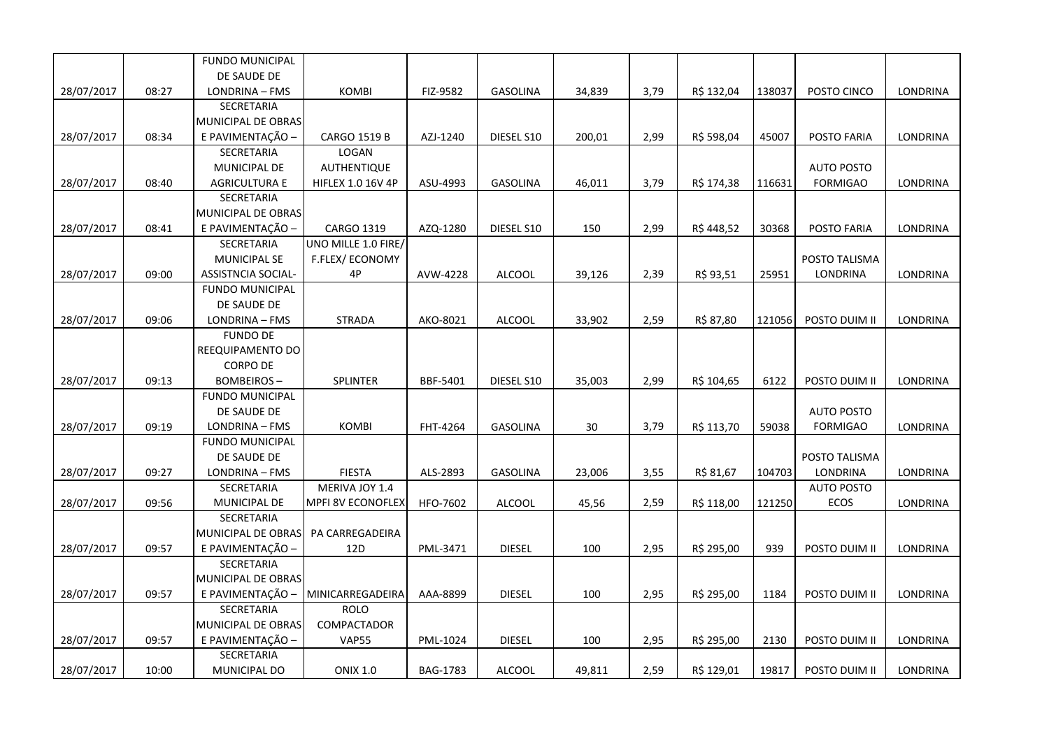|            |       | <b>FUNDO MUNICIPAL</b>    |                          |                 |                 |        |      |            |        |                   |                 |
|------------|-------|---------------------------|--------------------------|-----------------|-----------------|--------|------|------------|--------|-------------------|-----------------|
|            |       | DE SAUDE DE               |                          |                 |                 |        |      |            |        |                   |                 |
| 28/07/2017 | 08:27 | LONDRINA - FMS            | <b>KOMBI</b>             | FIZ-9582        | <b>GASOLINA</b> | 34,839 | 3,79 | R\$ 132,04 | 138037 | POSTO CINCO       | LONDRINA        |
|            |       | <b>SECRETARIA</b>         |                          |                 |                 |        |      |            |        |                   |                 |
|            |       | MUNICIPAL DE OBRAS        |                          |                 |                 |        |      |            |        |                   |                 |
| 28/07/2017 | 08:34 | E PAVIMENTAÇÃO -          | <b>CARGO 1519 B</b>      | AZJ-1240        | DIESEL S10      | 200,01 | 2,99 | R\$ 598,04 | 45007  | POSTO FARIA       | <b>LONDRINA</b> |
|            |       | SECRETARIA                | LOGAN                    |                 |                 |        |      |            |        |                   |                 |
|            |       | MUNICIPAL DE              | <b>AUTHENTIQUE</b>       |                 |                 |        |      |            |        | <b>AUTO POSTO</b> |                 |
| 28/07/2017 | 08:40 | <b>AGRICULTURA E</b>      | <b>HIFLEX 1.0 16V 4P</b> | ASU-4993        | <b>GASOLINA</b> | 46,011 | 3,79 | R\$ 174,38 | 116631 | <b>FORMIGAO</b>   | <b>LONDRINA</b> |
|            |       | SECRETARIA                |                          |                 |                 |        |      |            |        |                   |                 |
|            |       | MUNICIPAL DE OBRAS        |                          |                 |                 |        |      |            |        |                   |                 |
| 28/07/2017 | 08:41 | E PAVIMENTAÇÃO -          | CARGO 1319               | AZQ-1280        | DIESEL S10      | 150    | 2,99 | R\$ 448,52 | 30368  | POSTO FARIA       | LONDRINA        |
|            |       | SECRETARIA                | UNO MILLE 1.0 FIRE/      |                 |                 |        |      |            |        |                   |                 |
|            |       | <b>MUNICIPAL SE</b>       | F.FLEX/ECONOMY           |                 |                 |        |      |            |        | POSTO TALISMA     |                 |
| 28/07/2017 | 09:00 | <b>ASSISTNCIA SOCIAL-</b> | 4P                       | AVW-4228        | <b>ALCOOL</b>   | 39,126 | 2,39 | R\$ 93,51  | 25951  | <b>LONDRINA</b>   | LONDRINA        |
|            |       | <b>FUNDO MUNICIPAL</b>    |                          |                 |                 |        |      |            |        |                   |                 |
|            |       | DE SAUDE DE               |                          |                 |                 |        |      |            |        |                   |                 |
| 28/07/2017 | 09:06 | LONDRINA - FMS            | <b>STRADA</b>            | AKO-8021        | <b>ALCOOL</b>   | 33,902 | 2,59 | R\$ 87,80  | 121056 | POSTO DUIM II     | LONDRINA        |
|            |       | <b>FUNDO DE</b>           |                          |                 |                 |        |      |            |        |                   |                 |
|            |       | REEQUIPAMENTO DO          |                          |                 |                 |        |      |            |        |                   |                 |
|            |       | <b>CORPO DE</b>           |                          |                 |                 |        |      |            |        |                   |                 |
| 28/07/2017 | 09:13 | <b>BOMBEIROS-</b>         | <b>SPLINTER</b>          | BBF-5401        | DIESEL S10      | 35,003 | 2,99 | R\$ 104,65 | 6122   | POSTO DUIM II     | LONDRINA        |
|            |       | <b>FUNDO MUNICIPAL</b>    |                          |                 |                 |        |      |            |        |                   |                 |
|            |       | DE SAUDE DE               |                          |                 |                 |        |      |            |        | <b>AUTO POSTO</b> |                 |
| 28/07/2017 | 09:19 | LONDRINA - FMS            | <b>KOMBI</b>             | FHT-4264        | <b>GASOLINA</b> | 30     | 3,79 | R\$ 113,70 | 59038  | <b>FORMIGAO</b>   | LONDRINA        |
|            |       | <b>FUNDO MUNICIPAL</b>    |                          |                 |                 |        |      |            |        |                   |                 |
|            |       | DE SAUDE DE               |                          |                 |                 |        |      |            |        | POSTO TALISMA     |                 |
| 28/07/2017 | 09:27 | LONDRINA - FMS            | <b>FIESTA</b>            | ALS-2893        | <b>GASOLINA</b> | 23,006 | 3,55 | R\$ 81,67  | 104703 | LONDRINA          | <b>LONDRINA</b> |
|            |       | SECRETARIA                | MERIVA JOY 1.4           |                 |                 |        |      |            |        | <b>AUTO POSTO</b> |                 |
| 28/07/2017 | 09:56 | MUNICIPAL DE              | <b>MPFI 8V ECONOFLEX</b> | HFO-7602        | <b>ALCOOL</b>   | 45,56  | 2,59 | R\$ 118,00 | 121250 | <b>ECOS</b>       | LONDRINA        |
|            |       | SECRETARIA                |                          |                 |                 |        |      |            |        |                   |                 |
|            |       | MUNICIPAL DE OBRAS        | PA CARREGADEIRA          |                 |                 |        |      |            |        |                   |                 |
| 28/07/2017 | 09:57 | E PAVIMENTAÇÃO -          | 12D                      | PML-3471        | <b>DIESEL</b>   | 100    | 2,95 | R\$ 295,00 | 939    | POSTO DUIM II     | LONDRINA        |
|            |       | <b>SECRETARIA</b>         |                          |                 |                 |        |      |            |        |                   |                 |
|            |       | MUNICIPAL DE OBRAS        |                          |                 |                 |        |      |            |        |                   |                 |
| 28/07/2017 | 09:57 | E PAVIMENTAÇÃO -          | MINICARREGADEIRA         | AAA-8899        | <b>DIESEL</b>   | 100    | 2,95 | R\$ 295,00 | 1184   | POSTO DUIM II     | LONDRINA        |
|            |       | SECRETARIA                | <b>ROLO</b>              |                 |                 |        |      |            |        |                   |                 |
|            |       | MUNICIPAL DE OBRAS        | COMPACTADOR              |                 |                 |        |      |            |        |                   |                 |
| 28/07/2017 | 09:57 | E PAVIMENTAÇÃO -          | <b>VAP55</b>             | PML-1024        | <b>DIESEL</b>   | 100    | 2,95 | R\$ 295,00 | 2130   | POSTO DUIM II     | <b>LONDRINA</b> |
|            |       | SECRETARIA                |                          |                 |                 |        |      |            |        |                   |                 |
| 28/07/2017 | 10:00 | MUNICIPAL DO              | <b>ONIX 1.0</b>          | <b>BAG-1783</b> | <b>ALCOOL</b>   | 49,811 | 2,59 | R\$ 129,01 | 19817  | POSTO DUIM II     | LONDRINA        |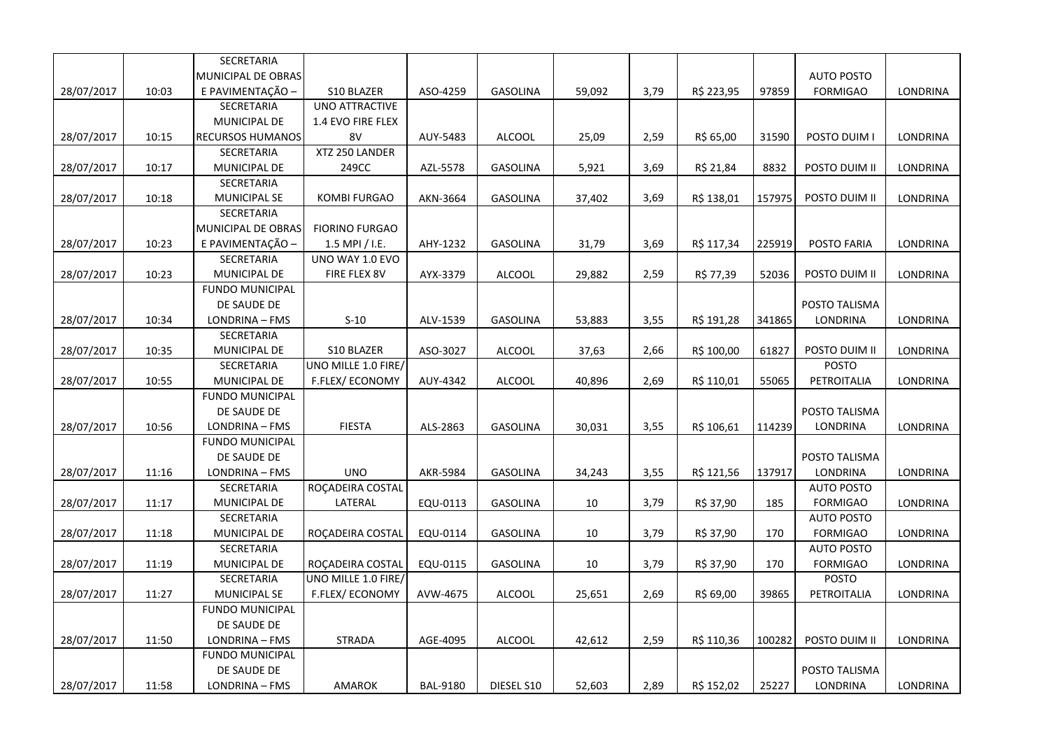|            |       | SECRETARIA              |                       |                 |                 |        |      |            |        |                   |                 |
|------------|-------|-------------------------|-----------------------|-----------------|-----------------|--------|------|------------|--------|-------------------|-----------------|
|            |       | MUNICIPAL DE OBRAS      |                       |                 |                 |        |      |            |        | <b>AUTO POSTO</b> |                 |
| 28/07/2017 | 10:03 | E PAVIMENTAÇÃO -        | S10 BLAZER            | ASO-4259        | <b>GASOLINA</b> | 59,092 | 3,79 | R\$ 223,95 | 97859  | <b>FORMIGAO</b>   | LONDRINA        |
|            |       | SECRETARIA              | <b>UNO ATTRACTIVE</b> |                 |                 |        |      |            |        |                   |                 |
|            |       | MUNICIPAL DE            | 1.4 EVO FIRE FLEX     |                 |                 |        |      |            |        |                   |                 |
| 28/07/2017 | 10:15 | <b>RECURSOS HUMANOS</b> | 8V                    | AUY-5483        | <b>ALCOOL</b>   | 25,09  | 2,59 | R\$ 65,00  | 31590  | POSTO DUIM I      | LONDRINA        |
|            |       | SECRETARIA              | XTZ 250 LANDER        |                 |                 |        |      |            |        |                   |                 |
| 28/07/2017 | 10:17 | MUNICIPAL DE            | 249CC                 | AZL-5578        | GASOLINA        | 5,921  | 3,69 | R\$ 21,84  | 8832   | POSTO DUIM II     | LONDRINA        |
|            |       | SECRETARIA              |                       |                 |                 |        |      |            |        |                   |                 |
| 28/07/2017 | 10:18 | <b>MUNICIPAL SE</b>     | <b>KOMBI FURGAO</b>   | AKN-3664        | <b>GASOLINA</b> | 37,402 | 3,69 | R\$ 138,01 | 157975 | POSTO DUIM II     | LONDRINA        |
|            |       | SECRETARIA              |                       |                 |                 |        |      |            |        |                   |                 |
|            |       | MUNICIPAL DE OBRAS      | <b>FIORINO FURGAO</b> |                 |                 |        |      |            |        |                   |                 |
| 28/07/2017 | 10:23 | E PAVIMENTAÇÃO -        | 1.5 MPI / I.E.        | AHY-1232        | <b>GASOLINA</b> | 31,79  | 3,69 | R\$ 117,34 | 225919 | POSTO FARIA       | <b>LONDRINA</b> |
|            |       | SECRETARIA              | UNO WAY 1.0 EVO       |                 |                 |        |      |            |        |                   |                 |
| 28/07/2017 | 10:23 | MUNICIPAL DE            | FIRE FLEX 8V          | AYX-3379        | <b>ALCOOL</b>   | 29,882 | 2,59 | R\$ 77,39  | 52036  | POSTO DUIM II     | LONDRINA        |
|            |       | <b>FUNDO MUNICIPAL</b>  |                       |                 |                 |        |      |            |        |                   |                 |
|            |       | DE SAUDE DE             |                       |                 |                 |        |      |            |        | POSTO TALISMA     |                 |
| 28/07/2017 | 10:34 | LONDRINA - FMS          | $S-10$                | ALV-1539        | GASOLINA        | 53,883 | 3,55 | R\$ 191,28 | 341865 | LONDRINA          | LONDRINA        |
|            |       | SECRETARIA              |                       |                 |                 |        |      |            |        |                   |                 |
| 28/07/2017 | 10:35 | MUNICIPAL DE            | S10 BLAZER            | ASO-3027        | <b>ALCOOL</b>   | 37,63  | 2,66 | R\$ 100,00 | 61827  | POSTO DUIM II     | LONDRINA        |
|            |       | SECRETARIA              | UNO MILLE 1.0 FIRE    |                 |                 |        |      |            |        | POSTO             |                 |
| 28/07/2017 | 10:55 | MUNICIPAL DE            | F.FLEX/ECONOMY        | AUY-4342        | <b>ALCOOL</b>   | 40,896 | 2,69 | R\$ 110,01 | 55065  | PETROITALIA       | LONDRINA        |
|            |       | <b>FUNDO MUNICIPAL</b>  |                       |                 |                 |        |      |            |        |                   |                 |
|            |       | DE SAUDE DE             |                       |                 |                 |        |      |            |        | POSTO TALISMA     |                 |
| 28/07/2017 | 10:56 | LONDRINA - FMS          | <b>FIESTA</b>         | ALS-2863        | <b>GASOLINA</b> | 30,031 | 3,55 | R\$ 106,61 | 114239 | LONDRINA          | LONDRINA        |
|            |       | <b>FUNDO MUNICIPAL</b>  |                       |                 |                 |        |      |            |        |                   |                 |
|            |       | DE SAUDE DE             |                       |                 |                 |        |      |            |        | POSTO TALISMA     |                 |
| 28/07/2017 | 11:16 | LONDRINA - FMS          | <b>UNO</b>            | AKR-5984        | GASOLINA        | 34,243 | 3,55 | R\$ 121,56 | 137917 | LONDRINA          | LONDRINA        |
|            |       | SECRETARIA              | ROÇADEIRA COSTAL      |                 |                 |        |      |            |        | <b>AUTO POSTO</b> |                 |
| 28/07/2017 | 11:17 | MUNICIPAL DE            | LATERAL               | EQU-0113        | GASOLINA        | 10     | 3,79 | R\$ 37,90  | 185    | <b>FORMIGAO</b>   | LONDRINA        |
|            |       | SECRETARIA              |                       |                 |                 |        |      |            |        | <b>AUTO POSTO</b> |                 |
| 28/07/2017 | 11:18 | MUNICIPAL DE            | ROÇADEIRA COSTAL      | EQU-0114        | GASOLINA        | 10     | 3,79 | R\$ 37,90  | 170    | <b>FORMIGAO</b>   | LONDRINA        |
|            |       | SECRETARIA              |                       |                 |                 |        |      |            |        | <b>AUTO POSTO</b> |                 |
| 28/07/2017 | 11:19 | MUNICIPAL DE            | ROÇADEIRA COSTAL      | EQU-0115        | GASOLINA        | 10     | 3,79 | R\$ 37,90  | 170    | <b>FORMIGAO</b>   | LONDRINA        |
|            |       | SECRETARIA              | UNO MILLE 1.0 FIRE    |                 |                 |        |      |            |        | <b>POSTO</b>      |                 |
| 28/07/2017 | 11:27 | MUNICIPAL SE            | F.FLEX/ECONOMY        | AVW-4675        | <b>ALCOOL</b>   | 25,651 | 2,69 | R\$ 69,00  | 39865  | PETROITALIA       | LONDRINA        |
|            |       | <b>FUNDO MUNICIPAL</b>  |                       |                 |                 |        |      |            |        |                   |                 |
|            |       | DE SAUDE DE             |                       |                 |                 |        |      |            |        |                   |                 |
| 28/07/2017 | 11:50 | LONDRINA - FMS          | <b>STRADA</b>         | AGE-4095        | <b>ALCOOL</b>   | 42,612 | 2,59 | R\$ 110,36 | 100282 | POSTO DUIM II     | LONDRINA        |
|            |       | <b>FUNDO MUNICIPAL</b>  |                       |                 |                 |        |      |            |        |                   |                 |
|            |       | DE SAUDE DE             |                       |                 |                 |        |      |            |        | POSTO TALISMA     |                 |
| 28/07/2017 | 11:58 | LONDRINA - FMS          | AMAROK                | <b>BAL-9180</b> | DIESEL S10      | 52,603 | 2,89 | R\$ 152,02 | 25227  | LONDRINA          | LONDRINA        |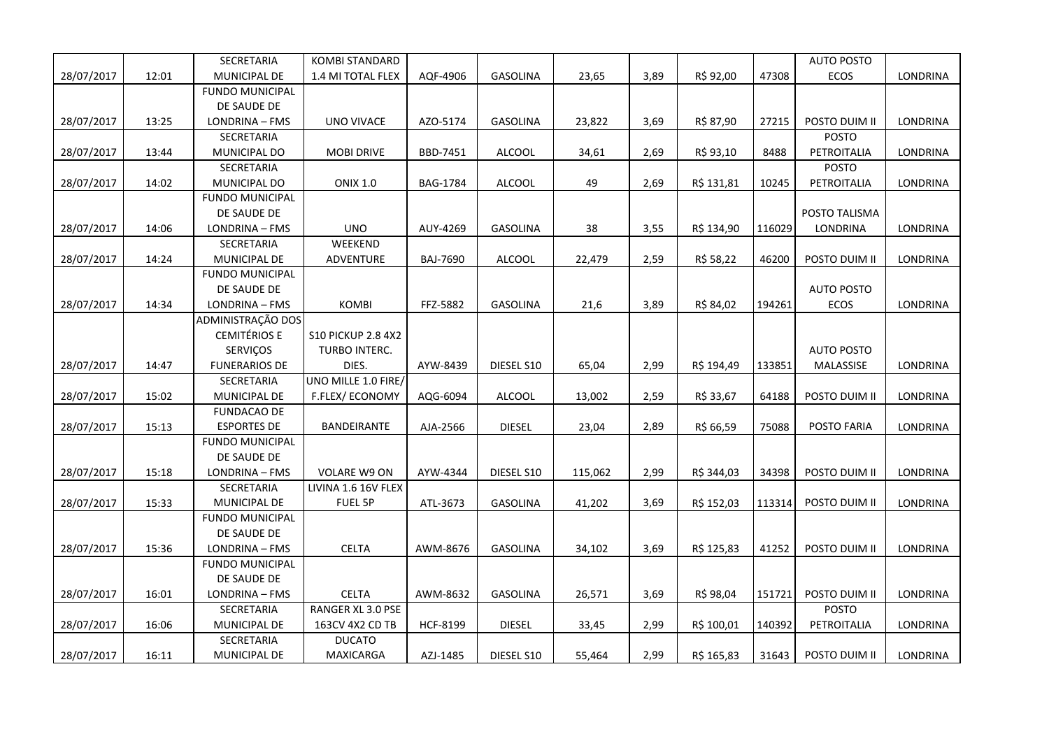|            |       | SECRETARIA             | <b>KOMBI STANDARD</b>     |          |                 |         |      |            |        | AUTO POSTO        |                 |
|------------|-------|------------------------|---------------------------|----------|-----------------|---------|------|------------|--------|-------------------|-----------------|
| 28/07/2017 | 12:01 | MUNICIPAL DE           | 1.4 MI TOTAL FLEX         | AQF-4906 | GASOLINA        | 23,65   | 3,89 | R\$ 92,00  | 47308  | ECOS              | LONDRINA        |
|            |       | <b>FUNDO MUNICIPAL</b> |                           |          |                 |         |      |            |        |                   |                 |
|            |       | DE SAUDE DE            |                           |          |                 |         |      |            |        |                   |                 |
| 28/07/2017 | 13:25 | LONDRINA - FMS         | UNO VIVACE                | AZO-5174 | <b>GASOLINA</b> | 23,822  | 3,69 | R\$ 87,90  | 27215  | POSTO DUIM II     | LONDRINA        |
|            |       | SECRETARIA             |                           |          |                 |         |      |            |        | POSTO             |                 |
| 28/07/2017 | 13:44 | MUNICIPAL DO           | <b>MOBI DRIVE</b>         | BBD-7451 | <b>ALCOOL</b>   | 34,61   | 2,69 | R\$ 93,10  | 8488   | PETROITALIA       | LONDRINA        |
|            |       | SECRETARIA             |                           |          |                 |         |      |            |        | <b>POSTO</b>      |                 |
| 28/07/2017 | 14:02 | MUNICIPAL DO           | <b>ONIX 1.0</b>           | BAG-1784 | <b>ALCOOL</b>   | 49      | 2,69 | R\$ 131,81 | 10245  | PETROITALIA       | LONDRINA        |
|            |       | <b>FUNDO MUNICIPAL</b> |                           |          |                 |         |      |            |        |                   |                 |
|            |       | DE SAUDE DE            |                           |          |                 |         |      |            |        | POSTO TALISMA     |                 |
| 28/07/2017 | 14:06 | LONDRINA - FMS         | <b>UNO</b>                | AUY-4269 | GASOLINA        | 38      | 3,55 | R\$ 134,90 | 116029 | LONDRINA          | LONDRINA        |
|            |       | SECRETARIA             | WEEKEND                   |          |                 |         |      |            |        |                   |                 |
| 28/07/2017 | 14:24 | MUNICIPAL DE           | ADVENTURE                 | BAJ-7690 | <b>ALCOOL</b>   | 22,479  | 2,59 | R\$ 58,22  | 46200  | POSTO DUIM II     | LONDRINA        |
|            |       | <b>FUNDO MUNICIPAL</b> |                           |          |                 |         |      |            |        |                   |                 |
|            |       | DE SAUDE DE            |                           |          |                 |         |      |            |        | <b>AUTO POSTO</b> |                 |
| 28/07/2017 | 14:34 | LONDRINA - FMS         | <b>KOMBI</b>              | FFZ-5882 | <b>GASOLINA</b> | 21,6    | 3,89 | R\$ 84,02  | 194261 | ECOS              | <b>LONDRINA</b> |
|            |       | ADMINISTRAÇÃO DOS      |                           |          |                 |         |      |            |        |                   |                 |
|            |       | <b>CEMITÉRIOS E</b>    | <b>S10 PICKUP 2.8 4X2</b> |          |                 |         |      |            |        |                   |                 |
|            |       | <b>SERVIÇOS</b>        | TURBO INTERC.             |          |                 |         |      |            |        | <b>AUTO POSTO</b> |                 |
| 28/07/2017 | 14:47 | <b>FUNERARIOS DE</b>   | DIES.                     | AYW-8439 | DIESEL S10      | 65,04   | 2,99 | R\$ 194,49 | 133851 | MALASSISE         | LONDRINA        |
|            |       | SECRETARIA             | UNO MILLE 1.0 FIRE/       |          |                 |         |      |            |        |                   |                 |
| 28/07/2017 | 15:02 | MUNICIPAL DE           | F.FLEX/ECONOMY            | AQG-6094 | <b>ALCOOL</b>   | 13,002  | 2,59 | R\$ 33,67  | 64188  | POSTO DUIM II     | LONDRINA        |
|            |       | <b>FUNDACAO DE</b>     |                           |          |                 |         |      |            |        |                   |                 |
| 28/07/2017 | 15:13 | <b>ESPORTES DE</b>     | <b>BANDEIRANTE</b>        | AJA-2566 | <b>DIESEL</b>   | 23,04   | 2,89 | R\$ 66,59  | 75088  | POSTO FARIA       | LONDRINA        |
|            |       | <b>FUNDO MUNICIPAL</b> |                           |          |                 |         |      |            |        |                   |                 |
|            |       | DE SAUDE DE            |                           |          |                 |         |      |            |        |                   |                 |
| 28/07/2017 | 15:18 | LONDRINA - FMS         | <b>VOLARE W9 ON</b>       | AYW-4344 | DIESEL S10      | 115,062 | 2,99 | R\$ 344,03 | 34398  | POSTO DUIM II     | LONDRINA        |
|            |       | SECRETARIA             | LIVINA 1.6 16V FLEX       |          |                 |         |      |            |        |                   |                 |
| 28/07/2017 | 15:33 | MUNICIPAL DE           | FUEL 5P                   | ATL-3673 | GASOLINA        | 41,202  | 3,69 | R\$ 152,03 | 113314 | POSTO DUIM II     | LONDRINA        |
|            |       | <b>FUNDO MUNICIPAL</b> |                           |          |                 |         |      |            |        |                   |                 |
|            |       | DE SAUDE DE            |                           |          |                 |         |      |            |        |                   |                 |
| 28/07/2017 | 15:36 | LONDRINA - FMS         | <b>CELTA</b>              | AWM-8676 | <b>GASOLINA</b> | 34,102  | 3,69 | R\$ 125,83 | 41252  | POSTO DUIM II     | <b>LONDRINA</b> |
|            |       | <b>FUNDO MUNICIPAL</b> |                           |          |                 |         |      |            |        |                   |                 |
|            |       | DE SAUDE DE            |                           |          |                 |         |      |            |        |                   |                 |
| 28/07/2017 | 16:01 | LONDRINA - FMS         | <b>CELTA</b>              | AWM-8632 | GASOLINA        | 26,571  | 3,69 | R\$ 98,04  | 151721 | POSTO DUIM II     | LONDRINA        |
|            |       | SECRETARIA             | RANGER XL 3.0 PSE         |          |                 |         |      |            |        | <b>POSTO</b>      |                 |
| 28/07/2017 | 16:06 | MUNICIPAL DE           | 163CV 4X2 CD TB           | HCF-8199 | <b>DIESEL</b>   | 33,45   | 2,99 | R\$ 100,01 | 140392 | PETROITALIA       | LONDRINA        |
|            |       | SECRETARIA             | <b>DUCATO</b>             |          |                 |         |      |            |        |                   |                 |
| 28/07/2017 | 16:11 | MUNICIPAL DE           | <b>MAXICARGA</b>          | AZJ-1485 | DIESEL S10      | 55,464  | 2,99 | R\$ 165,83 | 31643  | POSTO DUIM II     | LONDRINA        |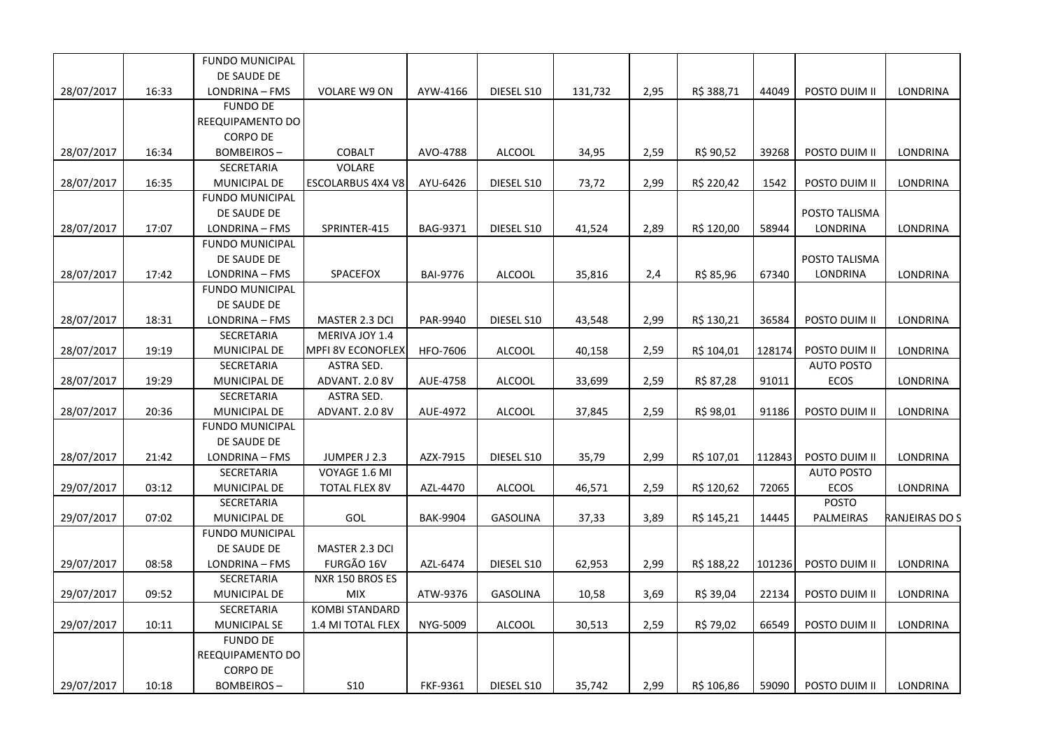|            |       | <b>FUNDO MUNICIPAL</b>              |                          |                 |                 |         |      |            |        |                   |                 |
|------------|-------|-------------------------------------|--------------------------|-----------------|-----------------|---------|------|------------|--------|-------------------|-----------------|
|            |       | DE SAUDE DE                         |                          |                 |                 |         |      |            |        |                   |                 |
| 28/07/2017 | 16:33 | LONDRINA - FMS                      | <b>VOLARE W9 ON</b>      | AYW-4166        | DIESEL S10      | 131,732 | 2,95 | R\$ 388,71 | 44049  | POSTO DUIM II     | <b>LONDRINA</b> |
|            |       | <b>FUNDO DE</b>                     |                          |                 |                 |         |      |            |        |                   |                 |
|            |       | REEQUIPAMENTO DO                    |                          |                 |                 |         |      |            |        |                   |                 |
|            |       | <b>CORPO DE</b>                     |                          |                 |                 |         |      |            |        |                   |                 |
| 28/07/2017 | 16:34 | <b>BOMBEIROS-</b>                   | <b>COBALT</b>            | AVO-4788        | <b>ALCOOL</b>   | 34,95   | 2,59 | R\$ 90,52  | 39268  | POSTO DUIM II     | LONDRINA        |
|            |       | SECRETARIA                          | VOLARE                   |                 |                 |         |      |            |        |                   |                 |
| 28/07/2017 | 16:35 | MUNICIPAL DE                        | <b>ESCOLARBUS 4X4 V8</b> | AYU-6426        | DIESEL S10      | 73,72   | 2,99 | R\$ 220,42 | 1542   | POSTO DUIM II     | LONDRINA        |
|            |       | <b>FUNDO MUNICIPAL</b>              |                          |                 |                 |         |      |            |        |                   |                 |
|            |       | DE SAUDE DE                         |                          |                 |                 |         |      |            |        | POSTO TALISMA     |                 |
| 28/07/2017 | 17:07 | LONDRINA - FMS                      | SPRINTER-415             | BAG-9371        | DIESEL S10      | 41,524  | 2,89 | R\$ 120,00 | 58944  | LONDRINA          | LONDRINA        |
|            |       | <b>FUNDO MUNICIPAL</b>              |                          |                 |                 |         |      |            |        |                   |                 |
|            |       | DE SAUDE DE                         |                          |                 |                 |         |      |            |        | POSTO TALISMA     |                 |
| 28/07/2017 | 17:42 | LONDRINA - FMS                      | SPACEFOX                 | <b>BAI-9776</b> | <b>ALCOOL</b>   | 35,816  | 2,4  | R\$ 85,96  | 67340  | LONDRINA          | <b>LONDRINA</b> |
|            |       | <b>FUNDO MUNICIPAL</b>              |                          |                 |                 |         |      |            |        |                   |                 |
|            |       | DE SAUDE DE                         |                          |                 |                 |         |      |            |        |                   |                 |
| 28/07/2017 | 18:31 | LONDRINA - FMS                      | MASTER 2.3 DCI           | PAR-9940        | DIESEL S10      | 43,548  | 2,99 | R\$ 130,21 | 36584  | POSTO DUIM II     | LONDRINA        |
|            |       | <b>SECRETARIA</b>                   | MERIVA JOY 1.4           |                 |                 |         |      |            |        |                   |                 |
| 28/07/2017 | 19:19 | MUNICIPAL DE                        | MPFI 8V ECONOFLEX        | HFO-7606        | <b>ALCOOL</b>   | 40,158  | 2,59 | R\$ 104,01 | 128174 | POSTO DUIM II     | <b>LONDRINA</b> |
|            |       | SECRETARIA                          | ASTRA SED.               |                 |                 |         |      |            |        | <b>AUTO POSTO</b> |                 |
| 28/07/2017 | 19:29 | MUNICIPAL DE                        | ADVANT. 2.0 8V           | AUE-4758        | <b>ALCOOL</b>   | 33,699  | 2,59 | R\$ 87,28  | 91011  | ECOS              | LONDRINA        |
|            |       | SECRETARIA                          | ASTRA SED.               |                 |                 |         |      |            |        |                   |                 |
| 28/07/2017 | 20:36 | MUNICIPAL DE                        | ADVANT. 2.0 8V           | AUE-4972        | <b>ALCOOL</b>   | 37,845  | 2,59 | R\$ 98,01  | 91186  | POSTO DUIM II     | <b>LONDRINA</b> |
|            |       | <b>FUNDO MUNICIPAL</b>              |                          |                 |                 |         |      |            |        |                   |                 |
|            |       | DE SAUDE DE                         |                          |                 |                 |         |      |            |        |                   |                 |
| 28/07/2017 | 21:42 | LONDRINA - FMS                      | JUMPER J 2.3             | AZX-7915        | DIESEL S10      | 35,79   | 2,99 | R\$ 107,01 | 112843 | POSTO DUIM II     | LONDRINA        |
|            |       | SECRETARIA                          | VOYAGE 1.6 MI            |                 |                 |         |      |            |        | <b>AUTO POSTO</b> |                 |
| 29/07/2017 | 03:12 | MUNICIPAL DE                        | <b>TOTAL FLEX 8V</b>     | AZL-4470        | <b>ALCOOL</b>   | 46,571  | 2,59 | R\$ 120,62 | 72065  | <b>ECOS</b>       | LONDRINA        |
|            |       | SECRETARIA                          |                          |                 |                 |         |      |            |        | <b>POSTO</b>      |                 |
| 29/07/2017 | 07:02 | MUNICIPAL DE                        | GOL                      | <b>BAK-9904</b> | <b>GASOLINA</b> | 37,33   | 3,89 | R\$ 145,21 | 14445  | PALMEIRAS         | RANJEIRAS DO S  |
|            |       | <b>FUNDO MUNICIPAL</b>              |                          |                 |                 |         |      |            |        |                   |                 |
|            |       | DE SAUDE DE                         | MASTER 2.3 DCI           |                 |                 |         |      |            |        |                   |                 |
| 29/07/2017 | 08:58 | LONDRINA - FMS                      | FURGÃO 16V               | AZL-6474        | DIESEL S10      | 62,953  | 2,99 | R\$ 188,22 | 101236 | POSTO DUIM II     | LONDRINA        |
|            |       | SECRETARIA                          | NXR 150 BROS ES          |                 |                 |         |      |            |        |                   |                 |
| 29/07/2017 | 09:52 | MUNICIPAL DE                        | <b>MIX</b>               | ATW-9376        | GASOLINA        | 10,58   | 3,69 | R\$ 39,04  | 22134  | POSTO DUIM II     | LONDRINA        |
|            |       | SECRETARIA                          | <b>KOMBI STANDARD</b>    |                 |                 |         |      |            |        |                   |                 |
| 29/07/2017 | 10:11 | <b>MUNICIPAL SE</b>                 | 1.4 MI TOTAL FLEX        | NYG-5009        | <b>ALCOOL</b>   | 30,513  | 2,59 | R\$ 79,02  | 66549  | POSTO DUIM II     | LONDRINA        |
|            |       | <b>FUNDO DE</b>                     |                          |                 |                 |         |      |            |        |                   |                 |
|            |       |                                     |                          |                 |                 |         |      |            |        |                   |                 |
|            |       |                                     |                          |                 |                 |         |      |            |        |                   |                 |
|            | 10:18 | <b>BOMBEIROS-</b>                   | S <sub>10</sub>          | FKF-9361        | DIESEL S10      |         |      |            |        | POSTO DUIM II     | LONDRINA        |
| 29/07/2017 |       | REEQUIPAMENTO DO<br><b>CORPO DE</b> |                          |                 |                 | 35,742  | 2,99 | R\$ 106,86 | 59090  |                   |                 |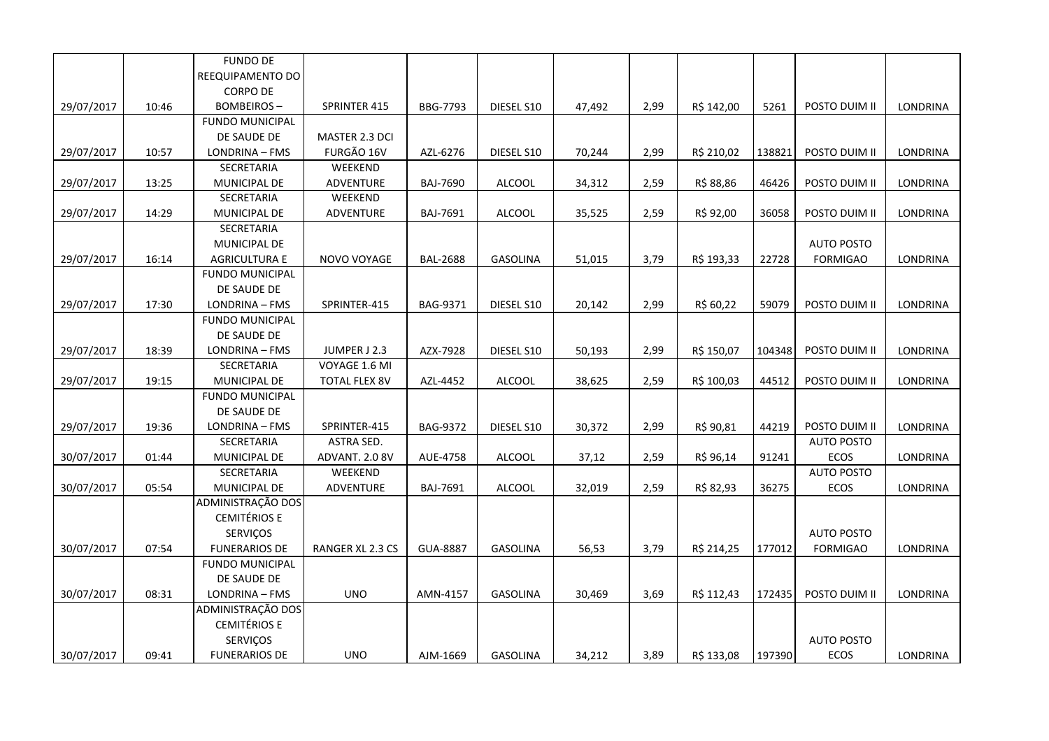|            |       | <b>FUNDO DE</b>        |                      |                 |                 |        |      |            |        |                   |          |
|------------|-------|------------------------|----------------------|-----------------|-----------------|--------|------|------------|--------|-------------------|----------|
|            |       | REEQUIPAMENTO DO       |                      |                 |                 |        |      |            |        |                   |          |
|            |       | <b>CORPO DE</b>        |                      |                 |                 |        |      |            |        |                   |          |
| 29/07/2017 | 10:46 | <b>BOMBEIROS-</b>      | SPRINTER 415         | <b>BBG-7793</b> | DIESEL S10      | 47,492 | 2,99 | R\$ 142,00 | 5261   | POSTO DUIM II     | LONDRINA |
|            |       | <b>FUNDO MUNICIPAL</b> |                      |                 |                 |        |      |            |        |                   |          |
|            |       | DE SAUDE DE            | MASTER 2.3 DCI       |                 |                 |        |      |            |        |                   |          |
| 29/07/2017 | 10:57 | LONDRINA - FMS         | FURGÃO 16V           | AZL-6276        | DIESEL S10      | 70,244 | 2,99 | R\$ 210,02 | 138821 | POSTO DUIM II     | LONDRINA |
|            |       | SECRETARIA             | WEEKEND              |                 |                 |        |      |            |        |                   |          |
| 29/07/2017 | 13:25 | MUNICIPAL DE           | ADVENTURE            | <b>BAJ-7690</b> | <b>ALCOOL</b>   | 34,312 | 2,59 | R\$ 88,86  | 46426  | POSTO DUIM II     | LONDRINA |
|            |       | SECRETARIA             | WEEKEND              |                 |                 |        |      |            |        |                   |          |
| 29/07/2017 | 14:29 | MUNICIPAL DE           | ADVENTURE            | BAJ-7691        | <b>ALCOOL</b>   | 35,525 | 2,59 | R\$ 92,00  | 36058  | POSTO DUIM II     | LONDRINA |
|            |       | SECRETARIA             |                      |                 |                 |        |      |            |        |                   |          |
|            |       | MUNICIPAL DE           |                      |                 |                 |        |      |            |        | <b>AUTO POSTO</b> |          |
| 29/07/2017 | 16:14 | <b>AGRICULTURA E</b>   | NOVO VOYAGE          | <b>BAL-2688</b> | GASOLINA        | 51,015 | 3,79 | R\$ 193,33 | 22728  | <b>FORMIGAO</b>   | LONDRINA |
|            |       | <b>FUNDO MUNICIPAL</b> |                      |                 |                 |        |      |            |        |                   |          |
|            |       | DE SAUDE DE            |                      |                 |                 |        |      |            |        |                   |          |
| 29/07/2017 | 17:30 | LONDRINA - FMS         | SPRINTER-415         | BAG-9371        | DIESEL S10      | 20,142 | 2,99 | R\$ 60,22  | 59079  | POSTO DUIM II     | LONDRINA |
|            |       | <b>FUNDO MUNICIPAL</b> |                      |                 |                 |        |      |            |        |                   |          |
|            |       | DE SAUDE DE            |                      |                 |                 |        |      |            |        |                   |          |
| 29/07/2017 | 18:39 | LONDRINA - FMS         | JUMPER J 2.3         | AZX-7928        | DIESEL S10      | 50,193 | 2,99 | R\$ 150,07 | 104348 | POSTO DUIM II     | LONDRINA |
|            |       | SECRETARIA             | VOYAGE 1.6 MI        |                 |                 |        |      |            |        |                   |          |
| 29/07/2017 | 19:15 | MUNICIPAL DE           | <b>TOTAL FLEX 8V</b> | AZL-4452        | <b>ALCOOL</b>   | 38,625 | 2,59 | R\$ 100,03 | 44512  | POSTO DUIM II     | LONDRINA |
|            |       | <b>FUNDO MUNICIPAL</b> |                      |                 |                 |        |      |            |        |                   |          |
|            |       | DE SAUDE DE            |                      |                 |                 |        |      |            |        |                   |          |
| 29/07/2017 | 19:36 | LONDRINA - FMS         | SPRINTER-415         | BAG-9372        | DIESEL S10      | 30,372 | 2,99 | R\$ 90,81  | 44219  | POSTO DUIM II     | LONDRINA |
|            |       | SECRETARIA             | <b>ASTRA SED.</b>    |                 |                 |        |      |            |        | <b>AUTO POSTO</b> |          |
| 30/07/2017 | 01:44 | MUNICIPAL DE           | ADVANT. 2.0 8V       | AUE-4758        | <b>ALCOOL</b>   | 37,12  | 2,59 | R\$ 96,14  | 91241  | ECOS              | LONDRINA |
|            |       | SECRETARIA             | WEEKEND              |                 |                 |        |      |            |        | <b>AUTO POSTO</b> |          |
| 30/07/2017 | 05:54 | MUNICIPAL DE           | ADVENTURE            | BAJ-7691        | <b>ALCOOL</b>   | 32,019 | 2,59 | R\$ 82,93  | 36275  | ECOS              | LONDRINA |
|            |       | ADMINISTRAÇÃO DOS      |                      |                 |                 |        |      |            |        |                   |          |
|            |       | <b>CEMITÉRIOS E</b>    |                      |                 |                 |        |      |            |        |                   |          |
|            |       | SERVIÇOS               |                      |                 |                 |        |      |            |        | <b>AUTO POSTO</b> |          |
| 30/07/2017 | 07:54 | <b>FUNERARIOS DE</b>   | RANGER XL 2.3 CS     | <b>GUA-8887</b> | <b>GASOLINA</b> | 56,53  | 3,79 | R\$ 214,25 | 177012 | <b>FORMIGAO</b>   | LONDRINA |
|            |       | <b>FUNDO MUNICIPAL</b> |                      |                 |                 |        |      |            |        |                   |          |
|            |       | DE SAUDE DE            |                      |                 |                 |        |      |            |        |                   |          |
| 30/07/2017 | 08:31 | LONDRINA - FMS         | <b>UNO</b>           | AMN-4157        | GASOLINA        | 30,469 | 3,69 | R\$ 112,43 | 172435 | POSTO DUIM II     | LONDRINA |
|            |       | ADMINISTRAÇÃO DOS      |                      |                 |                 |        |      |            |        |                   |          |
|            |       | <b>CEMITÉRIOS E</b>    |                      |                 |                 |        |      |            |        |                   |          |
|            |       | SERVIÇOS               |                      |                 |                 |        |      |            |        | <b>AUTO POSTO</b> |          |
| 30/07/2017 | 09:41 | <b>FUNERARIOS DE</b>   | <b>UNO</b>           | AJM-1669        | <b>GASOLINA</b> | 34,212 | 3,89 | R\$ 133,08 | 197390 | ECOS              | LONDRINA |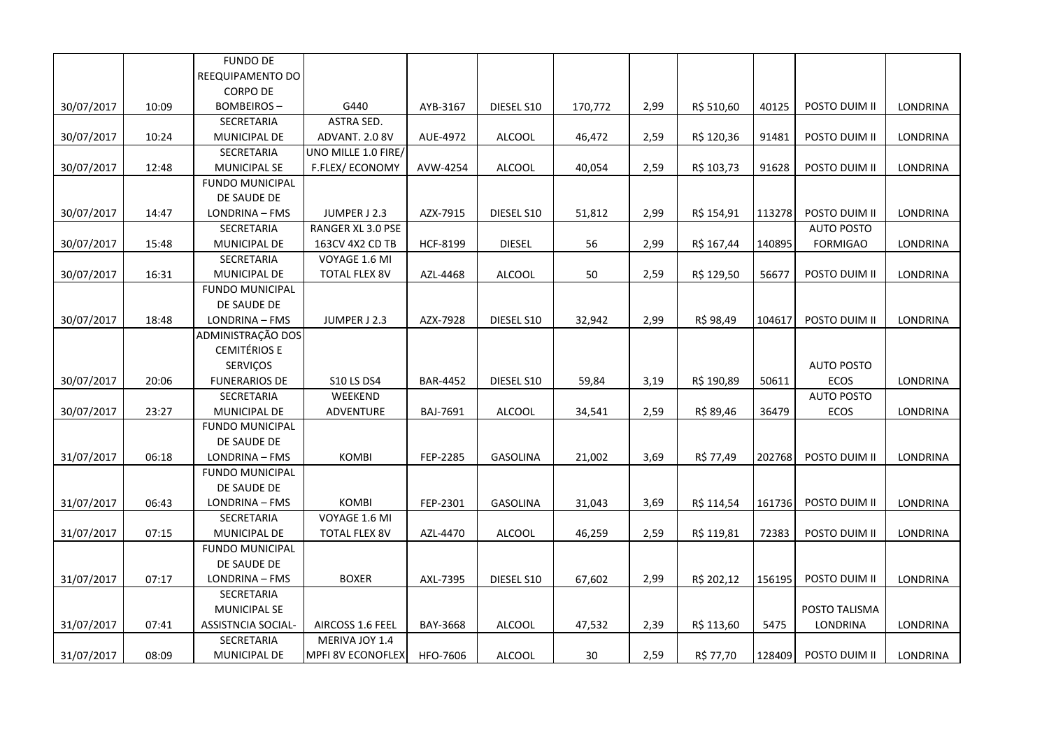|            |       | <b>FUNDO DE</b>        |                          |                 |                 |         |      |            |        |                   |          |
|------------|-------|------------------------|--------------------------|-----------------|-----------------|---------|------|------------|--------|-------------------|----------|
|            |       | REEQUIPAMENTO DO       |                          |                 |                 |         |      |            |        |                   |          |
|            |       | <b>CORPO DE</b>        |                          |                 |                 |         |      |            |        |                   |          |
| 30/07/2017 | 10:09 | <b>BOMBEIROS-</b>      | G440                     | AYB-3167        | DIESEL S10      | 170,772 | 2,99 | R\$ 510,60 | 40125  | POSTO DUIM II     | LONDRINA |
|            |       | SECRETARIA             | <b>ASTRA SED.</b>        |                 |                 |         |      |            |        |                   |          |
| 30/07/2017 | 10:24 | <b>MUNICIPAL DE</b>    | ADVANT. 2.0 8V           | AUE-4972        | <b>ALCOOL</b>   | 46,472  | 2,59 | R\$ 120,36 | 91481  | POSTO DUIM II     | LONDRINA |
|            |       | SECRETARIA             | UNO MILLE 1.0 FIRE/      |                 |                 |         |      |            |        |                   |          |
| 30/07/2017 | 12:48 | MUNICIPAL SE           | F.FLEX/ECONOMY           | AVW-4254        | <b>ALCOOL</b>   | 40,054  | 2,59 | R\$ 103,73 | 91628  | POSTO DUIM II     | LONDRINA |
|            |       | FUNDO MUNICIPAL        |                          |                 |                 |         |      |            |        |                   |          |
|            |       | DE SAUDE DE            |                          |                 |                 |         |      |            |        |                   |          |
| 30/07/2017 | 14:47 | LONDRINA - FMS         | JUMPER J 2.3             | AZX-7915        | DIESEL S10      | 51,812  | 2,99 | R\$ 154,91 | 113278 | POSTO DUIM II     | LONDRINA |
|            |       | SECRETARIA             | RANGER XL 3.0 PSE        |                 |                 |         |      |            |        | <b>AUTO POSTO</b> |          |
| 30/07/2017 | 15:48 | MUNICIPAL DE           | 163CV 4X2 CD TB          | HCF-8199        | <b>DIESEL</b>   | 56      | 2,99 | R\$ 167,44 | 140895 | <b>FORMIGAO</b>   | LONDRINA |
|            |       | SECRETARIA             | VOYAGE 1.6 MI            |                 |                 |         |      |            |        |                   |          |
| 30/07/2017 | 16:31 | MUNICIPAL DE           | <b>TOTAL FLEX 8V</b>     | AZL-4468        | ALCOOL          | 50      | 2,59 | R\$ 129,50 | 56677  | POSTO DUIM II     | LONDRINA |
|            |       | <b>FUNDO MUNICIPAL</b> |                          |                 |                 |         |      |            |        |                   |          |
|            |       | DE SAUDE DE            |                          |                 |                 |         |      |            |        |                   |          |
| 30/07/2017 | 18:48 | LONDRINA - FMS         | JUMPER J 2.3             | AZX-7928        | DIESEL S10      | 32,942  | 2,99 | R\$ 98,49  | 104617 | POSTO DUIM II     | LONDRINA |
|            |       | ADMINISTRAÇÃO DOS      |                          |                 |                 |         |      |            |        |                   |          |
|            |       | <b>CEMITÉRIOS E</b>    |                          |                 |                 |         |      |            |        |                   |          |
|            |       | SERVIÇOS               |                          |                 |                 |         |      |            |        | <b>AUTO POSTO</b> |          |
| 30/07/2017 | 20:06 | <b>FUNERARIOS DE</b>   | <b>S10 LS DS4</b>        | <b>BAR-4452</b> | DIESEL S10      | 59,84   | 3,19 | R\$ 190,89 | 50611  | ECOS              | LONDRINA |
|            |       | SECRETARIA             | WEEKEND                  |                 |                 |         |      |            |        | <b>AUTO POSTO</b> |          |
| 30/07/2017 | 23:27 | MUNICIPAL DE           | ADVENTURE                | BAJ-7691        | <b>ALCOOL</b>   | 34,541  | 2,59 | R\$ 89,46  | 36479  | ECOS              | LONDRINA |
|            |       | <b>FUNDO MUNICIPAL</b> |                          |                 |                 |         |      |            |        |                   |          |
|            |       | DE SAUDE DE            |                          |                 |                 |         |      |            |        |                   |          |
| 31/07/2017 | 06:18 | LONDRINA - FMS         | <b>KOMBI</b>             | FEP-2285        | <b>GASOLINA</b> | 21,002  | 3,69 | R\$ 77,49  | 202768 | POSTO DUIM II     | LONDRINA |
|            |       | <b>FUNDO MUNICIPAL</b> |                          |                 |                 |         |      |            |        |                   |          |
|            |       | DE SAUDE DE            |                          |                 |                 |         |      |            |        |                   |          |
| 31/07/2017 | 06:43 | LONDRINA - FMS         | <b>KOMBI</b>             | FEP-2301        | GASOLINA        | 31,043  | 3,69 | R\$ 114,54 | 161736 | POSTO DUIM II     | LONDRINA |
|            |       | SECRETARIA             | VOYAGE 1.6 MI            |                 |                 |         |      |            |        |                   |          |
| 31/07/2017 | 07:15 | MUNICIPAL DE           | <b>TOTAL FLEX 8V</b>     | AZL-4470        | <b>ALCOOL</b>   | 46,259  | 2,59 | R\$ 119,81 | 72383  | POSTO DUIM II     | LONDRINA |
|            |       | <b>FUNDO MUNICIPAL</b> |                          |                 |                 |         |      |            |        |                   |          |
|            |       | DE SAUDE DE            |                          |                 |                 |         |      |            |        |                   |          |
| 31/07/2017 | 07:17 | LONDRINA - FMS         | <b>BOXER</b>             | AXL-7395        | DIESEL S10      | 67,602  | 2,99 | R\$ 202,12 | 156195 | POSTO DUIM II     | LONDRINA |
|            |       | SECRETARIA             |                          |                 |                 |         |      |            |        |                   |          |
|            |       | <b>MUNICIPAL SE</b>    |                          |                 |                 |         |      |            |        | POSTO TALISMA     |          |
| 31/07/2017 | 07:41 | ASSISTNCIA SOCIAL-     | AIRCOSS 1.6 FEEL         | BAY-3668        | <b>ALCOOL</b>   | 47,532  | 2,39 | R\$ 113,60 | 5475   | LONDRINA          | LONDRINA |
|            |       | SECRETARIA             | MERIVA JOY 1.4           |                 |                 |         |      |            |        |                   |          |
| 31/07/2017 | 08:09 | MUNICIPAL DE           | <b>MPFI 8V ECONOFLEX</b> | HFO-7606        | ALCOOL          | 30      | 2,59 | R\$ 77,70  | 128409 | POSTO DUIM II     | LONDRINA |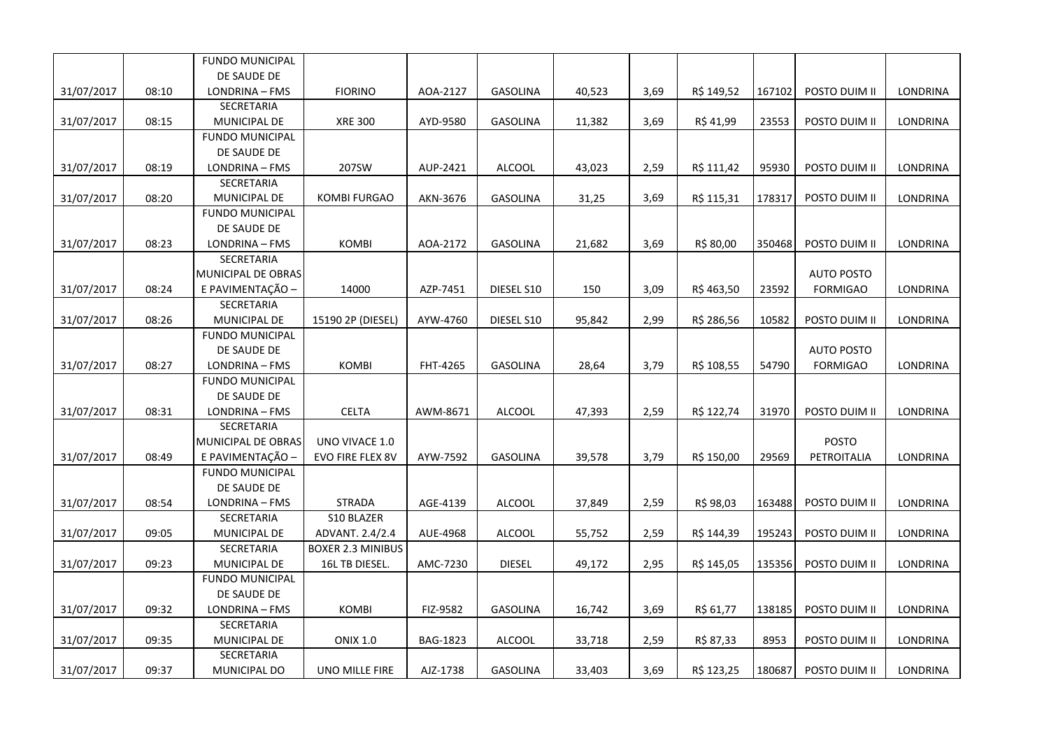|            |       | <b>FUNDO MUNICIPAL</b>     |                                            |          |                 |        |      |            |        |                   |                 |
|------------|-------|----------------------------|--------------------------------------------|----------|-----------------|--------|------|------------|--------|-------------------|-----------------|
|            |       | DE SAUDE DE                |                                            |          |                 |        |      |            |        |                   |                 |
| 31/07/2017 | 08:10 | LONDRINA - FMS             | <b>FIORINO</b>                             | AOA-2127 | <b>GASOLINA</b> | 40,523 | 3,69 | R\$ 149,52 | 167102 | POSTO DUIM II     | LONDRINA        |
|            |       | SECRETARIA                 |                                            |          |                 |        |      |            |        |                   |                 |
| 31/07/2017 | 08:15 | MUNICIPAL DE               | <b>XRE 300</b>                             | AYD-9580 | <b>GASOLINA</b> | 11,382 | 3,69 | R\$ 41,99  | 23553  | POSTO DUIM II     | LONDRINA        |
|            |       | <b>FUNDO MUNICIPAL</b>     |                                            |          |                 |        |      |            |        |                   |                 |
|            |       | DE SAUDE DE                |                                            |          |                 |        |      |            |        |                   |                 |
| 31/07/2017 | 08:19 | LONDRINA - FMS             | 207SW                                      | AUP-2421 | <b>ALCOOL</b>   | 43,023 | 2,59 | R\$ 111,42 | 95930  | POSTO DUIM II     | LONDRINA        |
|            |       | SECRETARIA                 |                                            |          |                 |        |      |            |        |                   |                 |
| 31/07/2017 | 08:20 | MUNICIPAL DE               | <b>KOMBI FURGAO</b>                        | AKN-3676 | <b>GASOLINA</b> | 31,25  | 3,69 | R\$ 115,31 | 178317 | POSTO DUIM II     | LONDRINA        |
|            |       | <b>FUNDO MUNICIPAL</b>     |                                            |          |                 |        |      |            |        |                   |                 |
|            |       | DE SAUDE DE                |                                            |          |                 |        |      |            |        |                   |                 |
| 31/07/2017 | 08:23 | LONDRINA - FMS             | <b>KOMBI</b>                               | AOA-2172 | <b>GASOLINA</b> | 21,682 | 3,69 | R\$ 80,00  | 350468 | POSTO DUIM II     | LONDRINA        |
|            |       | SECRETARIA                 |                                            |          |                 |        |      |            |        |                   |                 |
|            |       | MUNICIPAL DE OBRAS         |                                            |          |                 |        |      |            |        | <b>AUTO POSTO</b> |                 |
| 31/07/2017 | 08:24 | E PAVIMENTAÇÃO -           | 14000                                      | AZP-7451 | DIESEL S10      | 150    | 3,09 | R\$463,50  | 23592  | <b>FORMIGAO</b>   | LONDRINA        |
|            |       | SECRETARIA                 |                                            |          |                 |        |      |            |        |                   |                 |
| 31/07/2017 | 08:26 | <b>MUNICIPAL DE</b>        | 15190 2P (DIESEL)                          | AYW-4760 | DIESEL S10      | 95,842 | 2,99 | R\$ 286,56 | 10582  | POSTO DUIM II     | LONDRINA        |
|            |       | <b>FUNDO MUNICIPAL</b>     |                                            |          |                 |        |      |            |        |                   |                 |
|            |       | DE SAUDE DE                |                                            |          |                 |        |      |            |        | <b>AUTO POSTO</b> |                 |
| 31/07/2017 | 08:27 | LONDRINA - FMS             | <b>KOMBI</b>                               | FHT-4265 | <b>GASOLINA</b> | 28,64  | 3,79 | R\$ 108,55 | 54790  | <b>FORMIGAO</b>   | <b>LONDRINA</b> |
|            |       | <b>FUNDO MUNICIPAL</b>     |                                            |          |                 |        |      |            |        |                   |                 |
|            |       | DE SAUDE DE                |                                            |          |                 |        |      |            |        |                   |                 |
| 31/07/2017 | 08:31 | LONDRINA - FMS             | CELTA                                      | AWM-8671 | ALCOOL          | 47,393 | 2,59 | R\$ 122,74 | 31970  | POSTO DUIM II     | LONDRINA        |
|            |       | <b>SECRETARIA</b>          |                                            |          |                 |        |      |            |        |                   |                 |
|            |       | MUNICIPAL DE OBRAS         | UNO VIVACE 1.0                             |          |                 |        |      |            |        | <b>POSTO</b>      |                 |
| 31/07/2017 | 08:49 | E PAVIMENTAÇÃO -           | EVO FIRE FLEX 8V                           | AYW-7592 | <b>GASOLINA</b> | 39,578 | 3,79 | R\$ 150,00 | 29569  | PETROITALIA       | <b>LONDRINA</b> |
|            |       | <b>FUNDO MUNICIPAL</b>     |                                            |          |                 |        |      |            |        |                   |                 |
|            |       | DE SAUDE DE                |                                            |          |                 |        |      |            |        |                   |                 |
| 31/07/2017 | 08:54 | LONDRINA - FMS             | <b>STRADA</b>                              | AGE-4139 | ALCOOL          | 37,849 | 2,59 | R\$ 98,03  | 163488 | POSTO DUIM II     | LONDRINA        |
|            |       | SECRETARIA                 | S10 BLAZER                                 |          |                 |        |      |            |        |                   |                 |
| 31/07/2017 | 09:05 | MUNICIPAL DE               | ADVANT. 2.4/2.4                            | AUE-4968 | <b>ALCOOL</b>   | 55,752 | 2,59 | R\$ 144,39 | 195243 | POSTO DUIM II     | LONDRINA        |
| 31/07/2017 | 09:23 | SECRETARIA<br>MUNICIPAL DE | <b>BOXER 2.3 MINIBUS</b><br>16L TB DIESEL. | AMC-7230 | <b>DIESEL</b>   | 49,172 | 2,95 | R\$ 145,05 | 135356 | POSTO DUIM II     | LONDRINA        |
|            |       | <b>FUNDO MUNICIPAL</b>     |                                            |          |                 |        |      |            |        |                   |                 |
|            |       | DE SAUDE DE                |                                            |          |                 |        |      |            |        |                   |                 |
| 31/07/2017 | 09:32 | LONDRINA - FMS             | KOMBI                                      | FIZ-9582 | <b>GASOLINA</b> | 16,742 | 3,69 | R\$ 61,77  | 138185 | POSTO DUIM II     | LONDRINA        |
|            |       | SECRETARIA                 |                                            |          |                 |        |      |            |        |                   |                 |
| 31/07/2017 | 09:35 | MUNICIPAL DE               | <b>ONIX 1.0</b>                            | BAG-1823 | <b>ALCOOL</b>   | 33,718 | 2,59 | R\$ 87,33  | 8953   | POSTO DUIM II     | LONDRINA        |
|            |       | SECRETARIA                 |                                            |          |                 |        |      |            |        |                   |                 |
|            |       |                            |                                            |          |                 |        |      |            |        |                   |                 |
| 31/07/2017 | 09:37 | MUNICIPAL DO               | <b>UNO MILLE FIRE</b>                      | AJZ-1738 | <b>GASOLINA</b> | 33,403 | 3,69 | R\$ 123,25 | 180687 | POSTO DUIM II     | LONDRINA        |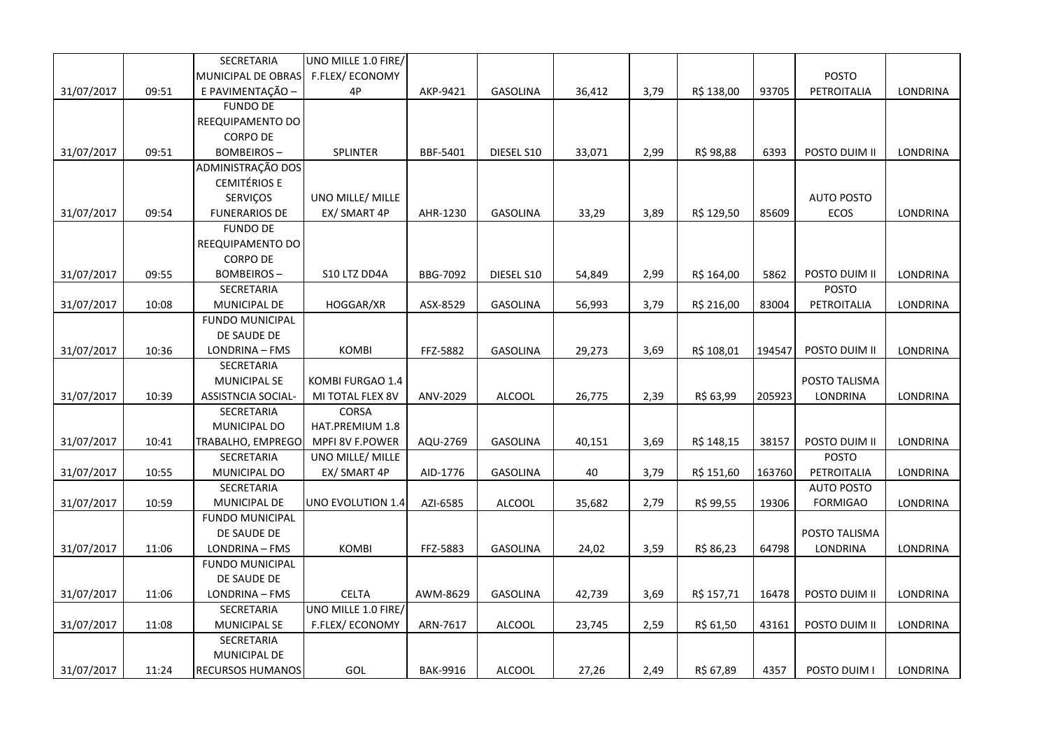|            |       | SECRETARIA              | UNO MILLE 1.0 FIRE/ |                 |                 |        |      |            |        |                   |                 |
|------------|-------|-------------------------|---------------------|-----------------|-----------------|--------|------|------------|--------|-------------------|-----------------|
|            |       | MUNICIPAL DE OBRAS      | F.FLEX/ECONOMY      |                 |                 |        |      |            |        | <b>POSTO</b>      |                 |
| 31/07/2017 | 09:51 | E PAVIMENTAÇÃO -        | 4P                  | AKP-9421        | <b>GASOLINA</b> | 36,412 | 3,79 | R\$ 138,00 | 93705  | PETROITALIA       | LONDRINA        |
|            |       | <b>FUNDO DE</b>         |                     |                 |                 |        |      |            |        |                   |                 |
|            |       | REEQUIPAMENTO DO        |                     |                 |                 |        |      |            |        |                   |                 |
|            |       | <b>CORPO DE</b>         |                     |                 |                 |        |      |            |        |                   |                 |
| 31/07/2017 | 09:51 | <b>BOMBEIROS-</b>       | SPLINTER            | BBF-5401        | DIESEL S10      | 33,071 | 2,99 | R\$ 98,88  | 6393   | POSTO DUIM II     | LONDRINA        |
|            |       | ADMINISTRAÇÃO DOS       |                     |                 |                 |        |      |            |        |                   |                 |
|            |       | <b>CEMITÉRIOS E</b>     |                     |                 |                 |        |      |            |        |                   |                 |
|            |       | SERVIÇOS                | UNO MILLE/ MILLE    |                 |                 |        |      |            |        | <b>AUTO POSTO</b> |                 |
| 31/07/2017 | 09:54 | <b>FUNERARIOS DE</b>    | EX/ SMART 4P        | AHR-1230        | <b>GASOLINA</b> | 33,29  | 3,89 | R\$ 129,50 | 85609  | ECOS              | LONDRINA        |
|            |       | <b>FUNDO DE</b>         |                     |                 |                 |        |      |            |        |                   |                 |
|            |       | REEQUIPAMENTO DO        |                     |                 |                 |        |      |            |        |                   |                 |
|            |       | <b>CORPO DE</b>         |                     |                 |                 |        |      |            |        |                   |                 |
| 31/07/2017 | 09:55 | <b>BOMBEIROS-</b>       | S10 LTZ DD4A        | <b>BBG-7092</b> | DIESEL S10      | 54,849 | 2,99 | R\$ 164,00 | 5862   | POSTO DUIM II     | LONDRINA        |
|            |       | SECRETARIA              |                     |                 |                 |        |      |            |        | <b>POSTO</b>      |                 |
| 31/07/2017 | 10:08 | MUNICIPAL DE            | HOGGAR/XR           | ASX-8529        | <b>GASOLINA</b> | 56,993 | 3,79 | R\$ 216,00 | 83004  | PETROITALIA       | <b>LONDRINA</b> |
|            |       | FUNDO MUNICIPAL         |                     |                 |                 |        |      |            |        |                   |                 |
|            |       | DE SAUDE DE             |                     |                 |                 |        |      |            |        |                   |                 |
| 31/07/2017 | 10:36 | LONDRINA - FMS          | KOMBI               | FFZ-5882        | <b>GASOLINA</b> | 29,273 | 3,69 | R\$ 108,01 | 194547 | POSTO DUIM II     | <b>LONDRINA</b> |
|            |       | SECRETARIA              |                     |                 |                 |        |      |            |        |                   |                 |
|            |       | MUNICIPAL SE            | KOMBI FURGAO 1.4    |                 |                 |        |      |            |        | POSTO TALISMA     |                 |
| 31/07/2017 | 10:39 | ASSISTNCIA SOCIAL-      | MI TOTAL FLEX 8V    | ANV-2029        | <b>ALCOOL</b>   | 26,775 | 2,39 | R\$ 63,99  | 205923 | LONDRINA          | LONDRINA        |
|            |       | SECRETARIA              | <b>CORSA</b>        |                 |                 |        |      |            |        |                   |                 |
|            |       | MUNICIPAL DO            | HAT.PREMIUM 1.8     |                 |                 |        |      |            |        |                   |                 |
| 31/07/2017 | 10:41 | TRABALHO, EMPREGO       | MPFI 8V F.POWER     | AQU-2769        | <b>GASOLINA</b> | 40,151 | 3,69 | R\$ 148,15 | 38157  | POSTO DUIM II     | LONDRINA        |
|            |       | SECRETARIA              | UNO MILLE/ MILLE    |                 |                 |        |      |            |        | <b>POSTO</b>      |                 |
| 31/07/2017 | 10:55 | MUNICIPAL DO            | EX/ SMART 4P        | AID-1776        | <b>GASOLINA</b> | 40     | 3,79 | R\$ 151,60 | 163760 | PETROITALIA       | LONDRINA        |
|            |       | SECRETARIA              |                     |                 |                 |        |      |            |        | <b>AUTO POSTO</b> |                 |
| 31/07/2017 | 10:59 | <b>MUNICIPAL DE</b>     | UNO EVOLUTION 1.4   | AZI-6585        | <b>ALCOOL</b>   | 35,682 | 2,79 | R\$ 99,55  | 19306  | <b>FORMIGAO</b>   | LONDRINA        |
|            |       | <b>FUNDO MUNICIPAL</b>  |                     |                 |                 |        |      |            |        |                   |                 |
|            |       | DE SAUDE DE             |                     |                 |                 |        |      |            |        | POSTO TALISMA     |                 |
| 31/07/2017 | 11:06 | LONDRINA - FMS          | <b>KOMBI</b>        | FFZ-5883        | <b>GASOLINA</b> | 24,02  | 3,59 | R\$ 86,23  | 64798  | <b>LONDRINA</b>   | LONDRINA        |
|            |       | <b>FUNDO MUNICIPAL</b>  |                     |                 |                 |        |      |            |        |                   |                 |
|            |       | DE SAUDE DE             |                     |                 |                 |        |      |            |        |                   |                 |
| 31/07/2017 | 11:06 | LONDRINA - FMS          | <b>CELTA</b>        | AWM-8629        | <b>GASOLINA</b> | 42,739 | 3,69 | R\$ 157,71 | 16478  | POSTO DUIM II     | LONDRINA        |
|            |       | SECRETARIA              | UNO MILLE 1.0 FIRE/ |                 |                 |        |      |            |        |                   |                 |
| 31/07/2017 | 11:08 | <b>MUNICIPAL SE</b>     | F.FLEX/ECONOMY      | ARN-7617        | <b>ALCOOL</b>   | 23,745 | 2,59 | R\$ 61,50  | 43161  | POSTO DUIM II     | LONDRINA        |
|            |       | SECRETARIA              |                     |                 |                 |        |      |            |        |                   |                 |
|            |       | MUNICIPAL DE            |                     |                 |                 |        |      |            |        |                   |                 |
| 31/07/2017 | 11:24 | <b>RECURSOS HUMANOS</b> | GOL                 | <b>BAK-9916</b> | <b>ALCOOL</b>   | 27,26  | 2,49 | R\$ 67,89  | 4357   | POSTO DUIM I      | LONDRINA        |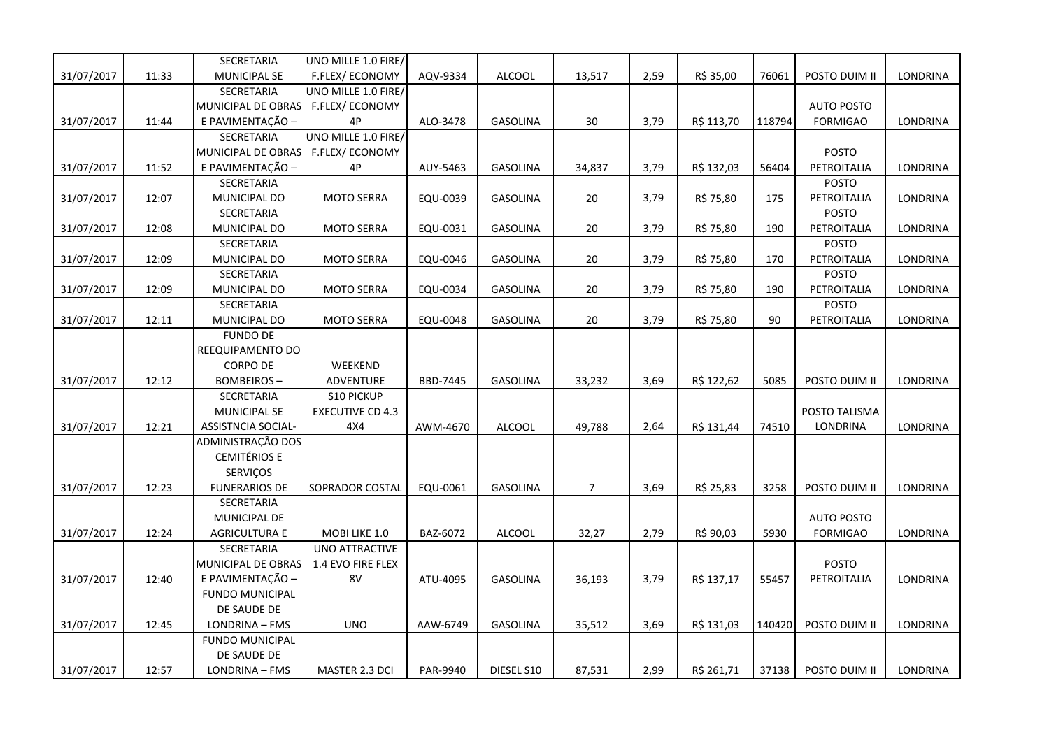|            |       | SECRETARIA             | UNO MILLE 1.0 FIRE/     |          |                 |                |      |            |        |                   |                 |
|------------|-------|------------------------|-------------------------|----------|-----------------|----------------|------|------------|--------|-------------------|-----------------|
| 31/07/2017 | 11:33 | MUNICIPAL SE           | F.FLEX/ECONOMY          | AQV-9334 | <b>ALCOOL</b>   | 13,517         | 2,59 | R\$ 35,00  | 76061  | POSTO DUIM II     | <b>LONDRINA</b> |
|            |       | SECRETARIA             | UNO MILLE 1.0 FIRE/     |          |                 |                |      |            |        |                   |                 |
|            |       | MUNICIPAL DE OBRAS     | F.FLEX/ECONOMY          |          |                 |                |      |            |        | <b>AUTO POSTO</b> |                 |
| 31/07/2017 | 11:44 | E PAVIMENTAÇÃO -       | 4P                      | ALO-3478 | GASOLINA        | 30             | 3,79 | R\$ 113,70 | 118794 | <b>FORMIGAO</b>   | LONDRINA        |
|            |       | SECRETARIA             | UNO MILLE 1.0 FIRE/     |          |                 |                |      |            |        |                   |                 |
|            |       | MUNICIPAL DE OBRAS     | F.FLEX/ECONOMY          |          |                 |                |      |            |        | <b>POSTO</b>      |                 |
| 31/07/2017 | 11:52 | E PAVIMENTAÇÃO -       | 4P                      | AUY-5463 | <b>GASOLINA</b> | 34,837         | 3,79 | R\$ 132,03 | 56404  | PETROITALIA       | <b>LONDRINA</b> |
|            |       | SECRETARIA             |                         |          |                 |                |      |            |        | <b>POSTO</b>      |                 |
| 31/07/2017 | 12:07 | MUNICIPAL DO           | <b>MOTO SERRA</b>       | EQU-0039 | GASOLINA        | 20             | 3,79 | R\$ 75,80  | 175    | PETROITALIA       | LONDRINA        |
|            |       | SECRETARIA             |                         |          |                 |                |      |            |        | <b>POSTO</b>      |                 |
| 31/07/2017 | 12:08 | MUNICIPAL DO           | <b>MOTO SERRA</b>       | EQU-0031 | GASOLINA        | 20             | 3,79 | R\$ 75,80  | 190    | PETROITALIA       | LONDRINA        |
|            |       | SECRETARIA             |                         |          |                 |                |      |            |        | <b>POSTO</b>      |                 |
| 31/07/2017 | 12:09 | MUNICIPAL DO           | <b>MOTO SERRA</b>       | EQU-0046 | <b>GASOLINA</b> | 20             | 3,79 | R\$ 75,80  | 170    | PETROITALIA       | LONDRINA        |
|            |       | SECRETARIA             |                         |          |                 |                |      |            |        | <b>POSTO</b>      |                 |
| 31/07/2017 | 12:09 | MUNICIPAL DO           | <b>MOTO SERRA</b>       | EQU-0034 | GASOLINA        | 20             | 3,79 | R\$ 75,80  | 190    | PETROITALIA       | LONDRINA        |
|            |       | SECRETARIA             |                         |          |                 |                |      |            |        | POSTO             |                 |
| 31/07/2017 | 12:11 | MUNICIPAL DO           | <b>MOTO SERRA</b>       | EQU-0048 | GASOLINA        | $20\,$         | 3,79 | R\$ 75,80  | 90     | PETROITALIA       | LONDRINA        |
|            |       | <b>FUNDO DE</b>        |                         |          |                 |                |      |            |        |                   |                 |
|            |       | REEQUIPAMENTO DO       |                         |          |                 |                |      |            |        |                   |                 |
|            |       | <b>CORPO DE</b>        | WEEKEND                 |          |                 |                |      |            |        |                   |                 |
| 31/07/2017 | 12:12 | <b>BOMBEIROS-</b>      | ADVENTURE               | BBD-7445 | GASOLINA        | 33,232         | 3,69 | R\$ 122,62 | 5085   | POSTO DUIM II     | LONDRINA        |
|            |       | SECRETARIA             | <b>S10 PICKUP</b>       |          |                 |                |      |            |        |                   |                 |
|            |       | <b>MUNICIPAL SE</b>    | <b>EXECUTIVE CD 4.3</b> |          |                 |                |      |            |        | POSTO TALISMA     |                 |
| 31/07/2017 | 12:21 | ASSISTNCIA SOCIAL-     | 4X4                     | AWM-4670 | <b>ALCOOL</b>   | 49,788         | 2,64 | R\$ 131,44 | 74510  | LONDRINA          | <b>LONDRINA</b> |
|            |       | ADMINISTRAÇÃO DOS      |                         |          |                 |                |      |            |        |                   |                 |
|            |       | <b>CEMITÉRIOS E</b>    |                         |          |                 |                |      |            |        |                   |                 |
|            |       | SERVIÇOS               |                         |          |                 |                |      |            |        |                   |                 |
| 31/07/2017 | 12:23 | <b>FUNERARIOS DE</b>   | SOPRADOR COSTAL         | EQU-0061 | <b>GASOLINA</b> | $\overline{7}$ | 3,69 | R\$ 25,83  | 3258   | POSTO DUIM II     | LONDRINA        |
|            |       | SECRETARIA             |                         |          |                 |                |      |            |        |                   |                 |
|            |       | <b>MUNICIPAL DE</b>    |                         |          |                 |                |      |            |        | <b>AUTO POSTO</b> |                 |
| 31/07/2017 | 12:24 | <b>AGRICULTURA E</b>   | MOBI LIKE 1.0           | BAZ-6072 | ALCOOL          | 32,27          | 2,79 | R\$ 90,03  | 5930   | <b>FORMIGAO</b>   | LONDRINA        |
|            |       | SECRETARIA             | <b>UNO ATTRACTIVE</b>   |          |                 |                |      |            |        |                   |                 |
|            |       | MUNICIPAL DE OBRAS     | 1.4 EVO FIRE FLEX       |          |                 |                |      |            |        | <b>POSTO</b>      |                 |
| 31/07/2017 | 12:40 | E PAVIMENTAÇÃO -       | 8V                      | ATU-4095 | <b>GASOLINA</b> | 36,193         | 3,79 | R\$ 137,17 | 55457  | PETROITALIA       | <b>LONDRINA</b> |
|            |       | <b>FUNDO MUNICIPAL</b> |                         |          |                 |                |      |            |        |                   |                 |
|            |       | DE SAUDE DE            |                         |          |                 |                |      |            |        |                   |                 |
| 31/07/2017 | 12:45 | LONDRINA - FMS         | <b>UNO</b>              | AAW-6749 | <b>GASOLINA</b> | 35,512         | 3,69 | R\$ 131,03 | 140420 | POSTO DUIM II     | LONDRINA        |
|            |       | <b>FUNDO MUNICIPAL</b> |                         |          |                 |                |      |            |        |                   |                 |
|            |       | DE SAUDE DE            |                         |          |                 |                |      |            |        |                   |                 |
| 31/07/2017 | 12:57 | LONDRINA - FMS         | MASTER 2.3 DCI          | PAR-9940 | DIESEL S10      | 87,531         | 2,99 | R\$ 261,71 | 37138  | POSTO DUIM II     | LONDRINA        |
|            |       |                        |                         |          |                 |                |      |            |        |                   |                 |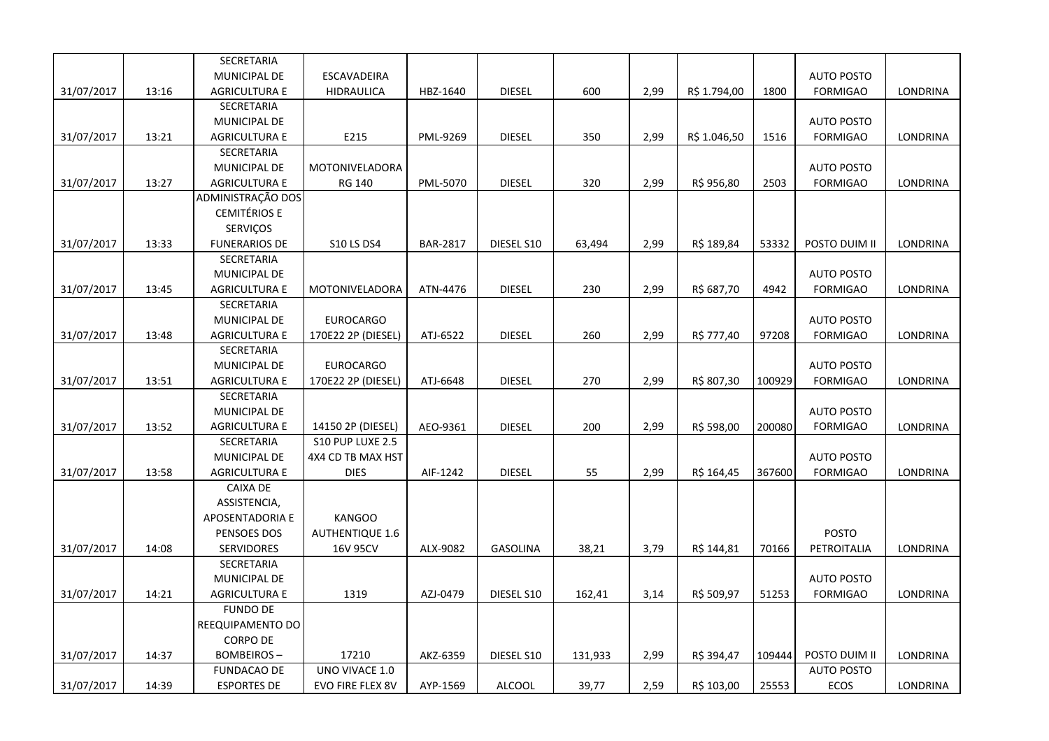|            |       | <b>SECRETARIA</b>    |                        |                 |                 |         |      |              |        |                   |                 |
|------------|-------|----------------------|------------------------|-----------------|-----------------|---------|------|--------------|--------|-------------------|-----------------|
|            |       | MUNICIPAL DE         | ESCAVADEIRA            |                 |                 |         |      |              |        | <b>AUTO POSTO</b> |                 |
| 31/07/2017 | 13:16 | <b>AGRICULTURA E</b> | <b>HIDRAULICA</b>      | HBZ-1640        | <b>DIESEL</b>   | 600     | 2,99 | R\$ 1.794,00 | 1800   | <b>FORMIGAO</b>   | LONDRINA        |
|            |       | <b>SECRETARIA</b>    |                        |                 |                 |         |      |              |        |                   |                 |
|            |       | MUNICIPAL DE         |                        |                 |                 |         |      |              |        | <b>AUTO POSTO</b> |                 |
| 31/07/2017 | 13:21 | <b>AGRICULTURA E</b> | E215                   | PML-9269        | <b>DIESEL</b>   | 350     | 2,99 | R\$ 1.046,50 | 1516   | <b>FORMIGAO</b>   | LONDRINA        |
|            |       | SECRETARIA           |                        |                 |                 |         |      |              |        |                   |                 |
|            |       | MUNICIPAL DE         | MOTONIVELADORA         |                 |                 |         |      |              |        | <b>AUTO POSTO</b> |                 |
| 31/07/2017 | 13:27 | <b>AGRICULTURA E</b> | <b>RG 140</b>          | PML-5070        | <b>DIESEL</b>   | 320     | 2,99 | R\$ 956,80   | 2503   | <b>FORMIGAO</b>   | LONDRINA        |
|            |       | ADMINISTRAÇÃO DOS    |                        |                 |                 |         |      |              |        |                   |                 |
|            |       | <b>CEMITÉRIOS E</b>  |                        |                 |                 |         |      |              |        |                   |                 |
|            |       | <b>SERVIÇOS</b>      |                        |                 |                 |         |      |              |        |                   |                 |
| 31/07/2017 | 13:33 | <b>FUNERARIOS DE</b> | <b>S10 LS DS4</b>      | <b>BAR-2817</b> | DIESEL S10      | 63,494  | 2,99 | R\$ 189,84   | 53332  | POSTO DUIM II     | LONDRINA        |
|            |       | SECRETARIA           |                        |                 |                 |         |      |              |        |                   |                 |
|            |       | MUNICIPAL DE         |                        |                 |                 |         |      |              |        | <b>AUTO POSTO</b> |                 |
| 31/07/2017 | 13:45 | <b>AGRICULTURA E</b> | MOTONIVELADORA         | ATN-4476        | <b>DIESEL</b>   | 230     | 2,99 | R\$ 687,70   | 4942   | <b>FORMIGAO</b>   | LONDRINA        |
|            |       | SECRETARIA           |                        |                 |                 |         |      |              |        |                   |                 |
|            |       | MUNICIPAL DE         | <b>EUROCARGO</b>       |                 |                 |         |      |              |        | <b>AUTO POSTO</b> |                 |
| 31/07/2017 | 13:48 | <b>AGRICULTURA E</b> | 170E22 2P (DIESEL)     | ATJ-6522        | <b>DIESEL</b>   | 260     | 2,99 | R\$ 777,40   | 97208  | <b>FORMIGAO</b>   | LONDRINA        |
|            |       | <b>SECRETARIA</b>    |                        |                 |                 |         |      |              |        |                   |                 |
|            |       | MUNICIPAL DE         | <b>EUROCARGO</b>       |                 |                 |         |      |              |        | <b>AUTO POSTO</b> |                 |
| 31/07/2017 | 13:51 | <b>AGRICULTURA E</b> | 170E22 2P (DIESEL)     | ATJ-6648        | <b>DIESEL</b>   | 270     | 2,99 | R\$ 807,30   | 100929 | <b>FORMIGAO</b>   | LONDRINA        |
|            |       | <b>SECRETARIA</b>    |                        |                 |                 |         |      |              |        |                   |                 |
|            |       | MUNICIPAL DE         |                        |                 |                 |         |      |              |        | <b>AUTO POSTO</b> |                 |
| 31/07/2017 | 13:52 | <b>AGRICULTURA E</b> | 14150 2P (DIESEL)      | AEO-9361        | <b>DIESEL</b>   | 200     | 2,99 | R\$ 598,00   | 200080 | <b>FORMIGAO</b>   | LONDRINA        |
|            |       | <b>SECRETARIA</b>    | S10 PUP LUXE 2.5       |                 |                 |         |      |              |        |                   |                 |
|            |       | MUNICIPAL DE         | 4X4 CD TB MAX HST      |                 |                 |         |      |              |        | <b>AUTO POSTO</b> |                 |
| 31/07/2017 | 13:58 | <b>AGRICULTURA E</b> | <b>DIES</b>            | AIF-1242        | <b>DIESEL</b>   | 55      | 2,99 | R\$ 164,45   | 367600 | <b>FORMIGAO</b>   | <b>LONDRINA</b> |
|            |       | CAIXA DE             |                        |                 |                 |         |      |              |        |                   |                 |
|            |       | ASSISTENCIA,         |                        |                 |                 |         |      |              |        |                   |                 |
|            |       | APOSENTADORIA E      | <b>KANGOO</b>          |                 |                 |         |      |              |        |                   |                 |
|            |       | PENSOES DOS          | <b>AUTHENTIQUE 1.6</b> |                 |                 |         |      |              |        | <b>POSTO</b>      |                 |
| 31/07/2017 | 14:08 | SERVIDORES           | 16V 95CV               | ALX-9082        | <b>GASOLINA</b> | 38,21   | 3,79 | R\$ 144,81   | 70166  | PETROITALIA       | LONDRINA        |
|            |       | SECRETARIA           |                        |                 |                 |         |      |              |        |                   |                 |
|            |       | MUNICIPAL DE         |                        |                 |                 |         |      |              |        | <b>AUTO POSTO</b> |                 |
| 31/07/2017 | 14:21 | AGRICULTURA E        | 1319                   | AZJ-0479        | DIESEL S10      | 162,41  | 3,14 | R\$ 509,97   | 51253  | <b>FORMIGAO</b>   | LONDRINA        |
|            |       | <b>FUNDO DE</b>      |                        |                 |                 |         |      |              |        |                   |                 |
|            |       | REEQUIPAMENTO DO     |                        |                 |                 |         |      |              |        |                   |                 |
|            |       | <b>CORPO DE</b>      |                        |                 |                 |         |      |              |        |                   |                 |
| 31/07/2017 | 14:37 | <b>BOMBEIROS-</b>    | 17210                  | AKZ-6359        | DIESEL S10      | 131,933 | 2,99 | R\$ 394,47   | 109444 | POSTO DUIM II     | LONDRINA        |
|            |       | <b>FUNDACAO DE</b>   | UNO VIVACE 1.0         |                 |                 |         |      |              |        | <b>AUTO POSTO</b> |                 |
| 31/07/2017 | 14:39 | <b>ESPORTES DE</b>   | EVO FIRE FLEX 8V       | AYP-1569        | ALCOOL          | 39,77   | 2,59 | R\$ 103,00   | 25553  | ECOS              | LONDRINA        |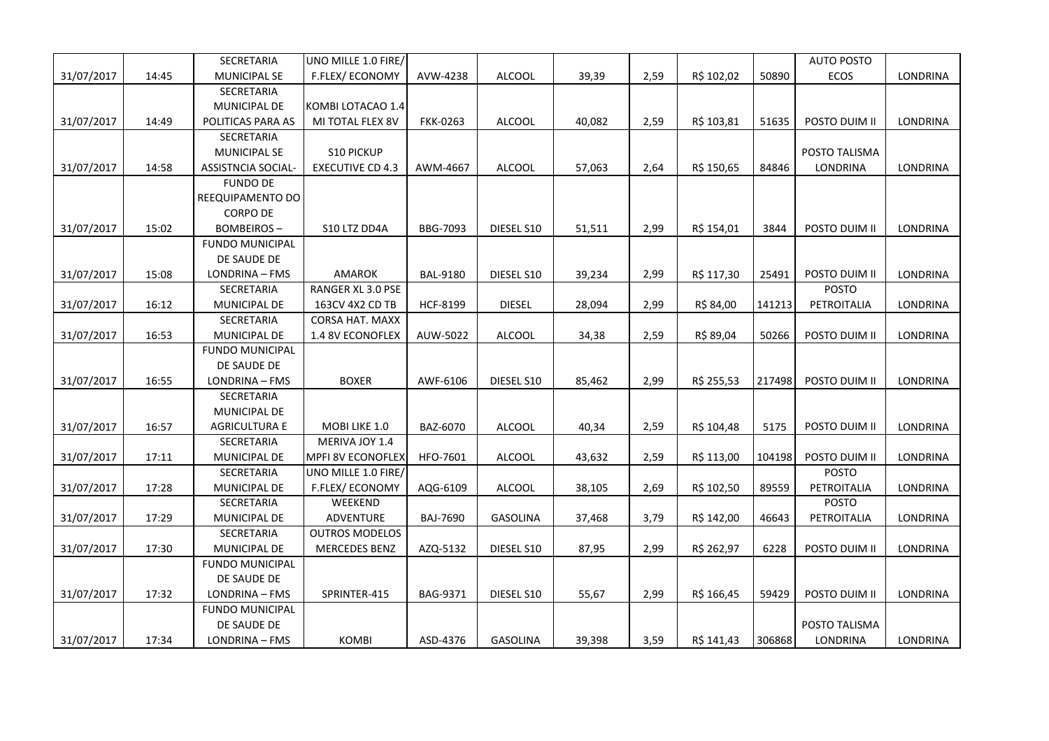|            |       | SECRETARIA             | UNO MILLE 1.0 FIRE/     |                 |                 |        |      |            |        | <b>AUTO POSTO</b> |          |
|------------|-------|------------------------|-------------------------|-----------------|-----------------|--------|------|------------|--------|-------------------|----------|
| 31/07/2017 | 14:45 | MUNICIPAL SE           | F.FLEX/ECONOMY          | AVW-4238        | <b>ALCOOL</b>   | 39,39  | 2,59 | R\$ 102,02 | 50890  | ECOS              | LONDRINA |
|            |       | SECRETARIA             |                         |                 |                 |        |      |            |        |                   |          |
|            |       | MUNICIPAL DE           | KOMBI LOTACAO 1.4       |                 |                 |        |      |            |        |                   |          |
| 31/07/2017 | 14:49 | POLITICAS PARA AS      | MI TOTAL FLEX 8V        | <b>FKK-0263</b> | <b>ALCOOL</b>   | 40,082 | 2,59 | R\$ 103,81 | 51635  | POSTO DUIM II     | LONDRINA |
|            |       | SECRETARIA             |                         |                 |                 |        |      |            |        |                   |          |
|            |       | MUNICIPAL SE           | S10 PICKUP              |                 |                 |        |      |            |        | POSTO TALISMA     |          |
| 31/07/2017 | 14:58 | ASSISTNCIA SOCIAL-     | <b>EXECUTIVE CD 4.3</b> | AWM-4667        | <b>ALCOOL</b>   | 57,063 | 2,64 | R\$ 150,65 | 84846  | LONDRINA          | LONDRINA |
|            |       | <b>FUNDO DE</b>        |                         |                 |                 |        |      |            |        |                   |          |
|            |       | REEQUIPAMENTO DO       |                         |                 |                 |        |      |            |        |                   |          |
|            |       | <b>CORPO DE</b>        |                         |                 |                 |        |      |            |        |                   |          |
| 31/07/2017 | 15:02 | <b>BOMBEIROS-</b>      | S10 LTZ DD4A            | BBG-7093        | DIESEL S10      | 51,511 | 2,99 | R\$ 154,01 | 3844   | POSTO DUIM II     | LONDRINA |
|            |       | <b>FUNDO MUNICIPAL</b> |                         |                 |                 |        |      |            |        |                   |          |
|            |       | DE SAUDE DE            |                         |                 |                 |        |      |            |        |                   |          |
| 31/07/2017 | 15:08 | LONDRINA - FMS         | AMAROK                  | <b>BAL-9180</b> | DIESEL S10      | 39,234 | 2,99 | R\$ 117,30 | 25491  | POSTO DUIM II     | LONDRINA |
|            |       | SECRETARIA             | RANGER XL 3.0 PSE       |                 |                 |        |      |            |        | <b>POSTO</b>      |          |
| 31/07/2017 | 16:12 | MUNICIPAL DE           | 163CV 4X2 CD TB         | HCF-8199        | <b>DIESEL</b>   | 28,094 | 2,99 | R\$ 84,00  | 141213 | PETROITALIA       | LONDRINA |
|            |       | SECRETARIA             | <b>CORSA HAT. MAXX</b>  |                 |                 |        |      |            |        |                   |          |
| 31/07/2017 | 16:53 | <b>MUNICIPAL DE</b>    | 1.4 8V ECONOFLEX        | AUW-5022        | ALCOOL          | 34,38  | 2,59 | R\$ 89,04  | 50266  | POSTO DUIM II     | LONDRINA |
|            |       | <b>FUNDO MUNICIPAL</b> |                         |                 |                 |        |      |            |        |                   |          |
|            |       | DE SAUDE DE            |                         |                 |                 |        |      |            |        |                   |          |
| 31/07/2017 | 16:55 | LONDRINA - FMS         | <b>BOXER</b>            | AWF-6106        | DIESEL S10      | 85,462 | 2,99 | R\$ 255,53 | 217498 | POSTO DUIM II     | LONDRINA |
|            |       | SECRETARIA             |                         |                 |                 |        |      |            |        |                   |          |
|            |       | <b>MUNICIPAL DE</b>    |                         |                 |                 |        |      |            |        |                   |          |
| 31/07/2017 | 16:57 | <b>AGRICULTURA E</b>   | MOBI LIKE 1.0           | BAZ-6070        | <b>ALCOOL</b>   | 40,34  | 2,59 | R\$ 104,48 | 5175   | POSTO DUIM II     | LONDRINA |
|            |       | SECRETARIA             | MERIVA JOY 1.4          |                 |                 |        |      |            |        |                   |          |
| 31/07/2017 | 17:11 | MUNICIPAL DE           | MPFI 8V ECONOFLEX       | HFO-7601        | ALCOOL          | 43,632 | 2,59 | R\$ 113,00 | 104198 | POSTO DUIM II     | LONDRINA |
|            |       | SECRETARIA             | UNO MILLE 1.0 FIRE/     |                 |                 |        |      |            |        | <b>POSTO</b>      |          |
| 31/07/2017 | 17:28 | MUNICIPAL DE           | F.FLEX/ECONOMY          | AQG-6109        | <b>ALCOOL</b>   | 38,105 | 2,69 | R\$ 102,50 | 89559  | PETROITALIA       | LONDRINA |
|            |       | SECRETARIA             | WEEKEND                 |                 |                 |        |      |            |        | <b>POSTO</b>      |          |
| 31/07/2017 | 17:29 | MUNICIPAL DE           | ADVENTURE               | <b>BAJ-7690</b> | GASOLINA        | 37,468 | 3,79 | R\$ 142,00 | 46643  | PETROITALIA       | LONDRINA |
|            |       | SECRETARIA             | <b>OUTROS MODELOS</b>   |                 |                 |        |      |            |        |                   |          |
| 31/07/2017 | 17:30 | MUNICIPAL DE           | <b>MERCEDES BENZ</b>    | AZQ-5132        | DIESEL S10      | 87,95  | 2,99 | R\$ 262,97 | 6228   | POSTO DUIM II     | LONDRINA |
|            |       | <b>FUNDO MUNICIPAL</b> |                         |                 |                 |        |      |            |        |                   |          |
|            |       | DE SAUDE DE            |                         |                 |                 |        |      |            |        |                   |          |
| 31/07/2017 | 17:32 | LONDRINA - FMS         | SPRINTER-415            | BAG-9371        | DIESEL S10      | 55,67  | 2,99 | R\$ 166,45 | 59429  | POSTO DUIM II     | LONDRINA |
|            |       | <b>FUNDO MUNICIPAL</b> |                         |                 |                 |        |      |            |        |                   |          |
|            |       | DE SAUDE DE            |                         |                 |                 |        |      |            |        | POSTO TALISMA     |          |
| 31/07/2017 | 17:34 | LONDRINA - FMS         | KOMBI                   | ASD-4376        | <b>GASOLINA</b> | 39,398 | 3,59 | R\$ 141,43 | 306868 | LONDRINA          | LONDRINA |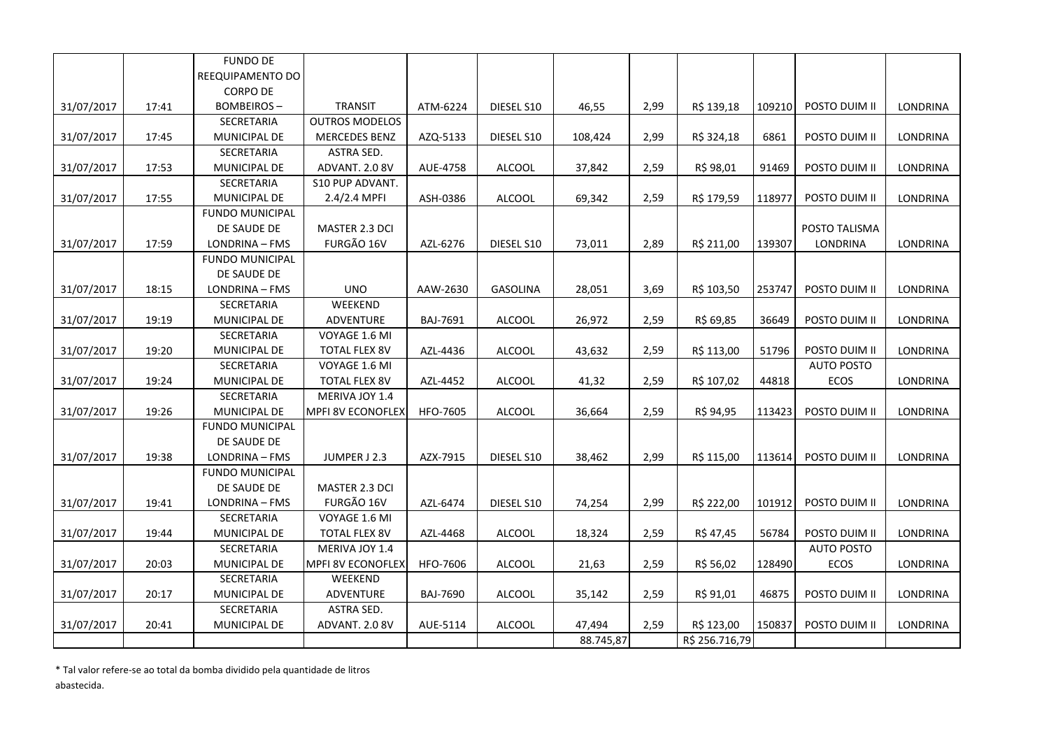|            |       | <b>FUNDO DE</b>        |                          |                 |                 |           |      |                |        |                   |          |
|------------|-------|------------------------|--------------------------|-----------------|-----------------|-----------|------|----------------|--------|-------------------|----------|
|            |       | REEQUIPAMENTO DO       |                          |                 |                 |           |      |                |        |                   |          |
|            |       | <b>CORPO DE</b>        |                          |                 |                 |           |      |                |        |                   |          |
| 31/07/2017 | 17:41 | <b>BOMBEIROS-</b>      | <b>TRANSIT</b>           | ATM-6224        | DIESEL S10      | 46,55     | 2,99 | R\$ 139,18     | 109210 | POSTO DUIM II     | LONDRINA |
|            |       | SECRETARIA             | <b>OUTROS MODELOS</b>    |                 |                 |           |      |                |        |                   |          |
| 31/07/2017 | 17:45 | MUNICIPAL DE           | <b>MERCEDES BENZ</b>     | AZQ-5133        | DIESEL S10      | 108,424   | 2,99 | R\$ 324,18     | 6861   | POSTO DUIM II     | LONDRINA |
|            |       | SECRETARIA             | <b>ASTRA SED.</b>        |                 |                 |           |      |                |        |                   |          |
| 31/07/2017 | 17:53 | MUNICIPAL DE           | ADVANT. 2.0 8V           | AUE-4758        | <b>ALCOOL</b>   | 37,842    | 2,59 | R\$ 98,01      | 91469  | POSTO DUIM II     | LONDRINA |
|            |       | SECRETARIA             | S10 PUP ADVANT.          |                 |                 |           |      |                |        |                   |          |
| 31/07/2017 | 17:55 | MUNICIPAL DE           | 2.4/2.4 MPFI             | ASH-0386        | <b>ALCOOL</b>   | 69,342    | 2,59 | R\$ 179,59     | 118977 | POSTO DUIM II     | LONDRINA |
|            |       | <b>FUNDO MUNICIPAL</b> |                          |                 |                 |           |      |                |        |                   |          |
|            |       | DE SAUDE DE            | MASTER 2.3 DCI           |                 |                 |           |      |                |        | POSTO TALISMA     |          |
| 31/07/2017 | 17:59 | LONDRINA - FMS         | FURGÃO 16V               | AZL-6276        | DIESEL S10      | 73,011    | 2,89 | R\$ 211,00     | 139307 | LONDRINA          | LONDRINA |
|            |       | <b>FUNDO MUNICIPAL</b> |                          |                 |                 |           |      |                |        |                   |          |
|            |       | DE SAUDE DE            |                          |                 |                 |           |      |                |        |                   |          |
| 31/07/2017 | 18:15 | LONDRINA - FMS         | <b>UNO</b>               | AAW-2630        | <b>GASOLINA</b> | 28,051    | 3,69 | R\$ 103,50     | 253747 | POSTO DUIM II     | LONDRINA |
|            |       | SECRETARIA             | WEEKEND                  |                 |                 |           |      |                |        |                   |          |
| 31/07/2017 | 19:19 | MUNICIPAL DE           | ADVENTURE                | BAJ-7691        | <b>ALCOOL</b>   | 26,972    | 2,59 | R\$ 69,85      | 36649  | POSTO DUIM II     | LONDRINA |
|            |       | SECRETARIA             | VOYAGE 1.6 MI            |                 |                 |           |      |                |        |                   |          |
| 31/07/2017 | 19:20 | MUNICIPAL DE           | <b>TOTAL FLEX 8V</b>     | AZL-4436        | <b>ALCOOL</b>   | 43,632    | 2,59 | R\$ 113,00     | 51796  | POSTO DUIM II     | LONDRINA |
|            |       | SECRETARIA             | VOYAGE 1.6 MI            |                 |                 |           |      |                |        | <b>AUTO POSTO</b> |          |
| 31/07/2017 | 19:24 | MUNICIPAL DE           | <b>TOTAL FLEX 8V</b>     | AZL-4452        | <b>ALCOOL</b>   | 41,32     | 2,59 | R\$ 107,02     | 44818  | ECOS              | LONDRINA |
|            |       | SECRETARIA             | MERIVA JOY 1.4           |                 |                 |           |      |                |        |                   |          |
| 31/07/2017 | 19:26 | MUNICIPAL DE           | <b>MPFI 8V ECONOFLEX</b> | HFO-7605        | ALCOOL          | 36,664    | 2,59 | R\$ 94,95      | 113423 | POSTO DUIM II     | LONDRINA |
|            |       | <b>FUNDO MUNICIPAL</b> |                          |                 |                 |           |      |                |        |                   |          |
|            |       | DE SAUDE DE            |                          |                 |                 |           |      |                |        |                   |          |
| 31/07/2017 | 19:38 | LONDRINA - FMS         | JUMPER J 2.3             | AZX-7915        | DIESEL S10      | 38,462    | 2,99 | R\$ 115,00     | 113614 | POSTO DUIM II     | LONDRINA |
|            |       | <b>FUNDO MUNICIPAL</b> |                          |                 |                 |           |      |                |        |                   |          |
|            |       | DE SAUDE DE            | MASTER 2.3 DCI           |                 |                 |           |      |                |        |                   |          |
| 31/07/2017 | 19:41 | LONDRINA - FMS         | FURGÃO 16V               | AZL-6474        | DIESEL S10      | 74,254    | 2,99 | R\$ 222,00     | 101912 | POSTO DUIM II     | LONDRINA |
|            |       | SECRETARIA             | VOYAGE 1.6 MI            |                 |                 |           |      |                |        |                   |          |
| 31/07/2017 | 19:44 | MUNICIPAL DE           | <b>TOTAL FLEX 8V</b>     | AZL-4468        | <b>ALCOOL</b>   | 18,324    | 2,59 | R\$ 47,45      | 56784  | POSTO DUIM II     | LONDRINA |
|            |       | SECRETARIA             | MERIVA JOY 1.4           |                 |                 |           |      |                |        | <b>AUTO POSTO</b> |          |
| 31/07/2017 | 20:03 | MUNICIPAL DE           | MPFI 8V ECONOFLEX        | <b>HFO-7606</b> | <b>ALCOOL</b>   | 21,63     | 2,59 | R\$ 56,02      | 128490 | ECOS              | LONDRINA |
|            |       | SECRETARIA             | WEEKEND                  |                 |                 |           |      |                |        |                   |          |
| 31/07/2017 | 20:17 | MUNICIPAL DE           | ADVENTURE                | <b>BAJ-7690</b> | <b>ALCOOL</b>   | 35,142    | 2,59 | R\$ 91,01      | 46875  | POSTO DUIM II     | LONDRINA |
|            |       | SECRETARIA             | ASTRA SED.               |                 |                 |           |      |                |        |                   |          |
| 31/07/2017 | 20:41 | MUNICIPAL DE           | ADVANT. 2.0 8V           | AUE-5114        | <b>ALCOOL</b>   | 47,494    | 2,59 | R\$ 123,00     | 150837 | POSTO DUIM II     | LONDRINA |
|            |       |                        |                          |                 |                 | 88.745,87 |      | R\$ 256.716,79 |        |                   |          |

\* Tal valor refere-se ao total da bomba dividido pela quantidade de litros

abastecida.